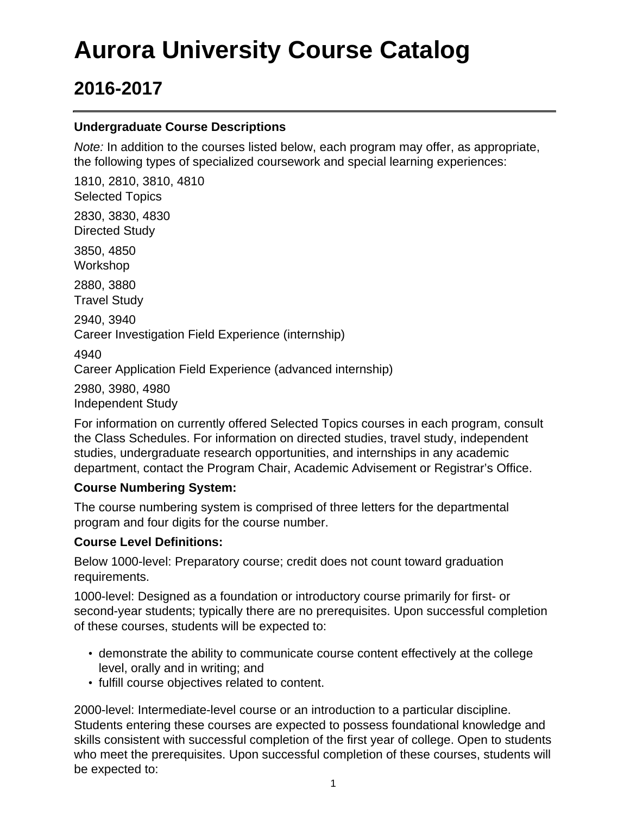# **Aurora University Course Catalog**

## **2016-2017**

#### **Undergraduate Course Descriptions**

Note: In addition to the courses listed below, each program may offer, as appropriate, the following types of specialized coursework and special learning experiences:

1810, 2810, 3810, 4810 Selected Topics 2830, 3830, 4830 Directed Study 3850, 4850 Workshop 2880, 3880 Travel Study 2940, 3940 Career Investigation Field Experience (internship) 4940 Career Application Field Experience (advanced internship) 2980, 3980, 4980

Independent Study

For information on currently offered Selected Topics courses in each program, consult the Class Schedules. For information on directed studies, travel study, independent studies, undergraduate research opportunities, and internships in any academic department, contact the Program Chair, Academic Advisement or Registrar's Office.

#### **Course Numbering System:**

The course numbering system is comprised of three letters for the departmental program and four digits for the course number.

#### **Course Level Definitions:**

Below 1000-level: Preparatory course; credit does not count toward graduation requirements.

1000-level: Designed as a foundation or introductory course primarily for first- or second-year students; typically there are no prerequisites. Upon successful completion of these courses, students will be expected to:

- demonstrate the ability to communicate course content effectively at the college level, orally and in writing; and
- fulfill course objectives related to content.

2000-level: Intermediate-level course or an introduction to a particular discipline. Students entering these courses are expected to possess foundational knowledge and skills consistent with successful completion of the first year of college. Open to students who meet the prerequisites. Upon successful completion of these courses, students will be expected to: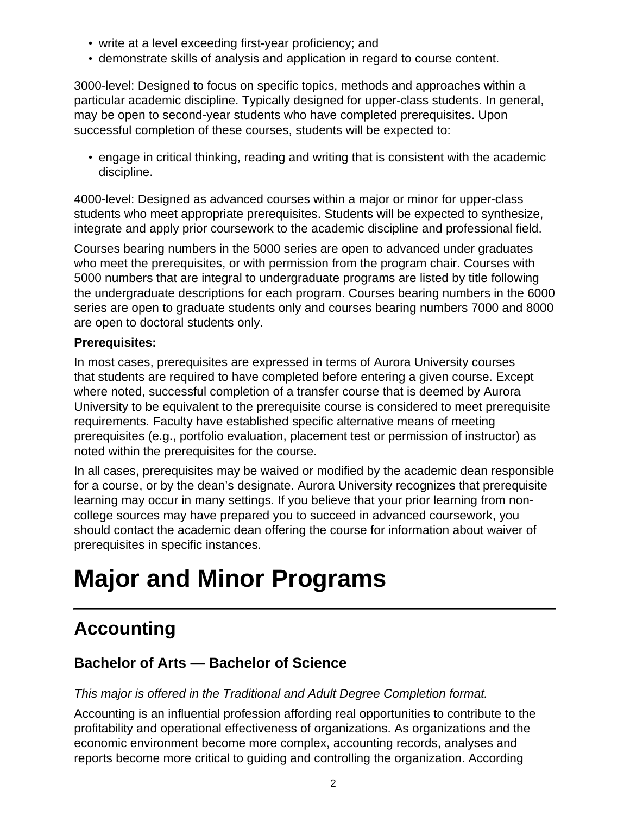- write at a level exceeding first-year proficiency; and
- demonstrate skills of analysis and application in regard to course content.

3000-level: Designed to focus on specific topics, methods and approaches within a particular academic discipline. Typically designed for upper-class students. In general, may be open to second-year students who have completed prerequisites. Upon successful completion of these courses, students will be expected to:

• engage in critical thinking, reading and writing that is consistent with the academic discipline.

4000-level: Designed as advanced courses within a major or minor for upper-class students who meet appropriate prerequisites. Students will be expected to synthesize, integrate and apply prior coursework to the academic discipline and professional field.

Courses bearing numbers in the 5000 series are open to advanced under graduates who meet the prerequisites, or with permission from the program chair. Courses with 5000 numbers that are integral to undergraduate programs are listed by title following the undergraduate descriptions for each program. Courses bearing numbers in the 6000 series are open to graduate students only and courses bearing numbers 7000 and 8000 are open to doctoral students only.

#### **Prerequisites:**

In most cases, prerequisites are expressed in terms of Aurora University courses that students are required to have completed before entering a given course. Except where noted, successful completion of a transfer course that is deemed by Aurora University to be equivalent to the prerequisite course is considered to meet prerequisite requirements. Faculty have established specific alternative means of meeting prerequisites (e.g., portfolio evaluation, placement test or permission of instructor) as noted within the prerequisites for the course.

In all cases, prerequisites may be waived or modified by the academic dean responsible for a course, or by the dean's designate. Aurora University recognizes that prerequisite learning may occur in many settings. If you believe that your prior learning from noncollege sources may have prepared you to succeed in advanced coursework, you should contact the academic dean offering the course for information about waiver of prerequisites in specific instances.

# **Major and Minor Programs**

## **Accounting**

### **Bachelor of Arts — Bachelor of Science**

#### This major is offered in the Traditional and Adult Degree Completion format.

Accounting is an influential profession affording real opportunities to contribute to the profitability and operational effectiveness of organizations. As organizations and the economic environment become more complex, accounting records, analyses and reports become more critical to guiding and controlling the organization. According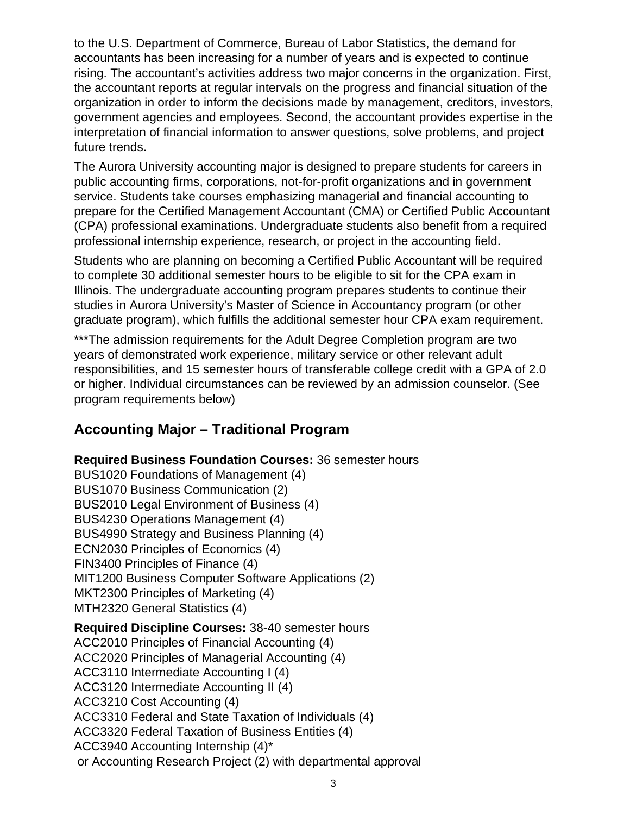to the U.S. Department of Commerce, Bureau of Labor Statistics, the demand for accountants has been increasing for a number of years and is expected to continue rising. The accountant's activities address two major concerns in the organization. First, the accountant reports at regular intervals on the progress and financial situation of the organization in order to inform the decisions made by management, creditors, investors, government agencies and employees. Second, the accountant provides expertise in the interpretation of financial information to answer questions, solve problems, and project future trends.

The Aurora University accounting major is designed to prepare students for careers in public accounting firms, corporations, not-for-profit organizations and in government service. Students take courses emphasizing managerial and financial accounting to prepare for the Certified Management Accountant (CMA) or Certified Public Accountant (CPA) professional examinations. Undergraduate students also benefit from a required professional internship experience, research, or project in the accounting field.

Students who are planning on becoming a Certified Public Accountant will be required to complete 30 additional semester hours to be eligible to sit for the CPA exam in Illinois. The undergraduate accounting program prepares students to continue their studies in Aurora University's Master of Science in Accountancy program (or other graduate program), which fulfills the additional semester hour CPA exam requirement.

\*\*\*The admission requirements for the Adult Degree Completion program are two years of demonstrated work experience, military service or other relevant adult responsibilities, and 15 semester hours of transferable college credit with a GPA of 2.0 or higher. Individual circumstances can be reviewed by an admission counselor. (See program requirements below)

### **Accounting Major – Traditional Program**

**Required Business Foundation Courses:** 36 semester hours BUS1020 Foundations of Management (4) BUS1070 Business Communication (2) BUS2010 Legal Environment of Business (4) BUS4230 Operations Management (4) BUS4990 Strategy and Business Planning (4) ECN2030 Principles of Economics (4) FIN3400 Principles of Finance (4) MIT1200 Business Computer Software Applications (2) MKT2300 Principles of Marketing (4) MTH2320 General Statistics (4) **Required Discipline Courses:** 38-40 semester hours ACC2010 Principles of Financial Accounting (4) ACC2020 Principles of Managerial Accounting (4) ACC3110 Intermediate Accounting I (4) ACC3120 Intermediate Accounting II (4) ACC3210 Cost Accounting (4) ACC3310 Federal and State Taxation of Individuals (4) ACC3320 Federal Taxation of Business Entities (4) ACC3940 Accounting Internship (4)\* or Accounting Research Project (2) with departmental approval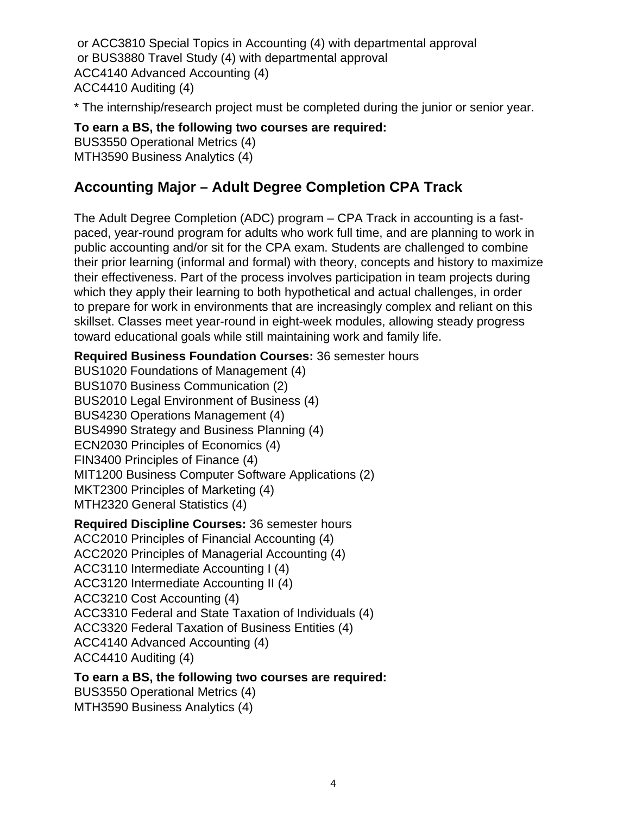or ACC3810 Special Topics in Accounting (4) with departmental approval or BUS3880 Travel Study (4) with departmental approval ACC4140 Advanced Accounting (4) ACC4410 Auditing (4)

\* The internship/research project must be completed during the junior or senior year.

#### **To earn a BS, the following two courses are required:**

BUS3550 Operational Metrics (4) MTH3590 Business Analytics (4)

### **Accounting Major – Adult Degree Completion CPA Track**

The Adult Degree Completion (ADC) program – CPA Track in accounting is a fastpaced, year-round program for adults who work full time, and are planning to work in public accounting and/or sit for the CPA exam. Students are challenged to combine their prior learning (informal and formal) with theory, concepts and history to maximize their effectiveness. Part of the process involves participation in team projects during which they apply their learning to both hypothetical and actual challenges, in order to prepare for work in environments that are increasingly complex and reliant on this skillset. Classes meet year-round in eight-week modules, allowing steady progress toward educational goals while still maintaining work and family life.

#### **Required Business Foundation Courses:** 36 semester hours

BUS1020 Foundations of Management (4) BUS1070 Business Communication (2) BUS2010 Legal Environment of Business (4) BUS4230 Operations Management (4) BUS4990 Strategy and Business Planning (4) ECN2030 Principles of Economics (4) FIN3400 Principles of Finance (4) MIT1200 Business Computer Software Applications (2) MKT2300 Principles of Marketing (4) MTH2320 General Statistics (4)

#### **Required Discipline Courses:** 36 semester hours

ACC2010 Principles of Financial Accounting (4) ACC2020 Principles of Managerial Accounting (4) ACC3110 Intermediate Accounting I (4) ACC3120 Intermediate Accounting II (4) ACC3210 Cost Accounting (4) ACC3310 Federal and State Taxation of Individuals (4) ACC3320 Federal Taxation of Business Entities (4) ACC4140 Advanced Accounting (4) ACC4410 Auditing (4)

#### **To earn a BS, the following two courses are required:**

BUS3550 Operational Metrics (4)

MTH3590 Business Analytics (4)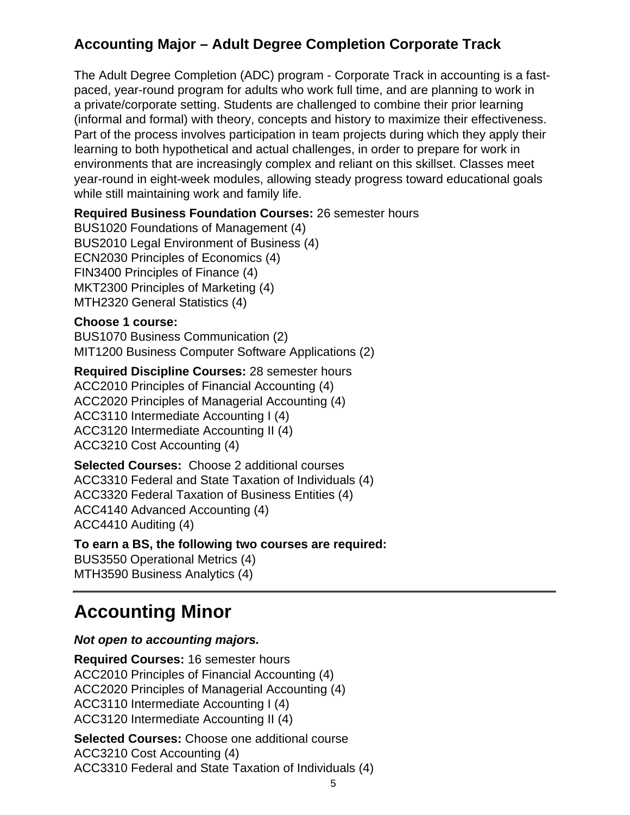### **Accounting Major – Adult Degree Completion Corporate Track**

The Adult Degree Completion (ADC) program - Corporate Track in accounting is a fastpaced, year-round program for adults who work full time, and are planning to work in a private/corporate setting. Students are challenged to combine their prior learning (informal and formal) with theory, concepts and history to maximize their effectiveness. Part of the process involves participation in team projects during which they apply their learning to both hypothetical and actual challenges, in order to prepare for work in environments that are increasingly complex and reliant on this skillset. Classes meet year-round in eight-week modules, allowing steady progress toward educational goals while still maintaining work and family life.

#### **Required Business Foundation Courses:** 26 semester hours

BUS1020 Foundations of Management (4) BUS2010 Legal Environment of Business (4) ECN2030 Principles of Economics (4) FIN3400 Principles of Finance (4) MKT2300 Principles of Marketing (4) MTH2320 General Statistics (4)

#### **Choose 1 course:**

BUS1070 Business Communication (2) MIT1200 Business Computer Software Applications (2)

**Required Discipline Courses:** 28 semester hours ACC2010 Principles of Financial Accounting (4) ACC2020 Principles of Managerial Accounting (4) ACC3110 Intermediate Accounting I (4) ACC3120 Intermediate Accounting II (4) ACC3210 Cost Accounting (4)

**Selected Courses:** Choose 2 additional courses ACC3310 Federal and State Taxation of Individuals (4) ACC3320 Federal Taxation of Business Entities (4) ACC4140 Advanced Accounting (4) ACC4410 Auditing (4)

**To earn a BS, the following two courses are required:** BUS3550 Operational Metrics (4) MTH3590 Business Analytics (4)

## **Accounting Minor**

#### **Not open to accounting majors.**

**Required Courses:** 16 semester hours ACC2010 Principles of Financial Accounting (4) ACC2020 Principles of Managerial Accounting (4) ACC3110 Intermediate Accounting I (4) ACC3120 Intermediate Accounting II (4)

**Selected Courses:** Choose one additional course ACC3210 Cost Accounting (4) ACC3310 Federal and State Taxation of Individuals (4)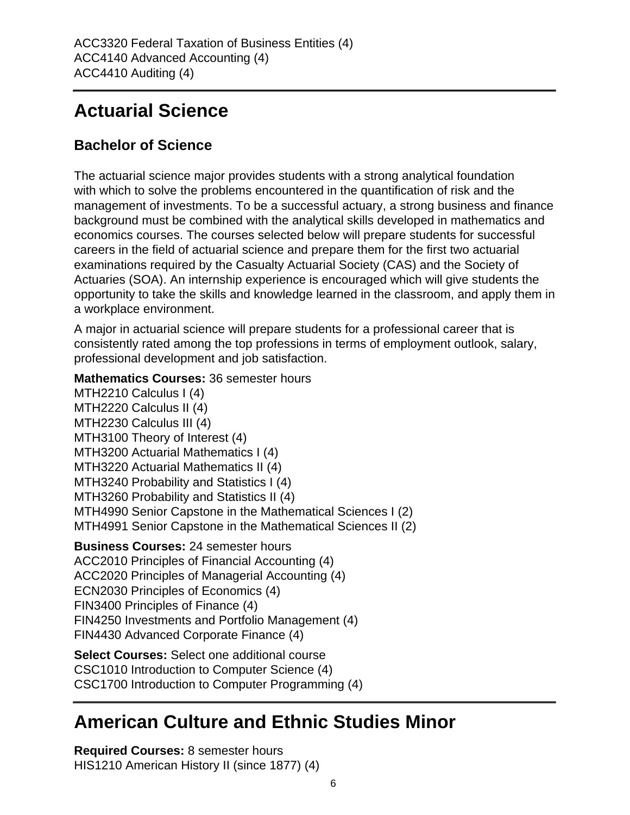## **Actuarial Science**

### **Bachelor of Science**

The actuarial science major provides students with a strong analytical foundation with which to solve the problems encountered in the quantification of risk and the management of investments. To be a successful actuary, a strong business and finance background must be combined with the analytical skills developed in mathematics and economics courses. The courses selected below will prepare students for successful careers in the field of actuarial science and prepare them for the first two actuarial examinations required by the Casualty Actuarial Society (CAS) and the Society of Actuaries (SOA). An internship experience is encouraged which will give students the opportunity to take the skills and knowledge learned in the classroom, and apply them in a workplace environment.

A major in actuarial science will prepare students for a professional career that is consistently rated among the top professions in terms of employment outlook, salary, professional development and job satisfaction.

#### **Mathematics Courses:** 36 semester hours

MTH2210 Calculus I (4) MTH2220 Calculus II (4) MTH2230 Calculus III (4) MTH3100 Theory of Interest (4) MTH3200 Actuarial Mathematics I (4) MTH3220 Actuarial Mathematics II (4) MTH3240 Probability and Statistics I (4) MTH3260 Probability and Statistics II (4) MTH4990 Senior Capstone in the Mathematical Sciences I (2) MTH4991 Senior Capstone in the Mathematical Sciences II (2) **Business Courses:** 24 semester hours ACC2010 Principles of Financial Accounting (4) ACC2020 Principles of Managerial Accounting (4) ECN2030 Principles of Economics (4) FIN3400 Principles of Finance (4) FIN4250 Investments and Portfolio Management (4) FIN4430 Advanced Corporate Finance (4) **Select Courses:** Select one additional course CSC1010 Introduction to Computer Science (4)

CSC1700 Introduction to Computer Programming (4)

## **American Culture and Ethnic Studies Minor**

**Required Courses:** 8 semester hours HIS1210 American History II (since 1877) (4)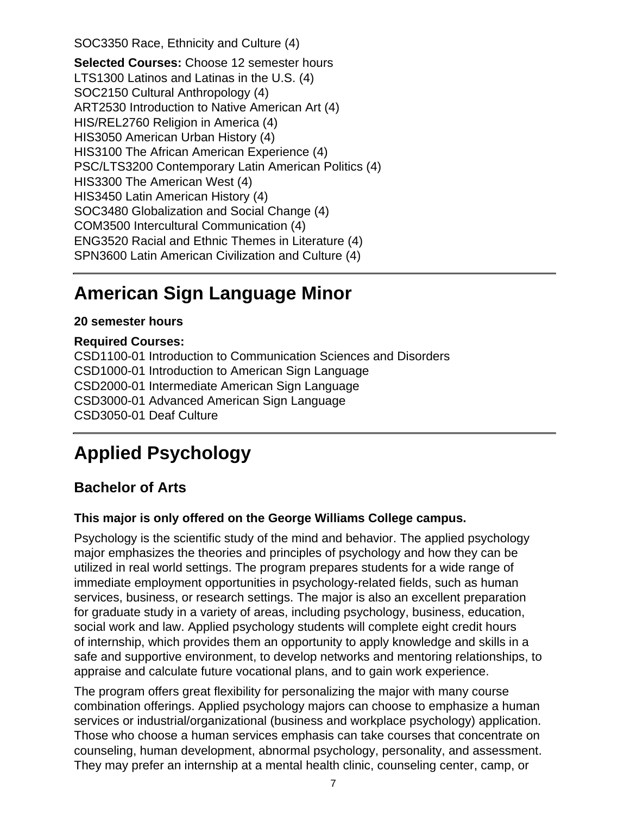SOC3350 Race, Ethnicity and Culture (4)

**Selected Courses:** Choose 12 semester hours LTS1300 Latinos and Latinas in the U.S. (4) SOC2150 Cultural Anthropology (4) ART2530 Introduction to Native American Art (4) HIS/REL2760 Religion in America (4) HIS3050 American Urban History (4) HIS3100 The African American Experience (4) PSC/LTS3200 Contemporary Latin American Politics (4) HIS3300 The American West (4) HIS3450 Latin American History (4) SOC3480 Globalization and Social Change (4) COM3500 Intercultural Communication (4) ENG3520 Racial and Ethnic Themes in Literature (4) SPN3600 Latin American Civilization and Culture (4)

### **American Sign Language Minor**

#### **20 semester hours**

#### **Required Courses:**

CSD1100-01 Introduction to Communication Sciences and Disorders CSD1000-01 Introduction to American Sign Language CSD2000-01 Intermediate American Sign Language CSD3000-01 Advanced American Sign Language CSD3050-01 Deaf Culture

## **Applied Psychology**

#### **Bachelor of Arts**

#### **This major is only offered on the George Williams College campus.**

Psychology is the scientific study of the mind and behavior. The applied psychology major emphasizes the theories and principles of psychology and how they can be utilized in real world settings. The program prepares students for a wide range of immediate employment opportunities in psychology-related fields, such as human services, business, or research settings. The major is also an excellent preparation for graduate study in a variety of areas, including psychology, business, education, social work and law. Applied psychology students will complete eight credit hours of internship, which provides them an opportunity to apply knowledge and skills in a safe and supportive environment, to develop networks and mentoring relationships, to appraise and calculate future vocational plans, and to gain work experience.

The program offers great flexibility for personalizing the major with many course combination offerings. Applied psychology majors can choose to emphasize a human services or industrial/organizational (business and workplace psychology) application. Those who choose a human services emphasis can take courses that concentrate on counseling, human development, abnormal psychology, personality, and assessment. They may prefer an internship at a mental health clinic, counseling center, camp, or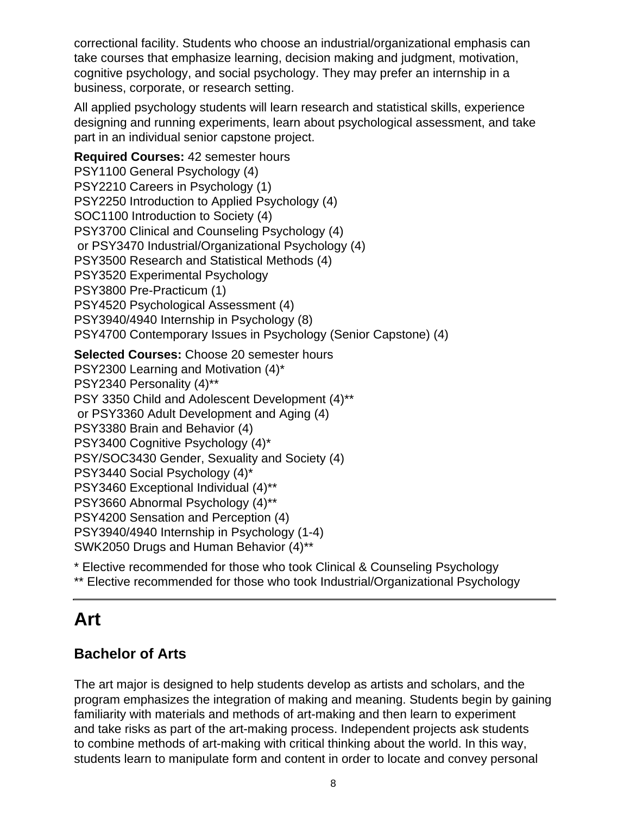correctional facility. Students who choose an industrial/organizational emphasis can take courses that emphasize learning, decision making and judgment, motivation, cognitive psychology, and social psychology. They may prefer an internship in a business, corporate, or research setting.

All applied psychology students will learn research and statistical skills, experience designing and running experiments, learn about psychological assessment, and take part in an individual senior capstone project.

**Required Courses:** 42 semester hours PSY1100 General Psychology (4) PSY2210 Careers in Psychology (1) PSY2250 Introduction to Applied Psychology (4) SOC1100 Introduction to Society (4) PSY3700 Clinical and Counseling Psychology (4) or PSY3470 Industrial/Organizational Psychology (4) PSY3500 Research and Statistical Methods (4) PSY3520 Experimental Psychology PSY3800 Pre-Practicum (1) PSY4520 Psychological Assessment (4) PSY3940/4940 Internship in Psychology (8) PSY4700 Contemporary Issues in Psychology (Senior Capstone) (4)

**Selected Courses:** Choose 20 semester hours PSY2300 Learning and Motivation (4)\* PSY2340 Personality (4)\*\* PSY 3350 Child and Adolescent Development (4)\*\* or PSY3360 Adult Development and Aging (4) PSY3380 Brain and Behavior (4) PSY3400 Cognitive Psychology (4)\* PSY/SOC3430 Gender, Sexuality and Society (4) PSY3440 Social Psychology (4)\* PSY3460 Exceptional Individual (4)\*\* PSY3660 Abnormal Psychology (4)\*\* PSY4200 Sensation and Perception (4) PSY3940/4940 Internship in Psychology (1-4) SWK2050 Drugs and Human Behavior (4)\*\*

\* Elective recommended for those who took Clinical & Counseling Psychology

\*\* Elective recommended for those who took Industrial/Organizational Psychology

### **Art**

### **Bachelor of Arts**

The art major is designed to help students develop as artists and scholars, and the program emphasizes the integration of making and meaning. Students begin by gaining familiarity with materials and methods of art-making and then learn to experiment and take risks as part of the art-making process. Independent projects ask students to combine methods of art-making with critical thinking about the world. In this way, students learn to manipulate form and content in order to locate and convey personal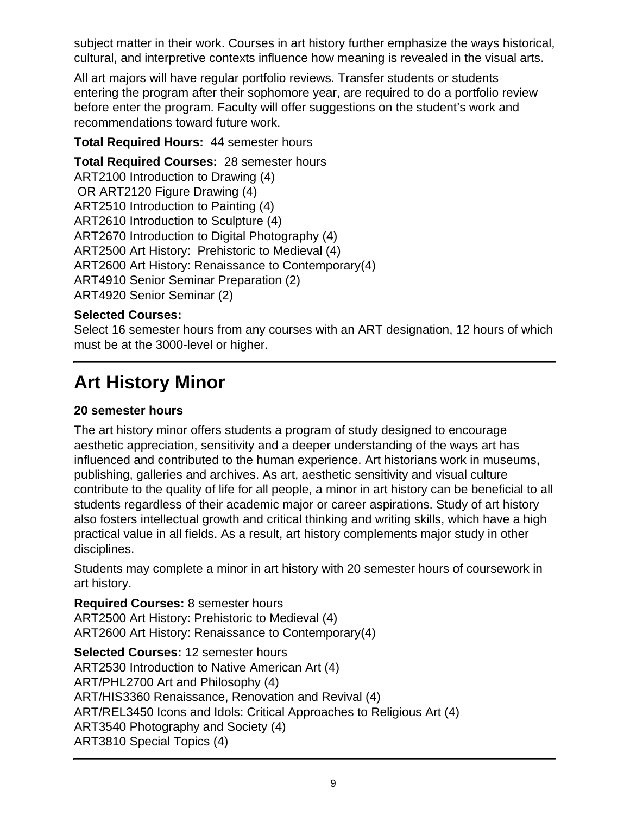subject matter in their work. Courses in art history further emphasize the ways historical, cultural, and interpretive contexts influence how meaning is revealed in the visual arts.

All art majors will have regular portfolio reviews. Transfer students or students entering the program after their sophomore year, are required to do a portfolio review before enter the program. Faculty will offer suggestions on the student's work and recommendations toward future work.

#### **Total Required Hours:** 44 semester hours

**Total Required Courses:** 28 semester hours ART2100 Introduction to Drawing (4) OR ART2120 Figure Drawing (4) ART2510 Introduction to Painting (4) ART2610 Introduction to Sculpture (4) ART2670 Introduction to Digital Photography (4) ART2500 Art History: Prehistoric to Medieval (4) ART2600 Art History: Renaissance to Contemporary(4) ART4910 Senior Seminar Preparation (2) ART4920 Senior Seminar (2)

#### **Selected Courses:**

Select 16 semester hours from any courses with an ART designation, 12 hours of which must be at the 3000-level or higher.

## **Art History Minor**

#### **20 semester hours**

The art history minor offers students a program of study designed to encourage aesthetic appreciation, sensitivity and a deeper understanding of the ways art has influenced and contributed to the human experience. Art historians work in museums, publishing, galleries and archives. As art, aesthetic sensitivity and visual culture contribute to the quality of life for all people, a minor in art history can be beneficial to all students regardless of their academic major or career aspirations. Study of art history also fosters intellectual growth and critical thinking and writing skills, which have a high practical value in all fields. As a result, art history complements major study in other disciplines.

Students may complete a minor in art history with 20 semester hours of coursework in art history.

**Required Courses:** 8 semester hours ART2500 Art History: Prehistoric to Medieval (4) ART2600 Art History: Renaissance to Contemporary(4)

**Selected Courses:** 12 semester hours ART2530 Introduction to Native American Art (4) ART/PHL2700 Art and Philosophy (4) ART/HIS3360 Renaissance, Renovation and Revival (4) ART/REL3450 Icons and Idols: Critical Approaches to Religious Art (4) ART3540 Photography and Society (4) ART3810 Special Topics (4)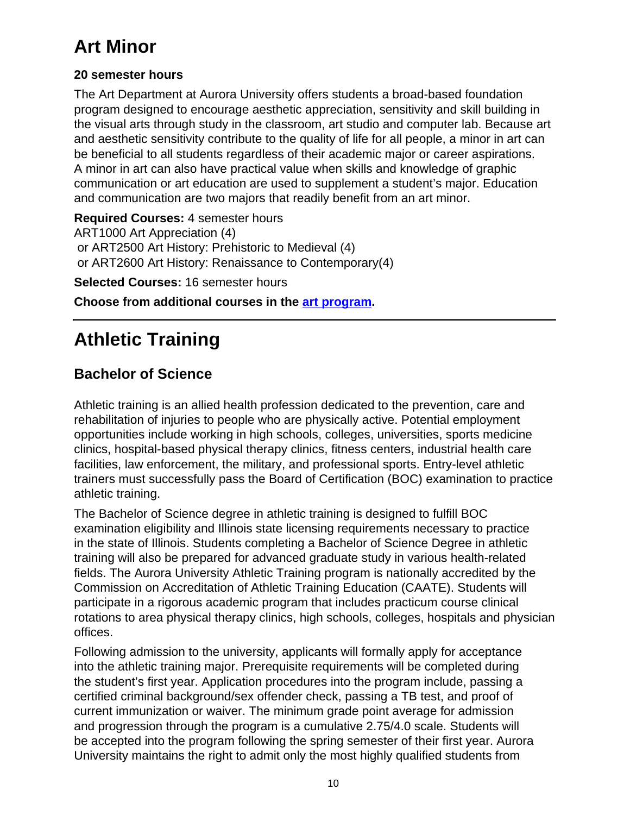## **Art Minor**

#### **20 semester hours**

The Art Department at Aurora University offers students a broad-based foundation program designed to encourage aesthetic appreciation, sensitivity and skill building in the visual arts through study in the classroom, art studio and computer lab. Because art and aesthetic sensitivity contribute to the quality of life for all people, a minor in art can be beneficial to all students regardless of their academic major or career aspirations. A minor in art can also have practical value when skills and knowledge of graphic communication or art education are used to supplement a student's major. Education and communication are two majors that readily benefit from an art minor.

**Required Courses:** 4 semester hours ART1000 Art Appreciation (4) or ART2500 Art History: Prehistoric to Medieval (4) or ART2600 Art History: Renaissance to Contemporary(4)

**Selected Courses:** 16 semester hours

**Choose from additional courses in the [art program](/undergrad-catalog-2016-2017/art/index.html).**

## **Athletic Training**

### **Bachelor of Science**

Athletic training is an allied health profession dedicated to the prevention, care and rehabilitation of injuries to people who are physically active. Potential employment opportunities include working in high schools, colleges, universities, sports medicine clinics, hospital-based physical therapy clinics, fitness centers, industrial health care facilities, law enforcement, the military, and professional sports. Entry-level athletic trainers must successfully pass the Board of Certification (BOC) examination to practice athletic training.

The Bachelor of Science degree in athletic training is designed to fulfill BOC examination eligibility and Illinois state licensing requirements necessary to practice in the state of Illinois. Students completing a Bachelor of Science Degree in athletic training will also be prepared for advanced graduate study in various health-related fields. The Aurora University Athletic Training program is nationally accredited by the Commission on Accreditation of Athletic Training Education (CAATE). Students will participate in a rigorous academic program that includes practicum course clinical rotations to area physical therapy clinics, high schools, colleges, hospitals and physician offices.

Following admission to the university, applicants will formally apply for acceptance into the athletic training major. Prerequisite requirements will be completed during the student's first year. Application procedures into the program include, passing a certified criminal background/sex offender check, passing a TB test, and proof of current immunization or waiver. The minimum grade point average for admission and progression through the program is a cumulative 2.75/4.0 scale. Students will be accepted into the program following the spring semester of their first year. Aurora University maintains the right to admit only the most highly qualified students from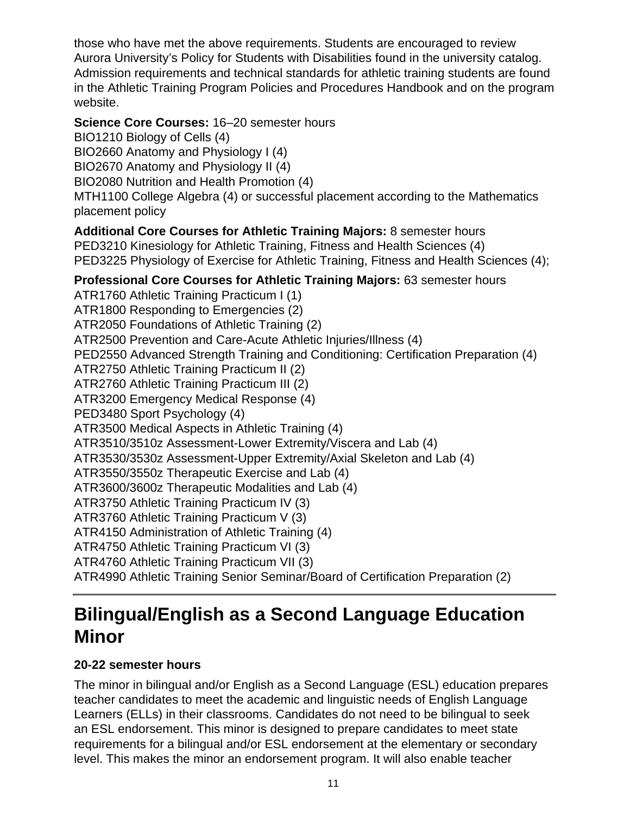those who have met the above requirements. Students are encouraged to review Aurora University's Policy for Students with Disabilities found in the university catalog. Admission requirements and technical standards for athletic training students are found in the Athletic Training Program Policies and Procedures Handbook and on the program website.

#### **Science Core Courses:** 16–20 semester hours

BIO1210 Biology of Cells (4)

BIO2660 Anatomy and Physiology I (4)

BIO2670 Anatomy and Physiology II (4)

BIO2080 Nutrition and Health Promotion (4)

MTH1100 College Algebra (4) or successful placement according to the Mathematics placement policy

#### **Additional Core Courses for Athletic Training Majors:** 8 semester hours

PED3210 Kinesiology for Athletic Training, Fitness and Health Sciences (4) PED3225 Physiology of Exercise for Athletic Training, Fitness and Health Sciences (4);

### **Professional Core Courses for Athletic Training Majors:** 63 semester hours

ATR1760 Athletic Training Practicum I (1) ATR1800 Responding to Emergencies (2) ATR2050 Foundations of Athletic Training (2) ATR2500 Prevention and Care-Acute Athletic Injuries/Illness (4) PED2550 Advanced Strength Training and Conditioning: Certification Preparation (4) ATR2750 Athletic Training Practicum II (2) ATR2760 Athletic Training Practicum III (2) ATR3200 Emergency Medical Response (4) PED3480 Sport Psychology (4) ATR3500 Medical Aspects in Athletic Training (4) ATR3510/3510z Assessment-Lower Extremity/Viscera and Lab (4) ATR3530/3530z Assessment-Upper Extremity/Axial Skeleton and Lab (4) ATR3550/3550z Therapeutic Exercise and Lab (4) ATR3600/3600z Therapeutic Modalities and Lab (4) ATR3750 Athletic Training Practicum IV (3) ATR3760 Athletic Training Practicum V (3) ATR4150 Administration of Athletic Training (4) ATR4750 Athletic Training Practicum VI (3) ATR4760 Athletic Training Practicum VII (3) ATR4990 Athletic Training Senior Seminar/Board of Certification Preparation (2)

## **Bilingual/English as a Second Language Education Minor**

#### **20-22 semester hours**

The minor in bilingual and/or English as a Second Language (ESL) education prepares teacher candidates to meet the academic and linguistic needs of English Language Learners (ELLs) in their classrooms. Candidates do not need to be bilingual to seek an ESL endorsement. This minor is designed to prepare candidates to meet state requirements for a bilingual and/or ESL endorsement at the elementary or secondary level. This makes the minor an endorsement program. It will also enable teacher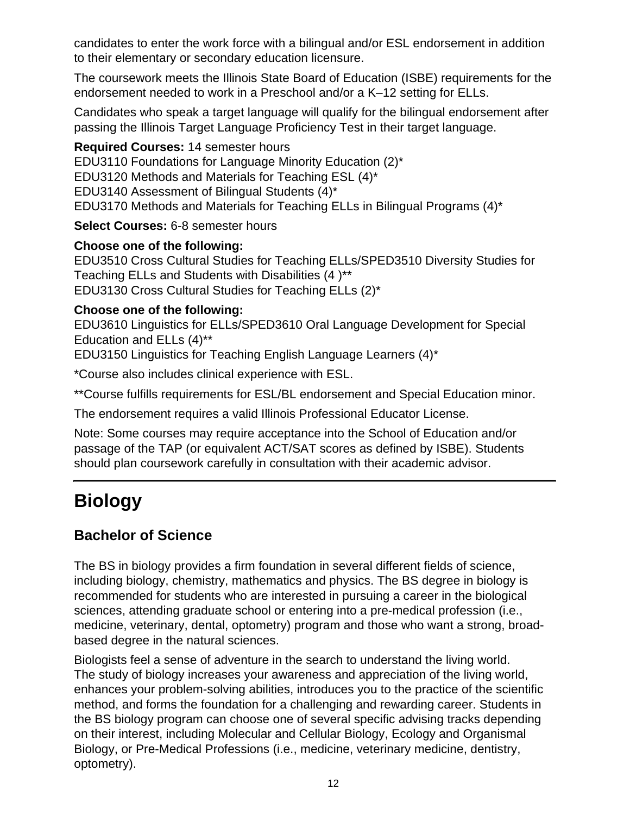candidates to enter the work force with a bilingual and/or ESL endorsement in addition to their elementary or secondary education licensure.

The coursework meets the Illinois State Board of Education (ISBE) requirements for the endorsement needed to work in a Preschool and/or a K–12 setting for ELLs.

Candidates who speak a target language will qualify for the bilingual endorsement after passing the Illinois Target Language Proficiency Test in their target language.

**Required Courses:** 14 semester hours EDU3110 Foundations for Language Minority Education (2)\* EDU3120 Methods and Materials for Teaching ESL (4)\* EDU3140 Assessment of Bilingual Students (4)\* EDU3170 Methods and Materials for Teaching ELLs in Bilingual Programs (4)\*

**Select Courses:** 6-8 semester hours

#### **Choose one of the following:**

EDU3510 Cross Cultural Studies for Teaching ELLs/SPED3510 Diversity Studies for Teaching ELLs and Students with Disabilities (4 )\*\* EDU3130 Cross Cultural Studies for Teaching ELLs (2)\*

#### **Choose one of the following:**

EDU3610 Linguistics for ELLs/SPED3610 Oral Language Development for Special Education and ELLs (4)\*\*

EDU3150 Linguistics for Teaching English Language Learners (4)\*

\*Course also includes clinical experience with ESL.

\*\*Course fulfills requirements for ESL/BL endorsement and Special Education minor.

The endorsement requires a valid Illinois Professional Educator License.

Note: Some courses may require acceptance into the School of Education and/or passage of the TAP (or equivalent ACT/SAT scores as defined by ISBE). Students should plan coursework carefully in consultation with their academic advisor.

## **Biology**

### **Bachelor of Science**

The BS in biology provides a firm foundation in several different fields of science, including biology, chemistry, mathematics and physics. The BS degree in biology is recommended for students who are interested in pursuing a career in the biological sciences, attending graduate school or entering into a pre-medical profession (i.e., medicine, veterinary, dental, optometry) program and those who want a strong, broadbased degree in the natural sciences.

Biologists feel a sense of adventure in the search to understand the living world. The study of biology increases your awareness and appreciation of the living world, enhances your problem-solving abilities, introduces you to the practice of the scientific method, and forms the foundation for a challenging and rewarding career. Students in the BS biology program can choose one of several specific advising tracks depending on their interest, including Molecular and Cellular Biology, Ecology and Organismal Biology, or Pre-Medical Professions (i.e., medicine, veterinary medicine, dentistry, optometry).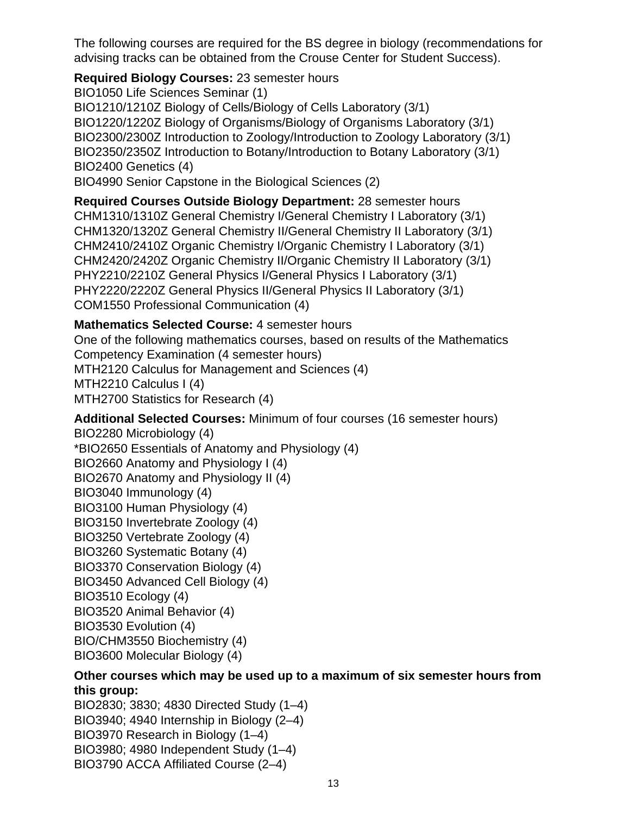The following courses are required for the BS degree in biology (recommendations for advising tracks can be obtained from the Crouse Center for Student Success).

**Required Biology Courses:** 23 semester hours BIO1050 Life Sciences Seminar (1) BIO1210/1210Z Biology of Cells/Biology of Cells Laboratory (3/1) BIO1220/1220Z Biology of Organisms/Biology of Organisms Laboratory (3/1) BIO2300/2300Z Introduction to Zoology/Introduction to Zoology Laboratory (3/1) BIO2350/2350Z Introduction to Botany/Introduction to Botany Laboratory (3/1) BIO2400 Genetics (4) BIO4990 Senior Capstone in the Biological Sciences (2)

**Required Courses Outside Biology Department:** 28 semester hours CHM1310/1310Z General Chemistry I/General Chemistry I Laboratory (3/1) CHM1320/1320Z General Chemistry II/General Chemistry II Laboratory (3/1) CHM2410/2410Z Organic Chemistry I/Organic Chemistry I Laboratory (3/1) CHM2420/2420Z Organic Chemistry II/Organic Chemistry II Laboratory (3/1) PHY2210/2210Z General Physics I/General Physics I Laboratory (3/1) PHY2220/2220Z General Physics II/General Physics II Laboratory (3/1) COM1550 Professional Communication (4)

#### **Mathematics Selected Course:** 4 semester hours

One of the following mathematics courses, based on results of the Mathematics Competency Examination (4 semester hours) MTH2120 Calculus for Management and Sciences (4) MTH2210 Calculus I (4) MTH2700 Statistics for Research (4)

**Additional Selected Courses:** Minimum of four courses (16 semester hours)

BIO2280 Microbiology (4) \*BIO2650 Essentials of Anatomy and Physiology (4) BIO2660 Anatomy and Physiology I (4) BIO2670 Anatomy and Physiology II (4) BIO3040 Immunology (4) BIO3100 Human Physiology (4) BIO3150 Invertebrate Zoology (4) BIO3250 Vertebrate Zoology (4) BIO3260 Systematic Botany (4) BIO3370 Conservation Biology (4) BIO3450 Advanced Cell Biology (4) BIO3510 Ecology (4) BIO3520 Animal Behavior (4) BIO3530 Evolution (4) BIO/CHM3550 Biochemistry (4) BIO3600 Molecular Biology (4)

#### **Other courses which may be used up to a maximum of six semester hours from this group:**

BIO2830; 3830; 4830 Directed Study (1–4) BIO3940; 4940 Internship in Biology (2–4) BIO3970 Research in Biology (1–4) BIO3980; 4980 Independent Study (1–4) BIO3790 ACCA Affiliated Course (2–4)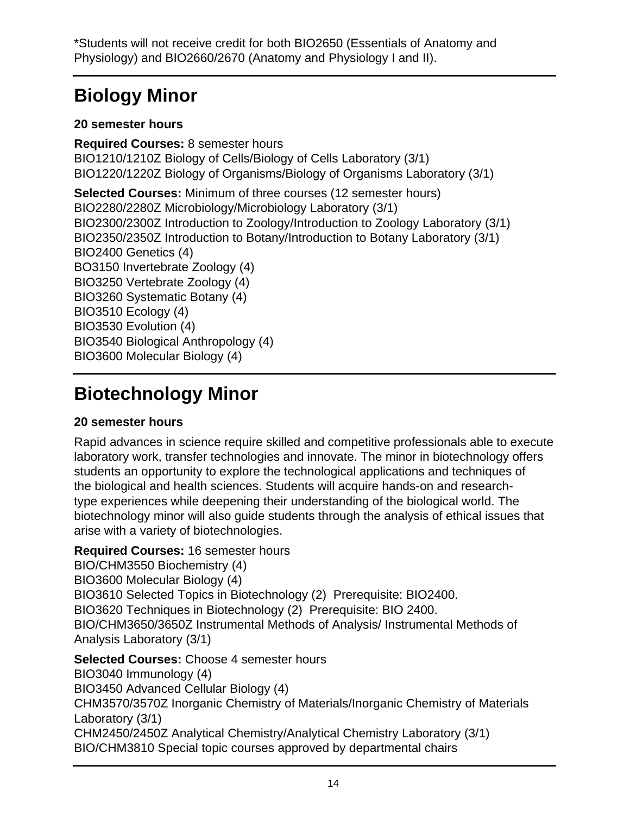## **Biology Minor**

#### **20 semester hours**

**Required Courses:** 8 semester hours BIO1210/1210Z Biology of Cells/Biology of Cells Laboratory (3/1) BIO1220/1220Z Biology of Organisms/Biology of Organisms Laboratory (3/1) **Selected Courses:** Minimum of three courses (12 semester hours) BIO2280/2280Z Microbiology/Microbiology Laboratory (3/1) BIO2300/2300Z Introduction to Zoology/Introduction to Zoology Laboratory (3/1) BIO2350/2350Z Introduction to Botany/Introduction to Botany Laboratory (3/1) BIO2400 Genetics (4) BO3150 Invertebrate Zoology (4) BIO3250 Vertebrate Zoology (4) BIO3260 Systematic Botany (4) BIO3510 Ecology (4) BIO3530 Evolution (4) BIO3540 Biological Anthropology (4) BIO3600 Molecular Biology (4)

## **Biotechnology Minor**

#### **20 semester hours**

Rapid advances in science require skilled and competitive professionals able to execute laboratory work, transfer technologies and innovate. The minor in biotechnology offers students an opportunity to explore the technological applications and techniques of the biological and health sciences. Students will acquire hands-on and researchtype experiences while deepening their understanding of the biological world. The biotechnology minor will also guide students through the analysis of ethical issues that arise with a variety of biotechnologies.

#### **Required Courses:** 16 semester hours

BIO/CHM3550 Biochemistry (4) BIO3600 Molecular Biology (4) BIO3610 Selected Topics in Biotechnology (2) Prerequisite: BIO2400. BIO3620 Techniques in Biotechnology (2) Prerequisite: BIO 2400. BIO/CHM3650/3650Z Instrumental Methods of Analysis/ Instrumental Methods of Analysis Laboratory (3/1)

**Selected Courses:** Choose 4 semester hours BIO3040 Immunology (4) BIO3450 Advanced Cellular Biology (4) CHM3570/3570Z Inorganic Chemistry of Materials/Inorganic Chemistry of Materials Laboratory (3/1) CHM2450/2450Z Analytical Chemistry/Analytical Chemistry Laboratory (3/1) BIO/CHM3810 Special topic courses approved by departmental chairs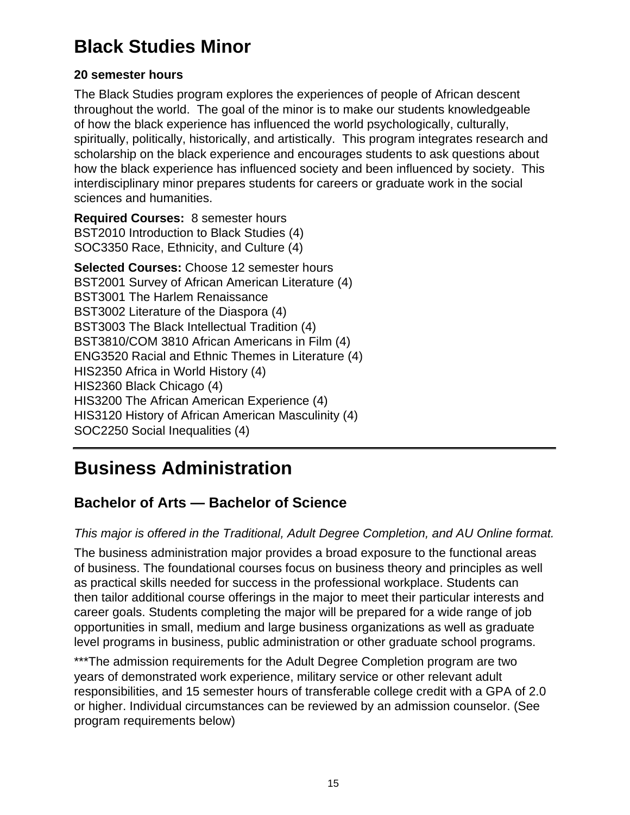### **Black Studies Minor**

#### **20 semester hours**

The Black Studies program explores the experiences of people of African descent throughout the world. The goal of the minor is to make our students knowledgeable of how the black experience has influenced the world psychologically, culturally, spiritually, politically, historically, and artistically. This program integrates research and scholarship on the black experience and encourages students to ask questions about how the black experience has influenced society and been influenced by society. This interdisciplinary minor prepares students for careers or graduate work in the social sciences and humanities.

**Required Courses:** 8 semester hours BST2010 Introduction to Black Studies (4) SOC3350 Race, Ethnicity, and Culture (4)

**Selected Courses:** Choose 12 semester hours BST2001 Survey of African American Literature (4) BST3001 The Harlem Renaissance BST3002 Literature of the Diaspora (4) BST3003 The Black Intellectual Tradition (4) BST3810/COM 3810 African Americans in Film (4) ENG3520 Racial and Ethnic Themes in Literature (4) HIS2350 Africa in World History (4) HIS2360 Black Chicago (4) HIS3200 The African American Experience (4) HIS3120 History of African American Masculinity (4) SOC2250 Social Inequalities (4)

## **Business Administration**

### **Bachelor of Arts — Bachelor of Science**

#### This major is offered in the Traditional, Adult Degree Completion, and AU Online format.

The business administration major provides a broad exposure to the functional areas of business. The foundational courses focus on business theory and principles as well as practical skills needed for success in the professional workplace. Students can then tailor additional course offerings in the major to meet their particular interests and career goals. Students completing the major will be prepared for a wide range of job opportunities in small, medium and large business organizations as well as graduate level programs in business, public administration or other graduate school programs.

\*\*\*The admission requirements for the Adult Degree Completion program are two years of demonstrated work experience, military service or other relevant adult responsibilities, and 15 semester hours of transferable college credit with a GPA of 2.0 or higher. Individual circumstances can be reviewed by an admission counselor. (See program requirements below)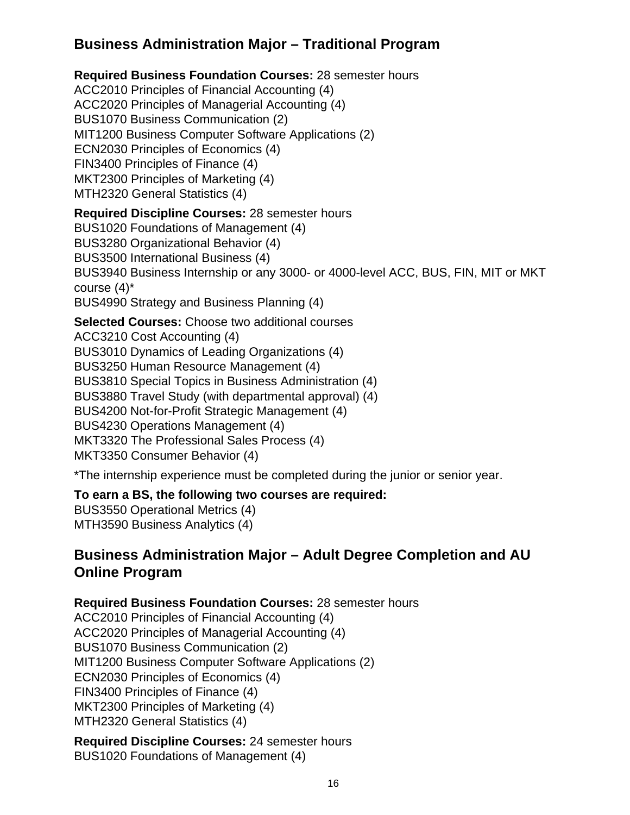### **Business Administration Major – Traditional Program**

#### **Required Business Foundation Courses:** 28 semester hours

ACC2010 Principles of Financial Accounting (4) ACC2020 Principles of Managerial Accounting (4) BUS1070 Business Communication (2) MIT1200 Business Computer Software Applications (2) ECN2030 Principles of Economics (4) FIN3400 Principles of Finance (4) MKT2300 Principles of Marketing (4) MTH2320 General Statistics (4)

#### **Required Discipline Courses:** 28 semester hours

BUS1020 Foundations of Management (4) BUS3280 Organizational Behavior (4) BUS3500 International Business (4) BUS3940 Business Internship or any 3000- or 4000-level ACC, BUS, FIN, MIT or MKT course (4)\* BUS4990 Strategy and Business Planning (4)

#### **Selected Courses:** Choose two additional courses

ACC3210 Cost Accounting (4)

BUS3010 Dynamics of Leading Organizations (4)

BUS3250 Human Resource Management (4)

BUS3810 Special Topics in Business Administration (4)

BUS3880 Travel Study (with departmental approval) (4)

BUS4200 Not-for-Profit Strategic Management (4)

BUS4230 Operations Management (4)

MKT3320 The Professional Sales Process (4)

MKT3350 Consumer Behavior (4)

\*The internship experience must be completed during the junior or senior year.

#### **To earn a BS, the following two courses are required:**

BUS3550 Operational Metrics (4) MTH3590 Business Analytics (4)

### **Business Administration Major – Adult Degree Completion and AU Online Program**

**Required Business Foundation Courses:** 28 semester hours

ACC2010 Principles of Financial Accounting (4) ACC2020 Principles of Managerial Accounting (4) BUS1070 Business Communication (2) MIT1200 Business Computer Software Applications (2) ECN2030 Principles of Economics (4) FIN3400 Principles of Finance (4) MKT2300 Principles of Marketing (4) MTH2320 General Statistics (4)

**Required Discipline Courses:** 24 semester hours BUS1020 Foundations of Management (4)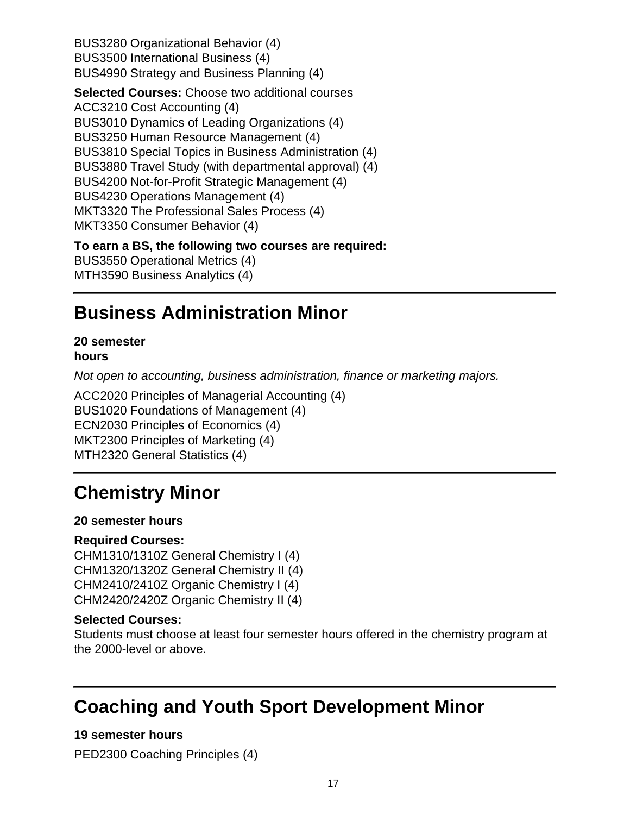BUS3280 Organizational Behavior (4) BUS3500 International Business (4) BUS4990 Strategy and Business Planning (4)

**Selected Courses:** Choose two additional courses ACC3210 Cost Accounting (4) BUS3010 Dynamics of Leading Organizations (4) BUS3250 Human Resource Management (4) BUS3810 Special Topics in Business Administration (4) BUS3880 Travel Study (with departmental approval) (4) BUS4200 Not-for-Profit Strategic Management (4) BUS4230 Operations Management (4) MKT3320 The Professional Sales Process (4) MKT3350 Consumer Behavior (4)

#### **To earn a BS, the following two courses are required:**

BUS3550 Operational Metrics (4) MTH3590 Business Analytics (4)

## **Business Administration Minor**

#### **20 semester hours**

Not open to accounting, business administration, finance or marketing majors.

ACC2020 Principles of Managerial Accounting (4) BUS1020 Foundations of Management (4) ECN2030 Principles of Economics (4) MKT2300 Principles of Marketing (4) MTH2320 General Statistics (4)

## **Chemistry Minor**

#### **20 semester hours**

#### **Required Courses:**

CHM1310/1310Z General Chemistry I (4) CHM1320/1320Z General Chemistry II (4) CHM2410/2410Z Organic Chemistry I (4) CHM2420/2420Z Organic Chemistry II (4)

#### **Selected Courses:**

Students must choose at least four semester hours offered in the chemistry program at the 2000-level or above.

## **Coaching and Youth Sport Development Minor**

**19 semester hours** PED2300 Coaching Principles (4)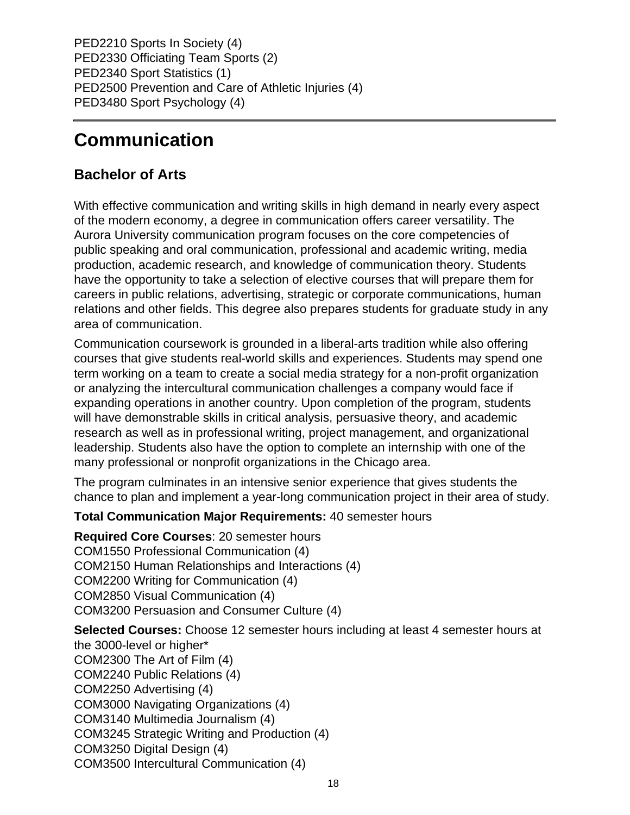PED2210 Sports In Society (4) PED2330 Officiating Team Sports (2) PED2340 Sport Statistics (1) PED2500 Prevention and Care of Athletic Injuries (4) PED3480 Sport Psychology (4)

## **Communication**

### **Bachelor of Arts**

With effective communication and writing skills in high demand in nearly every aspect of the modern economy, a degree in communication offers career versatility. The Aurora University communication program focuses on the core competencies of public speaking and oral communication, professional and academic writing, media production, academic research, and knowledge of communication theory. Students have the opportunity to take a selection of elective courses that will prepare them for careers in public relations, advertising, strategic or corporate communications, human relations and other fields. This degree also prepares students for graduate study in any area of communication.

Communication coursework is grounded in a liberal-arts tradition while also offering courses that give students real-world skills and experiences. Students may spend one term working on a team to create a social media strategy for a non-profit organization or analyzing the intercultural communication challenges a company would face if expanding operations in another country. Upon completion of the program, students will have demonstrable skills in critical analysis, persuasive theory, and academic research as well as in professional writing, project management, and organizational leadership. Students also have the option to complete an internship with one of the many professional or nonprofit organizations in the Chicago area.

The program culminates in an intensive senior experience that gives students the chance to plan and implement a year-long communication project in their area of study.

#### **Total Communication Major Requirements:** 40 semester hours

**Required Core Courses**: 20 semester hours COM1550 Professional Communication (4) COM2150 Human Relationships and Interactions (4) COM2200 Writing for Communication (4) COM2850 Visual Communication (4) COM3200 Persuasion and Consumer Culture (4)

**Selected Courses:** Choose 12 semester hours including at least 4 semester hours at the 3000-level or higher\* COM2300 The Art of Film (4) COM2240 Public Relations (4) COM2250 Advertising (4) COM3000 Navigating Organizations (4) COM3140 Multimedia Journalism (4) COM3245 Strategic Writing and Production (4) COM3250 Digital Design (4) COM3500 Intercultural Communication (4)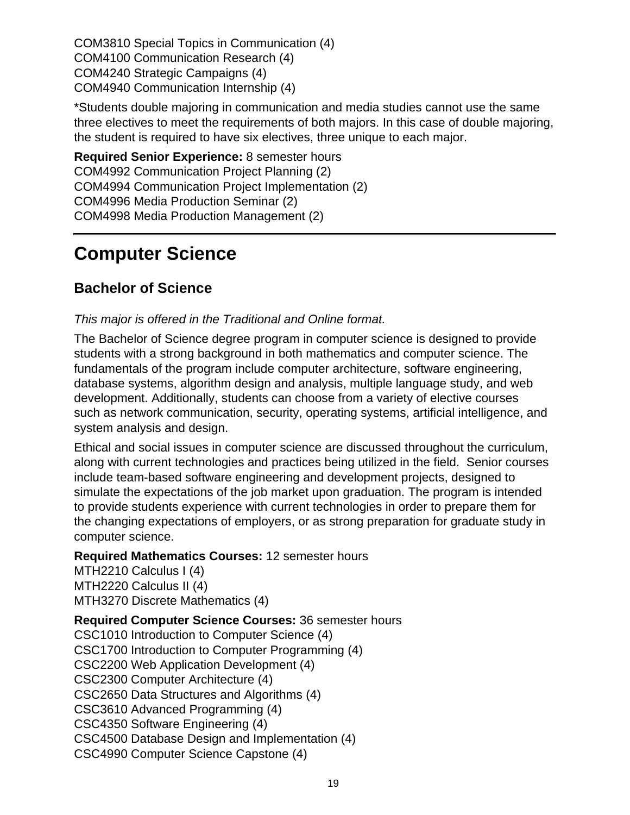COM3810 Special Topics in Communication (4) COM4100 Communication Research (4) COM4240 Strategic Campaigns (4) COM4940 Communication Internship (4)

\*Students double majoring in communication and media studies cannot use the same three electives to meet the requirements of both majors. In this case of double majoring, the student is required to have six electives, three unique to each major.

**Required Senior Experience:** 8 semester hours COM4992 Communication Project Planning (2) COM4994 Communication Project Implementation (2) COM4996 Media Production Seminar (2) COM4998 Media Production Management (2)

### **Computer Science**

### **Bachelor of Science**

#### This major is offered in the Traditional and Online format.

The Bachelor of Science degree program in computer science is designed to provide students with a strong background in both mathematics and computer science. The fundamentals of the program include computer architecture, software engineering, database systems, algorithm design and analysis, multiple language study, and web development. Additionally, students can choose from a variety of elective courses such as network communication, security, operating systems, artificial intelligence, and system analysis and design.

Ethical and social issues in computer science are discussed throughout the curriculum, along with current technologies and practices being utilized in the field. Senior courses include team-based software engineering and development projects, designed to simulate the expectations of the job market upon graduation. The program is intended to provide students experience with current technologies in order to prepare them for the changing expectations of employers, or as strong preparation for graduate study in computer science.

#### **Required Mathematics Courses:** 12 semester hours

MTH2210 Calculus I (4) MTH2220 Calculus II (4) MTH3270 Discrete Mathematics (4)

**Required Computer Science Courses:** 36 semester hours

CSC1010 Introduction to Computer Science (4) CSC1700 Introduction to Computer Programming (4) CSC2200 Web Application Development (4) CSC2300 Computer Architecture (4) CSC2650 Data Structures and Algorithms (4) CSC3610 Advanced Programming (4) CSC4350 Software Engineering (4) CSC4500 Database Design and Implementation (4) CSC4990 Computer Science Capstone (4)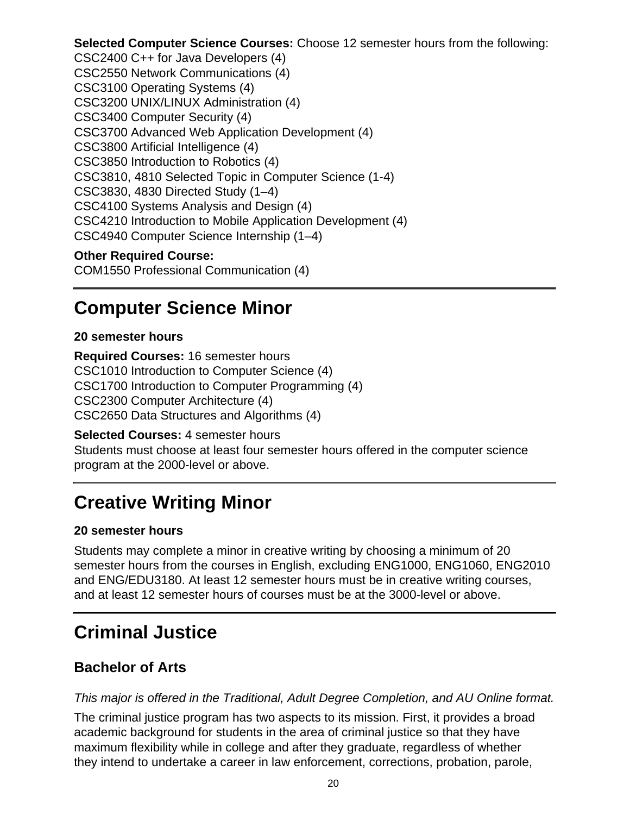**Selected Computer Science Courses:** Choose 12 semester hours from the following: CSC2400 C++ for Java Developers (4) CSC2550 Network Communications (4) CSC3100 Operating Systems (4) CSC3200 UNIX/LINUX Administration (4) CSC3400 Computer Security (4) CSC3700 Advanced Web Application Development (4) CSC3800 Artificial Intelligence (4) CSC3850 Introduction to Robotics (4) CSC3810, 4810 Selected Topic in Computer Science (1-4) CSC3830, 4830 Directed Study (1–4) CSC4100 Systems Analysis and Design (4) CSC4210 Introduction to Mobile Application Development (4) CSC4940 Computer Science Internship (1–4)

#### **Other Required Course:**

COM1550 Professional Communication (4)

### **Computer Science Minor**

#### **20 semester hours**

**Required Courses:** 16 semester hours CSC1010 Introduction to Computer Science (4) CSC1700 Introduction to Computer Programming (4) CSC2300 Computer Architecture (4) CSC2650 Data Structures and Algorithms (4)

**Selected Courses:** 4 semester hours Students must choose at least four semester hours offered in the computer science program at the 2000-level or above.

## **Creative Writing Minor**

#### **20 semester hours**

Students may complete a minor in creative writing by choosing a minimum of 20 semester hours from the courses in English, excluding ENG1000, ENG1060, ENG2010 and ENG/EDU3180. At least 12 semester hours must be in creative writing courses, and at least 12 semester hours of courses must be at the 3000-level or above.

## **Criminal Justice**

### **Bachelor of Arts**

#### This major is offered in the Traditional, Adult Degree Completion, and AU Online format.

The criminal justice program has two aspects to its mission. First, it provides a broad academic background for students in the area of criminal justice so that they have maximum flexibility while in college and after they graduate, regardless of whether they intend to undertake a career in law enforcement, corrections, probation, parole,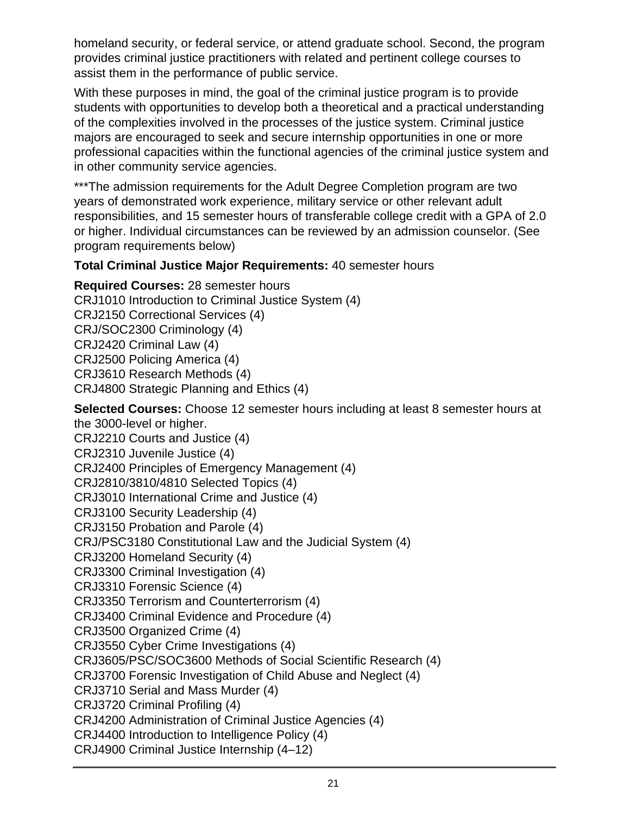homeland security, or federal service, or attend graduate school. Second, the program provides criminal justice practitioners with related and pertinent college courses to assist them in the performance of public service.

With these purposes in mind, the goal of the criminal justice program is to provide students with opportunities to develop both a theoretical and a practical understanding of the complexities involved in the processes of the justice system. Criminal justice majors are encouraged to seek and secure internship opportunities in one or more professional capacities within the functional agencies of the criminal justice system and in other community service agencies.

\*\*\*The admission requirements for the Adult Degree Completion program are two years of demonstrated work experience, military service or other relevant adult responsibilities, and 15 semester hours of transferable college credit with a GPA of 2.0 or higher. Individual circumstances can be reviewed by an admission counselor. (See program requirements below)

#### **Total Criminal Justice Major Requirements:** 40 semester hours

**Required Courses:** 28 semester hours CRJ1010 Introduction to Criminal Justice System (4) CRJ2150 Correctional Services (4) CRJ/SOC2300 Criminology (4) CRJ2420 Criminal Law (4) CRJ2500 Policing America (4) CRJ3610 Research Methods (4) CRJ4800 Strategic Planning and Ethics (4)

**Selected Courses:** Choose 12 semester hours including at least 8 semester hours at the 3000-level or higher. CRJ2210 Courts and Justice (4) CRJ2310 Juvenile Justice (4) CRJ2400 Principles of Emergency Management (4) CRJ2810/3810/4810 Selected Topics (4) CRJ3010 International Crime and Justice (4) CRJ3100 Security Leadership (4) CRJ3150 Probation and Parole (4) CRJ/PSC3180 Constitutional Law and the Judicial System (4) CRJ3200 Homeland Security (4) CRJ3300 Criminal Investigation (4) CRJ3310 Forensic Science (4) CRJ3350 Terrorism and Counterterrorism (4) CRJ3400 Criminal Evidence and Procedure (4) CRJ3500 Organized Crime (4) CRJ3550 Cyber Crime Investigations (4) CRJ3605/PSC/SOC3600 Methods of Social Scientific Research (4) CRJ3700 Forensic Investigation of Child Abuse and Neglect (4) CRJ3710 Serial and Mass Murder (4) CRJ3720 Criminal Profiling (4) CRJ4200 Administration of Criminal Justice Agencies (4) CRJ4400 Introduction to Intelligence Policy (4) CRJ4900 Criminal Justice Internship (4–12)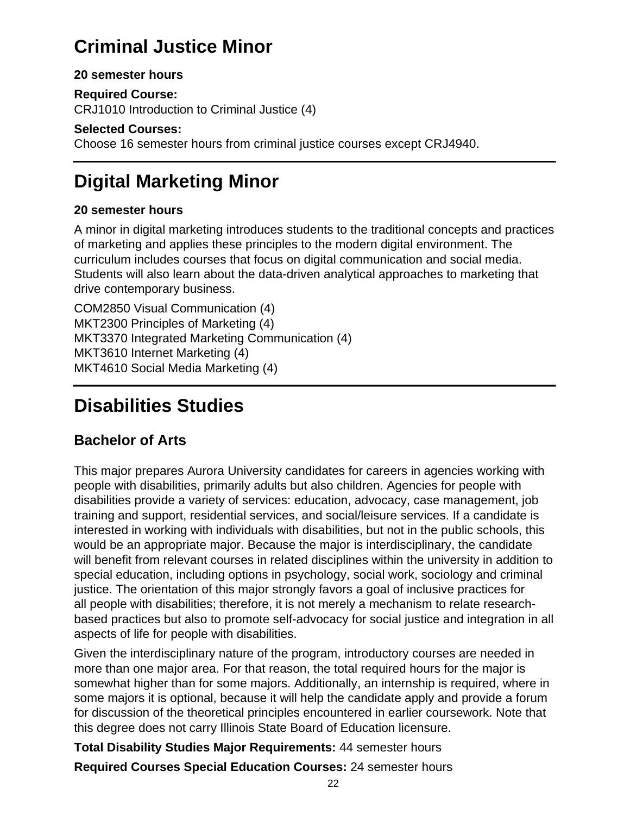## **Criminal Justice Minor**

#### **20 semester hours**

**Required Course:**

CRJ1010 Introduction to Criminal Justice (4)

#### **Selected Courses:**

Choose 16 semester hours from criminal justice courses except CRJ4940.

## **Digital Marketing Minor**

#### **20 semester hours**

A minor in digital marketing introduces students to the traditional concepts and practices of marketing and applies these principles to the modern digital environment. The curriculum includes courses that focus on digital communication and social media. Students will also learn about the data-driven analytical approaches to marketing that drive contemporary business.

COM2850 Visual Communication (4) MKT2300 Principles of Marketing (4) MKT3370 Integrated Marketing Communication (4) MKT3610 Internet Marketing (4) MKT4610 Social Media Marketing (4)

## **Disabilities Studies**

### **Bachelor of Arts**

This major prepares Aurora University candidates for careers in agencies working with people with disabilities, primarily adults but also children. Agencies for people with disabilities provide a variety of services: education, advocacy, case management, job training and support, residential services, and social/leisure services. If a candidate is interested in working with individuals with disabilities, but not in the public schools, this would be an appropriate major. Because the major is interdisciplinary, the candidate will benefit from relevant courses in related disciplines within the university in addition to special education, including options in psychology, social work, sociology and criminal justice. The orientation of this major strongly favors a goal of inclusive practices for all people with disabilities; therefore, it is not merely a mechanism to relate researchbased practices but also to promote self-advocacy for social justice and integration in all aspects of life for people with disabilities.

Given the interdisciplinary nature of the program, introductory courses are needed in more than one major area. For that reason, the total required hours for the major is somewhat higher than for some majors. Additionally, an internship is required, where in some majors it is optional, because it will help the candidate apply and provide a forum for discussion of the theoretical principles encountered in earlier coursework. Note that this degree does not carry Illinois State Board of Education licensure.

**Total Disability Studies Major Requirements:** 44 semester hours

**Required Courses Special Education Courses:** 24 semester hours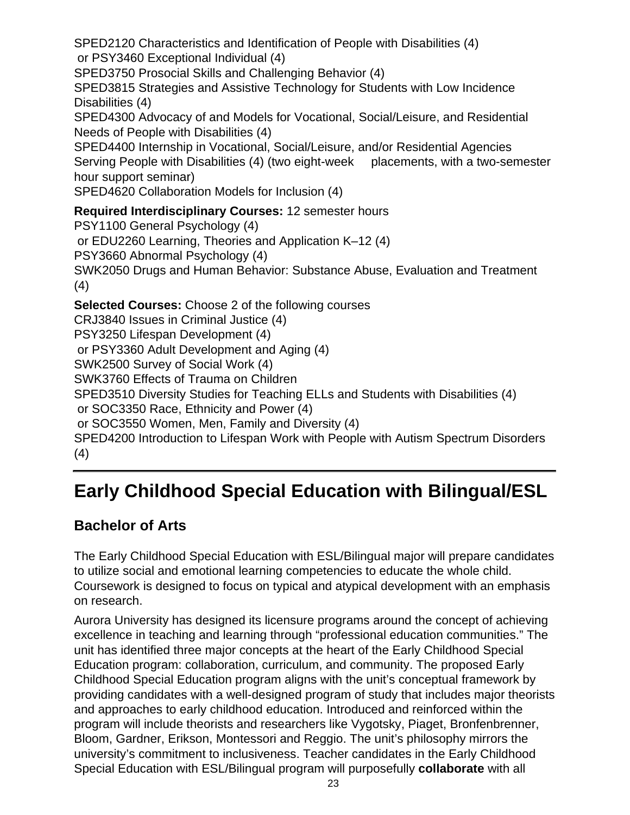SPED2120 Characteristics and Identification of People with Disabilities (4)

or PSY3460 Exceptional Individual (4)

SPED3750 Prosocial Skills and Challenging Behavior (4)

SPED3815 Strategies and Assistive Technology for Students with Low Incidence Disabilities (4)

SPED4300 Advocacy of and Models for Vocational, Social/Leisure, and Residential Needs of People with Disabilities (4)

SPED4400 Internship in Vocational, Social/Leisure, and/or Residential Agencies Serving People with Disabilities (4) (two eight-week placements, with a two-semester hour support seminar)

SPED4620 Collaboration Models for Inclusion (4)

**Required Interdisciplinary Courses:** 12 semester hours PSY1100 General Psychology (4) or EDU2260 Learning, Theories and Application K–12 (4)

PSY3660 Abnormal Psychology (4)

SWK2050 Drugs and Human Behavior: Substance Abuse, Evaluation and Treatment (4)

**Selected Courses:** Choose 2 of the following courses

CRJ3840 Issues in Criminal Justice (4)

PSY3250 Lifespan Development (4)

or PSY3360 Adult Development and Aging (4)

SWK2500 Survey of Social Work (4)

SWK3760 Effects of Trauma on Children

SPED3510 Diversity Studies for Teaching ELLs and Students with Disabilities (4)

or SOC3350 Race, Ethnicity and Power (4)

or SOC3550 Women, Men, Family and Diversity (4)

SPED4200 Introduction to Lifespan Work with People with Autism Spectrum Disorders (4)

## **Early Childhood Special Education with Bilingual/ESL**

### **Bachelor of Arts**

The Early Childhood Special Education with ESL/Bilingual major will prepare candidates to utilize social and emotional learning competencies to educate the whole child. Coursework is designed to focus on typical and atypical development with an emphasis on research.

Aurora University has designed its licensure programs around the concept of achieving excellence in teaching and learning through "professional education communities." The unit has identified three major concepts at the heart of the Early Childhood Special Education program: collaboration, curriculum, and community. The proposed Early Childhood Special Education program aligns with the unit's conceptual framework by providing candidates with a well-designed program of study that includes major theorists and approaches to early childhood education. Introduced and reinforced within the program will include theorists and researchers like Vygotsky, Piaget, Bronfenbrenner, Bloom, Gardner, Erikson, Montessori and Reggio. The unit's philosophy mirrors the university's commitment to inclusiveness. Teacher candidates in the Early Childhood Special Education with ESL/Bilingual program will purposefully **collaborate** with all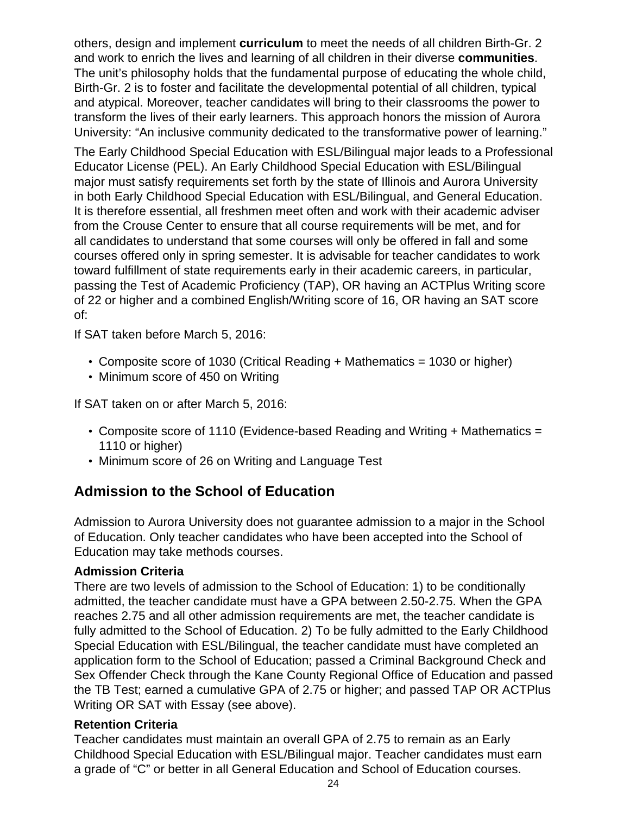others, design and implement **curriculum** to meet the needs of all children Birth-Gr. 2 and work to enrich the lives and learning of all children in their diverse **communities**. The unit's philosophy holds that the fundamental purpose of educating the whole child, Birth-Gr. 2 is to foster and facilitate the developmental potential of all children, typical and atypical. Moreover, teacher candidates will bring to their classrooms the power to transform the lives of their early learners. This approach honors the mission of Aurora University: "An inclusive community dedicated to the transformative power of learning."

The Early Childhood Special Education with ESL/Bilingual major leads to a Professional Educator License (PEL). An Early Childhood Special Education with ESL/Bilingual major must satisfy requirements set forth by the state of Illinois and Aurora University in both Early Childhood Special Education with ESL/Bilingual, and General Education. It is therefore essential, all freshmen meet often and work with their academic adviser from the Crouse Center to ensure that all course requirements will be met, and for all candidates to understand that some courses will only be offered in fall and some courses offered only in spring semester. It is advisable for teacher candidates to work toward fulfillment of state requirements early in their academic careers, in particular, passing the Test of Academic Proficiency (TAP), OR having an ACTPlus Writing score of 22 or higher and a combined English/Writing score of 16, OR having an SAT score of:

If SAT taken before March 5, 2016:

- Composite score of 1030 (Critical Reading + Mathematics = 1030 or higher)
- Minimum score of 450 on Writing

If SAT taken on or after March 5, 2016:

- Composite score of 1110 (Evidence-based Reading and Writing + Mathematics = 1110 or higher)
- Minimum score of 26 on Writing and Language Test

### **Admission to the School of Education**

Admission to Aurora University does not guarantee admission to a major in the School of Education. Only teacher candidates who have been accepted into the School of Education may take methods courses.

#### **Admission Criteria**

There are two levels of admission to the School of Education: 1) to be conditionally admitted, the teacher candidate must have a GPA between 2.50-2.75. When the GPA reaches 2.75 and all other admission requirements are met, the teacher candidate is fully admitted to the School of Education. 2) To be fully admitted to the Early Childhood Special Education with ESL/Bilingual, the teacher candidate must have completed an application form to the School of Education; passed a Criminal Background Check and Sex Offender Check through the Kane County Regional Office of Education and passed the TB Test; earned a cumulative GPA of 2.75 or higher; and passed TAP OR ACTPlus Writing OR SAT with Essay (see above).

#### **Retention Criteria**

Teacher candidates must maintain an overall GPA of 2.75 to remain as an Early Childhood Special Education with ESL/Bilingual major. Teacher candidates must earn a grade of "C" or better in all General Education and School of Education courses.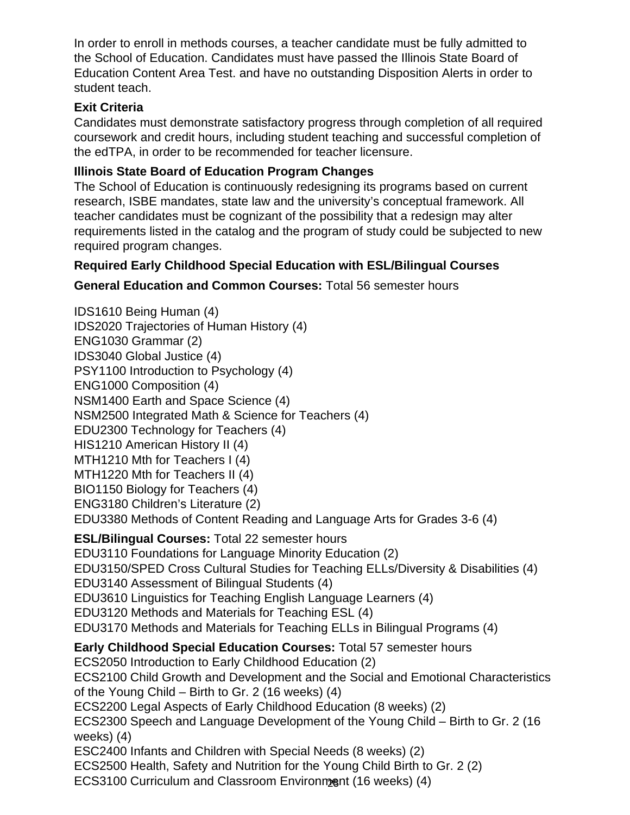In order to enroll in methods courses, a teacher candidate must be fully admitted to the School of Education. Candidates must have passed the Illinois State Board of Education Content Area Test. and have no outstanding Disposition Alerts in order to student teach.

#### **Exit Criteria**

Candidates must demonstrate satisfactory progress through completion of all required coursework and credit hours, including student teaching and successful completion of the edTPA, in order to be recommended for teacher licensure.

#### **Illinois State Board of Education Program Changes**

The School of Education is continuously redesigning its programs based on current research, ISBE mandates, state law and the university's conceptual framework. All teacher candidates must be cognizant of the possibility that a redesign may alter requirements listed in the catalog and the program of study could be subjected to new required program changes.

#### **Required Early Childhood Special Education with ESL/Bilingual Courses**

#### **General Education and Common Courses:** Total 56 semester hours

ECS3100 Curriculum and Classroom Environment (16 weeks) (4) IDS1610 Being Human (4) IDS2020 Trajectories of Human History (4) ENG1030 Grammar (2) IDS3040 Global Justice (4) PSY1100 Introduction to Psychology (4) ENG1000 Composition (4) NSM1400 Earth and Space Science (4) NSM2500 Integrated Math & Science for Teachers (4) EDU2300 Technology for Teachers (4) HIS1210 American History II (4) MTH1210 Mth for Teachers I (4) MTH1220 Mth for Teachers II (4) BIO1150 Biology for Teachers (4) ENG3180 Children's Literature (2) EDU3380 Methods of Content Reading and Language Arts for Grades 3-6 (4) **ESL/Bilingual Courses:** Total 22 semester hours EDU3110 Foundations for Language Minority Education (2) EDU3150/SPED Cross Cultural Studies for Teaching ELLs/Diversity & Disabilities (4) EDU3140 Assessment of Bilingual Students (4) EDU3610 Linguistics for Teaching English Language Learners (4) EDU3120 Methods and Materials for Teaching ESL (4) EDU3170 Methods and Materials for Teaching ELLs in Bilingual Programs (4) **Early Childhood Special Education Courses:** Total 57 semester hours ECS2050 Introduction to Early Childhood Education (2) ECS2100 Child Growth and Development and the Social and Emotional Characteristics of the Young Child – Birth to Gr. 2 (16 weeks) (4) ECS2200 Legal Aspects of Early Childhood Education (8 weeks) (2) ECS2300 Speech and Language Development of the Young Child – Birth to Gr. 2 (16 weeks) (4) ESC2400 Infants and Children with Special Needs (8 weeks) (2) ECS2500 Health, Safety and Nutrition for the Young Child Birth to Gr. 2 (2)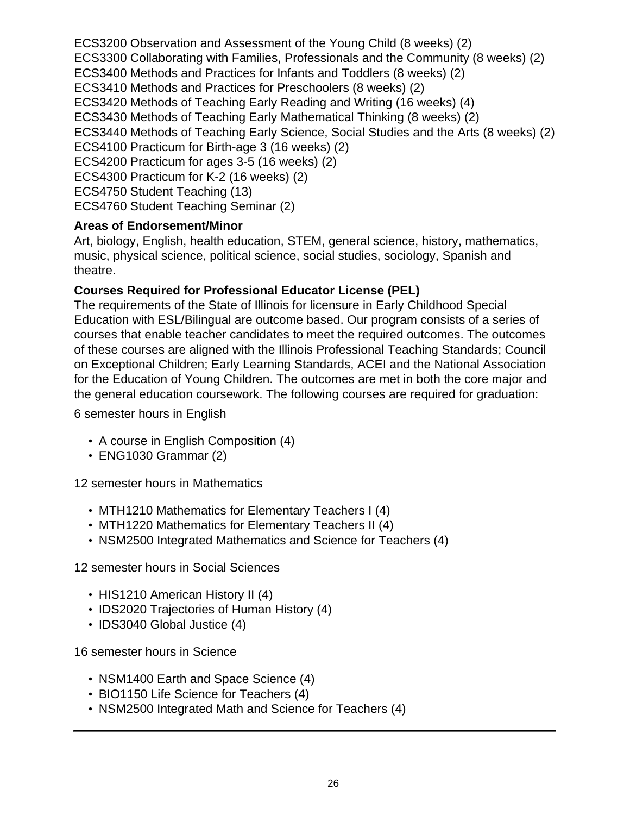ECS3200 Observation and Assessment of the Young Child (8 weeks) (2) ECS3300 Collaborating with Families, Professionals and the Community (8 weeks) (2) ECS3400 Methods and Practices for Infants and Toddlers (8 weeks) (2) ECS3410 Methods and Practices for Preschoolers (8 weeks) (2) ECS3420 Methods of Teaching Early Reading and Writing (16 weeks) (4) ECS3430 Methods of Teaching Early Mathematical Thinking (8 weeks) (2) ECS3440 Methods of Teaching Early Science, Social Studies and the Arts (8 weeks) (2) ECS4100 Practicum for Birth-age 3 (16 weeks) (2) ECS4200 Practicum for ages 3-5 (16 weeks) (2) ECS4300 Practicum for K-2 (16 weeks) (2) ECS4750 Student Teaching (13) ECS4760 Student Teaching Seminar (2)

#### **Areas of Endorsement/Minor**

Art, biology, English, health education, STEM, general science, history, mathematics, music, physical science, political science, social studies, sociology, Spanish and theatre.

#### **Courses Required for Professional Educator License (PEL)**

The requirements of the State of Illinois for licensure in Early Childhood Special Education with ESL/Bilingual are outcome based. Our program consists of a series of courses that enable teacher candidates to meet the required outcomes. The outcomes of these courses are aligned with the Illinois Professional Teaching Standards; Council on Exceptional Children; Early Learning Standards, ACEI and the National Association for the Education of Young Children. The outcomes are met in both the core major and the general education coursework. The following courses are required for graduation:

6 semester hours in English

- A course in English Composition (4)
- ENG1030 Grammar (2)

12 semester hours in Mathematics

- MTH1210 Mathematics for Elementary Teachers I (4)
- MTH1220 Mathematics for Elementary Teachers II (4)
- NSM2500 Integrated Mathematics and Science for Teachers (4)

12 semester hours in Social Sciences

- HIS1210 American History II (4)
- IDS2020 Trajectories of Human History (4)
- IDS3040 Global Justice (4)

16 semester hours in Science

- NSM1400 Earth and Space Science (4)
- BIO1150 Life Science for Teachers (4)
- NSM2500 Integrated Math and Science for Teachers (4)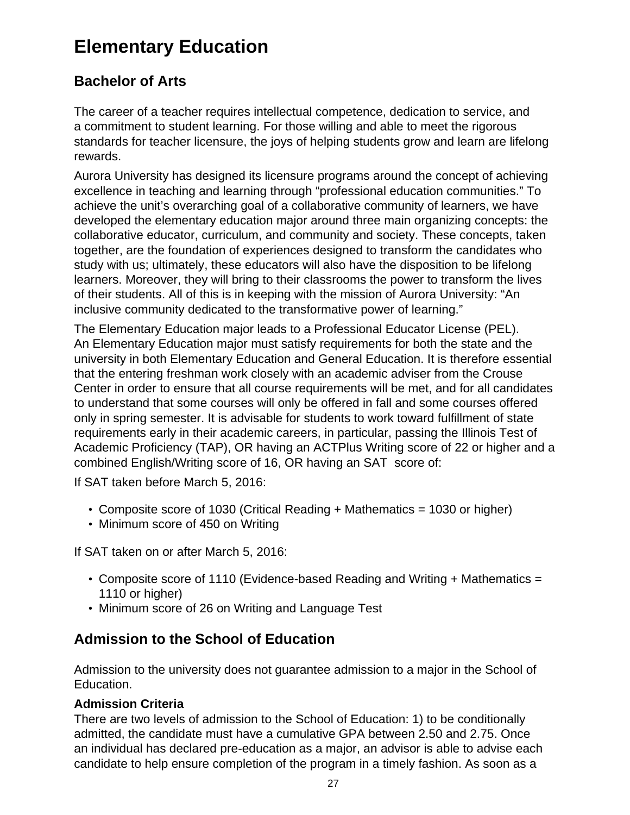## **Elementary Education**

### **Bachelor of Arts**

The career of a teacher requires intellectual competence, dedication to service, and a commitment to student learning. For those willing and able to meet the rigorous standards for teacher licensure, the joys of helping students grow and learn are lifelong rewards.

Aurora University has designed its licensure programs around the concept of achieving excellence in teaching and learning through "professional education communities." To achieve the unit's overarching goal of a collaborative community of learners, we have developed the elementary education major around three main organizing concepts: the collaborative educator, curriculum, and community and society. These concepts, taken together, are the foundation of experiences designed to transform the candidates who study with us; ultimately, these educators will also have the disposition to be lifelong learners. Moreover, they will bring to their classrooms the power to transform the lives of their students. All of this is in keeping with the mission of Aurora University: "An inclusive community dedicated to the transformative power of learning."

The Elementary Education major leads to a Professional Educator License (PEL). An Elementary Education major must satisfy requirements for both the state and the university in both Elementary Education and General Education. It is therefore essential that the entering freshman work closely with an academic adviser from the Crouse Center in order to ensure that all course requirements will be met, and for all candidates to understand that some courses will only be offered in fall and some courses offered only in spring semester. It is advisable for students to work toward fulfillment of state requirements early in their academic careers, in particular, passing the Illinois Test of Academic Proficiency (TAP), OR having an ACTPlus Writing score of 22 or higher and a combined English/Writing score of 16, OR having an SAT score of:

If SAT taken before March 5, 2016:

- Composite score of 1030 (Critical Reading + Mathematics = 1030 or higher)
- Minimum score of 450 on Writing

If SAT taken on or after March 5, 2016:

- Composite score of 1110 (Evidence-based Reading and Writing + Mathematics = 1110 or higher)
- Minimum score of 26 on Writing and Language Test

### **Admission to the School of Education**

Admission to the university does not guarantee admission to a major in the School of Education.

#### **Admission Criteria**

There are two levels of admission to the School of Education: 1) to be conditionally admitted, the candidate must have a cumulative GPA between 2.50 and 2.75. Once an individual has declared pre-education as a major, an advisor is able to advise each candidate to help ensure completion of the program in a timely fashion. As soon as a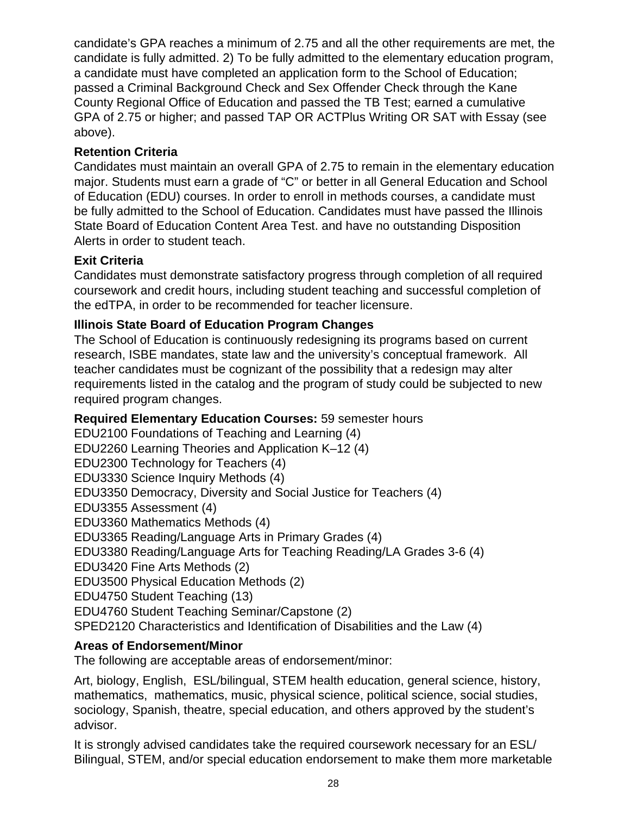candidate's GPA reaches a minimum of 2.75 and all the other requirements are met, the candidate is fully admitted. 2) To be fully admitted to the elementary education program, a candidate must have completed an application form to the School of Education; passed a Criminal Background Check and Sex Offender Check through the Kane County Regional Office of Education and passed the TB Test; earned a cumulative GPA of 2.75 or higher; and passed TAP OR ACTPlus Writing OR SAT with Essay (see above).

#### **Retention Criteria**

Candidates must maintain an overall GPA of 2.75 to remain in the elementary education major. Students must earn a grade of "C" or better in all General Education and School of Education (EDU) courses. In order to enroll in methods courses, a candidate must be fully admitted to the School of Education. Candidates must have passed the Illinois State Board of Education Content Area Test. and have no outstanding Disposition Alerts in order to student teach.

#### **Exit Criteria**

Candidates must demonstrate satisfactory progress through completion of all required coursework and credit hours, including student teaching and successful completion of the edTPA, in order to be recommended for teacher licensure.

#### **Illinois State Board of Education Program Changes**

The School of Education is continuously redesigning its programs based on current research, ISBE mandates, state law and the university's conceptual framework. All teacher candidates must be cognizant of the possibility that a redesign may alter requirements listed in the catalog and the program of study could be subjected to new required program changes.

#### **Required Elementary Education Courses:** 59 semester hours

EDU2100 Foundations of Teaching and Learning (4) EDU2260 Learning Theories and Application K–12 (4) EDU2300 Technology for Teachers (4) EDU3330 Science Inquiry Methods (4) EDU3350 Democracy, Diversity and Social Justice for Teachers (4) EDU3355 Assessment (4) EDU3360 Mathematics Methods (4) EDU3365 Reading/Language Arts in Primary Grades (4) EDU3380 Reading/Language Arts for Teaching Reading/LA Grades 3-6 (4) EDU3420 Fine Arts Methods (2) EDU3500 Physical Education Methods (2) EDU4750 Student Teaching (13) EDU4760 Student Teaching Seminar/Capstone (2) SPED2120 Characteristics and Identification of Disabilities and the Law (4)

#### **Areas of Endorsement/Minor**

The following are acceptable areas of endorsement/minor:

Art, biology, English, ESL/bilingual, STEM health education, general science, history, mathematics, mathematics, music, physical science, political science, social studies, sociology, Spanish, theatre, special education, and others approved by the student's advisor.

It is strongly advised candidates take the required coursework necessary for an ESL/ Bilingual, STEM, and/or special education endorsement to make them more marketable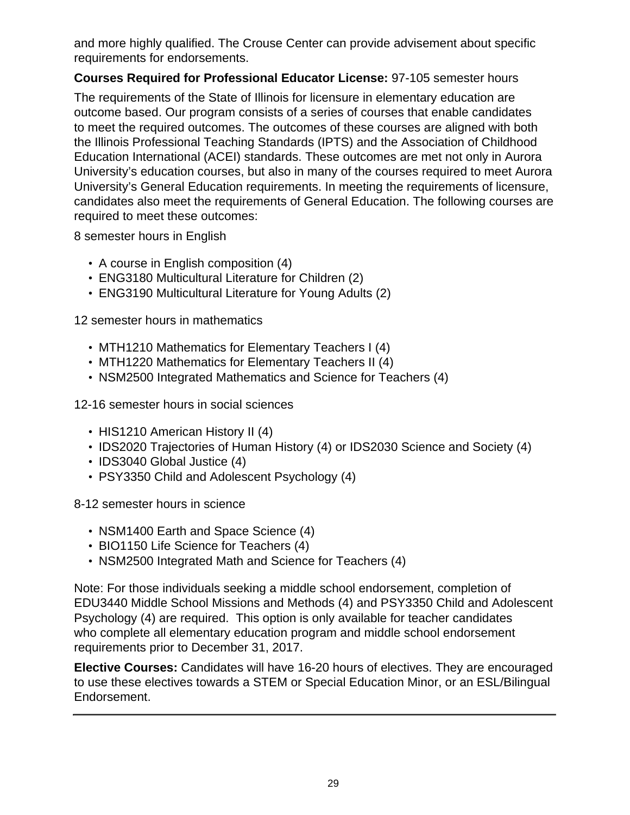and more highly qualified. The Crouse Center can provide advisement about specific requirements for endorsements.

#### **Courses Required for Professional Educator License:** 97-105 semester hours

The requirements of the State of Illinois for licensure in elementary education are outcome based. Our program consists of a series of courses that enable candidates to meet the required outcomes. The outcomes of these courses are aligned with both the Illinois Professional Teaching Standards (IPTS) and the Association of Childhood Education International (ACEI) standards. These outcomes are met not only in Aurora University's education courses, but also in many of the courses required to meet Aurora University's General Education requirements. In meeting the requirements of licensure, candidates also meet the requirements of General Education. The following courses are required to meet these outcomes:

8 semester hours in English

- A course in English composition (4)
- ENG3180 Multicultural Literature for Children (2)
- ENG3190 Multicultural Literature for Young Adults (2)

12 semester hours in mathematics

- MTH1210 Mathematics for Elementary Teachers I (4)
- MTH1220 Mathematics for Elementary Teachers II (4)
- NSM2500 Integrated Mathematics and Science for Teachers (4)

12-16 semester hours in social sciences

- HIS1210 American History II (4)
- IDS2020 Trajectories of Human History (4) or IDS2030 Science and Society (4)
- IDS3040 Global Justice (4)
- PSY3350 Child and Adolescent Psychology (4)

8-12 semester hours in science

- NSM1400 Earth and Space Science (4)
- BIO1150 Life Science for Teachers (4)
- NSM2500 Integrated Math and Science for Teachers (4)

Note: For those individuals seeking a middle school endorsement, completion of EDU3440 Middle School Missions and Methods (4) and PSY3350 Child and Adolescent Psychology (4) are required. This option is only available for teacher candidates who complete all elementary education program and middle school endorsement requirements prior to December 31, 2017.

**Elective Courses:** Candidates will have 16-20 hours of electives. They are encouraged to use these electives towards a STEM or Special Education Minor, or an ESL/Bilingual Endorsement.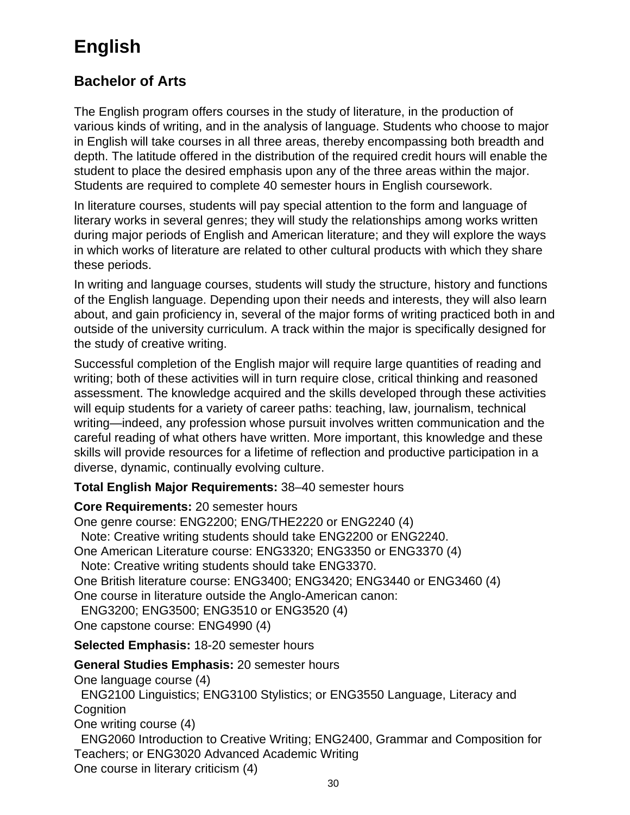## **English**

### **Bachelor of Arts**

The English program offers courses in the study of literature, in the production of various kinds of writing, and in the analysis of language. Students who choose to major in English will take courses in all three areas, thereby encompassing both breadth and depth. The latitude offered in the distribution of the required credit hours will enable the student to place the desired emphasis upon any of the three areas within the major. Students are required to complete 40 semester hours in English coursework.

In literature courses, students will pay special attention to the form and language of literary works in several genres; they will study the relationships among works written during major periods of English and American literature; and they will explore the ways in which works of literature are related to other cultural products with which they share these periods.

In writing and language courses, students will study the structure, history and functions of the English language. Depending upon their needs and interests, they will also learn about, and gain proficiency in, several of the major forms of writing practiced both in and outside of the university curriculum. A track within the major is specifically designed for the study of creative writing.

Successful completion of the English major will require large quantities of reading and writing; both of these activities will in turn require close, critical thinking and reasoned assessment. The knowledge acquired and the skills developed through these activities will equip students for a variety of career paths: teaching, law, journalism, technical writing—indeed, any profession whose pursuit involves written communication and the careful reading of what others have written. More important, this knowledge and these skills will provide resources for a lifetime of reflection and productive participation in a diverse, dynamic, continually evolving culture.

**Total English Major Requirements:** 38–40 semester hours

#### **Core Requirements:** 20 semester hours

One genre course: ENG2200; ENG/THE2220 or ENG2240 (4) Note: Creative writing students should take ENG2200 or ENG2240. One American Literature course: ENG3320; ENG3350 or ENG3370 (4) Note: Creative writing students should take ENG3370. One British literature course: ENG3400; ENG3420; ENG3440 or ENG3460 (4) One course in literature outside the Anglo-American canon: ENG3200; ENG3500; ENG3510 or ENG3520 (4) One capstone course: ENG4990 (4)

**Selected Emphasis:** 18-20 semester hours

#### **General Studies Emphasis:** 20 semester hours

One language course (4)

 ENG2100 Linguistics; ENG3100 Stylistics; or ENG3550 Language, Literacy and **Cognition** 

One writing course (4)

 ENG2060 Introduction to Creative Writing; ENG2400, Grammar and Composition for Teachers; or ENG3020 Advanced Academic Writing

One course in literary criticism (4)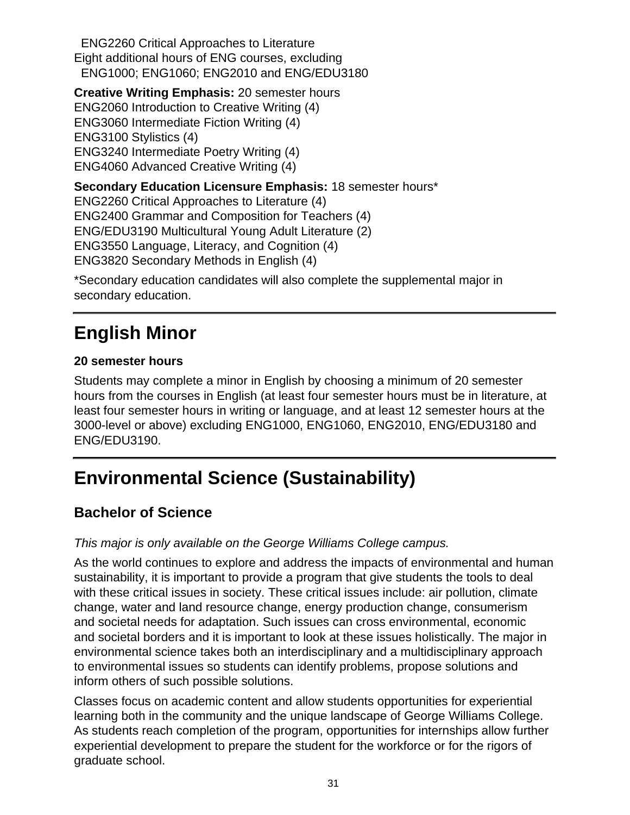ENG2260 Critical Approaches to Literature Eight additional hours of ENG courses, excluding ENG1000; ENG1060; ENG2010 and ENG/EDU3180

**Creative Writing Emphasis:** 20 semester hours ENG2060 Introduction to Creative Writing (4) ENG3060 Intermediate Fiction Writing (4) ENG3100 Stylistics (4) ENG3240 Intermediate Poetry Writing (4) ENG4060 Advanced Creative Writing (4) **Secondary Education Licensure Emphasis:** 18 semester hours\* ENG2260 Critical Approaches to Literature (4) ENG2400 Grammar and Composition for Teachers (4)

ENG/EDU3190 Multicultural Young Adult Literature (2)

ENG3550 Language, Literacy, and Cognition (4)

ENG3820 Secondary Methods in English (4)

\*Secondary education candidates will also complete the supplemental major in secondary education.

## **English Minor**

#### **20 semester hours**

Students may complete a minor in English by choosing a minimum of 20 semester hours from the courses in English (at least four semester hours must be in literature, at least four semester hours in writing or language, and at least 12 semester hours at the 3000-level or above) excluding ENG1000, ENG1060, ENG2010, ENG/EDU3180 and ENG/EDU3190.

## **Environmental Science (Sustainability)**

### **Bachelor of Science**

#### This major is only available on the George Williams College campus.

As the world continues to explore and address the impacts of environmental and human sustainability, it is important to provide a program that give students the tools to deal with these critical issues in society. These critical issues include: air pollution, climate change, water and land resource change, energy production change, consumerism and societal needs for adaptation. Such issues can cross environmental, economic and societal borders and it is important to look at these issues holistically. The major in environmental science takes both an interdisciplinary and a multidisciplinary approach to environmental issues so students can identify problems, propose solutions and inform others of such possible solutions.

Classes focus on academic content and allow students opportunities for experiential learning both in the community and the unique landscape of George Williams College. As students reach completion of the program, opportunities for internships allow further experiential development to prepare the student for the workforce or for the rigors of graduate school.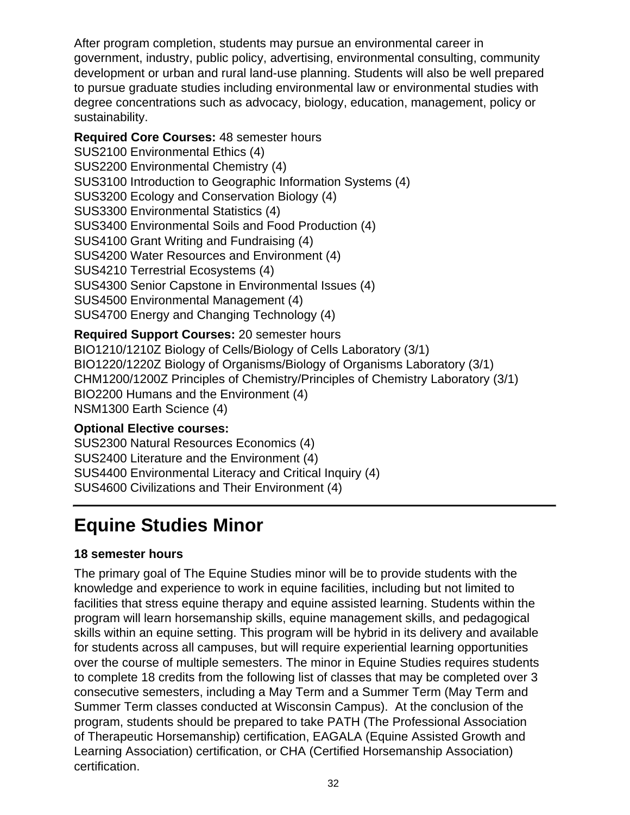After program completion, students may pursue an environmental career in government, industry, public policy, advertising, environmental consulting, community development or urban and rural land-use planning. Students will also be well prepared to pursue graduate studies including environmental law or environmental studies with degree concentrations such as advocacy, biology, education, management, policy or sustainability.

**Required Core Courses:** 48 semester hours SUS2100 Environmental Ethics (4) SUS2200 Environmental Chemistry (4) SUS3100 Introduction to Geographic Information Systems (4) SUS3200 Ecology and Conservation Biology (4) SUS3300 Environmental Statistics (4) SUS3400 Environmental Soils and Food Production (4) SUS4100 Grant Writing and Fundraising (4) SUS4200 Water Resources and Environment (4) SUS4210 Terrestrial Ecosystems (4) SUS4300 Senior Capstone in Environmental Issues (4) SUS4500 Environmental Management (4) SUS4700 Energy and Changing Technology (4)

**Required Support Courses:** 20 semester hours BIO1210/1210Z Biology of Cells/Biology of Cells Laboratory (3/1) BIO1220/1220Z Biology of Organisms/Biology of Organisms Laboratory (3/1) CHM1200/1200Z Principles of Chemistry/Principles of Chemistry Laboratory (3/1) BIO2200 Humans and the Environment (4) NSM1300 Earth Science (4)

#### **Optional Elective courses:**

SUS2300 Natural Resources Economics (4) SUS2400 Literature and the Environment (4) SUS4400 Environmental Literacy and Critical Inquiry (4) SUS4600 Civilizations and Their Environment (4)

## **Equine Studies Minor**

#### **18 semester hours**

The primary goal of The Equine Studies minor will be to provide students with the knowledge and experience to work in equine facilities, including but not limited to facilities that stress equine therapy and equine assisted learning. Students within the program will learn horsemanship skills, equine management skills, and pedagogical skills within an equine setting. This program will be hybrid in its delivery and available for students across all campuses, but will require experiential learning opportunities over the course of multiple semesters. The minor in Equine Studies requires students to complete 18 credits from the following list of classes that may be completed over 3 consecutive semesters, including a May Term and a Summer Term (May Term and Summer Term classes conducted at Wisconsin Campus). At the conclusion of the program, students should be prepared to take PATH (The Professional Association of Therapeutic Horsemanship) certification, EAGALA (Equine Assisted Growth and Learning Association) certification, or CHA (Certified Horsemanship Association) certification.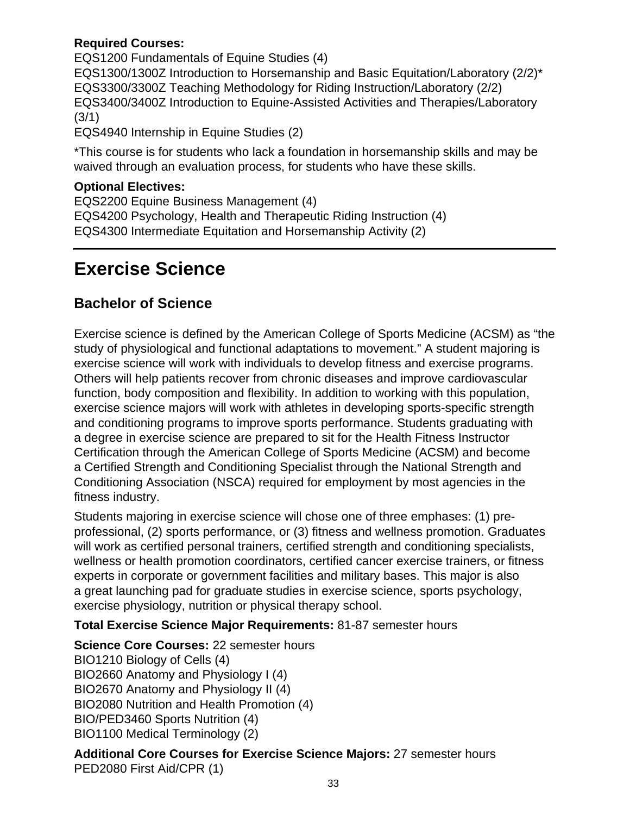#### **Required Courses:**

EQS1200 Fundamentals of Equine Studies (4) EQS1300/1300Z Introduction to Horsemanship and Basic Equitation/Laboratory (2/2)\* EQS3300/3300Z Teaching Methodology for Riding Instruction/Laboratory (2/2) EQS3400/3400Z Introduction to Equine-Assisted Activities and Therapies/Laboratory  $(3/1)$ 

EQS4940 Internship in Equine Studies (2)

\*This course is for students who lack a foundation in horsemanship skills and may be waived through an evaluation process, for students who have these skills.

#### **Optional Electives:**

EQS2200 Equine Business Management (4) EQS4200 Psychology, Health and Therapeutic Riding Instruction (4) EQS4300 Intermediate Equitation and Horsemanship Activity (2)

## **Exercise Science**

### **Bachelor of Science**

Exercise science is defined by the American College of Sports Medicine (ACSM) as "the study of physiological and functional adaptations to movement." A student majoring is exercise science will work with individuals to develop fitness and exercise programs. Others will help patients recover from chronic diseases and improve cardiovascular function, body composition and flexibility. In addition to working with this population, exercise science majors will work with athletes in developing sports-specific strength and conditioning programs to improve sports performance. Students graduating with a degree in exercise science are prepared to sit for the Health Fitness Instructor Certification through the American College of Sports Medicine (ACSM) and become a Certified Strength and Conditioning Specialist through the National Strength and Conditioning Association (NSCA) required for employment by most agencies in the fitness industry.

Students majoring in exercise science will chose one of three emphases: (1) preprofessional, (2) sports performance, or (3) fitness and wellness promotion. Graduates will work as certified personal trainers, certified strength and conditioning specialists, wellness or health promotion coordinators, certified cancer exercise trainers, or fitness experts in corporate or government facilities and military bases. This major is also a great launching pad for graduate studies in exercise science, sports psychology, exercise physiology, nutrition or physical therapy school.

**Total Exercise Science Major Requirements:** 81-87 semester hours

**Science Core Courses:** 22 semester hours BIO1210 Biology of Cells (4) BIO2660 Anatomy and Physiology I (4) BIO2670 Anatomy and Physiology II (4) BIO2080 Nutrition and Health Promotion (4) BIO/PED3460 Sports Nutrition (4) BIO1100 Medical Terminology (2)

**Additional Core Courses for Exercise Science Majors:** 27 semester hours PED2080 First Aid/CPR (1)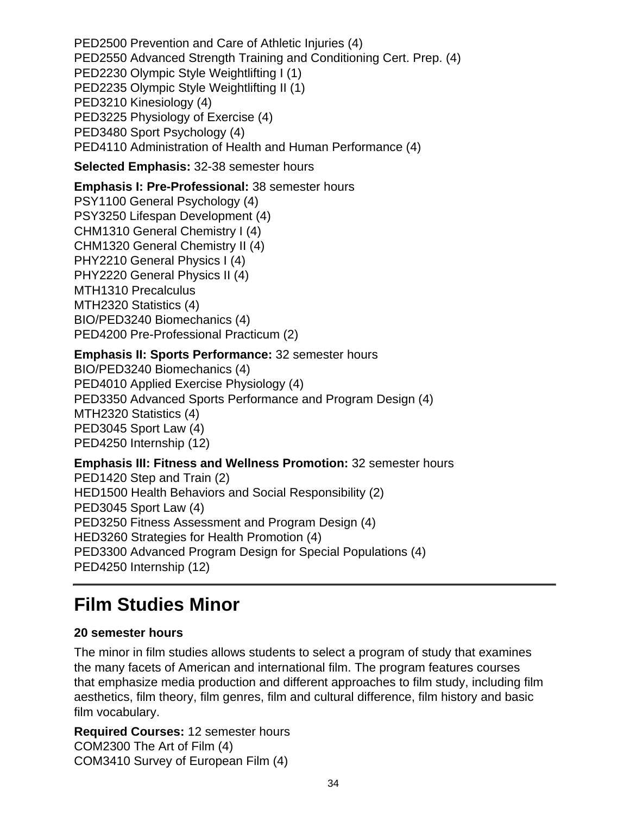PED2500 Prevention and Care of Athletic Injuries (4) PED2550 Advanced Strength Training and Conditioning Cert. Prep. (4) PED2230 Olympic Style Weightlifting I (1) PED2235 Olympic Style Weightlifting II (1) PED3210 Kinesiology (4) PED3225 Physiology of Exercise (4) PED3480 Sport Psychology (4) PED4110 Administration of Health and Human Performance (4)

**Selected Emphasis:** 32-38 semester hours

**Emphasis I: Pre-Professional:** 38 semester hours PSY1100 General Psychology (4) PSY3250 Lifespan Development (4) CHM1310 General Chemistry I (4) CHM1320 General Chemistry II (4) PHY2210 General Physics I (4) PHY2220 General Physics II (4) MTH1310 Precalculus MTH2320 Statistics (4) BIO/PED3240 Biomechanics (4) PED4200 Pre-Professional Practicum (2)

#### **Emphasis II: Sports Performance:** 32 semester hours

BIO/PED3240 Biomechanics (4) PED4010 Applied Exercise Physiology (4) PED3350 Advanced Sports Performance and Program Design (4) MTH2320 Statistics (4) PED3045 Sport Law (4) PED4250 Internship (12)

#### **Emphasis III: Fitness and Wellness Promotion:** 32 semester hours PED1420 Step and Train (2) HED1500 Health Behaviors and Social Responsibility (2) PED3045 Sport Law (4) PED3250 Fitness Assessment and Program Design (4) HED3260 Strategies for Health Promotion (4) PED3300 Advanced Program Design for Special Populations (4) PED4250 Internship (12)

## **Film Studies Minor**

#### **20 semester hours**

The minor in film studies allows students to select a program of study that examines the many facets of American and international film. The program features courses that emphasize media production and different approaches to film study, including film aesthetics, film theory, film genres, film and cultural difference, film history and basic film vocabulary.

**Required Courses:** 12 semester hours COM2300 The Art of Film (4) COM3410 Survey of European Film (4)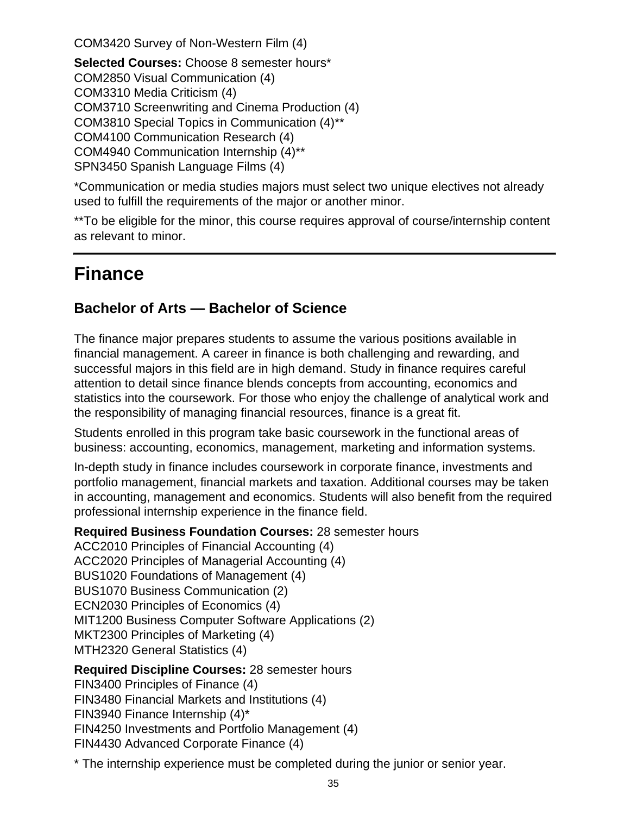COM3420 Survey of Non-Western Film (4)

**Selected Courses:** Choose 8 semester hours\* COM2850 Visual Communication (4) COM3310 Media Criticism (4) COM3710 Screenwriting and Cinema Production (4) COM3810 Special Topics in Communication (4)\*\* COM4100 Communication Research (4) COM4940 Communication Internship (4)\*\* SPN3450 Spanish Language Films (4)

\*Communication or media studies majors must select two unique electives not already used to fulfill the requirements of the major or another minor.

\*\*To be eligible for the minor, this course requires approval of course/internship content as relevant to minor.

## **Finance**

### **Bachelor of Arts — Bachelor of Science**

The finance major prepares students to assume the various positions available in financial management. A career in finance is both challenging and rewarding, and successful majors in this field are in high demand. Study in finance requires careful attention to detail since finance blends concepts from accounting, economics and statistics into the coursework. For those who enjoy the challenge of analytical work and the responsibility of managing financial resources, finance is a great fit.

Students enrolled in this program take basic coursework in the functional areas of business: accounting, economics, management, marketing and information systems.

In-depth study in finance includes coursework in corporate finance, investments and portfolio management, financial markets and taxation. Additional courses may be taken in accounting, management and economics. Students will also benefit from the required professional internship experience in the finance field.

**Required Business Foundation Courses:** 28 semester hours ACC2010 Principles of Financial Accounting (4) ACC2020 Principles of Managerial Accounting (4) BUS1020 Foundations of Management (4) BUS1070 Business Communication (2) ECN2030 Principles of Economics (4) MIT1200 Business Computer Software Applications (2) MKT2300 Principles of Marketing (4) MTH2320 General Statistics (4)

**Required Discipline Courses:** 28 semester hours FIN3400 Principles of Finance (4) FIN3480 Financial Markets and Institutions (4) FIN3940 Finance Internship (4)\* FIN4250 Investments and Portfolio Management (4) FIN4430 Advanced Corporate Finance (4)

\* The internship experience must be completed during the junior or senior year.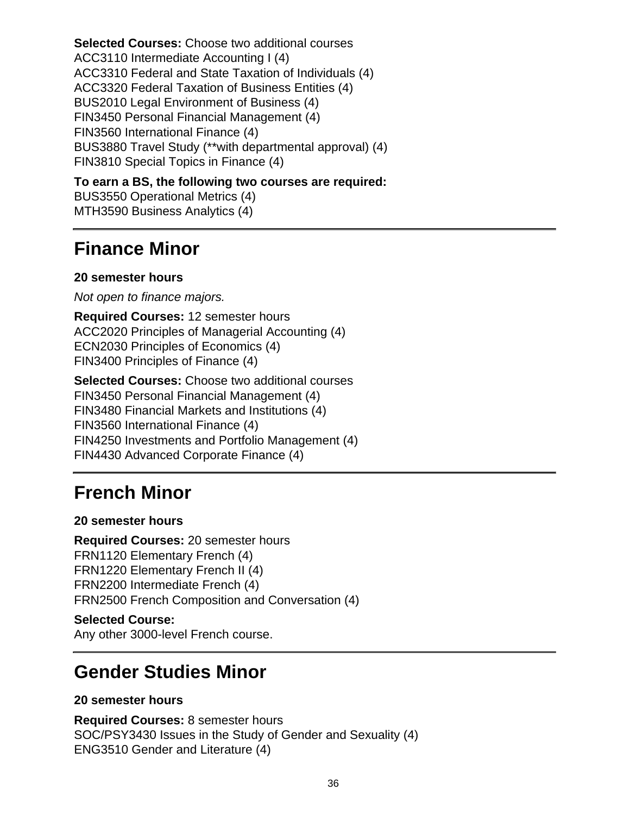**Selected Courses:** Choose two additional courses ACC3110 Intermediate Accounting I (4) ACC3310 Federal and State Taxation of Individuals (4) ACC3320 Federal Taxation of Business Entities (4) BUS2010 Legal Environment of Business (4) FIN3450 Personal Financial Management (4) FIN3560 International Finance (4) BUS3880 Travel Study (\*\*with departmental approval) (4) FIN3810 Special Topics in Finance (4)

**To earn a BS, the following two courses are required:** BUS3550 Operational Metrics (4) MTH3590 Business Analytics (4)

## **Finance Minor**

#### **20 semester hours**

Not open to finance majors.

**Required Courses:** 12 semester hours ACC2020 Principles of Managerial Accounting (4) ECN2030 Principles of Economics (4) FIN3400 Principles of Finance (4)

**Selected Courses:** Choose two additional courses FIN3450 Personal Financial Management (4) FIN3480 Financial Markets and Institutions (4) FIN3560 International Finance (4) FIN4250 Investments and Portfolio Management (4) FIN4430 Advanced Corporate Finance (4)

### **French Minor**

#### **20 semester hours**

**Required Courses:** 20 semester hours FRN1120 Elementary French (4) FRN1220 Elementary French II (4) FRN2200 Intermediate French (4) FRN2500 French Composition and Conversation (4)

#### **Selected Course:**

Any other 3000-level French course.

### **Gender Studies Minor**

#### **20 semester hours**

**Required Courses:** 8 semester hours SOC/PSY3430 Issues in the Study of Gender and Sexuality (4) ENG3510 Gender and Literature (4)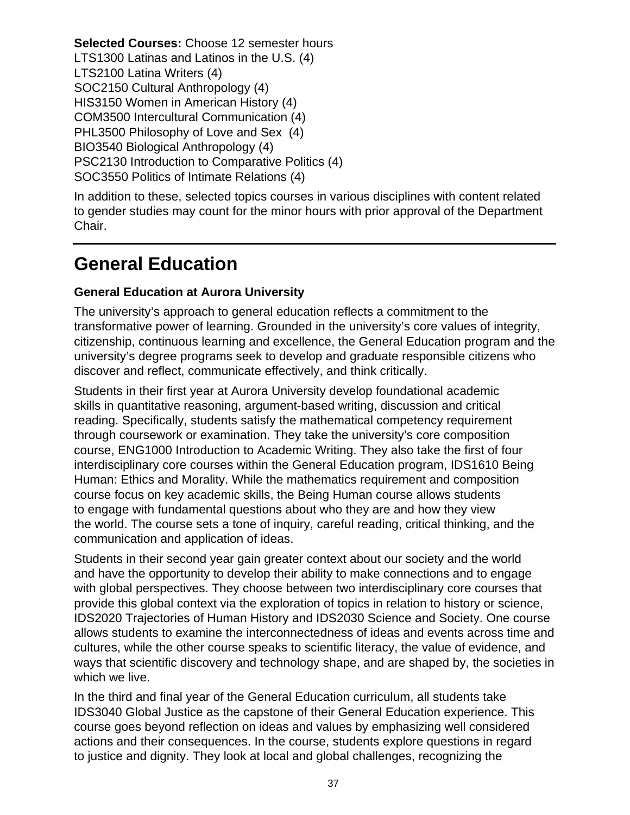**Selected Courses:** Choose 12 semester hours LTS1300 Latinas and Latinos in the U.S. (4) LTS2100 Latina Writers (4) SOC2150 Cultural Anthropology (4) HIS3150 Women in American History (4) COM3500 Intercultural Communication (4) PHL3500 Philosophy of Love and Sex (4) BIO3540 Biological Anthropology (4) PSC2130 Introduction to Comparative Politics (4) SOC3550 Politics of Intimate Relations (4)

In addition to these, selected topics courses in various disciplines with content related to gender studies may count for the minor hours with prior approval of the Department Chair.

## **General Education**

### **General Education at Aurora University**

The university's approach to general education reflects a commitment to the transformative power of learning. Grounded in the university's core values of integrity, citizenship, continuous learning and excellence, the General Education program and the university's degree programs seek to develop and graduate responsible citizens who discover and reflect, communicate effectively, and think critically.

Students in their first year at Aurora University develop foundational academic skills in quantitative reasoning, argument-based writing, discussion and critical reading. Specifically, students satisfy the mathematical competency requirement through coursework or examination. They take the university's core composition course, ENG1000 Introduction to Academic Writing. They also take the first of four interdisciplinary core courses within the General Education program, IDS1610 Being Human: Ethics and Morality. While the mathematics requirement and composition course focus on key academic skills, the Being Human course allows students to engage with fundamental questions about who they are and how they view the world. The course sets a tone of inquiry, careful reading, critical thinking, and the communication and application of ideas.

Students in their second year gain greater context about our society and the world and have the opportunity to develop their ability to make connections and to engage with global perspectives. They choose between two interdisciplinary core courses that provide this global context via the exploration of topics in relation to history or science, IDS2020 Trajectories of Human History and IDS2030 Science and Society. One course allows students to examine the interconnectedness of ideas and events across time and cultures, while the other course speaks to scientific literacy, the value of evidence, and ways that scientific discovery and technology shape, and are shaped by, the societies in which we live.

In the third and final year of the General Education curriculum, all students take IDS3040 Global Justice as the capstone of their General Education experience. This course goes beyond reflection on ideas and values by emphasizing well considered actions and their consequences. In the course, students explore questions in regard to justice and dignity. They look at local and global challenges, recognizing the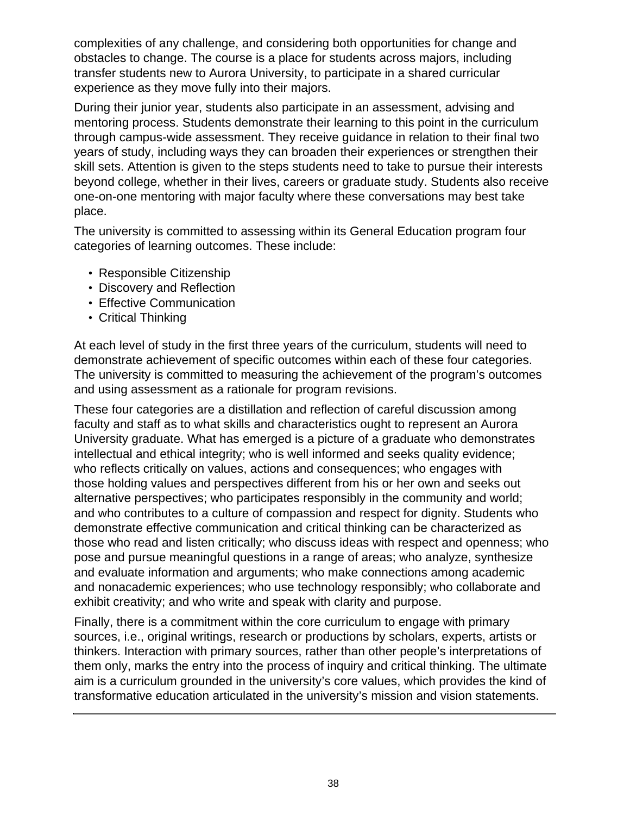complexities of any challenge, and considering both opportunities for change and obstacles to change. The course is a place for students across majors, including transfer students new to Aurora University, to participate in a shared curricular experience as they move fully into their majors.

During their junior year, students also participate in an assessment, advising and mentoring process. Students demonstrate their learning to this point in the curriculum through campus-wide assessment. They receive guidance in relation to their final two years of study, including ways they can broaden their experiences or strengthen their skill sets. Attention is given to the steps students need to take to pursue their interests beyond college, whether in their lives, careers or graduate study. Students also receive one-on-one mentoring with major faculty where these conversations may best take place.

The university is committed to assessing within its General Education program four categories of learning outcomes. These include:

- Responsible Citizenship
- Discovery and Reflection
- Effective Communication
- Critical Thinking

At each level of study in the first three years of the curriculum, students will need to demonstrate achievement of specific outcomes within each of these four categories. The university is committed to measuring the achievement of the program's outcomes and using assessment as a rationale for program revisions.

These four categories are a distillation and reflection of careful discussion among faculty and staff as to what skills and characteristics ought to represent an Aurora University graduate. What has emerged is a picture of a graduate who demonstrates intellectual and ethical integrity; who is well informed and seeks quality evidence; who reflects critically on values, actions and consequences; who engages with those holding values and perspectives different from his or her own and seeks out alternative perspectives; who participates responsibly in the community and world; and who contributes to a culture of compassion and respect for dignity. Students who demonstrate effective communication and critical thinking can be characterized as those who read and listen critically; who discuss ideas with respect and openness; who pose and pursue meaningful questions in a range of areas; who analyze, synthesize and evaluate information and arguments; who make connections among academic and nonacademic experiences; who use technology responsibly; who collaborate and exhibit creativity; and who write and speak with clarity and purpose.

Finally, there is a commitment within the core curriculum to engage with primary sources, i.e., original writings, research or productions by scholars, experts, artists or thinkers. Interaction with primary sources, rather than other people's interpretations of them only, marks the entry into the process of inquiry and critical thinking. The ultimate aim is a curriculum grounded in the university's core values, which provides the kind of transformative education articulated in the university's mission and vision statements.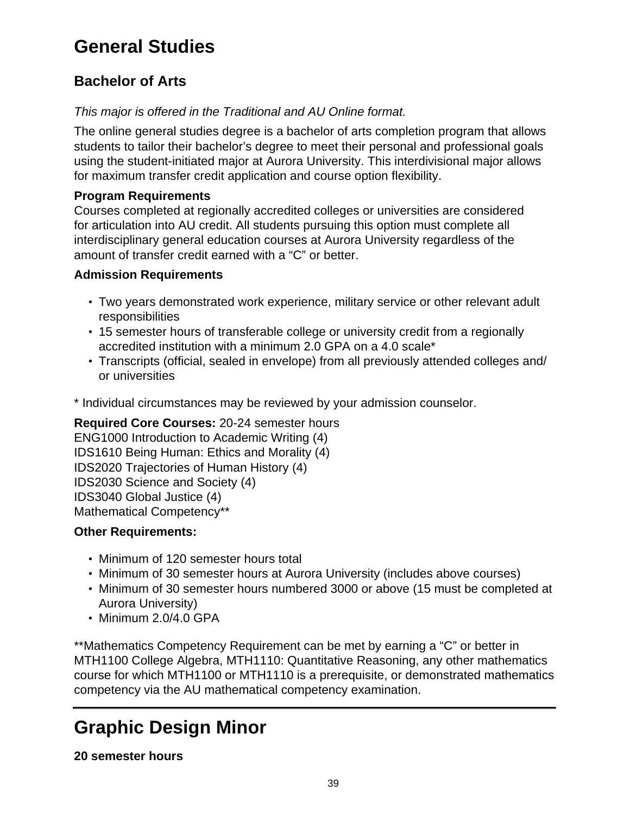# **General Studies**

## **Bachelor of Arts**

### This major is offered in the Traditional and AU Online format.

The online general studies degree is a bachelor of arts completion program that allows students to tailor their bachelor's degree to meet their personal and professional goals using the student-initiated major at Aurora University. This interdivisional major allows for maximum transfer credit application and course option flexibility.

### **Program Requirements**

Courses completed at regionally accredited colleges or universities are considered for articulation into AU credit. All students pursuing this option must complete all interdisciplinary general education courses at Aurora University regardless of the amount of transfer credit earned with a "C" or better.

### **Admission Requirements**

- Two years demonstrated work experience, military service or other relevant adult responsibilities
- 15 semester hours of transferable college or university credit from a regionally accredited institution with a minimum 2.0 GPA on a 4.0 scale\*
- Transcripts (official, sealed in envelope) from all previously attended colleges and/ or universities

\* Individual circumstances may be reviewed by your admission counselor.

**Required Core Courses:** 20-24 semester hours ENG1000 Introduction to Academic Writing (4) IDS1610 Being Human: Ethics and Morality (4) IDS2020 Trajectories of Human History (4) IDS2030 Science and Society (4) IDS3040 Global Justice (4) Mathematical Competency\*\*

### **Other Requirements:**

- Minimum of 120 semester hours total
- Minimum of 30 semester hours at Aurora University (includes above courses)
- Minimum of 30 semester hours numbered 3000 or above (15 must be completed at Aurora University)
- Minimum 2.0/4.0 GPA

\*\*Mathematics Competency Requirement can be met by earning a "C" or better in MTH1100 College Algebra, MTH1110: Quantitative Reasoning, any other mathematics course for which MTH1100 or MTH1110 is a prerequisite, or demonstrated mathematics competency via the AU mathematical competency examination.

# **Graphic Design Minor**

### **20 semester hours**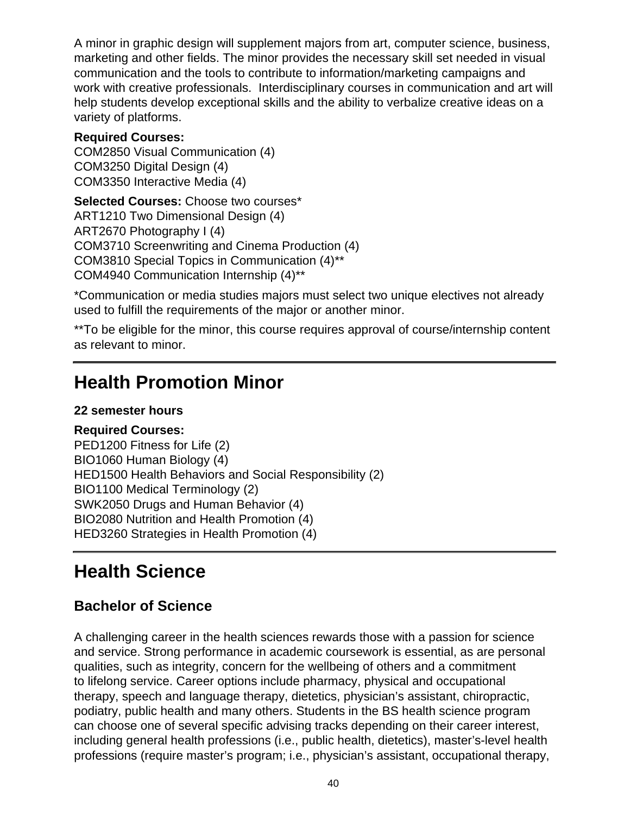A minor in graphic design will supplement majors from art, computer science, business, marketing and other fields. The minor provides the necessary skill set needed in visual communication and the tools to contribute to information/marketing campaigns and work with creative professionals. Interdisciplinary courses in communication and art will help students develop exceptional skills and the ability to verbalize creative ideas on a variety of platforms.

#### **Required Courses:**

COM2850 Visual Communication (4) COM3250 Digital Design (4) COM3350 Interactive Media (4)

**Selected Courses:** Choose two courses\* ART1210 Two Dimensional Design (4) ART2670 Photography I (4) COM3710 Screenwriting and Cinema Production (4) COM3810 Special Topics in Communication (4)\*\* COM4940 Communication Internship (4)\*\*

\*Communication or media studies majors must select two unique electives not already used to fulfill the requirements of the major or another minor.

\*\*To be eligible for the minor, this course requires approval of course/internship content as relevant to minor.

## **Health Promotion Minor**

### **22 semester hours**

**Required Courses:** PED1200 Fitness for Life (2) BIO1060 Human Biology (4) HED1500 Health Behaviors and Social Responsibility (2) BIO1100 Medical Terminology (2) SWK2050 Drugs and Human Behavior (4) BIO2080 Nutrition and Health Promotion (4) HED3260 Strategies in Health Promotion (4)

## **Health Science**

### **Bachelor of Science**

A challenging career in the health sciences rewards those with a passion for science and service. Strong performance in academic coursework is essential, as are personal qualities, such as integrity, concern for the wellbeing of others and a commitment to lifelong service. Career options include pharmacy, physical and occupational therapy, speech and language therapy, dietetics, physician's assistant, chiropractic, podiatry, public health and many others. Students in the BS health science program can choose one of several specific advising tracks depending on their career interest, including general health professions (i.e., public health, dietetics), master's-level health professions (require master's program; i.e., physician's assistant, occupational therapy,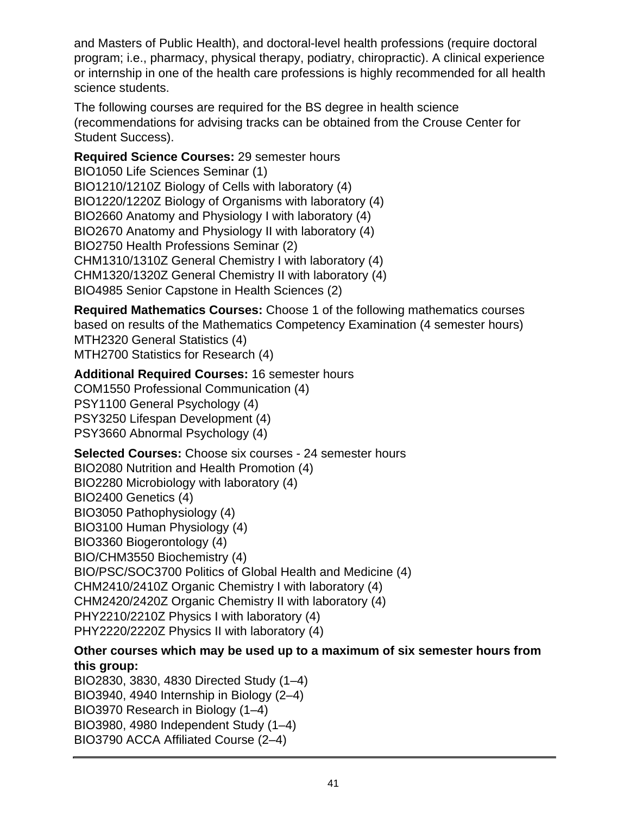and Masters of Public Health), and doctoral-level health professions (require doctoral program; i.e., pharmacy, physical therapy, podiatry, chiropractic). A clinical experience or internship in one of the health care professions is highly recommended for all health science students.

The following courses are required for the BS degree in health science (recommendations for advising tracks can be obtained from the Crouse Center for Student Success).

**Required Science Courses:** 29 semester hours BIO1050 Life Sciences Seminar (1) BIO1210/1210Z Biology of Cells with laboratory (4) BIO1220/1220Z Biology of Organisms with laboratory (4) BIO2660 Anatomy and Physiology I with laboratory (4) BIO2670 Anatomy and Physiology II with laboratory (4) BIO2750 Health Professions Seminar (2) CHM1310/1310Z General Chemistry I with laboratory (4) CHM1320/1320Z General Chemistry II with laboratory (4) BIO4985 Senior Capstone in Health Sciences (2)

**Required Mathematics Courses:** Choose 1 of the following mathematics courses based on results of the Mathematics Competency Examination (4 semester hours) MTH2320 General Statistics (4) MTH2700 Statistics for Research (4)

#### **Additional Required Courses:** 16 semester hours COM1550 Professional Communication (4) PSY1100 General Psychology (4) PSY3250 Lifespan Development (4) PSY3660 Abnormal Psychology (4)

**Selected Courses:** Choose six courses - 24 semester hours BIO2080 Nutrition and Health Promotion (4) BIO2280 Microbiology with laboratory (4) BIO2400 Genetics (4) BIO3050 Pathophysiology (4) BIO3100 Human Physiology (4) BIO3360 Biogerontology (4) BIO/CHM3550 Biochemistry (4) BIO/PSC/SOC3700 Politics of Global Health and Medicine (4) CHM2410/2410Z Organic Chemistry I with laboratory (4) CHM2420/2420Z Organic Chemistry II with laboratory (4) PHY2210/2210Z Physics I with laboratory (4) PHY2220/2220Z Physics II with laboratory (4)

### **Other courses which may be used up to a maximum of six semester hours from this group:**

BIO2830, 3830, 4830 Directed Study (1–4) BIO3940, 4940 Internship in Biology (2–4) BIO3970 Research in Biology (1–4) BIO3980, 4980 Independent Study (1–4) BIO3790 ACCA Affiliated Course (2–4)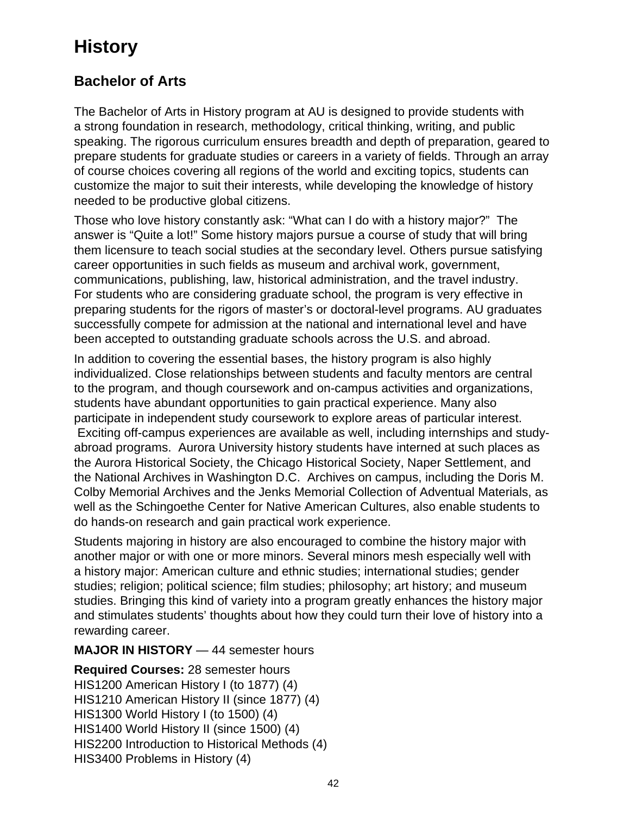# **History**

## **Bachelor of Arts**

The Bachelor of Arts in History program at AU is designed to provide students with a strong foundation in research, methodology, critical thinking, writing, and public speaking. The rigorous curriculum ensures breadth and depth of preparation, geared to prepare students for graduate studies or careers in a variety of fields. Through an array of course choices covering all regions of the world and exciting topics, students can customize the major to suit their interests, while developing the knowledge of history needed to be productive global citizens.

Those who love history constantly ask: "What can I do with a history major?" The answer is "Quite a lot!" Some history majors pursue a course of study that will bring them licensure to teach social studies at the secondary level. Others pursue satisfying career opportunities in such fields as museum and archival work, government, communications, publishing, law, historical administration, and the travel industry. For students who are considering graduate school, the program is very effective in preparing students for the rigors of master's or doctoral-level programs. AU graduates successfully compete for admission at the national and international level and have been accepted to outstanding graduate schools across the U.S. and abroad.

In addition to covering the essential bases, the history program is also highly individualized. Close relationships between students and faculty mentors are central to the program, and though coursework and on-campus activities and organizations, students have abundant opportunities to gain practical experience. Many also participate in independent study coursework to explore areas of particular interest. Exciting off-campus experiences are available as well, including internships and studyabroad programs. Aurora University history students have interned at such places as the Aurora Historical Society, the Chicago Historical Society, Naper Settlement, and the National Archives in Washington D.C. Archives on campus, including the Doris M. Colby Memorial Archives and the Jenks Memorial Collection of Adventual Materials, as well as the Schingoethe Center for Native American Cultures, also enable students to do hands-on research and gain practical work experience.

Students majoring in history are also encouraged to combine the history major with another major or with one or more minors. Several minors mesh especially well with a history major: American culture and ethnic studies; international studies; gender studies; religion; political science; film studies; philosophy; art history; and museum studies. Bringing this kind of variety into a program greatly enhances the history major and stimulates students' thoughts about how they could turn their love of history into a rewarding career.

### **MAJOR IN HISTORY** — 44 semester hours

**Required Courses:** 28 semester hours HIS1200 American History I (to 1877) (4) HIS1210 American History II (since 1877) (4) HIS1300 World History I (to 1500) (4) HIS1400 World History II (since 1500) (4) HIS2200 Introduction to Historical Methods (4) HIS3400 Problems in History (4)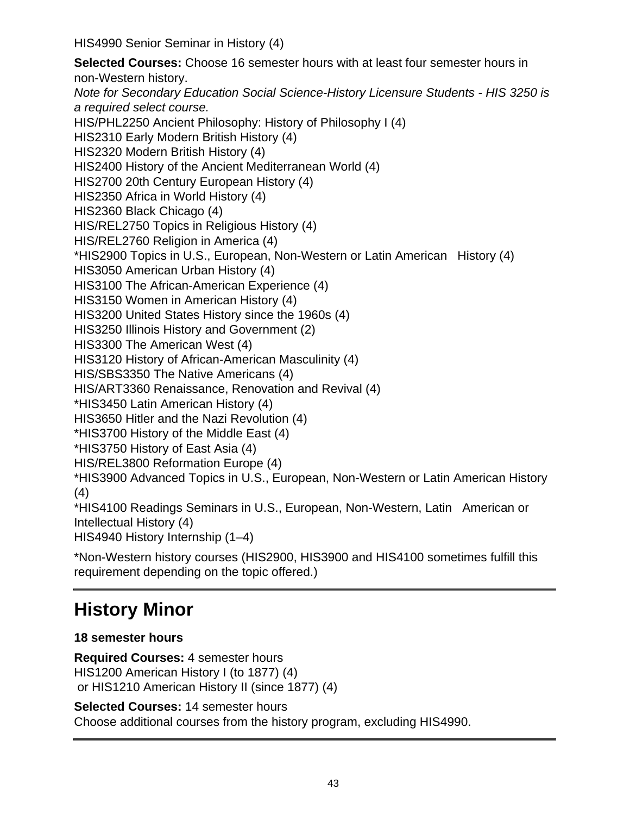HIS4990 Senior Seminar in History (4)

**Selected Courses:** Choose 16 semester hours with at least four semester hours in non-Western history. Note for Secondary Education Social Science-History Licensure Students - HIS 3250 is a required select course. HIS/PHL2250 Ancient Philosophy: History of Philosophy I (4) HIS2310 Early Modern British History (4) HIS2320 Modern British History (4) HIS2400 History of the Ancient Mediterranean World (4) HIS2700 20th Century European History (4) HIS2350 Africa in World History (4) HIS2360 Black Chicago (4) HIS/REL2750 Topics in Religious History (4) HIS/REL2760 Religion in America (4) \*HIS2900 Topics in U.S., European, Non-Western or Latin American History (4) HIS3050 American Urban History (4) HIS3100 The African-American Experience (4) HIS3150 Women in American History (4) HIS3200 United States History since the 1960s (4) HIS3250 Illinois History and Government (2) HIS3300 The American West (4) HIS3120 History of African-American Masculinity (4) HIS/SBS3350 The Native Americans (4) HIS/ART3360 Renaissance, Renovation and Revival (4) \*HIS3450 Latin American History (4) HIS3650 Hitler and the Nazi Revolution (4) \*HIS3700 History of the Middle East (4) \*HIS3750 History of East Asia (4) HIS/REL3800 Reformation Europe (4) \*HIS3900 Advanced Topics in U.S., European, Non-Western or Latin American History (4) \*HIS4100 Readings Seminars in U.S., European, Non-Western, Latin American or Intellectual History (4) HIS4940 History Internship (1–4)

\*Non-Western history courses (HIS2900, HIS3900 and HIS4100 sometimes fulfill this requirement depending on the topic offered.)

# **History Minor**

### **18 semester hours**

**Required Courses:** 4 semester hours HIS1200 American History I (to 1877) (4) or HIS1210 American History II (since 1877) (4)

**Selected Courses:** 14 semester hours

Choose additional courses from the history program, excluding HIS4990.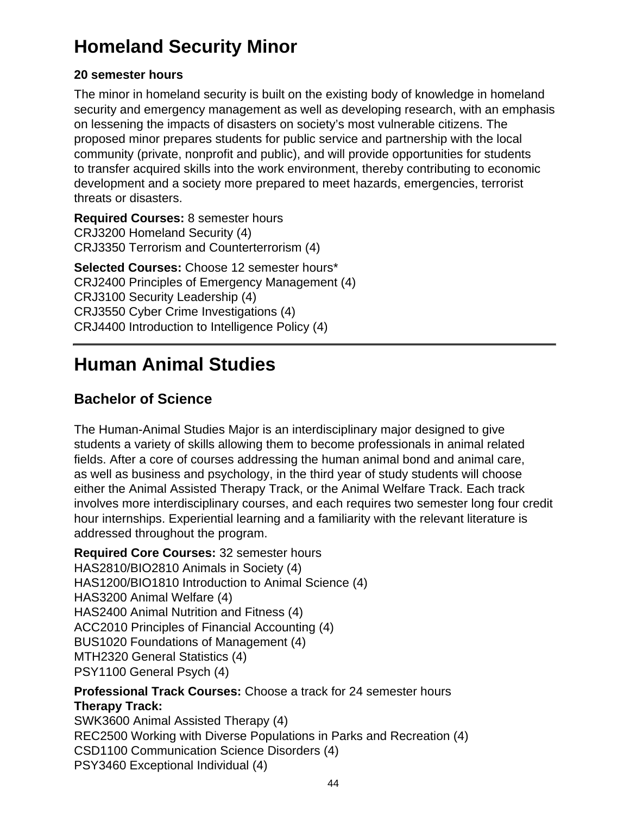# **Homeland Security Minor**

### **20 semester hours**

The minor in homeland security is built on the existing body of knowledge in homeland security and emergency management as well as developing research, with an emphasis on lessening the impacts of disasters on society's most vulnerable citizens. The proposed minor prepares students for public service and partnership with the local community (private, nonprofit and public), and will provide opportunities for students to transfer acquired skills into the work environment, thereby contributing to economic development and a society more prepared to meet hazards, emergencies, terrorist threats or disasters.

**Required Courses:** 8 semester hours CRJ3200 Homeland Security (4) CRJ3350 Terrorism and Counterterrorism (4)

**Selected Courses:** Choose 12 semester hours\* CRJ2400 Principles of Emergency Management (4) CRJ3100 Security Leadership (4) CRJ3550 Cyber Crime Investigations (4) CRJ4400 Introduction to Intelligence Policy (4)

# **Human Animal Studies**

## **Bachelor of Science**

The Human-Animal Studies Major is an interdisciplinary major designed to give students a variety of skills allowing them to become professionals in animal related fields. After a core of courses addressing the human animal bond and animal care, as well as business and psychology, in the third year of study students will choose either the Animal Assisted Therapy Track, or the Animal Welfare Track. Each track involves more interdisciplinary courses, and each requires two semester long four credit hour internships. Experiential learning and a familiarity with the relevant literature is addressed throughout the program.

**Required Core Courses:** 32 semester hours HAS2810/BIO2810 Animals in Society (4) HAS1200/BIO1810 Introduction to Animal Science (4) HAS3200 Animal Welfare (4) HAS2400 Animal Nutrition and Fitness (4) ACC2010 Principles of Financial Accounting (4) BUS1020 Foundations of Management (4) MTH2320 General Statistics (4) PSY1100 General Psych (4)

**Professional Track Courses:** Choose a track for 24 semester hours **Therapy Track:** SWK3600 Animal Assisted Therapy (4)

REC2500 Working with Diverse Populations in Parks and Recreation (4) CSD1100 Communication Science Disorders (4) PSY3460 Exceptional Individual (4)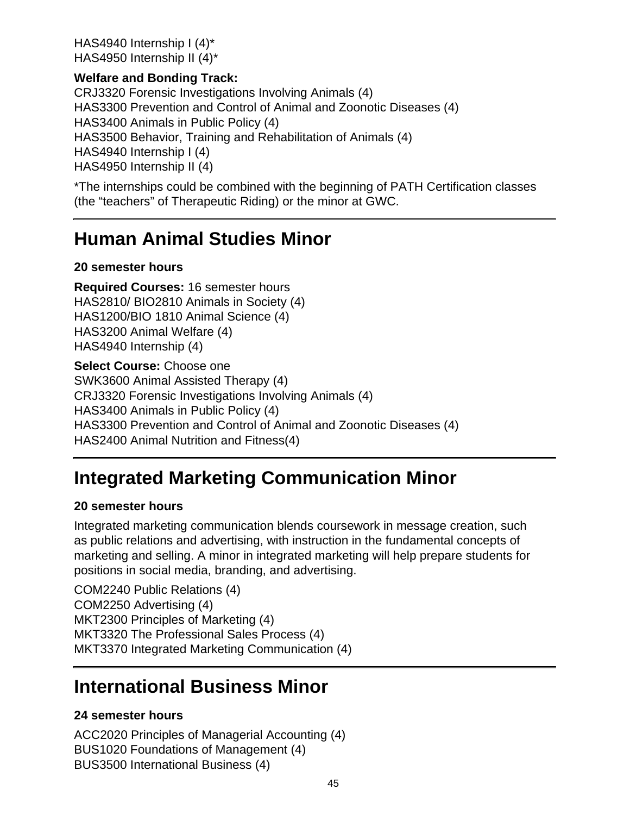HAS4940 Internship I (4)\* HAS4950 Internship II (4)\*

### **Welfare and Bonding Track:**

CRJ3320 Forensic Investigations Involving Animals (4) HAS3300 Prevention and Control of Animal and Zoonotic Diseases (4) HAS3400 Animals in Public Policy (4) HAS3500 Behavior, Training and Rehabilitation of Animals (4) HAS4940 Internship I (4) HAS4950 Internship II (4)

\*The internships could be combined with the beginning of PATH Certification classes (the "teachers" of Therapeutic Riding) or the minor at GWC.

## **Human Animal Studies Minor**

### **20 semester hours**

**Required Courses:** 16 semester hours HAS2810/ BIO2810 Animals in Society (4) HAS1200/BIO 1810 Animal Science (4) HAS3200 Animal Welfare (4) HAS4940 Internship (4)

**Select Course:** Choose one SWK3600 Animal Assisted Therapy (4) CRJ3320 Forensic Investigations Involving Animals (4) HAS3400 Animals in Public Policy (4) HAS3300 Prevention and Control of Animal and Zoonotic Diseases (4) HAS2400 Animal Nutrition and Fitness(4)

# **Integrated Marketing Communication Minor**

### **20 semester hours**

Integrated marketing communication blends coursework in message creation, such as public relations and advertising, with instruction in the fundamental concepts of marketing and selling. A minor in integrated marketing will help prepare students for positions in social media, branding, and advertising.

COM2240 Public Relations (4) COM2250 Advertising (4) MKT2300 Principles of Marketing (4) MKT3320 The Professional Sales Process (4) MKT3370 Integrated Marketing Communication (4)

## **International Business Minor**

### **24 semester hours**

ACC2020 Principles of Managerial Accounting (4) BUS1020 Foundations of Management (4) BUS3500 International Business (4)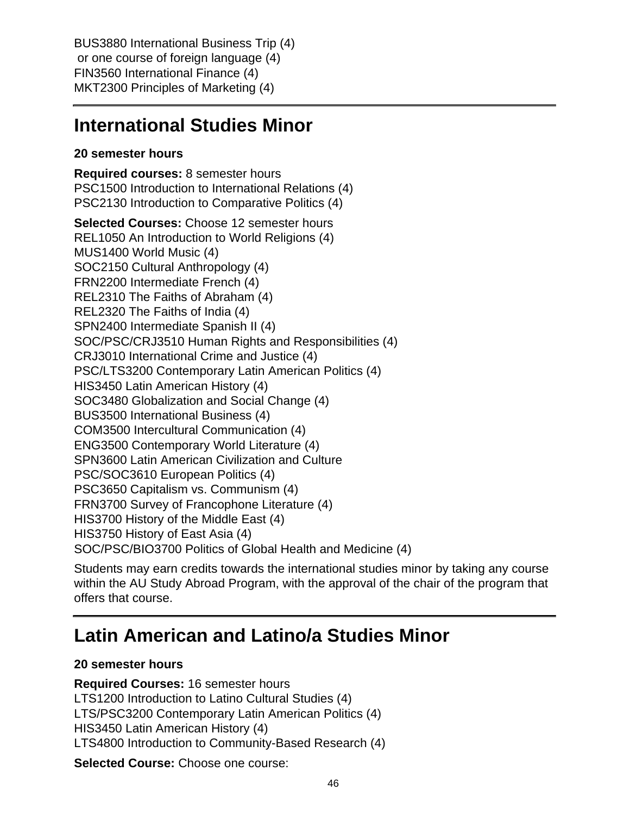BUS3880 International Business Trip (4) or one course of foreign language (4) FIN3560 International Finance (4) MKT2300 Principles of Marketing (4)

## **International Studies Minor**

### **20 semester hours**

**Required courses:** 8 semester hours PSC1500 Introduction to International Relations (4) PSC2130 Introduction to Comparative Politics (4)

**Selected Courses:** Choose 12 semester hours REL1050 An Introduction to World Religions (4) MUS1400 World Music (4) SOC2150 Cultural Anthropology (4) FRN2200 Intermediate French (4) REL2310 The Faiths of Abraham (4) REL2320 The Faiths of India (4) SPN2400 Intermediate Spanish II (4) SOC/PSC/CRJ3510 Human Rights and Responsibilities (4) CRJ3010 International Crime and Justice (4) PSC/LTS3200 Contemporary Latin American Politics (4) HIS3450 Latin American History (4) SOC3480 Globalization and Social Change (4) BUS3500 International Business (4) COM3500 Intercultural Communication (4) ENG3500 Contemporary World Literature (4) SPN3600 Latin American Civilization and Culture PSC/SOC3610 European Politics (4) PSC3650 Capitalism vs. Communism (4) FRN3700 Survey of Francophone Literature (4) HIS3700 History of the Middle East (4) HIS3750 History of East Asia (4) SOC/PSC/BIO3700 Politics of Global Health and Medicine (4)

Students may earn credits towards the international studies minor by taking any course within the AU Study Abroad Program, with the approval of the chair of the program that offers that course.

## **Latin American and Latino/a Studies Minor**

### **20 semester hours**

**Required Courses:** 16 semester hours LTS1200 Introduction to Latino Cultural Studies (4) LTS/PSC3200 Contemporary Latin American Politics (4) HIS3450 Latin American History (4) LTS4800 Introduction to Community-Based Research (4)

**Selected Course:** Choose one course: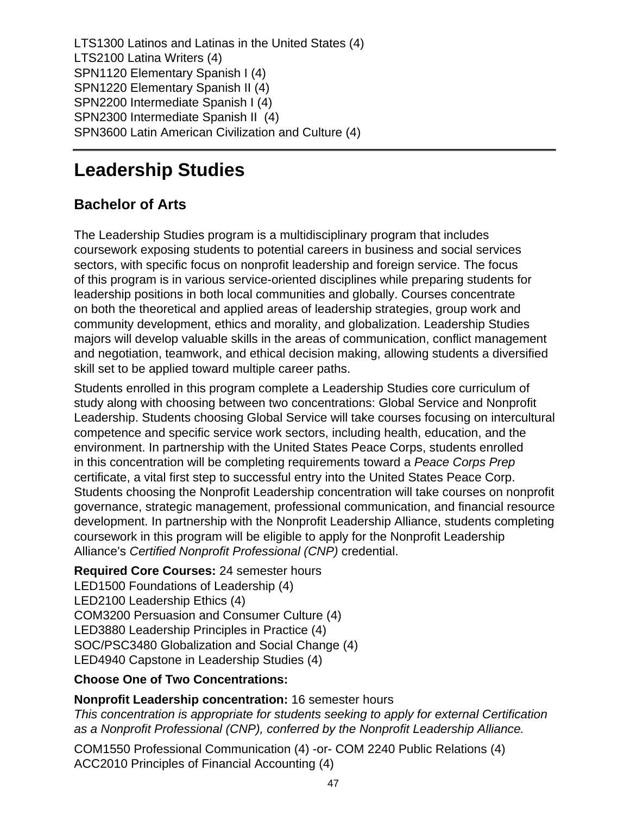LTS1300 Latinos and Latinas in the United States (4) LTS2100 Latina Writers (4) SPN1120 Elementary Spanish I (4) SPN1220 Elementary Spanish II (4) SPN2200 Intermediate Spanish I (4) SPN2300 Intermediate Spanish II (4) SPN3600 Latin American Civilization and Culture (4)

# **Leadership Studies**

## **Bachelor of Arts**

The Leadership Studies program is a multidisciplinary program that includes coursework exposing students to potential careers in business and social services sectors, with specific focus on nonprofit leadership and foreign service. The focus of this program is in various service-oriented disciplines while preparing students for leadership positions in both local communities and globally. Courses concentrate on both the theoretical and applied areas of leadership strategies, group work and community development, ethics and morality, and globalization. Leadership Studies majors will develop valuable skills in the areas of communication, conflict management and negotiation, teamwork, and ethical decision making, allowing students a diversified skill set to be applied toward multiple career paths.

Students enrolled in this program complete a Leadership Studies core curriculum of study along with choosing between two concentrations: Global Service and Nonprofit Leadership. Students choosing Global Service will take courses focusing on intercultural competence and specific service work sectors, including health, education, and the environment. In partnership with the United States Peace Corps, students enrolled in this concentration will be completing requirements toward a Peace Corps Prep certificate, a vital first step to successful entry into the United States Peace Corp. Students choosing the Nonprofit Leadership concentration will take courses on nonprofit governance, strategic management, professional communication, and financial resource development. In partnership with the Nonprofit Leadership Alliance, students completing coursework in this program will be eligible to apply for the Nonprofit Leadership Alliance's Certified Nonprofit Professional (CNP) credential.

### **Required Core Courses:** 24 semester hours

LED1500 Foundations of Leadership (4) LED2100 Leadership Ethics (4) COM3200 Persuasion and Consumer Culture (4) LED3880 Leadership Principles in Practice (4) SOC/PSC3480 Globalization and Social Change (4) LED4940 Capstone in Leadership Studies (4)

### **Choose One of Two Concentrations:**

### **Nonprofit Leadership concentration:** 16 semester hours

This concentration is appropriate for students seeking to apply for external Certification as a Nonprofit Professional (CNP), conferred by the Nonprofit Leadership Alliance.

COM1550 Professional Communication (4) -or- COM 2240 Public Relations (4) ACC2010 Principles of Financial Accounting (4)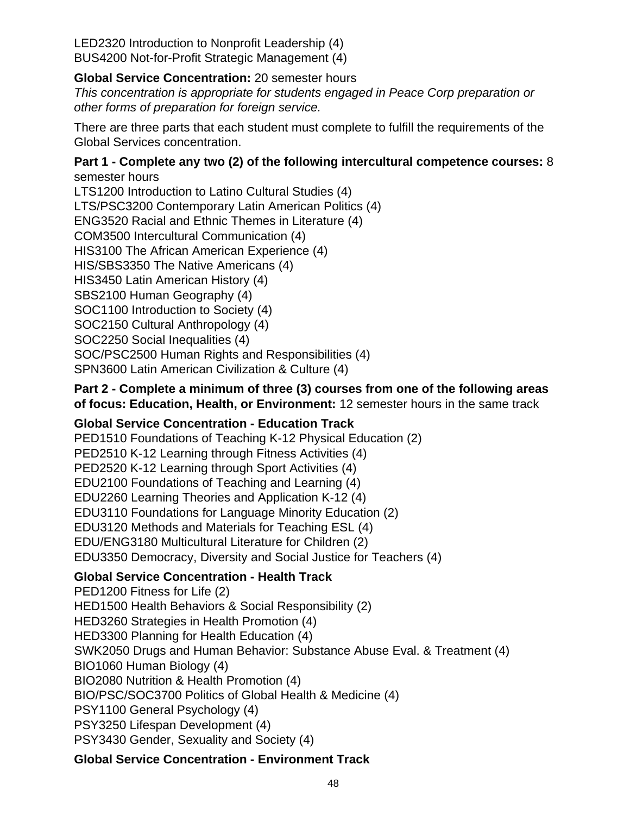LED2320 Introduction to Nonprofit Leadership (4) BUS4200 Not-for-Profit Strategic Management (4)

### **Global Service Concentration:** 20 semester hours

This concentration is appropriate for students engaged in Peace Corp preparation or other forms of preparation for foreign service.

There are three parts that each student must complete to fulfill the requirements of the Global Services concentration.

#### **Part 1 - Complete any two (2) of the following intercultural competence courses:** 8 semester hours

LTS1200 Introduction to Latino Cultural Studies (4) LTS/PSC3200 Contemporary Latin American Politics (4) ENG3520 Racial and Ethnic Themes in Literature (4) COM3500 Intercultural Communication (4) HIS3100 The African American Experience (4) HIS/SBS3350 The Native Americans (4) HIS3450 Latin American History (4) SBS2100 Human Geography (4) SOC1100 Introduction to Society (4) SOC2150 Cultural Anthropology (4) SOC2250 Social Inequalities (4) SOC/PSC2500 Human Rights and Responsibilities (4) SPN3600 Latin American Civilization & Culture (4)

### **Part 2 - Complete a minimum of three (3) courses from one of the following areas of focus: Education, Health, or Environment:** 12 semester hours in the same track

### **Global Service Concentration - Education Track**

PED1510 Foundations of Teaching K-12 Physical Education (2) PED2510 K-12 Learning through Fitness Activities (4) PED2520 K-12 Learning through Sport Activities (4) EDU2100 Foundations of Teaching and Learning (4) EDU2260 Learning Theories and Application K-12 (4) EDU3110 Foundations for Language Minority Education (2) EDU3120 Methods and Materials for Teaching ESL (4) EDU/ENG3180 Multicultural Literature for Children (2) EDU3350 Democracy, Diversity and Social Justice for Teachers (4)

### **Global Service Concentration - Health Track**

PED1200 Fitness for Life (2) HED1500 Health Behaviors & Social Responsibility (2) HED3260 Strategies in Health Promotion (4) HED3300 Planning for Health Education (4) SWK2050 Drugs and Human Behavior: Substance Abuse Eval. & Treatment (4) BIO1060 Human Biology (4) BIO2080 Nutrition & Health Promotion (4) BIO/PSC/SOC3700 Politics of Global Health & Medicine (4) PSY1100 General Psychology (4) PSY3250 Lifespan Development (4) PSY3430 Gender, Sexuality and Society (4)

### **Global Service Concentration - Environment Track**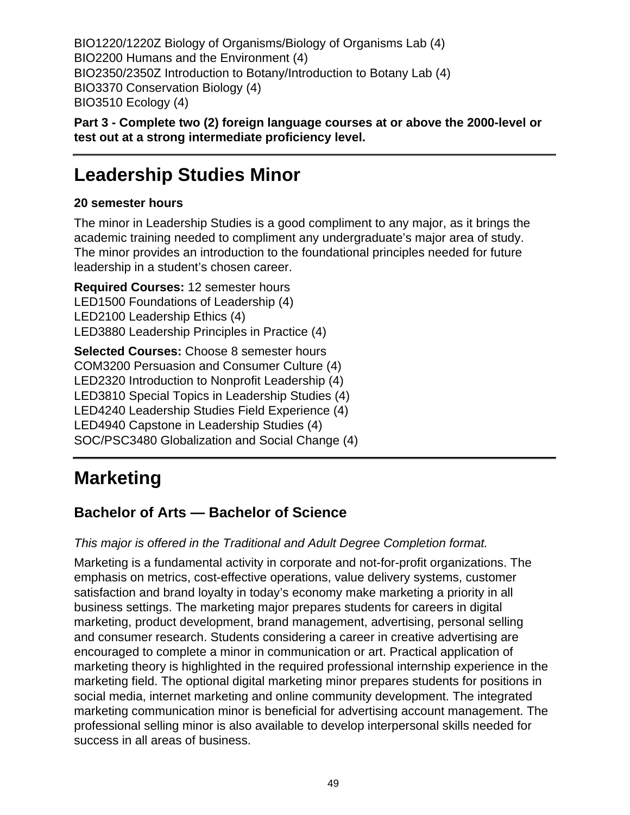BIO1220/1220Z Biology of Organisms/Biology of Organisms Lab (4) BIO2200 Humans and the Environment (4) BIO2350/2350Z Introduction to Botany/Introduction to Botany Lab (4) BIO3370 Conservation Biology (4) BIO3510 Ecology (4)

**Part 3 - Complete two (2) foreign language courses at or above the 2000-level or test out at a strong intermediate proficiency level.**

## **Leadership Studies Minor**

### **20 semester hours**

The minor in Leadership Studies is a good compliment to any major, as it brings the academic training needed to compliment any undergraduate's major area of study. The minor provides an introduction to the foundational principles needed for future leadership in a student's chosen career.

**Required Courses:** 12 semester hours LED1500 Foundations of Leadership (4) LED2100 Leadership Ethics (4) LED3880 Leadership Principles in Practice (4)

**Selected Courses:** Choose 8 semester hours COM3200 Persuasion and Consumer Culture (4) LED2320 Introduction to Nonprofit Leadership (4) LED3810 Special Topics in Leadership Studies (4) LED4240 Leadership Studies Field Experience (4) LED4940 Capstone in Leadership Studies (4) SOC/PSC3480 Globalization and Social Change (4)

# **Marketing**

## **Bachelor of Arts — Bachelor of Science**

### This major is offered in the Traditional and Adult Degree Completion format.

Marketing is a fundamental activity in corporate and not-for-profit organizations. The emphasis on metrics, cost-effective operations, value delivery systems, customer satisfaction and brand loyalty in today's economy make marketing a priority in all business settings. The marketing major prepares students for careers in digital marketing, product development, brand management, advertising, personal selling and consumer research. Students considering a career in creative advertising are encouraged to complete a minor in communication or art. Practical application of marketing theory is highlighted in the required professional internship experience in the marketing field. The optional digital marketing minor prepares students for positions in social media, internet marketing and online community development. The integrated marketing communication minor is beneficial for advertising account management. The professional selling minor is also available to develop interpersonal skills needed for success in all areas of business.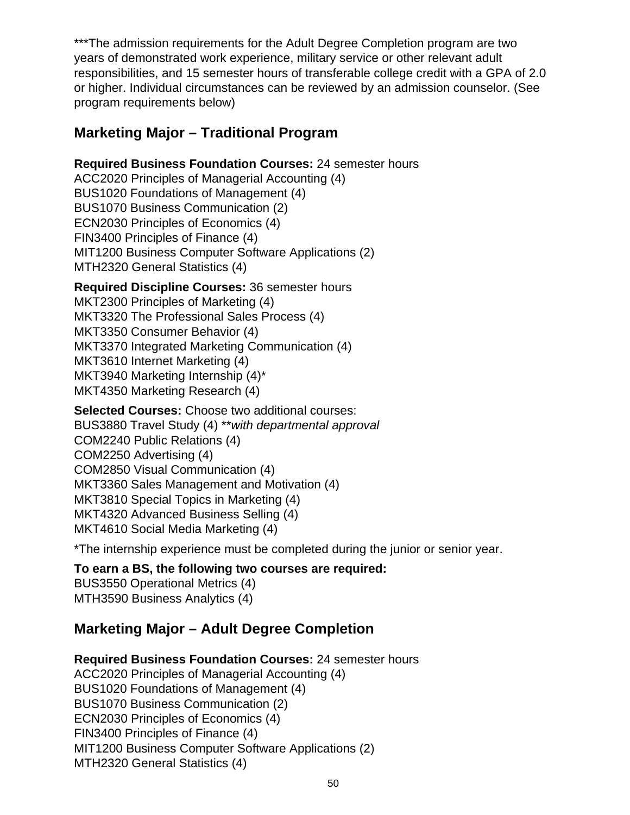\*\*\*The admission requirements for the Adult Degree Completion program are two years of demonstrated work experience, military service or other relevant adult responsibilities, and 15 semester hours of transferable college credit with a GPA of 2.0 or higher. Individual circumstances can be reviewed by an admission counselor. (See program requirements below)

### **Marketing Major – Traditional Program**

**Required Business Foundation Courses:** 24 semester hours

ACC2020 Principles of Managerial Accounting (4) BUS1020 Foundations of Management (4) BUS1070 Business Communication (2) ECN2030 Principles of Economics (4) FIN3400 Principles of Finance (4) MIT1200 Business Computer Software Applications (2) MTH2320 General Statistics (4)

**Required Discipline Courses:** 36 semester hours

MKT2300 Principles of Marketing (4) MKT3320 The Professional Sales Process (4) MKT3350 Consumer Behavior (4) MKT3370 Integrated Marketing Communication (4) MKT3610 Internet Marketing (4) MKT3940 Marketing Internship (4)\* MKT4350 Marketing Research (4)

**Selected Courses:** Choose two additional courses: BUS3880 Travel Study (4) \*\*with departmental approval COM2240 Public Relations (4) COM2250 Advertising (4) COM2850 Visual Communication (4) MKT3360 Sales Management and Motivation (4) MKT3810 Special Topics in Marketing (4) MKT4320 Advanced Business Selling (4) MKT4610 Social Media Marketing (4)

\*The internship experience must be completed during the junior or senior year.

### **To earn a BS, the following two courses are required:**

BUS3550 Operational Metrics (4) MTH3590 Business Analytics (4)

### **Marketing Major – Adult Degree Completion**

**Required Business Foundation Courses:** 24 semester hours

ACC2020 Principles of Managerial Accounting (4) BUS1020 Foundations of Management (4) BUS1070 Business Communication (2) ECN2030 Principles of Economics (4) FIN3400 Principles of Finance (4) MIT1200 Business Computer Software Applications (2) MTH2320 General Statistics (4)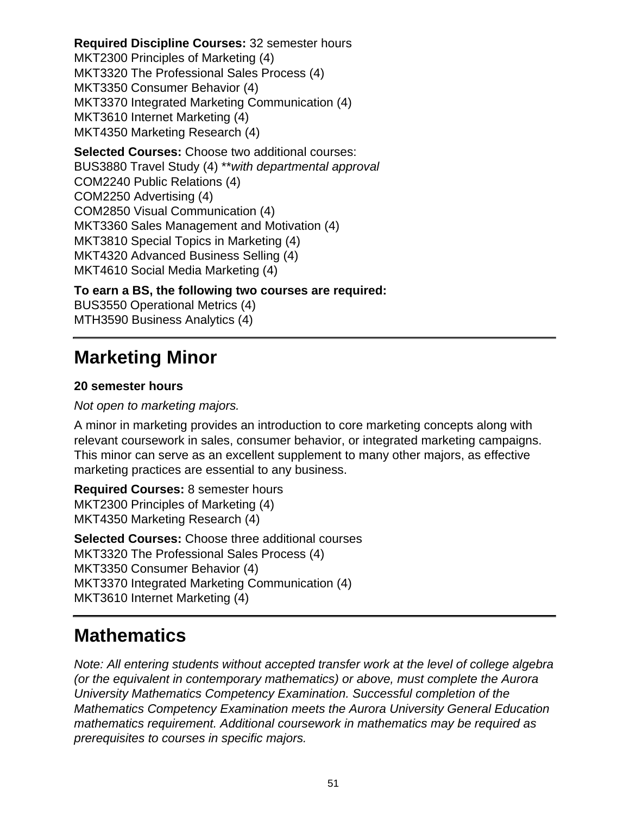**Required Discipline Courses:** 32 semester hours MKT2300 Principles of Marketing (4) MKT3320 The Professional Sales Process (4) MKT3350 Consumer Behavior (4) MKT3370 Integrated Marketing Communication (4) MKT3610 Internet Marketing (4) MKT4350 Marketing Research (4) **Selected Courses:** Choose two additional courses: BUS3880 Travel Study (4) \*\*with departmental approval COM2240 Public Relations (4) COM2250 Advertising (4)

COM2850 Visual Communication (4) MKT3360 Sales Management and Motivation (4)

MKT3810 Special Topics in Marketing (4)

MKT4320 Advanced Business Selling (4)

MKT4610 Social Media Marketing (4)

**To earn a BS, the following two courses are required:**

BUS3550 Operational Metrics (4) MTH3590 Business Analytics (4)

## **Marketing Minor**

### **20 semester hours**

### Not open to marketing majors.

A minor in marketing provides an introduction to core marketing concepts along with relevant coursework in sales, consumer behavior, or integrated marketing campaigns. This minor can serve as an excellent supplement to many other majors, as effective marketing practices are essential to any business.

**Required Courses:** 8 semester hours MKT2300 Principles of Marketing (4) MKT4350 Marketing Research (4)

**Selected Courses:** Choose three additional courses MKT3320 The Professional Sales Process (4) MKT3350 Consumer Behavior (4) MKT3370 Integrated Marketing Communication (4) MKT3610 Internet Marketing (4)

## **Mathematics**

Note: All entering students without accepted transfer work at the level of college algebra (or the equivalent in contemporary mathematics) or above, must complete the Aurora University Mathematics Competency Examination. Successful completion of the Mathematics Competency Examination meets the Aurora University General Education mathematics requirement. Additional coursework in mathematics may be required as prerequisites to courses in specific majors.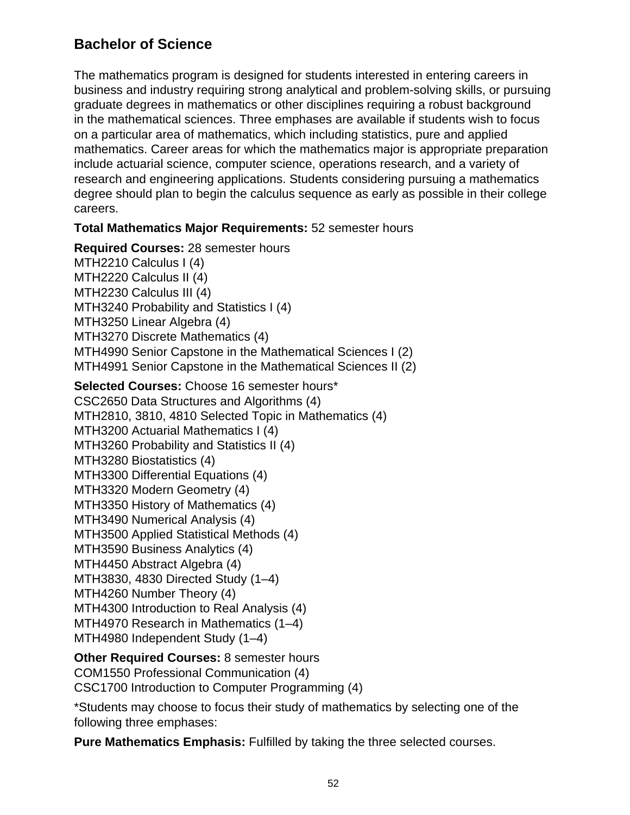### **Bachelor of Science**

The mathematics program is designed for students interested in entering careers in business and industry requiring strong analytical and problem-solving skills, or pursuing graduate degrees in mathematics or other disciplines requiring a robust background in the mathematical sciences. Three emphases are available if students wish to focus on a particular area of mathematics, which including statistics, pure and applied mathematics. Career areas for which the mathematics major is appropriate preparation include actuarial science, computer science, operations research, and a variety of research and engineering applications. Students considering pursuing a mathematics degree should plan to begin the calculus sequence as early as possible in their college careers.

**Total Mathematics Major Requirements:** 52 semester hours

**Required Courses:** 28 semester hours MTH2210 Calculus I (4) MTH2220 Calculus II (4) MTH2230 Calculus III (4) MTH3240 Probability and Statistics I (4) MTH3250 Linear Algebra (4) MTH3270 Discrete Mathematics (4) MTH4990 Senior Capstone in the Mathematical Sciences I (2) MTH4991 Senior Capstone in the Mathematical Sciences II (2)

**Selected Courses:** Choose 16 semester hours\* CSC2650 Data Structures and Algorithms (4) MTH2810, 3810, 4810 Selected Topic in Mathematics (4) MTH3200 Actuarial Mathematics I (4) MTH3260 Probability and Statistics II (4) MTH3280 Biostatistics (4) MTH3300 Differential Equations (4) MTH3320 Modern Geometry (4) MTH3350 History of Mathematics (4) MTH3490 Numerical Analysis (4) MTH3500 Applied Statistical Methods (4) MTH3590 Business Analytics (4) MTH4450 Abstract Algebra (4) MTH3830, 4830 Directed Study (1–4) MTH4260 Number Theory (4) MTH4300 Introduction to Real Analysis (4) MTH4970 Research in Mathematics (1–4) MTH4980 Independent Study (1–4)

**Other Required Courses:** 8 semester hours COM1550 Professional Communication (4) CSC1700 Introduction to Computer Programming (4)

\*Students may choose to focus their study of mathematics by selecting one of the following three emphases:

**Pure Mathematics Emphasis:** Fulfilled by taking the three selected courses.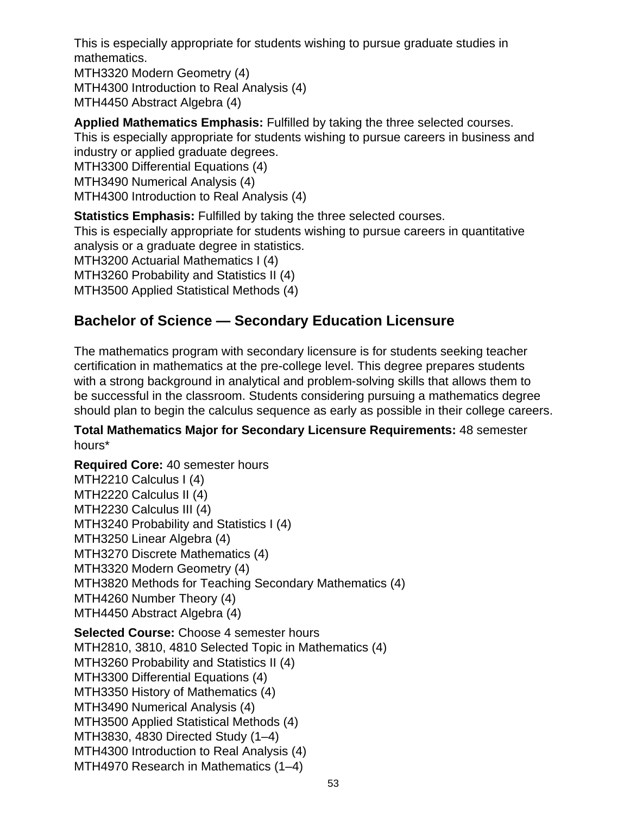This is especially appropriate for students wishing to pursue graduate studies in mathematics.

MTH3320 Modern Geometry (4) MTH4300 Introduction to Real Analysis (4) MTH4450 Abstract Algebra (4)

**Applied Mathematics Emphasis:** Fulfilled by taking the three selected courses.

This is especially appropriate for students wishing to pursue careers in business and industry or applied graduate degrees.

MTH3300 Differential Equations (4)

MTH3490 Numerical Analysis (4)

MTH4300 Introduction to Real Analysis (4)

**Statistics Emphasis:** Fulfilled by taking the three selected courses.

This is especially appropriate for students wishing to pursue careers in quantitative analysis or a graduate degree in statistics.

MTH3200 Actuarial Mathematics I (4)

MTH3260 Probability and Statistics II (4)

MTH3500 Applied Statistical Methods (4)

### **Bachelor of Science — Secondary Education Licensure**

The mathematics program with secondary licensure is for students seeking teacher certification in mathematics at the pre-college level. This degree prepares students with a strong background in analytical and problem-solving skills that allows them to be successful in the classroom. Students considering pursuing a mathematics degree should plan to begin the calculus sequence as early as possible in their college careers.

**Total Mathematics Major for Secondary Licensure Requirements:** 48 semester hours\*

**Required Core:** 40 semester hours MTH2210 Calculus I (4) MTH2220 Calculus II (4) MTH2230 Calculus III (4) MTH3240 Probability and Statistics I (4) MTH3250 Linear Algebra (4) MTH3270 Discrete Mathematics (4) MTH3320 Modern Geometry (4) MTH3820 Methods for Teaching Secondary Mathematics (4) MTH4260 Number Theory (4) MTH4450 Abstract Algebra (4) **Selected Course:** Choose 4 semester hours MTH2810, 3810, 4810 Selected Topic in Mathematics (4) MTH3260 Probability and Statistics II (4) MTH3300 Differential Equations (4) MTH3350 History of Mathematics (4) MTH3490 Numerical Analysis (4) MTH3500 Applied Statistical Methods (4) MTH3830, 4830 Directed Study (1–4) MTH4300 Introduction to Real Analysis (4) MTH4970 Research in Mathematics (1–4)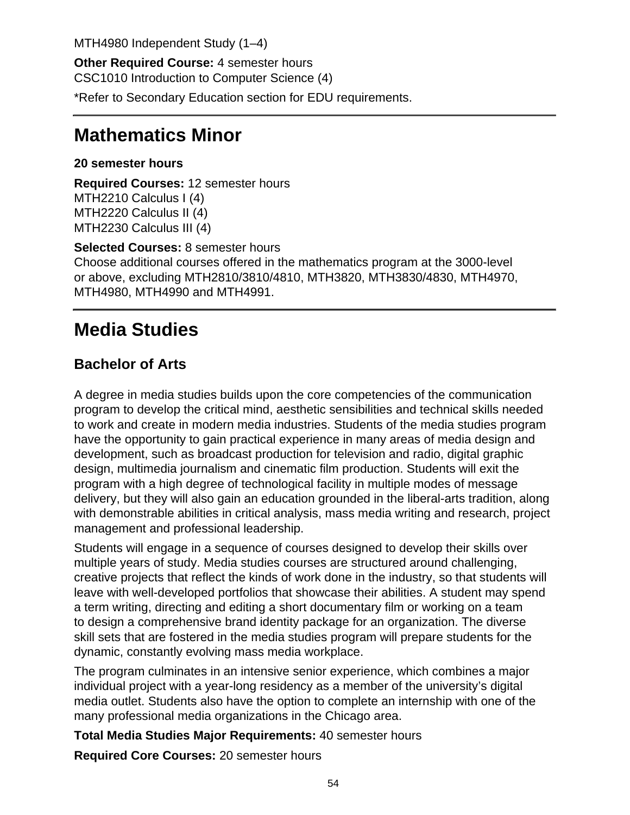MTH4980 Independent Study (1–4)

**Other Required Course:** 4 semester hours CSC1010 Introduction to Computer Science (4)

\*Refer to Secondary Education section for EDU requirements.

## **Mathematics Minor**

**20 semester hours**

**Required Courses:** 12 semester hours MTH2210 Calculus I (4) MTH2220 Calculus II (4) MTH2230 Calculus III (4)

**Selected Courses:** 8 semester hours Choose additional courses offered in the mathematics program at the 3000-level or above, excluding MTH2810/3810/4810, MTH3820, MTH3830/4830, MTH4970, MTH4980, MTH4990 and MTH4991.

# **Media Studies**

## **Bachelor of Arts**

A degree in media studies builds upon the core competencies of the communication program to develop the critical mind, aesthetic sensibilities and technical skills needed to work and create in modern media industries. Students of the media studies program have the opportunity to gain practical experience in many areas of media design and development, such as broadcast production for television and radio, digital graphic design, multimedia journalism and cinematic film production. Students will exit the program with a high degree of technological facility in multiple modes of message delivery, but they will also gain an education grounded in the liberal-arts tradition, along with demonstrable abilities in critical analysis, mass media writing and research, project management and professional leadership.

Students will engage in a sequence of courses designed to develop their skills over multiple years of study. Media studies courses are structured around challenging, creative projects that reflect the kinds of work done in the industry, so that students will leave with well-developed portfolios that showcase their abilities. A student may spend a term writing, directing and editing a short documentary film or working on a team to design a comprehensive brand identity package for an organization. The diverse skill sets that are fostered in the media studies program will prepare students for the dynamic, constantly evolving mass media workplace.

The program culminates in an intensive senior experience, which combines a major individual project with a year-long residency as a member of the university's digital media outlet. Students also have the option to complete an internship with one of the many professional media organizations in the Chicago area.

**Total Media Studies Major Requirements:** 40 semester hours

**Required Core Courses:** 20 semester hours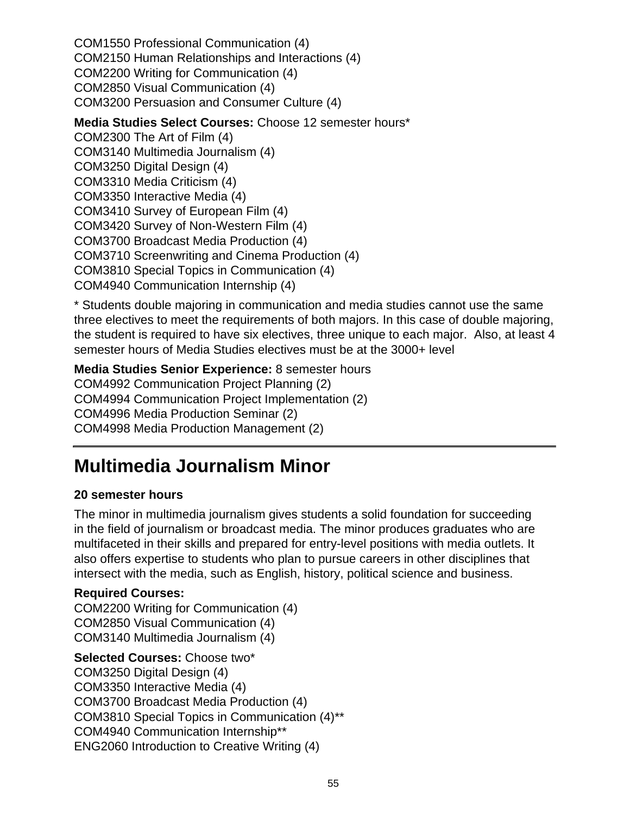COM1550 Professional Communication (4) COM2150 Human Relationships and Interactions (4) COM2200 Writing for Communication (4) COM2850 Visual Communication (4) COM3200 Persuasion and Consumer Culture (4)

**Media Studies Select Courses:** Choose 12 semester hours\* COM2300 The Art of Film (4) COM3140 Multimedia Journalism (4) COM3250 Digital Design (4) COM3310 Media Criticism (4) COM3350 Interactive Media (4) COM3410 Survey of European Film (4) COM3420 Survey of Non-Western Film (4) COM3700 Broadcast Media Production (4) COM3710 Screenwriting and Cinema Production (4) COM3810 Special Topics in Communication (4) COM4940 Communication Internship (4)

\* Students double majoring in communication and media studies cannot use the same three electives to meet the requirements of both majors. In this case of double majoring, the student is required to have six electives, three unique to each major. Also, at least 4 semester hours of Media Studies electives must be at the 3000+ level

**Media Studies Senior Experience:** 8 semester hours COM4992 Communication Project Planning (2) COM4994 Communication Project Implementation (2) COM4996 Media Production Seminar (2) COM4998 Media Production Management (2)

## **Multimedia Journalism Minor**

### **20 semester hours**

The minor in multimedia journalism gives students a solid foundation for succeeding in the field of journalism or broadcast media. The minor produces graduates who are multifaceted in their skills and prepared for entry-level positions with media outlets. It also offers expertise to students who plan to pursue careers in other disciplines that intersect with the media, such as English, history, political science and business.

### **Required Courses:**

COM2200 Writing for Communication (4) COM2850 Visual Communication (4) COM3140 Multimedia Journalism (4)

### **Selected Courses:** Choose two\*

COM3250 Digital Design (4) COM3350 Interactive Media (4) COM3700 Broadcast Media Production (4) COM3810 Special Topics in Communication (4)\*\* COM4940 Communication Internship\*\* ENG2060 Introduction to Creative Writing (4)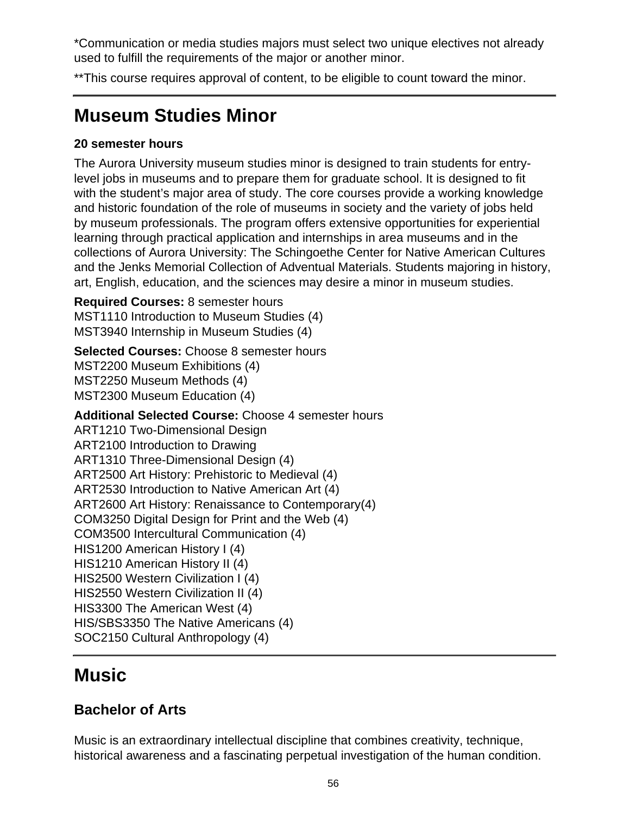\*Communication or media studies majors must select two unique electives not already used to fulfill the requirements of the major or another minor.

\*\*This course requires approval of content, to be eligible to count toward the minor.

# **Museum Studies Minor**

### **20 semester hours**

The Aurora University museum studies minor is designed to train students for entrylevel jobs in museums and to prepare them for graduate school. It is designed to fit with the student's major area of study. The core courses provide a working knowledge and historic foundation of the role of museums in society and the variety of jobs held by museum professionals. The program offers extensive opportunities for experiential learning through practical application and internships in area museums and in the collections of Aurora University: The Schingoethe Center for Native American Cultures and the Jenks Memorial Collection of Adventual Materials. Students majoring in history, art, English, education, and the sciences may desire a minor in museum studies.

**Required Courses:** 8 semester hours MST1110 Introduction to Museum Studies (4) MST3940 Internship in Museum Studies (4)

**Selected Courses:** Choose 8 semester hours MST2200 Museum Exhibitions (4) MST2250 Museum Methods (4) MST2300 Museum Education (4)

**Additional Selected Course:** Choose 4 semester hours ART1210 Two-Dimensional Design ART2100 Introduction to Drawing ART1310 Three-Dimensional Design (4) ART2500 Art History: Prehistoric to Medieval (4) ART2530 Introduction to Native American Art (4) ART2600 Art History: Renaissance to Contemporary(4) COM3250 Digital Design for Print and the Web (4) COM3500 Intercultural Communication (4) HIS1200 American History I (4) HIS1210 American History II (4) HIS2500 Western Civilization I (4) HIS2550 Western Civilization II (4) HIS3300 The American West (4) HIS/SBS3350 The Native Americans (4) SOC2150 Cultural Anthropology (4)

## **Music**

## **Bachelor of Arts**

Music is an extraordinary intellectual discipline that combines creativity, technique, historical awareness and a fascinating perpetual investigation of the human condition.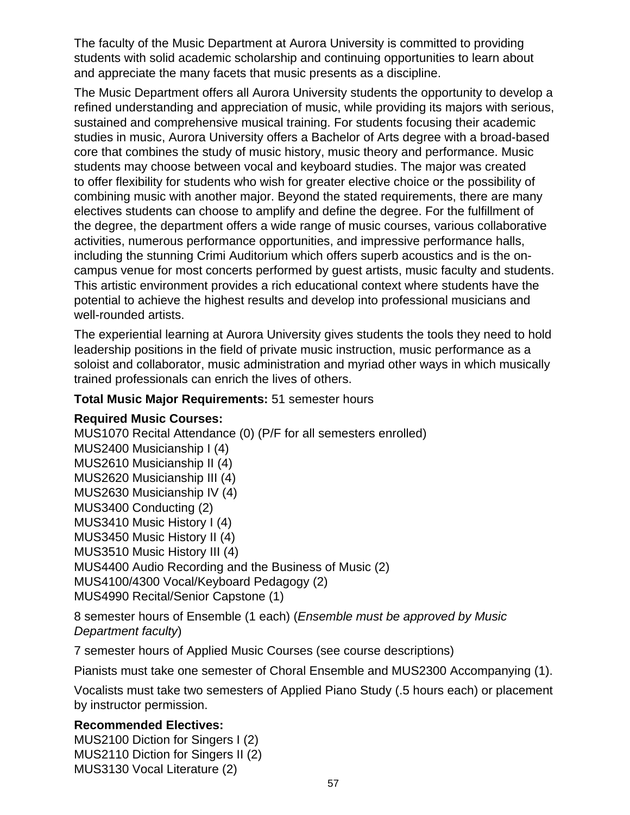The faculty of the Music Department at Aurora University is committed to providing students with solid academic scholarship and continuing opportunities to learn about and appreciate the many facets that music presents as a discipline.

The Music Department offers all Aurora University students the opportunity to develop a refined understanding and appreciation of music, while providing its majors with serious, sustained and comprehensive musical training. For students focusing their academic studies in music, Aurora University offers a Bachelor of Arts degree with a broad-based core that combines the study of music history, music theory and performance. Music students may choose between vocal and keyboard studies. The major was created to offer flexibility for students who wish for greater elective choice or the possibility of combining music with another major. Beyond the stated requirements, there are many electives students can choose to amplify and define the degree. For the fulfillment of the degree, the department offers a wide range of music courses, various collaborative activities, numerous performance opportunities, and impressive performance halls, including the stunning Crimi Auditorium which offers superb acoustics and is the oncampus venue for most concerts performed by guest artists, music faculty and students. This artistic environment provides a rich educational context where students have the potential to achieve the highest results and develop into professional musicians and well-rounded artists.

The experiential learning at Aurora University gives students the tools they need to hold leadership positions in the field of private music instruction, music performance as a soloist and collaborator, music administration and myriad other ways in which musically trained professionals can enrich the lives of others.

#### **Total Music Major Requirements:** 51 semester hours

#### **Required Music Courses:**

MUS1070 Recital Attendance (0) (P/F for all semesters enrolled) MUS2400 Musicianship I (4) MUS2610 Musicianship II (4) MUS2620 Musicianship III (4) MUS2630 Musicianship IV (4) MUS3400 Conducting (2) MUS3410 Music History I (4) MUS3450 Music History II (4) MUS3510 Music History III (4) MUS4400 Audio Recording and the Business of Music (2) MUS4100/4300 Vocal/Keyboard Pedagogy (2) MUS4990 Recital/Senior Capstone (1)

8 semester hours of Ensemble (1 each) (Ensemble must be approved by Music Department faculty)

7 semester hours of Applied Music Courses (see course descriptions)

Pianists must take one semester of Choral Ensemble and MUS2300 Accompanying (1).

Vocalists must take two semesters of Applied Piano Study (.5 hours each) or placement by instructor permission.

### **Recommended Electives:**

MUS2100 Diction for Singers I (2) MUS2110 Diction for Singers II (2) MUS3130 Vocal Literature (2)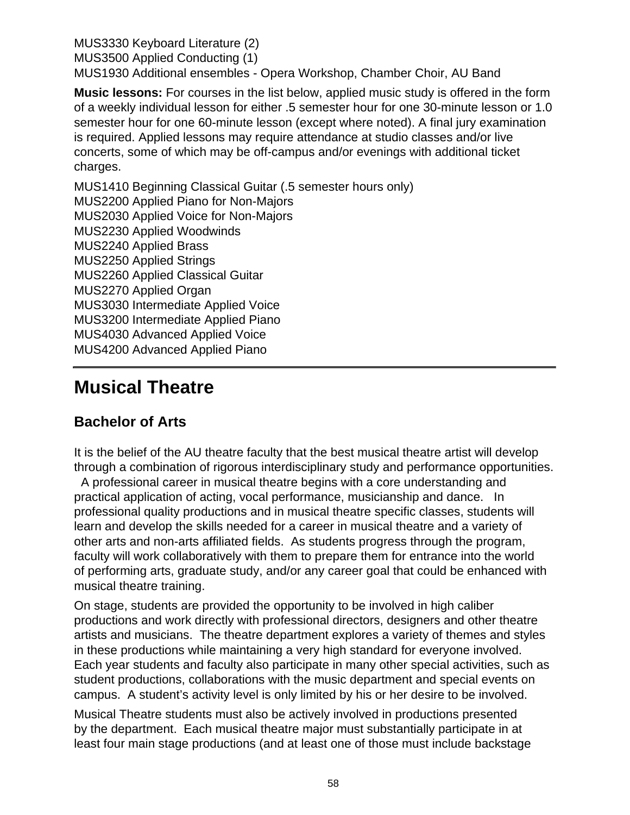MUS3330 Keyboard Literature (2) MUS3500 Applied Conducting (1) MUS1930 Additional ensembles - Opera Workshop, Chamber Choir, AU Band

**Music lessons:** For courses in the list below, applied music study is offered in the form of a weekly individual lesson for either .5 semester hour for one 30-minute lesson or 1.0 semester hour for one 60-minute lesson (except where noted). A final jury examination is required. Applied lessons may require attendance at studio classes and/or live concerts, some of which may be off-campus and/or evenings with additional ticket charges.

MUS1410 Beginning Classical Guitar (.5 semester hours only) MUS2200 Applied Piano for Non-Majors MUS2030 Applied Voice for Non-Majors MUS2230 Applied Woodwinds MUS2240 Applied Brass MUS2250 Applied Strings MUS2260 Applied Classical Guitar MUS2270 Applied Organ MUS3030 Intermediate Applied Voice MUS3200 Intermediate Applied Piano MUS4030 Advanced Applied Voice MUS4200 Advanced Applied Piano

## **Musical Theatre**

### **Bachelor of Arts**

It is the belief of the AU theatre faculty that the best musical theatre artist will develop through a combination of rigorous interdisciplinary study and performance opportunities.

 A professional career in musical theatre begins with a core understanding and practical application of acting, vocal performance, musicianship and dance. In professional quality productions and in musical theatre specific classes, students will learn and develop the skills needed for a career in musical theatre and a variety of other arts and non-arts affiliated fields. As students progress through the program, faculty will work collaboratively with them to prepare them for entrance into the world of performing arts, graduate study, and/or any career goal that could be enhanced with musical theatre training.

On stage, students are provided the opportunity to be involved in high caliber productions and work directly with professional directors, designers and other theatre artists and musicians. The theatre department explores a variety of themes and styles in these productions while maintaining a very high standard for everyone involved. Each year students and faculty also participate in many other special activities, such as student productions, collaborations with the music department and special events on campus. A student's activity level is only limited by his or her desire to be involved.

Musical Theatre students must also be actively involved in productions presented by the department. Each musical theatre major must substantially participate in at least four main stage productions (and at least one of those must include backstage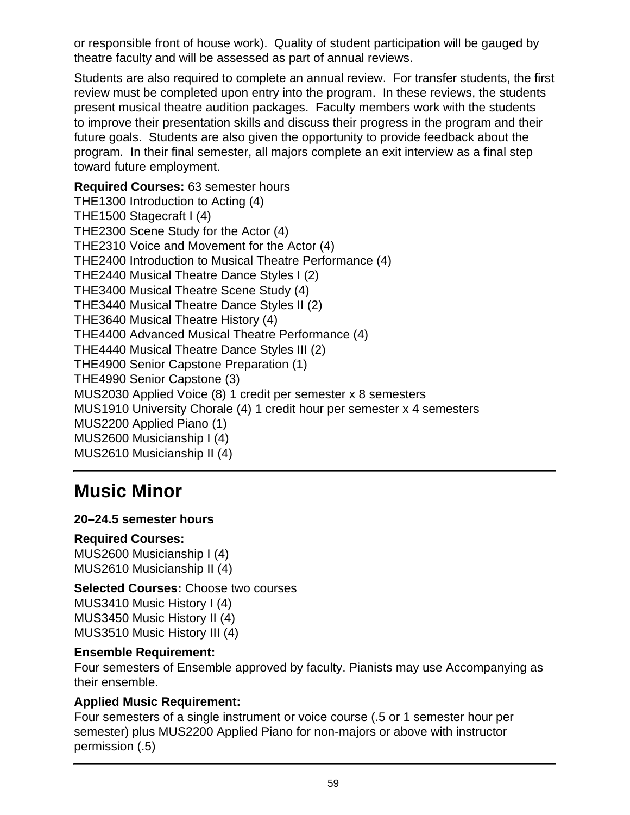or responsible front of house work). Quality of student participation will be gauged by theatre faculty and will be assessed as part of annual reviews.

Students are also required to complete an annual review. For transfer students, the first review must be completed upon entry into the program. In these reviews, the students present musical theatre audition packages. Faculty members work with the students to improve their presentation skills and discuss their progress in the program and their future goals. Students are also given the opportunity to provide feedback about the program. In their final semester, all majors complete an exit interview as a final step toward future employment.

### **Required Courses:** 63 semester hours THE1300 Introduction to Acting (4) THE1500 Stagecraft I (4) THE2300 Scene Study for the Actor (4) THE2310 Voice and Movement for the Actor (4) THE2400 Introduction to Musical Theatre Performance (4) THE2440 Musical Theatre Dance Styles I (2) THE3400 Musical Theatre Scene Study (4) THE3440 Musical Theatre Dance Styles II (2) THE3640 Musical Theatre History (4) THE4400 Advanced Musical Theatre Performance (4) THE4440 Musical Theatre Dance Styles III (2) THE4900 Senior Capstone Preparation (1) THE4990 Senior Capstone (3) MUS2030 Applied Voice (8) 1 credit per semester x 8 semesters MUS1910 University Chorale (4) 1 credit hour per semester x 4 semesters MUS2200 Applied Piano (1) MUS2600 Musicianship I (4) MUS2610 Musicianship II (4)

# **Music Minor**

### **20–24.5 semester hours**

### **Required Courses:**

MUS2600 Musicianship I (4) MUS2610 Musicianship II (4)

## **Selected Courses:** Choose two courses

MUS3410 Music History I (4) MUS3450 Music History II (4) MUS3510 Music History III (4)

### **Ensemble Requirement:**

Four semesters of Ensemble approved by faculty. Pianists may use Accompanying as their ensemble.

### **Applied Music Requirement:**

Four semesters of a single instrument or voice course (.5 or 1 semester hour per semester) plus MUS2200 Applied Piano for non-majors or above with instructor permission (.5)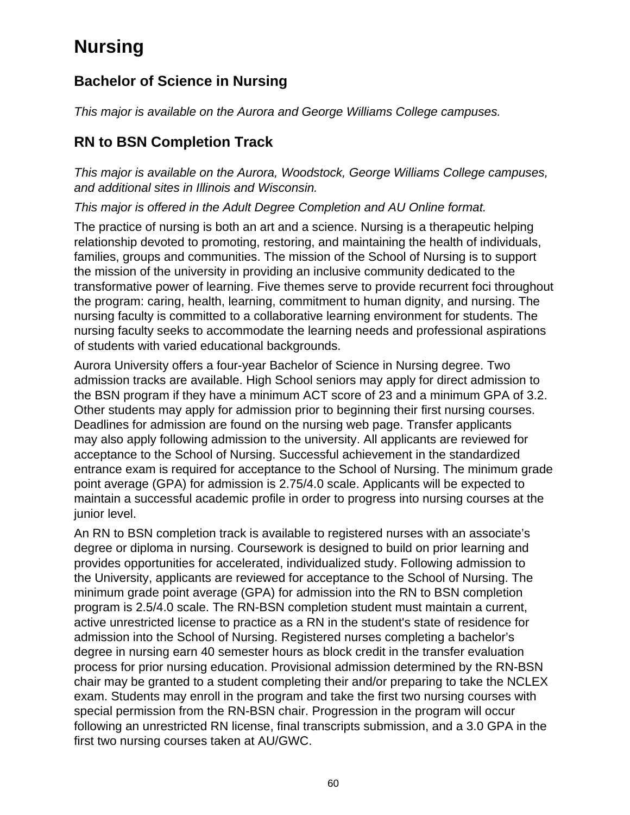# **Nursing**

## **Bachelor of Science in Nursing**

This major is available on the Aurora and George Williams College campuses.

## **RN to BSN Completion Track**

This major is available on the Aurora, Woodstock, George Williams College campuses, and additional sites in Illinois and Wisconsin.

This major is offered in the Adult Degree Completion and AU Online format.

The practice of nursing is both an art and a science. Nursing is a therapeutic helping relationship devoted to promoting, restoring, and maintaining the health of individuals, families, groups and communities. The mission of the School of Nursing is to support the mission of the university in providing an inclusive community dedicated to the transformative power of learning. Five themes serve to provide recurrent foci throughout the program: caring, health, learning, commitment to human dignity, and nursing. The nursing faculty is committed to a collaborative learning environment for students. The nursing faculty seeks to accommodate the learning needs and professional aspirations of students with varied educational backgrounds.

Aurora University offers a four-year Bachelor of Science in Nursing degree. Two admission tracks are available. High School seniors may apply for direct admission to the BSN program if they have a minimum ACT score of 23 and a minimum GPA of 3.2. Other students may apply for admission prior to beginning their first nursing courses. Deadlines for admission are found on the nursing web page. Transfer applicants may also apply following admission to the university. All applicants are reviewed for acceptance to the School of Nursing. Successful achievement in the standardized entrance exam is required for acceptance to the School of Nursing. The minimum grade point average (GPA) for admission is 2.75/4.0 scale. Applicants will be expected to maintain a successful academic profile in order to progress into nursing courses at the junior level.

An RN to BSN completion track is available to registered nurses with an associate's degree or diploma in nursing. Coursework is designed to build on prior learning and provides opportunities for accelerated, individualized study. Following admission to the University, applicants are reviewed for acceptance to the School of Nursing. The minimum grade point average (GPA) for admission into the RN to BSN completion program is 2.5/4.0 scale. The RN-BSN completion student must maintain a current, active unrestricted license to practice as a RN in the student's state of residence for admission into the School of Nursing. Registered nurses completing a bachelor's degree in nursing earn 40 semester hours as block credit in the transfer evaluation process for prior nursing education. Provisional admission determined by the RN-BSN chair may be granted to a student completing their and/or preparing to take the NCLEX exam. Students may enroll in the program and take the first two nursing courses with special permission from the RN-BSN chair. Progression in the program will occur following an unrestricted RN license, final transcripts submission, and a 3.0 GPA in the first two nursing courses taken at AU/GWC.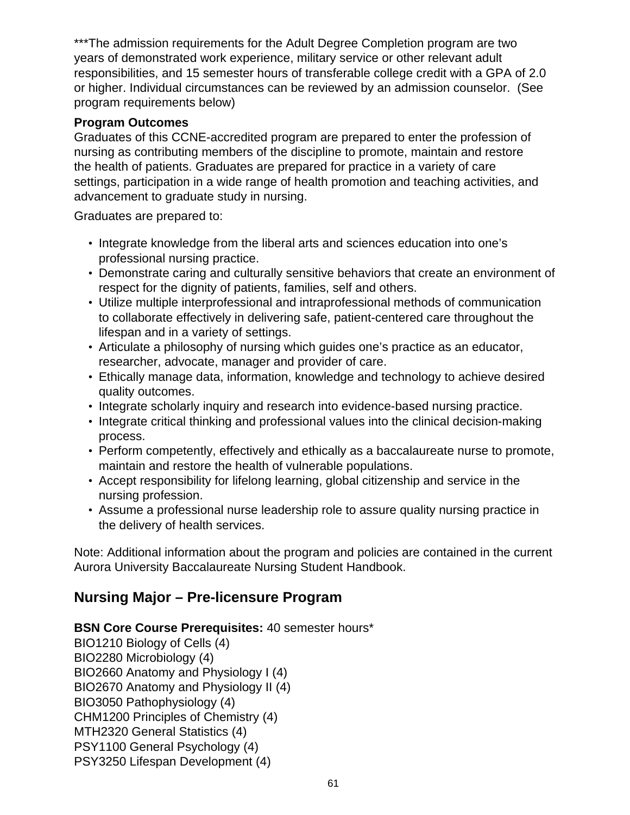\*\*\*The admission requirements for the Adult Degree Completion program are two years of demonstrated work experience, military service or other relevant adult responsibilities, and 15 semester hours of transferable college credit with a GPA of 2.0 or higher. Individual circumstances can be reviewed by an admission counselor. (See program requirements below)

#### **Program Outcomes**

Graduates of this CCNE-accredited program are prepared to enter the profession of nursing as contributing members of the discipline to promote, maintain and restore the health of patients. Graduates are prepared for practice in a variety of care settings, participation in a wide range of health promotion and teaching activities, and advancement to graduate study in nursing.

Graduates are prepared to:

- Integrate knowledge from the liberal arts and sciences education into one's professional nursing practice.
- Demonstrate caring and culturally sensitive behaviors that create an environment of respect for the dignity of patients, families, self and others.
- Utilize multiple interprofessional and intraprofessional methods of communication to collaborate effectively in delivering safe, patient-centered care throughout the lifespan and in a variety of settings.
- Articulate a philosophy of nursing which guides one's practice as an educator, researcher, advocate, manager and provider of care.
- Ethically manage data, information, knowledge and technology to achieve desired quality outcomes.
- Integrate scholarly inquiry and research into evidence-based nursing practice.
- Integrate critical thinking and professional values into the clinical decision-making process.
- Perform competently, effectively and ethically as a baccalaureate nurse to promote, maintain and restore the health of vulnerable populations.
- Accept responsibility for lifelong learning, global citizenship and service in the nursing profession.
- Assume a professional nurse leadership role to assure quality nursing practice in the delivery of health services.

Note: Additional information about the program and policies are contained in the current Aurora University Baccalaureate Nursing Student Handbook.

### **Nursing Major – Pre-licensure Program**

### **BSN Core Course Prerequisites:** 40 semester hours\*

BIO1210 Biology of Cells (4) BIO2280 Microbiology (4) BIO2660 Anatomy and Physiology I (4) BIO2670 Anatomy and Physiology II (4) BIO3050 Pathophysiology (4) CHM1200 Principles of Chemistry (4) MTH2320 General Statistics (4) PSY1100 General Psychology (4) PSY3250 Lifespan Development (4)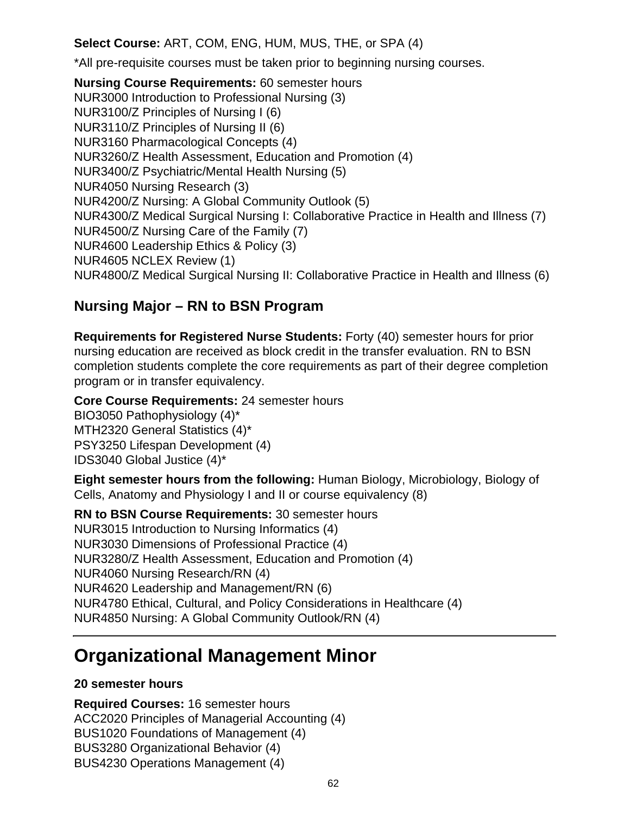**Select Course:** ART, COM, ENG, HUM, MUS, THE, or SPA (4)

\*All pre-requisite courses must be taken prior to beginning nursing courses.

**Nursing Course Requirements:** 60 semester hours NUR3000 Introduction to Professional Nursing (3) NUR3100/Z Principles of Nursing I (6) NUR3110/Z Principles of Nursing II (6) NUR3160 Pharmacological Concepts (4) NUR3260/Z Health Assessment, Education and Promotion (4) NUR3400/Z Psychiatric/Mental Health Nursing (5) NUR4050 Nursing Research (3) NUR4200/Z Nursing: A Global Community Outlook (5) NUR4300/Z Medical Surgical Nursing I: Collaborative Practice in Health and Illness (7) NUR4500/Z Nursing Care of the Family (7) NUR4600 Leadership Ethics & Policy (3) NUR4605 NCLEX Review (1) NUR4800/Z Medical Surgical Nursing II: Collaborative Practice in Health and Illness (6)

### **Nursing Major – RN to BSN Program**

**Requirements for Registered Nurse Students:** Forty (40) semester hours for prior nursing education are received as block credit in the transfer evaluation. RN to BSN completion students complete the core requirements as part of their degree completion program or in transfer equivalency.

**Core Course Requirements:** 24 semester hours BIO3050 Pathophysiology (4)\* MTH2320 General Statistics (4)\* PSY3250 Lifespan Development (4) IDS3040 Global Justice (4)\*

**Eight semester hours from the following:** Human Biology, Microbiology, Biology of Cells, Anatomy and Physiology I and II or course equivalency (8)

**RN to BSN Course Requirements:** 30 semester hours NUR3015 Introduction to Nursing Informatics (4) NUR3030 Dimensions of Professional Practice (4) NUR3280/Z Health Assessment, Education and Promotion (4) NUR4060 Nursing Research/RN (4) NUR4620 Leadership and Management/RN (6) NUR4780 Ethical, Cultural, and Policy Considerations in Healthcare (4) NUR4850 Nursing: A Global Community Outlook/RN (4)

## **Organizational Management Minor**

### **20 semester hours**

**Required Courses:** 16 semester hours ACC2020 Principles of Managerial Accounting (4) BUS1020 Foundations of Management (4) BUS3280 Organizational Behavior (4) BUS4230 Operations Management (4)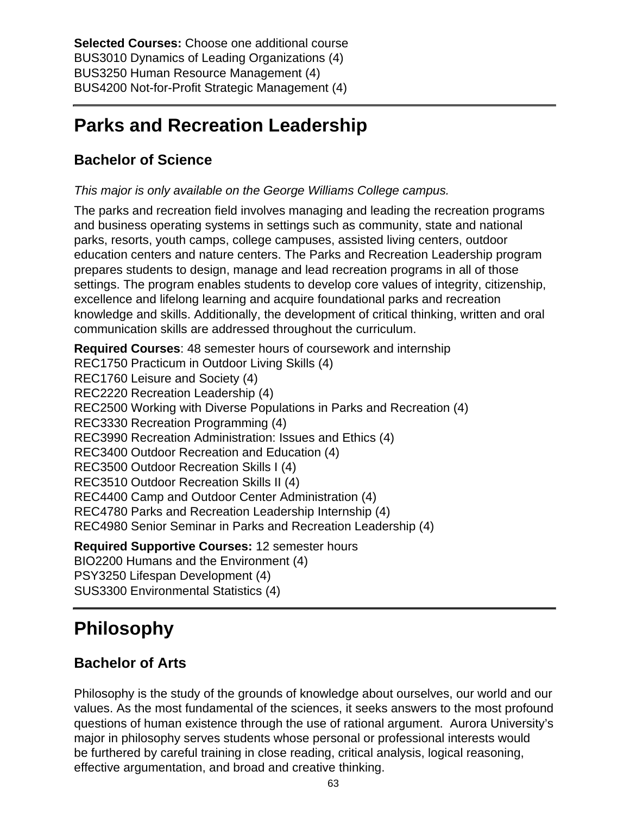**Selected Courses:** Choose one additional course BUS3010 Dynamics of Leading Organizations (4) BUS3250 Human Resource Management (4) BUS4200 Not-for-Profit Strategic Management (4)

## **Parks and Recreation Leadership**

## **Bachelor of Science**

This major is only available on the George Williams College campus.

The parks and recreation field involves managing and leading the recreation programs and business operating systems in settings such as community, state and national parks, resorts, youth camps, college campuses, assisted living centers, outdoor education centers and nature centers. The Parks and Recreation Leadership program prepares students to design, manage and lead recreation programs in all of those settings. The program enables students to develop core values of integrity, citizenship, excellence and lifelong learning and acquire foundational parks and recreation knowledge and skills. Additionally, the development of critical thinking, written and oral communication skills are addressed throughout the curriculum.

**Required Courses**: 48 semester hours of coursework and internship REC1750 Practicum in Outdoor Living Skills (4) REC1760 Leisure and Society (4) REC2220 Recreation Leadership (4) REC2500 Working with Diverse Populations in Parks and Recreation (4) REC3330 Recreation Programming (4) REC3990 Recreation Administration: Issues and Ethics (4) REC3400 Outdoor Recreation and Education (4) REC3500 Outdoor Recreation Skills I (4) REC3510 Outdoor Recreation Skills II (4) REC4400 Camp and Outdoor Center Administration (4) REC4780 Parks and Recreation Leadership Internship (4) REC4980 Senior Seminar in Parks and Recreation Leadership (4) **Required Supportive Courses:** 12 semester hours

BIO2200 Humans and the Environment (4) PSY3250 Lifespan Development (4) SUS3300 Environmental Statistics (4)

# **Philosophy**

## **Bachelor of Arts**

Philosophy is the study of the grounds of knowledge about ourselves, our world and our values. As the most fundamental of the sciences, it seeks answers to the most profound questions of human existence through the use of rational argument. Aurora University's major in philosophy serves students whose personal or professional interests would be furthered by careful training in close reading, critical analysis, logical reasoning, effective argumentation, and broad and creative thinking.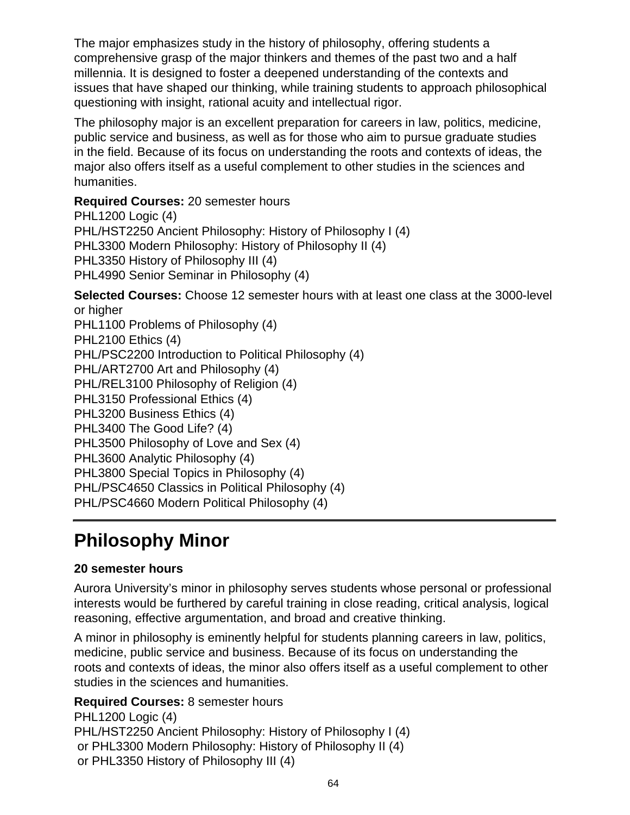The major emphasizes study in the history of philosophy, offering students a comprehensive grasp of the major thinkers and themes of the past two and a half millennia. It is designed to foster a deepened understanding of the contexts and issues that have shaped our thinking, while training students to approach philosophical questioning with insight, rational acuity and intellectual rigor.

The philosophy major is an excellent preparation for careers in law, politics, medicine, public service and business, as well as for those who aim to pursue graduate studies in the field. Because of its focus on understanding the roots and contexts of ideas, the major also offers itself as a useful complement to other studies in the sciences and humanities.

**Required Courses:** 20 semester hours PHL1200 Logic (4) PHL/HST2250 Ancient Philosophy: History of Philosophy I (4) PHL3300 Modern Philosophy: History of Philosophy II (4) PHL3350 History of Philosophy III (4) PHL4990 Senior Seminar in Philosophy (4)

**Selected Courses:** Choose 12 semester hours with at least one class at the 3000-level or higher PHL1100 Problems of Philosophy (4) PHL2100 Ethics (4)

PHL/PSC2200 Introduction to Political Philosophy (4)

PHL/ART2700 Art and Philosophy (4)

PHL/REL3100 Philosophy of Religion (4)

PHL3150 Professional Ethics (4)

PHL3200 Business Ethics (4)

PHL3400 The Good Life? (4)

PHL3500 Philosophy of Love and Sex (4)

PHL3600 Analytic Philosophy (4)

PHL3800 Special Topics in Philosophy (4) PHL/PSC4650 Classics in Political Philosophy (4)

PHL/PSC4660 Modern Political Philosophy (4)

# **Philosophy Minor**

### **20 semester hours**

Aurora University's minor in philosophy serves students whose personal or professional interests would be furthered by careful training in close reading, critical analysis, logical reasoning, effective argumentation, and broad and creative thinking.

A minor in philosophy is eminently helpful for students planning careers in law, politics, medicine, public service and business. Because of its focus on understanding the roots and contexts of ideas, the minor also offers itself as a useful complement to other studies in the sciences and humanities.

**Required Courses:** 8 semester hours PHL1200 Logic (4) PHL/HST2250 Ancient Philosophy: History of Philosophy I (4) or PHL3300 Modern Philosophy: History of Philosophy II (4) or PHL3350 History of Philosophy III (4)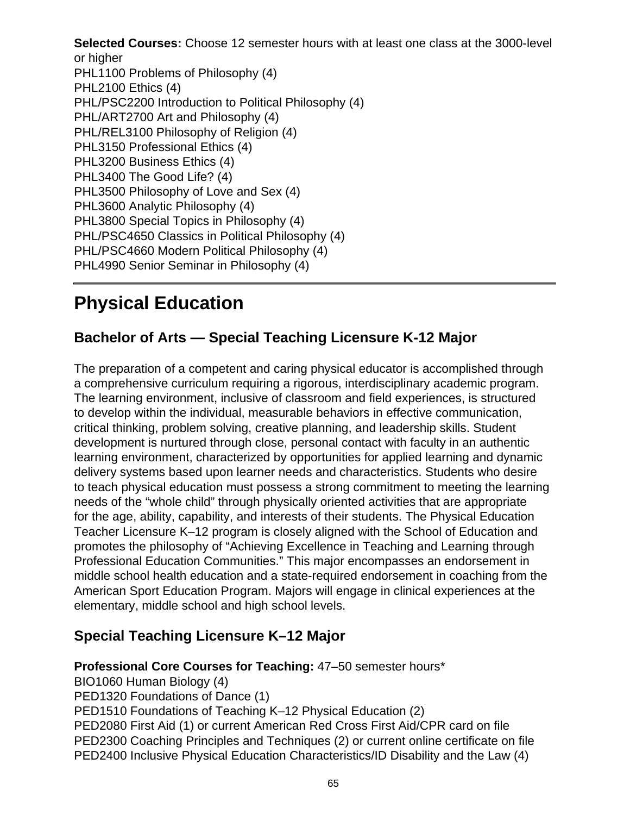**Selected Courses:** Choose 12 semester hours with at least one class at the 3000-level or higher PHL1100 Problems of Philosophy (4) PHL2100 Ethics (4) PHL/PSC2200 Introduction to Political Philosophy (4) PHL/ART2700 Art and Philosophy (4) PHL/REL3100 Philosophy of Religion (4) PHL3150 Professional Ethics (4) PHL3200 Business Ethics (4) PHL3400 The Good Life? (4) PHL3500 Philosophy of Love and Sex (4) PHL3600 Analytic Philosophy (4) PHL3800 Special Topics in Philosophy (4) PHL/PSC4650 Classics in Political Philosophy (4) PHL/PSC4660 Modern Political Philosophy (4) PHL4990 Senior Seminar in Philosophy (4)

# **Physical Education**

### **Bachelor of Arts — Special Teaching Licensure K-12 Major**

The preparation of a competent and caring physical educator is accomplished through a comprehensive curriculum requiring a rigorous, interdisciplinary academic program. The learning environment, inclusive of classroom and field experiences, is structured to develop within the individual, measurable behaviors in effective communication, critical thinking, problem solving, creative planning, and leadership skills. Student development is nurtured through close, personal contact with faculty in an authentic learning environment, characterized by opportunities for applied learning and dynamic delivery systems based upon learner needs and characteristics. Students who desire to teach physical education must possess a strong commitment to meeting the learning needs of the "whole child" through physically oriented activities that are appropriate for the age, ability, capability, and interests of their students. The Physical Education Teacher Licensure K–12 program is closely aligned with the School of Education and promotes the philosophy of "Achieving Excellence in Teaching and Learning through Professional Education Communities." This major encompasses an endorsement in middle school health education and a state-required endorsement in coaching from the American Sport Education Program. Majors will engage in clinical experiences at the elementary, middle school and high school levels.

### **Special Teaching Licensure K–12 Major**

**Professional Core Courses for Teaching:** 47–50 semester hours\*

BIO1060 Human Biology (4) PED1320 Foundations of Dance (1) PED1510 Foundations of Teaching K–12 Physical Education (2) PED2080 First Aid (1) or current American Red Cross First Aid/CPR card on file PED2300 Coaching Principles and Techniques (2) or current online certificate on file PED2400 Inclusive Physical Education Characteristics/ID Disability and the Law (4)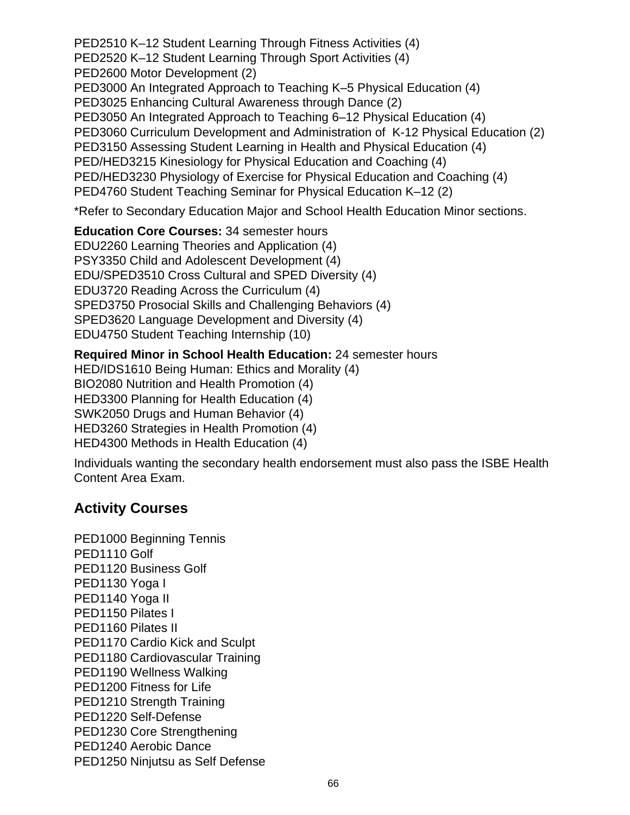PED2510 K–12 Student Learning Through Fitness Activities (4) PED2520 K–12 Student Learning Through Sport Activities (4) PED2600 Motor Development (2) PED3000 An Integrated Approach to Teaching K–5 Physical Education (4) PED3025 Enhancing Cultural Awareness through Dance (2) PED3050 An Integrated Approach to Teaching 6–12 Physical Education (4) PED3060 Curriculum Development and Administration of K-12 Physical Education (2) PED3150 Assessing Student Learning in Health and Physical Education (4) PED/HED3215 Kinesiology for Physical Education and Coaching (4) PED/HED3230 Physiology of Exercise for Physical Education and Coaching (4) PED4760 Student Teaching Seminar for Physical Education K–12 (2)

\*Refer to Secondary Education Major and School Health Education Minor sections.

**Education Core Courses:** 34 semester hours EDU2260 Learning Theories and Application (4) PSY3350 Child and Adolescent Development (4) EDU/SPED3510 Cross Cultural and SPED Diversity (4) EDU3720 Reading Across the Curriculum (4) SPED3750 Prosocial Skills and Challenging Behaviors (4) SPED3620 Language Development and Diversity (4) EDU4750 Student Teaching Internship (10)

**Required Minor in School Health Education:** 24 semester hours HED/IDS1610 Being Human: Ethics and Morality (4) BIO2080 Nutrition and Health Promotion (4) HED3300 Planning for Health Education (4) SWK2050 Drugs and Human Behavior (4) HED3260 Strategies in Health Promotion (4) HED4300 Methods in Health Education (4)

Individuals wanting the secondary health endorsement must also pass the ISBE Health Content Area Exam.

### **Activity Courses**

PED1000 Beginning Tennis PED<sub>1110</sub> Golf PED1120 Business Golf PED1130 Yoga I PED1140 Yoga II PED1150 Pilates I PED1160 Pilates II PED1170 Cardio Kick and Sculpt PED1180 Cardiovascular Training PED1190 Wellness Walking PED1200 Fitness for Life PED1210 Strength Training PED1220 Self-Defense PED1230 Core Strengthening PED1240 Aerobic Dance PED1250 Ninjutsu as Self Defense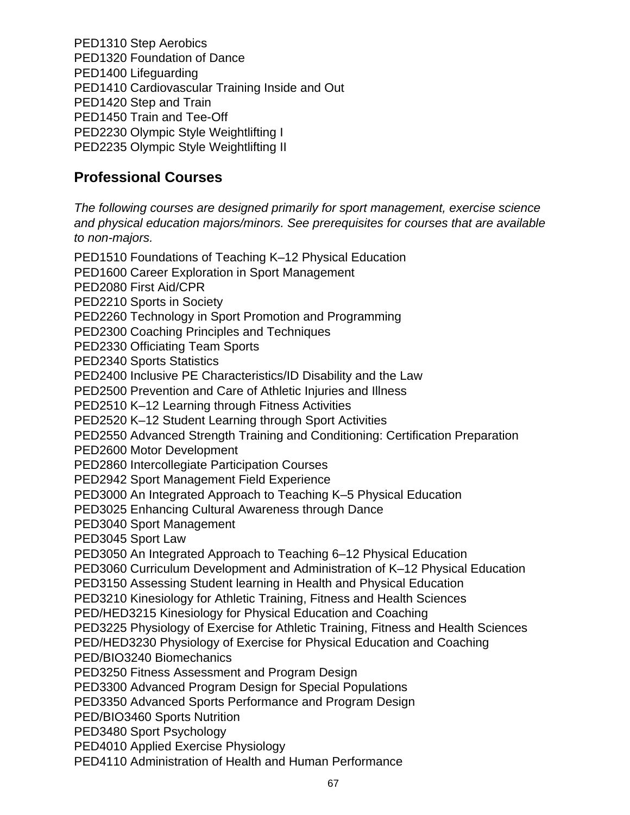PED1310 Step Aerobics PED1320 Foundation of Dance PED1400 Lifeguarding PED1410 Cardiovascular Training Inside and Out PED1420 Step and Train PED1450 Train and Tee-Off PED2230 Olympic Style Weightlifting I PED2235 Olympic Style Weightlifting II

### **Professional Courses**

The following courses are designed primarily for sport management, exercise science and physical education majors/minors. See prerequisites for courses that are available to non-majors.

PED1510 Foundations of Teaching K–12 Physical Education PED1600 Career Exploration in Sport Management PED2080 First Aid/CPR PED2210 Sports in Society PED2260 Technology in Sport Promotion and Programming PED2300 Coaching Principles and Techniques PED2330 Officiating Team Sports PED2340 Sports Statistics PED2400 Inclusive PE Characteristics/ID Disability and the Law PED2500 Prevention and Care of Athletic Injuries and Illness PED2510 K–12 Learning through Fitness Activities PED2520 K–12 Student Learning through Sport Activities PED2550 Advanced Strength Training and Conditioning: Certification Preparation PED2600 Motor Development PED2860 Intercollegiate Participation Courses PED2942 Sport Management Field Experience PED3000 An Integrated Approach to Teaching K–5 Physical Education PED3025 Enhancing Cultural Awareness through Dance PED3040 Sport Management PED3045 Sport Law PED3050 An Integrated Approach to Teaching 6–12 Physical Education PED3060 Curriculum Development and Administration of K–12 Physical Education PED3150 Assessing Student learning in Health and Physical Education PED3210 Kinesiology for Athletic Training, Fitness and Health Sciences PED/HED3215 Kinesiology for Physical Education and Coaching PED3225 Physiology of Exercise for Athletic Training, Fitness and Health Sciences PED/HED3230 Physiology of Exercise for Physical Education and Coaching PED/BIO3240 Biomechanics PED3250 Fitness Assessment and Program Design PED3300 Advanced Program Design for Special Populations PED3350 Advanced Sports Performance and Program Design PED/BIO3460 Sports Nutrition PED3480 Sport Psychology PED4010 Applied Exercise Physiology PED4110 Administration of Health and Human Performance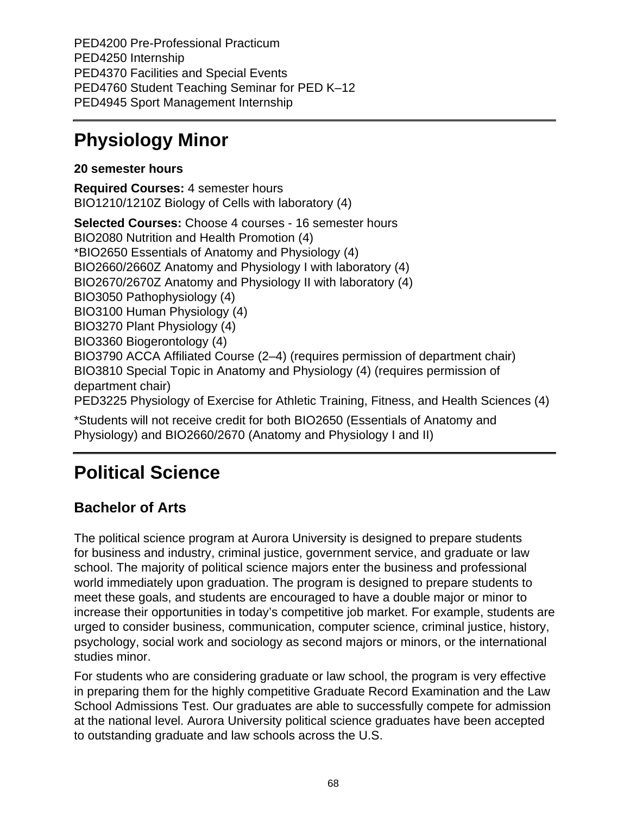PED4200 Pre-Professional Practicum PED4250 Internship PED4370 Facilities and Special Events PED4760 Student Teaching Seminar for PED K–12 PED4945 Sport Management Internship

## **Physiology Minor**

### **20 semester hours**

**Required Courses:** 4 semester hours BIO1210/1210Z Biology of Cells with laboratory (4)

**Selected Courses:** Choose 4 courses - 16 semester hours BIO2080 Nutrition and Health Promotion (4) \*BIO2650 Essentials of Anatomy and Physiology (4) BIO2660/2660Z Anatomy and Physiology I with laboratory (4) BIO2670/2670Z Anatomy and Physiology II with laboratory (4) BIO3050 Pathophysiology (4) BIO3100 Human Physiology (4) BIO3270 Plant Physiology (4) BIO3360 Biogerontology (4) BIO3790 ACCA Affiliated Course (2–4) (requires permission of department chair) BIO3810 Special Topic in Anatomy and Physiology (4) (requires permission of department chair) PED3225 Physiology of Exercise for Athletic Training, Fitness, and Health Sciences (4) \*Students will not receive credit for both BIO2650 (Essentials of Anatomy and

## Physiology) and BIO2660/2670 (Anatomy and Physiology I and II)

# **Political Science**

## **Bachelor of Arts**

The political science program at Aurora University is designed to prepare students for business and industry, criminal justice, government service, and graduate or law school. The majority of political science majors enter the business and professional world immediately upon graduation. The program is designed to prepare students to meet these goals, and students are encouraged to have a double major or minor to increase their opportunities in today's competitive job market. For example, students are urged to consider business, communication, computer science, criminal justice, history, psychology, social work and sociology as second majors or minors, or the international studies minor.

For students who are considering graduate or law school, the program is very effective in preparing them for the highly competitive Graduate Record Examination and the Law School Admissions Test. Our graduates are able to successfully compete for admission at the national level. Aurora University political science graduates have been accepted to outstanding graduate and law schools across the U.S.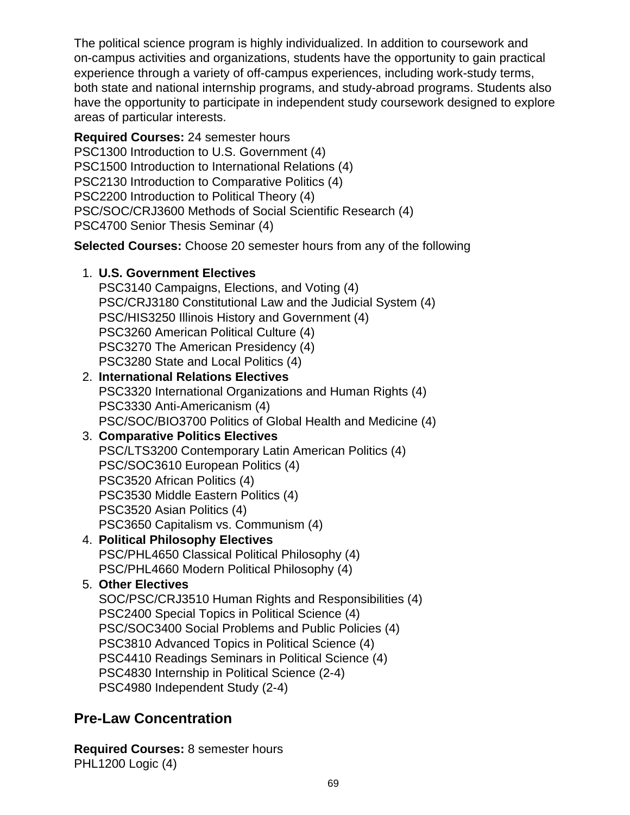The political science program is highly individualized. In addition to coursework and on-campus activities and organizations, students have the opportunity to gain practical experience through a variety of off-campus experiences, including work-study terms, both state and national internship programs, and study-abroad programs. Students also have the opportunity to participate in independent study coursework designed to explore areas of particular interests.

**Required Courses:** 24 semester hours PSC1300 Introduction to U.S. Government (4) PSC1500 Introduction to International Relations (4) PSC2130 Introduction to Comparative Politics (4) PSC2200 Introduction to Political Theory (4) PSC/SOC/CRJ3600 Methods of Social Scientific Research (4) PSC4700 Senior Thesis Seminar (4)

**Selected Courses:** Choose 20 semester hours from any of the following

### 1. **U.S. Government Electives**

PSC3140 Campaigns, Elections, and Voting (4) PSC/CRJ3180 Constitutional Law and the Judicial System (4) PSC/HIS3250 Illinois History and Government (4) PSC3260 American Political Culture (4) PSC3270 The American Presidency (4) PSC3280 State and Local Politics (4)

2. **International Relations Electives** PSC3320 International Organizations and Human Rights (4) PSC3330 Anti-Americanism (4) PSC/SOC/BIO3700 Politics of Global Health and Medicine (4)

### 3. **Comparative Politics Electives** PSC/LTS3200 Contemporary Latin American Politics (4) PSC/SOC3610 European Politics (4) PSC3520 African Politics (4) PSC3530 Middle Eastern Politics (4) PSC3520 Asian Politics (4)

- PSC3650 Capitalism vs. Communism (4) 4. **Political Philosophy Electives**
	- PSC/PHL4650 Classical Political Philosophy (4) PSC/PHL4660 Modern Political Philosophy (4)

### 5. **Other Electives**

SOC/PSC/CRJ3510 Human Rights and Responsibilities (4) PSC2400 Special Topics in Political Science (4) PSC/SOC3400 Social Problems and Public Policies (4) PSC3810 Advanced Topics in Political Science (4) PSC4410 Readings Seminars in Political Science (4) PSC4830 Internship in Political Science (2-4) PSC4980 Independent Study (2-4)

## **Pre-Law Concentration**

**Required Courses:** 8 semester hours PHL1200 Logic (4)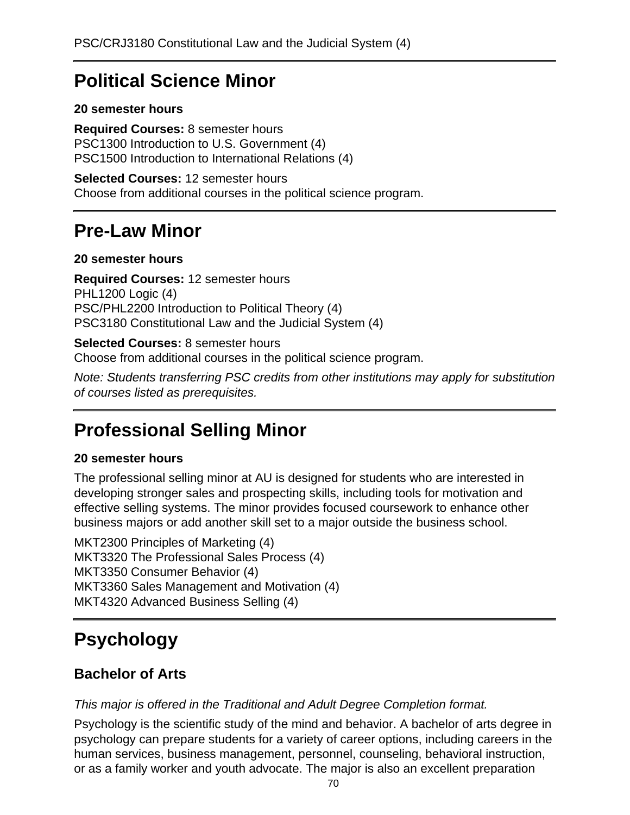## **Political Science Minor**

### **20 semester hours**

**Required Courses:** 8 semester hours PSC1300 Introduction to U.S. Government (4) PSC1500 Introduction to International Relations (4)

**Selected Courses:** 12 semester hours Choose from additional courses in the political science program.

## **Pre-Law Minor**

### **20 semester hours**

**Required Courses:** 12 semester hours PHL1200 Logic (4) PSC/PHL2200 Introduction to Political Theory (4) PSC3180 Constitutional Law and the Judicial System (4)

### **Selected Courses:** 8 semester hours

Choose from additional courses in the political science program.

Note: Students transferring PSC credits from other institutions may apply for substitution of courses listed as prerequisites.

## **Professional Selling Minor**

### **20 semester hours**

The professional selling minor at AU is designed for students who are interested in developing stronger sales and prospecting skills, including tools for motivation and effective selling systems. The minor provides focused coursework to enhance other business majors or add another skill set to a major outside the business school.

MKT2300 Principles of Marketing (4) MKT3320 The Professional Sales Process (4) MKT3350 Consumer Behavior (4) MKT3360 Sales Management and Motivation (4) MKT4320 Advanced Business Selling (4)

# **Psychology**

### **Bachelor of Arts**

This major is offered in the Traditional and Adult Degree Completion format.

Psychology is the scientific study of the mind and behavior. A bachelor of arts degree in psychology can prepare students for a variety of career options, including careers in the human services, business management, personnel, counseling, behavioral instruction, or as a family worker and youth advocate. The major is also an excellent preparation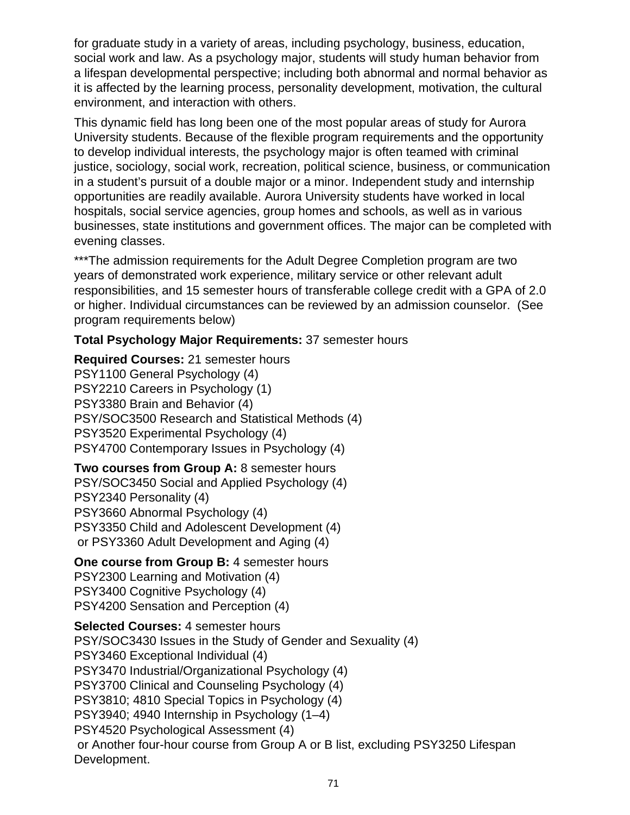for graduate study in a variety of areas, including psychology, business, education, social work and law. As a psychology major, students will study human behavior from a lifespan developmental perspective; including both abnormal and normal behavior as it is affected by the learning process, personality development, motivation, the cultural environment, and interaction with others.

This dynamic field has long been one of the most popular areas of study for Aurora University students. Because of the flexible program requirements and the opportunity to develop individual interests, the psychology major is often teamed with criminal justice, sociology, social work, recreation, political science, business, or communication in a student's pursuit of a double major or a minor. Independent study and internship opportunities are readily available. Aurora University students have worked in local hospitals, social service agencies, group homes and schools, as well as in various businesses, state institutions and government offices. The major can be completed with evening classes.

\*\*\*The admission requirements for the Adult Degree Completion program are two years of demonstrated work experience, military service or other relevant adult responsibilities, and 15 semester hours of transferable college credit with a GPA of 2.0 or higher. Individual circumstances can be reviewed by an admission counselor. (See program requirements below)

### **Total Psychology Major Requirements:** 37 semester hours

**Required Courses:** 21 semester hours PSY1100 General Psychology (4) PSY2210 Careers in Psychology (1) PSY3380 Brain and Behavior (4) PSY/SOC3500 Research and Statistical Methods (4) PSY3520 Experimental Psychology (4) PSY4700 Contemporary Issues in Psychology (4)

**Two courses from Group A:** 8 semester hours PSY/SOC3450 Social and Applied Psychology (4) PSY2340 Personality (4) PSY3660 Abnormal Psychology (4) PSY3350 Child and Adolescent Development (4) or PSY3360 Adult Development and Aging (4)

### **One course from Group B:** 4 semester hours

PSY2300 Learning and Motivation (4) PSY3400 Cognitive Psychology (4) PSY4200 Sensation and Perception (4)

**Selected Courses:** 4 semester hours PSY/SOC3430 Issues in the Study of Gender and Sexuality (4) PSY3460 Exceptional Individual (4) PSY3470 Industrial/Organizational Psychology (4) PSY3700 Clinical and Counseling Psychology (4) PSY3810; 4810 Special Topics in Psychology (4) PSY3940; 4940 Internship in Psychology (1–4) PSY4520 Psychological Assessment (4) or Another four-hour course from Group A or B list, excluding PSY3250 Lifespan Development.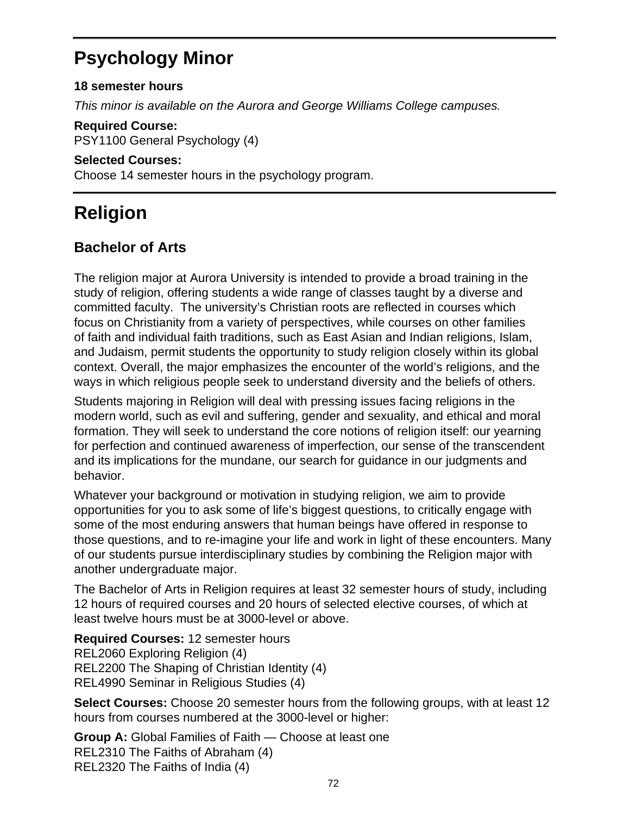## **Psychology Minor**

### **18 semester hours**

This minor is available on the Aurora and George Williams College campuses.

**Required Course:**

PSY1100 General Psychology (4)

#### **Selected Courses:**

Choose 14 semester hours in the psychology program.

# **Religion**

### **Bachelor of Arts**

The religion major at Aurora University is intended to provide a broad training in the study of religion, offering students a wide range of classes taught by a diverse and committed faculty. The university's Christian roots are reflected in courses which focus on Christianity from a variety of perspectives, while courses on other families of faith and individual faith traditions, such as East Asian and Indian religions, Islam, and Judaism, permit students the opportunity to study religion closely within its global context. Overall, the major emphasizes the encounter of the world's religions, and the ways in which religious people seek to understand diversity and the beliefs of others.

Students majoring in Religion will deal with pressing issues facing religions in the modern world, such as evil and suffering, gender and sexuality, and ethical and moral formation. They will seek to understand the core notions of religion itself: our yearning for perfection and continued awareness of imperfection, our sense of the transcendent and its implications for the mundane, our search for guidance in our judgments and behavior.

Whatever your background or motivation in studying religion, we aim to provide opportunities for you to ask some of life's biggest questions, to critically engage with some of the most enduring answers that human beings have offered in response to those questions, and to re-imagine your life and work in light of these encounters. Many of our students pursue interdisciplinary studies by combining the Religion major with another undergraduate major.

The Bachelor of Arts in Religion requires at least 32 semester hours of study, including 12 hours of required courses and 20 hours of selected elective courses, of which at least twelve hours must be at 3000-level or above.

**Required Courses:** 12 semester hours REL2060 Exploring Religion (4) REL2200 The Shaping of Christian Identity (4) REL4990 Seminar in Religious Studies (4)

**Select Courses:** Choose 20 semester hours from the following groups, with at least 12 hours from courses numbered at the 3000-level or higher:

**Group A:** Global Families of Faith — Choose at least one REL2310 The Faiths of Abraham (4) REL2320 The Faiths of India (4)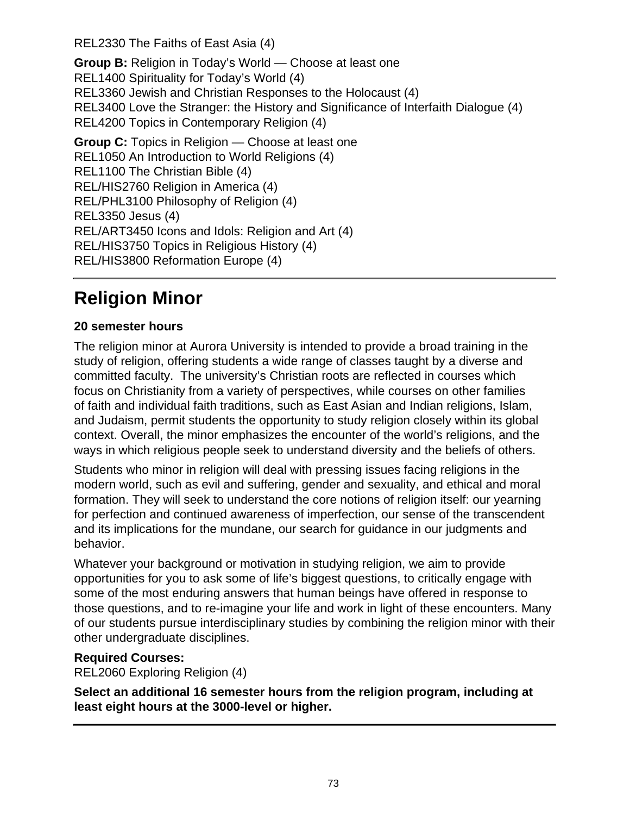REL2330 The Faiths of East Asia (4)

**Group B:** Religion in Today's World — Choose at least one REL1400 Spirituality for Today's World (4) REL3360 Jewish and Christian Responses to the Holocaust (4) REL3400 Love the Stranger: the History and Significance of Interfaith Dialogue (4) REL4200 Topics in Contemporary Religion (4)

**Group C:** Topics in Religion — Choose at least one REL1050 An Introduction to World Religions (4) REL1100 The Christian Bible (4) REL/HIS2760 Religion in America (4) REL/PHL3100 Philosophy of Religion (4) REL3350 Jesus (4) REL/ART3450 Icons and Idols: Religion and Art (4) REL/HIS3750 Topics in Religious History (4) REL/HIS3800 Reformation Europe (4)

# **Religion Minor**

## **20 semester hours**

The religion minor at Aurora University is intended to provide a broad training in the study of religion, offering students a wide range of classes taught by a diverse and committed faculty. The university's Christian roots are reflected in courses which focus on Christianity from a variety of perspectives, while courses on other families of faith and individual faith traditions, such as East Asian and Indian religions, Islam, and Judaism, permit students the opportunity to study religion closely within its global context. Overall, the minor emphasizes the encounter of the world's religions, and the ways in which religious people seek to understand diversity and the beliefs of others.

Students who minor in religion will deal with pressing issues facing religions in the modern world, such as evil and suffering, gender and sexuality, and ethical and moral formation. They will seek to understand the core notions of religion itself: our yearning for perfection and continued awareness of imperfection, our sense of the transcendent and its implications for the mundane, our search for guidance in our judgments and behavior.

Whatever your background or motivation in studying religion, we aim to provide opportunities for you to ask some of life's biggest questions, to critically engage with some of the most enduring answers that human beings have offered in response to those questions, and to re-imagine your life and work in light of these encounters. Many of our students pursue interdisciplinary studies by combining the religion minor with their other undergraduate disciplines.

## **Required Courses:**

REL2060 Exploring Religion (4)

**Select an additional 16 semester hours from the religion program, including at least eight hours at the 3000-level or higher.**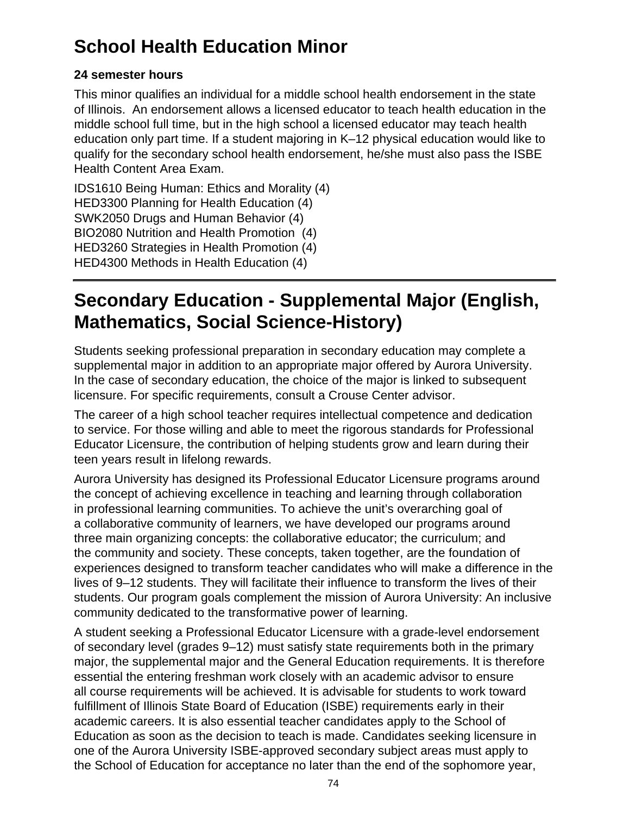# **School Health Education Minor**

## **24 semester hours**

This minor qualifies an individual for a middle school health endorsement in the state of Illinois. An endorsement allows a licensed educator to teach health education in the middle school full time, but in the high school a licensed educator may teach health education only part time. If a student majoring in K–12 physical education would like to qualify for the secondary school health endorsement, he/she must also pass the ISBE Health Content Area Exam.

IDS1610 Being Human: Ethics and Morality (4) HED3300 Planning for Health Education (4) SWK2050 Drugs and Human Behavior (4) BIO2080 Nutrition and Health Promotion (4) HED3260 Strategies in Health Promotion (4) HED4300 Methods in Health Education (4)

# **Secondary Education - Supplemental Major (English, Mathematics, Social Science-History)**

Students seeking professional preparation in secondary education may complete a supplemental major in addition to an appropriate major offered by Aurora University. In the case of secondary education, the choice of the major is linked to subsequent licensure. For specific requirements, consult a Crouse Center advisor.

The career of a high school teacher requires intellectual competence and dedication to service. For those willing and able to meet the rigorous standards for Professional Educator Licensure, the contribution of helping students grow and learn during their teen years result in lifelong rewards.

Aurora University has designed its Professional Educator Licensure programs around the concept of achieving excellence in teaching and learning through collaboration in professional learning communities. To achieve the unit's overarching goal of a collaborative community of learners, we have developed our programs around three main organizing concepts: the collaborative educator; the curriculum; and the community and society. These concepts, taken together, are the foundation of experiences designed to transform teacher candidates who will make a difference in the lives of 9–12 students. They will facilitate their influence to transform the lives of their students. Our program goals complement the mission of Aurora University: An inclusive community dedicated to the transformative power of learning.

A student seeking a Professional Educator Licensure with a grade-level endorsement of secondary level (grades 9–12) must satisfy state requirements both in the primary major, the supplemental major and the General Education requirements. It is therefore essential the entering freshman work closely with an academic advisor to ensure all course requirements will be achieved. It is advisable for students to work toward fulfillment of Illinois State Board of Education (ISBE) requirements early in their academic careers. It is also essential teacher candidates apply to the School of Education as soon as the decision to teach is made. Candidates seeking licensure in one of the Aurora University ISBE-approved secondary subject areas must apply to the School of Education for acceptance no later than the end of the sophomore year,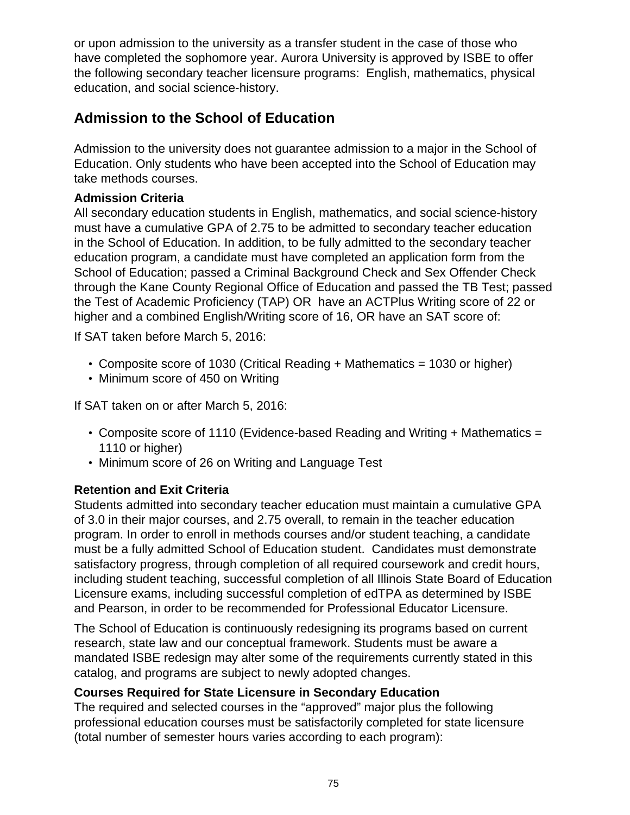or upon admission to the university as a transfer student in the case of those who have completed the sophomore year. Aurora University is approved by ISBE to offer the following secondary teacher licensure programs: English, mathematics, physical education, and social science-history.

# **Admission to the School of Education**

Admission to the university does not guarantee admission to a major in the School of Education. Only students who have been accepted into the School of Education may take methods courses.

### **Admission Criteria**

All secondary education students in English, mathematics, and social science-history must have a cumulative GPA of 2.75 to be admitted to secondary teacher education in the School of Education. In addition, to be fully admitted to the secondary teacher education program, a candidate must have completed an application form from the School of Education; passed a Criminal Background Check and Sex Offender Check through the Kane County Regional Office of Education and passed the TB Test; passed the Test of Academic Proficiency (TAP) OR have an ACTPlus Writing score of 22 or higher and a combined English/Writing score of 16, OR have an SAT score of:

If SAT taken before March 5, 2016:

- Composite score of 1030 (Critical Reading + Mathematics = 1030 or higher)
- Minimum score of 450 on Writing

If SAT taken on or after March 5, 2016:

- Composite score of 1110 (Evidence-based Reading and Writing + Mathematics = 1110 or higher)
- Minimum score of 26 on Writing and Language Test

## **Retention and Exit Criteria**

Students admitted into secondary teacher education must maintain a cumulative GPA of 3.0 in their major courses, and 2.75 overall, to remain in the teacher education program. In order to enroll in methods courses and/or student teaching, a candidate must be a fully admitted School of Education student. Candidates must demonstrate satisfactory progress, through completion of all required coursework and credit hours, including student teaching, successful completion of all Illinois State Board of Education Licensure exams, including successful completion of edTPA as determined by ISBE and Pearson, in order to be recommended for Professional Educator Licensure.

The School of Education is continuously redesigning its programs based on current research, state law and our conceptual framework. Students must be aware a mandated ISBE redesign may alter some of the requirements currently stated in this catalog, and programs are subject to newly adopted changes.

## **Courses Required for State Licensure in Secondary Education**

The required and selected courses in the "approved" major plus the following professional education courses must be satisfactorily completed for state licensure (total number of semester hours varies according to each program):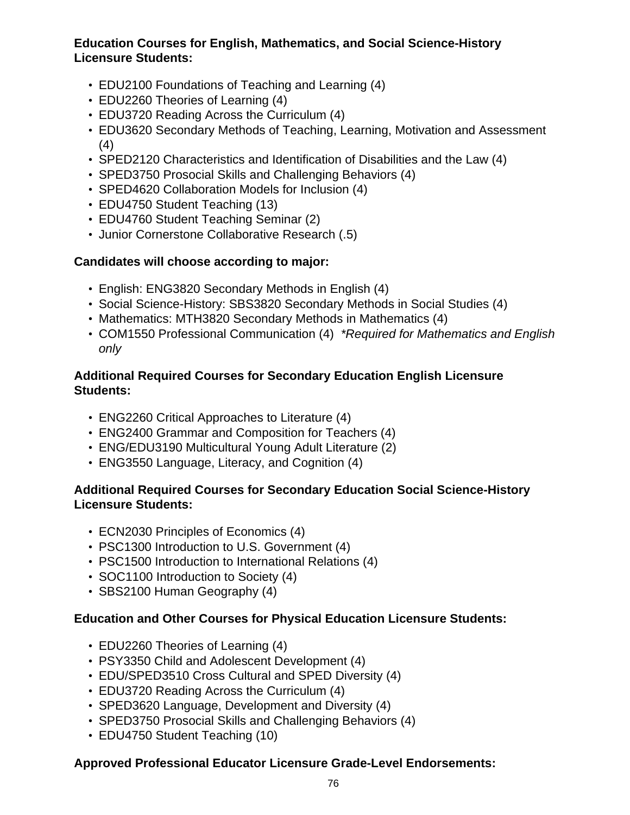### **Education Courses for English, Mathematics, and Social Science-History Licensure Students:**

- EDU2100 Foundations of Teaching and Learning (4)
- EDU2260 Theories of Learning (4)
- EDU3720 Reading Across the Curriculum (4)
- EDU3620 Secondary Methods of Teaching, Learning, Motivation and Assessment (4)
- SPED2120 Characteristics and Identification of Disabilities and the Law (4)
- SPED3750 Prosocial Skills and Challenging Behaviors (4)
- SPED4620 Collaboration Models for Inclusion (4)
- EDU4750 Student Teaching (13)
- EDU4760 Student Teaching Seminar (2)
- Junior Cornerstone Collaborative Research (.5)

## **Candidates will choose according to major:**

- English: ENG3820 Secondary Methods in English (4)
- Social Science-History: SBS3820 Secondary Methods in Social Studies (4)
- Mathematics: MTH3820 Secondary Methods in Mathematics (4)
- COM1550 Professional Communication (4) \*Required for Mathematics and English only

### **Additional Required Courses for Secondary Education English Licensure Students:**

- ENG2260 Critical Approaches to Literature (4)
- ENG2400 Grammar and Composition for Teachers (4)
- ENG/EDU3190 Multicultural Young Adult Literature (2)
- ENG3550 Language, Literacy, and Cognition (4)

### **Additional Required Courses for Secondary Education Social Science-History Licensure Students:**

- ECN2030 Principles of Economics (4)
- PSC1300 Introduction to U.S. Government (4)
- PSC1500 Introduction to International Relations (4)
- SOC1100 Introduction to Society (4)
- SBS2100 Human Geography (4)

### **Education and Other Courses for Physical Education Licensure Students:**

- EDU2260 Theories of Learning (4)
- PSY3350 Child and Adolescent Development (4)
- EDU/SPED3510 Cross Cultural and SPED Diversity (4)
- EDU3720 Reading Across the Curriculum (4)
- SPED3620 Language, Development and Diversity (4)
- SPED3750 Prosocial Skills and Challenging Behaviors (4)
- EDU4750 Student Teaching (10)

## **Approved Professional Educator Licensure Grade-Level Endorsements:**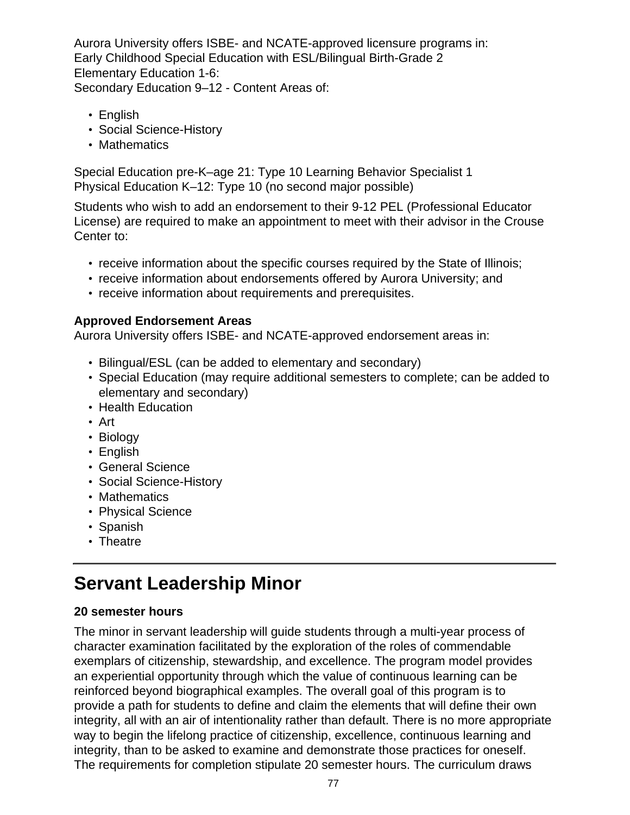Aurora University offers ISBE- and NCATE-approved licensure programs in: Early Childhood Special Education with ESL/Bilingual Birth-Grade 2 Elementary Education 1-6: Secondary Education 9–12 - Content Areas of:

- English
- Social Science-History
- Mathematics

Special Education pre-K–age 21: Type 10 Learning Behavior Specialist 1 Physical Education K–12: Type 10 (no second major possible)

Students who wish to add an endorsement to their 9-12 PEL (Professional Educator License) are required to make an appointment to meet with their advisor in the Crouse Center to:

- receive information about the specific courses required by the State of Illinois;
- receive information about endorsements offered by Aurora University; and
- receive information about requirements and prerequisites.

## **Approved Endorsement Areas**

Aurora University offers ISBE- and NCATE-approved endorsement areas in:

- Bilingual/ESL (can be added to elementary and secondary)
- Special Education (may require additional semesters to complete; can be added to elementary and secondary)
- Health Education
- Art
- Biology
- English
- General Science
- Social Science-History
- Mathematics
- Physical Science
- Spanish
- Theatre

# **Servant Leadership Minor**

## **20 semester hours**

The minor in servant leadership will guide students through a multi-year process of character examination facilitated by the exploration of the roles of commendable exemplars of citizenship, stewardship, and excellence. The program model provides an experiential opportunity through which the value of continuous learning can be reinforced beyond biographical examples. The overall goal of this program is to provide a path for students to define and claim the elements that will define their own integrity, all with an air of intentionality rather than default. There is no more appropriate way to begin the lifelong practice of citizenship, excellence, continuous learning and integrity, than to be asked to examine and demonstrate those practices for oneself. The requirements for completion stipulate 20 semester hours. The curriculum draws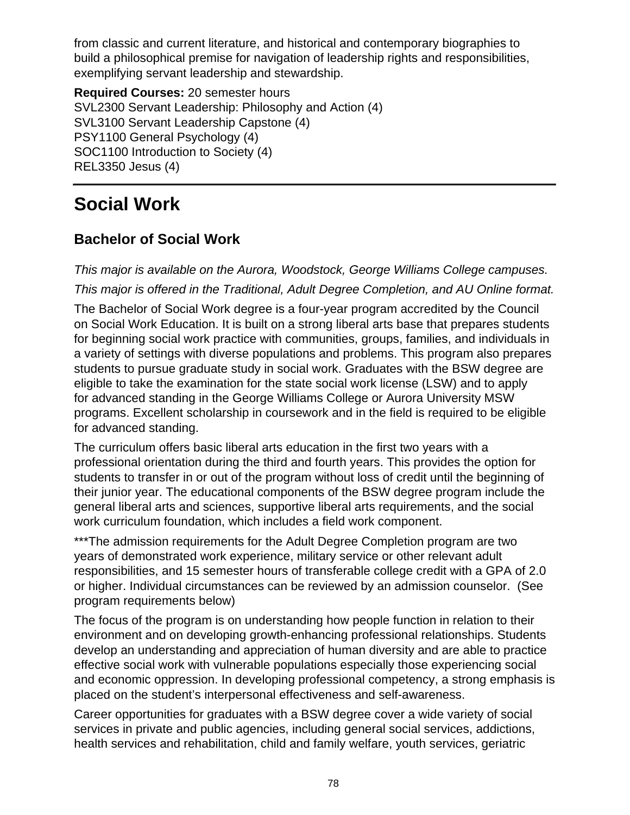from classic and current literature, and historical and contemporary biographies to build a philosophical premise for navigation of leadership rights and responsibilities, exemplifying servant leadership and stewardship.

**Required Courses:** 20 semester hours SVL2300 Servant Leadership: Philosophy and Action (4) SVL3100 Servant Leadership Capstone (4) PSY1100 General Psychology (4) SOC1100 Introduction to Society (4) REL3350 Jesus (4)

# **Social Work**

# **Bachelor of Social Work**

This major is available on the Aurora, Woodstock, George Williams College campuses.

This major is offered in the Traditional, Adult Degree Completion, and AU Online format.

The Bachelor of Social Work degree is a four-year program accredited by the Council on Social Work Education. It is built on a strong liberal arts base that prepares students for beginning social work practice with communities, groups, families, and individuals in a variety of settings with diverse populations and problems. This program also prepares students to pursue graduate study in social work. Graduates with the BSW degree are eligible to take the examination for the state social work license (LSW) and to apply for advanced standing in the George Williams College or Aurora University MSW programs. Excellent scholarship in coursework and in the field is required to be eligible for advanced standing.

The curriculum offers basic liberal arts education in the first two years with a professional orientation during the third and fourth years. This provides the option for students to transfer in or out of the program without loss of credit until the beginning of their junior year. The educational components of the BSW degree program include the general liberal arts and sciences, supportive liberal arts requirements, and the social work curriculum foundation, which includes a field work component.

\*\*\*The admission requirements for the Adult Degree Completion program are two years of demonstrated work experience, military service or other relevant adult responsibilities, and 15 semester hours of transferable college credit with a GPA of 2.0 or higher. Individual circumstances can be reviewed by an admission counselor. (See program requirements below)

The focus of the program is on understanding how people function in relation to their environment and on developing growth-enhancing professional relationships. Students develop an understanding and appreciation of human diversity and are able to practice effective social work with vulnerable populations especially those experiencing social and economic oppression. In developing professional competency, a strong emphasis is placed on the student's interpersonal effectiveness and self-awareness.

Career opportunities for graduates with a BSW degree cover a wide variety of social services in private and public agencies, including general social services, addictions, health services and rehabilitation, child and family welfare, youth services, geriatric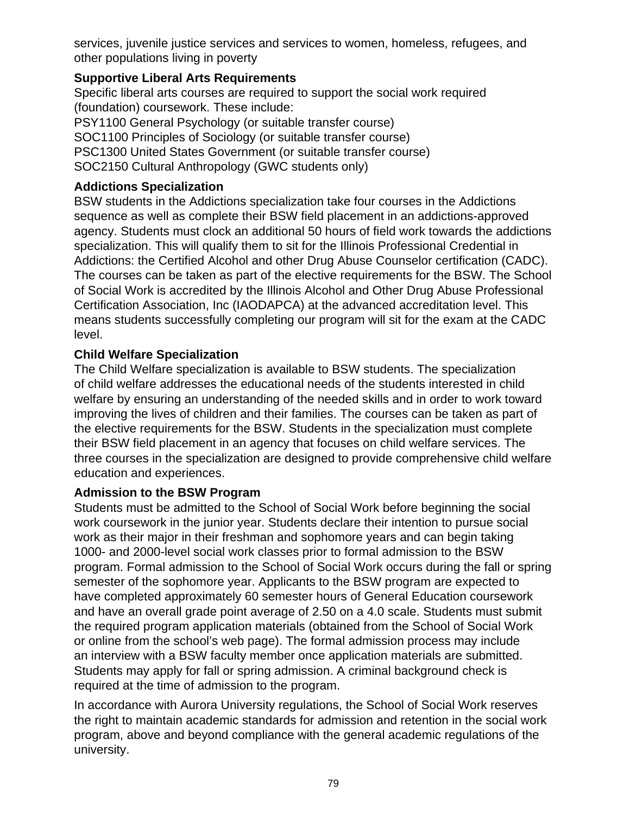services, juvenile justice services and services to women, homeless, refugees, and other populations living in poverty

### **Supportive Liberal Arts Requirements**

Specific liberal arts courses are required to support the social work required (foundation) coursework. These include: PSY1100 General Psychology (or suitable transfer course) SOC1100 Principles of Sociology (or suitable transfer course)

PSC1300 United States Government (or suitable transfer course)

SOC2150 Cultural Anthropology (GWC students only)

## **Addictions Specialization**

BSW students in the Addictions specialization take four courses in the Addictions sequence as well as complete their BSW field placement in an addictions-approved agency. Students must clock an additional 50 hours of field work towards the addictions specialization. This will qualify them to sit for the Illinois Professional Credential in Addictions: the Certified Alcohol and other Drug Abuse Counselor certification (CADC). The courses can be taken as part of the elective requirements for the BSW. The School of Social Work is accredited by the Illinois Alcohol and Other Drug Abuse Professional Certification Association, Inc (IAODAPCA) at the advanced accreditation level. This means students successfully completing our program will sit for the exam at the CADC level.

## **Child Welfare Specialization**

The Child Welfare specialization is available to BSW students. The specialization of child welfare addresses the educational needs of the students interested in child welfare by ensuring an understanding of the needed skills and in order to work toward improving the lives of children and their families. The courses can be taken as part of the elective requirements for the BSW. Students in the specialization must complete their BSW field placement in an agency that focuses on child welfare services. The three courses in the specialization are designed to provide comprehensive child welfare education and experiences.

### **Admission to the BSW Program**

Students must be admitted to the School of Social Work before beginning the social work coursework in the junior year. Students declare their intention to pursue social work as their major in their freshman and sophomore years and can begin taking 1000- and 2000-level social work classes prior to formal admission to the BSW program. Formal admission to the School of Social Work occurs during the fall or spring semester of the sophomore year. Applicants to the BSW program are expected to have completed approximately 60 semester hours of General Education coursework and have an overall grade point average of 2.50 on a 4.0 scale. Students must submit the required program application materials (obtained from the School of Social Work or online from the school's web page). The formal admission process may include an interview with a BSW faculty member once application materials are submitted. Students may apply for fall or spring admission. A criminal background check is required at the time of admission to the program.

In accordance with Aurora University regulations, the School of Social Work reserves the right to maintain academic standards for admission and retention in the social work program, above and beyond compliance with the general academic regulations of the university.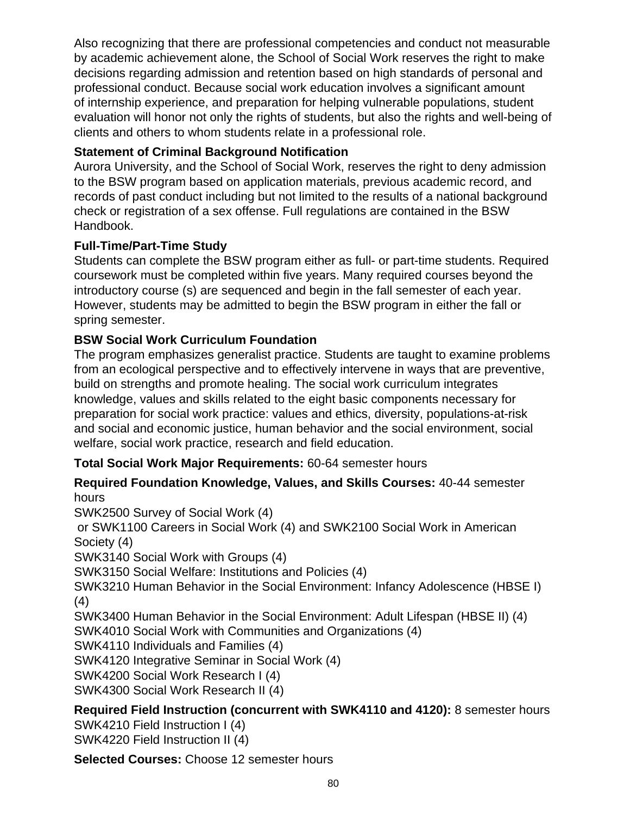Also recognizing that there are professional competencies and conduct not measurable by academic achievement alone, the School of Social Work reserves the right to make decisions regarding admission and retention based on high standards of personal and professional conduct. Because social work education involves a significant amount of internship experience, and preparation for helping vulnerable populations, student evaluation will honor not only the rights of students, but also the rights and well-being of clients and others to whom students relate in a professional role.

## **Statement of Criminal Background Notification**

Aurora University, and the School of Social Work, reserves the right to deny admission to the BSW program based on application materials, previous academic record, and records of past conduct including but not limited to the results of a national background check or registration of a sex offense. Full regulations are contained in the BSW Handbook.

## **Full-Time/Part-Time Study**

Students can complete the BSW program either as full- or part-time students. Required coursework must be completed within five years. Many required courses beyond the introductory course (s) are sequenced and begin in the fall semester of each year. However, students may be admitted to begin the BSW program in either the fall or spring semester.

## **BSW Social Work Curriculum Foundation**

The program emphasizes generalist practice. Students are taught to examine problems from an ecological perspective and to effectively intervene in ways that are preventive, build on strengths and promote healing. The social work curriculum integrates knowledge, values and skills related to the eight basic components necessary for preparation for social work practice: values and ethics, diversity, populations-at-risk and social and economic justice, human behavior and the social environment, social welfare, social work practice, research and field education.

## **Total Social Work Major Requirements:** 60-64 semester hours

### **Required Foundation Knowledge, Values, and Skills Courses:** 40-44 semester hours

SWK2500 Survey of Social Work (4)

 or SWK1100 Careers in Social Work (4) and SWK2100 Social Work in American Society (4)

SWK3140 Social Work with Groups (4)

SWK3150 Social Welfare: Institutions and Policies (4)

SWK3210 Human Behavior in the Social Environment: Infancy Adolescence (HBSE I) (4)

SWK3400 Human Behavior in the Social Environment: Adult Lifespan (HBSE II) (4) SWK4010 Social Work with Communities and Organizations (4)

SWK4110 Individuals and Families (4)

SWK4120 Integrative Seminar in Social Work (4)

SWK4200 Social Work Research I (4)

SWK4300 Social Work Research II (4)

### **Required Field Instruction (concurrent with SWK4110 and 4120):** 8 semester hours SWK4210 Field Instruction I (4)

SWK4220 Field Instruction II (4)

**Selected Courses:** Choose 12 semester hours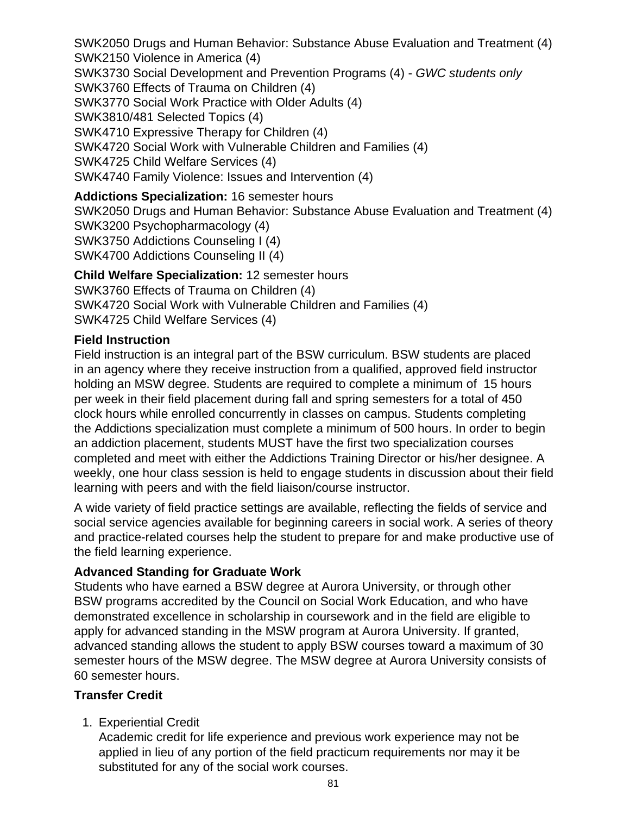SWK2050 Drugs and Human Behavior: Substance Abuse Evaluation and Treatment (4) SWK2150 Violence in America (4) SWK3730 Social Development and Prevention Programs (4) - GWC students only SWK3760 Effects of Trauma on Children (4) SWK3770 Social Work Practice with Older Adults (4) SWK3810/481 Selected Topics (4) SWK4710 Expressive Therapy for Children (4) SWK4720 Social Work with Vulnerable Children and Families (4) SWK4725 Child Welfare Services (4) SWK4740 Family Violence: Issues and Intervention (4)

#### **Addictions Specialization:** 16 semester hours

SWK2050 Drugs and Human Behavior: Substance Abuse Evaluation and Treatment (4) SWK3200 Psychopharmacology (4) SWK3750 Addictions Counseling I (4) SWK4700 Addictions Counseling II (4)

**Child Welfare Specialization:** 12 semester hours SWK3760 Effects of Trauma on Children (4) SWK4720 Social Work with Vulnerable Children and Families (4) SWK4725 Child Welfare Services (4)

#### **Field Instruction**

Field instruction is an integral part of the BSW curriculum. BSW students are placed in an agency where they receive instruction from a qualified, approved field instructor holding an MSW degree. Students are required to complete a minimum of 15 hours per week in their field placement during fall and spring semesters for a total of 450 clock hours while enrolled concurrently in classes on campus. Students completing the Addictions specialization must complete a minimum of 500 hours. In order to begin an addiction placement, students MUST have the first two specialization courses completed and meet with either the Addictions Training Director or his/her designee. A weekly, one hour class session is held to engage students in discussion about their field learning with peers and with the field liaison/course instructor.

A wide variety of field practice settings are available, reflecting the fields of service and social service agencies available for beginning careers in social work. A series of theory and practice-related courses help the student to prepare for and make productive use of the field learning experience.

### **Advanced Standing for Graduate Work**

Students who have earned a BSW degree at Aurora University, or through other BSW programs accredited by the Council on Social Work Education, and who have demonstrated excellence in scholarship in coursework and in the field are eligible to apply for advanced standing in the MSW program at Aurora University. If granted, advanced standing allows the student to apply BSW courses toward a maximum of 30 semester hours of the MSW degree. The MSW degree at Aurora University consists of 60 semester hours.

### **Transfer Credit**

1. Experiential Credit

Academic credit for life experience and previous work experience may not be applied in lieu of any portion of the field practicum requirements nor may it be substituted for any of the social work courses.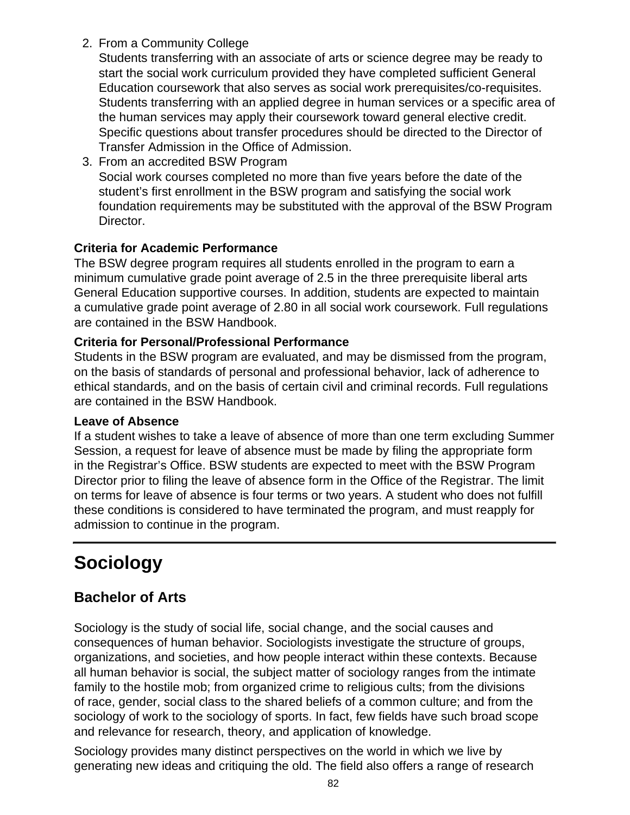2. From a Community College

Students transferring with an associate of arts or science degree may be ready to start the social work curriculum provided they have completed sufficient General Education coursework that also serves as social work prerequisites/co-requisites. Students transferring with an applied degree in human services or a specific area of the human services may apply their coursework toward general elective credit. Specific questions about transfer procedures should be directed to the Director of Transfer Admission in the Office of Admission.

3. From an accredited BSW Program Social work courses completed no more than five years before the date of the student's first enrollment in the BSW program and satisfying the social work foundation requirements may be substituted with the approval of the BSW Program Director.

## **Criteria for Academic Performance**

The BSW degree program requires all students enrolled in the program to earn a minimum cumulative grade point average of 2.5 in the three prerequisite liberal arts General Education supportive courses. In addition, students are expected to maintain a cumulative grade point average of 2.80 in all social work coursework. Full regulations are contained in the BSW Handbook.

## **Criteria for Personal/Professional Performance**

Students in the BSW program are evaluated, and may be dismissed from the program, on the basis of standards of personal and professional behavior, lack of adherence to ethical standards, and on the basis of certain civil and criminal records. Full regulations are contained in the BSW Handbook.

### **Leave of Absence**

If a student wishes to take a leave of absence of more than one term excluding Summer Session, a request for leave of absence must be made by filing the appropriate form in the Registrar's Office. BSW students are expected to meet with the BSW Program Director prior to filing the leave of absence form in the Office of the Registrar. The limit on terms for leave of absence is four terms or two years. A student who does not fulfill these conditions is considered to have terminated the program, and must reapply for admission to continue in the program.

# **Sociology**

# **Bachelor of Arts**

Sociology is the study of social life, social change, and the social causes and consequences of human behavior. Sociologists investigate the structure of groups, organizations, and societies, and how people interact within these contexts. Because all human behavior is social, the subject matter of sociology ranges from the intimate family to the hostile mob; from organized crime to religious cults; from the divisions of race, gender, social class to the shared beliefs of a common culture; and from the sociology of work to the sociology of sports. In fact, few fields have such broad scope and relevance for research, theory, and application of knowledge.

Sociology provides many distinct perspectives on the world in which we live by generating new ideas and critiquing the old. The field also offers a range of research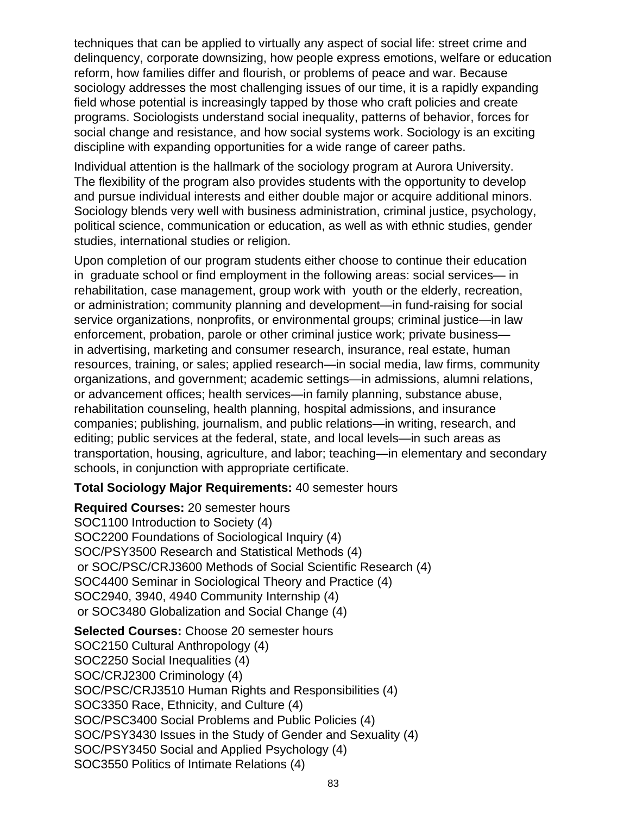techniques that can be applied to virtually any aspect of social life: street crime and delinquency, corporate downsizing, how people express emotions, welfare or education reform, how families differ and flourish, or problems of peace and war. Because sociology addresses the most challenging issues of our time, it is a rapidly expanding field whose potential is increasingly tapped by those who craft policies and create programs. Sociologists understand social inequality, patterns of behavior, forces for social change and resistance, and how social systems work. Sociology is an exciting discipline with expanding opportunities for a wide range of career paths.

Individual attention is the hallmark of the sociology program at Aurora University. The flexibility of the program also provides students with the opportunity to develop and pursue individual interests and either double major or acquire additional minors. Sociology blends very well with business administration, criminal justice, psychology, political science, communication or education, as well as with ethnic studies, gender studies, international studies or religion.

Upon completion of our program students either choose to continue their education in graduate school or find employment in the following areas: social services— in rehabilitation, case management, group work with youth or the elderly, recreation, or administration; community planning and development—in fund-raising for social service organizations, nonprofits, or environmental groups; criminal justice—in law enforcement, probation, parole or other criminal justice work; private business in advertising, marketing and consumer research, insurance, real estate, human resources, training, or sales; applied research—in social media, law firms, community organizations, and government; academic settings—in admissions, alumni relations, or advancement offices; health services—in family planning, substance abuse, rehabilitation counseling, health planning, hospital admissions, and insurance companies; publishing, journalism, and public relations—in writing, research, and editing; public services at the federal, state, and local levels—in such areas as transportation, housing, agriculture, and labor; teaching—in elementary and secondary schools, in conjunction with appropriate certificate.

### **Total Sociology Major Requirements:** 40 semester hours

**Required Courses:** 20 semester hours SOC1100 Introduction to Society (4) SOC2200 Foundations of Sociological Inquiry (4) SOC/PSY3500 Research and Statistical Methods (4) or SOC/PSC/CRJ3600 Methods of Social Scientific Research (4) SOC4400 Seminar in Sociological Theory and Practice (4) SOC2940, 3940, 4940 Community Internship (4) or SOC3480 Globalization and Social Change (4)

**Selected Courses:** Choose 20 semester hours SOC2150 Cultural Anthropology (4) SOC2250 Social Inequalities (4) SOC/CRJ2300 Criminology (4) SOC/PSC/CRJ3510 Human Rights and Responsibilities (4) SOC3350 Race, Ethnicity, and Culture (4) SOC/PSC3400 Social Problems and Public Policies (4) SOC/PSY3430 Issues in the Study of Gender and Sexuality (4) SOC/PSY3450 Social and Applied Psychology (4) SOC3550 Politics of Intimate Relations (4)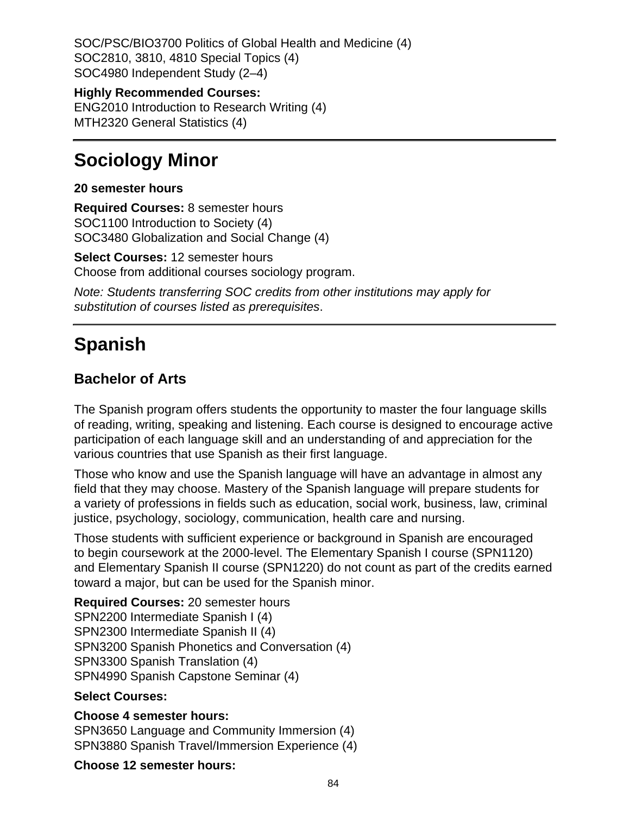SOC/PSC/BIO3700 Politics of Global Health and Medicine (4) SOC2810, 3810, 4810 Special Topics (4) SOC4980 Independent Study (2–4)

**Highly Recommended Courses:**

ENG2010 Introduction to Research Writing (4) MTH2320 General Statistics (4)

# **Sociology Minor**

#### **20 semester hours**

**Required Courses:** 8 semester hours SOC1100 Introduction to Society (4) SOC3480 Globalization and Social Change (4)

**Select Courses:** 12 semester hours Choose from additional courses sociology program.

Note: Students transferring SOC credits from other institutions may apply for substitution of courses listed as prerequisites.

# **Spanish**

## **Bachelor of Arts**

The Spanish program offers students the opportunity to master the four language skills of reading, writing, speaking and listening. Each course is designed to encourage active participation of each language skill and an understanding of and appreciation for the various countries that use Spanish as their first language.

Those who know and use the Spanish language will have an advantage in almost any field that they may choose. Mastery of the Spanish language will prepare students for a variety of professions in fields such as education, social work, business, law, criminal justice, psychology, sociology, communication, health care and nursing.

Those students with sufficient experience or background in Spanish are encouraged to begin coursework at the 2000-level. The Elementary Spanish I course (SPN1120) and Elementary Spanish II course (SPN1220) do not count as part of the credits earned toward a major, but can be used for the Spanish minor.

**Required Courses:** 20 semester hours SPN2200 Intermediate Spanish I (4) SPN2300 Intermediate Spanish II (4) SPN3200 Spanish Phonetics and Conversation (4) SPN3300 Spanish Translation (4) SPN4990 Spanish Capstone Seminar (4)

### **Select Courses:**

#### **Choose 4 semester hours:**

SPN3650 Language and Community Immersion (4) SPN3880 Spanish Travel/Immersion Experience (4)

#### **Choose 12 semester hours:**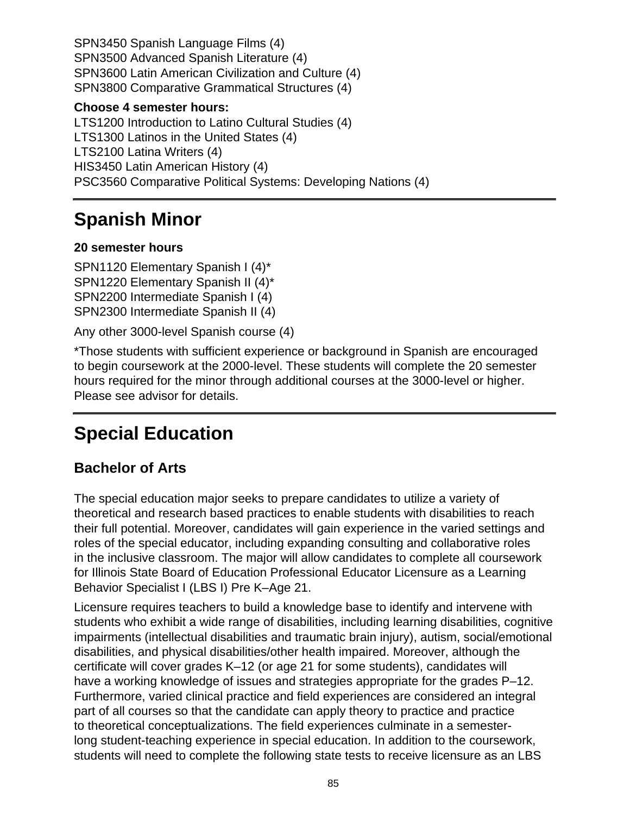SPN3450 Spanish Language Films (4) SPN3500 Advanced Spanish Literature (4) SPN3600 Latin American Civilization and Culture (4) SPN3800 Comparative Grammatical Structures (4)

#### **Choose 4 semester hours:**

LTS1200 Introduction to Latino Cultural Studies (4) LTS1300 Latinos in the United States (4) LTS2100 Latina Writers (4) HIS3450 Latin American History (4) PSC3560 Comparative Political Systems: Developing Nations (4)

# **Spanish Minor**

## **20 semester hours**

SPN1120 Elementary Spanish I (4)\* SPN1220 Elementary Spanish II (4)\* SPN2200 Intermediate Spanish I (4) SPN2300 Intermediate Spanish II (4)

Any other 3000-level Spanish course (4)

\*Those students with sufficient experience or background in Spanish are encouraged to begin coursework at the 2000-level. These students will complete the 20 semester hours required for the minor through additional courses at the 3000-level or higher. Please see advisor for details.

# **Special Education**

# **Bachelor of Arts**

The special education major seeks to prepare candidates to utilize a variety of theoretical and research based practices to enable students with disabilities to reach their full potential. Moreover, candidates will gain experience in the varied settings and roles of the special educator, including expanding consulting and collaborative roles in the inclusive classroom. The major will allow candidates to complete all coursework for Illinois State Board of Education Professional Educator Licensure as a Learning Behavior Specialist I (LBS I) Pre K–Age 21.

Licensure requires teachers to build a knowledge base to identify and intervene with students who exhibit a wide range of disabilities, including learning disabilities, cognitive impairments (intellectual disabilities and traumatic brain injury), autism, social/emotional disabilities, and physical disabilities/other health impaired. Moreover, although the certificate will cover grades K–12 (or age 21 for some students), candidates will have a working knowledge of issues and strategies appropriate for the grades P–12. Furthermore, varied clinical practice and field experiences are considered an integral part of all courses so that the candidate can apply theory to practice and practice to theoretical conceptualizations. The field experiences culminate in a semesterlong student-teaching experience in special education. In addition to the coursework, students will need to complete the following state tests to receive licensure as an LBS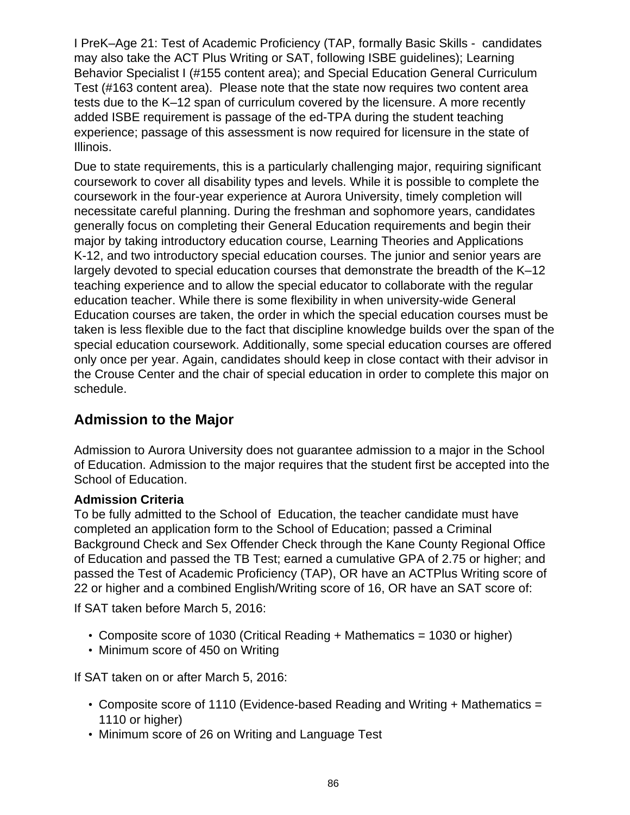I PreK–Age 21: Test of Academic Proficiency (TAP, formally Basic Skills - candidates may also take the ACT Plus Writing or SAT, following ISBE guidelines); Learning Behavior Specialist I (#155 content area); and Special Education General Curriculum Test (#163 content area). Please note that the state now requires two content area tests due to the K–12 span of curriculum covered by the licensure. A more recently added ISBE requirement is passage of the ed-TPA during the student teaching experience; passage of this assessment is now required for licensure in the state of Illinois.

Due to state requirements, this is a particularly challenging major, requiring significant coursework to cover all disability types and levels. While it is possible to complete the coursework in the four-year experience at Aurora University, timely completion will necessitate careful planning. During the freshman and sophomore years, candidates generally focus on completing their General Education requirements and begin their major by taking introductory education course, Learning Theories and Applications K-12, and two introductory special education courses. The junior and senior years are largely devoted to special education courses that demonstrate the breadth of the K–12 teaching experience and to allow the special educator to collaborate with the regular education teacher. While there is some flexibility in when university-wide General Education courses are taken, the order in which the special education courses must be taken is less flexible due to the fact that discipline knowledge builds over the span of the special education coursework. Additionally, some special education courses are offered only once per year. Again, candidates should keep in close contact with their advisor in the Crouse Center and the chair of special education in order to complete this major on schedule.

# **Admission to the Major**

Admission to Aurora University does not guarantee admission to a major in the School of Education. Admission to the major requires that the student first be accepted into the School of Education.

### **Admission Criteria**

To be fully admitted to the School of Education, the teacher candidate must have completed an application form to the School of Education; passed a Criminal Background Check and Sex Offender Check through the Kane County Regional Office of Education and passed the TB Test; earned a cumulative GPA of 2.75 or higher; and passed the Test of Academic Proficiency (TAP), OR have an ACTPlus Writing score of 22 or higher and a combined English/Writing score of 16, OR have an SAT score of:

If SAT taken before March 5, 2016:

- Composite score of 1030 (Critical Reading + Mathematics = 1030 or higher)
- Minimum score of 450 on Writing

If SAT taken on or after March 5, 2016:

- Composite score of 1110 (Evidence-based Reading and Writing + Mathematics = 1110 or higher)
- Minimum score of 26 on Writing and Language Test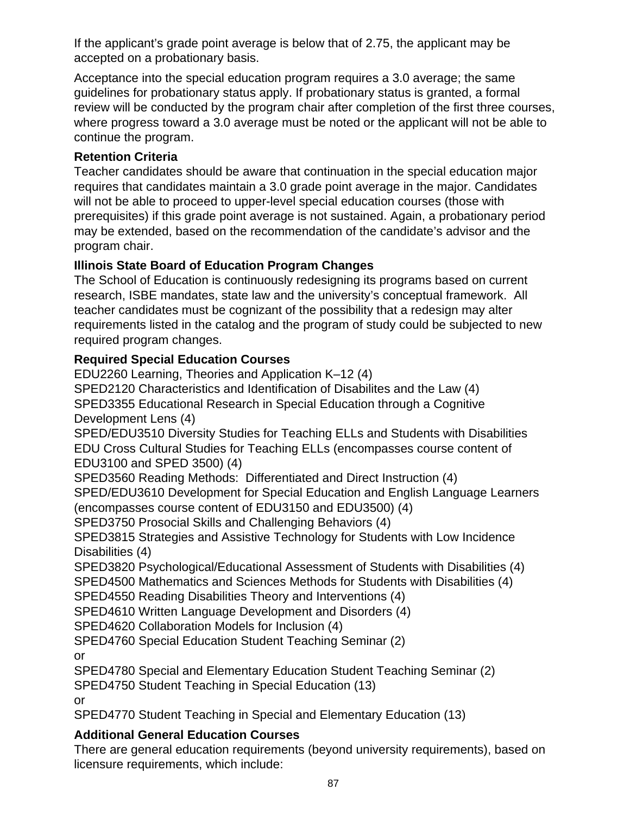If the applicant's grade point average is below that of 2.75, the applicant may be accepted on a probationary basis.

Acceptance into the special education program requires a 3.0 average; the same guidelines for probationary status apply. If probationary status is granted, a formal review will be conducted by the program chair after completion of the first three courses, where progress toward a 3.0 average must be noted or the applicant will not be able to continue the program.

## **Retention Criteria**

Teacher candidates should be aware that continuation in the special education major requires that candidates maintain a 3.0 grade point average in the major. Candidates will not be able to proceed to upper-level special education courses (those with prerequisites) if this grade point average is not sustained. Again, a probationary period may be extended, based on the recommendation of the candidate's advisor and the program chair.

## **Illinois State Board of Education Program Changes**

The School of Education is continuously redesigning its programs based on current research, ISBE mandates, state law and the university's conceptual framework. All teacher candidates must be cognizant of the possibility that a redesign may alter requirements listed in the catalog and the program of study could be subjected to new required program changes.

## **Required Special Education Courses**

EDU2260 Learning, Theories and Application K–12 (4) SPED2120 Characteristics and Identification of Disabilites and the Law (4) SPED3355 Educational Research in Special Education through a Cognitive Development Lens (4) SPED/EDU3510 Diversity Studies for Teaching ELLs and Students with Disabilities EDU Cross Cultural Studies for Teaching ELLs (encompasses course content of EDU3100 and SPED 3500) (4) SPED3560 Reading Methods: Differentiated and Direct Instruction (4) SPED/EDU3610 Development for Special Education and English Language Learners (encompasses course content of EDU3150 and EDU3500) (4) SPED3750 Prosocial Skills and Challenging Behaviors (4) SPED3815 Strategies and Assistive Technology for Students with Low Incidence Disabilities (4) SPED3820 Psychological/Educational Assessment of Students with Disabilities (4) SPED4500 Mathematics and Sciences Methods for Students with Disabilities (4) SPED4550 Reading Disabilities Theory and Interventions (4) SPED4610 Written Language Development and Disorders (4) SPED4620 Collaboration Models for Inclusion (4) SPED4760 Special Education Student Teaching Seminar (2) or

SPED4780 Special and Elementary Education Student Teaching Seminar (2)

SPED4750 Student Teaching in Special Education (13)

or

SPED4770 Student Teaching in Special and Elementary Education (13)

## **Additional General Education Courses**

There are general education requirements (beyond university requirements), based on licensure requirements, which include: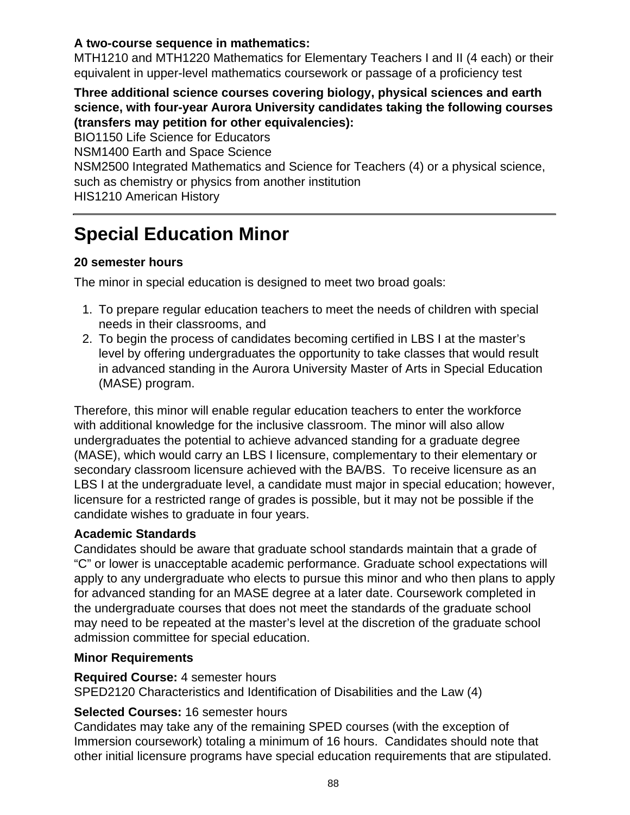## **A two-course sequence in mathematics:**

MTH1210 and MTH1220 Mathematics for Elementary Teachers I and II (4 each) or their equivalent in upper-level mathematics coursework or passage of a proficiency test

#### **Three additional science courses covering biology, physical sciences and earth science, with four-year Aurora University candidates taking the following courses (transfers may petition for other equivalencies):**

BIO1150 Life Science for Educators

NSM1400 Earth and Space Science

NSM2500 Integrated Mathematics and Science for Teachers (4) or a physical science, such as chemistry or physics from another institution

HIS1210 American History

# **Special Education Minor**

## **20 semester hours**

The minor in special education is designed to meet two broad goals:

- 1. To prepare regular education teachers to meet the needs of children with special needs in their classrooms, and
- 2. To begin the process of candidates becoming certified in LBS I at the master's level by offering undergraduates the opportunity to take classes that would result in advanced standing in the Aurora University Master of Arts in Special Education (MASE) program.

Therefore, this minor will enable regular education teachers to enter the workforce with additional knowledge for the inclusive classroom. The minor will also allow undergraduates the potential to achieve advanced standing for a graduate degree (MASE), which would carry an LBS I licensure, complementary to their elementary or secondary classroom licensure achieved with the BA/BS. To receive licensure as an LBS I at the undergraduate level, a candidate must major in special education; however, licensure for a restricted range of grades is possible, but it may not be possible if the candidate wishes to graduate in four years.

## **Academic Standards**

Candidates should be aware that graduate school standards maintain that a grade of "C" or lower is unacceptable academic performance. Graduate school expectations will apply to any undergraduate who elects to pursue this minor and who then plans to apply for advanced standing for an MASE degree at a later date. Coursework completed in the undergraduate courses that does not meet the standards of the graduate school may need to be repeated at the master's level at the discretion of the graduate school admission committee for special education.

### **Minor Requirements**

### **Required Course:** 4 semester hours

SPED2120 Characteristics and Identification of Disabilities and the Law (4)

## **Selected Courses:** 16 semester hours

Candidates may take any of the remaining SPED courses (with the exception of Immersion coursework) totaling a minimum of 16 hours. Candidates should note that other initial licensure programs have special education requirements that are stipulated.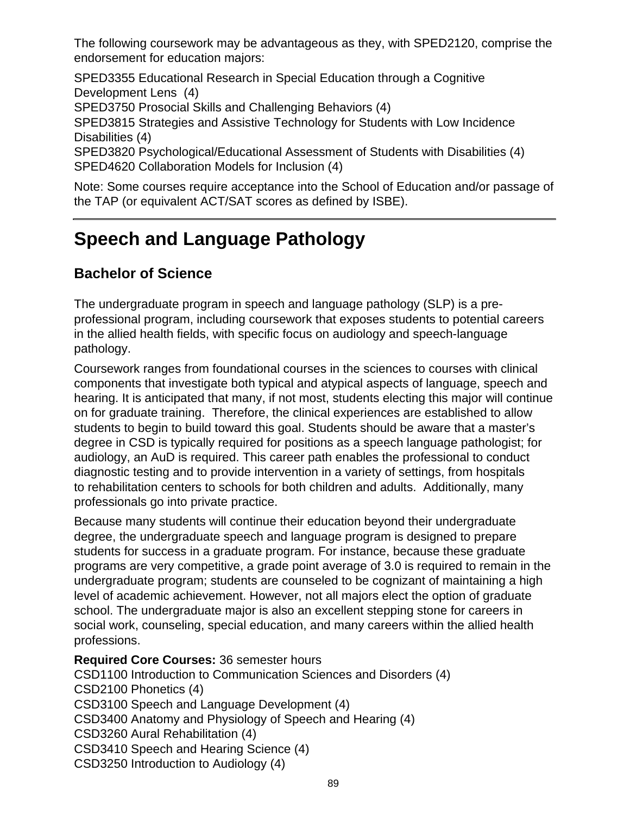The following coursework may be advantageous as they, with SPED2120, comprise the endorsement for education majors:

SPED3355 Educational Research in Special Education through a Cognitive Development Lens(4)

SPED3750 Prosocial Skills and Challenging Behaviors (4)

SPED3815 Strategies and Assistive Technology for Students with Low Incidence Disabilities (4)

SPED3820 Psychological/Educational Assessment of Students with Disabilities (4) SPED4620 Collaboration Models for Inclusion (4)

Note: Some courses require acceptance into the School of Education and/or passage of the TAP (or equivalent ACT/SAT scores as defined by ISBE).

# **Speech and Language Pathology**

# **Bachelor of Science**

The undergraduate program in speech and language pathology (SLP) is a preprofessional program, including coursework that exposes students to potential careers in the allied health fields, with specific focus on audiology and speech-language pathology.

Coursework ranges from foundational courses in the sciences to courses with clinical components that investigate both typical and atypical aspects of language, speech and hearing. It is anticipated that many, if not most, students electing this major will continue on for graduate training. Therefore, the clinical experiences are established to allow students to begin to build toward this goal. Students should be aware that a master's degree in CSD is typically required for positions as a speech language pathologist; for audiology, an AuD is required. This career path enables the professional to conduct diagnostic testing and to provide intervention in a variety of settings, from hospitals to rehabilitation centers to schools for both children and adults. Additionally, many professionals go into private practice.

Because many students will continue their education beyond their undergraduate degree, the undergraduate speech and language program is designed to prepare students for success in a graduate program. For instance, because these graduate programs are very competitive, a grade point average of 3.0 is required to remain in the undergraduate program; students are counseled to be cognizant of maintaining a high level of academic achievement. However, not all majors elect the option of graduate school. The undergraduate major is also an excellent stepping stone for careers in social work, counseling, special education, and many careers within the allied health professions.

**Required Core Courses:** 36 semester hours CSD1100 Introduction to Communication Sciences and Disorders (4) CSD2100 Phonetics (4) CSD3100 Speech and Language Development (4) CSD3400 Anatomy and Physiology of Speech and Hearing (4) CSD3260 Aural Rehabilitation (4) CSD3410 Speech and Hearing Science (4) CSD3250 Introduction to Audiology (4)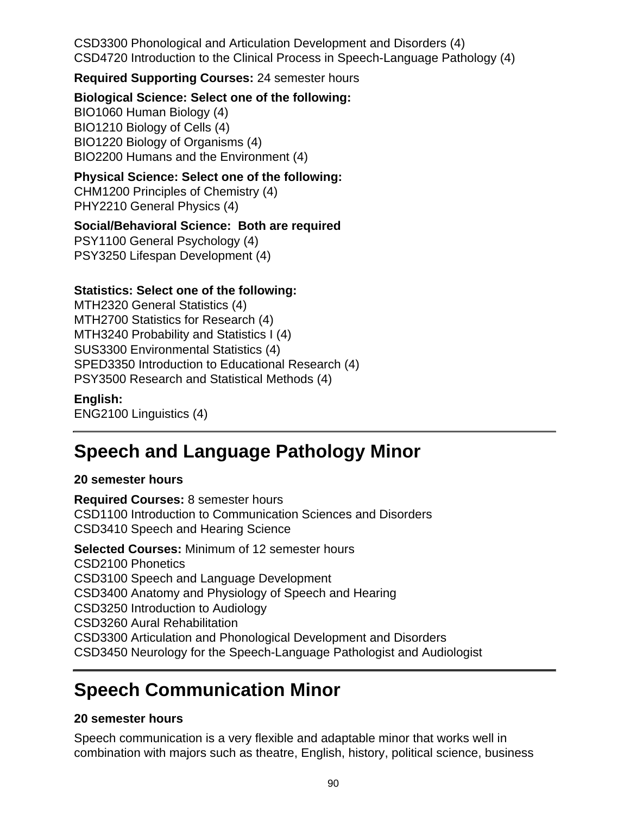CSD3300 Phonological and Articulation Development and Disorders (4) CSD4720 Introduction to the Clinical Process in Speech-Language Pathology (4)

**Required Supporting Courses:** 24 semester hours

**Biological Science: Select one of the following:**

BIO1060 Human Biology (4) BIO1210 Biology of Cells (4) BIO1220 Biology of Organisms (4) BIO2200 Humans and the Environment (4)

## **Physical Science: Select one of the following:**

CHM1200 Principles of Chemistry (4) PHY2210 General Physics (4)

## **Social/Behavioral Science: Both are required**

PSY1100 General Psychology (4) PSY3250 Lifespan Development (4)

## **Statistics: Select one of the following:**

MTH2320 General Statistics (4) MTH2700 Statistics for Research (4) MTH3240 Probability and Statistics I (4) SUS3300 Environmental Statistics (4) SPED3350 Introduction to Educational Research (4) PSY3500 Research and Statistical Methods (4)

## **English:**

ENG2100 Linguistics (4)

# **Speech and Language Pathology Minor**

### **20 semester hours**

**Required Courses:** 8 semester hours CSD1100 Introduction to Communication Sciences and Disorders CSD3410 Speech and Hearing Science

**Selected Courses:** Minimum of 12 semester hours CSD2100 Phonetics CSD3100 Speech and Language Development CSD3400 Anatomy and Physiology of Speech and Hearing CSD3250 Introduction to Audiology CSD3260 Aural Rehabilitation CSD3300 Articulation and Phonological Development and Disorders CSD3450 Neurology for the Speech-Language Pathologist and Audiologist

# **Speech Communication Minor**

## **20 semester hours**

Speech communication is a very flexible and adaptable minor that works well in combination with majors such as theatre, English, history, political science, business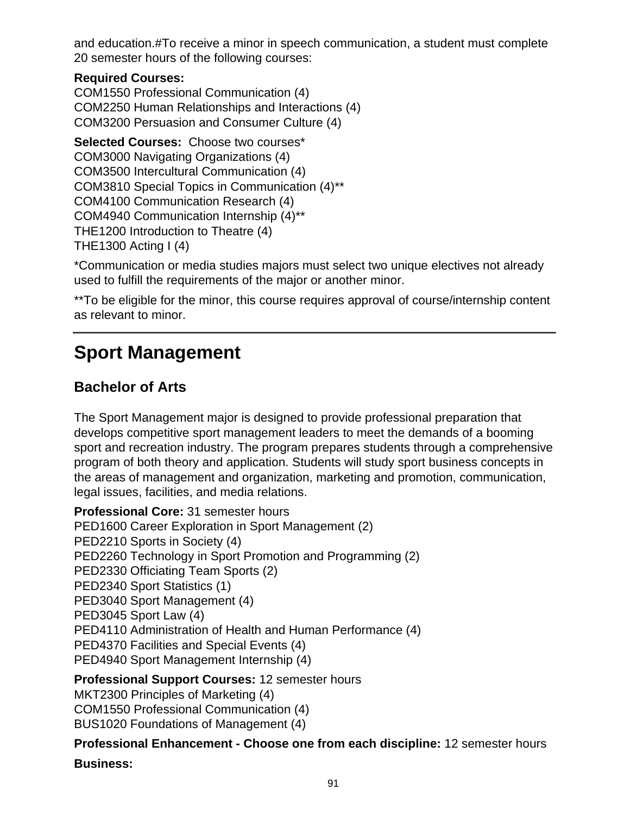and education.#To receive a minor in speech communication, a student must complete 20 semester hours of the following courses:

## **Required Courses:**

COM1550 Professional Communication (4) COM2250 Human Relationships and Interactions (4) COM3200 Persuasion and Consumer Culture (4)

**Selected Courses:** Choose two courses\* COM3000 Navigating Organizations (4) COM3500 Intercultural Communication (4) COM3810 Special Topics in Communication (4)\*\* COM4100 Communication Research (4) COM4940 Communication Internship (4)\*\* THE1200 Introduction to Theatre (4) THE1300 Acting I (4)

\*Communication or media studies majors must select two unique electives not already used to fulfill the requirements of the major or another minor.

\*\*To be eligible for the minor, this course requires approval of course/internship content as relevant to minor.

# **Sport Management**

# **Bachelor of Arts**

The Sport Management major is designed to provide professional preparation that develops competitive sport management leaders to meet the demands of a booming sport and recreation industry. The program prepares students through a comprehensive program of both theory and application. Students will study sport business concepts in the areas of management and organization, marketing and promotion, communication, legal issues, facilities, and media relations.

**Professional Core:** 31 semester hours PED1600 Career Exploration in Sport Management (2) PED2210 Sports in Society (4) PED2260 Technology in Sport Promotion and Programming (2) PED2330 Officiating Team Sports (2) PED2340 Sport Statistics (1) PED3040 Sport Management (4) PED3045 Sport Law (4) PED4110 Administration of Health and Human Performance (4) PED4370 Facilities and Special Events (4) PED4940 Sport Management Internship (4)

**Professional Support Courses:** 12 semester hours

MKT2300 Principles of Marketing (4)

COM1550 Professional Communication (4) BUS1020 Foundations of Management (4)

# **Professional Enhancement - Choose one from each discipline:** 12 semester hours

### **Business:**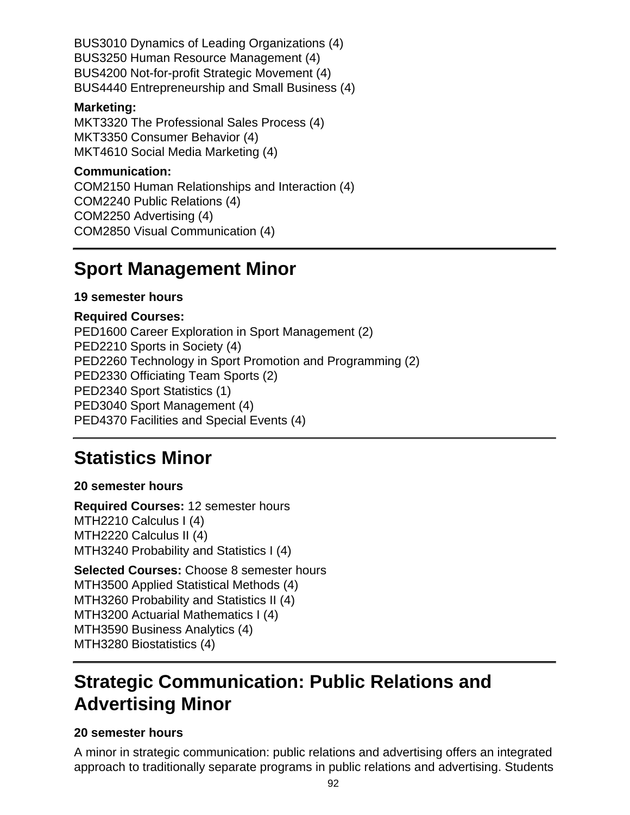BUS3010 Dynamics of Leading Organizations (4) BUS3250 Human Resource Management (4) BUS4200 Not-for-profit Strategic Movement (4) BUS4440 Entrepreneurship and Small Business (4)

#### **Marketing:**

MKT3320 The Professional Sales Process (4) MKT3350 Consumer Behavior (4) MKT4610 Social Media Marketing (4)

#### **Communication:**

COM2150 Human Relationships and Interaction (4) COM2240 Public Relations (4) COM2250 Advertising (4) COM2850 Visual Communication (4)

# **Sport Management Minor**

### **19 semester hours**

#### **Required Courses:**

PED1600 Career Exploration in Sport Management (2) PED2210 Sports in Society (4) PED2260 Technology in Sport Promotion and Programming (2) PED2330 Officiating Team Sports (2) PED2340 Sport Statistics (1) PED3040 Sport Management (4) PED4370 Facilities and Special Events (4)

# **Statistics Minor**

### **20 semester hours**

**Required Courses:** 12 semester hours MTH2210 Calculus I (4) MTH2220 Calculus II (4) MTH3240 Probability and Statistics I (4)

**Selected Courses:** Choose 8 semester hours MTH3500 Applied Statistical Methods (4) MTH3260 Probability and Statistics II (4) MTH3200 Actuarial Mathematics I (4) MTH3590 Business Analytics (4) MTH3280 Biostatistics (4)

# **Strategic Communication: Public Relations and Advertising Minor**

### **20 semester hours**

A minor in strategic communication: public relations and advertising offers an integrated approach to traditionally separate programs in public relations and advertising. Students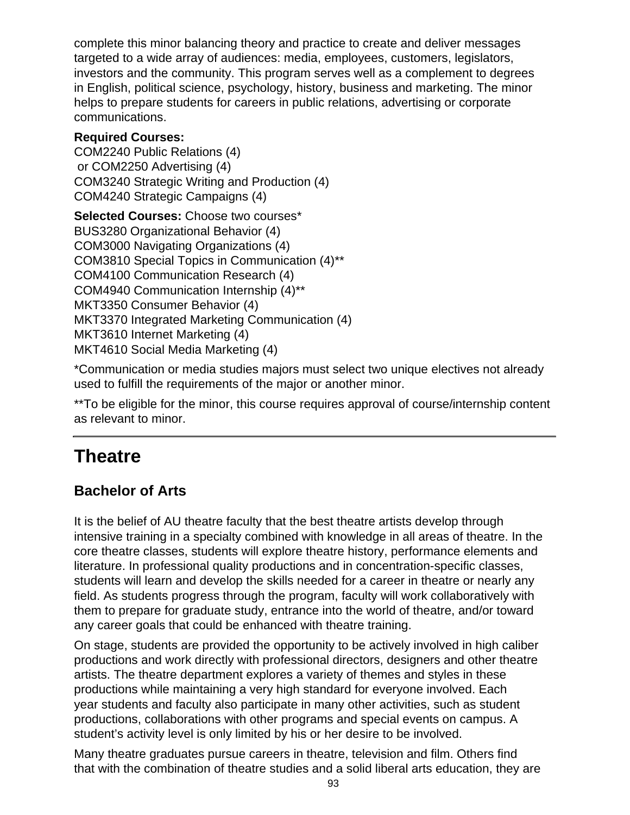complete this minor balancing theory and practice to create and deliver messages targeted to a wide array of audiences: media, employees, customers, legislators, investors and the community. This program serves well as a complement to degrees in English, political science, psychology, history, business and marketing. The minor helps to prepare students for careers in public relations, advertising or corporate communications.

### **Required Courses:**

COM2240 Public Relations (4) or COM2250 Advertising (4) COM3240 Strategic Writing and Production (4) COM4240 Strategic Campaigns (4)

**Selected Courses:** Choose two courses\* BUS3280 Organizational Behavior (4) COM3000 Navigating Organizations (4) COM3810 Special Topics in Communication (4)\*\* COM4100 Communication Research (4) COM4940 Communication Internship (4)\*\* MKT3350 Consumer Behavior (4) MKT3370 Integrated Marketing Communication (4) MKT3610 Internet Marketing (4) MKT4610 Social Media Marketing (4)

\*Communication or media studies majors must select two unique electives not already used to fulfill the requirements of the major or another minor.

\*\*To be eligible for the minor, this course requires approval of course/internship content as relevant to minor.

# **Theatre**

# **Bachelor of Arts**

It is the belief of AU theatre faculty that the best theatre artists develop through intensive training in a specialty combined with knowledge in all areas of theatre. In the core theatre classes, students will explore theatre history, performance elements and literature. In professional quality productions and in concentration-specific classes, students will learn and develop the skills needed for a career in theatre or nearly any field. As students progress through the program, faculty will work collaboratively with them to prepare for graduate study, entrance into the world of theatre, and/or toward any career goals that could be enhanced with theatre training.

On stage, students are provided the opportunity to be actively involved in high caliber productions and work directly with professional directors, designers and other theatre artists. The theatre department explores a variety of themes and styles in these productions while maintaining a very high standard for everyone involved. Each year students and faculty also participate in many other activities, such as student productions, collaborations with other programs and special events on campus. A student's activity level is only limited by his or her desire to be involved.

Many theatre graduates pursue careers in theatre, television and film. Others find that with the combination of theatre studies and a solid liberal arts education, they are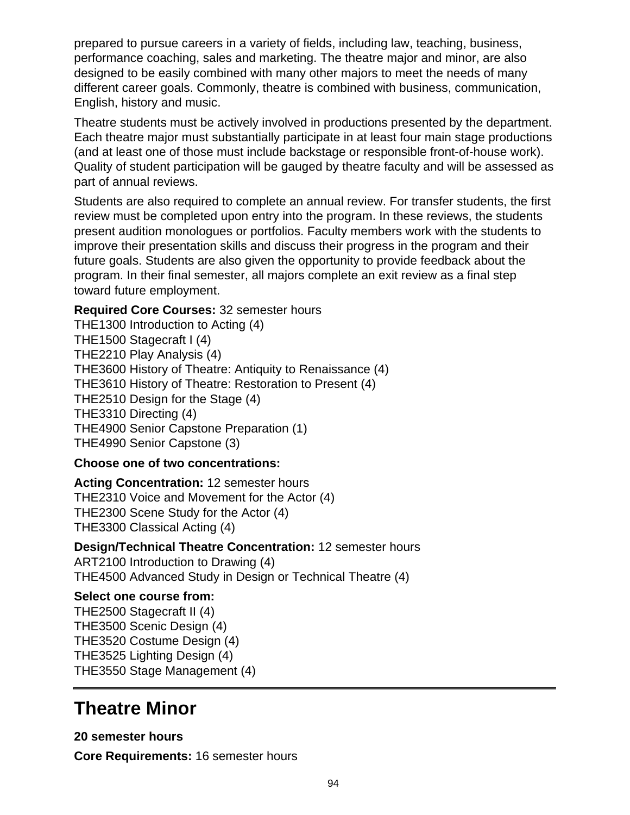prepared to pursue careers in a variety of fields, including law, teaching, business, performance coaching, sales and marketing. The theatre major and minor, are also designed to be easily combined with many other majors to meet the needs of many different career goals. Commonly, theatre is combined with business, communication, English, history and music.

Theatre students must be actively involved in productions presented by the department. Each theatre major must substantially participate in at least four main stage productions (and at least one of those must include backstage or responsible front-of-house work). Quality of student participation will be gauged by theatre faculty and will be assessed as part of annual reviews.

Students are also required to complete an annual review. For transfer students, the first review must be completed upon entry into the program. In these reviews, the students present audition monologues or portfolios. Faculty members work with the students to improve their presentation skills and discuss their progress in the program and their future goals. Students are also given the opportunity to provide feedback about the program. In their final semester, all majors complete an exit review as a final step toward future employment.

### **Required Core Courses:** 32 semester hours

THE1300 Introduction to Acting (4) THE1500 Stagecraft I (4) THE2210 Play Analysis (4) THE3600 History of Theatre: Antiquity to Renaissance (4) THE3610 History of Theatre: Restoration to Present (4) THE2510 Design for the Stage (4) THE3310 Directing (4) THE4900 Senior Capstone Preparation (1) THE4990 Senior Capstone (3)

### **Choose one of two concentrations:**

**Acting Concentration:** 12 semester hours THE2310 Voice and Movement for the Actor (4) THE2300 Scene Study for the Actor (4) THE3300 Classical Acting (4)

### **Design/Technical Theatre Concentration:** 12 semester hours

ART2100 Introduction to Drawing (4) THE4500 Advanced Study in Design or Technical Theatre (4)

#### **Select one course from:**

THE2500 Stagecraft II (4) THE3500 Scenic Design (4) THE3520 Costume Design (4) THE3525 Lighting Design (4) THE3550 Stage Management (4)

# **Theatre Minor**

**20 semester hours Core Requirements:** 16 semester hours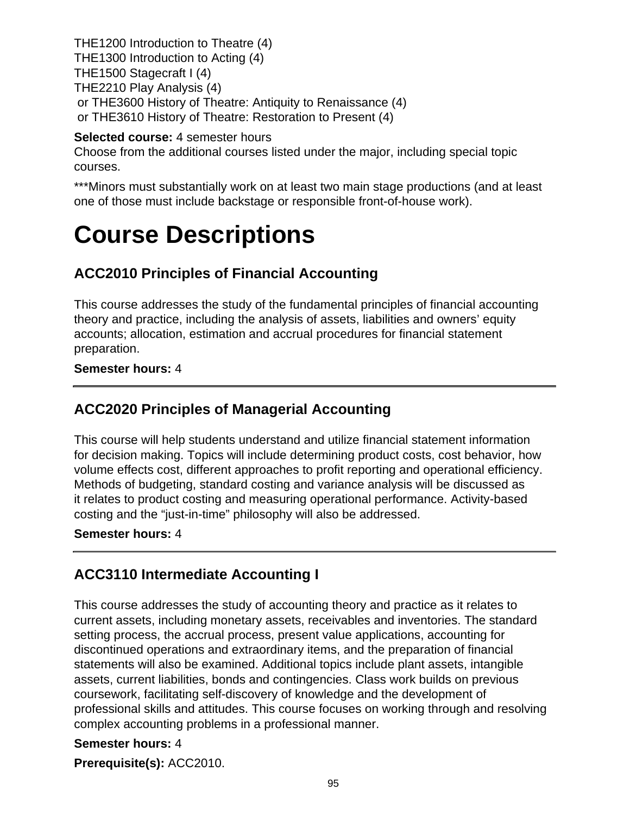THE1200 Introduction to Theatre (4) THE1300 Introduction to Acting (4) THE1500 Stagecraft I (4) THE2210 Play Analysis (4) or THE3600 History of Theatre: Antiquity to Renaissance (4) or THE3610 History of Theatre: Restoration to Present (4)

### **Selected course:** 4 semester hours

Choose from the additional courses listed under the major, including special topic courses.

\*\*\*Minors must substantially work on at least two main stage productions (and at least one of those must include backstage or responsible front-of-house work).

# **Course Descriptions**

# **ACC2010 Principles of Financial Accounting**

This course addresses the study of the fundamental principles of financial accounting theory and practice, including the analysis of assets, liabilities and owners' equity accounts; allocation, estimation and accrual procedures for financial statement preparation.

**Semester hours:** 4

## **ACC2020 Principles of Managerial Accounting**

This course will help students understand and utilize financial statement information for decision making. Topics will include determining product costs, cost behavior, how volume effects cost, different approaches to profit reporting and operational efficiency. Methods of budgeting, standard costing and variance analysis will be discussed as it relates to product costing and measuring operational performance. Activity-based costing and the "just-in-time" philosophy will also be addressed.

#### **Semester hours:** 4

## **ACC3110 Intermediate Accounting I**

This course addresses the study of accounting theory and practice as it relates to current assets, including monetary assets, receivables and inventories. The standard setting process, the accrual process, present value applications, accounting for discontinued operations and extraordinary items, and the preparation of financial statements will also be examined. Additional topics include plant assets, intangible assets, current liabilities, bonds and contingencies. Class work builds on previous coursework, facilitating self-discovery of knowledge and the development of professional skills and attitudes. This course focuses on working through and resolving complex accounting problems in a professional manner.

### **Semester hours:** 4

**Prerequisite(s):** ACC2010.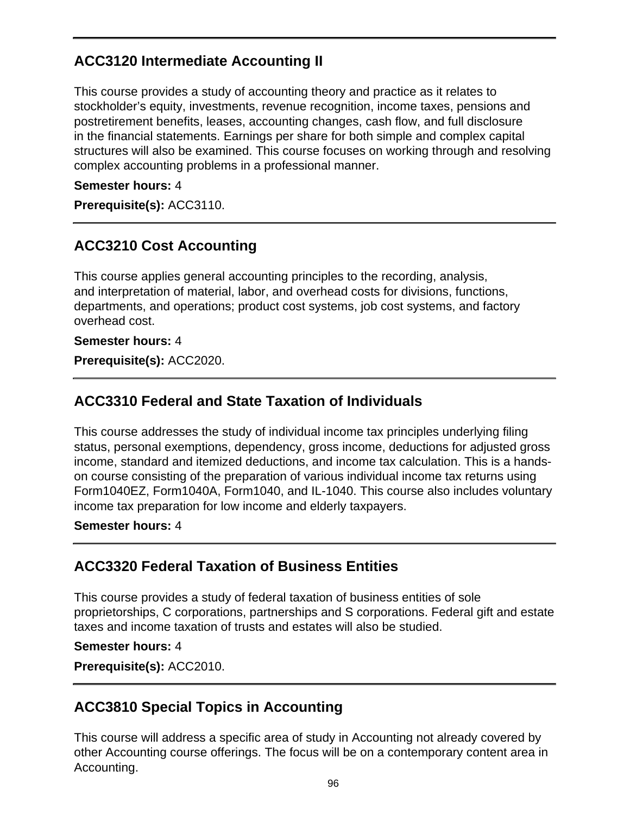# **ACC3120 Intermediate Accounting II**

This course provides a study of accounting theory and practice as it relates to stockholder's equity, investments, revenue recognition, income taxes, pensions and postretirement benefits, leases, accounting changes, cash flow, and full disclosure in the financial statements. Earnings per share for both simple and complex capital structures will also be examined. This course focuses on working through and resolving complex accounting problems in a professional manner.

#### **Semester hours:** 4

**Prerequisite(s):** ACC3110.

## **ACC3210 Cost Accounting**

This course applies general accounting principles to the recording, analysis, and interpretation of material, labor, and overhead costs for divisions, functions, departments, and operations; product cost systems, job cost systems, and factory overhead cost.

#### **Semester hours:** 4

**Prerequisite(s):** ACC2020.

## **ACC3310 Federal and State Taxation of Individuals**

This course addresses the study of individual income tax principles underlying filing status, personal exemptions, dependency, gross income, deductions for adjusted gross income, standard and itemized deductions, and income tax calculation. This is a handson course consisting of the preparation of various individual income tax returns using Form1040EZ, Form1040A, Form1040, and IL-1040. This course also includes voluntary income tax preparation for low income and elderly taxpayers.

#### **Semester hours:** 4

## **ACC3320 Federal Taxation of Business Entities**

This course provides a study of federal taxation of business entities of sole proprietorships, C corporations, partnerships and S corporations. Federal gift and estate taxes and income taxation of trusts and estates will also be studied.

#### **Semester hours:** 4

**Prerequisite(s):** ACC2010.

## **ACC3810 Special Topics in Accounting**

This course will address a specific area of study in Accounting not already covered by other Accounting course offerings. The focus will be on a contemporary content area in Accounting.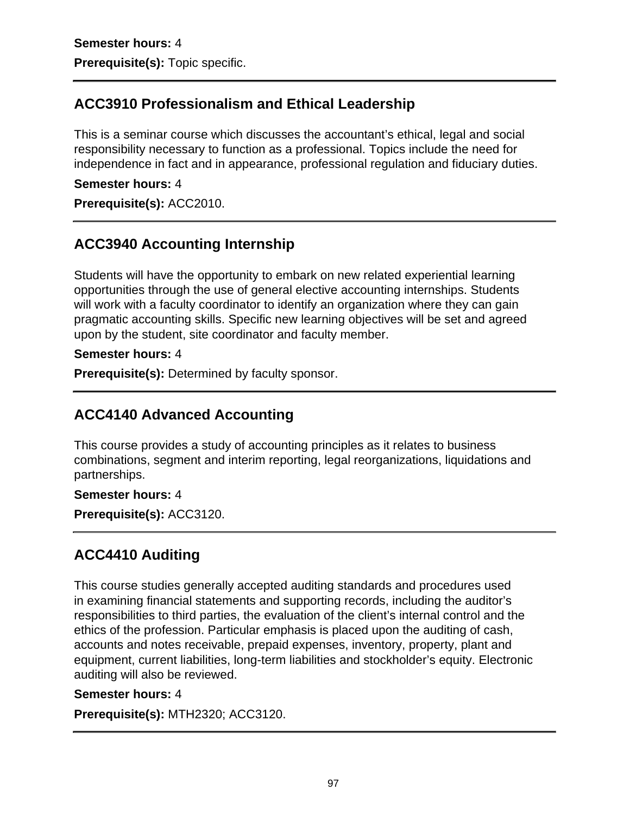# **ACC3910 Professionalism and Ethical Leadership**

This is a seminar course which discusses the accountant's ethical, legal and social responsibility necessary to function as a professional. Topics include the need for independence in fact and in appearance, professional regulation and fiduciary duties.

#### **Semester hours:** 4

**Prerequisite(s):** ACC2010.

# **ACC3940 Accounting Internship**

Students will have the opportunity to embark on new related experiential learning opportunities through the use of general elective accounting internships. Students will work with a faculty coordinator to identify an organization where they can gain pragmatic accounting skills. Specific new learning objectives will be set and agreed upon by the student, site coordinator and faculty member.

#### **Semester hours:** 4

**Prerequisite(s):** Determined by faculty sponsor.

# **ACC4140 Advanced Accounting**

This course provides a study of accounting principles as it relates to business combinations, segment and interim reporting, legal reorganizations, liquidations and partnerships.

#### **Semester hours:** 4

**Prerequisite(s):** ACC3120.

# **ACC4410 Auditing**

This course studies generally accepted auditing standards and procedures used in examining financial statements and supporting records, including the auditor's responsibilities to third parties, the evaluation of the client's internal control and the ethics of the profession. Particular emphasis is placed upon the auditing of cash, accounts and notes receivable, prepaid expenses, inventory, property, plant and equipment, current liabilities, long-term liabilities and stockholder's equity. Electronic auditing will also be reviewed.

#### **Semester hours:** 4

**Prerequisite(s):** MTH2320; ACC3120.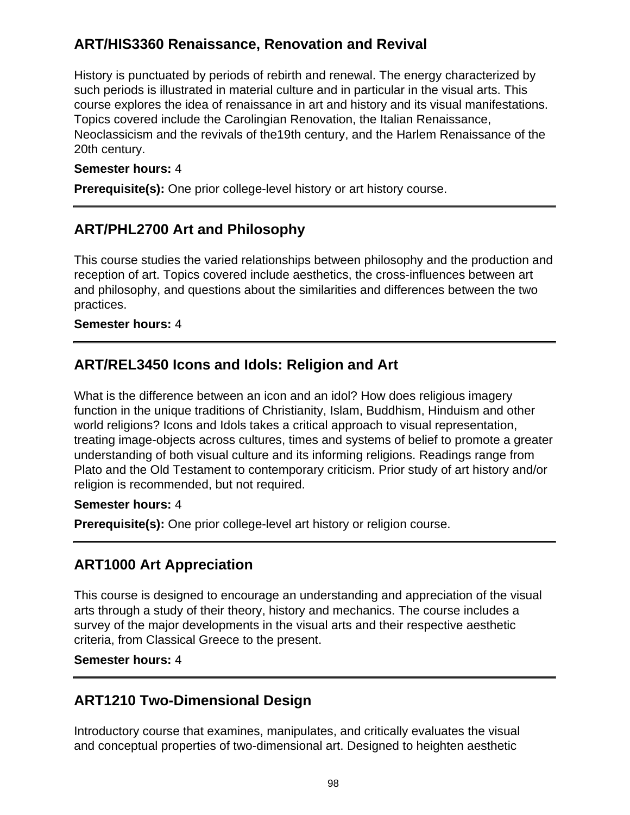# **ART/HIS3360 Renaissance, Renovation and Revival**

History is punctuated by periods of rebirth and renewal. The energy characterized by such periods is illustrated in material culture and in particular in the visual arts. This course explores the idea of renaissance in art and history and its visual manifestations. Topics covered include the Carolingian Renovation, the Italian Renaissance, Neoclassicism and the revivals of the19th century, and the Harlem Renaissance of the 20th century.

#### **Semester hours:** 4

**Prerequisite(s):** One prior college-level history or art history course.

## **ART/PHL2700 Art and Philosophy**

This course studies the varied relationships between philosophy and the production and reception of art. Topics covered include aesthetics, the cross-influences between art and philosophy, and questions about the similarities and differences between the two practices.

#### **Semester hours:** 4

## **ART/REL3450 Icons and Idols: Religion and Art**

What is the difference between an icon and an idol? How does religious imagery function in the unique traditions of Christianity, Islam, Buddhism, Hinduism and other world religions? Icons and Idols takes a critical approach to visual representation, treating image-objects across cultures, times and systems of belief to promote a greater understanding of both visual culture and its informing religions. Readings range from Plato and the Old Testament to contemporary criticism. Prior study of art history and/or religion is recommended, but not required.

#### **Semester hours:** 4

**Prerequisite(s):** One prior college-level art history or religion course.

# **ART1000 Art Appreciation**

This course is designed to encourage an understanding and appreciation of the visual arts through a study of their theory, history and mechanics. The course includes a survey of the major developments in the visual arts and their respective aesthetic criteria, from Classical Greece to the present.

**Semester hours:** 4

# **ART1210 Two-Dimensional Design**

Introductory course that examines, manipulates, and critically evaluates the visual and conceptual properties of two-dimensional art. Designed to heighten aesthetic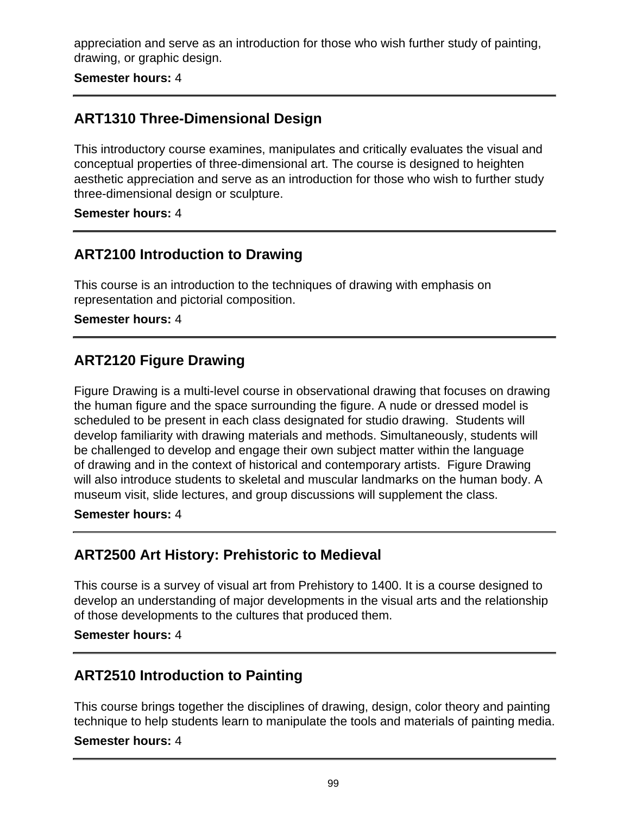appreciation and serve as an introduction for those who wish further study of painting, drawing, or graphic design.

**Semester hours:** 4

# **ART1310 Three-Dimensional Design**

This introductory course examines, manipulates and critically evaluates the visual and conceptual properties of three-dimensional art. The course is designed to heighten aesthetic appreciation and serve as an introduction for those who wish to further study three-dimensional design or sculpture.

#### **Semester hours:** 4

## **ART2100 Introduction to Drawing**

This course is an introduction to the techniques of drawing with emphasis on representation and pictorial composition.

**Semester hours:** 4

## **ART2120 Figure Drawing**

Figure Drawing is a multi-level course in observational drawing that focuses on drawing the human figure and the space surrounding the figure. A nude or dressed model is scheduled to be present in each class designated for studio drawing. Students will develop familiarity with drawing materials and methods. Simultaneously, students will be challenged to develop and engage their own subject matter within the language of drawing and in the context of historical and contemporary artists. Figure Drawing will also introduce students to skeletal and muscular landmarks on the human body. A museum visit, slide lectures, and group discussions will supplement the class.

#### **Semester hours:** 4

## **ART2500 Art History: Prehistoric to Medieval**

This course is a survey of visual art from Prehistory to 1400. It is a course designed to develop an understanding of major developments in the visual arts and the relationship of those developments to the cultures that produced them.

#### **Semester hours:** 4

## **ART2510 Introduction to Painting**

This course brings together the disciplines of drawing, design, color theory and painting technique to help students learn to manipulate the tools and materials of painting media.

#### **Semester hours:** 4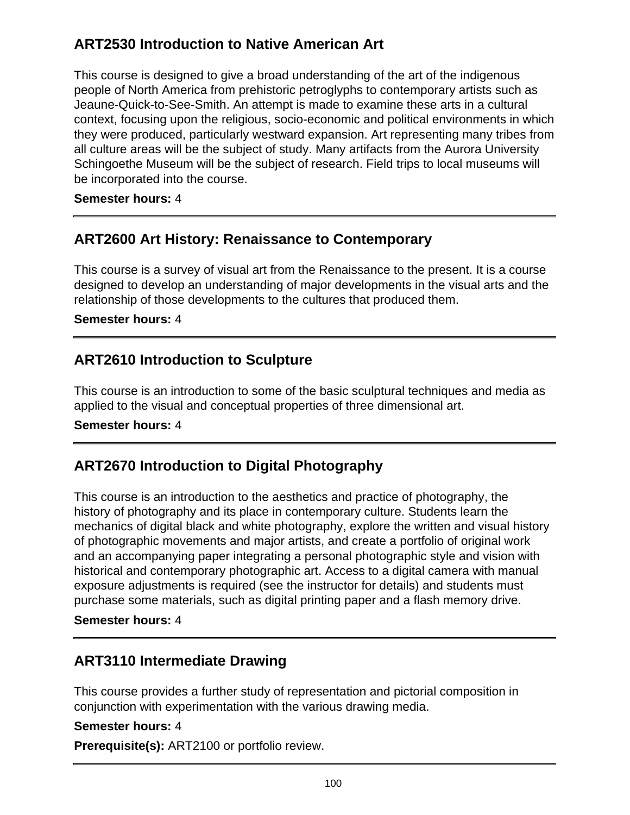# **ART2530 Introduction to Native American Art**

This course is designed to give a broad understanding of the art of the indigenous people of North America from prehistoric petroglyphs to contemporary artists such as Jeaune-Quick-to-See-Smith. An attempt is made to examine these arts in a cultural context, focusing upon the religious, socio-economic and political environments in which they were produced, particularly westward expansion. Art representing many tribes from all culture areas will be the subject of study. Many artifacts from the Aurora University Schingoethe Museum will be the subject of research. Field trips to local museums will be incorporated into the course.

#### **Semester hours:** 4

## **ART2600 Art History: Renaissance to Contemporary**

This course is a survey of visual art from the Renaissance to the present. It is a course designed to develop an understanding of major developments in the visual arts and the relationship of those developments to the cultures that produced them.

**Semester hours:** 4

## **ART2610 Introduction to Sculpture**

This course is an introduction to some of the basic sculptural techniques and media as applied to the visual and conceptual properties of three dimensional art.

#### **Semester hours:** 4

# **ART2670 Introduction to Digital Photography**

This course is an introduction to the aesthetics and practice of photography, the history of photography and its place in contemporary culture. Students learn the mechanics of digital black and white photography, explore the written and visual history of photographic movements and major artists, and create a portfolio of original work and an accompanying paper integrating a personal photographic style and vision with historical and contemporary photographic art. Access to a digital camera with manual exposure adjustments is required (see the instructor for details) and students must purchase some materials, such as digital printing paper and a flash memory drive.

#### **Semester hours:** 4

# **ART3110 Intermediate Drawing**

This course provides a further study of representation and pictorial composition in conjunction with experimentation with the various drawing media.

#### **Semester hours:** 4

**Prerequisite(s):** ART2100 or portfolio review.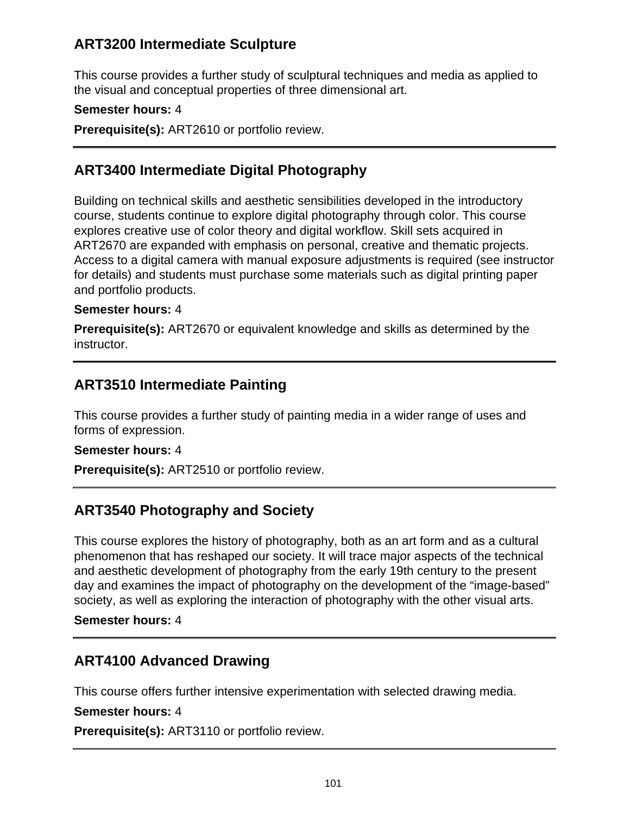## **ART3200 Intermediate Sculpture**

This course provides a further study of sculptural techniques and media as applied to the visual and conceptual properties of three dimensional art.

### **Semester hours:** 4

**Prerequisite(s):** ART2610 or portfolio review.

## **ART3400 Intermediate Digital Photography**

Building on technical skills and aesthetic sensibilities developed in the introductory course, students continue to explore digital photography through color. This course explores creative use of color theory and digital workflow. Skill sets acquired in ART2670 are expanded with emphasis on personal, creative and thematic projects. Access to a digital camera with manual exposure adjustments is required (see instructor for details) and students must purchase some materials such as digital printing paper and portfolio products.

#### **Semester hours:** 4

**Prerequisite(s):** ART2670 or equivalent knowledge and skills as determined by the instructor.

## **ART3510 Intermediate Painting**

This course provides a further study of painting media in a wider range of uses and forms of expression.

#### **Semester hours:** 4

**Prerequisite(s):** ART2510 or portfolio review.

# **ART3540 Photography and Society**

This course explores the history of photography, both as an art form and as a cultural phenomenon that has reshaped our society. It will trace major aspects of the technical and aesthetic development of photography from the early 19th century to the present day and examines the impact of photography on the development of the "image-based" society, as well as exploring the interaction of photography with the other visual arts.

#### **Semester hours:** 4

# **ART4100 Advanced Drawing**

This course offers further intensive experimentation with selected drawing media.

#### **Semester hours:** 4

**Prerequisite(s):** ART3110 or portfolio review.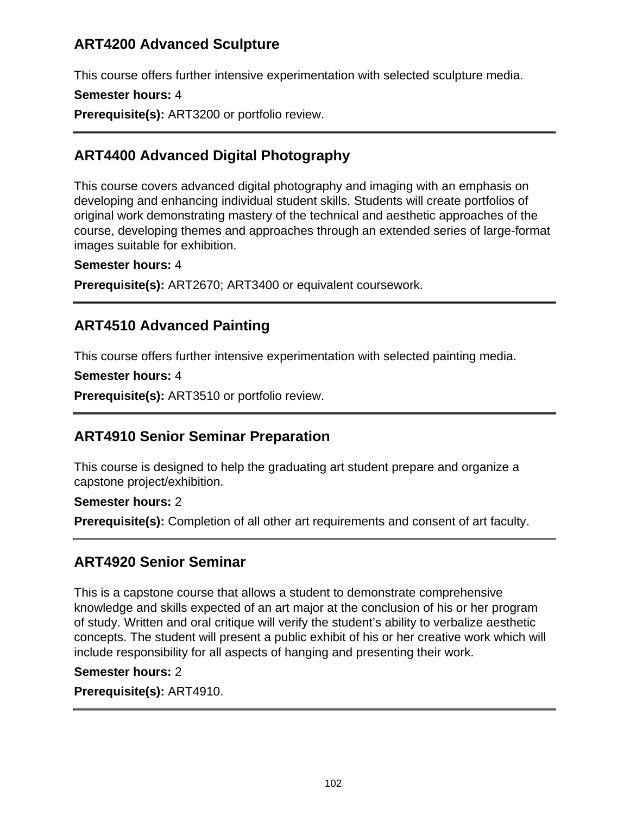# **ART4200 Advanced Sculpture**

This course offers further intensive experimentation with selected sculpture media.

#### **Semester hours:** 4

**Prerequisite(s):** ART3200 or portfolio review.

# **ART4400 Advanced Digital Photography**

This course covers advanced digital photography and imaging with an emphasis on developing and enhancing individual student skills. Students will create portfolios of original work demonstrating mastery of the technical and aesthetic approaches of the course, developing themes and approaches through an extended series of large-format images suitable for exhibition.

#### **Semester hours:** 4

**Prerequisite(s):** ART2670; ART3400 or equivalent coursework.

## **ART4510 Advanced Painting**

This course offers further intensive experimentation with selected painting media.

```
Semester hours: 4
```
**Prerequisite(s):** ART3510 or portfolio review.

## **ART4910 Senior Seminar Preparation**

This course is designed to help the graduating art student prepare and organize a capstone project/exhibition.

#### **Semester hours:** 2

**Prerequisite(s):** Completion of all other art requirements and consent of art faculty.

## **ART4920 Senior Seminar**

This is a capstone course that allows a student to demonstrate comprehensive knowledge and skills expected of an art major at the conclusion of his or her program of study. Written and oral critique will verify the student's ability to verbalize aesthetic concepts. The student will present a public exhibit of his or her creative work which will include responsibility for all aspects of hanging and presenting their work.

#### **Semester hours:** 2

**Prerequisite(s):** ART4910.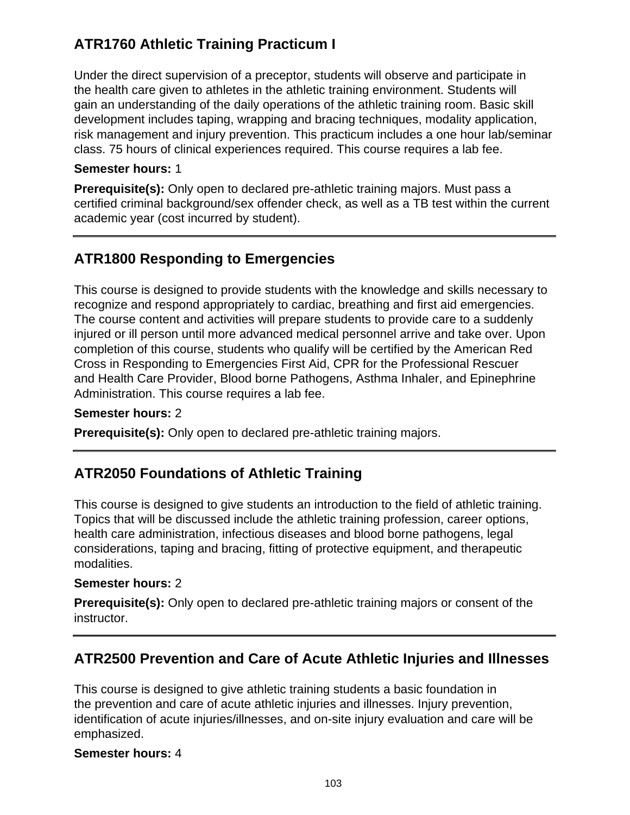# **ATR1760 Athletic Training Practicum I**

Under the direct supervision of a preceptor, students will observe and participate in the health care given to athletes in the athletic training environment. Students will gain an understanding of the daily operations of the athletic training room. Basic skill development includes taping, wrapping and bracing techniques, modality application, risk management and injury prevention. This practicum includes a one hour lab/seminar class. 75 hours of clinical experiences required. This course requires a lab fee.

#### **Semester hours:** 1

**Prerequisite(s):** Only open to declared pre-athletic training majors. Must pass a certified criminal background/sex offender check, as well as a TB test within the current academic year (cost incurred by student).

# **ATR1800 Responding to Emergencies**

This course is designed to provide students with the knowledge and skills necessary to recognize and respond appropriately to cardiac, breathing and first aid emergencies. The course content and activities will prepare students to provide care to a suddenly injured or ill person until more advanced medical personnel arrive and take over. Upon completion of this course, students who qualify will be certified by the American Red Cross in Responding to Emergencies First Aid, CPR for the Professional Rescuer and Health Care Provider, Blood borne Pathogens, Asthma Inhaler, and Epinephrine Administration. This course requires a lab fee.

#### **Semester hours:** 2

**Prerequisite(s):** Only open to declared pre-athletic training majors.

## **ATR2050 Foundations of Athletic Training**

This course is designed to give students an introduction to the field of athletic training. Topics that will be discussed include the athletic training profession, career options, health care administration, infectious diseases and blood borne pathogens, legal considerations, taping and bracing, fitting of protective equipment, and therapeutic modalities.

### **Semester hours:** 2

**Prerequisite(s):** Only open to declared pre-athletic training majors or consent of the instructor.

## **ATR2500 Prevention and Care of Acute Athletic Injuries and Illnesses**

This course is designed to give athletic training students a basic foundation in the prevention and care of acute athletic injuries and illnesses. Injury prevention, identification of acute injuries/illnesses, and on-site injury evaluation and care will be emphasized.

#### **Semester hours:** 4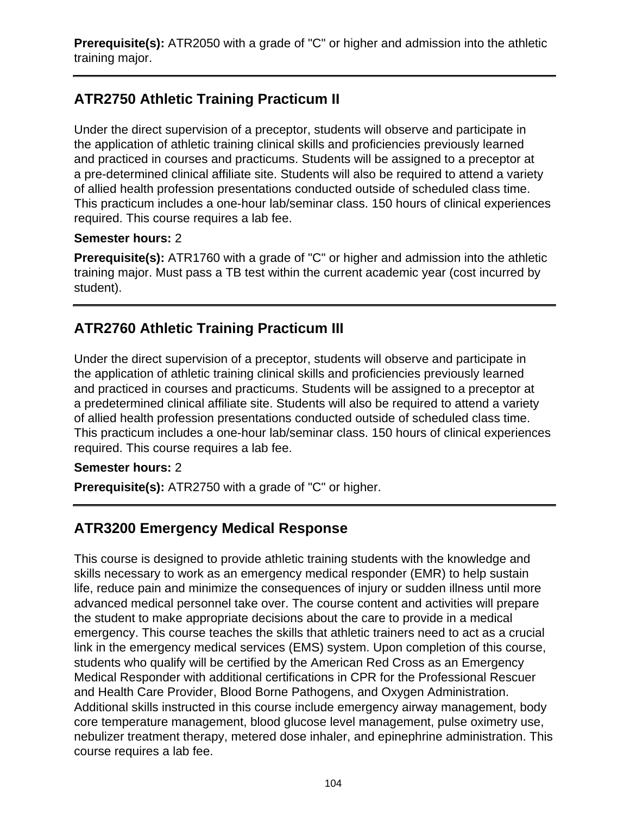**Prerequisite(s):** ATR2050 with a grade of "C" or higher and admission into the athletic training major.

# **ATR2750 Athletic Training Practicum II**

Under the direct supervision of a preceptor, students will observe and participate in the application of athletic training clinical skills and proficiencies previously learned and practiced in courses and practicums. Students will be assigned to a preceptor at a pre-determined clinical affiliate site. Students will also be required to attend a variety of allied health profession presentations conducted outside of scheduled class time. This practicum includes a one-hour lab/seminar class. 150 hours of clinical experiences required. This course requires a lab fee.

#### **Semester hours:** 2

**Prerequisite(s):** ATR1760 with a grade of "C" or higher and admission into the athletic training major. Must pass a TB test within the current academic year (cost incurred by student).

# **ATR2760 Athletic Training Practicum III**

Under the direct supervision of a preceptor, students will observe and participate in the application of athletic training clinical skills and proficiencies previously learned and practiced in courses and practicums. Students will be assigned to a preceptor at a predetermined clinical affiliate site. Students will also be required to attend a variety of allied health profession presentations conducted outside of scheduled class time. This practicum includes a one-hour lab/seminar class. 150 hours of clinical experiences required. This course requires a lab fee.

### **Semester hours:** 2

**Prerequisite(s):** ATR2750 with a grade of "C" or higher.

# **ATR3200 Emergency Medical Response**

This course is designed to provide athletic training students with the knowledge and skills necessary to work as an emergency medical responder (EMR) to help sustain life, reduce pain and minimize the consequences of injury or sudden illness until more advanced medical personnel take over. The course content and activities will prepare the student to make appropriate decisions about the care to provide in a medical emergency. This course teaches the skills that athletic trainers need to act as a crucial link in the emergency medical services (EMS) system. Upon completion of this course, students who qualify will be certified by the American Red Cross as an Emergency Medical Responder with additional certifications in CPR for the Professional Rescuer and Health Care Provider, Blood Borne Pathogens, and Oxygen Administration. Additional skills instructed in this course include emergency airway management, body core temperature management, blood glucose level management, pulse oximetry use, nebulizer treatment therapy, metered dose inhaler, and epinephrine administration. This course requires a lab fee.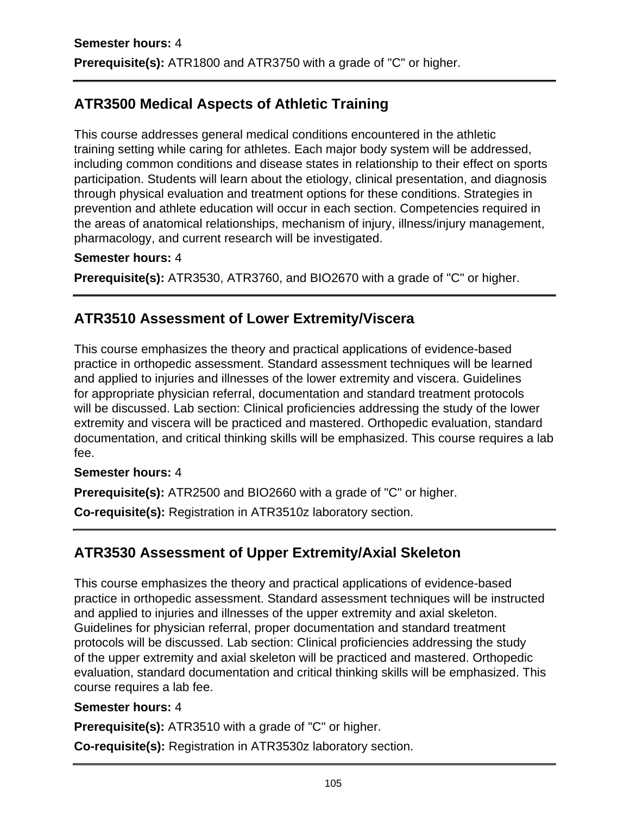# **ATR3500 Medical Aspects of Athletic Training**

This course addresses general medical conditions encountered in the athletic training setting while caring for athletes. Each major body system will be addressed, including common conditions and disease states in relationship to their effect on sports participation. Students will learn about the etiology, clinical presentation, and diagnosis through physical evaluation and treatment options for these conditions. Strategies in prevention and athlete education will occur in each section. Competencies required in the areas of anatomical relationships, mechanism of injury, illness/injury management, pharmacology, and current research will be investigated.

#### **Semester hours:** 4

**Prerequisite(s):** ATR3530, ATR3760, and BIO2670 with a grade of "C" or higher.

# **ATR3510 Assessment of Lower Extremity/Viscera**

This course emphasizes the theory and practical applications of evidence-based practice in orthopedic assessment. Standard assessment techniques will be learned and applied to injuries and illnesses of the lower extremity and viscera. Guidelines for appropriate physician referral, documentation and standard treatment protocols will be discussed. Lab section: Clinical proficiencies addressing the study of the lower extremity and viscera will be practiced and mastered. Orthopedic evaluation, standard documentation, and critical thinking skills will be emphasized. This course requires a lab fee.

### **Semester hours:** 4

**Prerequisite(s):** ATR2500 and BIO2660 with a grade of "C" or higher.

**Co-requisite(s):** Registration in ATR3510z laboratory section.

# **ATR3530 Assessment of Upper Extremity/Axial Skeleton**

This course emphasizes the theory and practical applications of evidence-based practice in orthopedic assessment. Standard assessment techniques will be instructed and applied to injuries and illnesses of the upper extremity and axial skeleton. Guidelines for physician referral, proper documentation and standard treatment protocols will be discussed. Lab section: Clinical proficiencies addressing the study of the upper extremity and axial skeleton will be practiced and mastered. Orthopedic evaluation, standard documentation and critical thinking skills will be emphasized. This course requires a lab fee.

#### **Semester hours:** 4

**Prerequisite(s):** ATR3510 with a grade of "C" or higher.

**Co-requisite(s):** Registration in ATR3530z laboratory section.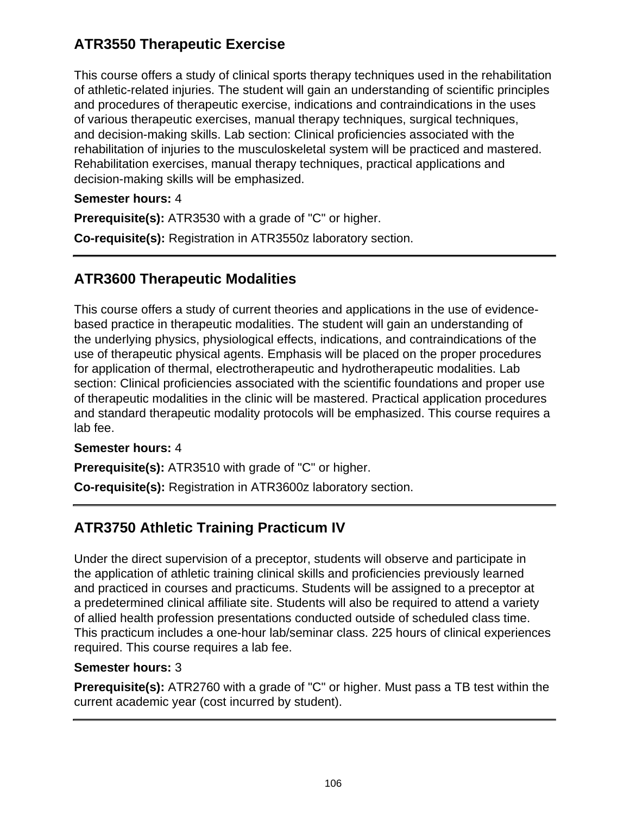# **ATR3550 Therapeutic Exercise**

This course offers a study of clinical sports therapy techniques used in the rehabilitation of athletic-related injuries. The student will gain an understanding of scientific principles and procedures of therapeutic exercise, indications and contraindications in the uses of various therapeutic exercises, manual therapy techniques, surgical techniques, and decision-making skills. Lab section: Clinical proficiencies associated with the rehabilitation of injuries to the musculoskeletal system will be practiced and mastered. Rehabilitation exercises, manual therapy techniques, practical applications and decision-making skills will be emphasized.

### **Semester hours:** 4

**Prerequisite(s):** ATR3530 with a grade of "C" or higher.

**Co-requisite(s):** Registration in ATR3550z laboratory section.

# **ATR3600 Therapeutic Modalities**

This course offers a study of current theories and applications in the use of evidencebased practice in therapeutic modalities. The student will gain an understanding of the underlying physics, physiological effects, indications, and contraindications of the use of therapeutic physical agents. Emphasis will be placed on the proper procedures for application of thermal, electrotherapeutic and hydrotherapeutic modalities. Lab section: Clinical proficiencies associated with the scientific foundations and proper use of therapeutic modalities in the clinic will be mastered. Practical application procedures and standard therapeutic modality protocols will be emphasized. This course requires a lab fee.

### **Semester hours:** 4

**Prerequisite(s):** ATR3510 with grade of "C" or higher.

**Co-requisite(s):** Registration in ATR3600z laboratory section.

# **ATR3750 Athletic Training Practicum IV**

Under the direct supervision of a preceptor, students will observe and participate in the application of athletic training clinical skills and proficiencies previously learned and practiced in courses and practicums. Students will be assigned to a preceptor at a predetermined clinical affiliate site. Students will also be required to attend a variety of allied health profession presentations conducted outside of scheduled class time. This practicum includes a one-hour lab/seminar class. 225 hours of clinical experiences required. This course requires a lab fee.

### **Semester hours:** 3

**Prerequisite(s):** ATR2760 with a grade of "C" or higher. Must pass a TB test within the current academic year (cost incurred by student).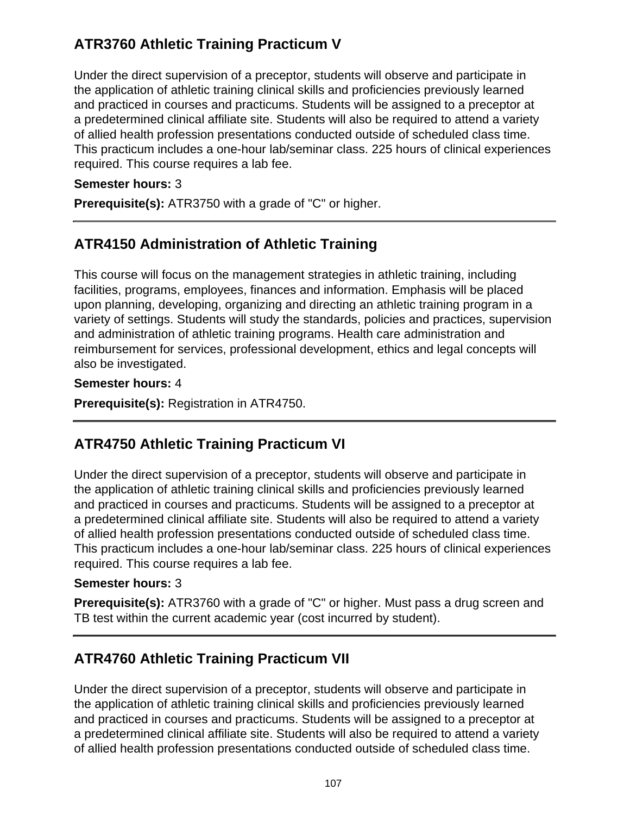# **ATR3760 Athletic Training Practicum V**

Under the direct supervision of a preceptor, students will observe and participate in the application of athletic training clinical skills and proficiencies previously learned and practiced in courses and practicums. Students will be assigned to a preceptor at a predetermined clinical affiliate site. Students will also be required to attend a variety of allied health profession presentations conducted outside of scheduled class time. This practicum includes a one-hour lab/seminar class. 225 hours of clinical experiences required. This course requires a lab fee.

### **Semester hours:** 3

**Prerequisite(s):** ATR3750 with a grade of "C" or higher.

# **ATR4150 Administration of Athletic Training**

This course will focus on the management strategies in athletic training, including facilities, programs, employees, finances and information. Emphasis will be placed upon planning, developing, organizing and directing an athletic training program in a variety of settings. Students will study the standards, policies and practices, supervision and administration of athletic training programs. Health care administration and reimbursement for services, professional development, ethics and legal concepts will also be investigated.

### **Semester hours:** 4

**Prerequisite(s):** Registration in ATR4750.

# **ATR4750 Athletic Training Practicum VI**

Under the direct supervision of a preceptor, students will observe and participate in the application of athletic training clinical skills and proficiencies previously learned and practiced in courses and practicums. Students will be assigned to a preceptor at a predetermined clinical affiliate site. Students will also be required to attend a variety of allied health profession presentations conducted outside of scheduled class time. This practicum includes a one-hour lab/seminar class. 225 hours of clinical experiences required. This course requires a lab fee.

### **Semester hours:** 3

**Prerequisite(s):** ATR3760 with a grade of "C" or higher. Must pass a drug screen and TB test within the current academic year (cost incurred by student).

# **ATR4760 Athletic Training Practicum VII**

Under the direct supervision of a preceptor, students will observe and participate in the application of athletic training clinical skills and proficiencies previously learned and practiced in courses and practicums. Students will be assigned to a preceptor at a predetermined clinical affiliate site. Students will also be required to attend a variety of allied health profession presentations conducted outside of scheduled class time.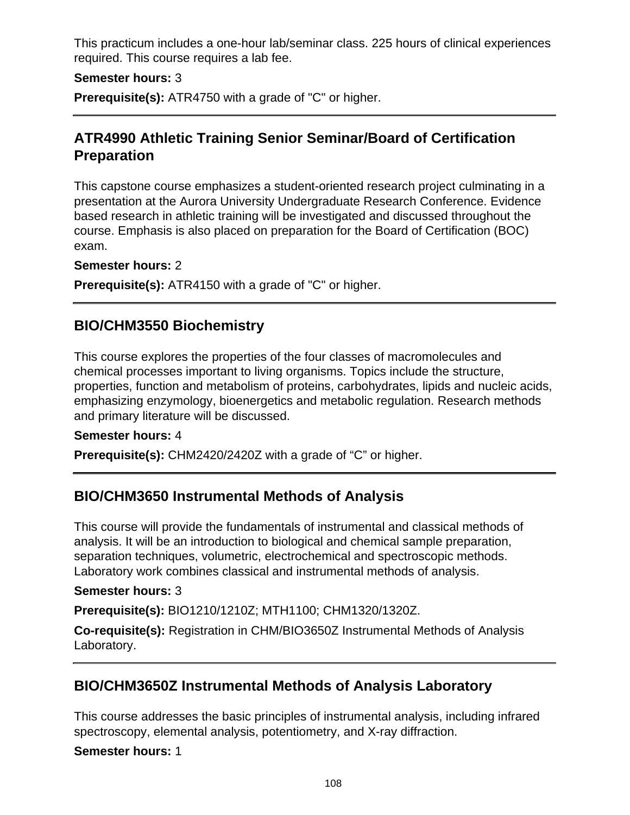This practicum includes a one-hour lab/seminar class. 225 hours of clinical experiences required. This course requires a lab fee.

#### **Semester hours:** 3

**Prerequisite(s):** ATR4750 with a grade of "C" or higher.

## **ATR4990 Athletic Training Senior Seminar/Board of Certification Preparation**

This capstone course emphasizes a student-oriented research project culminating in a presentation at the Aurora University Undergraduate Research Conference. Evidence based research in athletic training will be investigated and discussed throughout the course. Emphasis is also placed on preparation for the Board of Certification (BOC) exam.

#### **Semester hours:** 2

**Prerequisite(s):** ATR4150 with a grade of "C" or higher.

## **BIO/CHM3550 Biochemistry**

This course explores the properties of the four classes of macromolecules and chemical processes important to living organisms. Topics include the structure, properties, function and metabolism of proteins, carbohydrates, lipids and nucleic acids, emphasizing enzymology, bioenergetics and metabolic regulation. Research methods and primary literature will be discussed.

#### **Semester hours:** 4

**Prerequisite(s):** CHM2420/2420Z with a grade of "C" or higher.

## **BIO/CHM3650 Instrumental Methods of Analysis**

This course will provide the fundamentals of instrumental and classical methods of analysis. It will be an introduction to biological and chemical sample preparation, separation techniques, volumetric, electrochemical and spectroscopic methods. Laboratory work combines classical and instrumental methods of analysis.

#### **Semester hours:** 3

**Prerequisite(s):** BIO1210/1210Z; MTH1100; CHM1320/1320Z.

**Co-requisite(s):** Registration in CHM/BIO3650Z Instrumental Methods of Analysis Laboratory.

## **BIO/CHM3650Z Instrumental Methods of Analysis Laboratory**

This course addresses the basic principles of instrumental analysis, including infrared spectroscopy, elemental analysis, potentiometry, and X-ray diffraction.

#### **Semester hours:** 1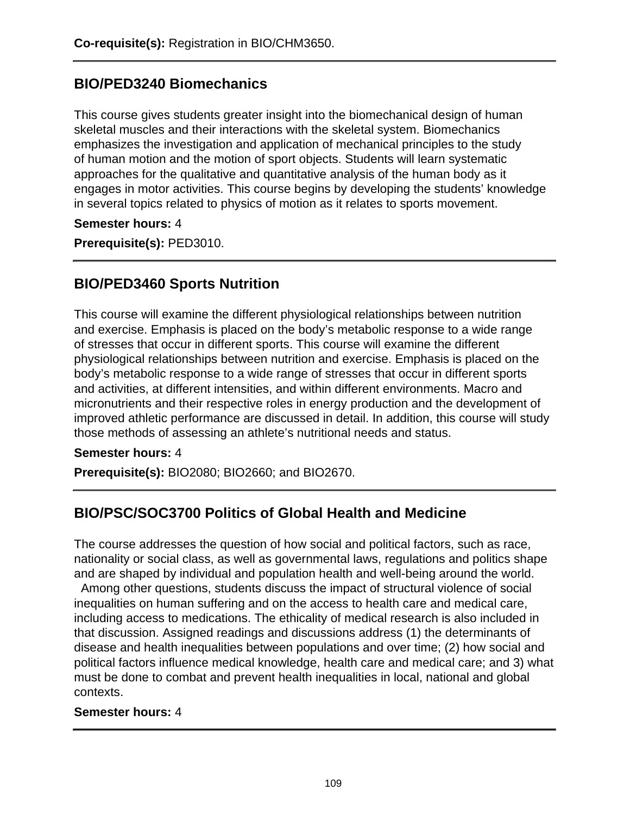### **BIO/PED3240 Biomechanics**

This course gives students greater insight into the biomechanical design of human skeletal muscles and their interactions with the skeletal system. Biomechanics emphasizes the investigation and application of mechanical principles to the study of human motion and the motion of sport objects. Students will learn systematic approaches for the qualitative and quantitative analysis of the human body as it engages in motor activities. This course begins by developing the students' knowledge in several topics related to physics of motion as it relates to sports movement.

#### **Semester hours:** 4

**Prerequisite(s):** PED3010.

## **BIO/PED3460 Sports Nutrition**

This course will examine the different physiological relationships between nutrition and exercise. Emphasis is placed on the body's metabolic response to a wide range of stresses that occur in different sports. This course will examine the different physiological relationships between nutrition and exercise. Emphasis is placed on the body's metabolic response to a wide range of stresses that occur in different sports and activities, at different intensities, and within different environments. Macro and micronutrients and their respective roles in energy production and the development of improved athletic performance are discussed in detail. In addition, this course will study those methods of assessing an athlete's nutritional needs and status.

#### **Semester hours:** 4

**Prerequisite(s):** BIO2080; BIO2660; and BIO2670.

# **BIO/PSC/SOC3700 Politics of Global Health and Medicine**

The course addresses the question of how social and political factors, such as race, nationality or social class, as well as governmental laws, regulations and politics shape and are shaped by individual and population health and well-being around the world.

 Among other questions, students discuss the impact of structural violence of social inequalities on human suffering and on the access to health care and medical care, including access to medications. The ethicality of medical research is also included in that discussion. Assigned readings and discussions address (1) the determinants of disease and health inequalities between populations and over time; (2) how social and political factors influence medical knowledge, health care and medical care; and 3) what must be done to combat and prevent health inequalities in local, national and global contexts.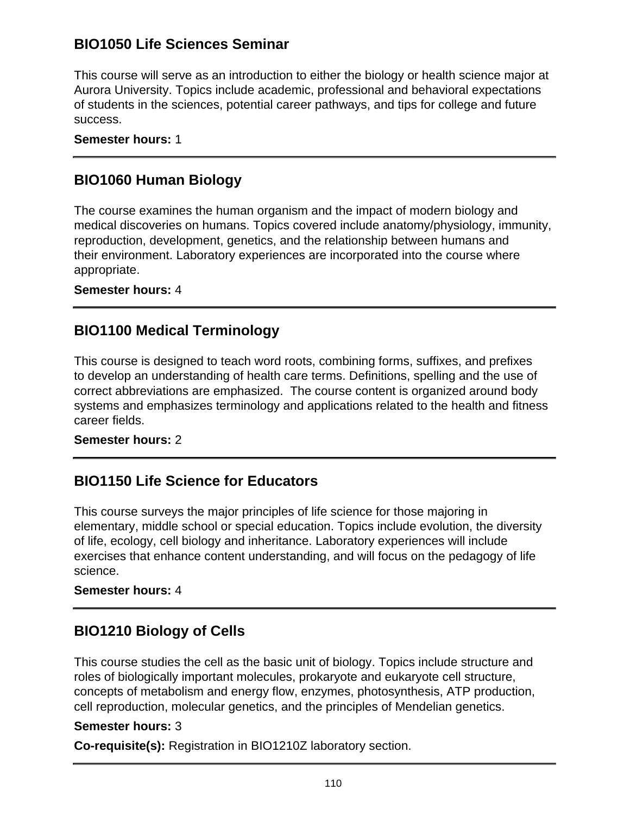# **BIO1050 Life Sciences Seminar**

This course will serve as an introduction to either the biology or health science major at Aurora University. Topics include academic, professional and behavioral expectations of students in the sciences, potential career pathways, and tips for college and future success.

**Semester hours:** 1

## **BIO1060 Human Biology**

The course examines the human organism and the impact of modern biology and medical discoveries on humans. Topics covered include anatomy/physiology, immunity, reproduction, development, genetics, and the relationship between humans and their environment. Laboratory experiences are incorporated into the course where appropriate.

#### **Semester hours:** 4

## **BIO1100 Medical Terminology**

This course is designed to teach word roots, combining forms, suffixes, and prefixes to develop an understanding of health care terms. Definitions, spelling and the use of correct abbreviations are emphasized. The course content is organized around body systems and emphasizes terminology and applications related to the health and fitness career fields.

#### **Semester hours:** 2

# **BIO1150 Life Science for Educators**

This course surveys the major principles of life science for those majoring in elementary, middle school or special education. Topics include evolution, the diversity of life, ecology, cell biology and inheritance. Laboratory experiences will include exercises that enhance content understanding, and will focus on the pedagogy of life science.

#### **Semester hours:** 4

### **BIO1210 Biology of Cells**

This course studies the cell as the basic unit of biology. Topics include structure and roles of biologically important molecules, prokaryote and eukaryote cell structure, concepts of metabolism and energy flow, enzymes, photosynthesis, ATP production, cell reproduction, molecular genetics, and the principles of Mendelian genetics.

#### **Semester hours:** 3

**Co-requisite(s):** Registration in BIO1210Z laboratory section.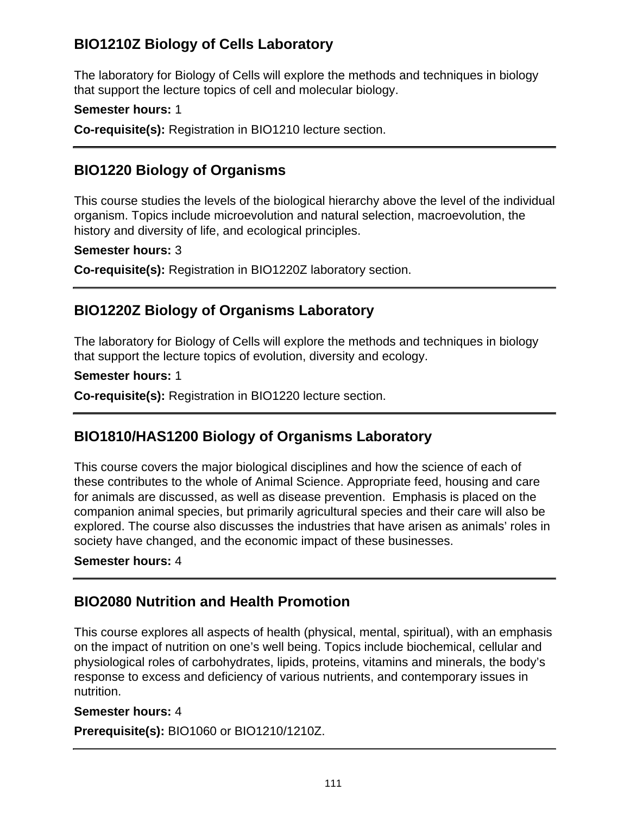# **BIO1210Z Biology of Cells Laboratory**

The laboratory for Biology of Cells will explore the methods and techniques in biology that support the lecture topics of cell and molecular biology.

#### **Semester hours:** 1

**Co-requisite(s):** Registration in BIO1210 lecture section.

## **BIO1220 Biology of Organisms**

This course studies the levels of the biological hierarchy above the level of the individual organism. Topics include microevolution and natural selection, macroevolution, the history and diversity of life, and ecological principles.

#### **Semester hours:** 3

**Co-requisite(s):** Registration in BIO1220Z laboratory section.

# **BIO1220Z Biology of Organisms Laboratory**

The laboratory for Biology of Cells will explore the methods and techniques in biology that support the lecture topics of evolution, diversity and ecology.

#### **Semester hours:** 1

**Co-requisite(s):** Registration in BIO1220 lecture section.

# **BIO1810/HAS1200 Biology of Organisms Laboratory**

This course covers the major biological disciplines and how the science of each of these contributes to the whole of Animal Science. Appropriate feed, housing and care for animals are discussed, as well as disease prevention. Emphasis is placed on the companion animal species, but primarily agricultural species and their care will also be explored. The course also discusses the industries that have arisen as animals' roles in society have changed, and the economic impact of these businesses.

#### **Semester hours:** 4

# **BIO2080 Nutrition and Health Promotion**

This course explores all aspects of health (physical, mental, spiritual), with an emphasis on the impact of nutrition on one's well being. Topics include biochemical, cellular and physiological roles of carbohydrates, lipids, proteins, vitamins and minerals, the body's response to excess and deficiency of various nutrients, and contemporary issues in nutrition.

#### **Semester hours:** 4

**Prerequisite(s):** BIO1060 or BIO1210/1210Z.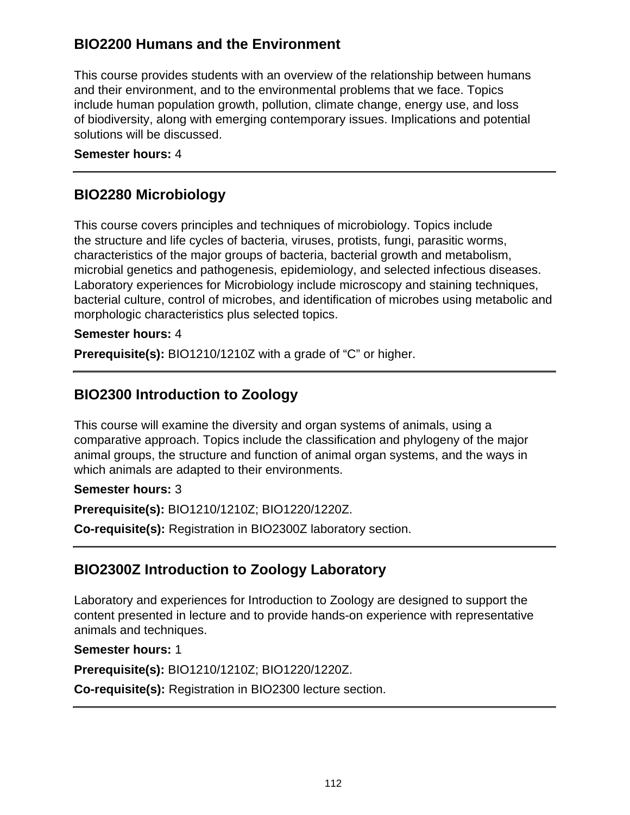# **BIO2200 Humans and the Environment**

This course provides students with an overview of the relationship between humans and their environment, and to the environmental problems that we face. Topics include human population growth, pollution, climate change, energy use, and loss of biodiversity, along with emerging contemporary issues. Implications and potential solutions will be discussed.

#### **Semester hours:** 4

### **BIO2280 Microbiology**

This course covers principles and techniques of microbiology. Topics include the structure and life cycles of bacteria, viruses, protists, fungi, parasitic worms, characteristics of the major groups of bacteria, bacterial growth and metabolism, microbial genetics and pathogenesis, epidemiology, and selected infectious diseases. Laboratory experiences for Microbiology include microscopy and staining techniques, bacterial culture, control of microbes, and identification of microbes using metabolic and morphologic characteristics plus selected topics.

#### **Semester hours:** 4

**Prerequisite(s):** BIO1210/1210Z with a grade of "C" or higher.

# **BIO2300 Introduction to Zoology**

This course will examine the diversity and organ systems of animals, using a comparative approach. Topics include the classification and phylogeny of the major animal groups, the structure and function of animal organ systems, and the ways in which animals are adapted to their environments.

#### **Semester hours:** 3

**Prerequisite(s):** BIO1210/1210Z; BIO1220/1220Z.

**Co-requisite(s):** Registration in BIO2300Z laboratory section.

### **BIO2300Z Introduction to Zoology Laboratory**

Laboratory and experiences for Introduction to Zoology are designed to support the content presented in lecture and to provide hands-on experience with representative animals and techniques.

#### **Semester hours:** 1

**Prerequisite(s):** BIO1210/1210Z; BIO1220/1220Z.

**Co-requisite(s):** Registration in BIO2300 lecture section.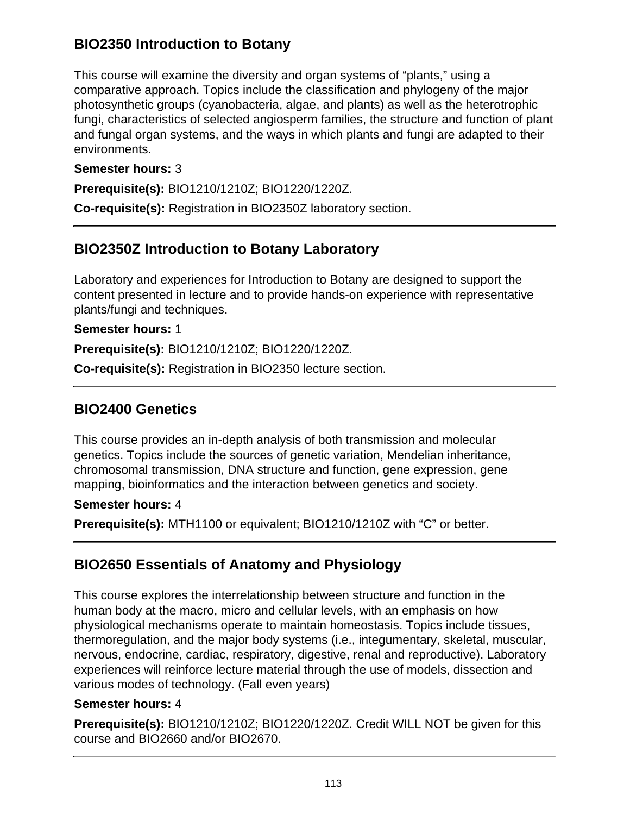# **BIO2350 Introduction to Botany**

This course will examine the diversity and organ systems of "plants," using a comparative approach. Topics include the classification and phylogeny of the major photosynthetic groups (cyanobacteria, algae, and plants) as well as the heterotrophic fungi, characteristics of selected angiosperm families, the structure and function of plant and fungal organ systems, and the ways in which plants and fungi are adapted to their environments.

#### **Semester hours:** 3

**Prerequisite(s):** BIO1210/1210Z; BIO1220/1220Z.

**Co-requisite(s):** Registration in BIO2350Z laboratory section.

## **BIO2350Z Introduction to Botany Laboratory**

Laboratory and experiences for Introduction to Botany are designed to support the content presented in lecture and to provide hands-on experience with representative plants/fungi and techniques.

**Semester hours:** 1

**Prerequisite(s):** BIO1210/1210Z; BIO1220/1220Z.

**Co-requisite(s):** Registration in BIO2350 lecture section.

### **BIO2400 Genetics**

This course provides an in-depth analysis of both transmission and molecular genetics. Topics include the sources of genetic variation, Mendelian inheritance, chromosomal transmission, DNA structure and function, gene expression, gene mapping, bioinformatics and the interaction between genetics and society.

#### **Semester hours:** 4

**Prerequisite(s):** MTH1100 or equivalent; BIO1210/1210Z with "C" or better.

### **BIO2650 Essentials of Anatomy and Physiology**

This course explores the interrelationship between structure and function in the human body at the macro, micro and cellular levels, with an emphasis on how physiological mechanisms operate to maintain homeostasis. Topics include tissues, thermoregulation, and the major body systems (i.e., integumentary, skeletal, muscular, nervous, endocrine, cardiac, respiratory, digestive, renal and reproductive). Laboratory experiences will reinforce lecture material through the use of models, dissection and various modes of technology. (Fall even years)

#### **Semester hours:** 4

**Prerequisite(s):** BIO1210/1210Z; BIO1220/1220Z. Credit WILL NOT be given for this course and BIO2660 and/or BIO2670.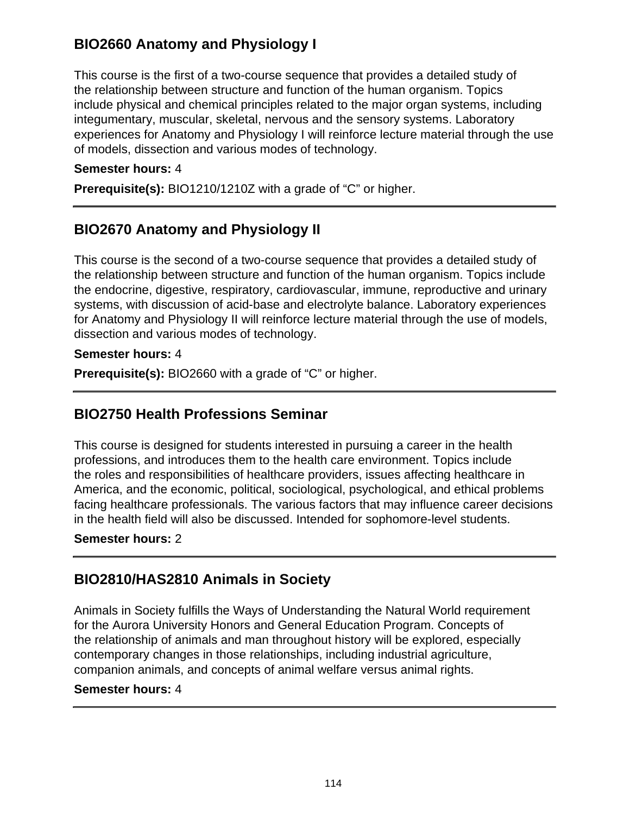# **BIO2660 Anatomy and Physiology I**

This course is the first of a two-course sequence that provides a detailed study of the relationship between structure and function of the human organism. Topics include physical and chemical principles related to the major organ systems, including integumentary, muscular, skeletal, nervous and the sensory systems. Laboratory experiences for Anatomy and Physiology I will reinforce lecture material through the use of models, dissection and various modes of technology.

#### **Semester hours:** 4

**Prerequisite(s):** BIO1210/1210Z with a grade of "C" or higher.

## **BIO2670 Anatomy and Physiology II**

This course is the second of a two-course sequence that provides a detailed study of the relationship between structure and function of the human organism. Topics include the endocrine, digestive, respiratory, cardiovascular, immune, reproductive and urinary systems, with discussion of acid-base and electrolyte balance. Laboratory experiences for Anatomy and Physiology II will reinforce lecture material through the use of models, dissection and various modes of technology.

#### **Semester hours:** 4

**Prerequisite(s):** BIO2660 with a grade of "C" or higher.

### **BIO2750 Health Professions Seminar**

This course is designed for students interested in pursuing a career in the health professions, and introduces them to the health care environment. Topics include the roles and responsibilities of healthcare providers, issues affecting healthcare in America, and the economic, political, sociological, psychological, and ethical problems facing healthcare professionals. The various factors that may influence career decisions in the health field will also be discussed. Intended for sophomore-level students.

#### **Semester hours:** 2

### **BIO2810/HAS2810 Animals in Society**

Animals in Society fulfills the Ways of Understanding the Natural World requirement for the Aurora University Honors and General Education Program. Concepts of the relationship of animals and man throughout history will be explored, especially contemporary changes in those relationships, including industrial agriculture, companion animals, and concepts of animal welfare versus animal rights.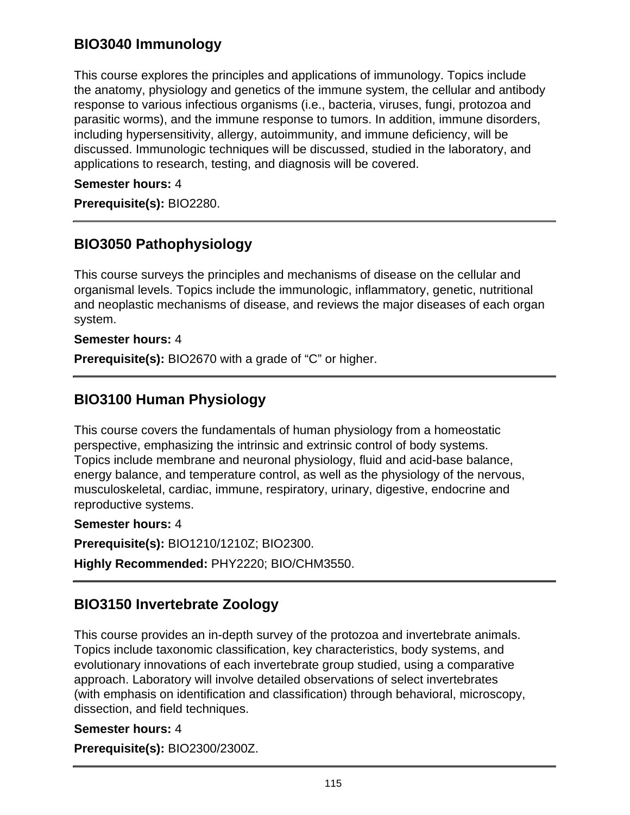# **BIO3040 Immunology**

This course explores the principles and applications of immunology. Topics include the anatomy, physiology and genetics of the immune system, the cellular and antibody response to various infectious organisms (i.e., bacteria, viruses, fungi, protozoa and parasitic worms), and the immune response to tumors. In addition, immune disorders, including hypersensitivity, allergy, autoimmunity, and immune deficiency, will be discussed. Immunologic techniques will be discussed, studied in the laboratory, and applications to research, testing, and diagnosis will be covered.

#### **Semester hours:** 4

**Prerequisite(s):** BIO2280.

## **BIO3050 Pathophysiology**

This course surveys the principles and mechanisms of disease on the cellular and organismal levels. Topics include the immunologic, inflammatory, genetic, nutritional and neoplastic mechanisms of disease, and reviews the major diseases of each organ system.

#### **Semester hours:** 4

**Prerequisite(s):** BIO2670 with a grade of "C" or higher.

### **BIO3100 Human Physiology**

This course covers the fundamentals of human physiology from a homeostatic perspective, emphasizing the intrinsic and extrinsic control of body systems. Topics include membrane and neuronal physiology, fluid and acid-base balance, energy balance, and temperature control, as well as the physiology of the nervous, musculoskeletal, cardiac, immune, respiratory, urinary, digestive, endocrine and reproductive systems.

#### **Semester hours:** 4

**Prerequisite(s):** BIO1210/1210Z; BIO2300.

**Highly Recommended:** PHY2220; BIO/CHM3550.

# **BIO3150 Invertebrate Zoology**

This course provides an in-depth survey of the protozoa and invertebrate animals. Topics include taxonomic classification, key characteristics, body systems, and evolutionary innovations of each invertebrate group studied, using a comparative approach. Laboratory will involve detailed observations of select invertebrates (with emphasis on identification and classification) through behavioral, microscopy, dissection, and field techniques.

#### **Semester hours:** 4

**Prerequisite(s):** BIO2300/2300Z.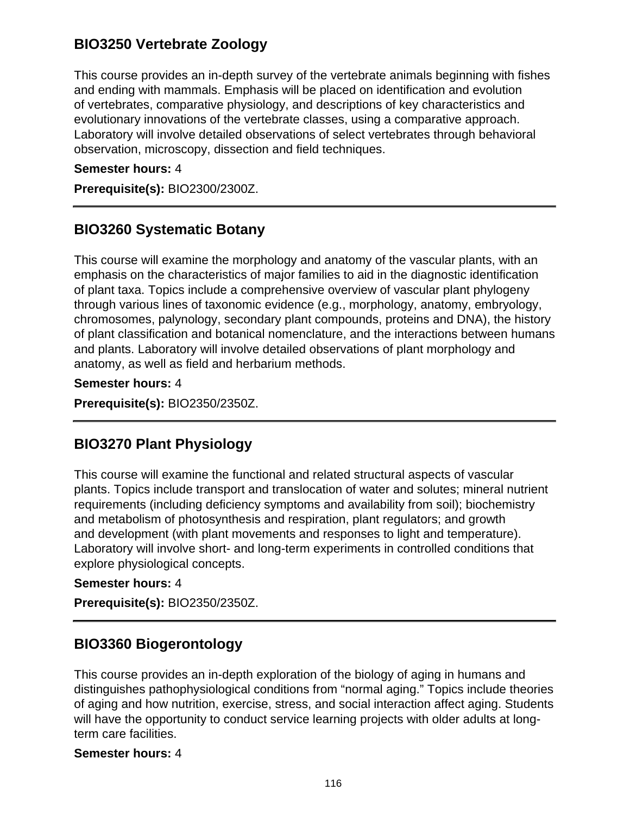### **BIO3250 Vertebrate Zoology**

This course provides an in-depth survey of the vertebrate animals beginning with fishes and ending with mammals. Emphasis will be placed on identification and evolution of vertebrates, comparative physiology, and descriptions of key characteristics and evolutionary innovations of the vertebrate classes, using a comparative approach. Laboratory will involve detailed observations of select vertebrates through behavioral observation, microscopy, dissection and field techniques.

#### **Semester hours:** 4

**Prerequisite(s):** BIO2300/2300Z.

### **BIO3260 Systematic Botany**

This course will examine the morphology and anatomy of the vascular plants, with an emphasis on the characteristics of major families to aid in the diagnostic identification of plant taxa. Topics include a comprehensive overview of vascular plant phylogeny through various lines of taxonomic evidence (e.g., morphology, anatomy, embryology, chromosomes, palynology, secondary plant compounds, proteins and DNA), the history of plant classification and botanical nomenclature, and the interactions between humans and plants. Laboratory will involve detailed observations of plant morphology and anatomy, as well as field and herbarium methods.

**Semester hours:** 4

**Prerequisite(s):** BIO2350/2350Z.

### **BIO3270 Plant Physiology**

This course will examine the functional and related structural aspects of vascular plants. Topics include transport and translocation of water and solutes; mineral nutrient requirements (including deficiency symptoms and availability from soil); biochemistry and metabolism of photosynthesis and respiration, plant regulators; and growth and development (with plant movements and responses to light and temperature). Laboratory will involve short- and long-term experiments in controlled conditions that explore physiological concepts.

#### **Semester hours:** 4

**Prerequisite(s):** BIO2350/2350Z.

### **BIO3360 Biogerontology**

This course provides an in-depth exploration of the biology of aging in humans and distinguishes pathophysiological conditions from "normal aging." Topics include theories of aging and how nutrition, exercise, stress, and social interaction affect aging. Students will have the opportunity to conduct service learning projects with older adults at longterm care facilities.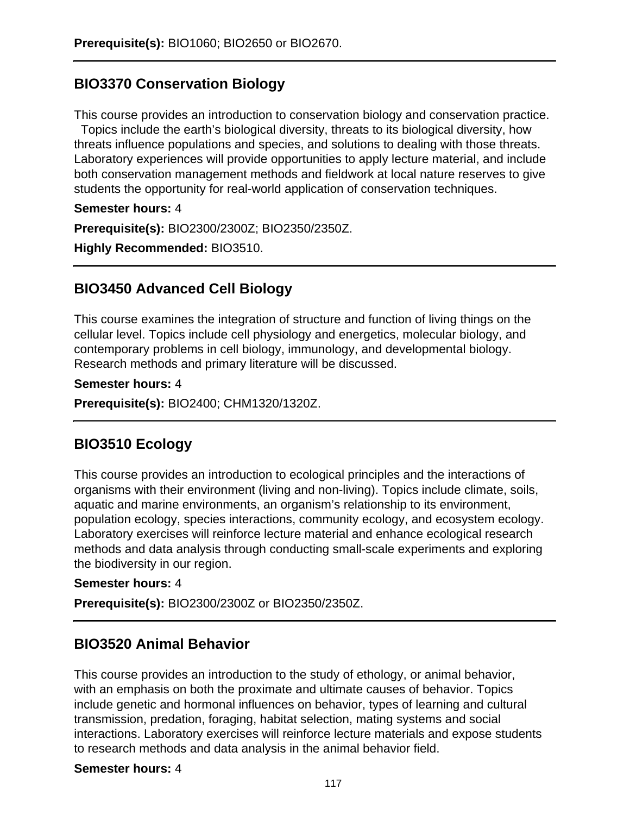# **BIO3370 Conservation Biology**

This course provides an introduction to conservation biology and conservation practice. Topics include the earth's biological diversity, threats to its biological diversity, how threats influence populations and species, and solutions to dealing with those threats. Laboratory experiences will provide opportunities to apply lecture material, and include both conservation management methods and fieldwork at local nature reserves to give students the opportunity for real-world application of conservation techniques.

**Semester hours:** 4

**Prerequisite(s):** BIO2300/2300Z; BIO2350/2350Z.

**Highly Recommended:** BIO3510.

### **BIO3450 Advanced Cell Biology**

This course examines the integration of structure and function of living things on the cellular level. Topics include cell physiology and energetics, molecular biology, and contemporary problems in cell biology, immunology, and developmental biology. Research methods and primary literature will be discussed.

#### **Semester hours:** 4

**Prerequisite(s):** BIO2400; CHM1320/1320Z.

### **BIO3510 Ecology**

This course provides an introduction to ecological principles and the interactions of organisms with their environment (living and non-living). Topics include climate, soils, aquatic and marine environments, an organism's relationship to its environment, population ecology, species interactions, community ecology, and ecosystem ecology. Laboratory exercises will reinforce lecture material and enhance ecological research methods and data analysis through conducting small-scale experiments and exploring the biodiversity in our region.

#### **Semester hours:** 4

**Prerequisite(s):** BIO2300/2300Z or BIO2350/2350Z.

### **BIO3520 Animal Behavior**

This course provides an introduction to the study of ethology, or animal behavior, with an emphasis on both the proximate and ultimate causes of behavior. Topics include genetic and hormonal influences on behavior, types of learning and cultural transmission, predation, foraging, habitat selection, mating systems and social interactions. Laboratory exercises will reinforce lecture materials and expose students to research methods and data analysis in the animal behavior field.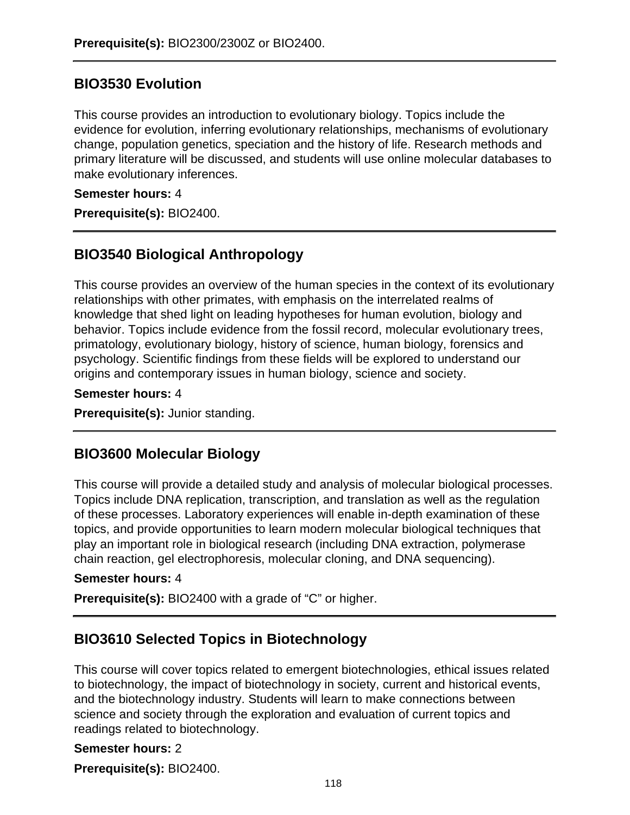### **BIO3530 Evolution**

This course provides an introduction to evolutionary biology. Topics include the evidence for evolution, inferring evolutionary relationships, mechanisms of evolutionary change, population genetics, speciation and the history of life. Research methods and primary literature will be discussed, and students will use online molecular databases to make evolutionary inferences.

#### **Semester hours:** 4

**Prerequisite(s):** BIO2400.

# **BIO3540 Biological Anthropology**

This course provides an overview of the human species in the context of its evolutionary relationships with other primates, with emphasis on the interrelated realms of knowledge that shed light on leading hypotheses for human evolution, biology and behavior. Topics include evidence from the fossil record, molecular evolutionary trees, primatology, evolutionary biology, history of science, human biology, forensics and psychology. Scientific findings from these fields will be explored to understand our origins and contemporary issues in human biology, science and society.

#### **Semester hours:** 4

**Prerequisite(s):** Junior standing.

### **BIO3600 Molecular Biology**

This course will provide a detailed study and analysis of molecular biological processes. Topics include DNA replication, transcription, and translation as well as the regulation of these processes. Laboratory experiences will enable in-depth examination of these topics, and provide opportunities to learn modern molecular biological techniques that play an important role in biological research (including DNA extraction, polymerase chain reaction, gel electrophoresis, molecular cloning, and DNA sequencing).

#### **Semester hours:** 4

**Prerequisite(s):** BIO2400 with a grade of "C" or higher.

### **BIO3610 Selected Topics in Biotechnology**

This course will cover topics related to emergent biotechnologies, ethical issues related to biotechnology, the impact of biotechnology in society, current and historical events, and the biotechnology industry. Students will learn to make connections between science and society through the exploration and evaluation of current topics and readings related to biotechnology.

#### **Semester hours:** 2

**Prerequisite(s):** BIO2400.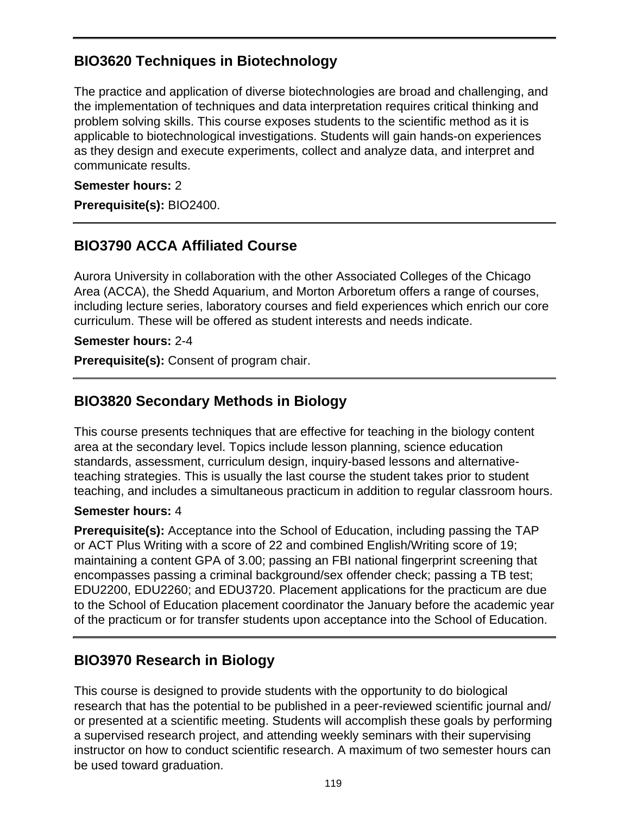# **BIO3620 Techniques in Biotechnology**

The practice and application of diverse biotechnologies are broad and challenging, and the implementation of techniques and data interpretation requires critical thinking and problem solving skills. This course exposes students to the scientific method as it is applicable to biotechnological investigations. Students will gain hands-on experiences as they design and execute experiments, collect and analyze data, and interpret and communicate results.

#### **Semester hours:** 2

**Prerequisite(s):** BIO2400.

# **BIO3790 ACCA Affiliated Course**

Aurora University in collaboration with the other Associated Colleges of the Chicago Area (ACCA), the Shedd Aquarium, and Morton Arboretum offers a range of courses, including lecture series, laboratory courses and field experiences which enrich our core curriculum. These will be offered as student interests and needs indicate.

**Semester hours:** 2-4

**Prerequisite(s):** Consent of program chair.

### **BIO3820 Secondary Methods in Biology**

This course presents techniques that are effective for teaching in the biology content area at the secondary level. Topics include lesson planning, science education standards, assessment, curriculum design, inquiry-based lessons and alternativeteaching strategies. This is usually the last course the student takes prior to student teaching, and includes a simultaneous practicum in addition to regular classroom hours.

#### **Semester hours:** 4

**Prerequisite(s):** Acceptance into the School of Education, including passing the TAP or ACT Plus Writing with a score of 22 and combined English/Writing score of 19; maintaining a content GPA of 3.00; passing an FBI national fingerprint screening that encompasses passing a criminal background/sex offender check; passing a TB test; EDU2200, EDU2260; and EDU3720. Placement applications for the practicum are due to the School of Education placement coordinator the January before the academic year of the practicum or for transfer students upon acceptance into the School of Education.

### **BIO3970 Research in Biology**

This course is designed to provide students with the opportunity to do biological research that has the potential to be published in a peer-reviewed scientific journal and/ or presented at a scientific meeting. Students will accomplish these goals by performing a supervised research project, and attending weekly seminars with their supervising instructor on how to conduct scientific research. A maximum of two semester hours can be used toward graduation.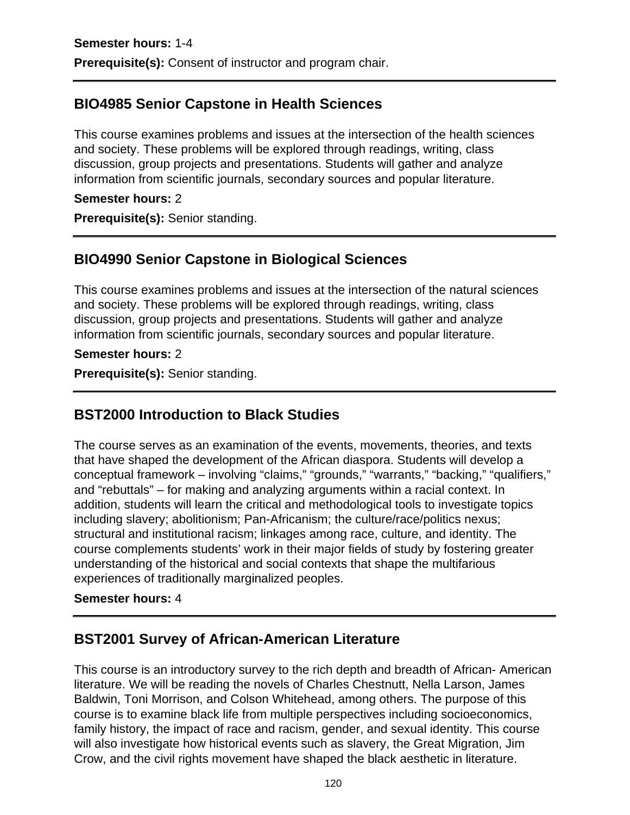# **BIO4985 Senior Capstone in Health Sciences**

This course examines problems and issues at the intersection of the health sciences and society. These problems will be explored through readings, writing, class discussion, group projects and presentations. Students will gather and analyze information from scientific journals, secondary sources and popular literature.

#### **Semester hours:** 2

**Prerequisite(s):** Senior standing.

# **BIO4990 Senior Capstone in Biological Sciences**

This course examines problems and issues at the intersection of the natural sciences and society. These problems will be explored through readings, writing, class discussion, group projects and presentations. Students will gather and analyze information from scientific journals, secondary sources and popular literature.

#### **Semester hours:** 2

**Prerequisite(s):** Senior standing.

# **BST2000 Introduction to Black Studies**

The course serves as an examination of the events, movements, theories, and texts that have shaped the development of the African diaspora. Students will develop a conceptual framework – involving "claims," "grounds," "warrants," "backing," "qualifiers," and "rebuttals" – for making and analyzing arguments within a racial context. In addition, students will learn the critical and methodological tools to investigate topics including slavery; abolitionism; Pan-Africanism; the culture/race/politics nexus; structural and institutional racism; linkages among race, culture, and identity. The course complements students' work in their major fields of study by fostering greater understanding of the historical and social contexts that shape the multifarious experiences of traditionally marginalized peoples.

#### **Semester hours:** 4

# **BST2001 Survey of African-American Literature**

This course is an introductory survey to the rich depth and breadth of African- American literature. We will be reading the novels of Charles Chestnutt, Nella Larson, James Baldwin, Toni Morrison, and Colson Whitehead, among others. The purpose of this course is to examine black life from multiple perspectives including socioeconomics, family history, the impact of race and racism, gender, and sexual identity. This course will also investigate how historical events such as slavery, the Great Migration, Jim Crow, and the civil rights movement have shaped the black aesthetic in literature.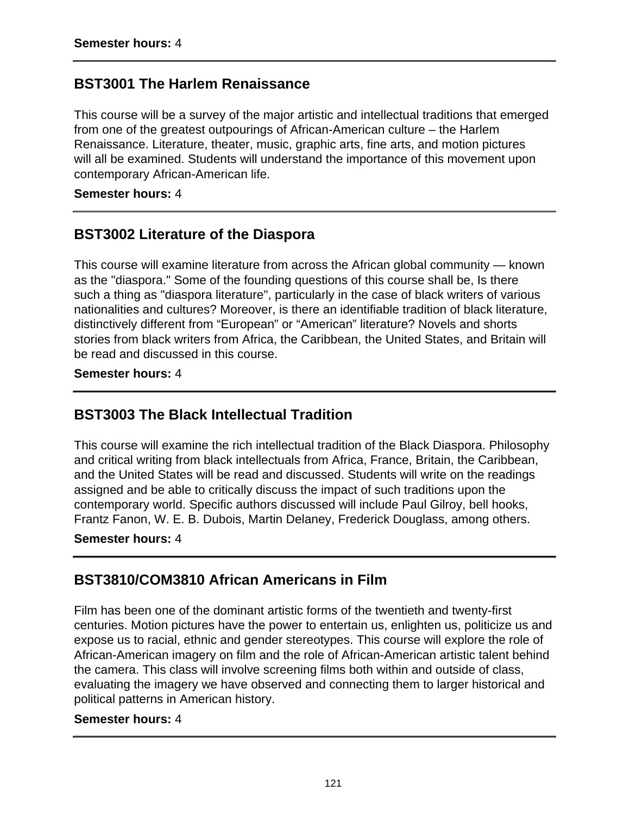### **BST3001 The Harlem Renaissance**

This course will be a survey of the major artistic and intellectual traditions that emerged from one of the greatest outpourings of African-American culture – the Harlem Renaissance. Literature, theater, music, graphic arts, fine arts, and motion pictures will all be examined. Students will understand the importance of this movement upon contemporary African-American life.

#### **Semester hours:** 4

### **BST3002 Literature of the Diaspora**

This course will examine literature from across the African global community — known as the "diaspora." Some of the founding questions of this course shall be, Is there such a thing as "diaspora literature", particularly in the case of black writers of various nationalities and cultures? Moreover, is there an identifiable tradition of black literature, distinctively different from "European" or "American" literature? Novels and shorts stories from black writers from Africa, the Caribbean, the United States, and Britain will be read and discussed in this course.

**Semester hours:** 4

### **BST3003 The Black Intellectual Tradition**

This course will examine the rich intellectual tradition of the Black Diaspora. Philosophy and critical writing from black intellectuals from Africa, France, Britain, the Caribbean, and the United States will be read and discussed. Students will write on the readings assigned and be able to critically discuss the impact of such traditions upon the contemporary world. Specific authors discussed will include Paul Gilroy, bell hooks, Frantz Fanon, W. E. B. Dubois, Martin Delaney, Frederick Douglass, among others.

#### **Semester hours:** 4

### **BST3810/COM3810 African Americans in Film**

Film has been one of the dominant artistic forms of the twentieth and twenty-first centuries. Motion pictures have the power to entertain us, enlighten us, politicize us and expose us to racial, ethnic and gender stereotypes. This course will explore the role of African-American imagery on film and the role of African-American artistic talent behind the camera. This class will involve screening films both within and outside of class, evaluating the imagery we have observed and connecting them to larger historical and political patterns in American history.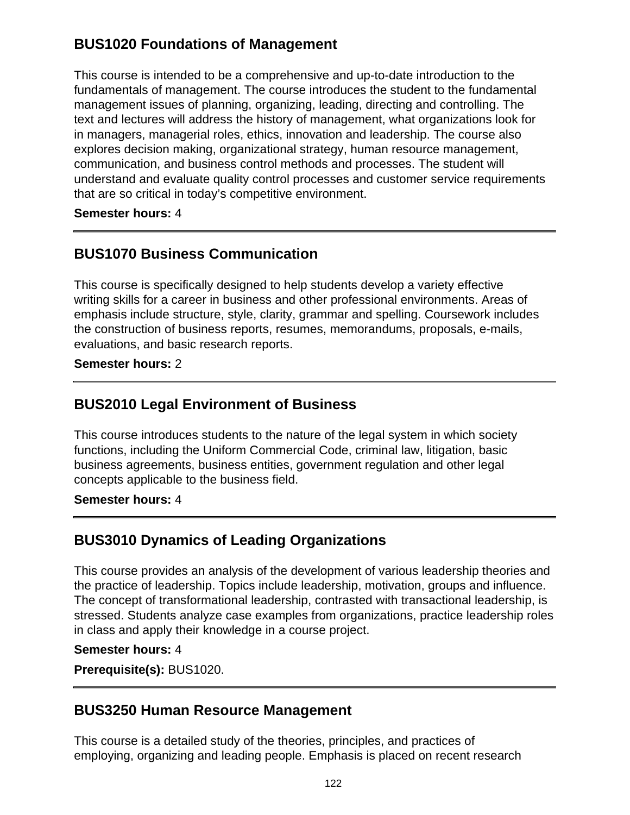# **BUS1020 Foundations of Management**

This course is intended to be a comprehensive and up-to-date introduction to the fundamentals of management. The course introduces the student to the fundamental management issues of planning, organizing, leading, directing and controlling. The text and lectures will address the history of management, what organizations look for in managers, managerial roles, ethics, innovation and leadership. The course also explores decision making, organizational strategy, human resource management, communication, and business control methods and processes. The student will understand and evaluate quality control processes and customer service requirements that are so critical in today's competitive environment.

**Semester hours:** 4

## **BUS1070 Business Communication**

This course is specifically designed to help students develop a variety effective writing skills for a career in business and other professional environments. Areas of emphasis include structure, style, clarity, grammar and spelling. Coursework includes the construction of business reports, resumes, memorandums, proposals, e-mails, evaluations, and basic research reports.

**Semester hours:** 2

### **BUS2010 Legal Environment of Business**

This course introduces students to the nature of the legal system in which society functions, including the Uniform Commercial Code, criminal law, litigation, basic business agreements, business entities, government regulation and other legal concepts applicable to the business field.

**Semester hours:** 4

### **BUS3010 Dynamics of Leading Organizations**

This course provides an analysis of the development of various leadership theories and the practice of leadership. Topics include leadership, motivation, groups and influence. The concept of transformational leadership, contrasted with transactional leadership, is stressed. Students analyze case examples from organizations, practice leadership roles in class and apply their knowledge in a course project.

#### **Semester hours:** 4

**Prerequisite(s):** BUS1020.

#### **BUS3250 Human Resource Management**

This course is a detailed study of the theories, principles, and practices of employing, organizing and leading people. Emphasis is placed on recent research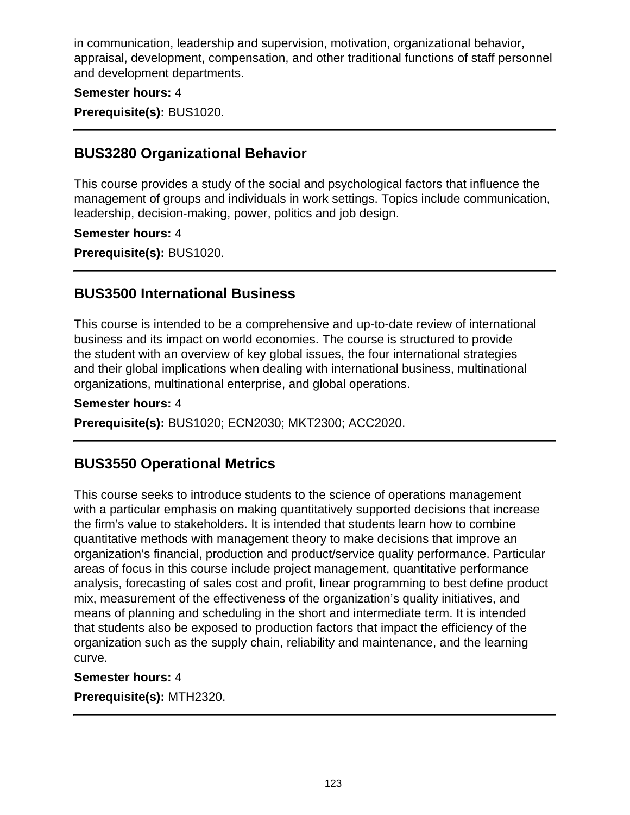in communication, leadership and supervision, motivation, organizational behavior, appraisal, development, compensation, and other traditional functions of staff personnel and development departments.

#### **Semester hours:** 4

**Prerequisite(s):** BUS1020.

### **BUS3280 Organizational Behavior**

This course provides a study of the social and psychological factors that influence the management of groups and individuals in work settings. Topics include communication, leadership, decision-making, power, politics and job design.

#### **Semester hours:** 4

**Prerequisite(s):** BUS1020.

### **BUS3500 International Business**

This course is intended to be a comprehensive and up-to-date review of international business and its impact on world economies. The course is structured to provide the student with an overview of key global issues, the four international strategies and their global implications when dealing with international business, multinational organizations, multinational enterprise, and global operations.

#### **Semester hours:** 4

**Prerequisite(s):** BUS1020; ECN2030; MKT2300; ACC2020.

### **BUS3550 Operational Metrics**

This course seeks to introduce students to the science of operations management with a particular emphasis on making quantitatively supported decisions that increase the firm's value to stakeholders. It is intended that students learn how to combine quantitative methods with management theory to make decisions that improve an organization's financial, production and product/service quality performance. Particular areas of focus in this course include project management, quantitative performance analysis, forecasting of sales cost and profit, linear programming to best define product mix, measurement of the effectiveness of the organization's quality initiatives, and means of planning and scheduling in the short and intermediate term. It is intended that students also be exposed to production factors that impact the efficiency of the organization such as the supply chain, reliability and maintenance, and the learning curve.

#### **Semester hours:** 4

**Prerequisite(s):** MTH2320.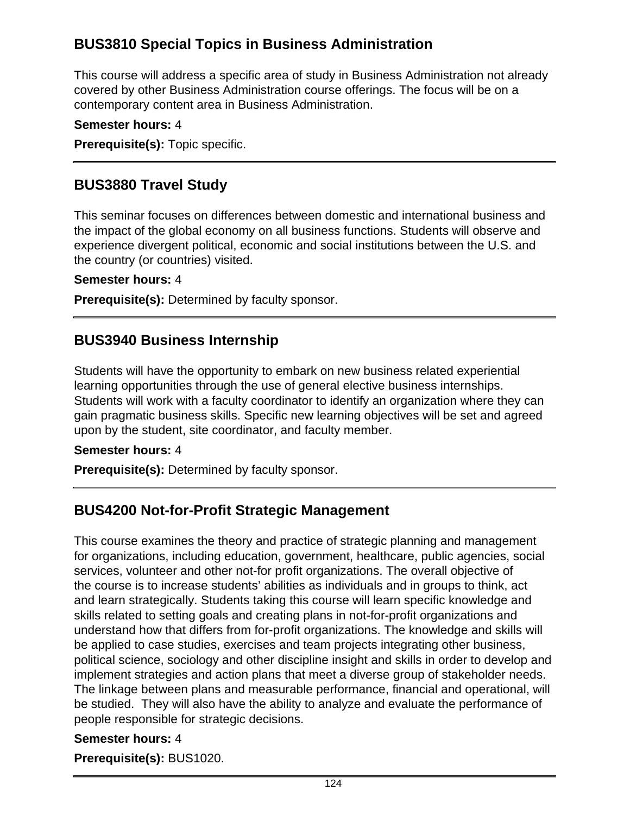# **BUS3810 Special Topics in Business Administration**

This course will address a specific area of study in Business Administration not already covered by other Business Administration course offerings. The focus will be on a contemporary content area in Business Administration.

#### **Semester hours:** 4

**Prerequisite(s):** Topic specific.

### **BUS3880 Travel Study**

This seminar focuses on differences between domestic and international business and the impact of the global economy on all business functions. Students will observe and experience divergent political, economic and social institutions between the U.S. and the country (or countries) visited.

#### **Semester hours:** 4

**Prerequisite(s):** Determined by faculty sponsor.

### **BUS3940 Business Internship**

Students will have the opportunity to embark on new business related experiential learning opportunities through the use of general elective business internships. Students will work with a faculty coordinator to identify an organization where they can gain pragmatic business skills. Specific new learning objectives will be set and agreed upon by the student, site coordinator, and faculty member.

#### **Semester hours:** 4

**Prerequisite(s):** Determined by faculty sponsor.

### **BUS4200 Not-for-Profit Strategic Management**

This course examines the theory and practice of strategic planning and management for organizations, including education, government, healthcare, public agencies, social services, volunteer and other not-for profit organizations. The overall objective of the course is to increase students' abilities as individuals and in groups to think, act and learn strategically. Students taking this course will learn specific knowledge and skills related to setting goals and creating plans in not-for-profit organizations and understand how that differs from for-profit organizations. The knowledge and skills will be applied to case studies, exercises and team projects integrating other business, political science, sociology and other discipline insight and skills in order to develop and implement strategies and action plans that meet a diverse group of stakeholder needs. The linkage between plans and measurable performance, financial and operational, will be studied. They will also have the ability to analyze and evaluate the performance of people responsible for strategic decisions.

#### **Semester hours:** 4

**Prerequisite(s):** BUS1020.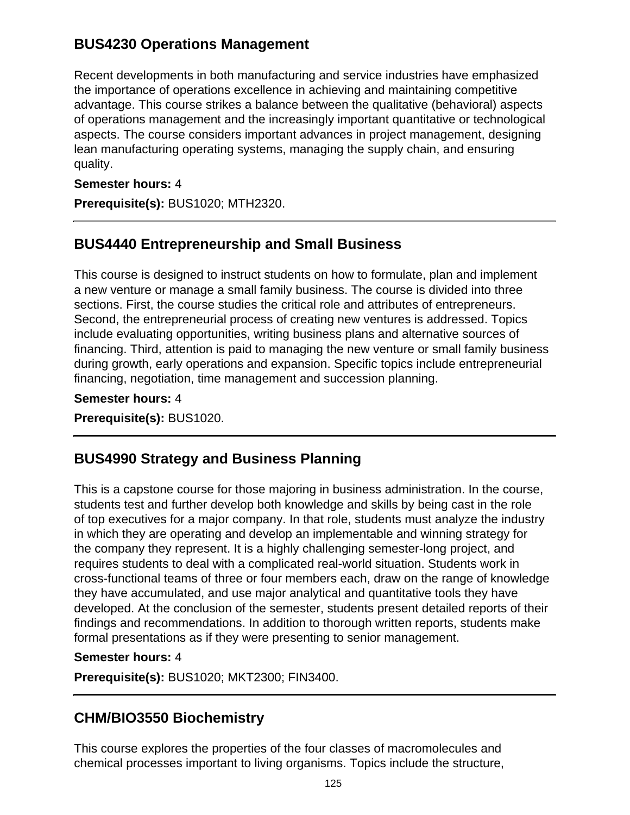# **BUS4230 Operations Management**

Recent developments in both manufacturing and service industries have emphasized the importance of operations excellence in achieving and maintaining competitive advantage. This course strikes a balance between the qualitative (behavioral) aspects of operations management and the increasingly important quantitative or technological aspects. The course considers important advances in project management, designing lean manufacturing operating systems, managing the supply chain, and ensuring quality.

#### **Semester hours:** 4

**Prerequisite(s):** BUS1020; MTH2320.

# **BUS4440 Entrepreneurship and Small Business**

This course is designed to instruct students on how to formulate, plan and implement a new venture or manage a small family business. The course is divided into three sections. First, the course studies the critical role and attributes of entrepreneurs. Second, the entrepreneurial process of creating new ventures is addressed. Topics include evaluating opportunities, writing business plans and alternative sources of financing. Third, attention is paid to managing the new venture or small family business during growth, early operations and expansion. Specific topics include entrepreneurial financing, negotiation, time management and succession planning.

**Semester hours:** 4 **Prerequisite(s):** BUS1020.

# **BUS4990 Strategy and Business Planning**

This is a capstone course for those majoring in business administration. In the course, students test and further develop both knowledge and skills by being cast in the role of top executives for a major company. In that role, students must analyze the industry in which they are operating and develop an implementable and winning strategy for the company they represent. It is a highly challenging semester-long project, and requires students to deal with a complicated real-world situation. Students work in cross-functional teams of three or four members each, draw on the range of knowledge they have accumulated, and use major analytical and quantitative tools they have developed. At the conclusion of the semester, students present detailed reports of their findings and recommendations. In addition to thorough written reports, students make formal presentations as if they were presenting to senior management.

#### **Semester hours:** 4

**Prerequisite(s):** BUS1020; MKT2300; FIN3400.

# **CHM/BIO3550 Biochemistry**

This course explores the properties of the four classes of macromolecules and chemical processes important to living organisms. Topics include the structure,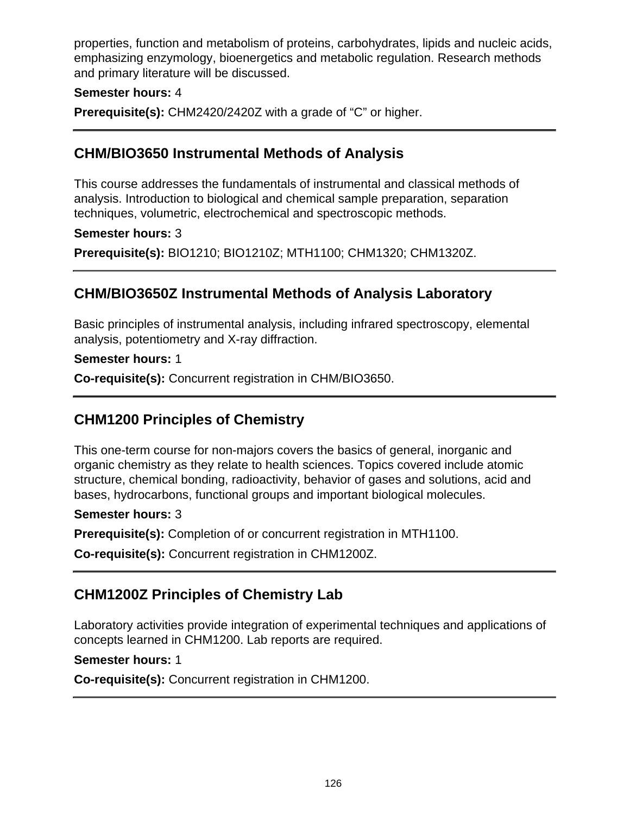properties, function and metabolism of proteins, carbohydrates, lipids and nucleic acids, emphasizing enzymology, bioenergetics and metabolic regulation. Research methods and primary literature will be discussed.

#### **Semester hours:** 4

**Prerequisite(s):** CHM2420/2420Z with a grade of "C" or higher.

### **CHM/BIO3650 Instrumental Methods of Analysis**

This course addresses the fundamentals of instrumental and classical methods of analysis. Introduction to biological and chemical sample preparation, separation techniques, volumetric, electrochemical and spectroscopic methods.

#### **Semester hours:** 3

**Prerequisite(s):** BIO1210; BIO1210Z; MTH1100; CHM1320; CHM1320Z.

## **CHM/BIO3650Z Instrumental Methods of Analysis Laboratory**

Basic principles of instrumental analysis, including infrared spectroscopy, elemental analysis, potentiometry and X-ray diffraction.

**Semester hours:** 1

**Co-requisite(s):** Concurrent registration in CHM/BIO3650.

### **CHM1200 Principles of Chemistry**

This one-term course for non-majors covers the basics of general, inorganic and organic chemistry as they relate to health sciences. Topics covered include atomic structure, chemical bonding, radioactivity, behavior of gases and solutions, acid and bases, hydrocarbons, functional groups and important biological molecules.

#### **Semester hours:** 3

**Prerequisite(s):** Completion of or concurrent registration in MTH1100.

**Co-requisite(s):** Concurrent registration in CHM1200Z.

### **CHM1200Z Principles of Chemistry Lab**

Laboratory activities provide integration of experimental techniques and applications of concepts learned in CHM1200. Lab reports are required.

#### **Semester hours:** 1

**Co-requisite(s):** Concurrent registration in CHM1200.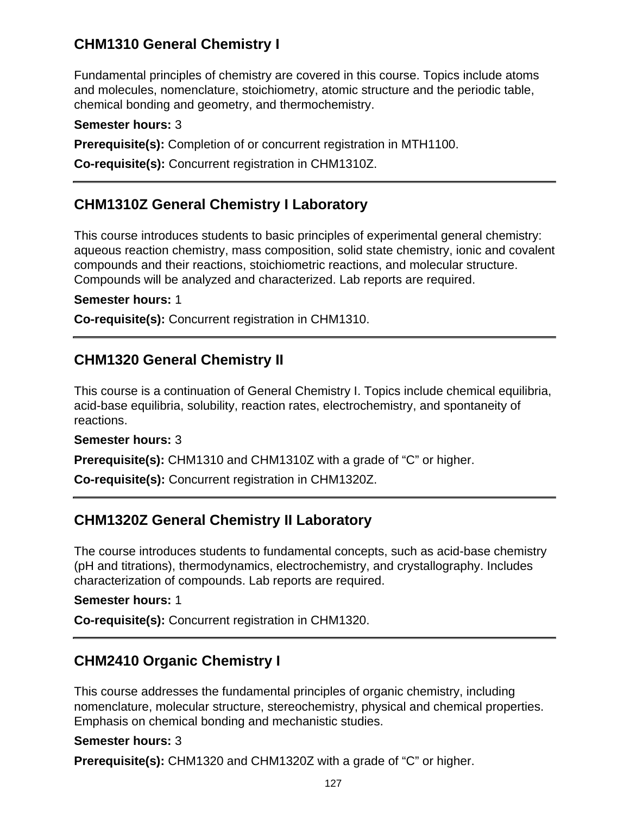# **CHM1310 General Chemistry I**

Fundamental principles of chemistry are covered in this course. Topics include atoms and molecules, nomenclature, stoichiometry, atomic structure and the periodic table, chemical bonding and geometry, and thermochemistry.

#### **Semester hours:** 3

**Prerequisite(s):** Completion of or concurrent registration in MTH1100.

**Co-requisite(s):** Concurrent registration in CHM1310Z.

### **CHM1310Z General Chemistry I Laboratory**

This course introduces students to basic principles of experimental general chemistry: aqueous reaction chemistry, mass composition, solid state chemistry, ionic and covalent compounds and their reactions, stoichiometric reactions, and molecular structure. Compounds will be analyzed and characterized. Lab reports are required.

#### **Semester hours:** 1

**Co-requisite(s):** Concurrent registration in CHM1310.

### **CHM1320 General Chemistry II**

This course is a continuation of General Chemistry I. Topics include chemical equilibria, acid-base equilibria, solubility, reaction rates, electrochemistry, and spontaneity of reactions.

#### **Semester hours:** 3

**Prerequisite(s):** CHM1310 and CHM1310Z with a grade of "C" or higher.

**Co-requisite(s):** Concurrent registration in CHM1320Z.

### **CHM1320Z General Chemistry II Laboratory**

The course introduces students to fundamental concepts, such as acid-base chemistry (pH and titrations), thermodynamics, electrochemistry, and crystallography. Includes characterization of compounds. Lab reports are required.

#### **Semester hours:** 1

**Co-requisite(s):** Concurrent registration in CHM1320.

### **CHM2410 Organic Chemistry I**

This course addresses the fundamental principles of organic chemistry, including nomenclature, molecular structure, stereochemistry, physical and chemical properties. Emphasis on chemical bonding and mechanistic studies.

#### **Semester hours:** 3

**Prerequisite(s):** CHM1320 and CHM1320Z with a grade of "C" or higher.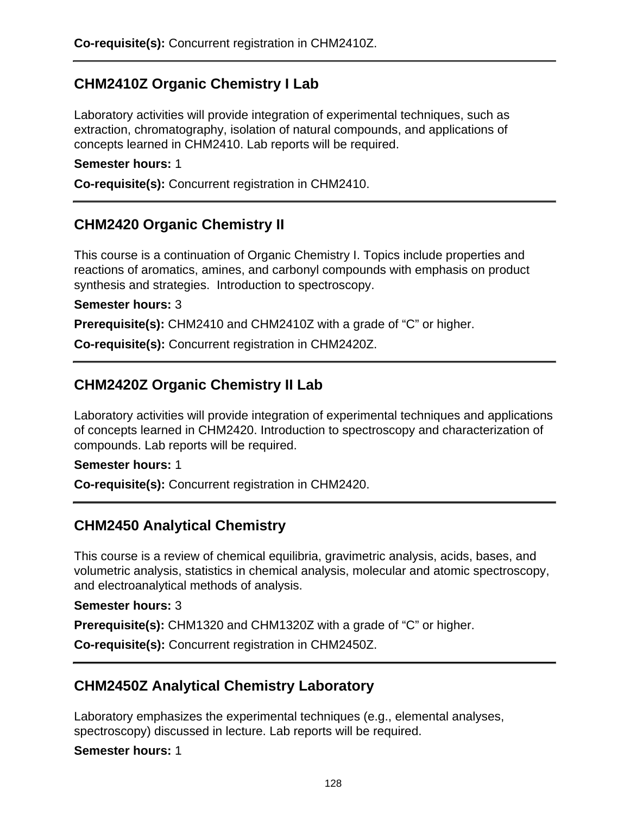## **CHM2410Z Organic Chemistry I Lab**

Laboratory activities will provide integration of experimental techniques, such as extraction, chromatography, isolation of natural compounds, and applications of concepts learned in CHM2410. Lab reports will be required.

#### **Semester hours:** 1

**Co-requisite(s):** Concurrent registration in CHM2410.

### **CHM2420 Organic Chemistry II**

This course is a continuation of Organic Chemistry I. Topics include properties and reactions of aromatics, amines, and carbonyl compounds with emphasis on product synthesis and strategies. Introduction to spectroscopy.

#### **Semester hours:** 3

**Prerequisite(s):** CHM2410 and CHM2410Z with a grade of "C" or higher.

**Co-requisite(s):** Concurrent registration in CHM2420Z.

### **CHM2420Z Organic Chemistry II Lab**

Laboratory activities will provide integration of experimental techniques and applications of concepts learned in CHM2420. Introduction to spectroscopy and characterization of compounds. Lab reports will be required.

#### **Semester hours:** 1

**Co-requisite(s):** Concurrent registration in CHM2420.

### **CHM2450 Analytical Chemistry**

This course is a review of chemical equilibria, gravimetric analysis, acids, bases, and volumetric analysis, statistics in chemical analysis, molecular and atomic spectroscopy, and electroanalytical methods of analysis.

#### **Semester hours:** 3

**Prerequisite(s):** CHM1320 and CHM1320Z with a grade of "C" or higher.

**Co-requisite(s):** Concurrent registration in CHM2450Z.

### **CHM2450Z Analytical Chemistry Laboratory**

Laboratory emphasizes the experimental techniques (e.g., elemental analyses, spectroscopy) discussed in lecture. Lab reports will be required.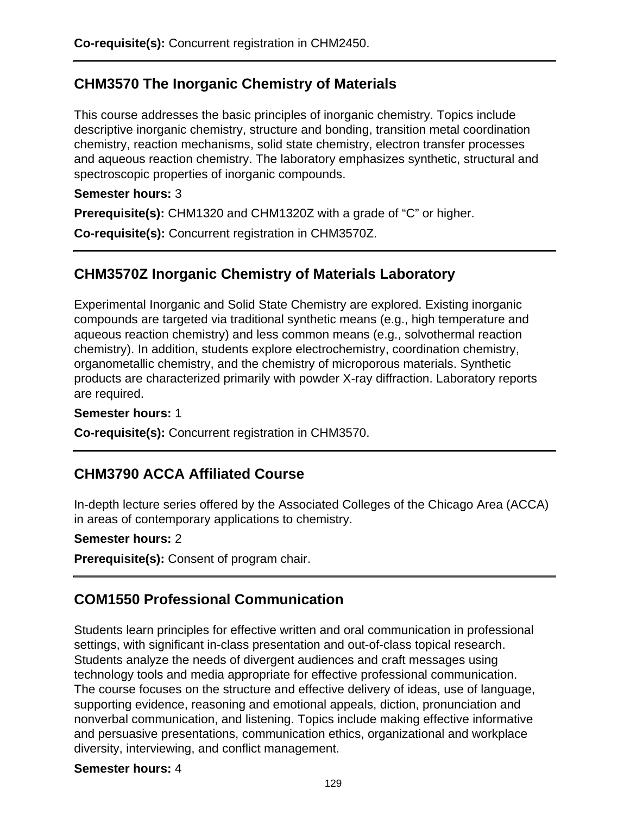# **CHM3570 The Inorganic Chemistry of Materials**

This course addresses the basic principles of inorganic chemistry. Topics include descriptive inorganic chemistry, structure and bonding, transition metal coordination chemistry, reaction mechanisms, solid state chemistry, electron transfer processes and aqueous reaction chemistry. The laboratory emphasizes synthetic, structural and spectroscopic properties of inorganic compounds.

#### **Semester hours:** 3

**Prerequisite(s):** CHM1320 and CHM1320Z with a grade of "C" or higher.

**Co-requisite(s):** Concurrent registration in CHM3570Z.

# **CHM3570Z Inorganic Chemistry of Materials Laboratory**

Experimental Inorganic and Solid State Chemistry are explored. Existing inorganic compounds are targeted via traditional synthetic means (e.g., high temperature and aqueous reaction chemistry) and less common means (e.g., solvothermal reaction chemistry). In addition, students explore electrochemistry, coordination chemistry, organometallic chemistry, and the chemistry of microporous materials. Synthetic products are characterized primarily with powder X-ray diffraction. Laboratory reports are required.

#### **Semester hours:** 1

**Co-requisite(s):** Concurrent registration in CHM3570.

# **CHM3790 ACCA Affiliated Course**

In-depth lecture series offered by the Associated Colleges of the Chicago Area (ACCA) in areas of contemporary applications to chemistry.

#### **Semester hours:** 2

**Prerequisite(s):** Consent of program chair.

# **COM1550 Professional Communication**

Students learn principles for effective written and oral communication in professional settings, with significant in-class presentation and out-of-class topical research. Students analyze the needs of divergent audiences and craft messages using technology tools and media appropriate for effective professional communication. The course focuses on the structure and effective delivery of ideas, use of language, supporting evidence, reasoning and emotional appeals, diction, pronunciation and nonverbal communication, and listening. Topics include making effective informative and persuasive presentations, communication ethics, organizational and workplace diversity, interviewing, and conflict management.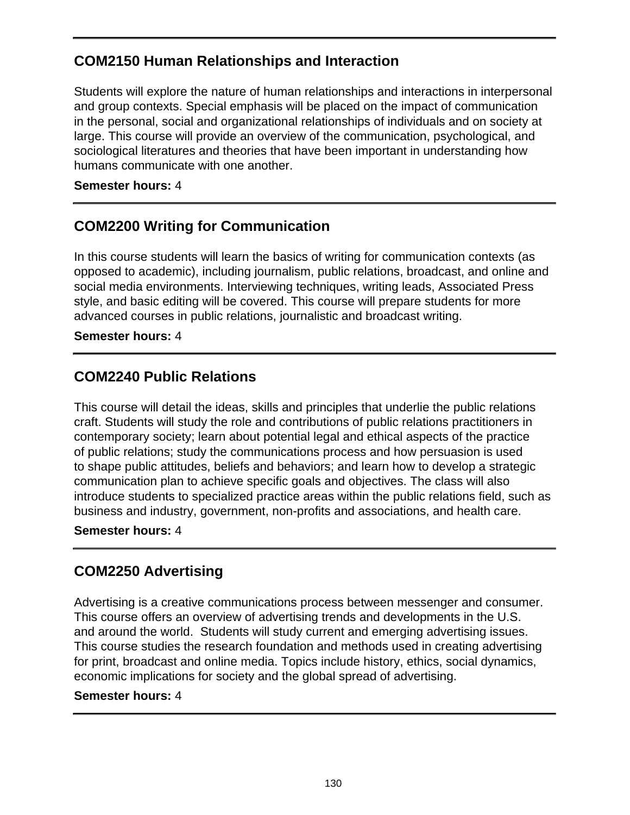# **COM2150 Human Relationships and Interaction**

Students will explore the nature of human relationships and interactions in interpersonal and group contexts. Special emphasis will be placed on the impact of communication in the personal, social and organizational relationships of individuals and on society at large. This course will provide an overview of the communication, psychological, and sociological literatures and theories that have been important in understanding how humans communicate with one another.

#### **Semester hours:** 4

# **COM2200 Writing for Communication**

In this course students will learn the basics of writing for communication contexts (as opposed to academic), including journalism, public relations, broadcast, and online and social media environments. Interviewing techniques, writing leads, Associated Press style, and basic editing will be covered. This course will prepare students for more advanced courses in public relations, journalistic and broadcast writing.

#### **Semester hours:** 4

### **COM2240 Public Relations**

This course will detail the ideas, skills and principles that underlie the public relations craft. Students will study the role and contributions of public relations practitioners in contemporary society; learn about potential legal and ethical aspects of the practice of public relations; study the communications process and how persuasion is used to shape public attitudes, beliefs and behaviors; and learn how to develop a strategic communication plan to achieve specific goals and objectives. The class will also introduce students to specialized practice areas within the public relations field, such as business and industry, government, non-profits and associations, and health care.

#### **Semester hours:** 4

### **COM2250 Advertising**

Advertising is a creative communications process between messenger and consumer. This course offers an overview of advertising trends and developments in the U.S. and around the world. Students will study current and emerging advertising issues. This course studies the research foundation and methods used in creating advertising for print, broadcast and online media. Topics include history, ethics, social dynamics, economic implications for society and the global spread of advertising.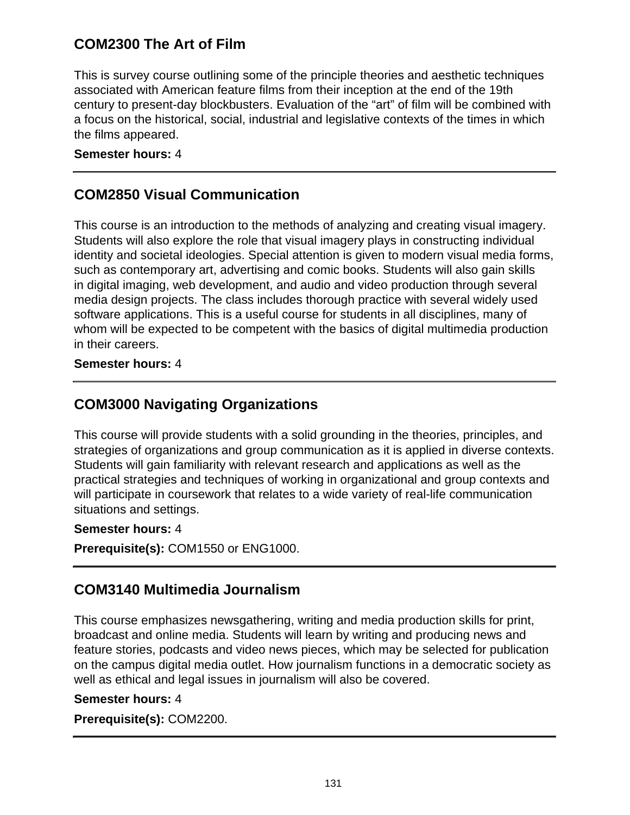# **COM2300 The Art of Film**

This is survey course outlining some of the principle theories and aesthetic techniques associated with American feature films from their inception at the end of the 19th century to present-day blockbusters. Evaluation of the "art" of film will be combined with a focus on the historical, social, industrial and legislative contexts of the times in which the films appeared.

#### **Semester hours:** 4

## **COM2850 Visual Communication**

This course is an introduction to the methods of analyzing and creating visual imagery. Students will also explore the role that visual imagery plays in constructing individual identity and societal ideologies. Special attention is given to modern visual media forms, such as contemporary art, advertising and comic books. Students will also gain skills in digital imaging, web development, and audio and video production through several media design projects. The class includes thorough practice with several widely used software applications. This is a useful course for students in all disciplines, many of whom will be expected to be competent with the basics of digital multimedia production in their careers.

#### **Semester hours:** 4

### **COM3000 Navigating Organizations**

This course will provide students with a solid grounding in the theories, principles, and strategies of organizations and group communication as it is applied in diverse contexts. Students will gain familiarity with relevant research and applications as well as the practical strategies and techniques of working in organizational and group contexts and will participate in coursework that relates to a wide variety of real-life communication situations and settings.

#### **Semester hours:** 4

**Prerequisite(s):** COM1550 or ENG1000.

### **COM3140 Multimedia Journalism**

This course emphasizes newsgathering, writing and media production skills for print, broadcast and online media. Students will learn by writing and producing news and feature stories, podcasts and video news pieces, which may be selected for publication on the campus digital media outlet. How journalism functions in a democratic society as well as ethical and legal issues in journalism will also be covered.

#### **Semester hours:** 4

**Prerequisite(s):** COM2200.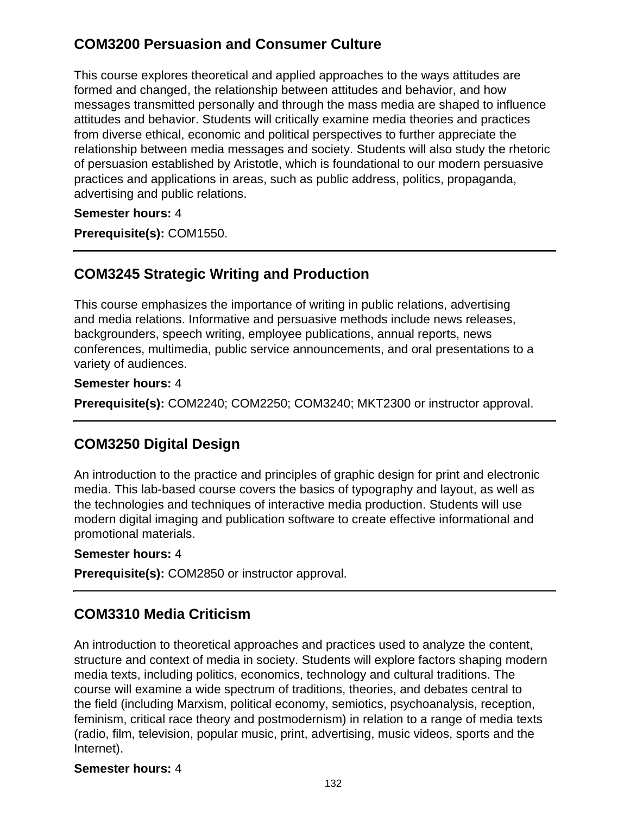# **COM3200 Persuasion and Consumer Culture**

This course explores theoretical and applied approaches to the ways attitudes are formed and changed, the relationship between attitudes and behavior, and how messages transmitted personally and through the mass media are shaped to influence attitudes and behavior. Students will critically examine media theories and practices from diverse ethical, economic and political perspectives to further appreciate the relationship between media messages and society. Students will also study the rhetoric of persuasion established by Aristotle, which is foundational to our modern persuasive practices and applications in areas, such as public address, politics, propaganda, advertising and public relations.

**Semester hours:** 4

**Prerequisite(s):** COM1550.

# **COM3245 Strategic Writing and Production**

This course emphasizes the importance of writing in public relations, advertising and media relations. Informative and persuasive methods include news releases, backgrounders, speech writing, employee publications, annual reports, news conferences, multimedia, public service announcements, and oral presentations to a variety of audiences.

#### **Semester hours:** 4

**Prerequisite(s):** COM2240; COM2250; COM3240; MKT2300 or instructor approval.

# **COM3250 Digital Design**

An introduction to the practice and principles of graphic design for print and electronic media. This lab-based course covers the basics of typography and layout, as well as the technologies and techniques of interactive media production. Students will use modern digital imaging and publication software to create effective informational and promotional materials.

#### **Semester hours:** 4

**Prerequisite(s):** COM2850 or instructor approval.

# **COM3310 Media Criticism**

An introduction to theoretical approaches and practices used to analyze the content, structure and context of media in society. Students will explore factors shaping modern media texts, including politics, economics, technology and cultural traditions. The course will examine a wide spectrum of traditions, theories, and debates central to the field (including Marxism, political economy, semiotics, psychoanalysis, reception, feminism, critical race theory and postmodernism) in relation to a range of media texts (radio, film, television, popular music, print, advertising, music videos, sports and the Internet).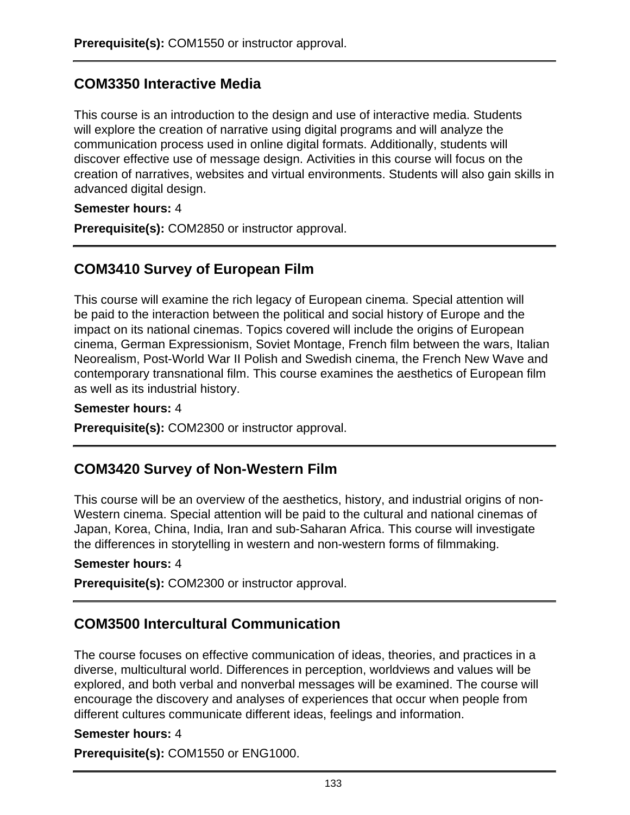# **COM3350 Interactive Media**

This course is an introduction to the design and use of interactive media. Students will explore the creation of narrative using digital programs and will analyze the communication process used in online digital formats. Additionally, students will discover effective use of message design. Activities in this course will focus on the creation of narratives, websites and virtual environments. Students will also gain skills in advanced digital design.

**Semester hours:** 4

**Prerequisite(s):** COM2850 or instructor approval.

### **COM3410 Survey of European Film**

This course will examine the rich legacy of European cinema. Special attention will be paid to the interaction between the political and social history of Europe and the impact on its national cinemas. Topics covered will include the origins of European cinema, German Expressionism, Soviet Montage, French film between the wars, Italian Neorealism, Post-World War II Polish and Swedish cinema, the French New Wave and contemporary transnational film. This course examines the aesthetics of European film as well as its industrial history.

#### **Semester hours:** 4

**Prerequisite(s):** COM2300 or instructor approval.

### **COM3420 Survey of Non-Western Film**

This course will be an overview of the aesthetics, history, and industrial origins of non-Western cinema. Special attention will be paid to the cultural and national cinemas of Japan, Korea, China, India, Iran and sub-Saharan Africa. This course will investigate the differences in storytelling in western and non-western forms of filmmaking.

#### **Semester hours:** 4

**Prerequisite(s):** COM2300 or instructor approval.

# **COM3500 Intercultural Communication**

The course focuses on effective communication of ideas, theories, and practices in a diverse, multicultural world. Differences in perception, worldviews and values will be explored, and both verbal and nonverbal messages will be examined. The course will encourage the discovery and analyses of experiences that occur when people from different cultures communicate different ideas, feelings and information.

#### **Semester hours:** 4

**Prerequisite(s):** COM1550 or ENG1000.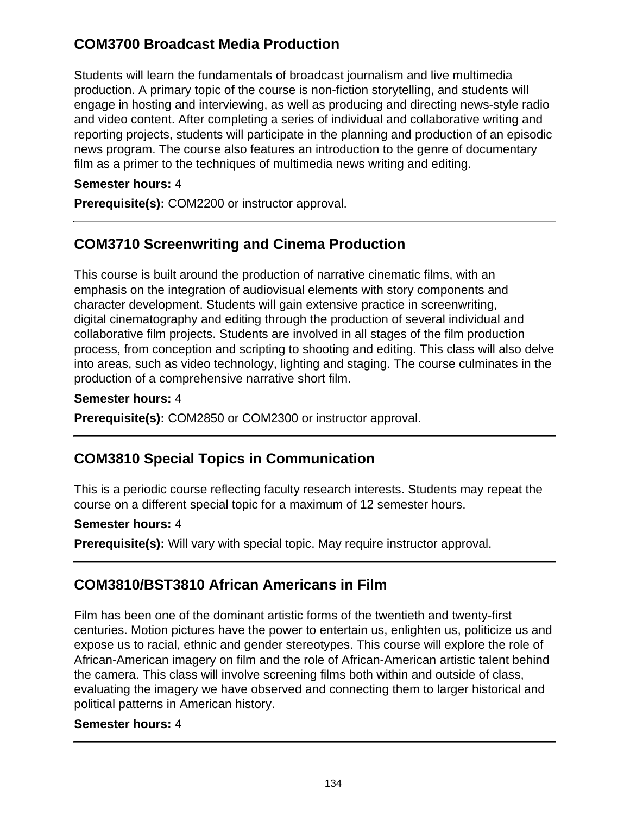# **COM3700 Broadcast Media Production**

Students will learn the fundamentals of broadcast journalism and live multimedia production. A primary topic of the course is non-fiction storytelling, and students will engage in hosting and interviewing, as well as producing and directing news-style radio and video content. After completing a series of individual and collaborative writing and reporting projects, students will participate in the planning and production of an episodic news program. The course also features an introduction to the genre of documentary film as a primer to the techniques of multimedia news writing and editing.

#### **Semester hours:** 4

**Prerequisite(s):** COM2200 or instructor approval.

# **COM3710 Screenwriting and Cinema Production**

This course is built around the production of narrative cinematic films, with an emphasis on the integration of audiovisual elements with story components and character development. Students will gain extensive practice in screenwriting, digital cinematography and editing through the production of several individual and collaborative film projects. Students are involved in all stages of the film production process, from conception and scripting to shooting and editing. This class will also delve into areas, such as video technology, lighting and staging. The course culminates in the production of a comprehensive narrative short film.

#### **Semester hours:** 4

**Prerequisite(s):** COM2850 or COM2300 or instructor approval.

# **COM3810 Special Topics in Communication**

This is a periodic course reflecting faculty research interests. Students may repeat the course on a different special topic for a maximum of 12 semester hours.

#### **Semester hours:** 4

**Prerequisite(s):** Will vary with special topic. May require instructor approval.

# **COM3810/BST3810 African Americans in Film**

Film has been one of the dominant artistic forms of the twentieth and twenty-first centuries. Motion pictures have the power to entertain us, enlighten us, politicize us and expose us to racial, ethnic and gender stereotypes. This course will explore the role of African-American imagery on film and the role of African-American artistic talent behind the camera. This class will involve screening films both within and outside of class, evaluating the imagery we have observed and connecting them to larger historical and political patterns in American history.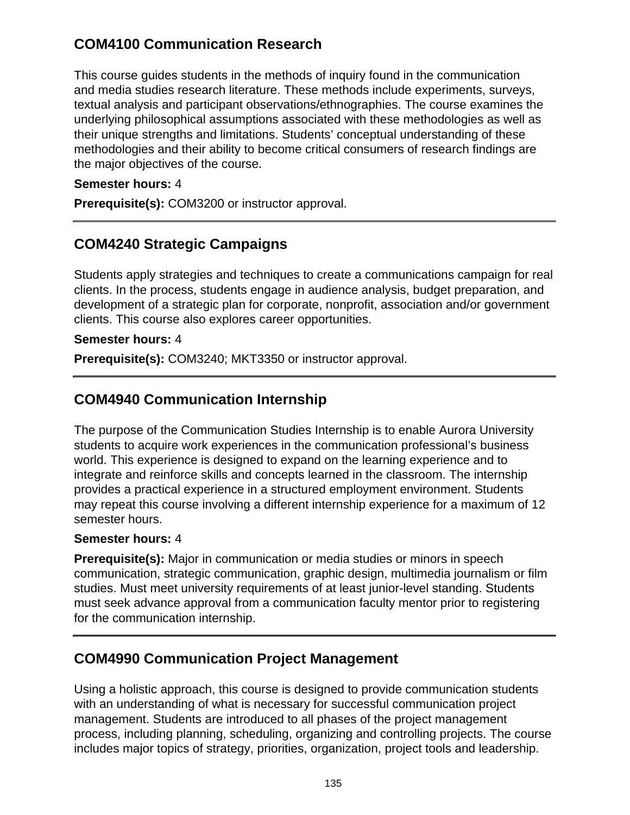# **COM4100 Communication Research**

This course guides students in the methods of inquiry found in the communication and media studies research literature. These methods include experiments, surveys, textual analysis and participant observations/ethnographies. The course examines the underlying philosophical assumptions associated with these methodologies as well as their unique strengths and limitations. Students' conceptual understanding of these methodologies and their ability to become critical consumers of research findings are the major objectives of the course.

#### **Semester hours:** 4

**Prerequisite(s):** COM3200 or instructor approval.

# **COM4240 Strategic Campaigns**

Students apply strategies and techniques to create a communications campaign for real clients. In the process, students engage in audience analysis, budget preparation, and development of a strategic plan for corporate, nonprofit, association and/or government clients. This course also explores career opportunities.

#### **Semester hours:** 4

**Prerequisite(s):** COM3240; MKT3350 or instructor approval.

# **COM4940 Communication Internship**

The purpose of the Communication Studies Internship is to enable Aurora University students to acquire work experiences in the communication professional's business world. This experience is designed to expand on the learning experience and to integrate and reinforce skills and concepts learned in the classroom. The internship provides a practical experience in a structured employment environment. Students may repeat this course involving a different internship experience for a maximum of 12 semester hours.

#### **Semester hours:** 4

**Prerequisite(s):** Major in communication or media studies or minors in speech communication, strategic communication, graphic design, multimedia journalism or film studies. Must meet university requirements of at least junior-level standing. Students must seek advance approval from a communication faculty mentor prior to registering for the communication internship.

# **COM4990 Communication Project Management**

Using a holistic approach, this course is designed to provide communication students with an understanding of what is necessary for successful communication project management. Students are introduced to all phases of the project management process, including planning, scheduling, organizing and controlling projects. The course includes major topics of strategy, priorities, organization, project tools and leadership.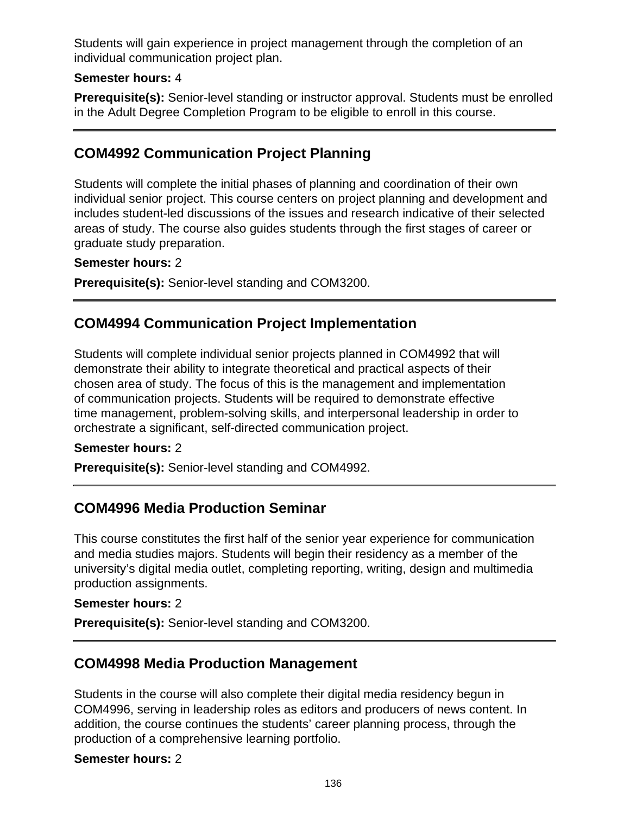Students will gain experience in project management through the completion of an individual communication project plan.

#### **Semester hours:** 4

**Prerequisite(s):** Senior-level standing or instructor approval. Students must be enrolled in the Adult Degree Completion Program to be eligible to enroll in this course.

### **COM4992 Communication Project Planning**

Students will complete the initial phases of planning and coordination of their own individual senior project. This course centers on project planning and development and includes student-led discussions of the issues and research indicative of their selected areas of study. The course also guides students through the first stages of career or graduate study preparation.

#### **Semester hours:** 2

**Prerequisite(s):** Senior-level standing and COM3200.

### **COM4994 Communication Project Implementation**

Students will complete individual senior projects planned in COM4992 that will demonstrate their ability to integrate theoretical and practical aspects of their chosen area of study. The focus of this is the management and implementation of communication projects. Students will be required to demonstrate effective time management, problem-solving skills, and interpersonal leadership in order to orchestrate a significant, self-directed communication project.

#### **Semester hours:** 2

**Prerequisite(s):** Senior-level standing and COM4992.

### **COM4996 Media Production Seminar**

This course constitutes the first half of the senior year experience for communication and media studies majors. Students will begin their residency as a member of the university's digital media outlet, completing reporting, writing, design and multimedia production assignments.

#### **Semester hours:** 2

**Prerequisite(s):** Senior-level standing and COM3200.

### **COM4998 Media Production Management**

Students in the course will also complete their digital media residency begun in COM4996, serving in leadership roles as editors and producers of news content. In addition, the course continues the students' career planning process, through the production of a comprehensive learning portfolio.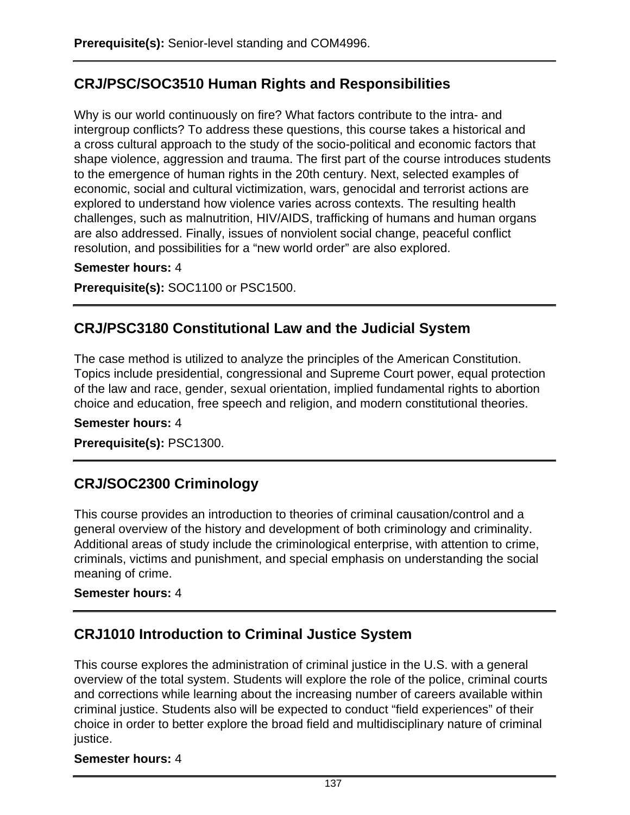# **CRJ/PSC/SOC3510 Human Rights and Responsibilities**

Why is our world continuously on fire? What factors contribute to the intra- and intergroup conflicts? To address these questions, this course takes a historical and a cross cultural approach to the study of the socio-political and economic factors that shape violence, aggression and trauma. The first part of the course introduces students to the emergence of human rights in the 20th century. Next, selected examples of economic, social and cultural victimization, wars, genocidal and terrorist actions are explored to understand how violence varies across contexts. The resulting health challenges, such as malnutrition, HIV/AIDS, trafficking of humans and human organs are also addressed. Finally, issues of nonviolent social change, peaceful conflict resolution, and possibilities for a "new world order" are also explored.

#### **Semester hours:** 4

**Prerequisite(s):** SOC1100 or PSC1500.

### **CRJ/PSC3180 Constitutional Law and the Judicial System**

The case method is utilized to analyze the principles of the American Constitution. Topics include presidential, congressional and Supreme Court power, equal protection of the law and race, gender, sexual orientation, implied fundamental rights to abortion choice and education, free speech and religion, and modern constitutional theories.

# **Semester hours:** 4

#### **Prerequisite(s):** PSC1300.

# **CRJ/SOC2300 Criminology**

This course provides an introduction to theories of criminal causation/control and a general overview of the history and development of both criminology and criminality. Additional areas of study include the criminological enterprise, with attention to crime, criminals, victims and punishment, and special emphasis on understanding the social meaning of crime.

#### **Semester hours:** 4

# **CRJ1010 Introduction to Criminal Justice System**

This course explores the administration of criminal justice in the U.S. with a general overview of the total system. Students will explore the role of the police, criminal courts and corrections while learning about the increasing number of careers available within criminal justice. Students also will be expected to conduct "field experiences" of their choice in order to better explore the broad field and multidisciplinary nature of criminal justice.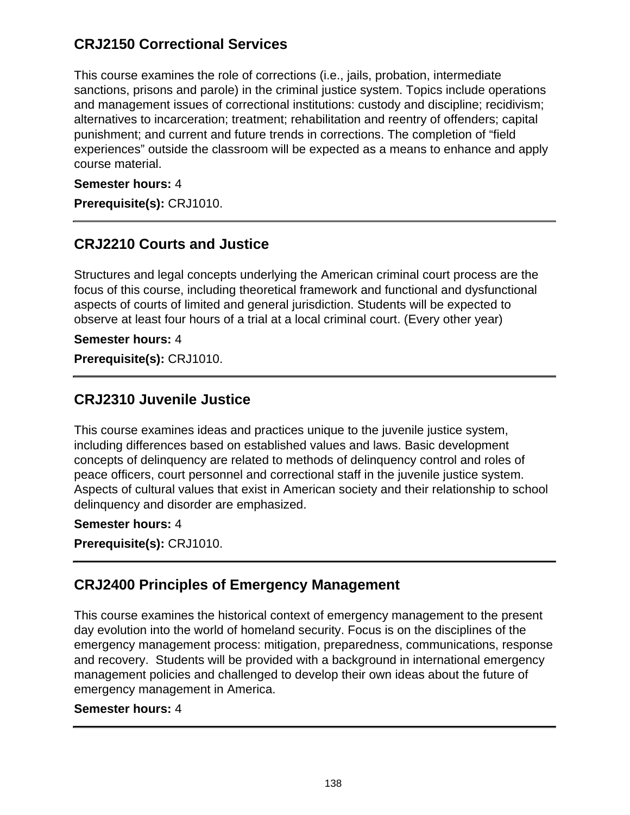### **CRJ2150 Correctional Services**

This course examines the role of corrections (i.e., jails, probation, intermediate sanctions, prisons and parole) in the criminal justice system. Topics include operations and management issues of correctional institutions: custody and discipline; recidivism; alternatives to incarceration; treatment; rehabilitation and reentry of offenders; capital punishment; and current and future trends in corrections. The completion of "field experiences" outside the classroom will be expected as a means to enhance and apply course material.

#### **Semester hours:** 4

**Prerequisite(s):** CRJ1010.

## **CRJ2210 Courts and Justice**

Structures and legal concepts underlying the American criminal court process are the focus of this course, including theoretical framework and functional and dysfunctional aspects of courts of limited and general jurisdiction. Students will be expected to observe at least four hours of a trial at a local criminal court. (Every other year)

**Semester hours:** 4

**Prerequisite(s):** CRJ1010.

### **CRJ2310 Juvenile Justice**

This course examines ideas and practices unique to the juvenile justice system, including differences based on established values and laws. Basic development concepts of delinquency are related to methods of delinquency control and roles of peace officers, court personnel and correctional staff in the juvenile justice system. Aspects of cultural values that exist in American society and their relationship to school delinquency and disorder are emphasized.

#### **Semester hours:** 4

**Prerequisite(s):** CRJ1010.

### **CRJ2400 Principles of Emergency Management**

This course examines the historical context of emergency management to the present day evolution into the world of homeland security. Focus is on the disciplines of the emergency management process: mitigation, preparedness, communications, response and recovery. Students will be provided with a background in international emergency management policies and challenged to develop their own ideas about the future of emergency management in America.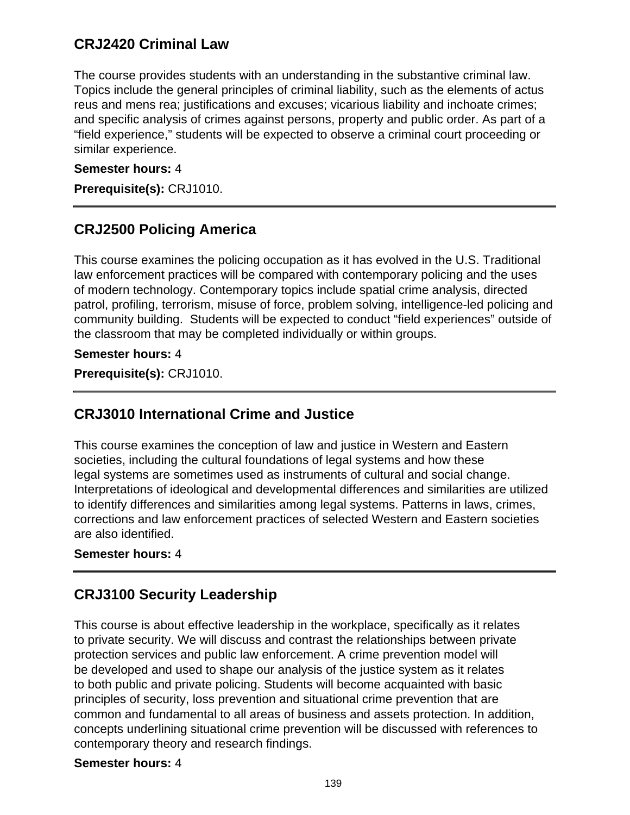### **CRJ2420 Criminal Law**

The course provides students with an understanding in the substantive criminal law. Topics include the general principles of criminal liability, such as the elements of actus reus and mens rea; justifications and excuses; vicarious liability and inchoate crimes; and specific analysis of crimes against persons, property and public order. As part of a "field experience," students will be expected to observe a criminal court proceeding or similar experience.

#### **Semester hours:** 4

**Prerequisite(s):** CRJ1010.

## **CRJ2500 Policing America**

This course examines the policing occupation as it has evolved in the U.S. Traditional law enforcement practices will be compared with contemporary policing and the uses of modern technology. Contemporary topics include spatial crime analysis, directed patrol, profiling, terrorism, misuse of force, problem solving, intelligence-led policing and community building. Students will be expected to conduct "field experiences" outside of the classroom that may be completed individually or within groups.

#### **Semester hours:** 4

**Prerequisite(s):** CRJ1010.

### **CRJ3010 International Crime and Justice**

This course examines the conception of law and justice in Western and Eastern societies, including the cultural foundations of legal systems and how these legal systems are sometimes used as instruments of cultural and social change. Interpretations of ideological and developmental differences and similarities are utilized to identify differences and similarities among legal systems. Patterns in laws, crimes, corrections and law enforcement practices of selected Western and Eastern societies are also identified.

#### **Semester hours:** 4

# **CRJ3100 Security Leadership**

This course is about effective leadership in the workplace, specifically as it relates to private security. We will discuss and contrast the relationships between private protection services and public law enforcement. A crime prevention model will be developed and used to shape our analysis of the justice system as it relates to both public and private policing. Students will become acquainted with basic principles of security, loss prevention and situational crime prevention that are common and fundamental to all areas of business and assets protection. In addition, concepts underlining situational crime prevention will be discussed with references to contemporary theory and research findings.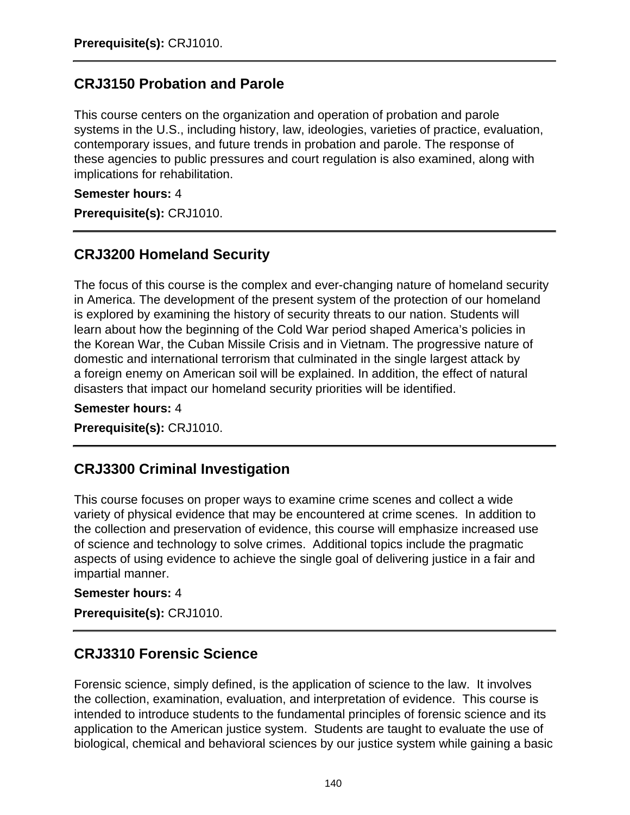# **CRJ3150 Probation and Parole**

This course centers on the organization and operation of probation and parole systems in the U.S., including history, law, ideologies, varieties of practice, evaluation, contemporary issues, and future trends in probation and parole. The response of these agencies to public pressures and court regulation is also examined, along with implications for rehabilitation.

**Semester hours:** 4

**Prerequisite(s):** CRJ1010.

## **CRJ3200 Homeland Security**

The focus of this course is the complex and ever-changing nature of homeland security in America. The development of the present system of the protection of our homeland is explored by examining the history of security threats to our nation. Students will learn about how the beginning of the Cold War period shaped America's policies in the Korean War, the Cuban Missile Crisis and in Vietnam. The progressive nature of domestic and international terrorism that culminated in the single largest attack by a foreign enemy on American soil will be explained. In addition, the effect of natural disasters that impact our homeland security priorities will be identified.

**Semester hours:** 4

**Prerequisite(s):** CRJ1010.

### **CRJ3300 Criminal Investigation**

This course focuses on proper ways to examine crime scenes and collect a wide variety of physical evidence that may be encountered at crime scenes. In addition to the collection and preservation of evidence, this course will emphasize increased use of science and technology to solve crimes. Additional topics include the pragmatic aspects of using evidence to achieve the single goal of delivering justice in a fair and impartial manner.

#### **Semester hours:** 4

**Prerequisite(s):** CRJ1010.

### **CRJ3310 Forensic Science**

Forensic science, simply defined, is the application of science to the law. It involves the collection, examination, evaluation, and interpretation of evidence. This course is intended to introduce students to the fundamental principles of forensic science and its application to the American justice system. Students are taught to evaluate the use of biological, chemical and behavioral sciences by our justice system while gaining a basic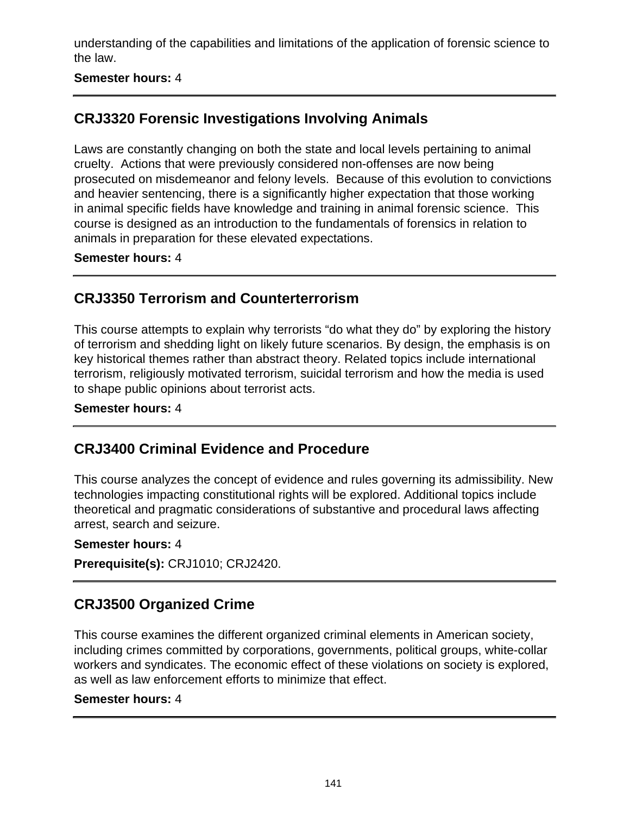understanding of the capabilities and limitations of the application of forensic science to the law.

#### **Semester hours:** 4

# **CRJ3320 Forensic Investigations Involving Animals**

Laws are constantly changing on both the state and local levels pertaining to animal cruelty. Actions that were previously considered non-offenses are now being prosecuted on misdemeanor and felony levels. Because of this evolution to convictions and heavier sentencing, there is a significantly higher expectation that those working in animal specific fields have knowledge and training in animal forensic science. This course is designed as an introduction to the fundamentals of forensics in relation to animals in preparation for these elevated expectations.

#### **Semester hours:** 4

### **CRJ3350 Terrorism and Counterterrorism**

This course attempts to explain why terrorists "do what they do" by exploring the history of terrorism and shedding light on likely future scenarios. By design, the emphasis is on key historical themes rather than abstract theory. Related topics include international terrorism, religiously motivated terrorism, suicidal terrorism and how the media is used to shape public opinions about terrorist acts.

#### **Semester hours:** 4

# **CRJ3400 Criminal Evidence and Procedure**

This course analyzes the concept of evidence and rules governing its admissibility. New technologies impacting constitutional rights will be explored. Additional topics include theoretical and pragmatic considerations of substantive and procedural laws affecting arrest, search and seizure.

#### **Semester hours:** 4

**Prerequisite(s):** CRJ1010; CRJ2420.

### **CRJ3500 Organized Crime**

This course examines the different organized criminal elements in American society, including crimes committed by corporations, governments, political groups, white-collar workers and syndicates. The economic effect of these violations on society is explored, as well as law enforcement efforts to minimize that effect.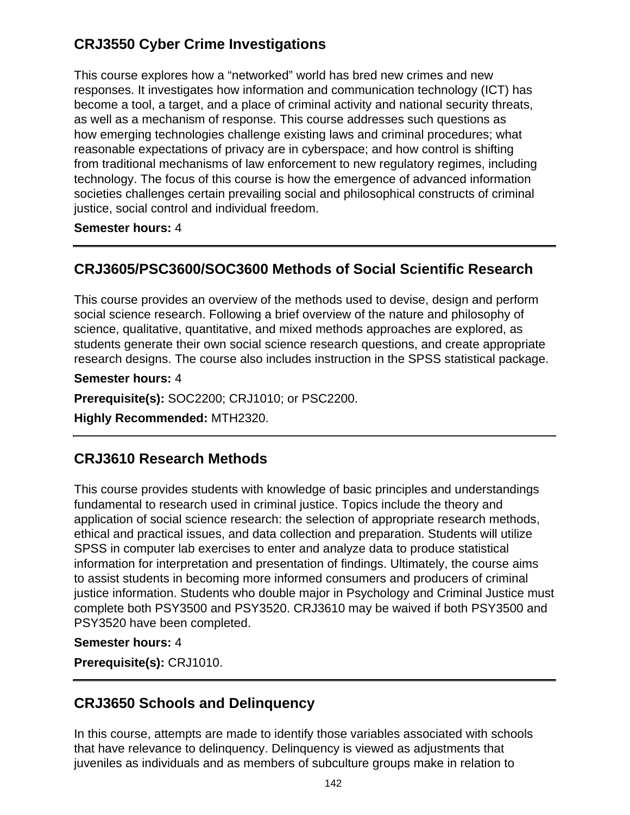# **CRJ3550 Cyber Crime Investigations**

This course explores how a "networked" world has bred new crimes and new responses. It investigates how information and communication technology (ICT) has become a tool, a target, and a place of criminal activity and national security threats, as well as a mechanism of response. This course addresses such questions as how emerging technologies challenge existing laws and criminal procedures; what reasonable expectations of privacy are in cyberspace; and how control is shifting from traditional mechanisms of law enforcement to new regulatory regimes, including technology. The focus of this course is how the emergence of advanced information societies challenges certain prevailing social and philosophical constructs of criminal justice, social control and individual freedom.

**Semester hours:** 4

### **CRJ3605/PSC3600/SOC3600 Methods of Social Scientific Research**

This course provides an overview of the methods used to devise, design and perform social science research. Following a brief overview of the nature and philosophy of science, qualitative, quantitative, and mixed methods approaches are explored, as students generate their own social science research questions, and create appropriate research designs. The course also includes instruction in the SPSS statistical package.

**Semester hours:** 4

**Prerequisite(s):** SOC2200; CRJ1010; or PSC2200.

**Highly Recommended:** MTH2320.

### **CRJ3610 Research Methods**

This course provides students with knowledge of basic principles and understandings fundamental to research used in criminal justice. Topics include the theory and application of social science research: the selection of appropriate research methods, ethical and practical issues, and data collection and preparation. Students will utilize SPSS in computer lab exercises to enter and analyze data to produce statistical information for interpretation and presentation of findings. Ultimately, the course aims to assist students in becoming more informed consumers and producers of criminal justice information. Students who double major in Psychology and Criminal Justice must complete both PSY3500 and PSY3520. CRJ3610 may be waived if both PSY3500 and PSY3520 have been completed.

#### **Semester hours:** 4

**Prerequisite(s):** CRJ1010.

# **CRJ3650 Schools and Delinquency**

In this course, attempts are made to identify those variables associated with schools that have relevance to delinquency. Delinquency is viewed as adjustments that juveniles as individuals and as members of subculture groups make in relation to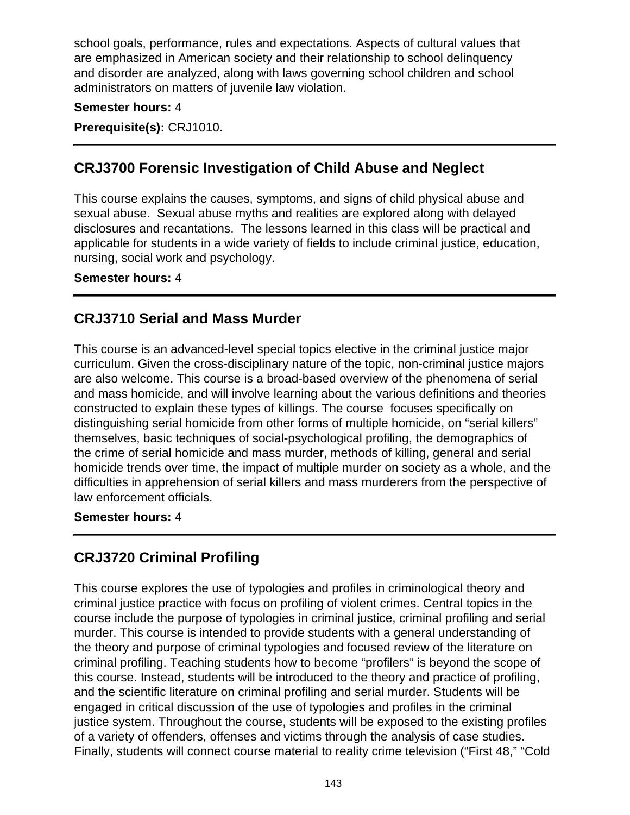school goals, performance, rules and expectations. Aspects of cultural values that are emphasized in American society and their relationship to school delinquency and disorder are analyzed, along with laws governing school children and school administrators on matters of juvenile law violation.

#### **Semester hours:** 4

**Prerequisite(s):** CRJ1010.

## **CRJ3700 Forensic Investigation of Child Abuse and Neglect**

This course explains the causes, symptoms, and signs of child physical abuse and sexual abuse. Sexual abuse myths and realities are explored along with delayed disclosures and recantations. The lessons learned in this class will be practical and applicable for students in a wide variety of fields to include criminal justice, education, nursing, social work and psychology.

#### **Semester hours:** 4

## **CRJ3710 Serial and Mass Murder**

This course is an advanced-level special topics elective in the criminal justice major curriculum. Given the cross-disciplinary nature of the topic, non-criminal justice majors are also welcome. This course is a broad-based overview of the phenomena of serial and mass homicide, and will involve learning about the various definitions and theories constructed to explain these types of killings. The course focuses specifically on distinguishing serial homicide from other forms of multiple homicide, on "serial killers" themselves, basic techniques of social-psychological profiling, the demographics of the crime of serial homicide and mass murder, methods of killing, general and serial homicide trends over time, the impact of multiple murder on society as a whole, and the difficulties in apprehension of serial killers and mass murderers from the perspective of law enforcement officials.

#### **Semester hours:** 4

### **CRJ3720 Criminal Profiling**

This course explores the use of typologies and profiles in criminological theory and criminal justice practice with focus on profiling of violent crimes. Central topics in the course include the purpose of typologies in criminal justice, criminal profiling and serial murder. This course is intended to provide students with a general understanding of the theory and purpose of criminal typologies and focused review of the literature on criminal profiling. Teaching students how to become "profilers" is beyond the scope of this course. Instead, students will be introduced to the theory and practice of profiling, and the scientific literature on criminal profiling and serial murder. Students will be engaged in critical discussion of the use of typologies and profiles in the criminal justice system. Throughout the course, students will be exposed to the existing profiles of a variety of offenders, offenses and victims through the analysis of case studies. Finally, students will connect course material to reality crime television ("First 48," "Cold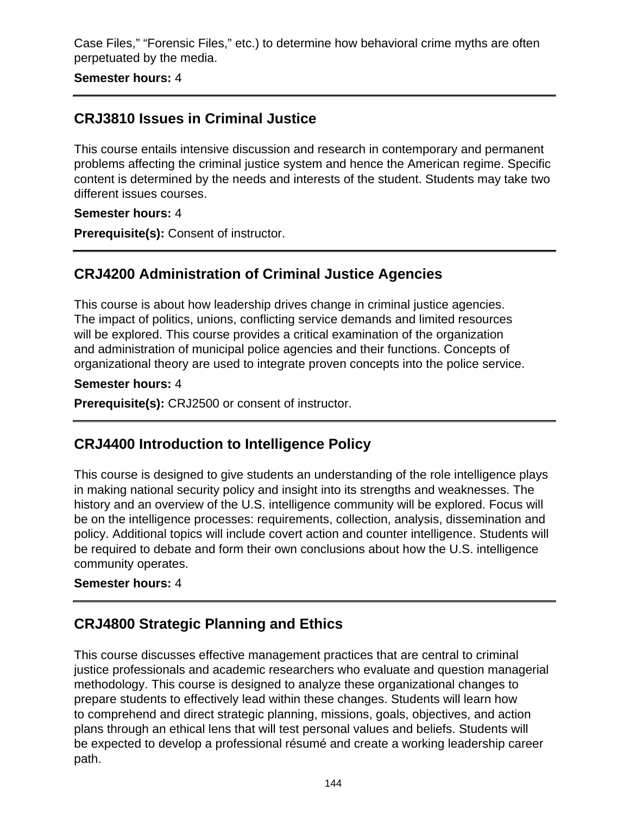Case Files," "Forensic Files," etc.) to determine how behavioral crime myths are often perpetuated by the media.

**Semester hours:** 4

## **CRJ3810 Issues in Criminal Justice**

This course entails intensive discussion and research in contemporary and permanent problems affecting the criminal justice system and hence the American regime. Specific content is determined by the needs and interests of the student. Students may take two different issues courses.

#### **Semester hours:** 4

**Prerequisite(s):** Consent of instructor.

# **CRJ4200 Administration of Criminal Justice Agencies**

This course is about how leadership drives change in criminal justice agencies. The impact of politics, unions, conflicting service demands and limited resources will be explored. This course provides a critical examination of the organization and administration of municipal police agencies and their functions. Concepts of organizational theory are used to integrate proven concepts into the police service.

#### **Semester hours:** 4

**Prerequisite(s):** CRJ2500 or consent of instructor.

# **CRJ4400 Introduction to Intelligence Policy**

This course is designed to give students an understanding of the role intelligence plays in making national security policy and insight into its strengths and weaknesses. The history and an overview of the U.S. intelligence community will be explored. Focus will be on the intelligence processes: requirements, collection, analysis, dissemination and policy. Additional topics will include covert action and counter intelligence. Students will be required to debate and form their own conclusions about how the U.S. intelligence community operates.

#### **Semester hours:** 4

# **CRJ4800 Strategic Planning and Ethics**

This course discusses effective management practices that are central to criminal justice professionals and academic researchers who evaluate and question managerial methodology. This course is designed to analyze these organizational changes to prepare students to effectively lead within these changes. Students will learn how to comprehend and direct strategic planning, missions, goals, objectives, and action plans through an ethical lens that will test personal values and beliefs. Students will be expected to develop a professional résumé and create a working leadership career path.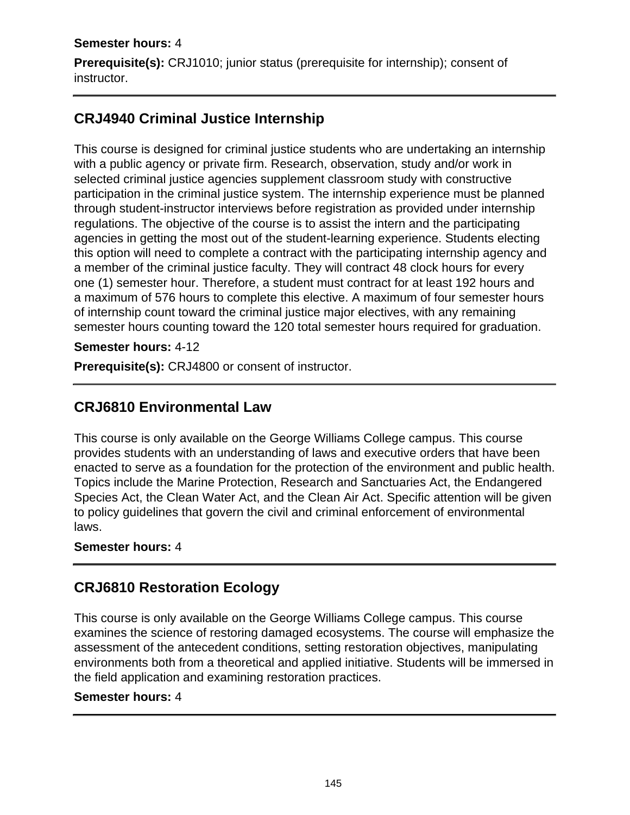### **Semester hours:** 4

**Prerequisite(s):** CRJ1010; junior status (prerequisite for internship); consent of instructor.

## **CRJ4940 Criminal Justice Internship**

This course is designed for criminal justice students who are undertaking an internship with a public agency or private firm. Research, observation, study and/or work in selected criminal justice agencies supplement classroom study with constructive participation in the criminal justice system. The internship experience must be planned through student-instructor interviews before registration as provided under internship regulations. The objective of the course is to assist the intern and the participating agencies in getting the most out of the student-learning experience. Students electing this option will need to complete a contract with the participating internship agency and a member of the criminal justice faculty. They will contract 48 clock hours for every one (1) semester hour. Therefore, a student must contract for at least 192 hours and a maximum of 576 hours to complete this elective. A maximum of four semester hours of internship count toward the criminal justice major electives, with any remaining semester hours counting toward the 120 total semester hours required for graduation.

**Semester hours:** 4-12

**Prerequisite(s):** CRJ4800 or consent of instructor.

### **CRJ6810 Environmental Law**

This course is only available on the George Williams College campus. This course provides students with an understanding of laws and executive orders that have been enacted to serve as a foundation for the protection of the environment and public health. Topics include the Marine Protection, Research and Sanctuaries Act, the Endangered Species Act, the Clean Water Act, and the Clean Air Act. Specific attention will be given to policy guidelines that govern the civil and criminal enforcement of environmental laws.

#### **Semester hours:** 4

### **CRJ6810 Restoration Ecology**

This course is only available on the George Williams College campus. This course examines the science of restoring damaged ecosystems. The course will emphasize the assessment of the antecedent conditions, setting restoration objectives, manipulating environments both from a theoretical and applied initiative. Students will be immersed in the field application and examining restoration practices.

#### **Semester hours:** 4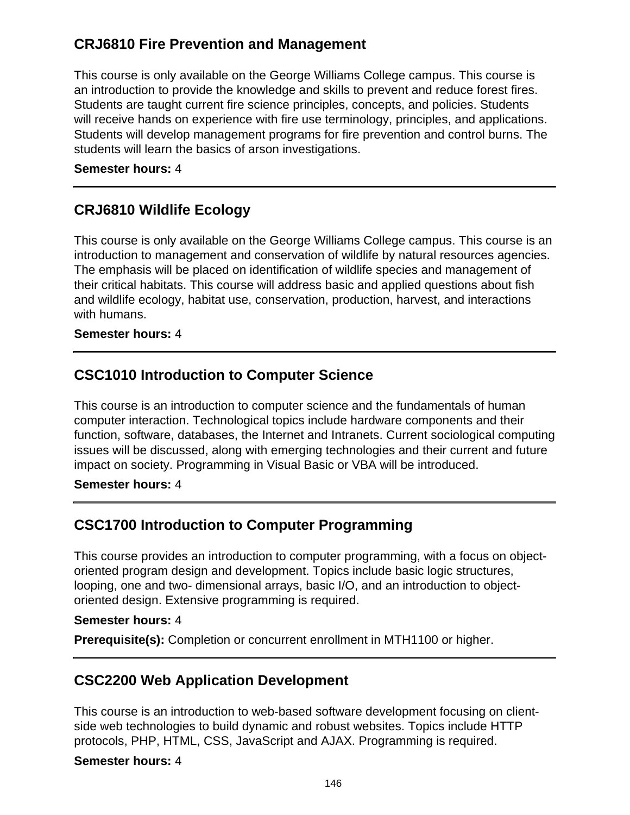## **CRJ6810 Fire Prevention and Management**

This course is only available on the George Williams College campus. This course is an introduction to provide the knowledge and skills to prevent and reduce forest fires. Students are taught current fire science principles, concepts, and policies. Students will receive hands on experience with fire use terminology, principles, and applications. Students will develop management programs for fire prevention and control burns. The students will learn the basics of arson investigations.

#### **Semester hours:** 4

### **CRJ6810 Wildlife Ecology**

This course is only available on the George Williams College campus. This course is an introduction to management and conservation of wildlife by natural resources agencies. The emphasis will be placed on identification of wildlife species and management of their critical habitats. This course will address basic and applied questions about fish and wildlife ecology, habitat use, conservation, production, harvest, and interactions with humans.

#### **Semester hours:** 4

### **CSC1010 Introduction to Computer Science**

This course is an introduction to computer science and the fundamentals of human computer interaction. Technological topics include hardware components and their function, software, databases, the Internet and Intranets. Current sociological computing issues will be discussed, along with emerging technologies and their current and future impact on society. Programming in Visual Basic or VBA will be introduced.

#### **Semester hours:** 4

# **CSC1700 Introduction to Computer Programming**

This course provides an introduction to computer programming, with a focus on objectoriented program design and development. Topics include basic logic structures, looping, one and two- dimensional arrays, basic I/O, and an introduction to objectoriented design. Extensive programming is required.

#### **Semester hours:** 4

**Prerequisite(s):** Completion or concurrent enrollment in MTH1100 or higher.

### **CSC2200 Web Application Development**

This course is an introduction to web-based software development focusing on clientside web technologies to build dynamic and robust websites. Topics include HTTP protocols, PHP, HTML, CSS, JavaScript and AJAX. Programming is required.

#### **Semester hours:** 4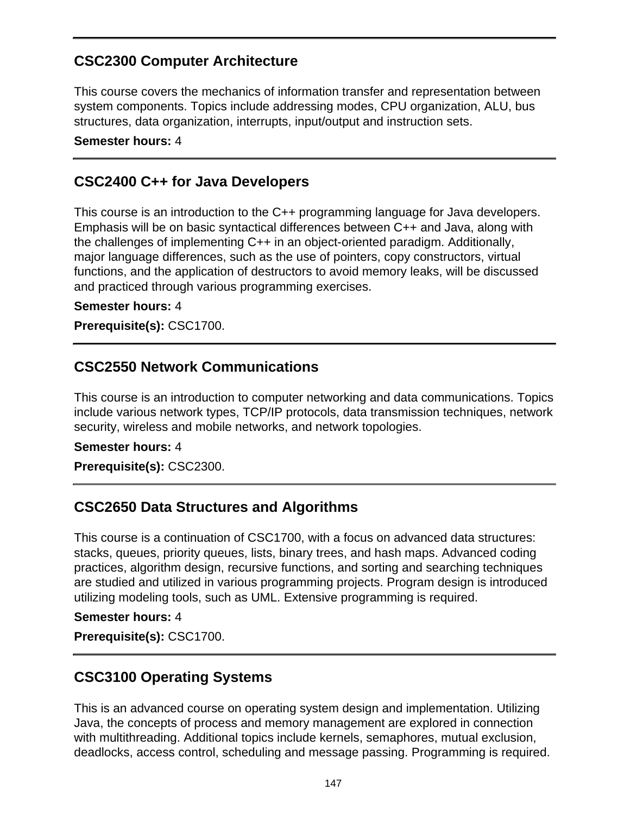## **CSC2300 Computer Architecture**

This course covers the mechanics of information transfer and representation between system components. Topics include addressing modes, CPU organization, ALU, bus structures, data organization, interrupts, input/output and instruction sets.

**Semester hours:** 4

### **CSC2400 C++ for Java Developers**

This course is an introduction to the C++ programming language for Java developers. Emphasis will be on basic syntactical differences between C++ and Java, along with the challenges of implementing C++ in an object-oriented paradigm. Additionally, major language differences, such as the use of pointers, copy constructors, virtual functions, and the application of destructors to avoid memory leaks, will be discussed and practiced through various programming exercises.

#### **Semester hours:** 4

**Prerequisite(s):** CSC1700.

### **CSC2550 Network Communications**

This course is an introduction to computer networking and data communications. Topics include various network types, TCP/IP protocols, data transmission techniques, network security, wireless and mobile networks, and network topologies.

#### **Semester hours:** 4

**Prerequisite(s):** CSC2300.

### **CSC2650 Data Structures and Algorithms**

This course is a continuation of CSC1700, with a focus on advanced data structures: stacks, queues, priority queues, lists, binary trees, and hash maps. Advanced coding practices, algorithm design, recursive functions, and sorting and searching techniques are studied and utilized in various programming projects. Program design is introduced utilizing modeling tools, such as UML. Extensive programming is required.

#### **Semester hours:** 4

**Prerequisite(s):** CSC1700.

### **CSC3100 Operating Systems**

This is an advanced course on operating system design and implementation. Utilizing Java, the concepts of process and memory management are explored in connection with multithreading. Additional topics include kernels, semaphores, mutual exclusion, deadlocks, access control, scheduling and message passing. Programming is required.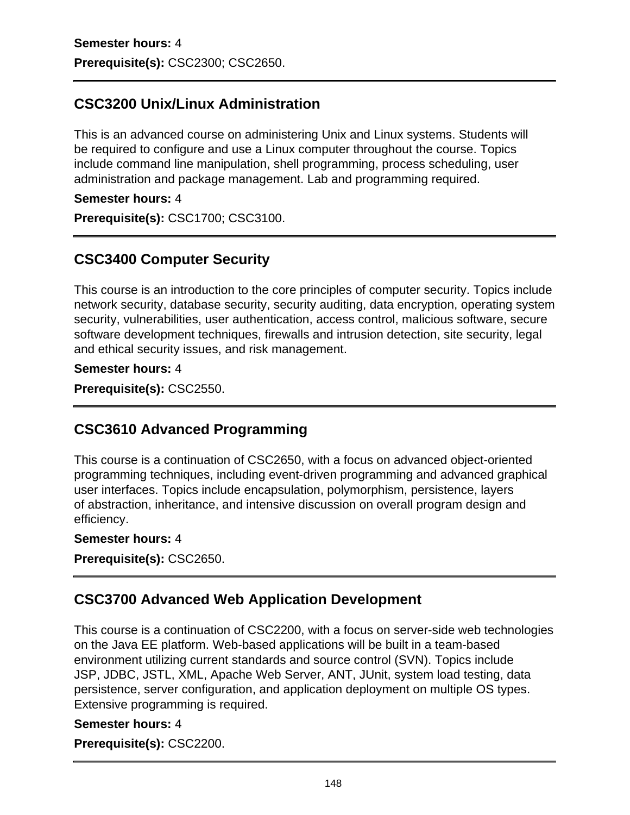# **CSC3200 Unix/Linux Administration**

This is an advanced course on administering Unix and Linux systems. Students will be required to configure and use a Linux computer throughout the course. Topics include command line manipulation, shell programming, process scheduling, user administration and package management. Lab and programming required.

### **Semester hours:** 4

**Prerequisite(s):** CSC1700; CSC3100.

# **CSC3400 Computer Security**

This course is an introduction to the core principles of computer security. Topics include network security, database security, security auditing, data encryption, operating system security, vulnerabilities, user authentication, access control, malicious software, secure software development techniques, firewalls and intrusion detection, site security, legal and ethical security issues, and risk management.

#### **Semester hours:** 4

**Prerequisite(s):** CSC2550.

# **CSC3610 Advanced Programming**

This course is a continuation of CSC2650, with a focus on advanced object-oriented programming techniques, including event-driven programming and advanced graphical user interfaces. Topics include encapsulation, polymorphism, persistence, layers of abstraction, inheritance, and intensive discussion on overall program design and efficiency.

#### **Semester hours:** 4

**Prerequisite(s):** CSC2650.

# **CSC3700 Advanced Web Application Development**

This course is a continuation of CSC2200, with a focus on server-side web technologies on the Java EE platform. Web-based applications will be built in a team-based environment utilizing current standards and source control (SVN). Topics include JSP, JDBC, JSTL, XML, Apache Web Server, ANT, JUnit, system load testing, data persistence, server configuration, and application deployment on multiple OS types. Extensive programming is required.

#### **Semester hours:** 4

**Prerequisite(s):** CSC2200.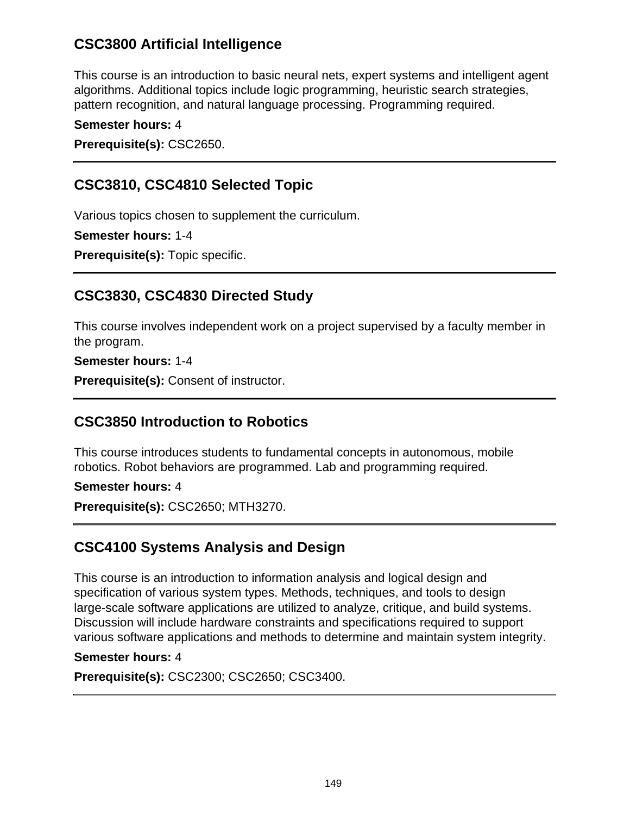## **CSC3800 Artificial Intelligence**

This course is an introduction to basic neural nets, expert systems and intelligent agent algorithms. Additional topics include logic programming, heuristic search strategies, pattern recognition, and natural language processing. Programming required.

**Semester hours:** 4

**Prerequisite(s):** CSC2650.

# **CSC3810, CSC4810 Selected Topic**

Various topics chosen to supplement the curriculum.

**Semester hours:** 1-4

**Prerequisite(s):** Topic specific.

## **CSC3830, CSC4830 Directed Study**

This course involves independent work on a project supervised by a faculty member in the program.

**Semester hours:** 1-4

**Prerequisite(s):** Consent of instructor.

### **CSC3850 Introduction to Robotics**

This course introduces students to fundamental concepts in autonomous, mobile robotics. Robot behaviors are programmed. Lab and programming required.

**Semester hours:** 4

**Prerequisite(s):** CSC2650; MTH3270.

# **CSC4100 Systems Analysis and Design**

This course is an introduction to information analysis and logical design and specification of various system types. Methods, techniques, and tools to design large-scale software applications are utilized to analyze, critique, and build systems. Discussion will include hardware constraints and specifications required to support various software applications and methods to determine and maintain system integrity.

#### **Semester hours:** 4

**Prerequisite(s):** CSC2300; CSC2650; CSC3400.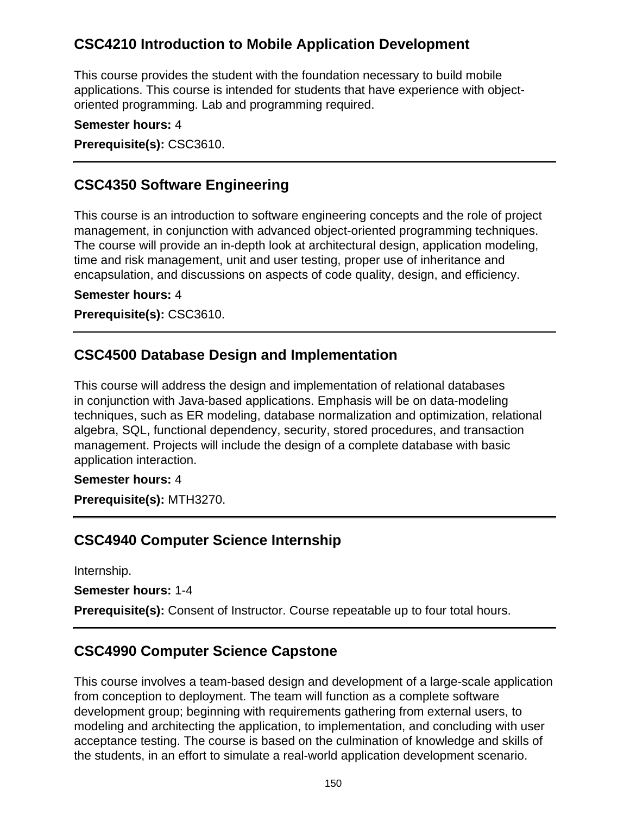## **CSC4210 Introduction to Mobile Application Development**

This course provides the student with the foundation necessary to build mobile applications. This course is intended for students that have experience with objectoriented programming. Lab and programming required.

**Semester hours:** 4

**Prerequisite(s):** CSC3610.

### **CSC4350 Software Engineering**

This course is an introduction to software engineering concepts and the role of project management, in conjunction with advanced object-oriented programming techniques. The course will provide an in-depth look at architectural design, application modeling, time and risk management, unit and user testing, proper use of inheritance and encapsulation, and discussions on aspects of code quality, design, and efficiency.

#### **Semester hours:** 4

**Prerequisite(s):** CSC3610.

### **CSC4500 Database Design and Implementation**

This course will address the design and implementation of relational databases in conjunction with Java-based applications. Emphasis will be on data-modeling techniques, such as ER modeling, database normalization and optimization, relational algebra, SQL, functional dependency, security, stored procedures, and transaction management. Projects will include the design of a complete database with basic application interaction.

#### **Semester hours:** 4

**Prerequisite(s):** MTH3270.

### **CSC4940 Computer Science Internship**

Internship.

**Semester hours:** 1-4

**Prerequisite(s):** Consent of Instructor. Course repeatable up to four total hours.

### **CSC4990 Computer Science Capstone**

This course involves a team-based design and development of a large-scale application from conception to deployment. The team will function as a complete software development group; beginning with requirements gathering from external users, to modeling and architecting the application, to implementation, and concluding with user acceptance testing. The course is based on the culmination of knowledge and skills of the students, in an effort to simulate a real-world application development scenario.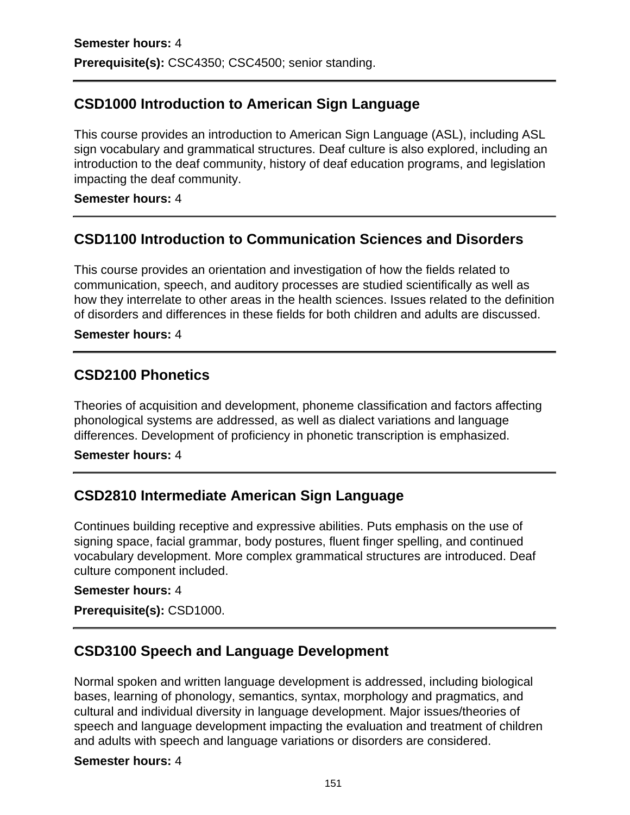## **CSD1000 Introduction to American Sign Language**

This course provides an introduction to American Sign Language (ASL), including ASL sign vocabulary and grammatical structures. Deaf culture is also explored, including an introduction to the deaf community, history of deaf education programs, and legislation impacting the deaf community.

#### **Semester hours:** 4

### **CSD1100 Introduction to Communication Sciences and Disorders**

This course provides an orientation and investigation of how the fields related to communication, speech, and auditory processes are studied scientifically as well as how they interrelate to other areas in the health sciences. Issues related to the definition of disorders and differences in these fields for both children and adults are discussed.

#### **Semester hours:** 4

### **CSD2100 Phonetics**

Theories of acquisition and development, phoneme classification and factors affecting phonological systems are addressed, as well as dialect variations and language differences. Development of proficiency in phonetic transcription is emphasized.

#### **Semester hours:** 4

### **CSD2810 Intermediate American Sign Language**

Continues building receptive and expressive abilities. Puts emphasis on the use of signing space, facial grammar, body postures, fluent finger spelling, and continued vocabulary development. More complex grammatical structures are introduced. Deaf culture component included.

#### **Semester hours:** 4

**Prerequisite(s):** CSD1000.

### **CSD3100 Speech and Language Development**

Normal spoken and written language development is addressed, including biological bases, learning of phonology, semantics, syntax, morphology and pragmatics, and cultural and individual diversity in language development. Major issues/theories of speech and language development impacting the evaluation and treatment of children and adults with speech and language variations or disorders are considered.

#### **Semester hours:** 4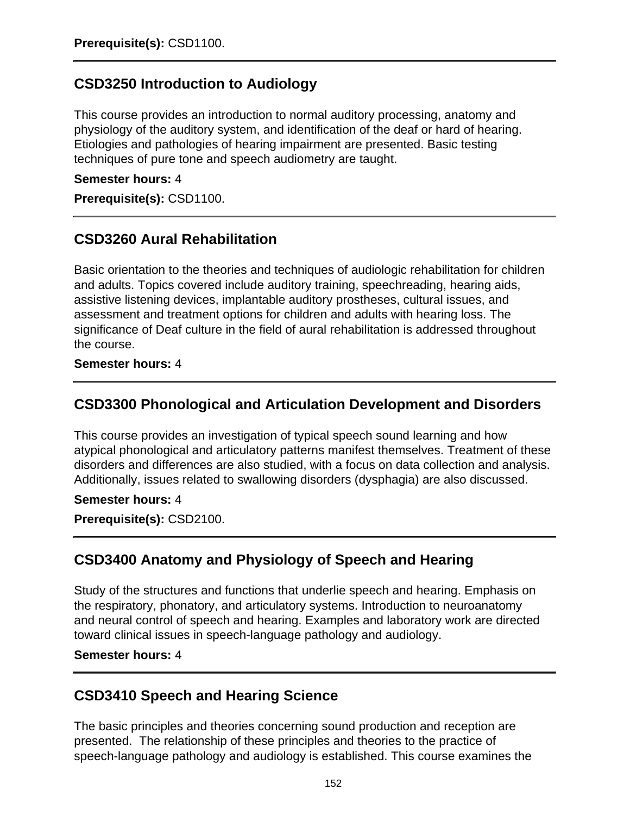## **CSD3250 Introduction to Audiology**

This course provides an introduction to normal auditory processing, anatomy and physiology of the auditory system, and identification of the deaf or hard of hearing. Etiologies and pathologies of hearing impairment are presented. Basic testing techniques of pure tone and speech audiometry are taught.

#### **Semester hours:** 4

**Prerequisite(s):** CSD1100.

### **CSD3260 Aural Rehabilitation**

Basic orientation to the theories and techniques of audiologic rehabilitation for children and adults. Topics covered include auditory training, speechreading, hearing aids, assistive listening devices, implantable auditory prostheses, cultural issues, and assessment and treatment options for children and adults with hearing loss. The significance of Deaf culture in the field of aural rehabilitation is addressed throughout the course.

#### **Semester hours:** 4

### **CSD3300 Phonological and Articulation Development and Disorders**

This course provides an investigation of typical speech sound learning and how atypical phonological and articulatory patterns manifest themselves. Treatment of these disorders and differences are also studied, with a focus on data collection and analysis. Additionally, issues related to swallowing disorders (dysphagia) are also discussed.

#### **Semester hours:** 4

**Prerequisite(s):** CSD2100.

### **CSD3400 Anatomy and Physiology of Speech and Hearing**

Study of the structures and functions that underlie speech and hearing. Emphasis on the respiratory, phonatory, and articulatory systems. Introduction to neuroanatomy and neural control of speech and hearing. Examples and laboratory work are directed toward clinical issues in speech-language pathology and audiology.

#### **Semester hours:** 4

### **CSD3410 Speech and Hearing Science**

The basic principles and theories concerning sound production and reception are presented. The relationship of these principles and theories to the practice of speech-language pathology and audiology is established. This course examines the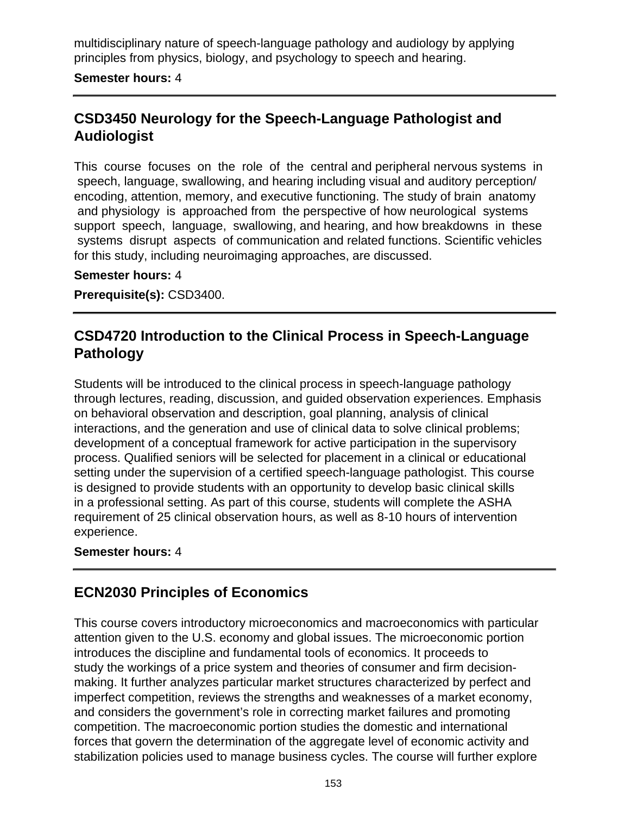multidisciplinary nature of speech-language pathology and audiology by applying principles from physics, biology, and psychology to speech and hearing.

#### **Semester hours:** 4

## **CSD3450 Neurology for the Speech-Language Pathologist and Audiologist**

This course focuses on the role of the central and peripheral nervous systems in speech, language, swallowing, and hearing including visual and auditory perception/ encoding, attention, memory, and executive functioning. The study of brain anatomy and physiology is approached from the perspective of how neurological systems support speech, language, swallowing, and hearing, and how breakdowns in these systems disrupt aspects of communication and related functions. Scientific vehicles for this study, including neuroimaging approaches, are discussed.

#### **Semester hours:** 4

**Prerequisite(s):** CSD3400.

## **CSD4720 Introduction to the Clinical Process in Speech-Language Pathology**

Students will be introduced to the clinical process in speech-language pathology through lectures, reading, discussion, and guided observation experiences. Emphasis on behavioral observation and description, goal planning, analysis of clinical interactions, and the generation and use of clinical data to solve clinical problems; development of a conceptual framework for active participation in the supervisory process. Qualified seniors will be selected for placement in a clinical or educational setting under the supervision of a certified speech-language pathologist. This course is designed to provide students with an opportunity to develop basic clinical skills in a professional setting. As part of this course, students will complete the ASHA requirement of 25 clinical observation hours, as well as 8-10 hours of intervention experience.

#### **Semester hours:** 4

### **ECN2030 Principles of Economics**

This course covers introductory microeconomics and macroeconomics with particular attention given to the U.S. economy and global issues. The microeconomic portion introduces the discipline and fundamental tools of economics. It proceeds to study the workings of a price system and theories of consumer and firm decisionmaking. It further analyzes particular market structures characterized by perfect and imperfect competition, reviews the strengths and weaknesses of a market economy, and considers the government's role in correcting market failures and promoting competition. The macroeconomic portion studies the domestic and international forces that govern the determination of the aggregate level of economic activity and stabilization policies used to manage business cycles. The course will further explore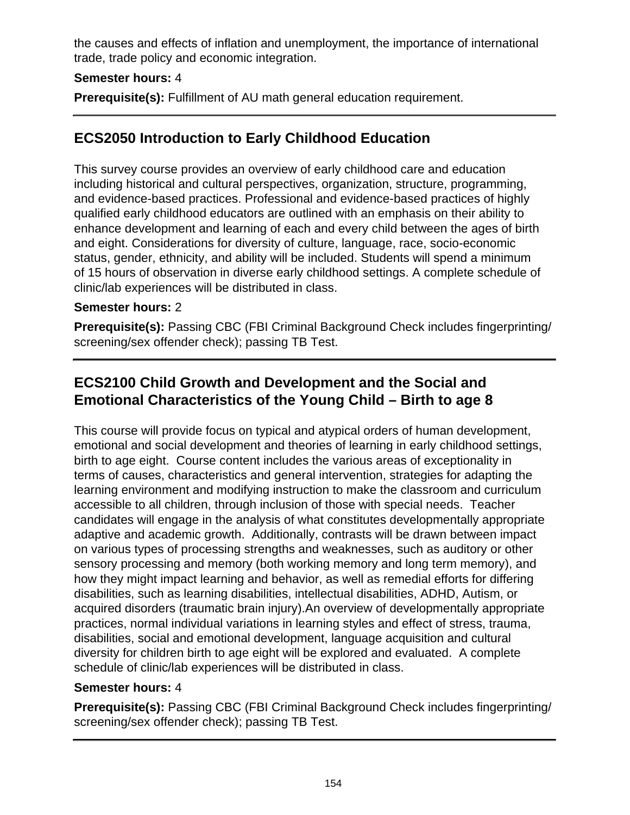the causes and effects of inflation and unemployment, the importance of international trade, trade policy and economic integration.

### **Semester hours:** 4

**Prerequisite(s):** Fulfillment of AU math general education requirement.

# **ECS2050 Introduction to Early Childhood Education**

This survey course provides an overview of early childhood care and education including historical and cultural perspectives, organization, structure, programming, and evidence-based practices. Professional and evidence-based practices of highly qualified early childhood educators are outlined with an emphasis on their ability to enhance development and learning of each and every child between the ages of birth and eight. Considerations for diversity of culture, language, race, socio-economic status, gender, ethnicity, and ability will be included. Students will spend a minimum of 15 hours of observation in diverse early childhood settings. A complete schedule of clinic/lab experiences will be distributed in class.

### **Semester hours:** 2

**Prerequisite(s):** Passing CBC (FBI Criminal Background Check includes fingerprinting/ screening/sex offender check); passing TB Test.

# **ECS2100 Child Growth and Development and the Social and Emotional Characteristics of the Young Child – Birth to age 8**

This course will provide focus on typical and atypical orders of human development, emotional and social development and theories of learning in early childhood settings, birth to age eight. Course content includes the various areas of exceptionality in terms of causes, characteristics and general intervention, strategies for adapting the learning environment and modifying instruction to make the classroom and curriculum accessible to all children, through inclusion of those with special needs. Teacher candidates will engage in the analysis of what constitutes developmentally appropriate adaptive and academic growth. Additionally, contrasts will be drawn between impact on various types of processing strengths and weaknesses, such as auditory or other sensory processing and memory (both working memory and long term memory), and how they might impact learning and behavior, as well as remedial efforts for differing disabilities, such as learning disabilities, intellectual disabilities, ADHD, Autism, or acquired disorders (traumatic brain injury).An overview of developmentally appropriate practices, normal individual variations in learning styles and effect of stress, trauma, disabilities, social and emotional development, language acquisition and cultural diversity for children birth to age eight will be explored and evaluated. A complete schedule of clinic/lab experiences will be distributed in class.

### **Semester hours:** 4

**Prerequisite(s):** Passing CBC (FBI Criminal Background Check includes fingerprinting/ screening/sex offender check); passing TB Test.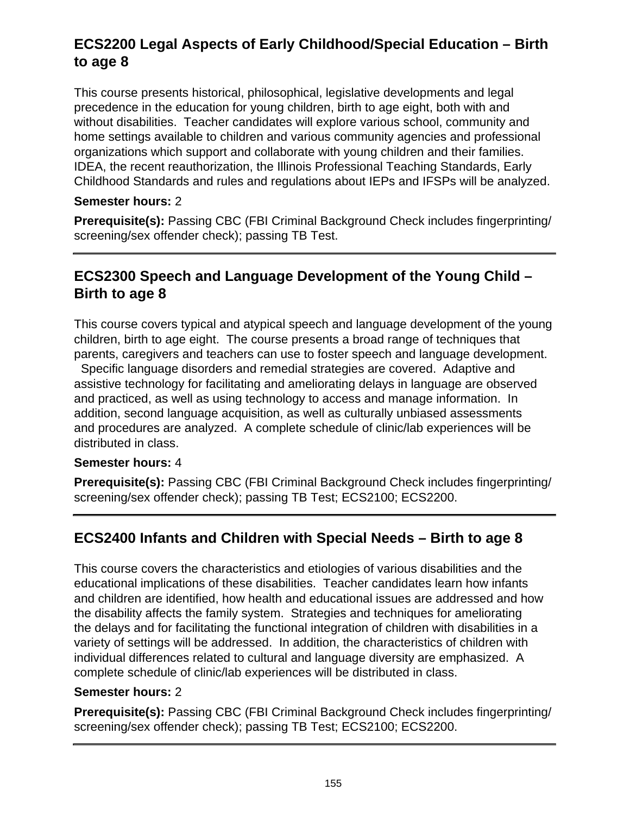# **ECS2200 Legal Aspects of Early Childhood/Special Education – Birth to age 8**

This course presents historical, philosophical, legislative developments and legal precedence in the education for young children, birth to age eight, both with and without disabilities. Teacher candidates will explore various school, community and home settings available to children and various community agencies and professional organizations which support and collaborate with young children and their families. IDEA, the recent reauthorization, the Illinois Professional Teaching Standards, Early Childhood Standards and rules and regulations about IEPs and IFSPs will be analyzed.

### **Semester hours:** 2

**Prerequisite(s):** Passing CBC (FBI Criminal Background Check includes fingerprinting/ screening/sex offender check); passing TB Test.

## **ECS2300 Speech and Language Development of the Young Child – Birth to age 8**

This course covers typical and atypical speech and language development of the young children, birth to age eight. The course presents a broad range of techniques that parents, caregivers and teachers can use to foster speech and language development.

 Specific language disorders and remedial strategies are covered. Adaptive and assistive technology for facilitating and ameliorating delays in language are observed and practiced, as well as using technology to access and manage information. In addition, second language acquisition, as well as culturally unbiased assessments and procedures are analyzed. A complete schedule of clinic/lab experiences will be distributed in class.

#### **Semester hours:** 4

**Prerequisite(s):** Passing CBC (FBI Criminal Background Check includes fingerprinting/ screening/sex offender check); passing TB Test; ECS2100; ECS2200.

# **ECS2400 Infants and Children with Special Needs – Birth to age 8**

This course covers the characteristics and etiologies of various disabilities and the educational implications of these disabilities. Teacher candidates learn how infants and children are identified, how health and educational issues are addressed and how the disability affects the family system. Strategies and techniques for ameliorating the delays and for facilitating the functional integration of children with disabilities in a variety of settings will be addressed. In addition, the characteristics of children with individual differences related to cultural and language diversity are emphasized. A complete schedule of clinic/lab experiences will be distributed in class.

#### **Semester hours:** 2

**Prerequisite(s):** Passing CBC (FBI Criminal Background Check includes fingerprinting/ screening/sex offender check); passing TB Test; ECS2100; ECS2200.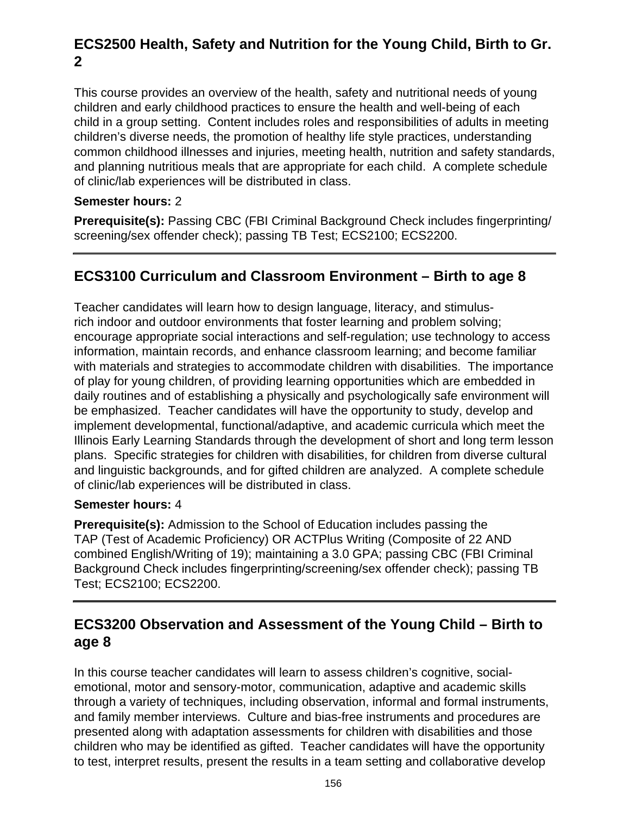# **ECS2500 Health, Safety and Nutrition for the Young Child, Birth to Gr. 2**

This course provides an overview of the health, safety and nutritional needs of young children and early childhood practices to ensure the health and well-being of each child in a group setting. Content includes roles and responsibilities of adults in meeting children's diverse needs, the promotion of healthy life style practices, understanding common childhood illnesses and injuries, meeting health, nutrition and safety standards, and planning nutritious meals that are appropriate for each child. A complete schedule of clinic/lab experiences will be distributed in class.

### **Semester hours:** 2

**Prerequisite(s):** Passing CBC (FBI Criminal Background Check includes fingerprinting/ screening/sex offender check); passing TB Test; ECS2100; ECS2200.

# **ECS3100 Curriculum and Classroom Environment – Birth to age 8**

Teacher candidates will learn how to design language, literacy, and stimulusrich indoor and outdoor environments that foster learning and problem solving; encourage appropriate social interactions and self-regulation; use technology to access information, maintain records, and enhance classroom learning; and become familiar with materials and strategies to accommodate children with disabilities. The importance of play for young children, of providing learning opportunities which are embedded in daily routines and of establishing a physically and psychologically safe environment will be emphasized. Teacher candidates will have the opportunity to study, develop and implement developmental, functional/adaptive, and academic curricula which meet the Illinois Early Learning Standards through the development of short and long term lesson plans. Specific strategies for children with disabilities, for children from diverse cultural and linguistic backgrounds, and for gifted children are analyzed. A complete schedule of clinic/lab experiences will be distributed in class.

#### **Semester hours:** 4

**Prerequisite(s):** Admission to the School of Education includes passing the TAP (Test of Academic Proficiency) OR ACTPlus Writing (Composite of 22 AND combined English/Writing of 19); maintaining a 3.0 GPA; passing CBC (FBI Criminal Background Check includes fingerprinting/screening/sex offender check); passing TB Test; ECS2100; ECS2200.

## **ECS3200 Observation and Assessment of the Young Child – Birth to age 8**

In this course teacher candidates will learn to assess children's cognitive, socialemotional, motor and sensory-motor, communication, adaptive and academic skills through a variety of techniques, including observation, informal and formal instruments, and family member interviews. Culture and bias-free instruments and procedures are presented along with adaptation assessments for children with disabilities and those children who may be identified as gifted. Teacher candidates will have the opportunity to test, interpret results, present the results in a team setting and collaborative develop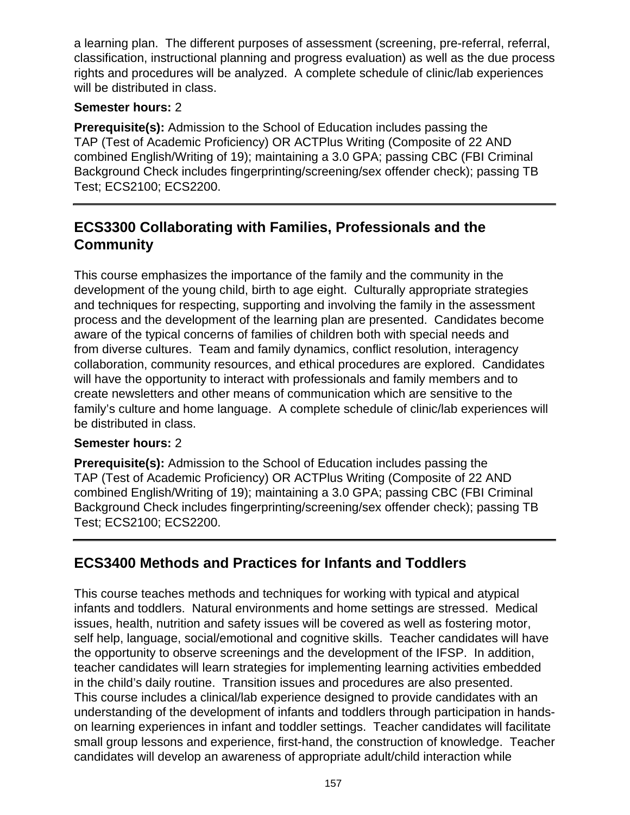a learning plan. The different purposes of assessment (screening, pre-referral, referral, classification, instructional planning and progress evaluation) as well as the due process rights and procedures will be analyzed. A complete schedule of clinic/lab experiences will be distributed in class.

### **Semester hours:** 2

**Prerequisite(s):** Admission to the School of Education includes passing the TAP (Test of Academic Proficiency) OR ACTPlus Writing (Composite of 22 AND combined English/Writing of 19); maintaining a 3.0 GPA; passing CBC (FBI Criminal Background Check includes fingerprinting/screening/sex offender check); passing TB Test; ECS2100; ECS2200.

## **ECS3300 Collaborating with Families, Professionals and the Community**

This course emphasizes the importance of the family and the community in the development of the young child, birth to age eight. Culturally appropriate strategies and techniques for respecting, supporting and involving the family in the assessment process and the development of the learning plan are presented. Candidates become aware of the typical concerns of families of children both with special needs and from diverse cultures. Team and family dynamics, conflict resolution, interagency collaboration, community resources, and ethical procedures are explored. Candidates will have the opportunity to interact with professionals and family members and to create newsletters and other means of communication which are sensitive to the family's culture and home language. A complete schedule of clinic/lab experiences will be distributed in class.

### **Semester hours:** 2

**Prerequisite(s):** Admission to the School of Education includes passing the TAP (Test of Academic Proficiency) OR ACTPlus Writing (Composite of 22 AND combined English/Writing of 19); maintaining a 3.0 GPA; passing CBC (FBI Criminal Background Check includes fingerprinting/screening/sex offender check); passing TB Test; ECS2100; ECS2200.

# **ECS3400 Methods and Practices for Infants and Toddlers**

This course teaches methods and techniques for working with typical and atypical infants and toddlers. Natural environments and home settings are stressed. Medical issues, health, nutrition and safety issues will be covered as well as fostering motor, self help, language, social/emotional and cognitive skills. Teacher candidates will have the opportunity to observe screenings and the development of the IFSP. In addition, teacher candidates will learn strategies for implementing learning activities embedded in the child's daily routine. Transition issues and procedures are also presented. This course includes a clinical/lab experience designed to provide candidates with an understanding of the development of infants and toddlers through participation in handson learning experiences in infant and toddler settings. Teacher candidates will facilitate small group lessons and experience, first-hand, the construction of knowledge. Teacher candidates will develop an awareness of appropriate adult/child interaction while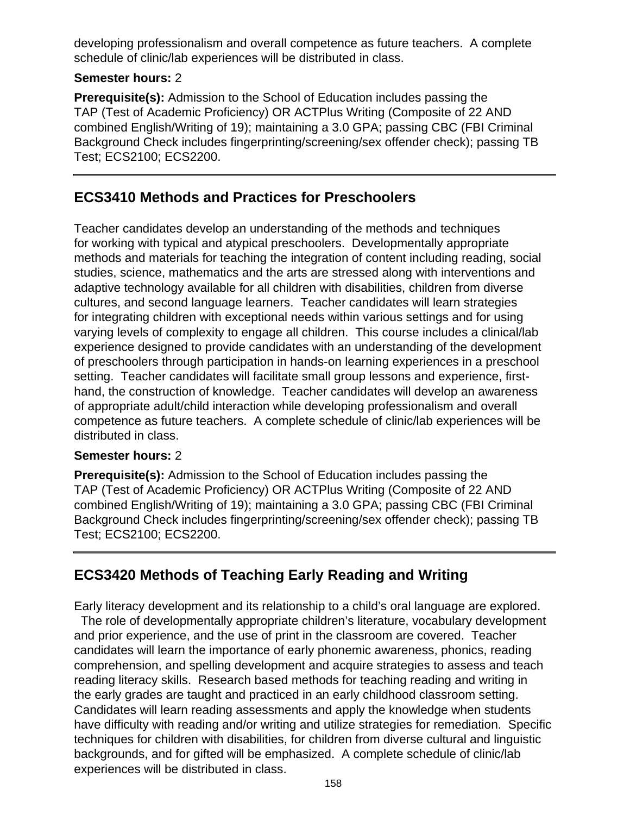developing professionalism and overall competence as future teachers. A complete schedule of clinic/lab experiences will be distributed in class.

### **Semester hours:** 2

**Prerequisite(s):** Admission to the School of Education includes passing the TAP (Test of Academic Proficiency) OR ACTPlus Writing (Composite of 22 AND combined English/Writing of 19); maintaining a 3.0 GPA; passing CBC (FBI Criminal Background Check includes fingerprinting/screening/sex offender check); passing TB Test; ECS2100; ECS2200.

## **ECS3410 Methods and Practices for Preschoolers**

Teacher candidates develop an understanding of the methods and techniques for working with typical and atypical preschoolers. Developmentally appropriate methods and materials for teaching the integration of content including reading, social studies, science, mathematics and the arts are stressed along with interventions and adaptive technology available for all children with disabilities, children from diverse cultures, and second language learners. Teacher candidates will learn strategies for integrating children with exceptional needs within various settings and for using varying levels of complexity to engage all children. This course includes a clinical/lab experience designed to provide candidates with an understanding of the development of preschoolers through participation in hands-on learning experiences in a preschool setting. Teacher candidates will facilitate small group lessons and experience, firsthand, the construction of knowledge. Teacher candidates will develop an awareness of appropriate adult/child interaction while developing professionalism and overall competence as future teachers. A complete schedule of clinic/lab experiences will be distributed in class.

### **Semester hours:** 2

**Prerequisite(s):** Admission to the School of Education includes passing the TAP (Test of Academic Proficiency) OR ACTPlus Writing (Composite of 22 AND combined English/Writing of 19); maintaining a 3.0 GPA; passing CBC (FBI Criminal Background Check includes fingerprinting/screening/sex offender check); passing TB Test; ECS2100; ECS2200.

# **ECS3420 Methods of Teaching Early Reading and Writing**

Early literacy development and its relationship to a child's oral language are explored. The role of developmentally appropriate children's literature, vocabulary development and prior experience, and the use of print in the classroom are covered. Teacher candidates will learn the importance of early phonemic awareness, phonics, reading comprehension, and spelling development and acquire strategies to assess and teach reading literacy skills. Research based methods for teaching reading and writing in the early grades are taught and practiced in an early childhood classroom setting. Candidates will learn reading assessments and apply the knowledge when students have difficulty with reading and/or writing and utilize strategies for remediation. Specific techniques for children with disabilities, for children from diverse cultural and linguistic backgrounds, and for gifted will be emphasized. A complete schedule of clinic/lab experiences will be distributed in class.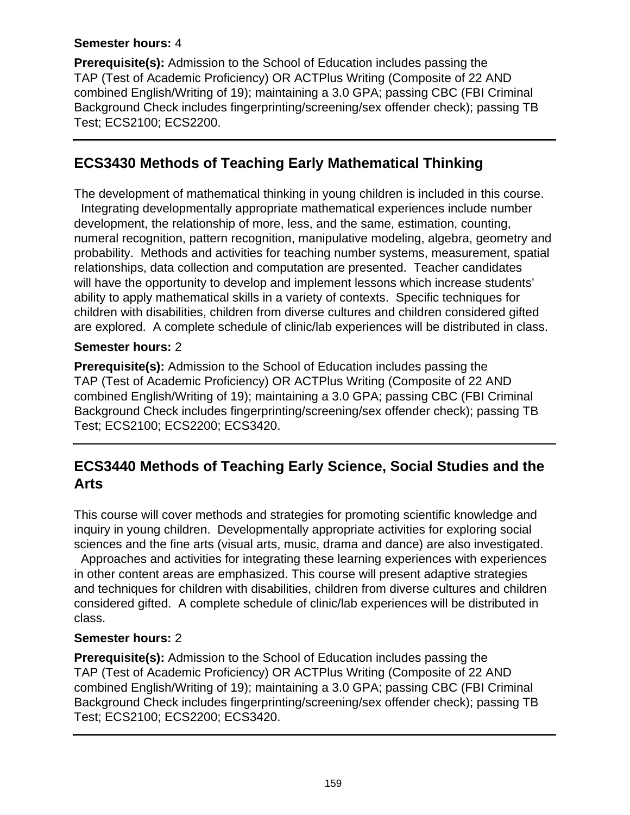### **Semester hours:** 4

**Prerequisite(s):** Admission to the School of Education includes passing the TAP (Test of Academic Proficiency) OR ACTPlus Writing (Composite of 22 AND combined English/Writing of 19); maintaining a 3.0 GPA; passing CBC (FBI Criminal Background Check includes fingerprinting/screening/sex offender check); passing TB Test; ECS2100; ECS2200.

## **ECS3430 Methods of Teaching Early Mathematical Thinking**

The development of mathematical thinking in young children is included in this course. Integrating developmentally appropriate mathematical experiences include number development, the relationship of more, less, and the same, estimation, counting, numeral recognition, pattern recognition, manipulative modeling, algebra, geometry and probability. Methods and activities for teaching number systems, measurement, spatial relationships, data collection and computation are presented. Teacher candidates will have the opportunity to develop and implement lessons which increase students' ability to apply mathematical skills in a variety of contexts. Specific techniques for children with disabilities, children from diverse cultures and children considered gifted are explored. A complete schedule of clinic/lab experiences will be distributed in class.

### **Semester hours:** 2

**Prerequisite(s):** Admission to the School of Education includes passing the TAP (Test of Academic Proficiency) OR ACTPlus Writing (Composite of 22 AND combined English/Writing of 19); maintaining a 3.0 GPA; passing CBC (FBI Criminal Background Check includes fingerprinting/screening/sex offender check); passing TB Test; ECS2100; ECS2200; ECS3420.

## **ECS3440 Methods of Teaching Early Science, Social Studies and the Arts**

This course will cover methods and strategies for promoting scientific knowledge and inquiry in young children. Developmentally appropriate activities for exploring social sciences and the fine arts (visual arts, music, drama and dance) are also investigated.

 Approaches and activities for integrating these learning experiences with experiences in other content areas are emphasized. This course will present adaptive strategies and techniques for children with disabilities, children from diverse cultures and children considered gifted. A complete schedule of clinic/lab experiences will be distributed in class.

### **Semester hours:** 2

**Prerequisite(s):** Admission to the School of Education includes passing the TAP (Test of Academic Proficiency) OR ACTPlus Writing (Composite of 22 AND combined English/Writing of 19); maintaining a 3.0 GPA; passing CBC (FBI Criminal Background Check includes fingerprinting/screening/sex offender check); passing TB Test; ECS2100; ECS2200; ECS3420.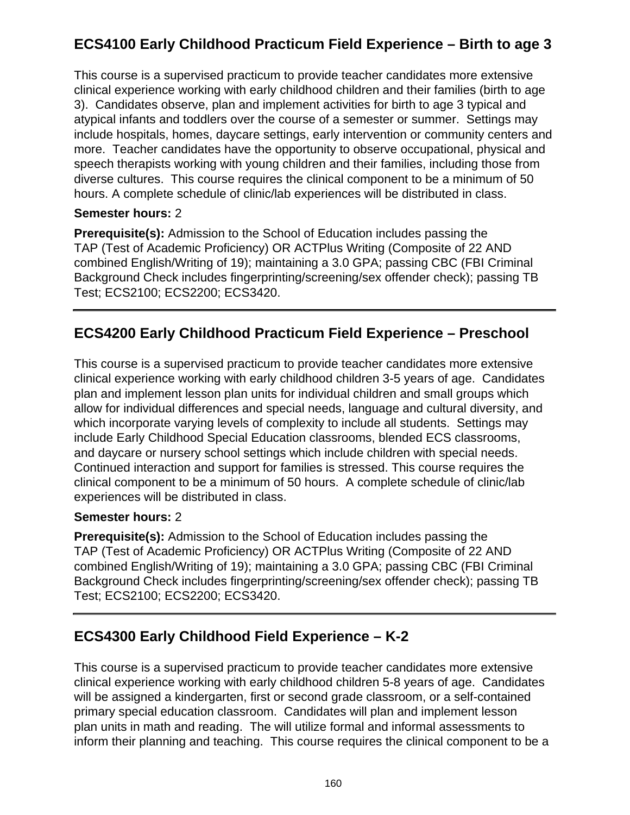# **ECS4100 Early Childhood Practicum Field Experience – Birth to age 3**

This course is a supervised practicum to provide teacher candidates more extensive clinical experience working with early childhood children and their families (birth to age 3). Candidates observe, plan and implement activities for birth to age 3 typical and atypical infants and toddlers over the course of a semester or summer. Settings may include hospitals, homes, daycare settings, early intervention or community centers and more. Teacher candidates have the opportunity to observe occupational, physical and speech therapists working with young children and their families, including those from diverse cultures. This course requires the clinical component to be a minimum of 50 hours. A complete schedule of clinic/lab experiences will be distributed in class.

### **Semester hours:** 2

**Prerequisite(s):** Admission to the School of Education includes passing the TAP (Test of Academic Proficiency) OR ACTPlus Writing (Composite of 22 AND combined English/Writing of 19); maintaining a 3.0 GPA; passing CBC (FBI Criminal Background Check includes fingerprinting/screening/sex offender check); passing TB Test; ECS2100; ECS2200; ECS3420.

# **ECS4200 Early Childhood Practicum Field Experience – Preschool**

This course is a supervised practicum to provide teacher candidates more extensive clinical experience working with early childhood children 3-5 years of age. Candidates plan and implement lesson plan units for individual children and small groups which allow for individual differences and special needs, language and cultural diversity, and which incorporate varying levels of complexity to include all students. Settings may include Early Childhood Special Education classrooms, blended ECS classrooms, and daycare or nursery school settings which include children with special needs. Continued interaction and support for families is stressed. This course requires the clinical component to be a minimum of 50 hours. A complete schedule of clinic/lab experiences will be distributed in class.

### **Semester hours:** 2

**Prerequisite(s):** Admission to the School of Education includes passing the TAP (Test of Academic Proficiency) OR ACTPlus Writing (Composite of 22 AND combined English/Writing of 19); maintaining a 3.0 GPA; passing CBC (FBI Criminal Background Check includes fingerprinting/screening/sex offender check); passing TB Test; ECS2100; ECS2200; ECS3420.

# **ECS4300 Early Childhood Field Experience – K-2**

This course is a supervised practicum to provide teacher candidates more extensive clinical experience working with early childhood children 5-8 years of age. Candidates will be assigned a kindergarten, first or second grade classroom, or a self-contained primary special education classroom. Candidates will plan and implement lesson plan units in math and reading. The will utilize formal and informal assessments to inform their planning and teaching. This course requires the clinical component to be a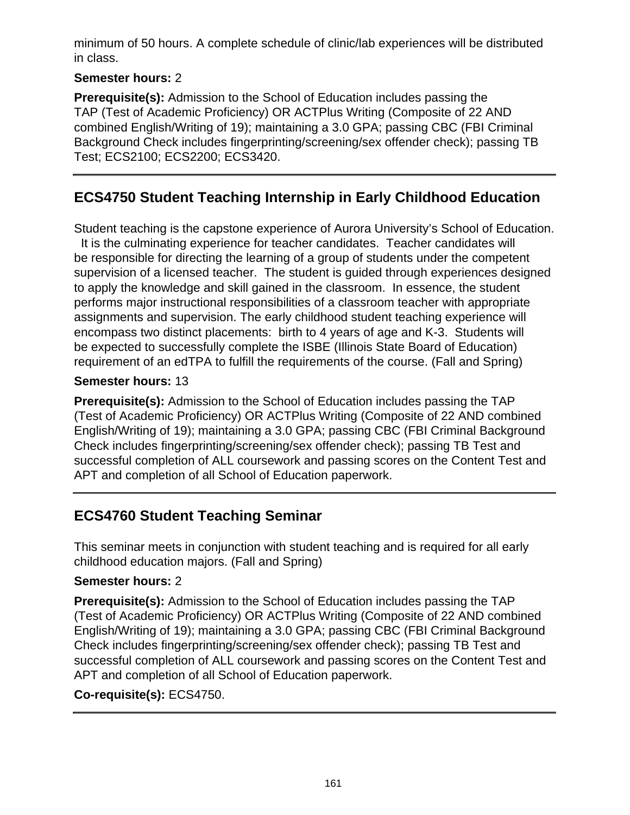minimum of 50 hours. A complete schedule of clinic/lab experiences will be distributed in class.

### **Semester hours:** 2

**Prerequisite(s):** Admission to the School of Education includes passing the TAP (Test of Academic Proficiency) OR ACTPlus Writing (Composite of 22 AND combined English/Writing of 19); maintaining a 3.0 GPA; passing CBC (FBI Criminal Background Check includes fingerprinting/screening/sex offender check); passing TB Test; ECS2100; ECS2200; ECS3420.

## **ECS4750 Student Teaching Internship in Early Childhood Education**

Student teaching is the capstone experience of Aurora University's School of Education.

 It is the culminating experience for teacher candidates. Teacher candidates will be responsible for directing the learning of a group of students under the competent supervision of a licensed teacher. The student is guided through experiences designed to apply the knowledge and skill gained in the classroom. In essence, the student performs major instructional responsibilities of a classroom teacher with appropriate assignments and supervision. The early childhood student teaching experience will encompass two distinct placements: birth to 4 years of age and K-3. Students will be expected to successfully complete the ISBE (Illinois State Board of Education) requirement of an edTPA to fulfill the requirements of the course. (Fall and Spring)

### **Semester hours:** 13

**Prerequisite(s):** Admission to the School of Education includes passing the TAP (Test of Academic Proficiency) OR ACTPlus Writing (Composite of 22 AND combined English/Writing of 19); maintaining a 3.0 GPA; passing CBC (FBI Criminal Background Check includes fingerprinting/screening/sex offender check); passing TB Test and successful completion of ALL coursework and passing scores on the Content Test and APT and completion of all School of Education paperwork.

# **ECS4760 Student Teaching Seminar**

This seminar meets in conjunction with student teaching and is required for all early childhood education majors. (Fall and Spring)

### **Semester hours:** 2

**Prerequisite(s):** Admission to the School of Education includes passing the TAP (Test of Academic Proficiency) OR ACTPlus Writing (Composite of 22 AND combined English/Writing of 19); maintaining a 3.0 GPA; passing CBC (FBI Criminal Background Check includes fingerprinting/screening/sex offender check); passing TB Test and successful completion of ALL coursework and passing scores on the Content Test and APT and completion of all School of Education paperwork.

### **Co-requisite(s):** ECS4750.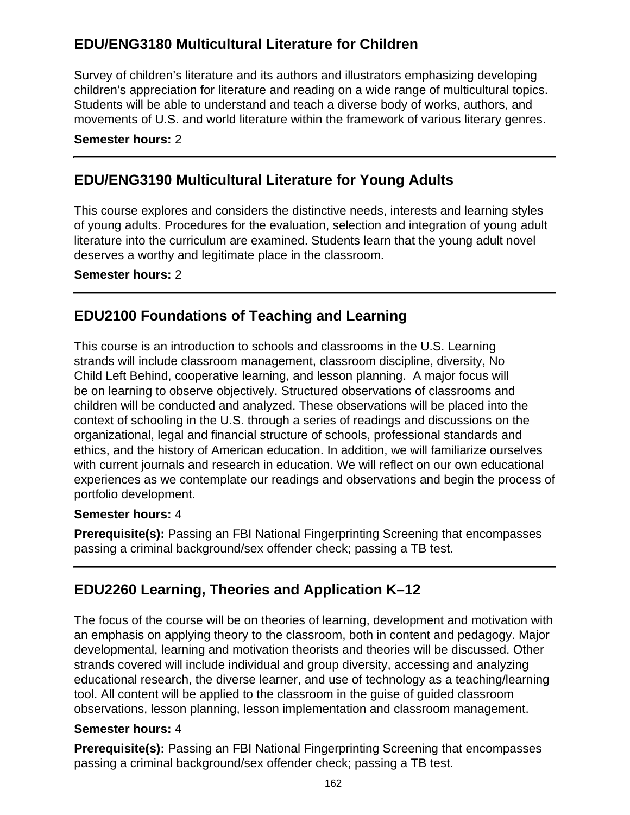# **EDU/ENG3180 Multicultural Literature for Children**

Survey of children's literature and its authors and illustrators emphasizing developing children's appreciation for literature and reading on a wide range of multicultural topics. Students will be able to understand and teach a diverse body of works, authors, and movements of U.S. and world literature within the framework of various literary genres.

#### **Semester hours:** 2

## **EDU/ENG3190 Multicultural Literature for Young Adults**

This course explores and considers the distinctive needs, interests and learning styles of young adults. Procedures for the evaluation, selection and integration of young adult literature into the curriculum are examined. Students learn that the young adult novel deserves a worthy and legitimate place in the classroom.

### **Semester hours:** 2

## **EDU2100 Foundations of Teaching and Learning**

This course is an introduction to schools and classrooms in the U.S. Learning strands will include classroom management, classroom discipline, diversity, No Child Left Behind, cooperative learning, and lesson planning. A major focus will be on learning to observe objectively. Structured observations of classrooms and children will be conducted and analyzed. These observations will be placed into the context of schooling in the U.S. through a series of readings and discussions on the organizational, legal and financial structure of schools, professional standards and ethics, and the history of American education. In addition, we will familiarize ourselves with current journals and research in education. We will reflect on our own educational experiences as we contemplate our readings and observations and begin the process of portfolio development.

#### **Semester hours:** 4

**Prerequisite(s):** Passing an FBI National Fingerprinting Screening that encompasses passing a criminal background/sex offender check; passing a TB test.

# **EDU2260 Learning, Theories and Application K–12**

The focus of the course will be on theories of learning, development and motivation with an emphasis on applying theory to the classroom, both in content and pedagogy. Major developmental, learning and motivation theorists and theories will be discussed. Other strands covered will include individual and group diversity, accessing and analyzing educational research, the diverse learner, and use of technology as a teaching/learning tool. All content will be applied to the classroom in the guise of guided classroom observations, lesson planning, lesson implementation and classroom management.

### **Semester hours:** 4

**Prerequisite(s):** Passing an FBI National Fingerprinting Screening that encompasses passing a criminal background/sex offender check; passing a TB test.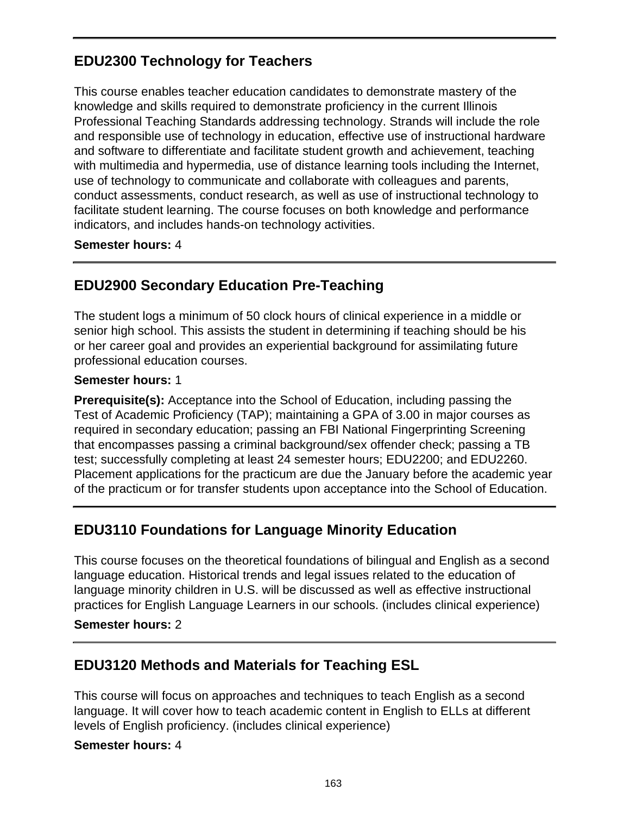# **EDU2300 Technology for Teachers**

This course enables teacher education candidates to demonstrate mastery of the knowledge and skills required to demonstrate proficiency in the current Illinois Professional Teaching Standards addressing technology. Strands will include the role and responsible use of technology in education, effective use of instructional hardware and software to differentiate and facilitate student growth and achievement, teaching with multimedia and hypermedia, use of distance learning tools including the Internet, use of technology to communicate and collaborate with colleagues and parents, conduct assessments, conduct research, as well as use of instructional technology to facilitate student learning. The course focuses on both knowledge and performance indicators, and includes hands-on technology activities.

#### **Semester hours:** 4

# **EDU2900 Secondary Education Pre-Teaching**

The student logs a minimum of 50 clock hours of clinical experience in a middle or senior high school. This assists the student in determining if teaching should be his or her career goal and provides an experiential background for assimilating future professional education courses.

### **Semester hours:** 1

**Prerequisite(s):** Acceptance into the School of Education, including passing the Test of Academic Proficiency (TAP); maintaining a GPA of 3.00 in major courses as required in secondary education; passing an FBI National Fingerprinting Screening that encompasses passing a criminal background/sex offender check; passing a TB test; successfully completing at least 24 semester hours; EDU2200; and EDU2260. Placement applications for the practicum are due the January before the academic year of the practicum or for transfer students upon acceptance into the School of Education.

# **EDU3110 Foundations for Language Minority Education**

This course focuses on the theoretical foundations of bilingual and English as a second language education. Historical trends and legal issues related to the education of language minority children in U.S. will be discussed as well as effective instructional practices for English Language Learners in our schools. (includes clinical experience)

#### **Semester hours:** 2

### **EDU3120 Methods and Materials for Teaching ESL**

This course will focus on approaches and techniques to teach English as a second language. It will cover how to teach academic content in English to ELLs at different levels of English proficiency. (includes clinical experience)

#### **Semester hours:** 4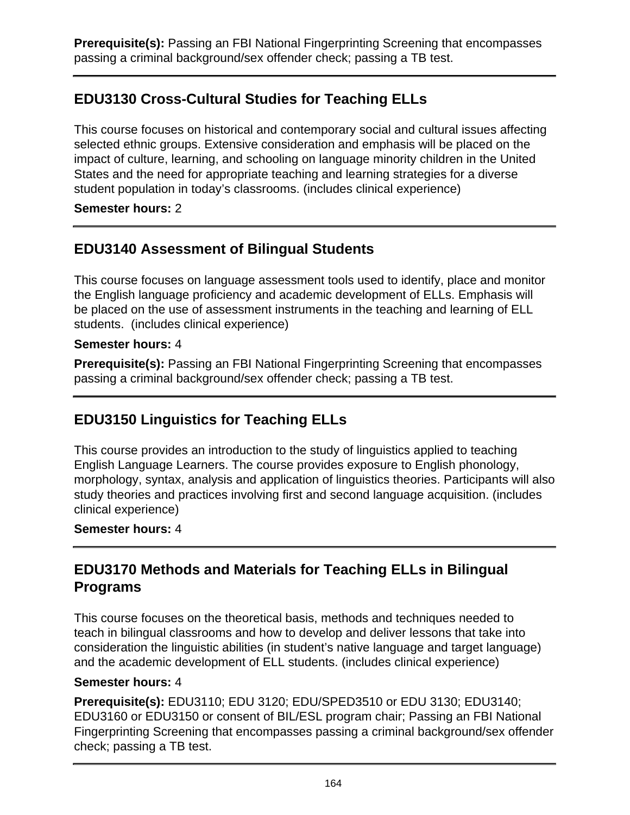**Prerequisite(s):** Passing an FBI National Fingerprinting Screening that encompasses passing a criminal background/sex offender check; passing a TB test.

# **EDU3130 Cross-Cultural Studies for Teaching ELLs**

This course focuses on historical and contemporary social and cultural issues affecting selected ethnic groups. Extensive consideration and emphasis will be placed on the impact of culture, learning, and schooling on language minority children in the United States and the need for appropriate teaching and learning strategies for a diverse student population in today's classrooms. (includes clinical experience)

### **Semester hours:** 2

# **EDU3140 Assessment of Bilingual Students**

This course focuses on language assessment tools used to identify, place and monitor the English language proficiency and academic development of ELLs. Emphasis will be placed on the use of assessment instruments in the teaching and learning of ELL students. (includes clinical experience)

#### **Semester hours:** 4

**Prerequisite(s):** Passing an FBI National Fingerprinting Screening that encompasses passing a criminal background/sex offender check; passing a TB test.

# **EDU3150 Linguistics for Teaching ELLs**

This course provides an introduction to the study of linguistics applied to teaching English Language Learners. The course provides exposure to English phonology, morphology, syntax, analysis and application of linguistics theories. Participants will also study theories and practices involving first and second language acquisition. (includes clinical experience)

#### **Semester hours:** 4

## **EDU3170 Methods and Materials for Teaching ELLs in Bilingual Programs**

This course focuses on the theoretical basis, methods and techniques needed to teach in bilingual classrooms and how to develop and deliver lessons that take into consideration the linguistic abilities (in student's native language and target language) and the academic development of ELL students. (includes clinical experience)

#### **Semester hours:** 4

**Prerequisite(s):** EDU3110; EDU 3120; EDU/SPED3510 or EDU 3130; EDU3140; EDU3160 or EDU3150 or consent of BIL/ESL program chair; Passing an FBI National Fingerprinting Screening that encompasses passing a criminal background/sex offender check; passing a TB test.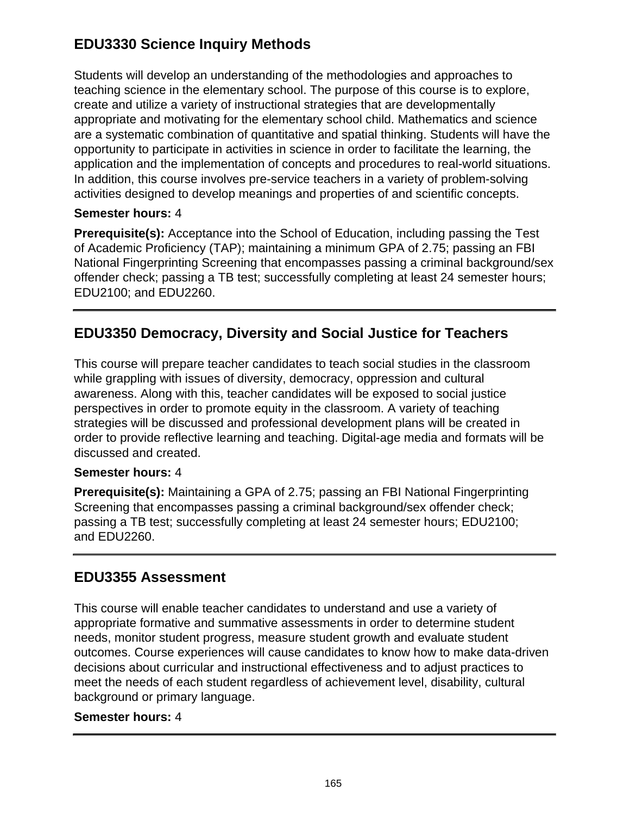# **EDU3330 Science Inquiry Methods**

Students will develop an understanding of the methodologies and approaches to teaching science in the elementary school. The purpose of this course is to explore, create and utilize a variety of instructional strategies that are developmentally appropriate and motivating for the elementary school child. Mathematics and science are a systematic combination of quantitative and spatial thinking. Students will have the opportunity to participate in activities in science in order to facilitate the learning, the application and the implementation of concepts and procedures to real-world situations. In addition, this course involves pre-service teachers in a variety of problem-solving activities designed to develop meanings and properties of and scientific concepts.

### **Semester hours:** 4

**Prerequisite(s):** Acceptance into the School of Education, including passing the Test of Academic Proficiency (TAP); maintaining a minimum GPA of 2.75; passing an FBI National Fingerprinting Screening that encompasses passing a criminal background/sex offender check; passing a TB test; successfully completing at least 24 semester hours; EDU2100; and EDU2260.

# **EDU3350 Democracy, Diversity and Social Justice for Teachers**

This course will prepare teacher candidates to teach social studies in the classroom while grappling with issues of diversity, democracy, oppression and cultural awareness. Along with this, teacher candidates will be exposed to social justice perspectives in order to promote equity in the classroom. A variety of teaching strategies will be discussed and professional development plans will be created in order to provide reflective learning and teaching. Digital-age media and formats will be discussed and created.

### **Semester hours:** 4

**Prerequisite(s):** Maintaining a GPA of 2.75; passing an FBI National Fingerprinting Screening that encompasses passing a criminal background/sex offender check; passing a TB test; successfully completing at least 24 semester hours; EDU2100; and EDU2260.

### **EDU3355 Assessment**

This course will enable teacher candidates to understand and use a variety of appropriate formative and summative assessments in order to determine student needs, monitor student progress, measure student growth and evaluate student outcomes. Course experiences will cause candidates to know how to make data-driven decisions about curricular and instructional effectiveness and to adjust practices to meet the needs of each student regardless of achievement level, disability, cultural background or primary language.

#### **Semester hours:** 4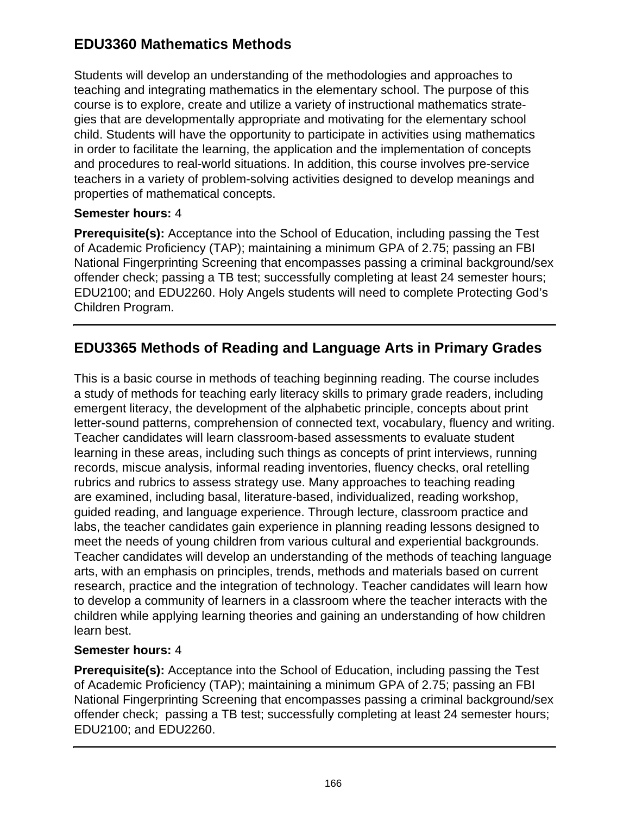# **EDU3360 Mathematics Methods**

Students will develop an understanding of the methodologies and approaches to teaching and integrating mathematics in the elementary school. The purpose of this course is to explore, create and utilize a variety of instructional mathematics strategies that are developmentally appropriate and motivating for the elementary school child. Students will have the opportunity to participate in activities using mathematics in order to facilitate the learning, the application and the implementation of concepts and procedures to real-world situations. In addition, this course involves pre-service teachers in a variety of problem-solving activities designed to develop meanings and properties of mathematical concepts.

### **Semester hours:** 4

**Prerequisite(s):** Acceptance into the School of Education, including passing the Test of Academic Proficiency (TAP); maintaining a minimum GPA of 2.75; passing an FBI National Fingerprinting Screening that encompasses passing a criminal background/sex offender check; passing a TB test; successfully completing at least 24 semester hours; EDU2100; and EDU2260. Holy Angels students will need to complete Protecting God's Children Program.

# **EDU3365 Methods of Reading and Language Arts in Primary Grades**

This is a basic course in methods of teaching beginning reading. The course includes a study of methods for teaching early literacy skills to primary grade readers, including emergent literacy, the development of the alphabetic principle, concepts about print letter-sound patterns, comprehension of connected text, vocabulary, fluency and writing. Teacher candidates will learn classroom-based assessments to evaluate student learning in these areas, including such things as concepts of print interviews, running records, miscue analysis, informal reading inventories, fluency checks, oral retelling rubrics and rubrics to assess strategy use. Many approaches to teaching reading are examined, including basal, literature-based, individualized, reading workshop, guided reading, and language experience. Through lecture, classroom practice and labs, the teacher candidates gain experience in planning reading lessons designed to meet the needs of young children from various cultural and experiential backgrounds. Teacher candidates will develop an understanding of the methods of teaching language arts, with an emphasis on principles, trends, methods and materials based on current research, practice and the integration of technology. Teacher candidates will learn how to develop a community of learners in a classroom where the teacher interacts with the children while applying learning theories and gaining an understanding of how children learn best.

### **Semester hours:** 4

**Prerequisite(s):** Acceptance into the School of Education, including passing the Test of Academic Proficiency (TAP); maintaining a minimum GPA of 2.75; passing an FBI National Fingerprinting Screening that encompasses passing a criminal background/sex offender check; passing a TB test; successfully completing at least 24 semester hours; EDU2100; and EDU2260.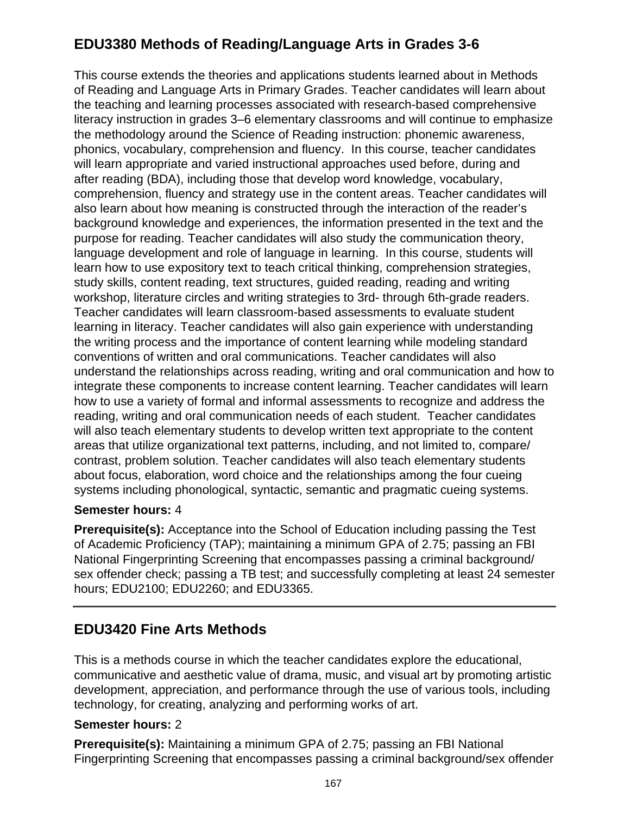# **EDU3380 Methods of Reading/Language Arts in Grades 3-6**

This course extends the theories and applications students learned about in Methods of Reading and Language Arts in Primary Grades. Teacher candidates will learn about the teaching and learning processes associated with research-based comprehensive literacy instruction in grades 3–6 elementary classrooms and will continue to emphasize the methodology around the Science of Reading instruction: phonemic awareness, phonics, vocabulary, comprehension and fluency. In this course, teacher candidates will learn appropriate and varied instructional approaches used before, during and after reading (BDA), including those that develop word knowledge, vocabulary, comprehension, fluency and strategy use in the content areas. Teacher candidates will also learn about how meaning is constructed through the interaction of the reader's background knowledge and experiences, the information presented in the text and the purpose for reading. Teacher candidates will also study the communication theory, language development and role of language in learning. In this course, students will learn how to use expository text to teach critical thinking, comprehension strategies, study skills, content reading, text structures, guided reading, reading and writing workshop, literature circles and writing strategies to 3rd- through 6th-grade readers. Teacher candidates will learn classroom-based assessments to evaluate student learning in literacy. Teacher candidates will also gain experience with understanding the writing process and the importance of content learning while modeling standard conventions of written and oral communications. Teacher candidates will also understand the relationships across reading, writing and oral communication and how to integrate these components to increase content learning. Teacher candidates will learn how to use a variety of formal and informal assessments to recognize and address the reading, writing and oral communication needs of each student. Teacher candidates will also teach elementary students to develop written text appropriate to the content areas that utilize organizational text patterns, including, and not limited to, compare/ contrast, problem solution. Teacher candidates will also teach elementary students about focus, elaboration, word choice and the relationships among the four cueing systems including phonological, syntactic, semantic and pragmatic cueing systems.

### **Semester hours:** 4

**Prerequisite(s):** Acceptance into the School of Education including passing the Test of Academic Proficiency (TAP); maintaining a minimum GPA of 2.75; passing an FBI National Fingerprinting Screening that encompasses passing a criminal background/ sex offender check; passing a TB test; and successfully completing at least 24 semester hours; EDU2100; EDU2260; and EDU3365.

### **EDU3420 Fine Arts Methods**

This is a methods course in which the teacher candidates explore the educational, communicative and aesthetic value of drama, music, and visual art by promoting artistic development, appreciation, and performance through the use of various tools, including technology, for creating, analyzing and performing works of art.

#### **Semester hours:** 2

**Prerequisite(s):** Maintaining a minimum GPA of 2.75; passing an FBI National Fingerprinting Screening that encompasses passing a criminal background/sex offender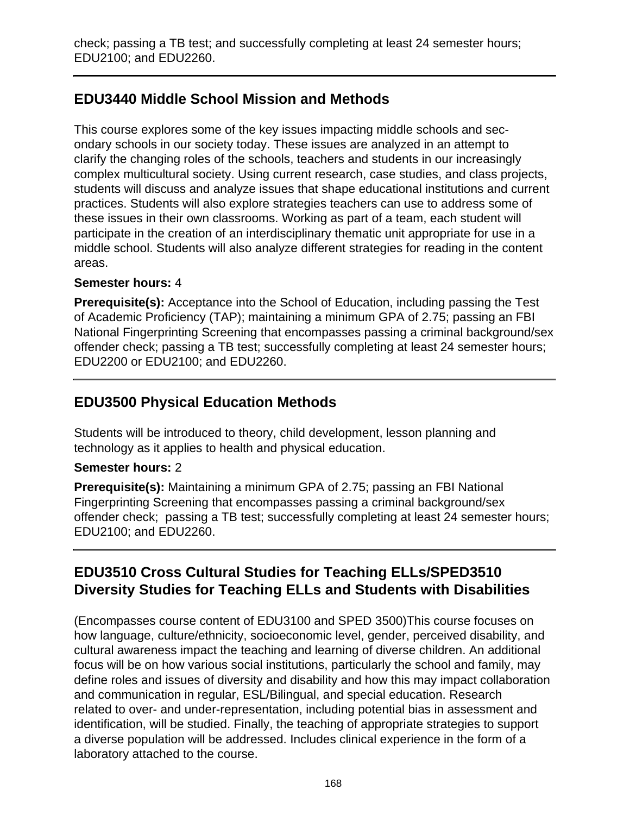# **EDU3440 Middle School Mission and Methods**

This course explores some of the key issues impacting middle schools and secondary schools in our society today. These issues are analyzed in an attempt to clarify the changing roles of the schools, teachers and students in our increasingly complex multicultural society. Using current research, case studies, and class projects, students will discuss and analyze issues that shape educational institutions and current practices. Students will also explore strategies teachers can use to address some of these issues in their own classrooms. Working as part of a team, each student will participate in the creation of an interdisciplinary thematic unit appropriate for use in a middle school. Students will also analyze different strategies for reading in the content areas.

### **Semester hours:** 4

**Prerequisite(s):** Acceptance into the School of Education, including passing the Test of Academic Proficiency (TAP); maintaining a minimum GPA of 2.75; passing an FBI National Fingerprinting Screening that encompasses passing a criminal background/sex offender check; passing a TB test; successfully completing at least 24 semester hours; EDU2200 or EDU2100; and EDU2260.

## **EDU3500 Physical Education Methods**

Students will be introduced to theory, child development, lesson planning and technology as it applies to health and physical education.

### **Semester hours:** 2

**Prerequisite(s):** Maintaining a minimum GPA of 2.75; passing an FBI National Fingerprinting Screening that encompasses passing a criminal background/sex offender check; passing a TB test; successfully completing at least 24 semester hours; EDU2100; and EDU2260.

# **EDU3510 Cross Cultural Studies for Teaching ELLs/SPED3510 Diversity Studies for Teaching ELLs and Students with Disabilities**

(Encompasses course content of EDU3100 and SPED 3500)This course focuses on how language, culture/ethnicity, socioeconomic level, gender, perceived disability, and cultural awareness impact the teaching and learning of diverse children. An additional focus will be on how various social institutions, particularly the school and family, may define roles and issues of diversity and disability and how this may impact collaboration and communication in regular, ESL/Bilingual, and special education. Research related to over- and under-representation, including potential bias in assessment and identification, will be studied. Finally, the teaching of appropriate strategies to support a diverse population will be addressed. Includes clinical experience in the form of a laboratory attached to the course.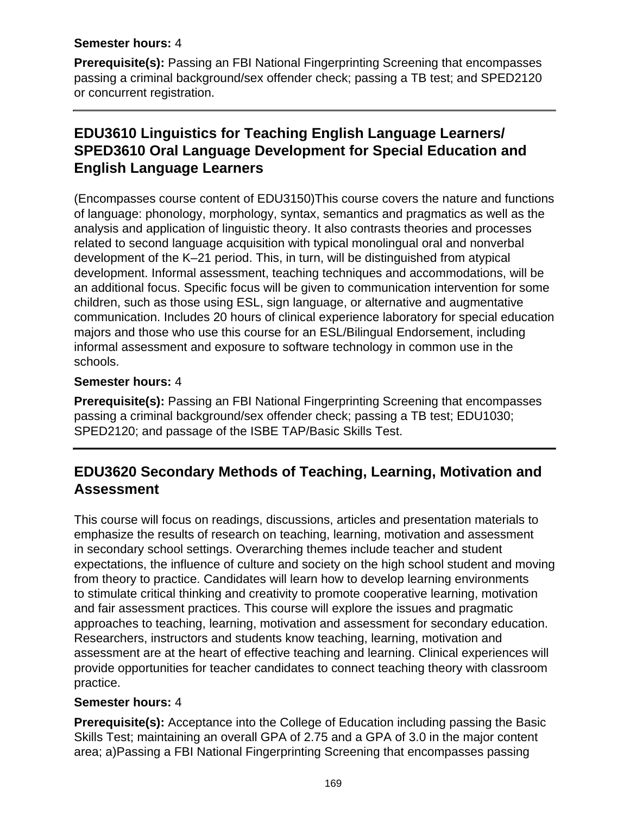#### **Semester hours:** 4

**Prerequisite(s):** Passing an FBI National Fingerprinting Screening that encompasses passing a criminal background/sex offender check; passing a TB test; and SPED2120 or concurrent registration.

# **EDU3610 Linguistics for Teaching English Language Learners/ SPED3610 Oral Language Development for Special Education and English Language Learners**

(Encompasses course content of EDU3150)This course covers the nature and functions of language: phonology, morphology, syntax, semantics and pragmatics as well as the analysis and application of linguistic theory. It also contrasts theories and processes related to second language acquisition with typical monolingual oral and nonverbal development of the K–21 period. This, in turn, will be distinguished from atypical development. Informal assessment, teaching techniques and accommodations, will be an additional focus. Specific focus will be given to communication intervention for some children, such as those using ESL, sign language, or alternative and augmentative communication. Includes 20 hours of clinical experience laboratory for special education majors and those who use this course for an ESL/Bilingual Endorsement, including informal assessment and exposure to software technology in common use in the schools.

### **Semester hours:** 4

**Prerequisite(s):** Passing an FBI National Fingerprinting Screening that encompasses passing a criminal background/sex offender check; passing a TB test; EDU1030; SPED2120; and passage of the ISBE TAP/Basic Skills Test.

## **EDU3620 Secondary Methods of Teaching, Learning, Motivation and Assessment**

This course will focus on readings, discussions, articles and presentation materials to emphasize the results of research on teaching, learning, motivation and assessment in secondary school settings. Overarching themes include teacher and student expectations, the influence of culture and society on the high school student and moving from theory to practice. Candidates will learn how to develop learning environments to stimulate critical thinking and creativity to promote cooperative learning, motivation and fair assessment practices. This course will explore the issues and pragmatic approaches to teaching, learning, motivation and assessment for secondary education. Researchers, instructors and students know teaching, learning, motivation and assessment are at the heart of effective teaching and learning. Clinical experiences will provide opportunities for teacher candidates to connect teaching theory with classroom practice.

### **Semester hours:** 4

**Prerequisite(s):** Acceptance into the College of Education including passing the Basic Skills Test; maintaining an overall GPA of 2.75 and a GPA of 3.0 in the major content area; a)Passing a FBI National Fingerprinting Screening that encompasses passing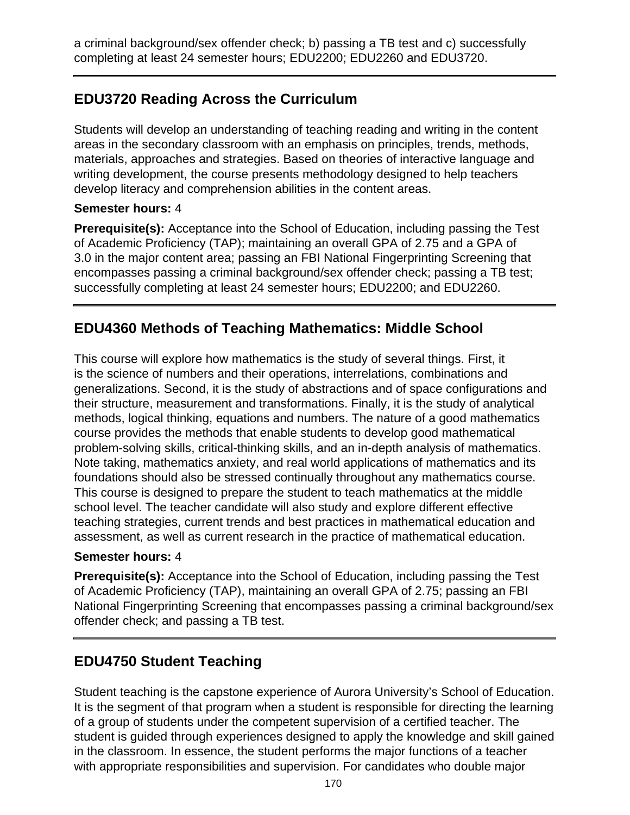a criminal background/sex offender check; b) passing a TB test and c) successfully completing at least 24 semester hours; EDU2200; EDU2260 and EDU3720.

## **EDU3720 Reading Across the Curriculum**

Students will develop an understanding of teaching reading and writing in the content areas in the secondary classroom with an emphasis on principles, trends, methods, materials, approaches and strategies. Based on theories of interactive language and writing development, the course presents methodology designed to help teachers develop literacy and comprehension abilities in the content areas.

### **Semester hours:** 4

**Prerequisite(s):** Acceptance into the School of Education, including passing the Test of Academic Proficiency (TAP); maintaining an overall GPA of 2.75 and a GPA of 3.0 in the major content area; passing an FBI National Fingerprinting Screening that encompasses passing a criminal background/sex offender check; passing a TB test; successfully completing at least 24 semester hours; EDU2200; and EDU2260.

# **EDU4360 Methods of Teaching Mathematics: Middle School**

This course will explore how mathematics is the study of several things. First, it is the science of numbers and their operations, interrelations, combinations and generalizations. Second, it is the study of abstractions and of space configurations and their structure, measurement and transformations. Finally, it is the study of analytical methods, logical thinking, equations and numbers. The nature of a good mathematics course provides the methods that enable students to develop good mathematical problem-solving skills, critical-thinking skills, and an in-depth analysis of mathematics. Note taking, mathematics anxiety, and real world applications of mathematics and its foundations should also be stressed continually throughout any mathematics course. This course is designed to prepare the student to teach mathematics at the middle school level. The teacher candidate will also study and explore different effective teaching strategies, current trends and best practices in mathematical education and assessment, as well as current research in the practice of mathematical education.

### **Semester hours:** 4

**Prerequisite(s):** Acceptance into the School of Education, including passing the Test of Academic Proficiency (TAP), maintaining an overall GPA of 2.75; passing an FBI National Fingerprinting Screening that encompasses passing a criminal background/sex offender check; and passing a TB test.

# **EDU4750 Student Teaching**

Student teaching is the capstone experience of Aurora University's School of Education. It is the segment of that program when a student is responsible for directing the learning of a group of students under the competent supervision of a certified teacher. The student is guided through experiences designed to apply the knowledge and skill gained in the classroom. In essence, the student performs the major functions of a teacher with appropriate responsibilities and supervision. For candidates who double major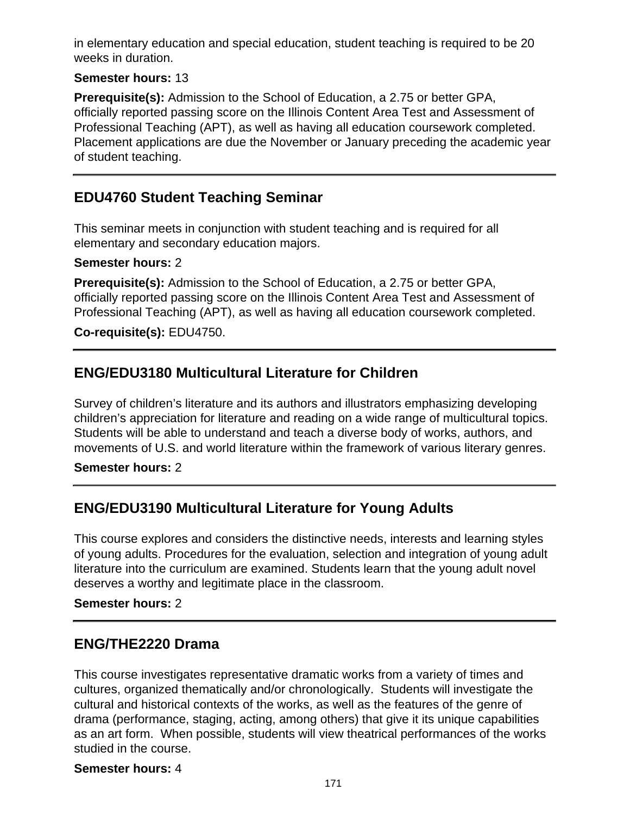in elementary education and special education, student teaching is required to be 20 weeks in duration.

### **Semester hours:** 13

**Prerequisite(s):** Admission to the School of Education, a 2.75 or better GPA, officially reported passing score on the Illinois Content Area Test and Assessment of Professional Teaching (APT), as well as having all education coursework completed. Placement applications are due the November or January preceding the academic year of student teaching.

## **EDU4760 Student Teaching Seminar**

This seminar meets in conjunction with student teaching and is required for all elementary and secondary education majors.

#### **Semester hours:** 2

**Prerequisite(s):** Admission to the School of Education, a 2.75 or better GPA, officially reported passing score on the Illinois Content Area Test and Assessment of Professional Teaching (APT), as well as having all education coursework completed.

### **Co-requisite(s):** EDU4750.

### **ENG/EDU3180 Multicultural Literature for Children**

Survey of children's literature and its authors and illustrators emphasizing developing children's appreciation for literature and reading on a wide range of multicultural topics. Students will be able to understand and teach a diverse body of works, authors, and movements of U.S. and world literature within the framework of various literary genres.

#### **Semester hours:** 2

### **ENG/EDU3190 Multicultural Literature for Young Adults**

This course explores and considers the distinctive needs, interests and learning styles of young adults. Procedures for the evaluation, selection and integration of young adult literature into the curriculum are examined. Students learn that the young adult novel deserves a worthy and legitimate place in the classroom.

#### **Semester hours:** 2

### **ENG/THE2220 Drama**

This course investigates representative dramatic works from a variety of times and cultures, organized thematically and/or chronologically. Students will investigate the cultural and historical contexts of the works, as well as the features of the genre of drama (performance, staging, acting, among others) that give it its unique capabilities as an art form. When possible, students will view theatrical performances of the works studied in the course.

#### **Semester hours:** 4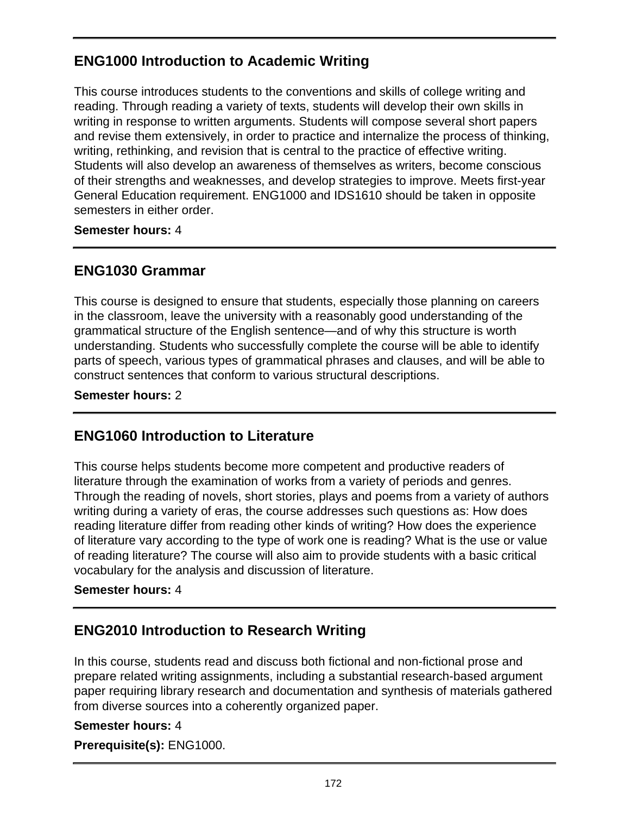# **ENG1000 Introduction to Academic Writing**

This course introduces students to the conventions and skills of college writing and reading. Through reading a variety of texts, students will develop their own skills in writing in response to written arguments. Students will compose several short papers and revise them extensively, in order to practice and internalize the process of thinking, writing, rethinking, and revision that is central to the practice of effective writing. Students will also develop an awareness of themselves as writers, become conscious of their strengths and weaknesses, and develop strategies to improve. Meets first-year General Education requirement. ENG1000 and IDS1610 should be taken in opposite semesters in either order.

**Semester hours:** 4

## **ENG1030 Grammar**

This course is designed to ensure that students, especially those planning on careers in the classroom, leave the university with a reasonably good understanding of the grammatical structure of the English sentence—and of why this structure is worth understanding. Students who successfully complete the course will be able to identify parts of speech, various types of grammatical phrases and clauses, and will be able to construct sentences that conform to various structural descriptions.

**Semester hours:** 2

# **ENG1060 Introduction to Literature**

This course helps students become more competent and productive readers of literature through the examination of works from a variety of periods and genres. Through the reading of novels, short stories, plays and poems from a variety of authors writing during a variety of eras, the course addresses such questions as: How does reading literature differ from reading other kinds of writing? How does the experience of literature vary according to the type of work one is reading? What is the use or value of reading literature? The course will also aim to provide students with a basic critical vocabulary for the analysis and discussion of literature.

### **Semester hours:** 4

### **ENG2010 Introduction to Research Writing**

In this course, students read and discuss both fictional and non-fictional prose and prepare related writing assignments, including a substantial research-based argument paper requiring library research and documentation and synthesis of materials gathered from diverse sources into a coherently organized paper.

#### **Semester hours:** 4

**Prerequisite(s):** ENG1000.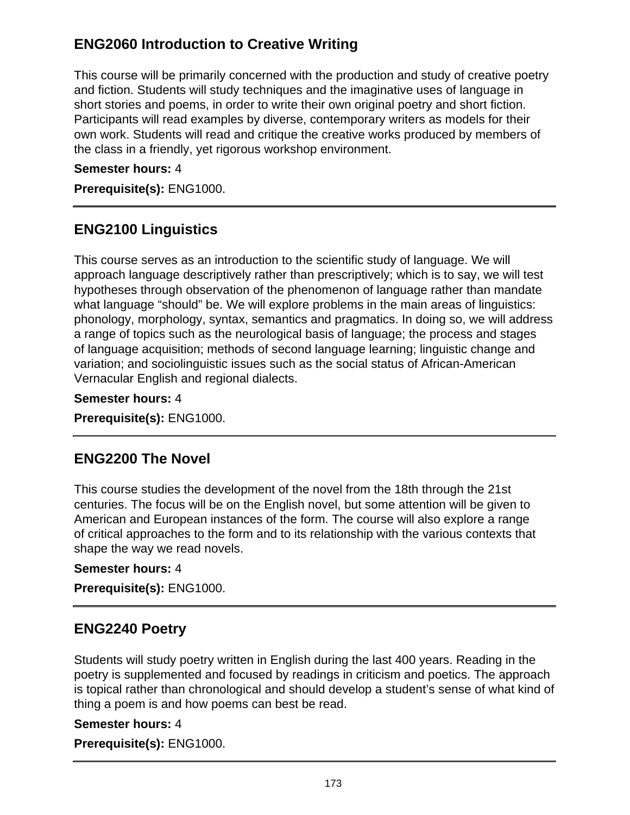# **ENG2060 Introduction to Creative Writing**

This course will be primarily concerned with the production and study of creative poetry and fiction. Students will study techniques and the imaginative uses of language in short stories and poems, in order to write their own original poetry and short fiction. Participants will read examples by diverse, contemporary writers as models for their own work. Students will read and critique the creative works produced by members of the class in a friendly, yet rigorous workshop environment.

### **Semester hours:** 4

**Prerequisite(s):** ENG1000.

## **ENG2100 Linguistics**

This course serves as an introduction to the scientific study of language. We will approach language descriptively rather than prescriptively; which is to say, we will test hypotheses through observation of the phenomenon of language rather than mandate what language "should" be. We will explore problems in the main areas of linguistics: phonology, morphology, syntax, semantics and pragmatics. In doing so, we will address a range of topics such as the neurological basis of language; the process and stages of language acquisition; methods of second language learning; linguistic change and variation; and sociolinguistic issues such as the social status of African-American Vernacular English and regional dialects.

**Semester hours:** 4

**Prerequisite(s):** ENG1000.

### **ENG2200 The Novel**

This course studies the development of the novel from the 18th through the 21st centuries. The focus will be on the English novel, but some attention will be given to American and European instances of the form. The course will also explore a range of critical approaches to the form and to its relationship with the various contexts that shape the way we read novels.

#### **Semester hours:** 4

**Prerequisite(s):** ENG1000.

### **ENG2240 Poetry**

Students will study poetry written in English during the last 400 years. Reading in the poetry is supplemented and focused by readings in criticism and poetics. The approach is topical rather than chronological and should develop a student's sense of what kind of thing a poem is and how poems can best be read.

#### **Semester hours:** 4

**Prerequisite(s):** ENG1000.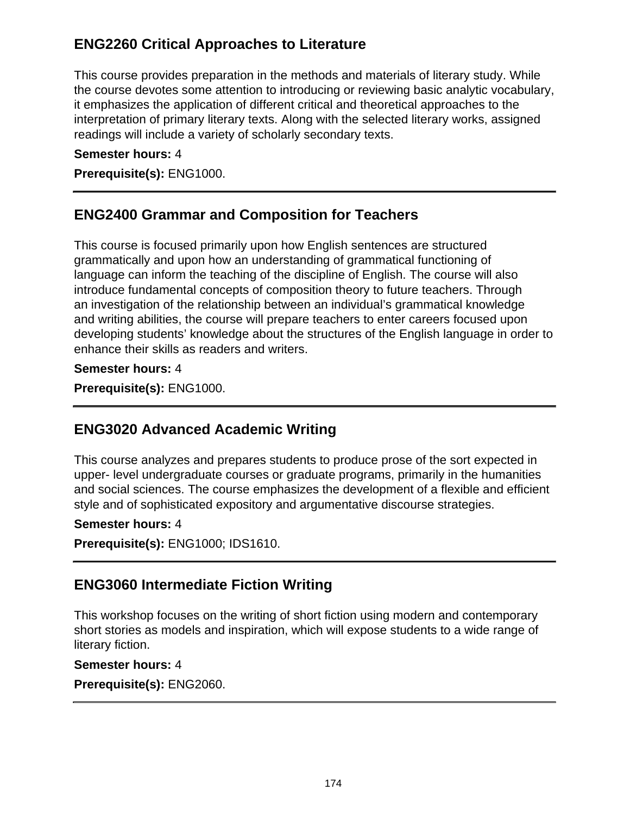# **ENG2260 Critical Approaches to Literature**

This course provides preparation in the methods and materials of literary study. While the course devotes some attention to introducing or reviewing basic analytic vocabulary, it emphasizes the application of different critical and theoretical approaches to the interpretation of primary literary texts. Along with the selected literary works, assigned readings will include a variety of scholarly secondary texts.

### **Semester hours:** 4

**Prerequisite(s):** ENG1000.

## **ENG2400 Grammar and Composition for Teachers**

This course is focused primarily upon how English sentences are structured grammatically and upon how an understanding of grammatical functioning of language can inform the teaching of the discipline of English. The course will also introduce fundamental concepts of composition theory to future teachers. Through an investigation of the relationship between an individual's grammatical knowledge and writing abilities, the course will prepare teachers to enter careers focused upon developing students' knowledge about the structures of the English language in order to enhance their skills as readers and writers.

**Semester hours:** 4

**Prerequisite(s):** ENG1000.

# **ENG3020 Advanced Academic Writing**

This course analyzes and prepares students to produce prose of the sort expected in upper- level undergraduate courses or graduate programs, primarily in the humanities and social sciences. The course emphasizes the development of a flexible and efficient style and of sophisticated expository and argumentative discourse strategies.

### **Semester hours:** 4

**Prerequisite(s):** ENG1000; IDS1610.

# **ENG3060 Intermediate Fiction Writing**

This workshop focuses on the writing of short fiction using modern and contemporary short stories as models and inspiration, which will expose students to a wide range of literary fiction.

#### **Semester hours:** 4

**Prerequisite(s):** ENG2060.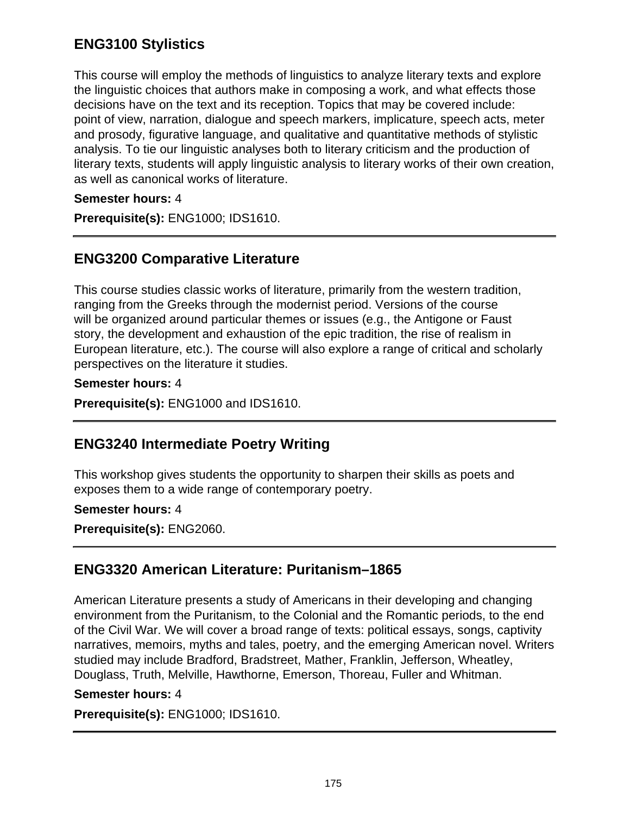# **ENG3100 Stylistics**

This course will employ the methods of linguistics to analyze literary texts and explore the linguistic choices that authors make in composing a work, and what effects those decisions have on the text and its reception. Topics that may be covered include: point of view, narration, dialogue and speech markers, implicature, speech acts, meter and prosody, figurative language, and qualitative and quantitative methods of stylistic analysis. To tie our linguistic analyses both to literary criticism and the production of literary texts, students will apply linguistic analysis to literary works of their own creation, as well as canonical works of literature.

### **Semester hours:** 4

**Prerequisite(s):** ENG1000; IDS1610.

### **ENG3200 Comparative Literature**

This course studies classic works of literature, primarily from the western tradition, ranging from the Greeks through the modernist period. Versions of the course will be organized around particular themes or issues (e.g., the Antigone or Faust story, the development and exhaustion of the epic tradition, the rise of realism in European literature, etc.). The course will also explore a range of critical and scholarly perspectives on the literature it studies.

#### **Semester hours:** 4

**Prerequisite(s):** ENG1000 and IDS1610.

### **ENG3240 Intermediate Poetry Writing**

This workshop gives students the opportunity to sharpen their skills as poets and exposes them to a wide range of contemporary poetry.

#### **Semester hours:** 4

**Prerequisite(s):** ENG2060.

### **ENG3320 American Literature: Puritanism–1865**

American Literature presents a study of Americans in their developing and changing environment from the Puritanism, to the Colonial and the Romantic periods, to the end of the Civil War. We will cover a broad range of texts: political essays, songs, captivity narratives, memoirs, myths and tales, poetry, and the emerging American novel. Writers studied may include Bradford, Bradstreet, Mather, Franklin, Jefferson, Wheatley, Douglass, Truth, Melville, Hawthorne, Emerson, Thoreau, Fuller and Whitman.

#### **Semester hours:** 4

**Prerequisite(s):** ENG1000; IDS1610.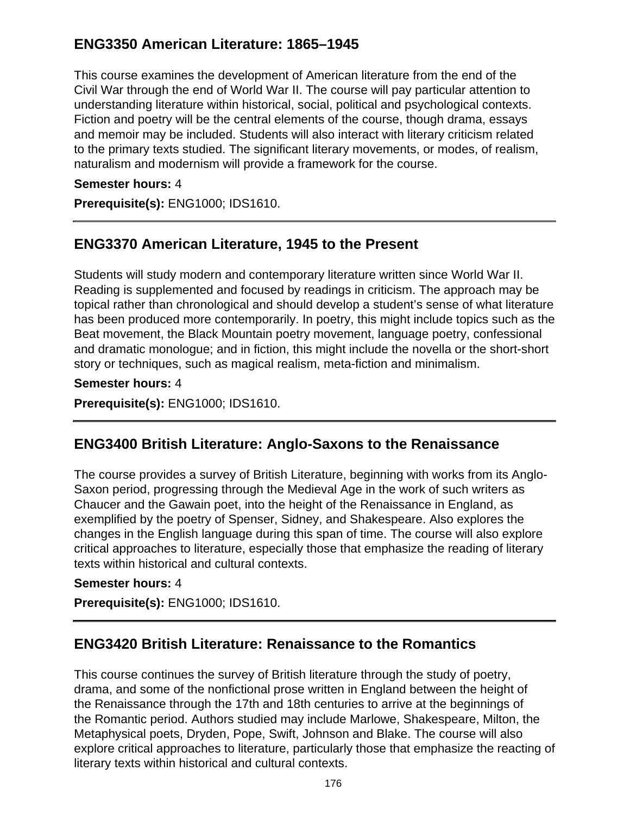# **ENG3350 American Literature: 1865–1945**

This course examines the development of American literature from the end of the Civil War through the end of World War II. The course will pay particular attention to understanding literature within historical, social, political and psychological contexts. Fiction and poetry will be the central elements of the course, though drama, essays and memoir may be included. Students will also interact with literary criticism related to the primary texts studied. The significant literary movements, or modes, of realism, naturalism and modernism will provide a framework for the course.

#### **Semester hours:** 4

**Prerequisite(s):** ENG1000; IDS1610.

### **ENG3370 American Literature, 1945 to the Present**

Students will study modern and contemporary literature written since World War II. Reading is supplemented and focused by readings in criticism. The approach may be topical rather than chronological and should develop a student's sense of what literature has been produced more contemporarily. In poetry, this might include topics such as the Beat movement, the Black Mountain poetry movement, language poetry, confessional and dramatic monologue; and in fiction, this might include the novella or the short-short story or techniques, such as magical realism, meta-fiction and minimalism.

#### **Semester hours:** 4

**Prerequisite(s):** ENG1000; IDS1610.

### **ENG3400 British Literature: Anglo-Saxons to the Renaissance**

The course provides a survey of British Literature, beginning with works from its Anglo-Saxon period, progressing through the Medieval Age in the work of such writers as Chaucer and the Gawain poet, into the height of the Renaissance in England, as exemplified by the poetry of Spenser, Sidney, and Shakespeare. Also explores the changes in the English language during this span of time. The course will also explore critical approaches to literature, especially those that emphasize the reading of literary texts within historical and cultural contexts.

#### **Semester hours:** 4

**Prerequisite(s):** ENG1000; IDS1610.

### **ENG3420 British Literature: Renaissance to the Romantics**

This course continues the survey of British literature through the study of poetry, drama, and some of the nonfictional prose written in England between the height of the Renaissance through the 17th and 18th centuries to arrive at the beginnings of the Romantic period. Authors studied may include Marlowe, Shakespeare, Milton, the Metaphysical poets, Dryden, Pope, Swift, Johnson and Blake. The course will also explore critical approaches to literature, particularly those that emphasize the reacting of literary texts within historical and cultural contexts.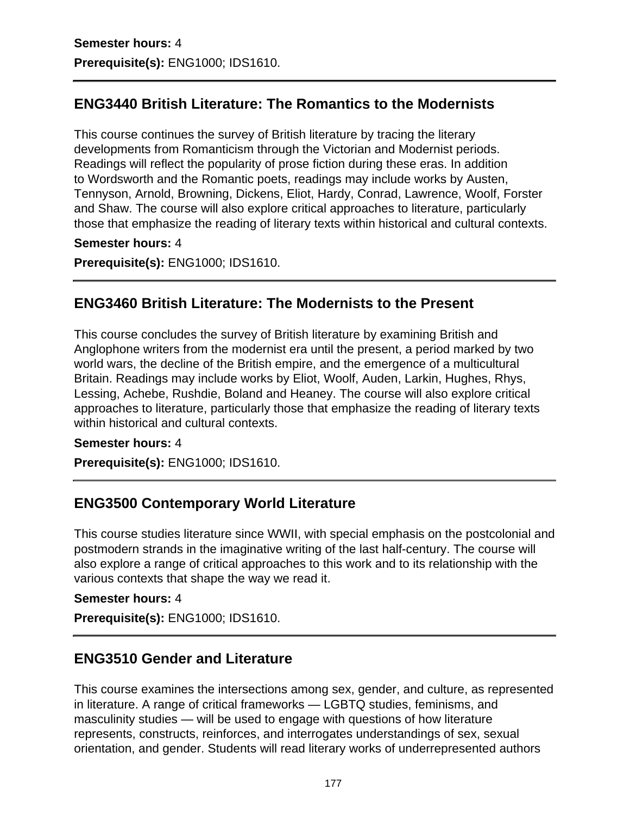## **ENG3440 British Literature: The Romantics to the Modernists**

This course continues the survey of British literature by tracing the literary developments from Romanticism through the Victorian and Modernist periods. Readings will reflect the popularity of prose fiction during these eras. In addition to Wordsworth and the Romantic poets, readings may include works by Austen, Tennyson, Arnold, Browning, Dickens, Eliot, Hardy, Conrad, Lawrence, Woolf, Forster and Shaw. The course will also explore critical approaches to literature, particularly those that emphasize the reading of literary texts within historical and cultural contexts.

#### **Semester hours:** 4

**Prerequisite(s):** ENG1000; IDS1610.

### **ENG3460 British Literature: The Modernists to the Present**

This course concludes the survey of British literature by examining British and Anglophone writers from the modernist era until the present, a period marked by two world wars, the decline of the British empire, and the emergence of a multicultural Britain. Readings may include works by Eliot, Woolf, Auden, Larkin, Hughes, Rhys, Lessing, Achebe, Rushdie, Boland and Heaney. The course will also explore critical approaches to literature, particularly those that emphasize the reading of literary texts within historical and cultural contexts.

#### **Semester hours:** 4

**Prerequisite(s):** ENG1000; IDS1610.

### **ENG3500 Contemporary World Literature**

This course studies literature since WWII, with special emphasis on the postcolonial and postmodern strands in the imaginative writing of the last half-century. The course will also explore a range of critical approaches to this work and to its relationship with the various contexts that shape the way we read it.

#### **Semester hours:** 4

**Prerequisite(s):** ENG1000; IDS1610.

### **ENG3510 Gender and Literature**

This course examines the intersections among sex, gender, and culture, as represented in literature. A range of critical frameworks — LGBTQ studies, feminisms, and masculinity studies — will be used to engage with questions of how literature represents, constructs, reinforces, and interrogates understandings of sex, sexual orientation, and gender. Students will read literary works of underrepresented authors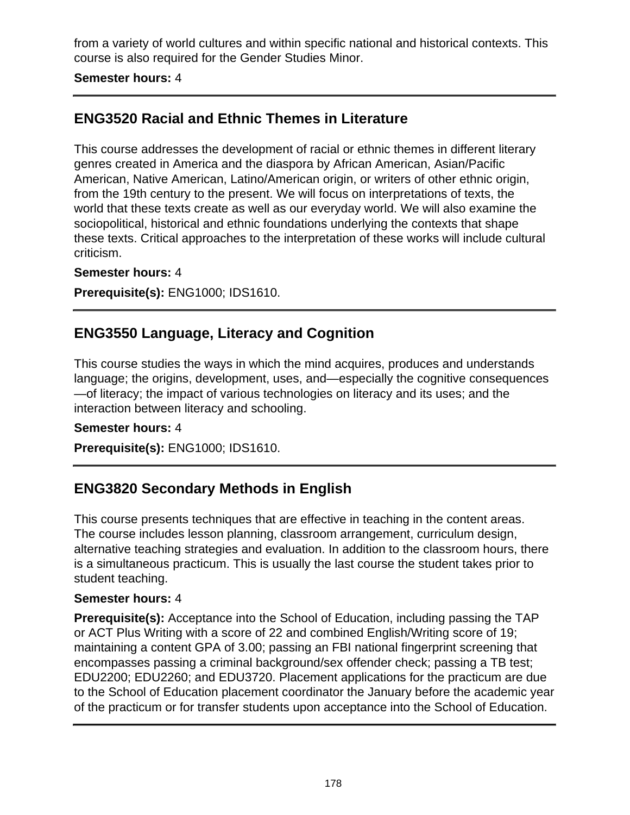from a variety of world cultures and within specific national and historical contexts. This course is also required for the Gender Studies Minor.

#### **Semester hours:** 4

# **ENG3520 Racial and Ethnic Themes in Literature**

This course addresses the development of racial or ethnic themes in different literary genres created in America and the diaspora by African American, Asian/Pacific American, Native American, Latino/American origin, or writers of other ethnic origin, from the 19th century to the present. We will focus on interpretations of texts, the world that these texts create as well as our everyday world. We will also examine the sociopolitical, historical and ethnic foundations underlying the contexts that shape these texts. Critical approaches to the interpretation of these works will include cultural criticism.

### **Semester hours:** 4

**Prerequisite(s):** ENG1000; IDS1610.

# **ENG3550 Language, Literacy and Cognition**

This course studies the ways in which the mind acquires, produces and understands language; the origins, development, uses, and—especially the cognitive consequences —of literacy; the impact of various technologies on literacy and its uses; and the interaction between literacy and schooling.

#### **Semester hours:** 4

**Prerequisite(s):** ENG1000; IDS1610.

# **ENG3820 Secondary Methods in English**

This course presents techniques that are effective in teaching in the content areas. The course includes lesson planning, classroom arrangement, curriculum design, alternative teaching strategies and evaluation. In addition to the classroom hours, there is a simultaneous practicum. This is usually the last course the student takes prior to student teaching.

### **Semester hours:** 4

**Prerequisite(s):** Acceptance into the School of Education, including passing the TAP or ACT Plus Writing with a score of 22 and combined English/Writing score of 19; maintaining a content GPA of 3.00; passing an FBI national fingerprint screening that encompasses passing a criminal background/sex offender check; passing a TB test; EDU2200; EDU2260; and EDU3720. Placement applications for the practicum are due to the School of Education placement coordinator the January before the academic year of the practicum or for transfer students upon acceptance into the School of Education.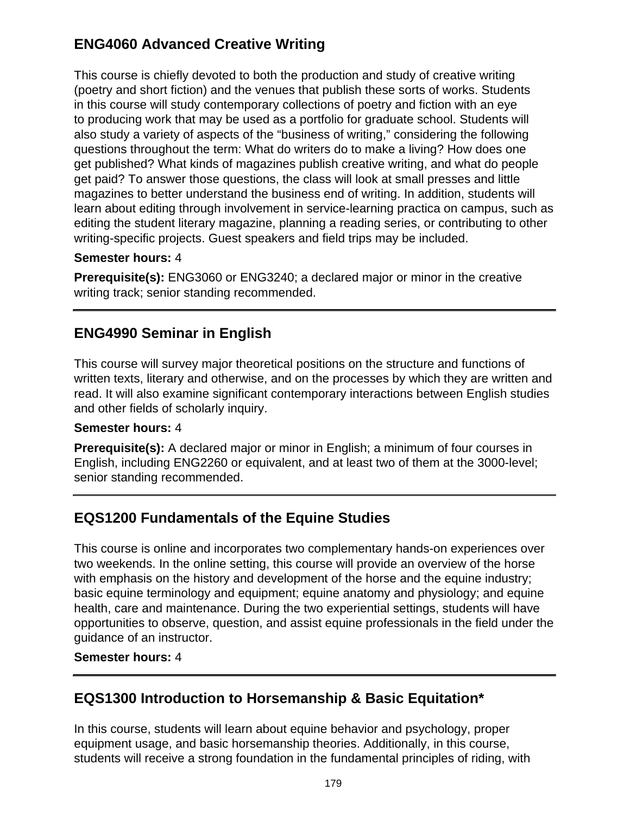# **ENG4060 Advanced Creative Writing**

This course is chiefly devoted to both the production and study of creative writing (poetry and short fiction) and the venues that publish these sorts of works. Students in this course will study contemporary collections of poetry and fiction with an eye to producing work that may be used as a portfolio for graduate school. Students will also study a variety of aspects of the "business of writing," considering the following questions throughout the term: What do writers do to make a living? How does one get published? What kinds of magazines publish creative writing, and what do people get paid? To answer those questions, the class will look at small presses and little magazines to better understand the business end of writing. In addition, students will learn about editing through involvement in service-learning practica on campus, such as editing the student literary magazine, planning a reading series, or contributing to other writing-specific projects. Guest speakers and field trips may be included.

### **Semester hours:** 4

**Prerequisite(s):** ENG3060 or ENG3240; a declared major or minor in the creative writing track; senior standing recommended.

# **ENG4990 Seminar in English**

This course will survey major theoretical positions on the structure and functions of written texts, literary and otherwise, and on the processes by which they are written and read. It will also examine significant contemporary interactions between English studies and other fields of scholarly inquiry.

### **Semester hours:** 4

**Prerequisite(s):** A declared major or minor in English; a minimum of four courses in English, including ENG2260 or equivalent, and at least two of them at the 3000-level; senior standing recommended.

# **EQS1200 Fundamentals of the Equine Studies**

This course is online and incorporates two complementary hands-on experiences over two weekends. In the online setting, this course will provide an overview of the horse with emphasis on the history and development of the horse and the equine industry; basic equine terminology and equipment; equine anatomy and physiology; and equine health, care and maintenance. During the two experiential settings, students will have opportunities to observe, question, and assist equine professionals in the field under the guidance of an instructor.

#### **Semester hours:** 4

# **EQS1300 Introduction to Horsemanship & Basic Equitation\***

In this course, students will learn about equine behavior and psychology, proper equipment usage, and basic horsemanship theories. Additionally, in this course, students will receive a strong foundation in the fundamental principles of riding, with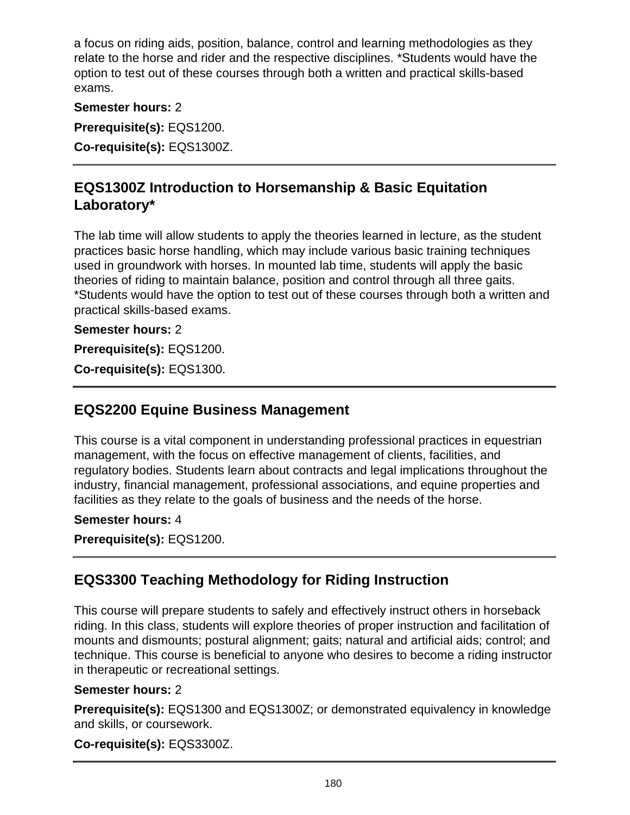a focus on riding aids, position, balance, control and learning methodologies as they relate to the horse and rider and the respective disciplines. \*Students would have the option to test out of these courses through both a written and practical skills-based exams.

**Semester hours:** 2

**Prerequisite(s):** EQS1200.

**Co-requisite(s):** EQS1300Z.

# **EQS1300Z Introduction to Horsemanship & Basic Equitation Laboratory\***

The lab time will allow students to apply the theories learned in lecture, as the student practices basic horse handling, which may include various basic training techniques used in groundwork with horses. In mounted lab time, students will apply the basic theories of riding to maintain balance, position and control through all three gaits. \*Students would have the option to test out of these courses through both a written and practical skills-based exams.

**Semester hours:** 2

**Prerequisite(s):** EQS1200.

**Co-requisite(s):** EQS1300.

# **EQS2200 Equine Business Management**

This course is a vital component in understanding professional practices in equestrian management, with the focus on effective management of clients, facilities, and regulatory bodies. Students learn about contracts and legal implications throughout the industry, financial management, professional associations, and equine properties and facilities as they relate to the goals of business and the needs of the horse.

### **Semester hours:** 4

**Prerequisite(s):** EQS1200.

# **EQS3300 Teaching Methodology for Riding Instruction**

This course will prepare students to safely and effectively instruct others in horseback riding. In this class, students will explore theories of proper instruction and facilitation of mounts and dismounts; postural alignment; gaits; natural and artificial aids; control; and technique. This course is beneficial to anyone who desires to become a riding instructor in therapeutic or recreational settings.

### **Semester hours:** 2

**Prerequisite(s):** EQS1300 and EQS1300Z; or demonstrated equivalency in knowledge and skills, or coursework.

**Co-requisite(s):** EQS3300Z.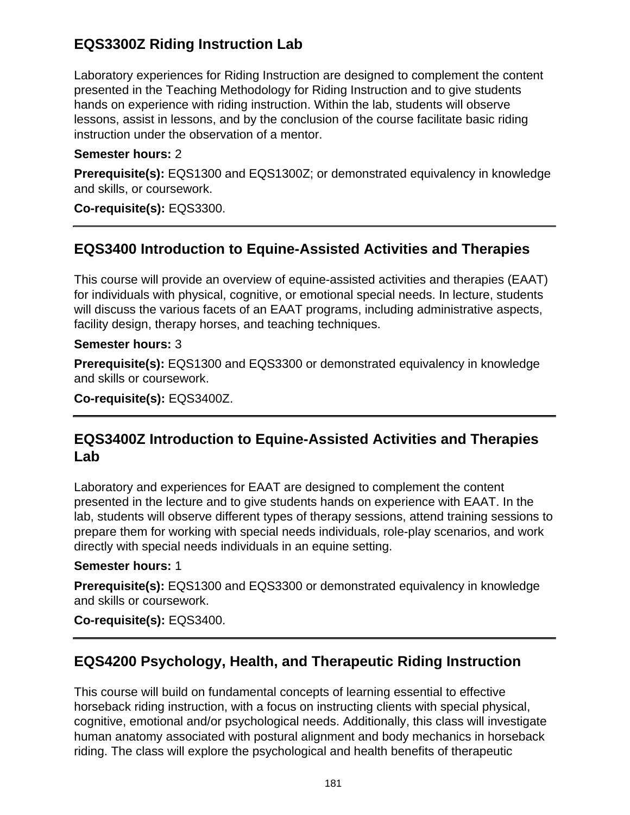# **EQS3300Z Riding Instruction Lab**

Laboratory experiences for Riding Instruction are designed to complement the content presented in the Teaching Methodology for Riding Instruction and to give students hands on experience with riding instruction. Within the lab, students will observe lessons, assist in lessons, and by the conclusion of the course facilitate basic riding instruction under the observation of a mentor.

### **Semester hours:** 2

**Prerequisite(s):** EQS1300 and EQS1300Z; or demonstrated equivalency in knowledge and skills, or coursework.

**Co-requisite(s):** EQS3300.

# **EQS3400 Introduction to Equine-Assisted Activities and Therapies**

This course will provide an overview of equine-assisted activities and therapies (EAAT) for individuals with physical, cognitive, or emotional special needs. In lecture, students will discuss the various facets of an EAAT programs, including administrative aspects, facility design, therapy horses, and teaching techniques.

### **Semester hours:** 3

**Prerequisite(s):** EQS1300 and EQS3300 or demonstrated equivalency in knowledge and skills or coursework.

**Co-requisite(s):** EQS3400Z.

## **EQS3400Z Introduction to Equine-Assisted Activities and Therapies Lab**

Laboratory and experiences for EAAT are designed to complement the content presented in the lecture and to give students hands on experience with EAAT. In the lab, students will observe different types of therapy sessions, attend training sessions to prepare them for working with special needs individuals, role-play scenarios, and work directly with special needs individuals in an equine setting.

### **Semester hours:** 1

**Prerequisite(s):** EQS1300 and EQS3300 or demonstrated equivalency in knowledge and skills or coursework.

**Co-requisite(s):** EQS3400.

# **EQS4200 Psychology, Health, and Therapeutic Riding Instruction**

This course will build on fundamental concepts of learning essential to effective horseback riding instruction, with a focus on instructing clients with special physical, cognitive, emotional and/or psychological needs. Additionally, this class will investigate human anatomy associated with postural alignment and body mechanics in horseback riding. The class will explore the psychological and health benefits of therapeutic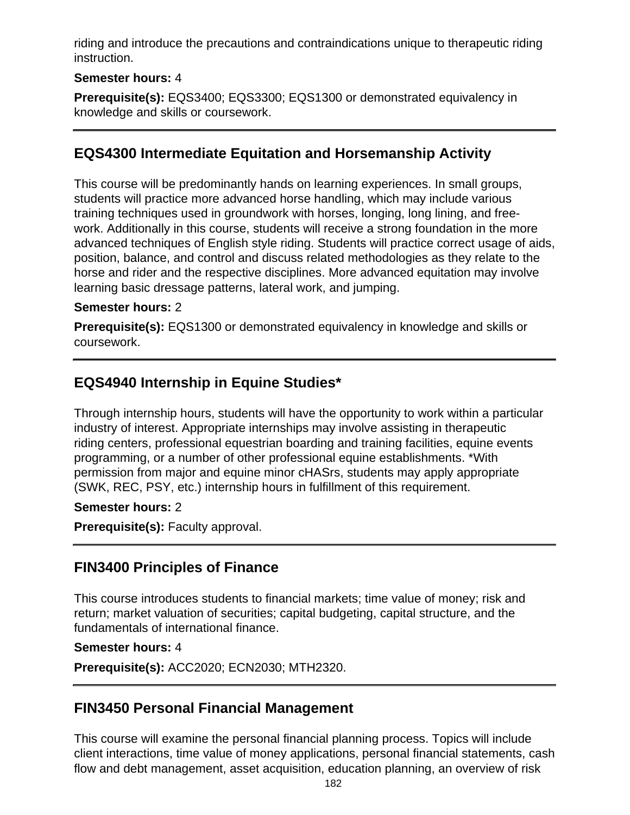riding and introduce the precautions and contraindications unique to therapeutic riding instruction.

### **Semester hours:** 4

**Prerequisite(s):** EQS3400; EQS3300; EQS1300 or demonstrated equivalency in knowledge and skills or coursework.

### **EQS4300 Intermediate Equitation and Horsemanship Activity**

This course will be predominantly hands on learning experiences. In small groups, students will practice more advanced horse handling, which may include various training techniques used in groundwork with horses, longing, long lining, and freework. Additionally in this course, students will receive a strong foundation in the more advanced techniques of English style riding. Students will practice correct usage of aids, position, balance, and control and discuss related methodologies as they relate to the horse and rider and the respective disciplines. More advanced equitation may involve learning basic dressage patterns, lateral work, and jumping.

### **Semester hours:** 2

**Prerequisite(s):** EQS1300 or demonstrated equivalency in knowledge and skills or coursework.

# **EQS4940 Internship in Equine Studies\***

Through internship hours, students will have the opportunity to work within a particular industry of interest. Appropriate internships may involve assisting in therapeutic riding centers, professional equestrian boarding and training facilities, equine events programming, or a number of other professional equine establishments. \*With permission from major and equine minor cHASrs, students may apply appropriate (SWK, REC, PSY, etc.) internship hours in fulfillment of this requirement.

### **Semester hours:** 2

**Prerequisite(s):** Faculty approval.

### **FIN3400 Principles of Finance**

This course introduces students to financial markets; time value of money; risk and return; market valuation of securities; capital budgeting, capital structure, and the fundamentals of international finance.

#### **Semester hours:** 4

**Prerequisite(s):** ACC2020; ECN2030; MTH2320.

### **FIN3450 Personal Financial Management**

This course will examine the personal financial planning process. Topics will include client interactions, time value of money applications, personal financial statements, cash flow and debt management, asset acquisition, education planning, an overview of risk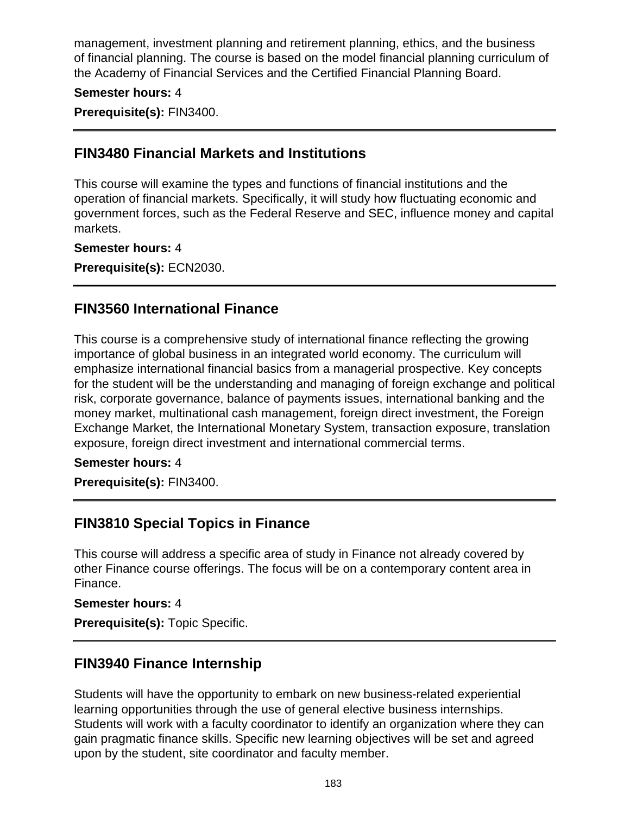management, investment planning and retirement planning, ethics, and the business of financial planning. The course is based on the model financial planning curriculum of the Academy of Financial Services and the Certified Financial Planning Board.

#### **Semester hours:** 4

**Prerequisite(s):** FIN3400.

### **FIN3480 Financial Markets and Institutions**

This course will examine the types and functions of financial institutions and the operation of financial markets. Specifically, it will study how fluctuating economic and government forces, such as the Federal Reserve and SEC, influence money and capital markets.

#### **Semester hours:** 4

**Prerequisite(s):** ECN2030.

### **FIN3560 International Finance**

This course is a comprehensive study of international finance reflecting the growing importance of global business in an integrated world economy. The curriculum will emphasize international financial basics from a managerial prospective. Key concepts for the student will be the understanding and managing of foreign exchange and political risk, corporate governance, balance of payments issues, international banking and the money market, multinational cash management, foreign direct investment, the Foreign Exchange Market, the International Monetary System, transaction exposure, translation exposure, foreign direct investment and international commercial terms.

#### **Semester hours:** 4

**Prerequisite(s):** FIN3400.

### **FIN3810 Special Topics in Finance**

This course will address a specific area of study in Finance not already covered by other Finance course offerings. The focus will be on a contemporary content area in Finance.

#### **Semester hours:** 4

**Prerequisite(s):** Topic Specific.

### **FIN3940 Finance Internship**

Students will have the opportunity to embark on new business-related experiential learning opportunities through the use of general elective business internships. Students will work with a faculty coordinator to identify an organization where they can gain pragmatic finance skills. Specific new learning objectives will be set and agreed upon by the student, site coordinator and faculty member.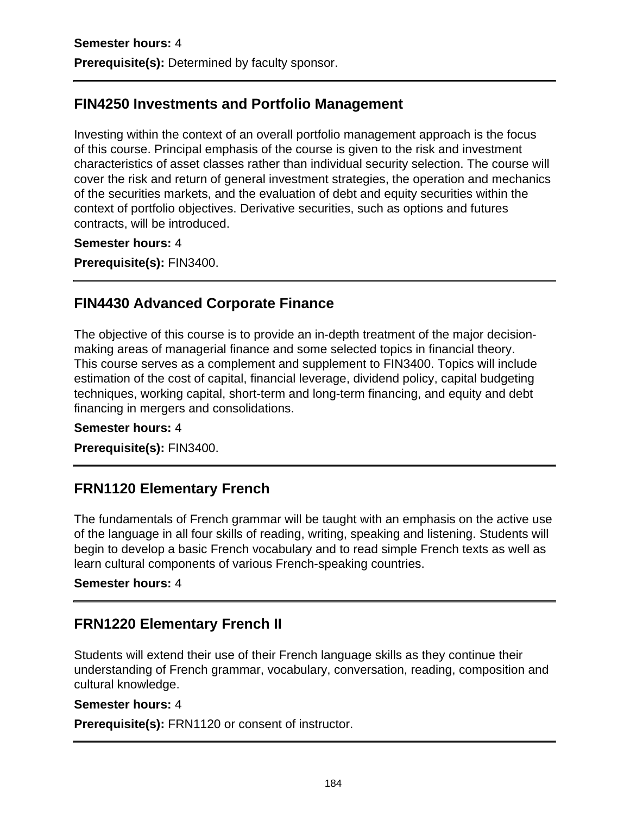# **FIN4250 Investments and Portfolio Management**

Investing within the context of an overall portfolio management approach is the focus of this course. Principal emphasis of the course is given to the risk and investment characteristics of asset classes rather than individual security selection. The course will cover the risk and return of general investment strategies, the operation and mechanics of the securities markets, and the evaluation of debt and equity securities within the context of portfolio objectives. Derivative securities, such as options and futures contracts, will be introduced.

**Semester hours:** 4

**Prerequisite(s):** FIN3400.

### **FIN4430 Advanced Corporate Finance**

The objective of this course is to provide an in-depth treatment of the major decisionmaking areas of managerial finance and some selected topics in financial theory. This course serves as a complement and supplement to FIN3400. Topics will include estimation of the cost of capital, financial leverage, dividend policy, capital budgeting techniques, working capital, short-term and long-term financing, and equity and debt financing in mergers and consolidations.

#### **Semester hours:** 4

**Prerequisite(s):** FIN3400.

### **FRN1120 Elementary French**

The fundamentals of French grammar will be taught with an emphasis on the active use of the language in all four skills of reading, writing, speaking and listening. Students will begin to develop a basic French vocabulary and to read simple French texts as well as learn cultural components of various French-speaking countries.

#### **Semester hours:** 4

# **FRN1220 Elementary French II**

Students will extend their use of their French language skills as they continue their understanding of French grammar, vocabulary, conversation, reading, composition and cultural knowledge.

#### **Semester hours:** 4

**Prerequisite(s):** FRN1120 or consent of instructor.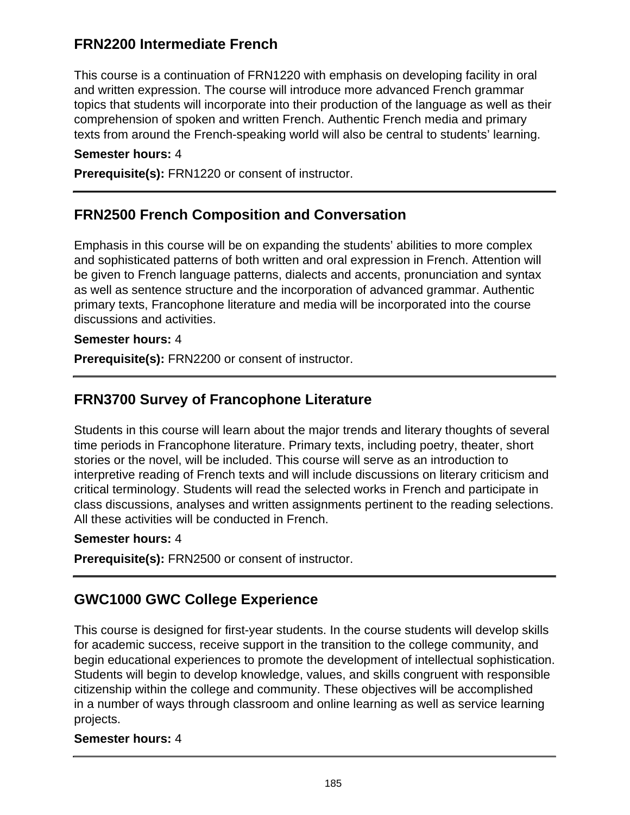# **FRN2200 Intermediate French**

This course is a continuation of FRN1220 with emphasis on developing facility in oral and written expression. The course will introduce more advanced French grammar topics that students will incorporate into their production of the language as well as their comprehension of spoken and written French. Authentic French media and primary texts from around the French-speaking world will also be central to students' learning.

#### **Semester hours:** 4

**Prerequisite(s):** FRN1220 or consent of instructor.

### **FRN2500 French Composition and Conversation**

Emphasis in this course will be on expanding the students' abilities to more complex and sophisticated patterns of both written and oral expression in French. Attention will be given to French language patterns, dialects and accents, pronunciation and syntax as well as sentence structure and the incorporation of advanced grammar. Authentic primary texts, Francophone literature and media will be incorporated into the course discussions and activities.

#### **Semester hours:** 4

**Prerequisite(s):** FRN2200 or consent of instructor.

### **FRN3700 Survey of Francophone Literature**

Students in this course will learn about the major trends and literary thoughts of several time periods in Francophone literature. Primary texts, including poetry, theater, short stories or the novel, will be included. This course will serve as an introduction to interpretive reading of French texts and will include discussions on literary criticism and critical terminology. Students will read the selected works in French and participate in class discussions, analyses and written assignments pertinent to the reading selections. All these activities will be conducted in French.

#### **Semester hours:** 4

**Prerequisite(s):** FRN2500 or consent of instructor.

### **GWC1000 GWC College Experience**

This course is designed for first-year students. In the course students will develop skills for academic success, receive support in the transition to the college community, and begin educational experiences to promote the development of intellectual sophistication. Students will begin to develop knowledge, values, and skills congruent with responsible citizenship within the college and community. These objectives will be accomplished in a number of ways through classroom and online learning as well as service learning projects.

#### **Semester hours:** 4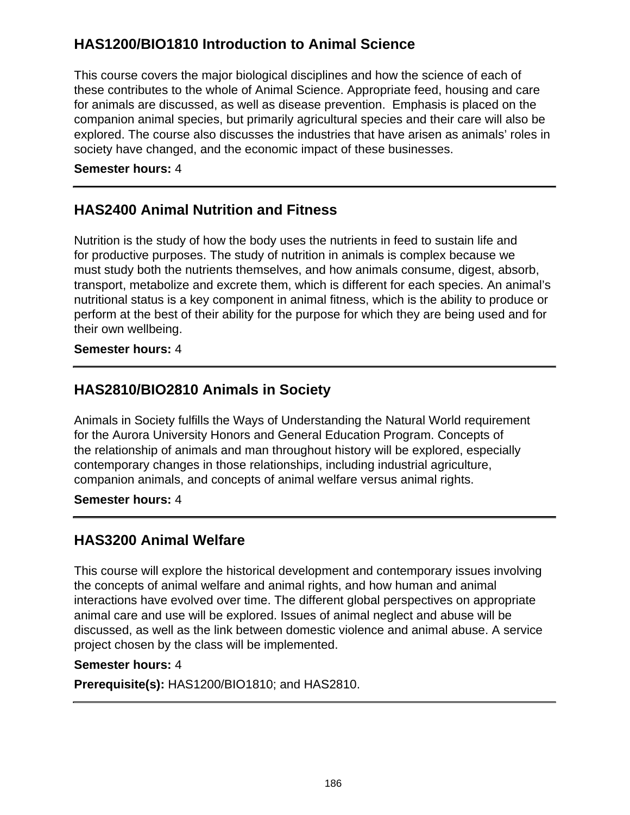# **HAS1200/BIO1810 Introduction to Animal Science**

This course covers the major biological disciplines and how the science of each of these contributes to the whole of Animal Science. Appropriate feed, housing and care for animals are discussed, as well as disease prevention. Emphasis is placed on the companion animal species, but primarily agricultural species and their care will also be explored. The course also discusses the industries that have arisen as animals' roles in society have changed, and the economic impact of these businesses.

### **Semester hours:** 4

### **HAS2400 Animal Nutrition and Fitness**

Nutrition is the study of how the body uses the nutrients in feed to sustain life and for productive purposes. The study of nutrition in animals is complex because we must study both the nutrients themselves, and how animals consume, digest, absorb, transport, metabolize and excrete them, which is different for each species. An animal's nutritional status is a key component in animal fitness, which is the ability to produce or perform at the best of their ability for the purpose for which they are being used and for their own wellbeing.

#### **Semester hours:** 4

### **HAS2810/BIO2810 Animals in Society**

Animals in Society fulfills the Ways of Understanding the Natural World requirement for the Aurora University Honors and General Education Program. Concepts of the relationship of animals and man throughout history will be explored, especially contemporary changes in those relationships, including industrial agriculture, companion animals, and concepts of animal welfare versus animal rights.

#### **Semester hours:** 4

### **HAS3200 Animal Welfare**

This course will explore the historical development and contemporary issues involving the concepts of animal welfare and animal rights, and how human and animal interactions have evolved over time. The different global perspectives on appropriate animal care and use will be explored. Issues of animal neglect and abuse will be discussed, as well as the link between domestic violence and animal abuse. A service project chosen by the class will be implemented.

#### **Semester hours:** 4

**Prerequisite(s):** HAS1200/BIO1810; and HAS2810.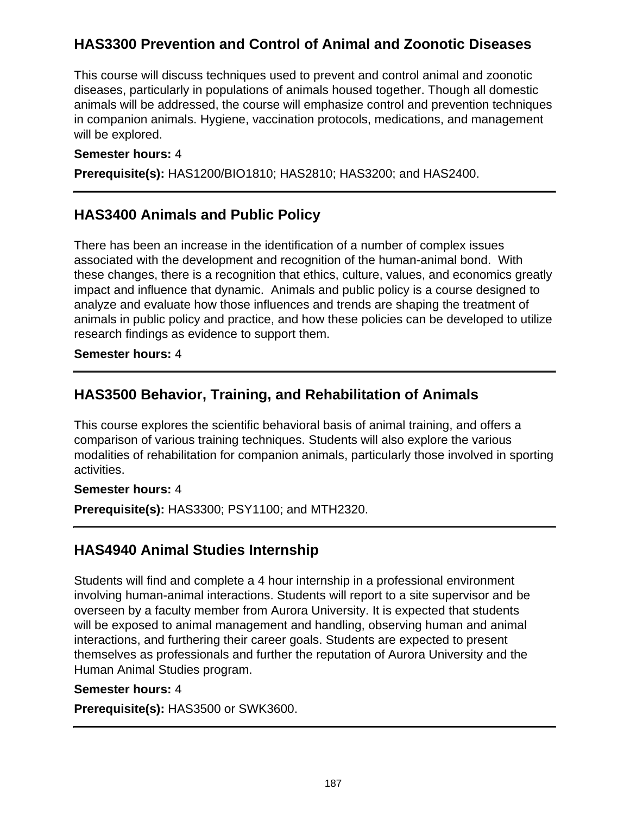# **HAS3300 Prevention and Control of Animal and Zoonotic Diseases**

This course will discuss techniques used to prevent and control animal and zoonotic diseases, particularly in populations of animals housed together. Though all domestic animals will be addressed, the course will emphasize control and prevention techniques in companion animals. Hygiene, vaccination protocols, medications, and management will be explored.

#### **Semester hours:** 4

**Prerequisite(s):** HAS1200/BIO1810; HAS2810; HAS3200; and HAS2400.

## **HAS3400 Animals and Public Policy**

There has been an increase in the identification of a number of complex issues associated with the development and recognition of the human-animal bond. With these changes, there is a recognition that ethics, culture, values, and economics greatly impact and influence that dynamic. Animals and public policy is a course designed to analyze and evaluate how those influences and trends are shaping the treatment of animals in public policy and practice, and how these policies can be developed to utilize research findings as evidence to support them.

**Semester hours:** 4

# **HAS3500 Behavior, Training, and Rehabilitation of Animals**

This course explores the scientific behavioral basis of animal training, and offers a comparison of various training techniques. Students will also explore the various modalities of rehabilitation for companion animals, particularly those involved in sporting activities.

### **Semester hours:** 4

**Prerequisite(s):** HAS3300; PSY1100; and MTH2320.

### **HAS4940 Animal Studies Internship**

Students will find and complete a 4 hour internship in a professional environment involving human-animal interactions. Students will report to a site supervisor and be overseen by a faculty member from Aurora University. It is expected that students will be exposed to animal management and handling, observing human and animal interactions, and furthering their career goals. Students are expected to present themselves as professionals and further the reputation of Aurora University and the Human Animal Studies program.

#### **Semester hours:** 4

**Prerequisite(s):** HAS3500 or SWK3600.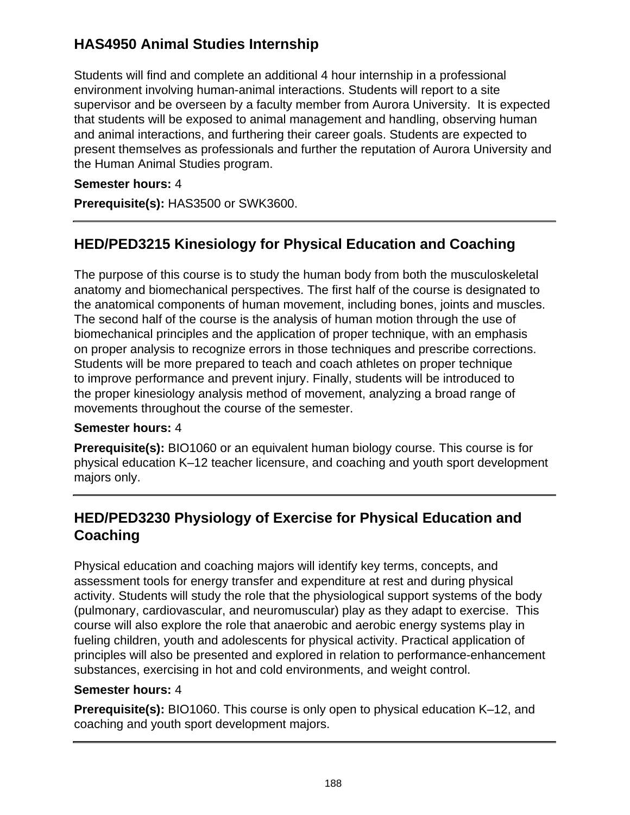# **HAS4950 Animal Studies Internship**

Students will find and complete an additional 4 hour internship in a professional environment involving human-animal interactions. Students will report to a site supervisor and be overseen by a faculty member from Aurora University. It is expected that students will be exposed to animal management and handling, observing human and animal interactions, and furthering their career goals. Students are expected to present themselves as professionals and further the reputation of Aurora University and the Human Animal Studies program.

### **Semester hours:** 4

**Prerequisite(s):** HAS3500 or SWK3600.

# **HED/PED3215 Kinesiology for Physical Education and Coaching**

The purpose of this course is to study the human body from both the musculoskeletal anatomy and biomechanical perspectives. The first half of the course is designated to the anatomical components of human movement, including bones, joints and muscles. The second half of the course is the analysis of human motion through the use of biomechanical principles and the application of proper technique, with an emphasis on proper analysis to recognize errors in those techniques and prescribe corrections. Students will be more prepared to teach and coach athletes on proper technique to improve performance and prevent injury. Finally, students will be introduced to the proper kinesiology analysis method of movement, analyzing a broad range of movements throughout the course of the semester.

### **Semester hours:** 4

**Prerequisite(s):** BIO1060 or an equivalent human biology course. This course is for physical education K–12 teacher licensure, and coaching and youth sport development majors only.

# **HED/PED3230 Physiology of Exercise for Physical Education and Coaching**

Physical education and coaching majors will identify key terms, concepts, and assessment tools for energy transfer and expenditure at rest and during physical activity. Students will study the role that the physiological support systems of the body (pulmonary, cardiovascular, and neuromuscular) play as they adapt to exercise. This course will also explore the role that anaerobic and aerobic energy systems play in fueling children, youth and adolescents for physical activity. Practical application of principles will also be presented and explored in relation to performance-enhancement substances, exercising in hot and cold environments, and weight control.

### **Semester hours:** 4

**Prerequisite(s):** BIO1060. This course is only open to physical education K–12, and coaching and youth sport development majors.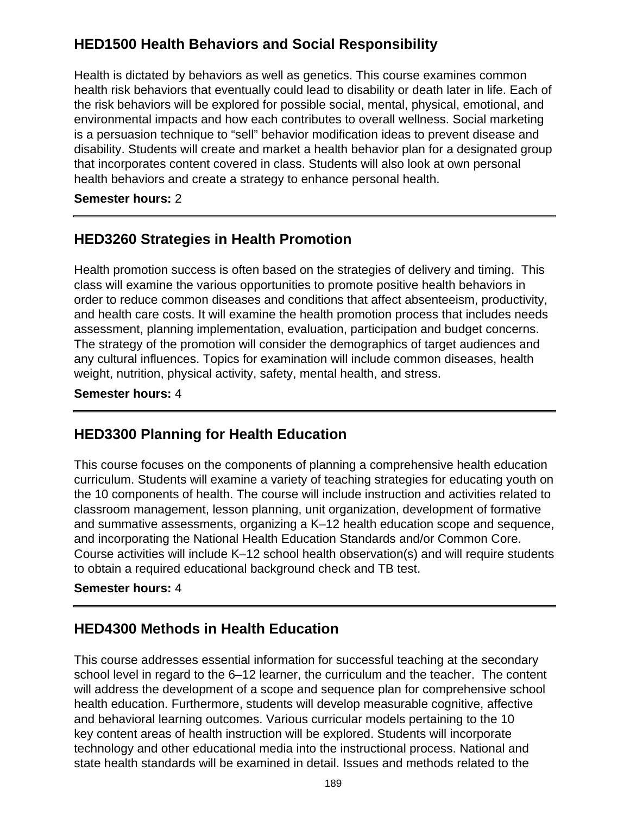# **HED1500 Health Behaviors and Social Responsibility**

Health is dictated by behaviors as well as genetics. This course examines common health risk behaviors that eventually could lead to disability or death later in life. Each of the risk behaviors will be explored for possible social, mental, physical, emotional, and environmental impacts and how each contributes to overall wellness. Social marketing is a persuasion technique to "sell" behavior modification ideas to prevent disease and disability. Students will create and market a health behavior plan for a designated group that incorporates content covered in class. Students will also look at own personal health behaviors and create a strategy to enhance personal health.

#### **Semester hours:** 2

## **HED3260 Strategies in Health Promotion**

Health promotion success is often based on the strategies of delivery and timing. This class will examine the various opportunities to promote positive health behaviors in order to reduce common diseases and conditions that affect absenteeism, productivity, and health care costs. It will examine the health promotion process that includes needs assessment, planning implementation, evaluation, participation and budget concerns. The strategy of the promotion will consider the demographics of target audiences and any cultural influences. Topics for examination will include common diseases, health weight, nutrition, physical activity, safety, mental health, and stress.

#### **Semester hours:** 4

# **HED3300 Planning for Health Education**

This course focuses on the components of planning a comprehensive health education curriculum. Students will examine a variety of teaching strategies for educating youth on the 10 components of health. The course will include instruction and activities related to classroom management, lesson planning, unit organization, development of formative and summative assessments, organizing a K–12 health education scope and sequence, and incorporating the National Health Education Standards and/or Common Core. Course activities will include K–12 school health observation(s) and will require students to obtain a required educational background check and TB test.

#### **Semester hours:** 4

### **HED4300 Methods in Health Education**

This course addresses essential information for successful teaching at the secondary school level in regard to the 6–12 learner, the curriculum and the teacher. The content will address the development of a scope and sequence plan for comprehensive school health education. Furthermore, students will develop measurable cognitive, affective and behavioral learning outcomes. Various curricular models pertaining to the 10 key content areas of health instruction will be explored. Students will incorporate technology and other educational media into the instructional process. National and state health standards will be examined in detail. Issues and methods related to the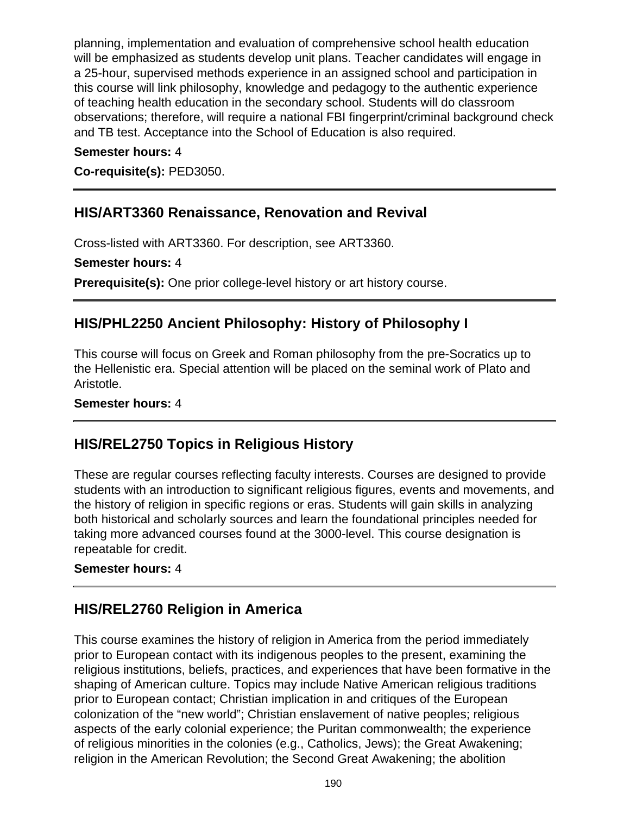planning, implementation and evaluation of comprehensive school health education will be emphasized as students develop unit plans. Teacher candidates will engage in a 25-hour, supervised methods experience in an assigned school and participation in this course will link philosophy, knowledge and pedagogy to the authentic experience of teaching health education in the secondary school. Students will do classroom observations; therefore, will require a national FBI fingerprint/criminal background check and TB test. Acceptance into the School of Education is also required.

#### **Semester hours:** 4

**Co-requisite(s):** PED3050.

### **HIS/ART3360 Renaissance, Renovation and Revival**

Cross-listed with ART3360. For description, see ART3360.

**Semester hours:** 4

**Prerequisite(s):** One prior college-level history or art history course.

## **HIS/PHL2250 Ancient Philosophy: History of Philosophy I**

This course will focus on Greek and Roman philosophy from the pre-Socratics up to the Hellenistic era. Special attention will be placed on the seminal work of Plato and Aristotle.

#### **Semester hours:** 4

### **HIS/REL2750 Topics in Religious History**

These are regular courses reflecting faculty interests. Courses are designed to provide students with an introduction to significant religious figures, events and movements, and the history of religion in specific regions or eras. Students will gain skills in analyzing both historical and scholarly sources and learn the foundational principles needed for taking more advanced courses found at the 3000-level. This course designation is repeatable for credit.

#### **Semester hours:** 4

### **HIS/REL2760 Religion in America**

This course examines the history of religion in America from the period immediately prior to European contact with its indigenous peoples to the present, examining the religious institutions, beliefs, practices, and experiences that have been formative in the shaping of American culture. Topics may include Native American religious traditions prior to European contact; Christian implication in and critiques of the European colonization of the "new world"; Christian enslavement of native peoples; religious aspects of the early colonial experience; the Puritan commonwealth; the experience of religious minorities in the colonies (e.g., Catholics, Jews); the Great Awakening; religion in the American Revolution; the Second Great Awakening; the abolition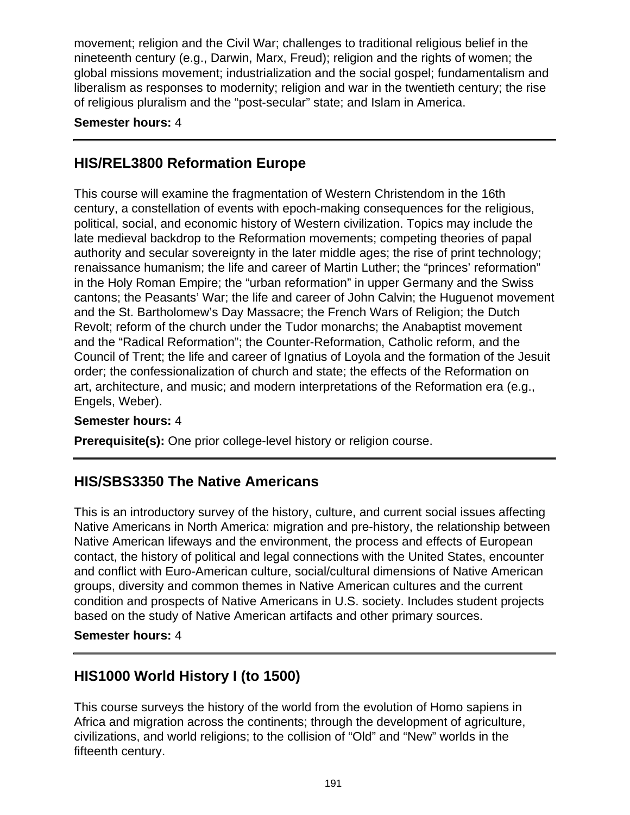movement; religion and the Civil War; challenges to traditional religious belief in the nineteenth century (e.g., Darwin, Marx, Freud); religion and the rights of women; the global missions movement; industrialization and the social gospel; fundamentalism and liberalism as responses to modernity; religion and war in the twentieth century; the rise of religious pluralism and the "post-secular" state; and Islam in America.

### **Semester hours:** 4

# **HIS/REL3800 Reformation Europe**

This course will examine the fragmentation of Western Christendom in the 16th century, a constellation of events with epoch-making consequences for the religious, political, social, and economic history of Western civilization. Topics may include the late medieval backdrop to the Reformation movements; competing theories of papal authority and secular sovereignty in the later middle ages; the rise of print technology; renaissance humanism; the life and career of Martin Luther; the "princes' reformation" in the Holy Roman Empire; the "urban reformation" in upper Germany and the Swiss cantons; the Peasants' War; the life and career of John Calvin; the Huguenot movement and the St. Bartholomew's Day Massacre; the French Wars of Religion; the Dutch Revolt; reform of the church under the Tudor monarchs; the Anabaptist movement and the "Radical Reformation"; the Counter-Reformation, Catholic reform, and the Council of Trent; the life and career of Ignatius of Loyola and the formation of the Jesuit order; the confessionalization of church and state; the effects of the Reformation on art, architecture, and music; and modern interpretations of the Reformation era (e.g., Engels, Weber).

#### **Semester hours:** 4

**Prerequisite(s):** One prior college-level history or religion course.

### **HIS/SBS3350 The Native Americans**

This is an introductory survey of the history, culture, and current social issues affecting Native Americans in North America: migration and pre-history, the relationship between Native American lifeways and the environment, the process and effects of European contact, the history of political and legal connections with the United States, encounter and conflict with Euro-American culture, social/cultural dimensions of Native American groups, diversity and common themes in Native American cultures and the current condition and prospects of Native Americans in U.S. society. Includes student projects based on the study of Native American artifacts and other primary sources.

#### **Semester hours:** 4

### **HIS1000 World History I (to 1500)**

This course surveys the history of the world from the evolution of Homo sapiens in Africa and migration across the continents; through the development of agriculture, civilizations, and world religions; to the collision of "Old" and "New" worlds in the fifteenth century.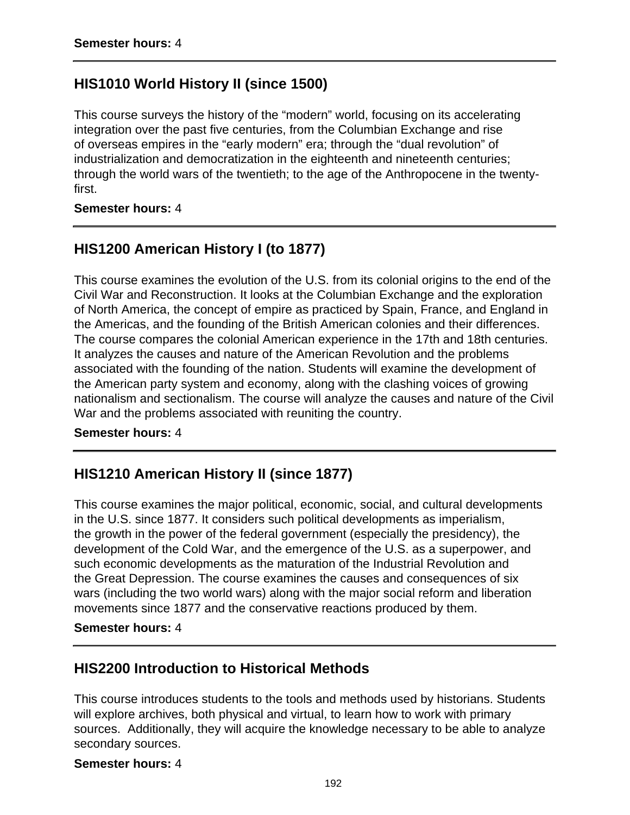### **HIS1010 World History II (since 1500)**

This course surveys the history of the "modern" world, focusing on its accelerating integration over the past five centuries, from the Columbian Exchange and rise of overseas empires in the "early modern" era; through the "dual revolution" of industrialization and democratization in the eighteenth and nineteenth centuries; through the world wars of the twentieth; to the age of the Anthropocene in the twentyfirst.

#### **Semester hours:** 4

## **HIS1200 American History I (to 1877)**

This course examines the evolution of the U.S. from its colonial origins to the end of the Civil War and Reconstruction. It looks at the Columbian Exchange and the exploration of North America, the concept of empire as practiced by Spain, France, and England in the Americas, and the founding of the British American colonies and their differences. The course compares the colonial American experience in the 17th and 18th centuries. It analyzes the causes and nature of the American Revolution and the problems associated with the founding of the nation. Students will examine the development of the American party system and economy, along with the clashing voices of growing nationalism and sectionalism. The course will analyze the causes and nature of the Civil War and the problems associated with reuniting the country.

#### **Semester hours:** 4

### **HIS1210 American History II (since 1877)**

This course examines the major political, economic, social, and cultural developments in the U.S. since 1877. It considers such political developments as imperialism, the growth in the power of the federal government (especially the presidency), the development of the Cold War, and the emergence of the U.S. as a superpower, and such economic developments as the maturation of the Industrial Revolution and the Great Depression. The course examines the causes and consequences of six wars (including the two world wars) along with the major social reform and liberation movements since 1877 and the conservative reactions produced by them.

#### **Semester hours:** 4

### **HIS2200 Introduction to Historical Methods**

This course introduces students to the tools and methods used by historians. Students will explore archives, both physical and virtual, to learn how to work with primary sources. Additionally, they will acquire the knowledge necessary to be able to analyze secondary sources.

#### **Semester hours:** 4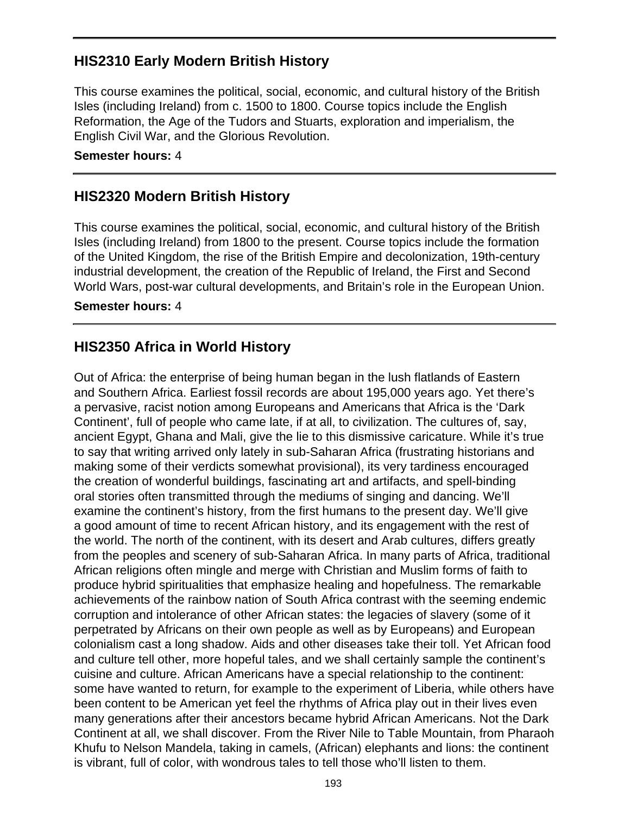## **HIS2310 Early Modern British History**

This course examines the political, social, economic, and cultural history of the British Isles (including Ireland) from c. 1500 to 1800. Course topics include the English Reformation, the Age of the Tudors and Stuarts, exploration and imperialism, the English Civil War, and the Glorious Revolution.

#### **Semester hours:** 4

### **HIS2320 Modern British History**

This course examines the political, social, economic, and cultural history of the British Isles (including Ireland) from 1800 to the present. Course topics include the formation of the United Kingdom, the rise of the British Empire and decolonization, 19th-century industrial development, the creation of the Republic of Ireland, the First and Second World Wars, post-war cultural developments, and Britain's role in the European Union.

#### **Semester hours:** 4

### **HIS2350 Africa in World History**

Out of Africa: the enterprise of being human began in the lush flatlands of Eastern and Southern Africa. Earliest fossil records are about 195,000 years ago. Yet there's a pervasive, racist notion among Europeans and Americans that Africa is the 'Dark Continent', full of people who came late, if at all, to civilization. The cultures of, say, ancient Egypt, Ghana and Mali, give the lie to this dismissive caricature. While it's true to say that writing arrived only lately in sub-Saharan Africa (frustrating historians and making some of their verdicts somewhat provisional), its very tardiness encouraged the creation of wonderful buildings, fascinating art and artifacts, and spell-binding oral stories often transmitted through the mediums of singing and dancing. We'll examine the continent's history, from the first humans to the present day. We'll give a good amount of time to recent African history, and its engagement with the rest of the world. The north of the continent, with its desert and Arab cultures, differs greatly from the peoples and scenery of sub-Saharan Africa. In many parts of Africa, traditional African religions often mingle and merge with Christian and Muslim forms of faith to produce hybrid spiritualities that emphasize healing and hopefulness. The remarkable achievements of the rainbow nation of South Africa contrast with the seeming endemic corruption and intolerance of other African states: the legacies of slavery (some of it perpetrated by Africans on their own people as well as by Europeans) and European colonialism cast a long shadow. Aids and other diseases take their toll. Yet African food and culture tell other, more hopeful tales, and we shall certainly sample the continent's cuisine and culture. African Americans have a special relationship to the continent: some have wanted to return, for example to the experiment of Liberia, while others have been content to be American yet feel the rhythms of Africa play out in their lives even many generations after their ancestors became hybrid African Americans. Not the Dark Continent at all, we shall discover. From the River Nile to Table Mountain, from Pharaoh Khufu to Nelson Mandela, taking in camels, (African) elephants and lions: the continent is vibrant, full of color, with wondrous tales to tell those who'll listen to them.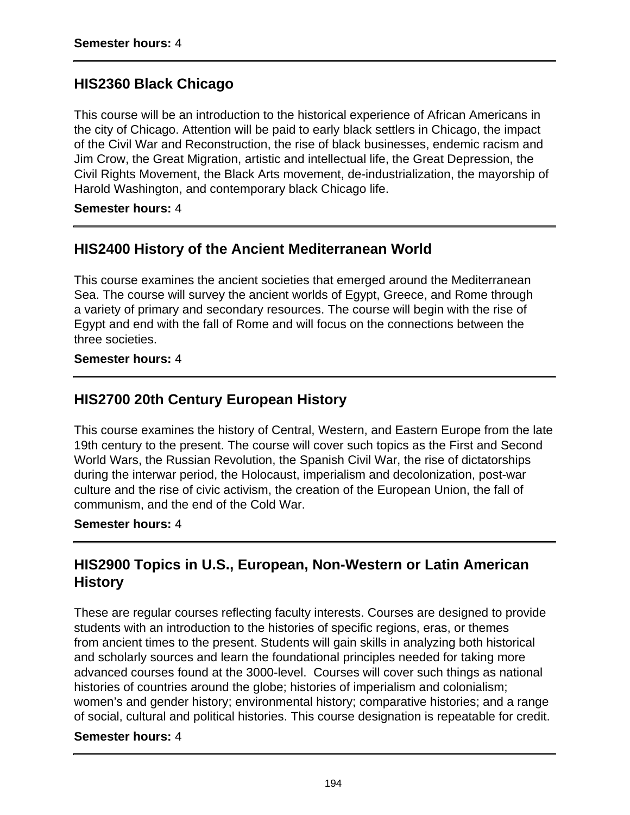## **HIS2360 Black Chicago**

This course will be an introduction to the historical experience of African Americans in the city of Chicago. Attention will be paid to early black settlers in Chicago, the impact of the Civil War and Reconstruction, the rise of black businesses, endemic racism and Jim Crow, the Great Migration, artistic and intellectual life, the Great Depression, the Civil Rights Movement, the Black Arts movement, de-industrialization, the mayorship of Harold Washington, and contemporary black Chicago life.

#### **Semester hours:** 4

### **HIS2400 History of the Ancient Mediterranean World**

This course examines the ancient societies that emerged around the Mediterranean Sea. The course will survey the ancient worlds of Egypt, Greece, and Rome through a variety of primary and secondary resources. The course will begin with the rise of Egypt and end with the fall of Rome and will focus on the connections between the three societies.

#### **Semester hours:** 4

### **HIS2700 20th Century European History**

This course examines the history of Central, Western, and Eastern Europe from the late 19th century to the present. The course will cover such topics as the First and Second World Wars, the Russian Revolution, the Spanish Civil War, the rise of dictatorships during the interwar period, the Holocaust, imperialism and decolonization, post-war culture and the rise of civic activism, the creation of the European Union, the fall of communism, and the end of the Cold War.

#### **Semester hours:** 4

# **HIS2900 Topics in U.S., European, Non-Western or Latin American History**

These are regular courses reflecting faculty interests. Courses are designed to provide students with an introduction to the histories of specific regions, eras, or themes from ancient times to the present. Students will gain skills in analyzing both historical and scholarly sources and learn the foundational principles needed for taking more advanced courses found at the 3000-level. Courses will cover such things as national histories of countries around the globe; histories of imperialism and colonialism; women's and gender history; environmental history; comparative histories; and a range of social, cultural and political histories. This course designation is repeatable for credit.

#### **Semester hours:** 4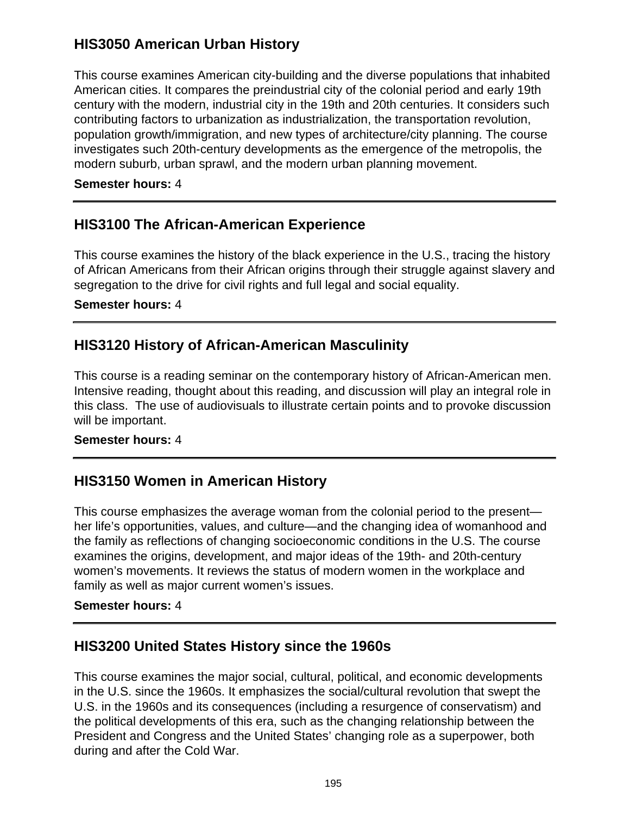# **HIS3050 American Urban History**

This course examines American city-building and the diverse populations that inhabited American cities. It compares the preindustrial city of the colonial period and early 19th century with the modern, industrial city in the 19th and 20th centuries. It considers such contributing factors to urbanization as industrialization, the transportation revolution, population growth/immigration, and new types of architecture/city planning. The course investigates such 20th-century developments as the emergence of the metropolis, the modern suburb, urban sprawl, and the modern urban planning movement.

### **Semester hours:** 4

## **HIS3100 The African-American Experience**

This course examines the history of the black experience in the U.S., tracing the history of African Americans from their African origins through their struggle against slavery and segregation to the drive for civil rights and full legal and social equality.

#### **Semester hours:** 4

### **HIS3120 History of African-American Masculinity**

This course is a reading seminar on the contemporary history of African-American men. Intensive reading, thought about this reading, and discussion will play an integral role in this class. The use of audiovisuals to illustrate certain points and to provoke discussion will be important.

#### **Semester hours:** 4

### **HIS3150 Women in American History**

This course emphasizes the average woman from the colonial period to the present her life's opportunities, values, and culture—and the changing idea of womanhood and the family as reflections of changing socioeconomic conditions in the U.S. The course examines the origins, development, and major ideas of the 19th- and 20th-century women's movements. It reviews the status of modern women in the workplace and family as well as major current women's issues.

#### **Semester hours:** 4

### **HIS3200 United States History since the 1960s**

This course examines the major social, cultural, political, and economic developments in the U.S. since the 1960s. It emphasizes the social/cultural revolution that swept the U.S. in the 1960s and its consequences (including a resurgence of conservatism) and the political developments of this era, such as the changing relationship between the President and Congress and the United States' changing role as a superpower, both during and after the Cold War.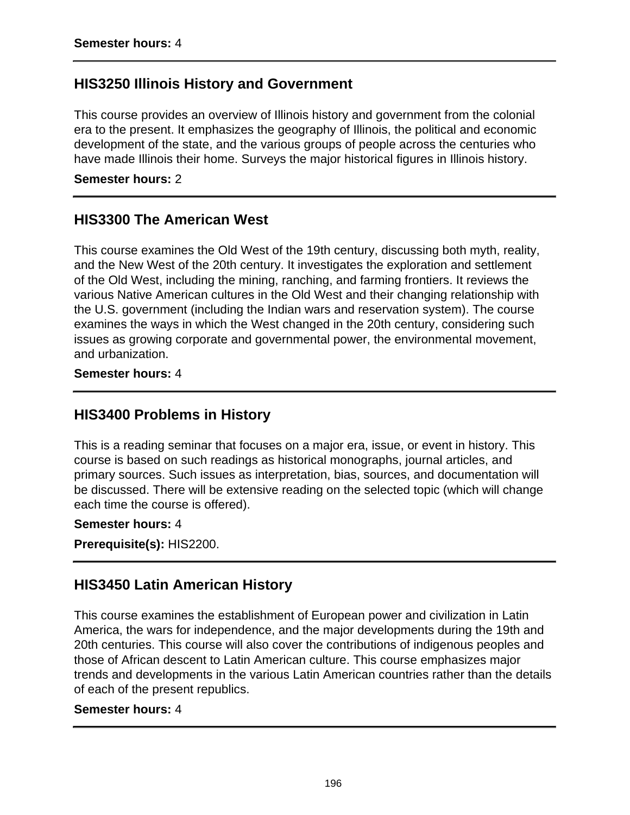### **HIS3250 Illinois History and Government**

This course provides an overview of Illinois history and government from the colonial era to the present. It emphasizes the geography of Illinois, the political and economic development of the state, and the various groups of people across the centuries who have made Illinois their home. Surveys the major historical figures in Illinois history.

**Semester hours:** 2

### **HIS3300 The American West**

This course examines the Old West of the 19th century, discussing both myth, reality, and the New West of the 20th century. It investigates the exploration and settlement of the Old West, including the mining, ranching, and farming frontiers. It reviews the various Native American cultures in the Old West and their changing relationship with the U.S. government (including the Indian wars and reservation system). The course examines the ways in which the West changed in the 20th century, considering such issues as growing corporate and governmental power, the environmental movement, and urbanization.

**Semester hours:** 4

### **HIS3400 Problems in History**

This is a reading seminar that focuses on a major era, issue, or event in history. This course is based on such readings as historical monographs, journal articles, and primary sources. Such issues as interpretation, bias, sources, and documentation will be discussed. There will be extensive reading on the selected topic (which will change each time the course is offered).

#### **Semester hours:** 4

**Prerequisite(s):** HIS2200.

## **HIS3450 Latin American History**

This course examines the establishment of European power and civilization in Latin America, the wars for independence, and the major developments during the 19th and 20th centuries. This course will also cover the contributions of indigenous peoples and those of African descent to Latin American culture. This course emphasizes major trends and developments in the various Latin American countries rather than the details of each of the present republics.

#### **Semester hours:** 4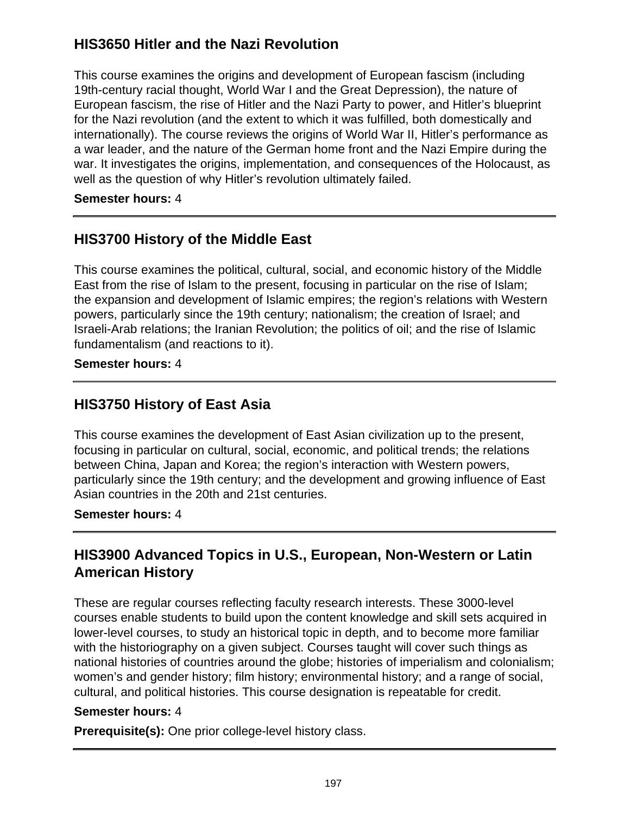# **HIS3650 Hitler and the Nazi Revolution**

This course examines the origins and development of European fascism (including 19th-century racial thought, World War I and the Great Depression), the nature of European fascism, the rise of Hitler and the Nazi Party to power, and Hitler's blueprint for the Nazi revolution (and the extent to which it was fulfilled, both domestically and internationally). The course reviews the origins of World War II, Hitler's performance as a war leader, and the nature of the German home front and the Nazi Empire during the war. It investigates the origins, implementation, and consequences of the Holocaust, as well as the question of why Hitler's revolution ultimately failed.

### **Semester hours:** 4

## **HIS3700 History of the Middle East**

This course examines the political, cultural, social, and economic history of the Middle East from the rise of Islam to the present, focusing in particular on the rise of Islam; the expansion and development of Islamic empires; the region's relations with Western powers, particularly since the 19th century; nationalism; the creation of Israel; and Israeli-Arab relations; the Iranian Revolution; the politics of oil; and the rise of Islamic fundamentalism (and reactions to it).

### **Semester hours:** 4

### **HIS3750 History of East Asia**

This course examines the development of East Asian civilization up to the present, focusing in particular on cultural, social, economic, and political trends; the relations between China, Japan and Korea; the region's interaction with Western powers, particularly since the 19th century; and the development and growing influence of East Asian countries in the 20th and 21st centuries.

### **Semester hours:** 4

# **HIS3900 Advanced Topics in U.S., European, Non-Western or Latin American History**

These are regular courses reflecting faculty research interests. These 3000-level courses enable students to build upon the content knowledge and skill sets acquired in lower-level courses, to study an historical topic in depth, and to become more familiar with the historiography on a given subject. Courses taught will cover such things as national histories of countries around the globe; histories of imperialism and colonialism; women's and gender history; film history; environmental history; and a range of social, cultural, and political histories. This course designation is repeatable for credit.

#### **Semester hours:** 4

**Prerequisite(s):** One prior college-level history class.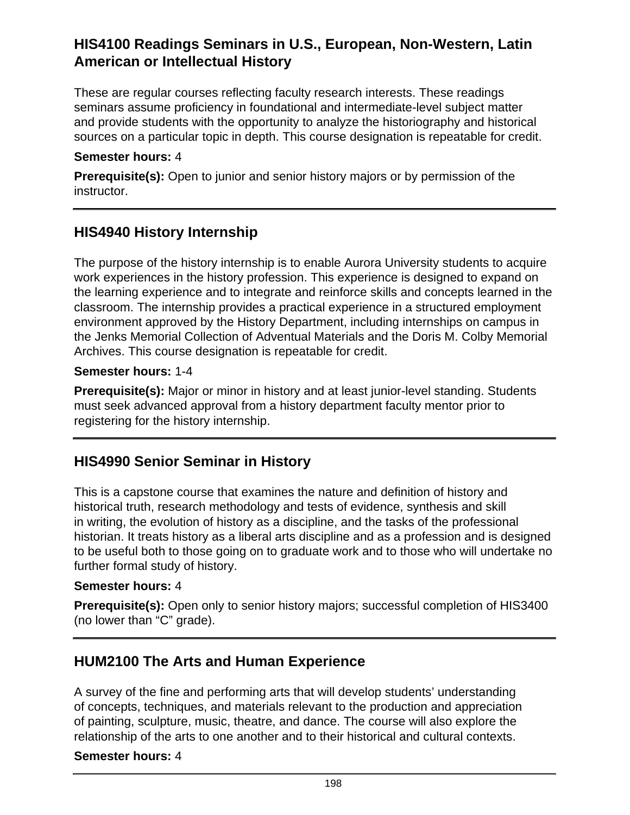## **HIS4100 Readings Seminars in U.S., European, Non-Western, Latin American or Intellectual History**

These are regular courses reflecting faculty research interests. These readings seminars assume proficiency in foundational and intermediate-level subject matter and provide students with the opportunity to analyze the historiography and historical sources on a particular topic in depth. This course designation is repeatable for credit.

#### **Semester hours:** 4

**Prerequisite(s):** Open to junior and senior history majors or by permission of the instructor.

# **HIS4940 History Internship**

The purpose of the history internship is to enable Aurora University students to acquire work experiences in the history profession. This experience is designed to expand on the learning experience and to integrate and reinforce skills and concepts learned in the classroom. The internship provides a practical experience in a structured employment environment approved by the History Department, including internships on campus in the Jenks Memorial Collection of Adventual Materials and the Doris M. Colby Memorial Archives. This course designation is repeatable for credit.

### **Semester hours:** 1-4

**Prerequisite(s):** Major or minor in history and at least junior-level standing. Students must seek advanced approval from a history department faculty mentor prior to registering for the history internship.

### **HIS4990 Senior Seminar in History**

This is a capstone course that examines the nature and definition of history and historical truth, research methodology and tests of evidence, synthesis and skill in writing, the evolution of history as a discipline, and the tasks of the professional historian. It treats history as a liberal arts discipline and as a profession and is designed to be useful both to those going on to graduate work and to those who will undertake no further formal study of history.

#### **Semester hours:** 4

**Prerequisite(s):** Open only to senior history majors; successful completion of HIS3400 (no lower than "C" grade).

### **HUM2100 The Arts and Human Experience**

A survey of the fine and performing arts that will develop students' understanding of concepts, techniques, and materials relevant to the production and appreciation of painting, sculpture, music, theatre, and dance. The course will also explore the relationship of the arts to one another and to their historical and cultural contexts.

### **Semester hours:** 4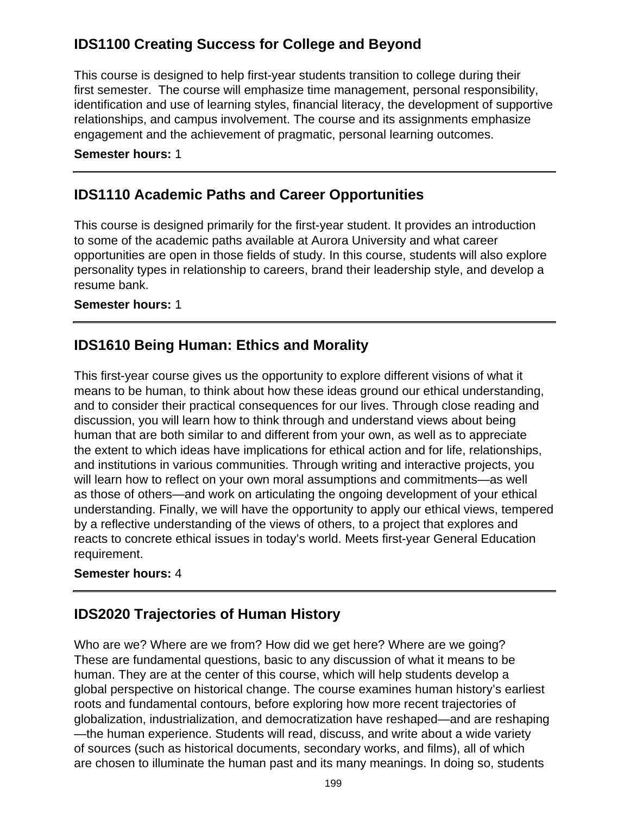# **IDS1100 Creating Success for College and Beyond**

This course is designed to help first-year students transition to college during their first semester. The course will emphasize time management, personal responsibility, identification and use of learning styles, financial literacy, the development of supportive relationships, and campus involvement. The course and its assignments emphasize engagement and the achievement of pragmatic, personal learning outcomes.

#### **Semester hours:** 1

## **IDS1110 Academic Paths and Career Opportunities**

This course is designed primarily for the first-year student. It provides an introduction to some of the academic paths available at Aurora University and what career opportunities are open in those fields of study. In this course, students will also explore personality types in relationship to careers, brand their leadership style, and develop a resume bank.

#### **Semester hours:** 1

### **IDS1610 Being Human: Ethics and Morality**

This first-year course gives us the opportunity to explore different visions of what it means to be human, to think about how these ideas ground our ethical understanding, and to consider their practical consequences for our lives. Through close reading and discussion, you will learn how to think through and understand views about being human that are both similar to and different from your own, as well as to appreciate the extent to which ideas have implications for ethical action and for life, relationships, and institutions in various communities. Through writing and interactive projects, you will learn how to reflect on your own moral assumptions and commitments—as well as those of others—and work on articulating the ongoing development of your ethical understanding. Finally, we will have the opportunity to apply our ethical views, tempered by a reflective understanding of the views of others, to a project that explores and reacts to concrete ethical issues in today's world. Meets first-year General Education requirement.

### **Semester hours:** 4

### **IDS2020 Trajectories of Human History**

Who are we? Where are we from? How did we get here? Where are we going? These are fundamental questions, basic to any discussion of what it means to be human. They are at the center of this course, which will help students develop a global perspective on historical change. The course examines human history's earliest roots and fundamental contours, before exploring how more recent trajectories of globalization, industrialization, and democratization have reshaped—and are reshaping —the human experience. Students will read, discuss, and write about a wide variety of sources (such as historical documents, secondary works, and films), all of which are chosen to illuminate the human past and its many meanings. In doing so, students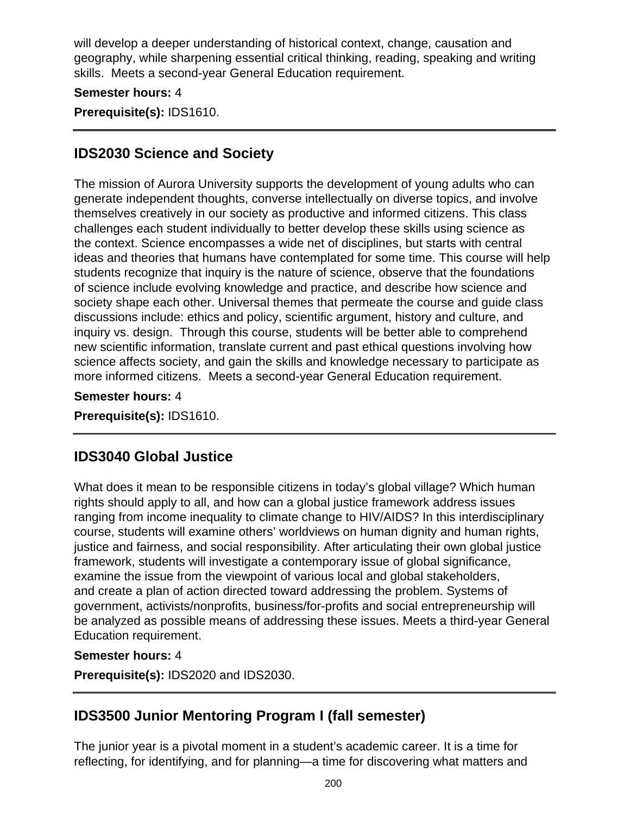will develop a deeper understanding of historical context, change, causation and geography, while sharpening essential critical thinking, reading, speaking and writing skills. Meets a second-year General Education requirement.

### **Semester hours:** 4

**Prerequisite(s):** IDS1610.

### **IDS2030 Science and Society**

The mission of Aurora University supports the development of young adults who can generate independent thoughts, converse intellectually on diverse topics, and involve themselves creatively in our society as productive and informed citizens. This class challenges each student individually to better develop these skills using science as the context. Science encompasses a wide net of disciplines, but starts with central ideas and theories that humans have contemplated for some time. This course will help students recognize that inquiry is the nature of science, observe that the foundations of science include evolving knowledge and practice, and describe how science and society shape each other. Universal themes that permeate the course and guide class discussions include: ethics and policy, scientific argument, history and culture, and inquiry vs. design. Through this course, students will be better able to comprehend new scientific information, translate current and past ethical questions involving how science affects society, and gain the skills and knowledge necessary to participate as more informed citizens. Meets a second-year General Education requirement.

**Semester hours:** 4

**Prerequisite(s):** IDS1610.

### **IDS3040 Global Justice**

What does it mean to be responsible citizens in today's global village? Which human rights should apply to all, and how can a global justice framework address issues ranging from income inequality to climate change to HIV/AIDS? In this interdisciplinary course, students will examine others' worldviews on human dignity and human rights, justice and fairness, and social responsibility. After articulating their own global justice framework, students will investigate a contemporary issue of global significance, examine the issue from the viewpoint of various local and global stakeholders, and create a plan of action directed toward addressing the problem. Systems of government, activists/nonprofits, business/for-profits and social entrepreneurship will be analyzed as possible means of addressing these issues. Meets a third-year General Education requirement.

#### **Semester hours:** 4

**Prerequisite(s):** IDS2020 and IDS2030.

### **IDS3500 Junior Mentoring Program I (fall semester)**

The junior year is a pivotal moment in a student's academic career. It is a time for reflecting, for identifying, and for planning—a time for discovering what matters and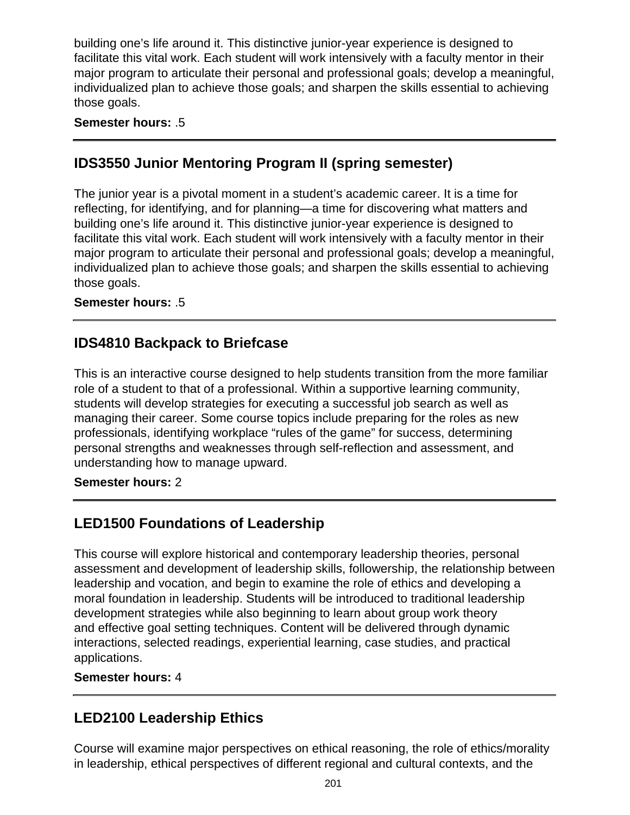building one's life around it. This distinctive junior-year experience is designed to facilitate this vital work. Each student will work intensively with a faculty mentor in their major program to articulate their personal and professional goals; develop a meaningful, individualized plan to achieve those goals; and sharpen the skills essential to achieving those goals.

### **Semester hours:** .5

### **IDS3550 Junior Mentoring Program II (spring semester)**

The junior year is a pivotal moment in a student's academic career. It is a time for reflecting, for identifying, and for planning—a time for discovering what matters and building one's life around it. This distinctive junior-year experience is designed to facilitate this vital work. Each student will work intensively with a faculty mentor in their major program to articulate their personal and professional goals; develop a meaningful, individualized plan to achieve those goals; and sharpen the skills essential to achieving those goals.

### **Semester hours:** .5

### **IDS4810 Backpack to Briefcase**

This is an interactive course designed to help students transition from the more familiar role of a student to that of a professional. Within a supportive learning community, students will develop strategies for executing a successful job search as well as managing their career. Some course topics include preparing for the roles as new professionals, identifying workplace "rules of the game" for success, determining personal strengths and weaknesses through self-reflection and assessment, and understanding how to manage upward.

#### **Semester hours:** 2

# **LED1500 Foundations of Leadership**

This course will explore historical and contemporary leadership theories, personal assessment and development of leadership skills, followership, the relationship between leadership and vocation, and begin to examine the role of ethics and developing a moral foundation in leadership. Students will be introduced to traditional leadership development strategies while also beginning to learn about group work theory and effective goal setting techniques. Content will be delivered through dynamic interactions, selected readings, experiential learning, case studies, and practical applications.

**Semester hours:** 4

# **LED2100 Leadership Ethics**

Course will examine major perspectives on ethical reasoning, the role of ethics/morality in leadership, ethical perspectives of different regional and cultural contexts, and the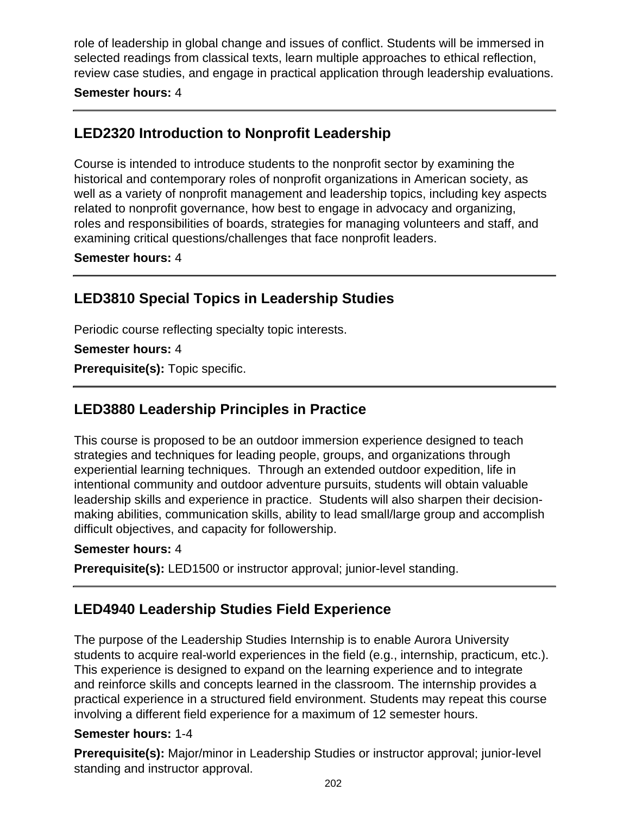role of leadership in global change and issues of conflict. Students will be immersed in selected readings from classical texts, learn multiple approaches to ethical reflection, review case studies, and engage in practical application through leadership evaluations.

#### **Semester hours:** 4

## **LED2320 Introduction to Nonprofit Leadership**

Course is intended to introduce students to the nonprofit sector by examining the historical and contemporary roles of nonprofit organizations in American society, as well as a variety of nonprofit management and leadership topics, including key aspects related to nonprofit governance, how best to engage in advocacy and organizing, roles and responsibilities of boards, strategies for managing volunteers and staff, and examining critical questions/challenges that face nonprofit leaders.

#### **Semester hours:** 4

# **LED3810 Special Topics in Leadership Studies**

Periodic course reflecting specialty topic interests.

#### **Semester hours:** 4

**Prerequisite(s):** Topic specific.

# **LED3880 Leadership Principles in Practice**

This course is proposed to be an outdoor immersion experience designed to teach strategies and techniques for leading people, groups, and organizations through experiential learning techniques. Through an extended outdoor expedition, life in intentional community and outdoor adventure pursuits, students will obtain valuable leadership skills and experience in practice. Students will also sharpen their decisionmaking abilities, communication skills, ability to lead small/large group and accomplish difficult objectives, and capacity for followership.

#### **Semester hours:** 4

**Prerequisite(s):** LED1500 or instructor approval; junior-level standing.

### **LED4940 Leadership Studies Field Experience**

The purpose of the Leadership Studies Internship is to enable Aurora University students to acquire real-world experiences in the field (e.g., internship, practicum, etc.). This experience is designed to expand on the learning experience and to integrate and reinforce skills and concepts learned in the classroom. The internship provides a practical experience in a structured field environment. Students may repeat this course involving a different field experience for a maximum of 12 semester hours.

#### **Semester hours:** 1-4

**Prerequisite(s):** Major/minor in Leadership Studies or instructor approval; junior-level standing and instructor approval.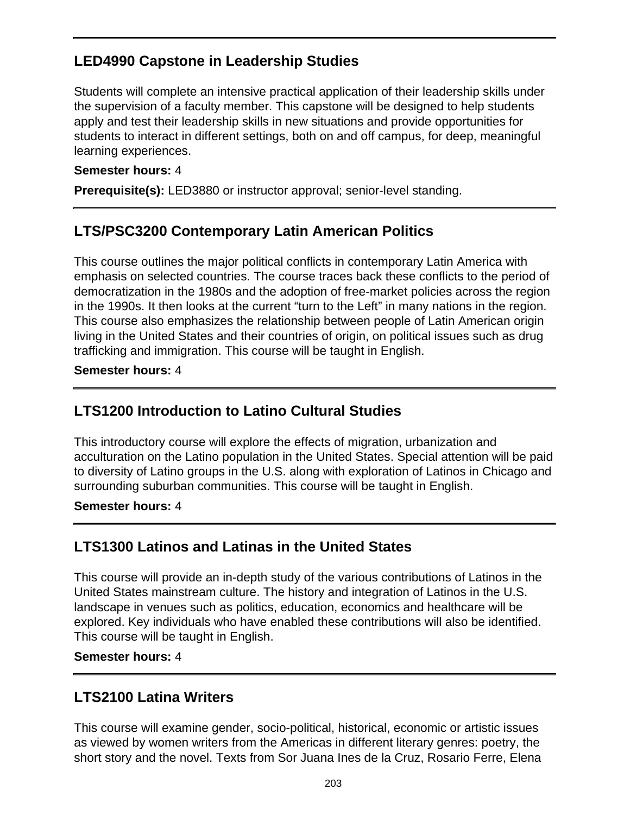# **LED4990 Capstone in Leadership Studies**

Students will complete an intensive practical application of their leadership skills under the supervision of a faculty member. This capstone will be designed to help students apply and test their leadership skills in new situations and provide opportunities for students to interact in different settings, both on and off campus, for deep, meaningful learning experiences.

#### **Semester hours:** 4

**Prerequisite(s):** LED3880 or instructor approval; senior-level standing.

### **LTS/PSC3200 Contemporary Latin American Politics**

This course outlines the major political conflicts in contemporary Latin America with emphasis on selected countries. The course traces back these conflicts to the period of democratization in the 1980s and the adoption of free-market policies across the region in the 1990s. It then looks at the current "turn to the Left" in many nations in the region. This course also emphasizes the relationship between people of Latin American origin living in the United States and their countries of origin, on political issues such as drug trafficking and immigration. This course will be taught in English.

**Semester hours:** 4

## **LTS1200 Introduction to Latino Cultural Studies**

This introductory course will explore the effects of migration, urbanization and acculturation on the Latino population in the United States. Special attention will be paid to diversity of Latino groups in the U.S. along with exploration of Latinos in Chicago and surrounding suburban communities. This course will be taught in English.

**Semester hours:** 4

# **LTS1300 Latinos and Latinas in the United States**

This course will provide an in-depth study of the various contributions of Latinos in the United States mainstream culture. The history and integration of Latinos in the U.S. landscape in venues such as politics, education, economics and healthcare will be explored. Key individuals who have enabled these contributions will also be identified. This course will be taught in English.

**Semester hours:** 4

# **LTS2100 Latina Writers**

This course will examine gender, socio-political, historical, economic or artistic issues as viewed by women writers from the Americas in different literary genres: poetry, the short story and the novel. Texts from Sor Juana Ines de la Cruz, Rosario Ferre, Elena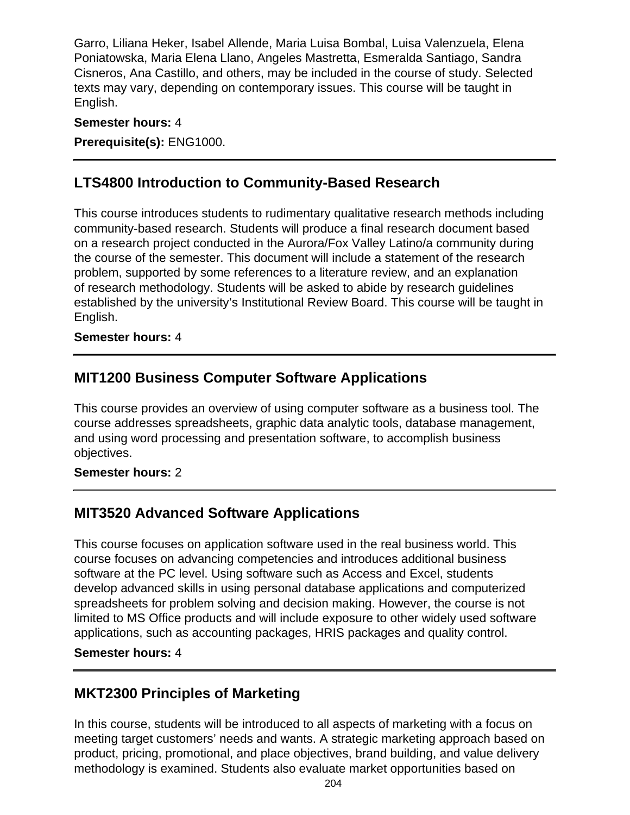Garro, Liliana Heker, Isabel Allende, Maria Luisa Bombal, Luisa Valenzuela, Elena Poniatowska, Maria Elena Llano, Angeles Mastretta, Esmeralda Santiago, Sandra Cisneros, Ana Castillo, and others, may be included in the course of study. Selected texts may vary, depending on contemporary issues. This course will be taught in English.

#### **Semester hours:** 4

**Prerequisite(s):** ENG1000.

## **LTS4800 Introduction to Community-Based Research**

This course introduces students to rudimentary qualitative research methods including community-based research. Students will produce a final research document based on a research project conducted in the Aurora/Fox Valley Latino/a community during the course of the semester. This document will include a statement of the research problem, supported by some references to a literature review, and an explanation of research methodology. Students will be asked to abide by research guidelines established by the university's Institutional Review Board. This course will be taught in English.

#### **Semester hours:** 4

### **MIT1200 Business Computer Software Applications**

This course provides an overview of using computer software as a business tool. The course addresses spreadsheets, graphic data analytic tools, database management, and using word processing and presentation software, to accomplish business objectives.

#### **Semester hours:** 2

### **MIT3520 Advanced Software Applications**

This course focuses on application software used in the real business world. This course focuses on advancing competencies and introduces additional business software at the PC level. Using software such as Access and Excel, students develop advanced skills in using personal database applications and computerized spreadsheets for problem solving and decision making. However, the course is not limited to MS Office products and will include exposure to other widely used software applications, such as accounting packages, HRIS packages and quality control.

#### **Semester hours:** 4

### **MKT2300 Principles of Marketing**

In this course, students will be introduced to all aspects of marketing with a focus on meeting target customers' needs and wants. A strategic marketing approach based on product, pricing, promotional, and place objectives, brand building, and value delivery methodology is examined. Students also evaluate market opportunities based on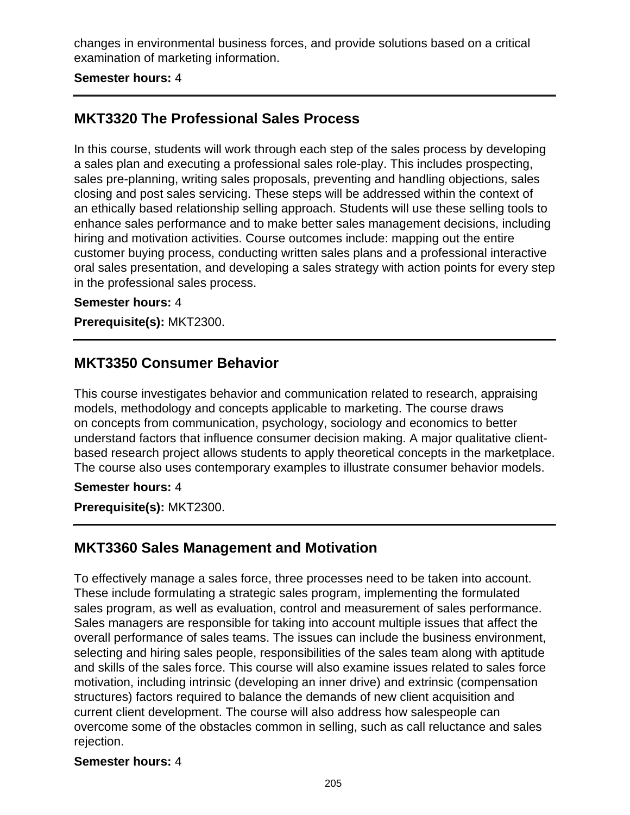changes in environmental business forces, and provide solutions based on a critical examination of marketing information.

#### **Semester hours:** 4

### **MKT3320 The Professional Sales Process**

In this course, students will work through each step of the sales process by developing a sales plan and executing a professional sales role-play. This includes prospecting, sales pre-planning, writing sales proposals, preventing and handling objections, sales closing and post sales servicing. These steps will be addressed within the context of an ethically based relationship selling approach. Students will use these selling tools to enhance sales performance and to make better sales management decisions, including hiring and motivation activities. Course outcomes include: mapping out the entire customer buying process, conducting written sales plans and a professional interactive oral sales presentation, and developing a sales strategy with action points for every step in the professional sales process.

#### **Semester hours:** 4

**Prerequisite(s):** MKT2300.

### **MKT3350 Consumer Behavior**

This course investigates behavior and communication related to research, appraising models, methodology and concepts applicable to marketing. The course draws on concepts from communication, psychology, sociology and economics to better understand factors that influence consumer decision making. A major qualitative clientbased research project allows students to apply theoretical concepts in the marketplace. The course also uses contemporary examples to illustrate consumer behavior models.

#### **Semester hours:** 4

**Prerequisite(s):** MKT2300.

### **MKT3360 Sales Management and Motivation**

To effectively manage a sales force, three processes need to be taken into account. These include formulating a strategic sales program, implementing the formulated sales program, as well as evaluation, control and measurement of sales performance. Sales managers are responsible for taking into account multiple issues that affect the overall performance of sales teams. The issues can include the business environment, selecting and hiring sales people, responsibilities of the sales team along with aptitude and skills of the sales force. This course will also examine issues related to sales force motivation, including intrinsic (developing an inner drive) and extrinsic (compensation structures) factors required to balance the demands of new client acquisition and current client development. The course will also address how salespeople can overcome some of the obstacles common in selling, such as call reluctance and sales rejection.

#### **Semester hours:** 4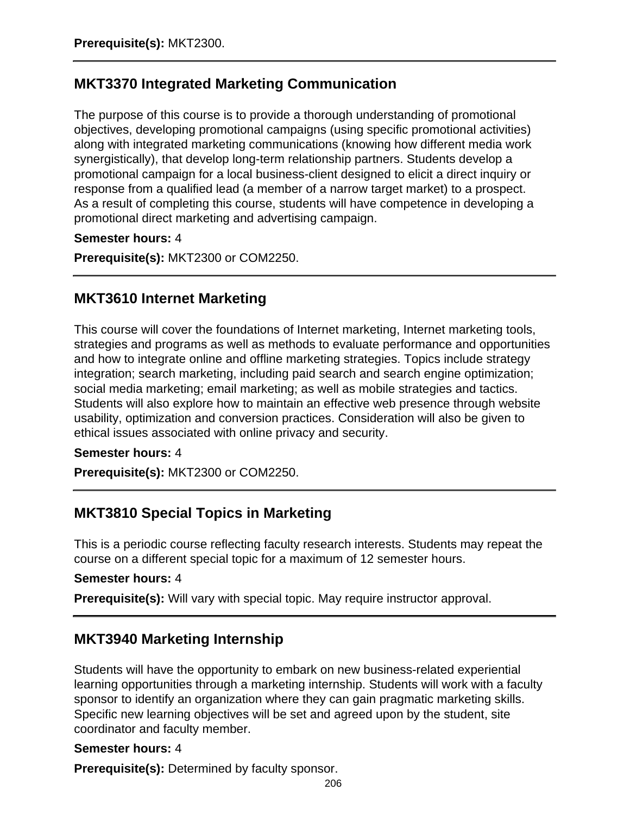## **MKT3370 Integrated Marketing Communication**

The purpose of this course is to provide a thorough understanding of promotional objectives, developing promotional campaigns (using specific promotional activities) along with integrated marketing communications (knowing how different media work synergistically), that develop long-term relationship partners. Students develop a promotional campaign for a local business-client designed to elicit a direct inquiry or response from a qualified lead (a member of a narrow target market) to a prospect. As a result of completing this course, students will have competence in developing a promotional direct marketing and advertising campaign.

#### **Semester hours:** 4

**Prerequisite(s):** MKT2300 or COM2250.

### **MKT3610 Internet Marketing**

This course will cover the foundations of Internet marketing, Internet marketing tools, strategies and programs as well as methods to evaluate performance and opportunities and how to integrate online and offline marketing strategies. Topics include strategy integration; search marketing, including paid search and search engine optimization; social media marketing; email marketing; as well as mobile strategies and tactics. Students will also explore how to maintain an effective web presence through website usability, optimization and conversion practices. Consideration will also be given to ethical issues associated with online privacy and security.

#### **Semester hours:** 4

**Prerequisite(s):** MKT2300 or COM2250.

### **MKT3810 Special Topics in Marketing**

This is a periodic course reflecting faculty research interests. Students may repeat the course on a different special topic for a maximum of 12 semester hours.

#### **Semester hours:** 4

**Prerequisite(s):** Will vary with special topic. May require instructor approval.

### **MKT3940 Marketing Internship**

Students will have the opportunity to embark on new business-related experiential learning opportunities through a marketing internship. Students will work with a faculty sponsor to identify an organization where they can gain pragmatic marketing skills. Specific new learning objectives will be set and agreed upon by the student, site coordinator and faculty member.

#### **Semester hours:** 4

**Prerequisite(s):** Determined by faculty sponsor.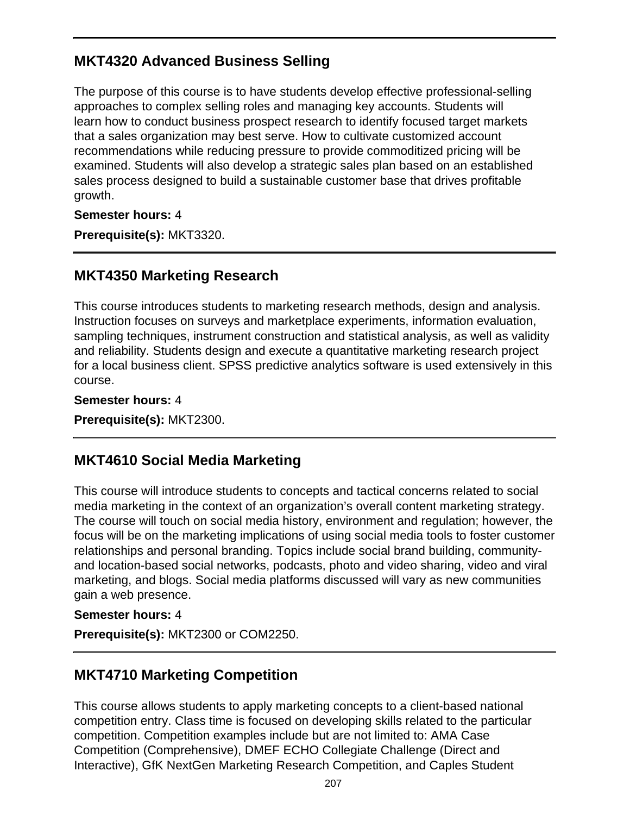## **MKT4320 Advanced Business Selling**

The purpose of this course is to have students develop effective professional-selling approaches to complex selling roles and managing key accounts. Students will learn how to conduct business prospect research to identify focused target markets that a sales organization may best serve. How to cultivate customized account recommendations while reducing pressure to provide commoditized pricing will be examined. Students will also develop a strategic sales plan based on an established sales process designed to build a sustainable customer base that drives profitable growth.

**Semester hours:** 4

**Prerequisite(s):** MKT3320.

### **MKT4350 Marketing Research**

This course introduces students to marketing research methods, design and analysis. Instruction focuses on surveys and marketplace experiments, information evaluation, sampling techniques, instrument construction and statistical analysis, as well as validity and reliability. Students design and execute a quantitative marketing research project for a local business client. SPSS predictive analytics software is used extensively in this course.

**Semester hours:** 4

**Prerequisite(s):** MKT2300.

### **MKT4610 Social Media Marketing**

This course will introduce students to concepts and tactical concerns related to social media marketing in the context of an organization's overall content marketing strategy. The course will touch on social media history, environment and regulation; however, the focus will be on the marketing implications of using social media tools to foster customer relationships and personal branding. Topics include social brand building, communityand location-based social networks, podcasts, photo and video sharing, video and viral marketing, and blogs. Social media platforms discussed will vary as new communities gain a web presence.

#### **Semester hours:** 4

**Prerequisite(s):** MKT2300 or COM2250.

### **MKT4710 Marketing Competition**

This course allows students to apply marketing concepts to a client-based national competition entry. Class time is focused on developing skills related to the particular competition. Competition examples include but are not limited to: AMA Case Competition (Comprehensive), DMEF ECHO Collegiate Challenge (Direct and Interactive), GfK NextGen Marketing Research Competition, and Caples Student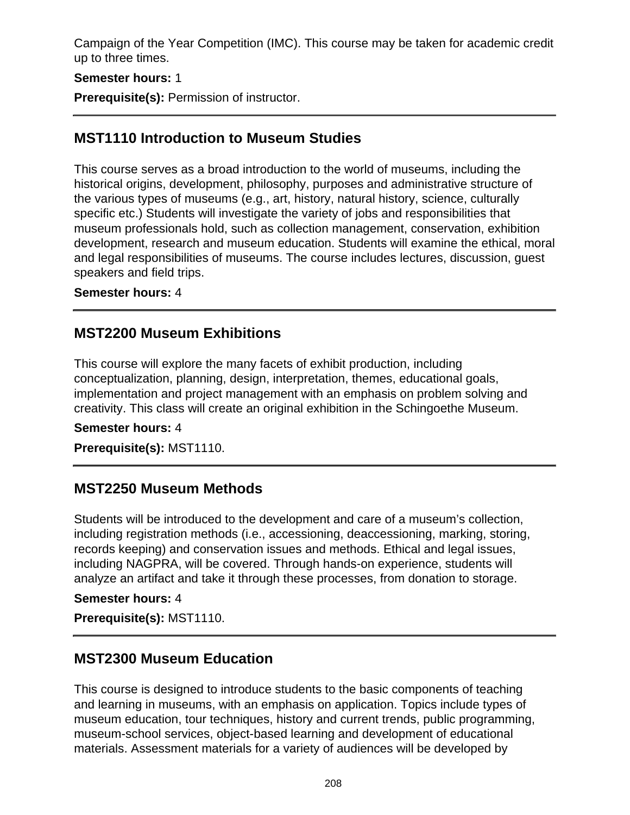Campaign of the Year Competition (IMC). This course may be taken for academic credit up to three times.

#### **Semester hours:** 1

**Prerequisite(s):** Permission of instructor.

### **MST1110 Introduction to Museum Studies**

This course serves as a broad introduction to the world of museums, including the historical origins, development, philosophy, purposes and administrative structure of the various types of museums (e.g., art, history, natural history, science, culturally specific etc.) Students will investigate the variety of jobs and responsibilities that museum professionals hold, such as collection management, conservation, exhibition development, research and museum education. Students will examine the ethical, moral and legal responsibilities of museums. The course includes lectures, discussion, guest speakers and field trips.

#### **Semester hours:** 4

### **MST2200 Museum Exhibitions**

This course will explore the many facets of exhibit production, including conceptualization, planning, design, interpretation, themes, educational goals, implementation and project management with an emphasis on problem solving and creativity. This class will create an original exhibition in the Schingoethe Museum.

**Semester hours:** 4

**Prerequisite(s):** MST1110.

### **MST2250 Museum Methods**

Students will be introduced to the development and care of a museum's collection, including registration methods (i.e., accessioning, deaccessioning, marking, storing, records keeping) and conservation issues and methods. Ethical and legal issues, including NAGPRA, will be covered. Through hands-on experience, students will analyze an artifact and take it through these processes, from donation to storage.

#### **Semester hours:** 4

**Prerequisite(s):** MST1110.

### **MST2300 Museum Education**

This course is designed to introduce students to the basic components of teaching and learning in museums, with an emphasis on application. Topics include types of museum education, tour techniques, history and current trends, public programming, museum-school services, object-based learning and development of educational materials. Assessment materials for a variety of audiences will be developed by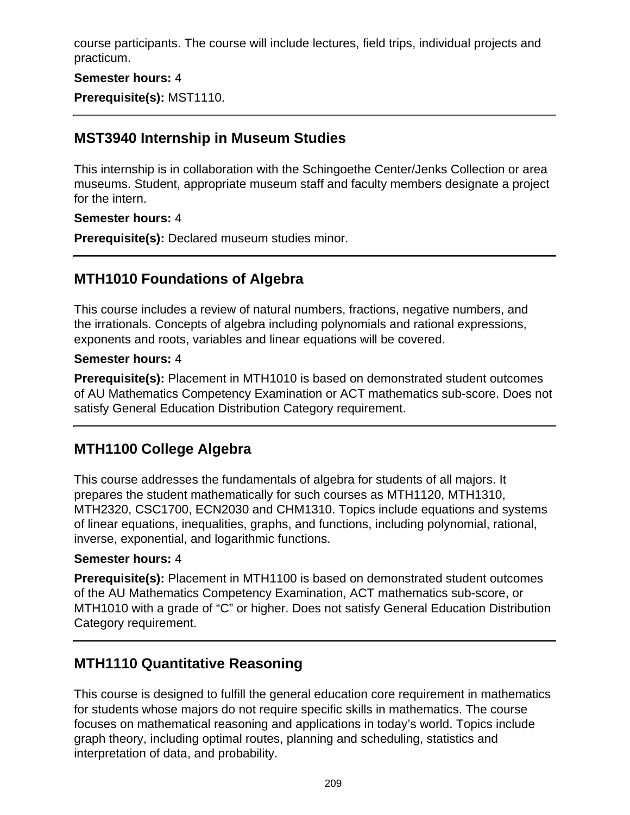course participants. The course will include lectures, field trips, individual projects and practicum.

### **Semester hours:** 4

**Prerequisite(s):** MST1110.

### **MST3940 Internship in Museum Studies**

This internship is in collaboration with the Schingoethe Center/Jenks Collection or area museums. Student, appropriate museum staff and faculty members designate a project for the intern.

#### **Semester hours:** 4

**Prerequisite(s):** Declared museum studies minor.

## **MTH1010 Foundations of Algebra**

This course includes a review of natural numbers, fractions, negative numbers, and the irrationals. Concepts of algebra including polynomials and rational expressions, exponents and roots, variables and linear equations will be covered.

### **Semester hours:** 4

**Prerequisite(s):** Placement in MTH1010 is based on demonstrated student outcomes of AU Mathematics Competency Examination or ACT mathematics sub-score. Does not satisfy General Education Distribution Category requirement.

### **MTH1100 College Algebra**

This course addresses the fundamentals of algebra for students of all majors. It prepares the student mathematically for such courses as MTH1120, MTH1310, MTH2320, CSC1700, ECN2030 and CHM1310. Topics include equations and systems of linear equations, inequalities, graphs, and functions, including polynomial, rational, inverse, exponential, and logarithmic functions.

### **Semester hours:** 4

**Prerequisite(s):** Placement in MTH1100 is based on demonstrated student outcomes of the AU Mathematics Competency Examination, ACT mathematics sub-score, or MTH1010 with a grade of "C" or higher. Does not satisfy General Education Distribution Category requirement.

### **MTH1110 Quantitative Reasoning**

This course is designed to fulfill the general education core requirement in mathematics for students whose majors do not require specific skills in mathematics. The course focuses on mathematical reasoning and applications in today's world. Topics include graph theory, including optimal routes, planning and scheduling, statistics and interpretation of data, and probability.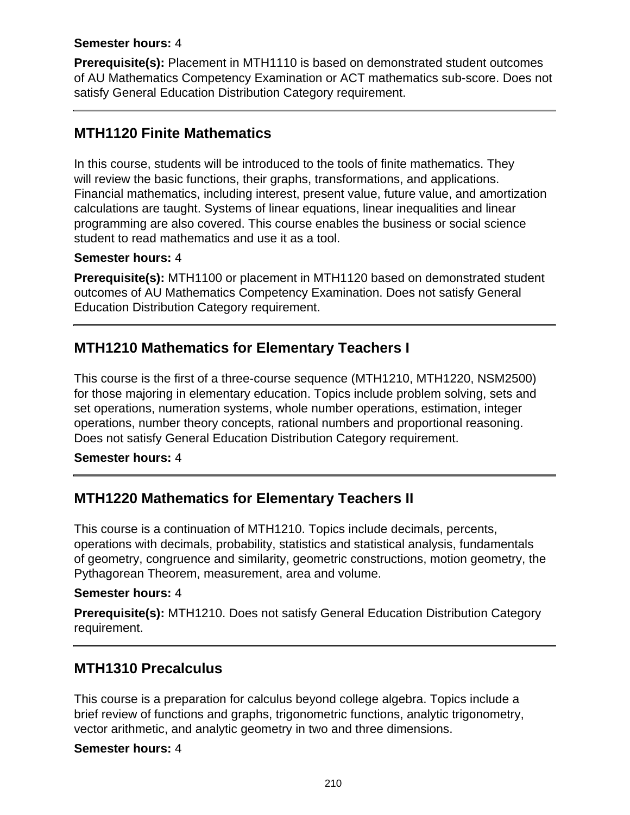#### **Semester hours:** 4

**Prerequisite(s):** Placement in MTH1110 is based on demonstrated student outcomes of AU Mathematics Competency Examination or ACT mathematics sub-score. Does not satisfy General Education Distribution Category requirement.

### **MTH1120 Finite Mathematics**

In this course, students will be introduced to the tools of finite mathematics. They will review the basic functions, their graphs, transformations, and applications. Financial mathematics, including interest, present value, future value, and amortization calculations are taught. Systems of linear equations, linear inequalities and linear programming are also covered. This course enables the business or social science student to read mathematics and use it as a tool.

### **Semester hours:** 4

**Prerequisite(s):** MTH1100 or placement in MTH1120 based on demonstrated student outcomes of AU Mathematics Competency Examination. Does not satisfy General Education Distribution Category requirement.

## **MTH1210 Mathematics for Elementary Teachers I**

This course is the first of a three-course sequence (MTH1210, MTH1220, NSM2500) for those majoring in elementary education. Topics include problem solving, sets and set operations, numeration systems, whole number operations, estimation, integer operations, number theory concepts, rational numbers and proportional reasoning. Does not satisfy General Education Distribution Category requirement.

**Semester hours:** 4

### **MTH1220 Mathematics for Elementary Teachers II**

This course is a continuation of MTH1210. Topics include decimals, percents, operations with decimals, probability, statistics and statistical analysis, fundamentals of geometry, congruence and similarity, geometric constructions, motion geometry, the Pythagorean Theorem, measurement, area and volume.

#### **Semester hours:** 4

**Prerequisite(s):** MTH1210. Does not satisfy General Education Distribution Category requirement.

### **MTH1310 Precalculus**

This course is a preparation for calculus beyond college algebra. Topics include a brief review of functions and graphs, trigonometric functions, analytic trigonometry, vector arithmetic, and analytic geometry in two and three dimensions.

#### **Semester hours:** 4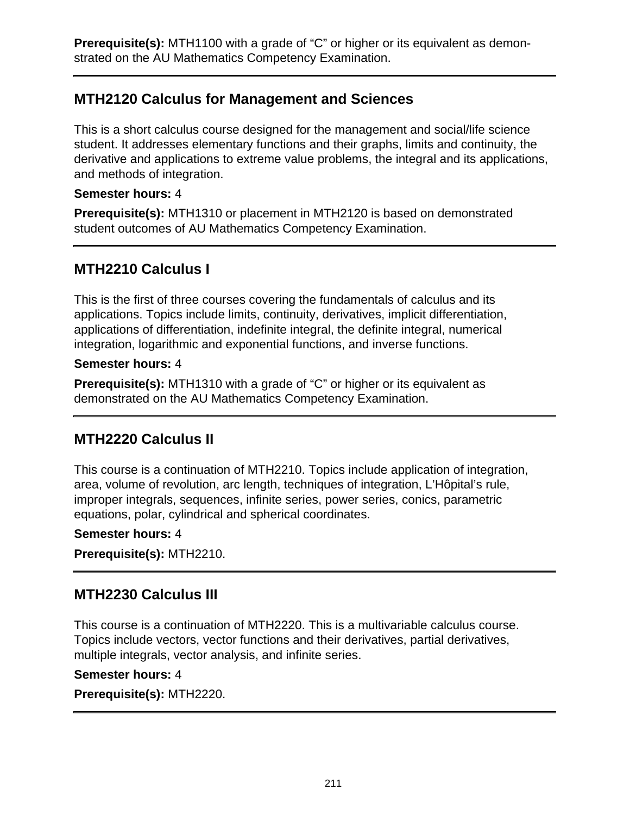## **MTH2120 Calculus for Management and Sciences**

This is a short calculus course designed for the management and social/life science student. It addresses elementary functions and their graphs, limits and continuity, the derivative and applications to extreme value problems, the integral and its applications, and methods of integration.

### **Semester hours:** 4

**Prerequisite(s):** MTH1310 or placement in MTH2120 is based on demonstrated student outcomes of AU Mathematics Competency Examination.

### **MTH2210 Calculus I**

This is the first of three courses covering the fundamentals of calculus and its applications. Topics include limits, continuity, derivatives, implicit differentiation, applications of differentiation, indefinite integral, the definite integral, numerical integration, logarithmic and exponential functions, and inverse functions.

### **Semester hours:** 4

**Prerequisite(s):** MTH1310 with a grade of "C" or higher or its equivalent as demonstrated on the AU Mathematics Competency Examination.

### **MTH2220 Calculus II**

This course is a continuation of MTH2210. Topics include application of integration, area, volume of revolution, arc length, techniques of integration, L'Hôpital's rule, improper integrals, sequences, infinite series, power series, conics, parametric equations, polar, cylindrical and spherical coordinates.

#### **Semester hours:** 4

**Prerequisite(s):** MTH2210.

### **MTH2230 Calculus III**

This course is a continuation of MTH2220. This is a multivariable calculus course. Topics include vectors, vector functions and their derivatives, partial derivatives, multiple integrals, vector analysis, and infinite series.

#### **Semester hours:** 4

**Prerequisite(s):** MTH2220.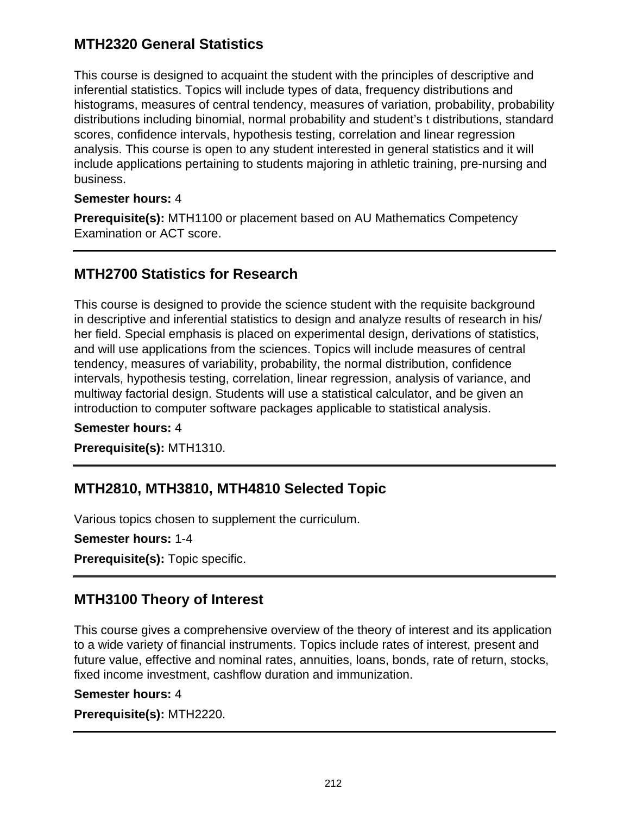## **MTH2320 General Statistics**

This course is designed to acquaint the student with the principles of descriptive and inferential statistics. Topics will include types of data, frequency distributions and histograms, measures of central tendency, measures of variation, probability, probability distributions including binomial, normal probability and student's t distributions, standard scores, confidence intervals, hypothesis testing, correlation and linear regression analysis. This course is open to any student interested in general statistics and it will include applications pertaining to students majoring in athletic training, pre-nursing and business.

#### **Semester hours:** 4

**Prerequisite(s):** MTH1100 or placement based on AU Mathematics Competency Examination or ACT score.

### **MTH2700 Statistics for Research**

This course is designed to provide the science student with the requisite background in descriptive and inferential statistics to design and analyze results of research in his/ her field. Special emphasis is placed on experimental design, derivations of statistics, and will use applications from the sciences. Topics will include measures of central tendency, measures of variability, probability, the normal distribution, confidence intervals, hypothesis testing, correlation, linear regression, analysis of variance, and multiway factorial design. Students will use a statistical calculator, and be given an introduction to computer software packages applicable to statistical analysis.

**Semester hours:** 4

**Prerequisite(s):** MTH1310.

# **MTH2810, MTH3810, MTH4810 Selected Topic**

Various topics chosen to supplement the curriculum.

**Semester hours:** 1-4

**Prerequisite(s):** Topic specific.

### **MTH3100 Theory of Interest**

This course gives a comprehensive overview of the theory of interest and its application to a wide variety of financial instruments. Topics include rates of interest, present and future value, effective and nominal rates, annuities, loans, bonds, rate of return, stocks, fixed income investment, cashflow duration and immunization.

#### **Semester hours:** 4

**Prerequisite(s):** MTH2220.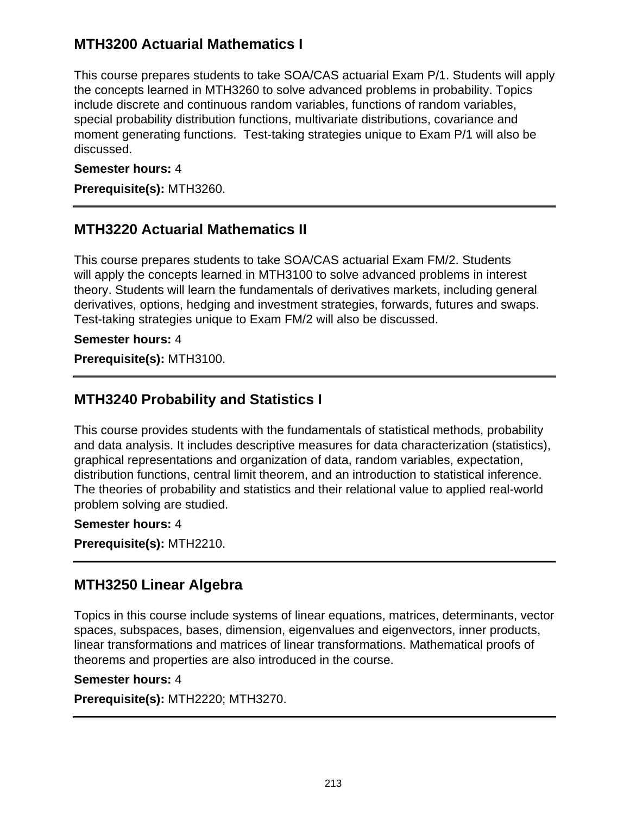## **MTH3200 Actuarial Mathematics I**

This course prepares students to take SOA/CAS actuarial Exam P/1. Students will apply the concepts learned in MTH3260 to solve advanced problems in probability. Topics include discrete and continuous random variables, functions of random variables, special probability distribution functions, multivariate distributions, covariance and moment generating functions. Test-taking strategies unique to Exam P/1 will also be discussed.

### **Semester hours:** 4

**Prerequisite(s):** MTH3260.

### **MTH3220 Actuarial Mathematics II**

This course prepares students to take SOA/CAS actuarial Exam FM/2. Students will apply the concepts learned in MTH3100 to solve advanced problems in interest theory. Students will learn the fundamentals of derivatives markets, including general derivatives, options, hedging and investment strategies, forwards, futures and swaps. Test-taking strategies unique to Exam FM/2 will also be discussed.

#### **Semester hours:** 4

**Prerequisite(s):** MTH3100.

### **MTH3240 Probability and Statistics I**

This course provides students with the fundamentals of statistical methods, probability and data analysis. It includes descriptive measures for data characterization (statistics), graphical representations and organization of data, random variables, expectation, distribution functions, central limit theorem, and an introduction to statistical inference. The theories of probability and statistics and their relational value to applied real-world problem solving are studied.

#### **Semester hours:** 4

**Prerequisite(s):** MTH2210.

### **MTH3250 Linear Algebra**

Topics in this course include systems of linear equations, matrices, determinants, vector spaces, subspaces, bases, dimension, eigenvalues and eigenvectors, inner products, linear transformations and matrices of linear transformations. Mathematical proofs of theorems and properties are also introduced in the course.

#### **Semester hours:** 4

**Prerequisite(s):** MTH2220; MTH3270.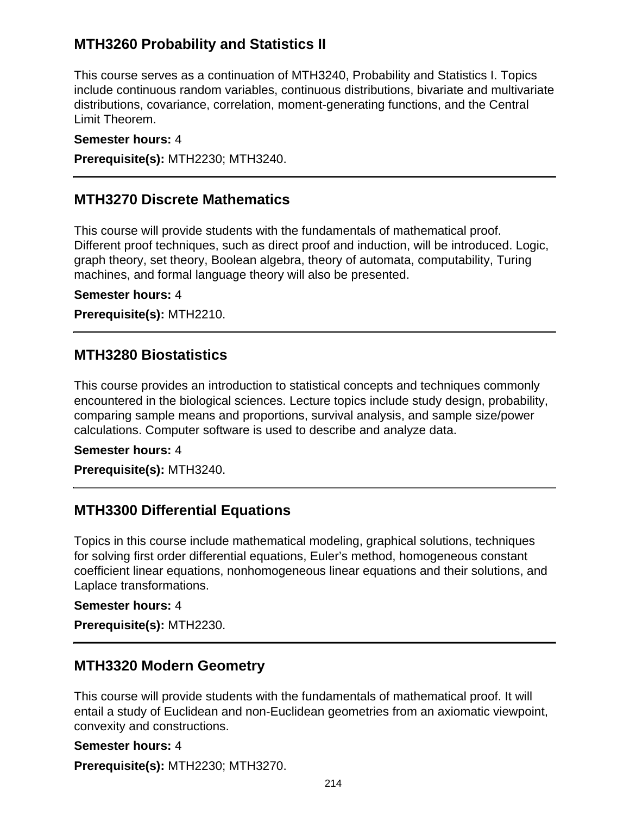## **MTH3260 Probability and Statistics II**

This course serves as a continuation of MTH3240, Probability and Statistics I. Topics include continuous random variables, continuous distributions, bivariate and multivariate distributions, covariance, correlation, moment-generating functions, and the Central Limit Theorem.

#### **Semester hours:** 4

**Prerequisite(s):** MTH2230; MTH3240.

### **MTH3270 Discrete Mathematics**

This course will provide students with the fundamentals of mathematical proof. Different proof techniques, such as direct proof and induction, will be introduced. Logic, graph theory, set theory, Boolean algebra, theory of automata, computability, Turing machines, and formal language theory will also be presented.

**Semester hours:** 4

**Prerequisite(s):** MTH2210.

### **MTH3280 Biostatistics**

This course provides an introduction to statistical concepts and techniques commonly encountered in the biological sciences. Lecture topics include study design, probability, comparing sample means and proportions, survival analysis, and sample size/power calculations. Computer software is used to describe and analyze data.

#### **Semester hours:** 4

**Prerequisite(s):** MTH3240.

### **MTH3300 Differential Equations**

Topics in this course include mathematical modeling, graphical solutions, techniques for solving first order differential equations, Euler's method, homogeneous constant coefficient linear equations, nonhomogeneous linear equations and their solutions, and Laplace transformations.

#### **Semester hours:** 4

**Prerequisite(s):** MTH2230.

### **MTH3320 Modern Geometry**

This course will provide students with the fundamentals of mathematical proof. It will entail a study of Euclidean and non-Euclidean geometries from an axiomatic viewpoint, convexity and constructions.

**Semester hours:** 4 **Prerequisite(s):** MTH2230; MTH3270.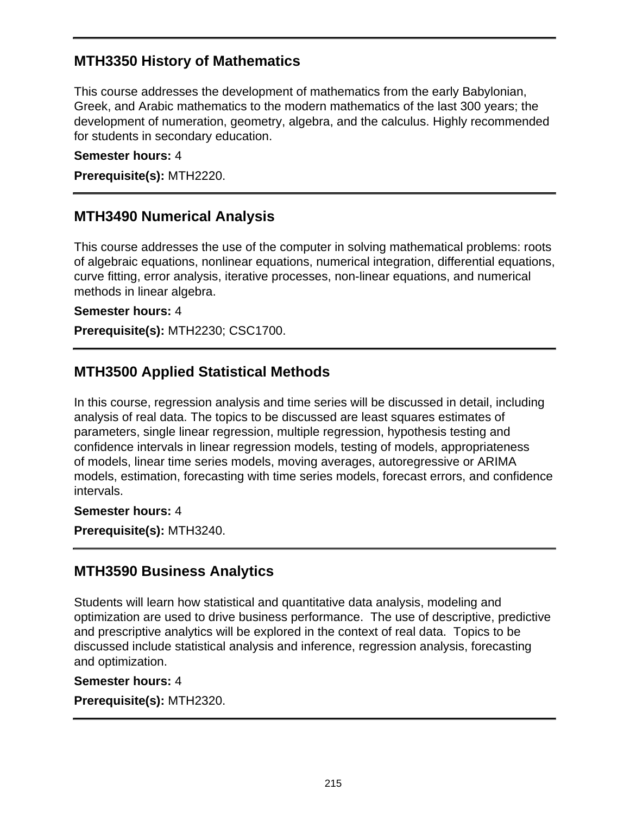## **MTH3350 History of Mathematics**

This course addresses the development of mathematics from the early Babylonian, Greek, and Arabic mathematics to the modern mathematics of the last 300 years; the development of numeration, geometry, algebra, and the calculus. Highly recommended for students in secondary education.

#### **Semester hours:** 4

**Prerequisite(s):** MTH2220.

### **MTH3490 Numerical Analysis**

This course addresses the use of the computer in solving mathematical problems: roots of algebraic equations, nonlinear equations, numerical integration, differential equations, curve fitting, error analysis, iterative processes, non-linear equations, and numerical methods in linear algebra.

#### **Semester hours:** 4

**Prerequisite(s):** MTH2230; CSC1700.

### **MTH3500 Applied Statistical Methods**

In this course, regression analysis and time series will be discussed in detail, including analysis of real data. The topics to be discussed are least squares estimates of parameters, single linear regression, multiple regression, hypothesis testing and confidence intervals in linear regression models, testing of models, appropriateness of models, linear time series models, moving averages, autoregressive or ARIMA models, estimation, forecasting with time series models, forecast errors, and confidence intervals.

#### **Semester hours:** 4

**Prerequisite(s):** MTH3240.

### **MTH3590 Business Analytics**

Students will learn how statistical and quantitative data analysis, modeling and optimization are used to drive business performance. The use of descriptive, predictive and prescriptive analytics will be explored in the context of real data. Topics to be discussed include statistical analysis and inference, regression analysis, forecasting and optimization.

#### **Semester hours:** 4

**Prerequisite(s):** MTH2320.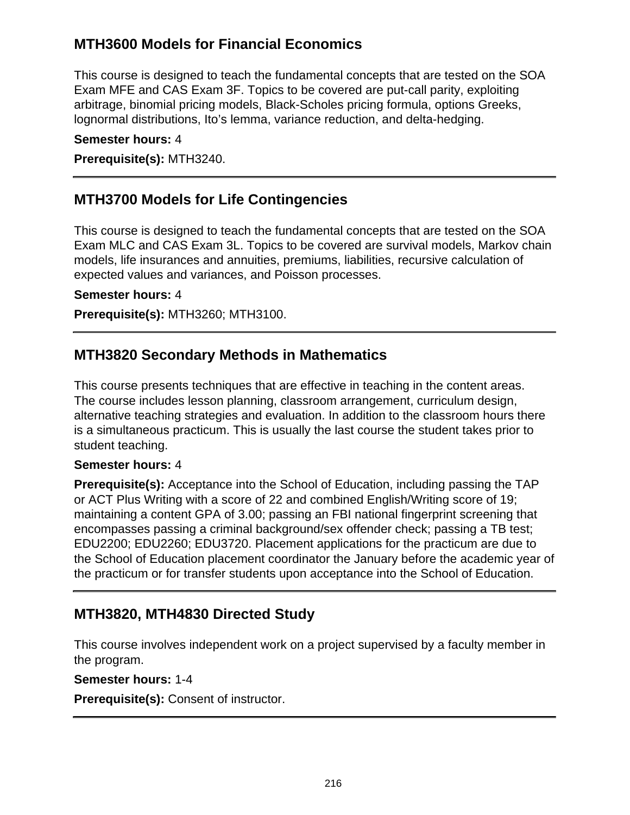## **MTH3600 Models for Financial Economics**

This course is designed to teach the fundamental concepts that are tested on the SOA Exam MFE and CAS Exam 3F. Topics to be covered are put-call parity, exploiting arbitrage, binomial pricing models, Black-Scholes pricing formula, options Greeks, lognormal distributions, Ito's lemma, variance reduction, and delta-hedging.

#### **Semester hours:** 4

**Prerequisite(s):** MTH3240.

### **MTH3700 Models for Life Contingencies**

This course is designed to teach the fundamental concepts that are tested on the SOA Exam MLC and CAS Exam 3L. Topics to be covered are survival models, Markov chain models, life insurances and annuities, premiums, liabilities, recursive calculation of expected values and variances, and Poisson processes.

#### **Semester hours:** 4

**Prerequisite(s):** MTH3260; MTH3100.

### **MTH3820 Secondary Methods in Mathematics**

This course presents techniques that are effective in teaching in the content areas. The course includes lesson planning, classroom arrangement, curriculum design, alternative teaching strategies and evaluation. In addition to the classroom hours there is a simultaneous practicum. This is usually the last course the student takes prior to student teaching.

#### **Semester hours:** 4

**Prerequisite(s):** Acceptance into the School of Education, including passing the TAP or ACT Plus Writing with a score of 22 and combined English/Writing score of 19; maintaining a content GPA of 3.00; passing an FBI national fingerprint screening that encompasses passing a criminal background/sex offender check; passing a TB test; EDU2200; EDU2260; EDU3720. Placement applications for the practicum are due to the School of Education placement coordinator the January before the academic year of the practicum or for transfer students upon acceptance into the School of Education.

### **MTH3820, MTH4830 Directed Study**

This course involves independent work on a project supervised by a faculty member in the program.

#### **Semester hours:** 1-4

**Prerequisite(s):** Consent of instructor.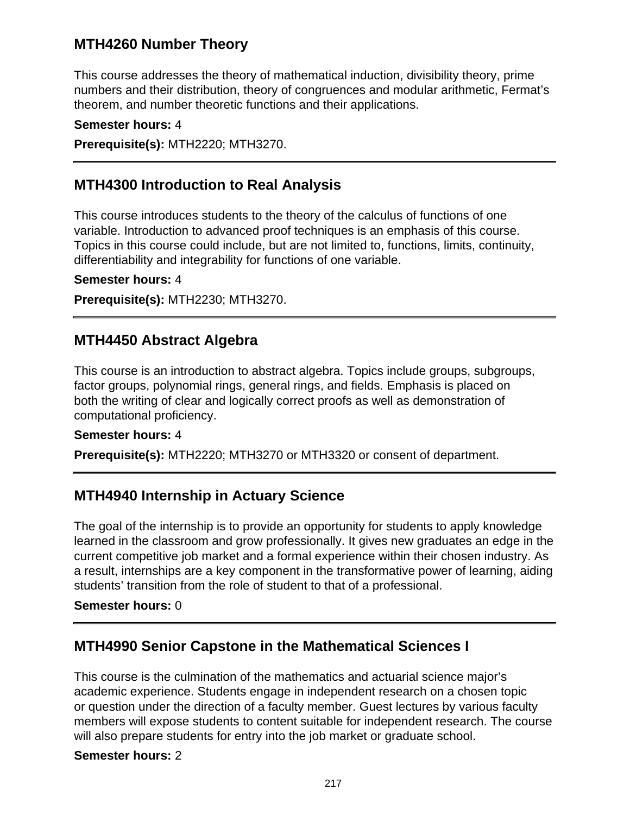## **MTH4260 Number Theory**

This course addresses the theory of mathematical induction, divisibility theory, prime numbers and their distribution, theory of congruences and modular arithmetic, Fermat's theorem, and number theoretic functions and their applications.

**Semester hours:** 4 **Prerequisite(s):** MTH2220; MTH3270.

### **MTH4300 Introduction to Real Analysis**

This course introduces students to the theory of the calculus of functions of one variable. Introduction to advanced proof techniques is an emphasis of this course. Topics in this course could include, but are not limited to, functions, limits, continuity, differentiability and integrability for functions of one variable.

**Semester hours:** 4

**Prerequisite(s):** MTH2230; MTH3270.

### **MTH4450 Abstract Algebra**

This course is an introduction to abstract algebra. Topics include groups, subgroups, factor groups, polynomial rings, general rings, and fields. Emphasis is placed on both the writing of clear and logically correct proofs as well as demonstration of computational proficiency.

#### **Semester hours:** 4

**Prerequisite(s):** MTH2220; MTH3270 or MTH3320 or consent of department.

### **MTH4940 Internship in Actuary Science**

The goal of the internship is to provide an opportunity for students to apply knowledge learned in the classroom and grow professionally. It gives new graduates an edge in the current competitive job market and a formal experience within their chosen industry. As a result, internships are a key component in the transformative power of learning, aiding students' transition from the role of student to that of a professional.

#### **Semester hours:** 0

### **MTH4990 Senior Capstone in the Mathematical Sciences I**

This course is the culmination of the mathematics and actuarial science major's academic experience. Students engage in independent research on a chosen topic or question under the direction of a faculty member. Guest lectures by various faculty members will expose students to content suitable for independent research. The course will also prepare students for entry into the job market or graduate school.

#### **Semester hours:** 2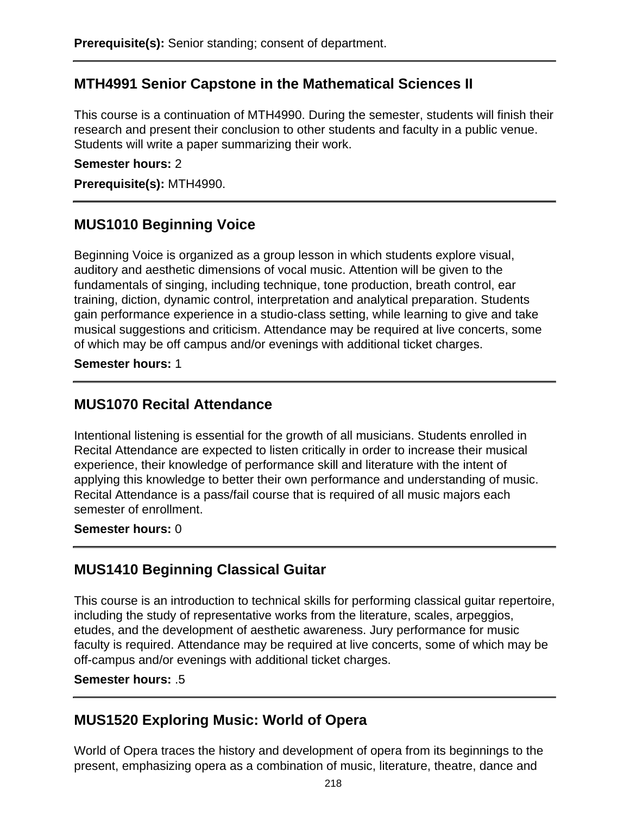## **MTH4991 Senior Capstone in the Mathematical Sciences II**

This course is a continuation of MTH4990. During the semester, students will finish their research and present their conclusion to other students and faculty in a public venue. Students will write a paper summarizing their work.

#### **Semester hours:** 2

**Prerequisite(s):** MTH4990.

### **MUS1010 Beginning Voice**

Beginning Voice is organized as a group lesson in which students explore visual, auditory and aesthetic dimensions of vocal music. Attention will be given to the fundamentals of singing, including technique, tone production, breath control, ear training, diction, dynamic control, interpretation and analytical preparation. Students gain performance experience in a studio-class setting, while learning to give and take musical suggestions and criticism. Attendance may be required at live concerts, some of which may be off campus and/or evenings with additional ticket charges.

#### **Semester hours:** 1

### **MUS1070 Recital Attendance**

Intentional listening is essential for the growth of all musicians. Students enrolled in Recital Attendance are expected to listen critically in order to increase their musical experience, their knowledge of performance skill and literature with the intent of applying this knowledge to better their own performance and understanding of music. Recital Attendance is a pass/fail course that is required of all music majors each semester of enrollment.

#### **Semester hours:** 0

### **MUS1410 Beginning Classical Guitar**

This course is an introduction to technical skills for performing classical guitar repertoire, including the study of representative works from the literature, scales, arpeggios, etudes, and the development of aesthetic awareness. Jury performance for music faculty is required. Attendance may be required at live concerts, some of which may be off-campus and/or evenings with additional ticket charges.

#### **Semester hours:** .5

### **MUS1520 Exploring Music: World of Opera**

World of Opera traces the history and development of opera from its beginnings to the present, emphasizing opera as a combination of music, literature, theatre, dance and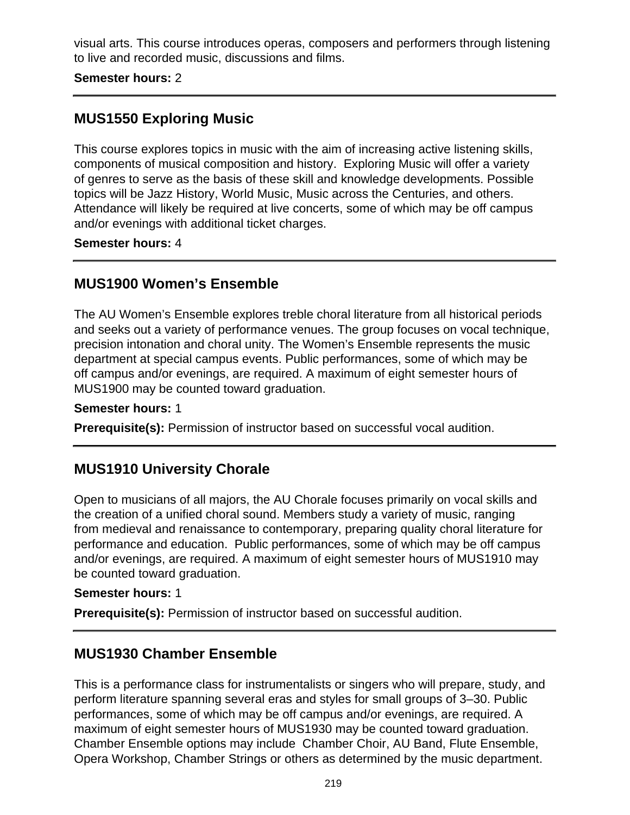visual arts. This course introduces operas, composers and performers through listening to live and recorded music, discussions and films.

**Semester hours:** 2

## **MUS1550 Exploring Music**

This course explores topics in music with the aim of increasing active listening skills, components of musical composition and history. Exploring Music will offer a variety of genres to serve as the basis of these skill and knowledge developments. Possible topics will be Jazz History, World Music, Music across the Centuries, and others. Attendance will likely be required at live concerts, some of which may be off campus and/or evenings with additional ticket charges.

**Semester hours:** 4

## **MUS1900 Women's Ensemble**

The AU Women's Ensemble explores treble choral literature from all historical periods and seeks out a variety of performance venues. The group focuses on vocal technique, precision intonation and choral unity. The Women's Ensemble represents the music department at special campus events. Public performances, some of which may be off campus and/or evenings, are required. A maximum of eight semester hours of MUS1900 may be counted toward graduation.

#### **Semester hours:** 1

**Prerequisite(s):** Permission of instructor based on successful vocal audition.

## **MUS1910 University Chorale**

Open to musicians of all majors, the AU Chorale focuses primarily on vocal skills and the creation of a unified choral sound. Members study a variety of music, ranging from medieval and renaissance to contemporary, preparing quality choral literature for performance and education. Public performances, some of which may be off campus and/or evenings, are required. A maximum of eight semester hours of MUS1910 may be counted toward graduation.

### **Semester hours:** 1

**Prerequisite(s):** Permission of instructor based on successful audition.

## **MUS1930 Chamber Ensemble**

This is a performance class for instrumentalists or singers who will prepare, study, and perform literature spanning several eras and styles for small groups of 3–30. Public performances, some of which may be off campus and/or evenings, are required. A maximum of eight semester hours of MUS1930 may be counted toward graduation. Chamber Ensemble options may include Chamber Choir, AU Band, Flute Ensemble, Opera Workshop, Chamber Strings or others as determined by the music department.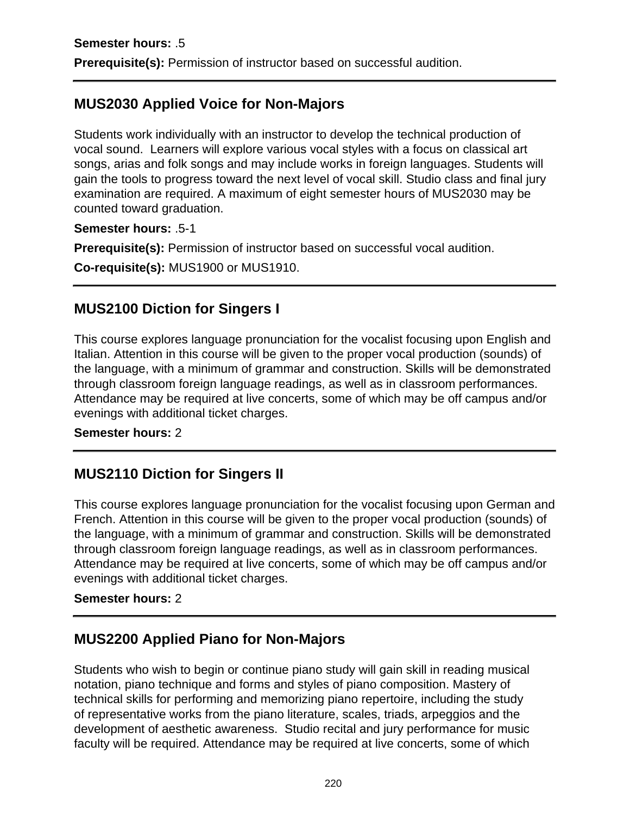# **MUS2030 Applied Voice for Non-Majors**

Students work individually with an instructor to develop the technical production of vocal sound. Learners will explore various vocal styles with a focus on classical art songs, arias and folk songs and may include works in foreign languages. Students will gain the tools to progress toward the next level of vocal skill. Studio class and final jury examination are required. A maximum of eight semester hours of MUS2030 may be counted toward graduation.

**Semester hours:** .5-1

**Prerequisite(s):** Permission of instructor based on successful vocal audition.

**Co-requisite(s):** MUS1900 or MUS1910.

## **MUS2100 Diction for Singers I**

This course explores language pronunciation for the vocalist focusing upon English and Italian. Attention in this course will be given to the proper vocal production (sounds) of the language, with a minimum of grammar and construction. Skills will be demonstrated through classroom foreign language readings, as well as in classroom performances. Attendance may be required at live concerts, some of which may be off campus and/or evenings with additional ticket charges.

### **Semester hours:** 2

## **MUS2110 Diction for Singers II**

This course explores language pronunciation for the vocalist focusing upon German and French. Attention in this course will be given to the proper vocal production (sounds) of the language, with a minimum of grammar and construction. Skills will be demonstrated through classroom foreign language readings, as well as in classroom performances. Attendance may be required at live concerts, some of which may be off campus and/or evenings with additional ticket charges.

### **Semester hours:** 2

## **MUS2200 Applied Piano for Non-Majors**

Students who wish to begin or continue piano study will gain skill in reading musical notation, piano technique and forms and styles of piano composition. Mastery of technical skills for performing and memorizing piano repertoire, including the study of representative works from the piano literature, scales, triads, arpeggios and the development of aesthetic awareness. Studio recital and jury performance for music faculty will be required. Attendance may be required at live concerts, some of which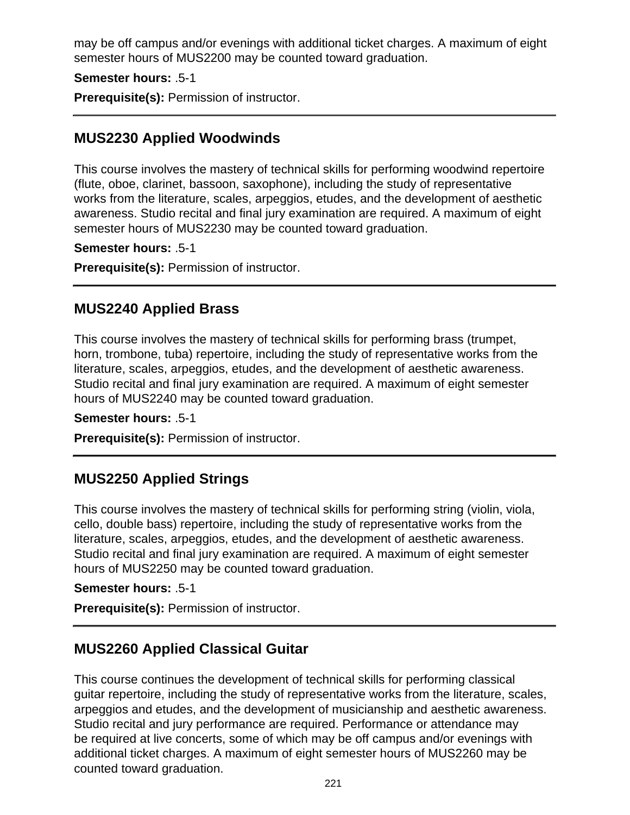may be off campus and/or evenings with additional ticket charges. A maximum of eight semester hours of MUS2200 may be counted toward graduation.

**Semester hours:** .5-1

**Prerequisite(s):** Permission of instructor.

## **MUS2230 Applied Woodwinds**

This course involves the mastery of technical skills for performing woodwind repertoire (flute, oboe, clarinet, bassoon, saxophone), including the study of representative works from the literature, scales, arpeggios, etudes, and the development of aesthetic awareness. Studio recital and final jury examination are required. A maximum of eight semester hours of MUS2230 may be counted toward graduation.

**Semester hours:** .5-1

**Prerequisite(s):** Permission of instructor.

### **MUS2240 Applied Brass**

This course involves the mastery of technical skills for performing brass (trumpet, horn, trombone, tuba) repertoire, including the study of representative works from the literature, scales, arpeggios, etudes, and the development of aesthetic awareness. Studio recital and final jury examination are required. A maximum of eight semester hours of MUS2240 may be counted toward graduation.

**Semester hours:** .5-1

**Prerequisite(s):** Permission of instructor.

## **MUS2250 Applied Strings**

This course involves the mastery of technical skills for performing string (violin, viola, cello, double bass) repertoire, including the study of representative works from the literature, scales, arpeggios, etudes, and the development of aesthetic awareness. Studio recital and final jury examination are required. A maximum of eight semester hours of MUS2250 may be counted toward graduation.

**Semester hours:** .5-1

**Prerequisite(s):** Permission of instructor.

## **MUS2260 Applied Classical Guitar**

This course continues the development of technical skills for performing classical guitar repertoire, including the study of representative works from the literature, scales, arpeggios and etudes, and the development of musicianship and aesthetic awareness. Studio recital and jury performance are required. Performance or attendance may be required at live concerts, some of which may be off campus and/or evenings with additional ticket charges. A maximum of eight semester hours of MUS2260 may be counted toward graduation.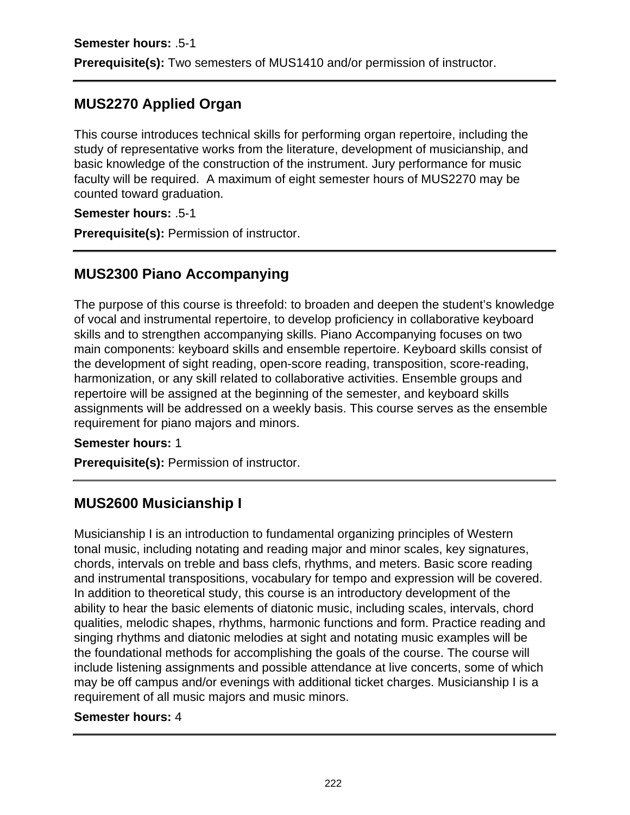## **MUS2270 Applied Organ**

This course introduces technical skills for performing organ repertoire, including the study of representative works from the literature, development of musicianship, and basic knowledge of the construction of the instrument. Jury performance for music faculty will be required. A maximum of eight semester hours of MUS2270 may be counted toward graduation.

**Semester hours:** .5-1

**Prerequisite(s):** Permission of instructor.

## **MUS2300 Piano Accompanying**

The purpose of this course is threefold: to broaden and deepen the student's knowledge of vocal and instrumental repertoire, to develop proficiency in collaborative keyboard skills and to strengthen accompanying skills. Piano Accompanying focuses on two main components: keyboard skills and ensemble repertoire. Keyboard skills consist of the development of sight reading, open-score reading, transposition, score-reading, harmonization, or any skill related to collaborative activities. Ensemble groups and repertoire will be assigned at the beginning of the semester, and keyboard skills assignments will be addressed on a weekly basis. This course serves as the ensemble requirement for piano majors and minors.

**Semester hours:** 1

**Prerequisite(s):** Permission of instructor.

## **MUS2600 Musicianship I**

Musicianship I is an introduction to fundamental organizing principles of Western tonal music, including notating and reading major and minor scales, key signatures, chords, intervals on treble and bass clefs, rhythms, and meters. Basic score reading and instrumental transpositions, vocabulary for tempo and expression will be covered. In addition to theoretical study, this course is an introductory development of the ability to hear the basic elements of diatonic music, including scales, intervals, chord qualities, melodic shapes, rhythms, harmonic functions and form. Practice reading and singing rhythms and diatonic melodies at sight and notating music examples will be the foundational methods for accomplishing the goals of the course. The course will include listening assignments and possible attendance at live concerts, some of which may be off campus and/or evenings with additional ticket charges. Musicianship I is a requirement of all music majors and music minors.

### **Semester hours:** 4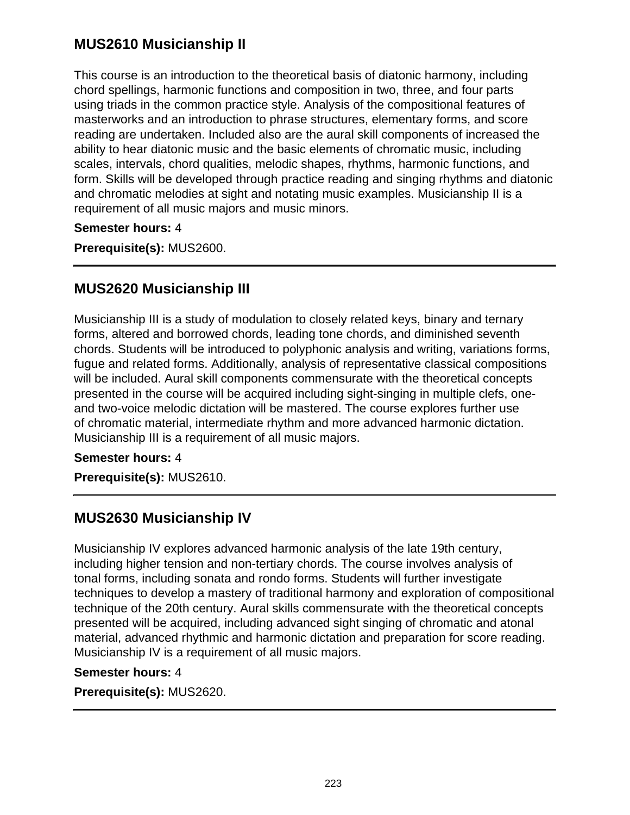## **MUS2610 Musicianship II**

This course is an introduction to the theoretical basis of diatonic harmony, including chord spellings, harmonic functions and composition in two, three, and four parts using triads in the common practice style. Analysis of the compositional features of masterworks and an introduction to phrase structures, elementary forms, and score reading are undertaken. Included also are the aural skill components of increased the ability to hear diatonic music and the basic elements of chromatic music, including scales, intervals, chord qualities, melodic shapes, rhythms, harmonic functions, and form. Skills will be developed through practice reading and singing rhythms and diatonic and chromatic melodies at sight and notating music examples. Musicianship II is a requirement of all music majors and music minors.

### **Semester hours:** 4

**Prerequisite(s):** MUS2600.

## **MUS2620 Musicianship III**

Musicianship III is a study of modulation to closely related keys, binary and ternary forms, altered and borrowed chords, leading tone chords, and diminished seventh chords. Students will be introduced to polyphonic analysis and writing, variations forms, fugue and related forms. Additionally, analysis of representative classical compositions will be included. Aural skill components commensurate with the theoretical concepts presented in the course will be acquired including sight-singing in multiple clefs, oneand two-voice melodic dictation will be mastered. The course explores further use of chromatic material, intermediate rhythm and more advanced harmonic dictation. Musicianship III is a requirement of all music majors.

#### **Semester hours:** 4

**Prerequisite(s):** MUS2610.

## **MUS2630 Musicianship IV**

Musicianship IV explores advanced harmonic analysis of the late 19th century, including higher tension and non-tertiary chords. The course involves analysis of tonal forms, including sonata and rondo forms. Students will further investigate techniques to develop a mastery of traditional harmony and exploration of compositional technique of the 20th century. Aural skills commensurate with the theoretical concepts presented will be acquired, including advanced sight singing of chromatic and atonal material, advanced rhythmic and harmonic dictation and preparation for score reading. Musicianship IV is a requirement of all music majors.

#### **Semester hours:** 4

**Prerequisite(s):** MUS2620.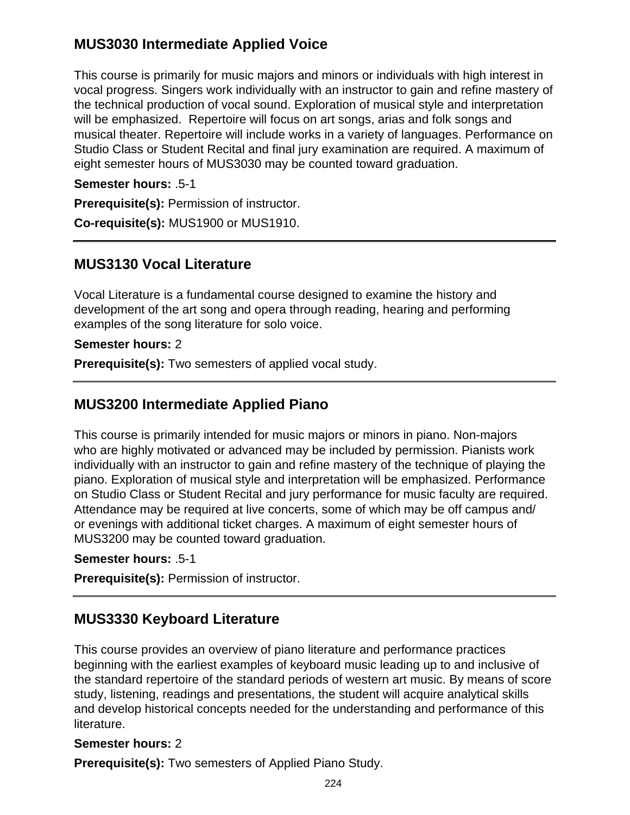## **MUS3030 Intermediate Applied Voice**

This course is primarily for music majors and minors or individuals with high interest in vocal progress. Singers work individually with an instructor to gain and refine mastery of the technical production of vocal sound. Exploration of musical style and interpretation will be emphasized. Repertoire will focus on art songs, arias and folk songs and musical theater. Repertoire will include works in a variety of languages. Performance on Studio Class or Student Recital and final jury examination are required. A maximum of eight semester hours of MUS3030 may be counted toward graduation.

**Semester hours:** .5-1

**Prerequisite(s):** Permission of instructor.

**Co-requisite(s):** MUS1900 or MUS1910.

### **MUS3130 Vocal Literature**

Vocal Literature is a fundamental course designed to examine the history and development of the art song and opera through reading, hearing and performing examples of the song literature for solo voice.

#### **Semester hours:** 2

**Prerequisite(s):** Two semesters of applied vocal study.

### **MUS3200 Intermediate Applied Piano**

This course is primarily intended for music majors or minors in piano. Non-majors who are highly motivated or advanced may be included by permission. Pianists work individually with an instructor to gain and refine mastery of the technique of playing the piano. Exploration of musical style and interpretation will be emphasized. Performance on Studio Class or Student Recital and jury performance for music faculty are required. Attendance may be required at live concerts, some of which may be off campus and/ or evenings with additional ticket charges. A maximum of eight semester hours of MUS3200 may be counted toward graduation.

### **Semester hours:** .5-1

**Prerequisite(s):** Permission of instructor.

## **MUS3330 Keyboard Literature**

This course provides an overview of piano literature and performance practices beginning with the earliest examples of keyboard music leading up to and inclusive of the standard repertoire of the standard periods of western art music. By means of score study, listening, readings and presentations, the student will acquire analytical skills and develop historical concepts needed for the understanding and performance of this literature.

### **Semester hours:** 2

**Prerequisite(s):** Two semesters of Applied Piano Study.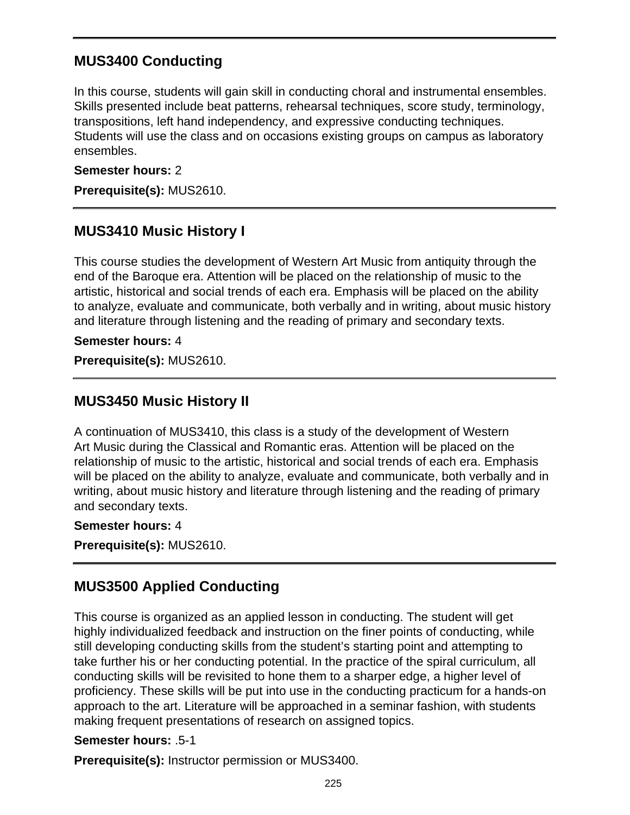## **MUS3400 Conducting**

In this course, students will gain skill in conducting choral and instrumental ensembles. Skills presented include beat patterns, rehearsal techniques, score study, terminology, transpositions, left hand independency, and expressive conducting techniques. Students will use the class and on occasions existing groups on campus as laboratory ensembles.

#### **Semester hours:** 2

**Prerequisite(s):** MUS2610.

## **MUS3410 Music History I**

This course studies the development of Western Art Music from antiquity through the end of the Baroque era. Attention will be placed on the relationship of music to the artistic, historical and social trends of each era. Emphasis will be placed on the ability to analyze, evaluate and communicate, both verbally and in writing, about music history and literature through listening and the reading of primary and secondary texts.

**Semester hours:** 4

**Prerequisite(s):** MUS2610.

## **MUS3450 Music History II**

A continuation of MUS3410, this class is a study of the development of Western Art Music during the Classical and Romantic eras. Attention will be placed on the relationship of music to the artistic, historical and social trends of each era. Emphasis will be placed on the ability to analyze, evaluate and communicate, both verbally and in writing, about music history and literature through listening and the reading of primary and secondary texts.

#### **Semester hours:** 4

**Prerequisite(s):** MUS2610.

## **MUS3500 Applied Conducting**

This course is organized as an applied lesson in conducting. The student will get highly individualized feedback and instruction on the finer points of conducting, while still developing conducting skills from the student's starting point and attempting to take further his or her conducting potential. In the practice of the spiral curriculum, all conducting skills will be revisited to hone them to a sharper edge, a higher level of proficiency. These skills will be put into use in the conducting practicum for a hands-on approach to the art. Literature will be approached in a seminar fashion, with students making frequent presentations of research on assigned topics.

### **Semester hours:** .5-1

**Prerequisite(s):** Instructor permission or MUS3400.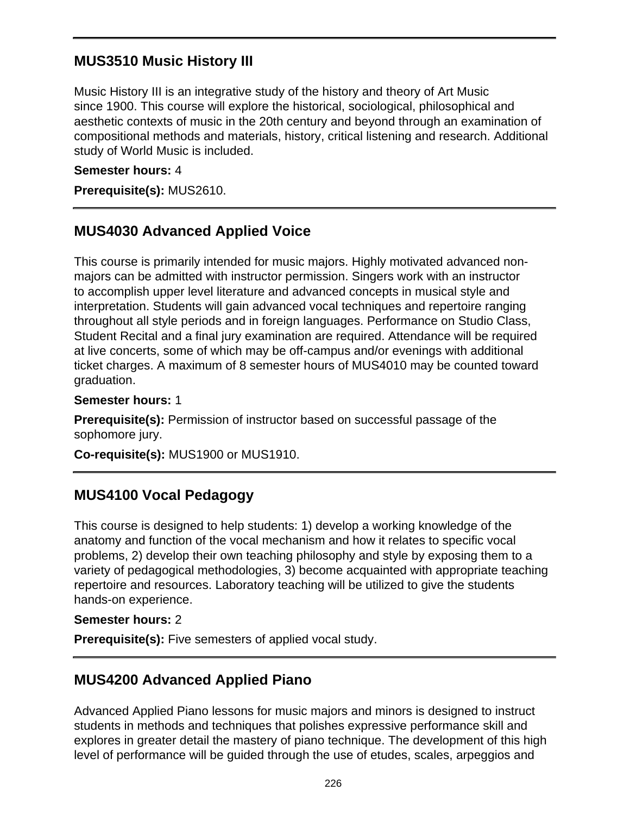## **MUS3510 Music History III**

Music History III is an integrative study of the history and theory of Art Music since 1900. This course will explore the historical, sociological, philosophical and aesthetic contexts of music in the 20th century and beyond through an examination of compositional methods and materials, history, critical listening and research. Additional study of World Music is included.

#### **Semester hours:** 4

**Prerequisite(s):** MUS2610.

## **MUS4030 Advanced Applied Voice**

This course is primarily intended for music majors. Highly motivated advanced nonmajors can be admitted with instructor permission. Singers work with an instructor to accomplish upper level literature and advanced concepts in musical style and interpretation. Students will gain advanced vocal techniques and repertoire ranging throughout all style periods and in foreign languages. Performance on Studio Class, Student Recital and a final jury examination are required. Attendance will be required at live concerts, some of which may be off-campus and/or evenings with additional ticket charges. A maximum of 8 semester hours of MUS4010 may be counted toward graduation.

#### **Semester hours:** 1

**Prerequisite(s):** Permission of instructor based on successful passage of the sophomore jury.

**Co-requisite(s):** MUS1900 or MUS1910.

## **MUS4100 Vocal Pedagogy**

This course is designed to help students: 1) develop a working knowledge of the anatomy and function of the vocal mechanism and how it relates to specific vocal problems, 2) develop their own teaching philosophy and style by exposing them to a variety of pedagogical methodologies, 3) become acquainted with appropriate teaching repertoire and resources. Laboratory teaching will be utilized to give the students hands-on experience.

#### **Semester hours:** 2

**Prerequisite(s):** Five semesters of applied vocal study.

## **MUS4200 Advanced Applied Piano**

Advanced Applied Piano lessons for music majors and minors is designed to instruct students in methods and techniques that polishes expressive performance skill and explores in greater detail the mastery of piano technique. The development of this high level of performance will be guided through the use of etudes, scales, arpeggios and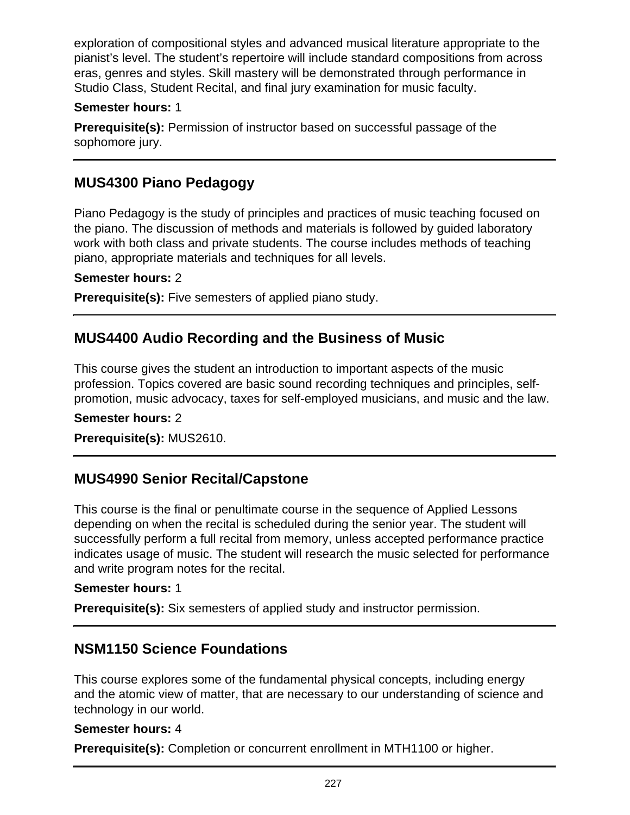exploration of compositional styles and advanced musical literature appropriate to the pianist's level. The student's repertoire will include standard compositions from across eras, genres and styles. Skill mastery will be demonstrated through performance in Studio Class, Student Recital, and final jury examination for music faculty.

### **Semester hours:** 1

**Prerequisite(s):** Permission of instructor based on successful passage of the sophomore jury.

## **MUS4300 Piano Pedagogy**

Piano Pedagogy is the study of principles and practices of music teaching focused on the piano. The discussion of methods and materials is followed by guided laboratory work with both class and private students. The course includes methods of teaching piano, appropriate materials and techniques for all levels.

#### **Semester hours:** 2

**Prerequisite(s):** Five semesters of applied piano study.

### **MUS4400 Audio Recording and the Business of Music**

This course gives the student an introduction to important aspects of the music profession. Topics covered are basic sound recording techniques and principles, selfpromotion, music advocacy, taxes for self-employed musicians, and music and the law.

#### **Semester hours:** 2

**Prerequisite(s):** MUS2610.

## **MUS4990 Senior Recital/Capstone**

This course is the final or penultimate course in the sequence of Applied Lessons depending on when the recital is scheduled during the senior year. The student will successfully perform a full recital from memory, unless accepted performance practice indicates usage of music. The student will research the music selected for performance and write program notes for the recital.

#### **Semester hours:** 1

**Prerequisite(s):** Six semesters of applied study and instructor permission.

### **NSM1150 Science Foundations**

This course explores some of the fundamental physical concepts, including energy and the atomic view of matter, that are necessary to our understanding of science and technology in our world.

#### **Semester hours:** 4

**Prerequisite(s):** Completion or concurrent enrollment in MTH1100 or higher.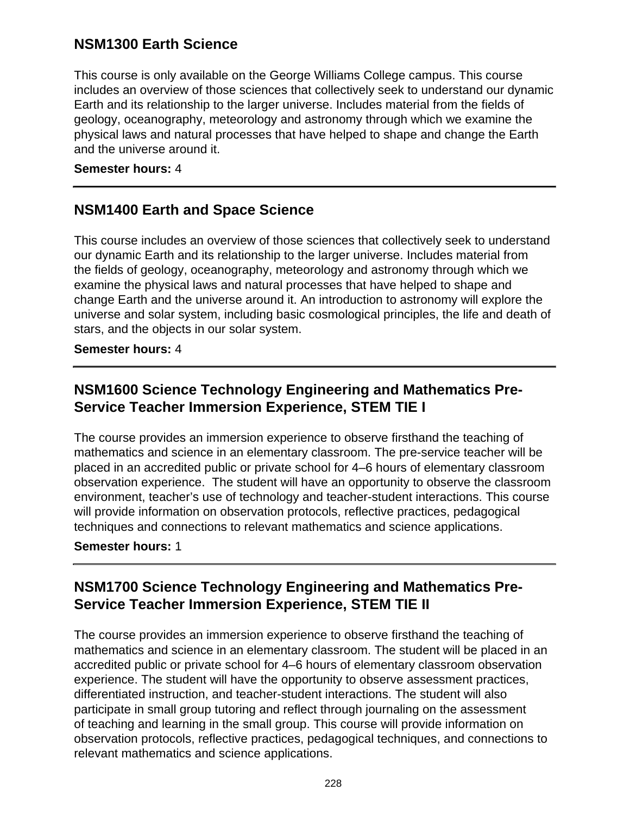## **NSM1300 Earth Science**

This course is only available on the George Williams College campus. This course includes an overview of those sciences that collectively seek to understand our dynamic Earth and its relationship to the larger universe. Includes material from the fields of geology, oceanography, meteorology and astronomy through which we examine the physical laws and natural processes that have helped to shape and change the Earth and the universe around it.

#### **Semester hours:** 4

## **NSM1400 Earth and Space Science**

This course includes an overview of those sciences that collectively seek to understand our dynamic Earth and its relationship to the larger universe. Includes material from the fields of geology, oceanography, meteorology and astronomy through which we examine the physical laws and natural processes that have helped to shape and change Earth and the universe around it. An introduction to astronomy will explore the universe and solar system, including basic cosmological principles, the life and death of stars, and the objects in our solar system.

#### **Semester hours:** 4

## **NSM1600 Science Technology Engineering and Mathematics Pre-Service Teacher Immersion Experience, STEM TIE I**

The course provides an immersion experience to observe firsthand the teaching of mathematics and science in an elementary classroom. The pre-service teacher will be placed in an accredited public or private school for 4–6 hours of elementary classroom observation experience. The student will have an opportunity to observe the classroom environment, teacher's use of technology and teacher-student interactions. This course will provide information on observation protocols, reflective practices, pedagogical techniques and connections to relevant mathematics and science applications.

### **Semester hours:** 1

## **NSM1700 Science Technology Engineering and Mathematics Pre-Service Teacher Immersion Experience, STEM TIE II**

The course provides an immersion experience to observe firsthand the teaching of mathematics and science in an elementary classroom. The student will be placed in an accredited public or private school for 4–6 hours of elementary classroom observation experience. The student will have the opportunity to observe assessment practices, differentiated instruction, and teacher-student interactions. The student will also participate in small group tutoring and reflect through journaling on the assessment of teaching and learning in the small group. This course will provide information on observation protocols, reflective practices, pedagogical techniques, and connections to relevant mathematics and science applications.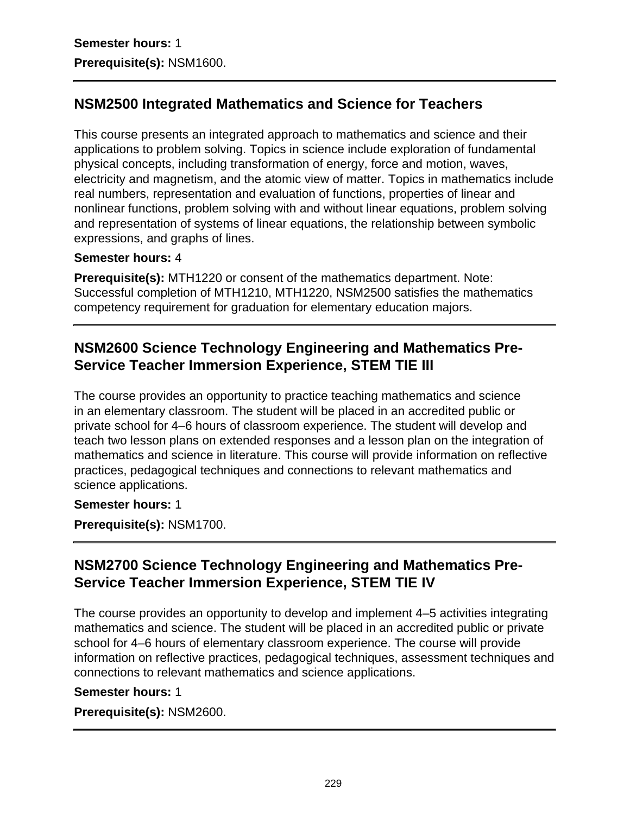## **NSM2500 Integrated Mathematics and Science for Teachers**

This course presents an integrated approach to mathematics and science and their applications to problem solving. Topics in science include exploration of fundamental physical concepts, including transformation of energy, force and motion, waves, electricity and magnetism, and the atomic view of matter. Topics in mathematics include real numbers, representation and evaluation of functions, properties of linear and nonlinear functions, problem solving with and without linear equations, problem solving and representation of systems of linear equations, the relationship between symbolic expressions, and graphs of lines.

### **Semester hours:** 4

**Prerequisite(s):** MTH1220 or consent of the mathematics department. Note: Successful completion of MTH1210, MTH1220, NSM2500 satisfies the mathematics competency requirement for graduation for elementary education majors.

## **NSM2600 Science Technology Engineering and Mathematics Pre-Service Teacher Immersion Experience, STEM TIE III**

The course provides an opportunity to practice teaching mathematics and science in an elementary classroom. The student will be placed in an accredited public or private school for 4–6 hours of classroom experience. The student will develop and teach two lesson plans on extended responses and a lesson plan on the integration of mathematics and science in literature. This course will provide information on reflective practices, pedagogical techniques and connections to relevant mathematics and science applications.

### **Semester hours:** 1

**Prerequisite(s):** NSM1700.

## **NSM2700 Science Technology Engineering and Mathematics Pre-Service Teacher Immersion Experience, STEM TIE IV**

The course provides an opportunity to develop and implement 4–5 activities integrating mathematics and science. The student will be placed in an accredited public or private school for 4–6 hours of elementary classroom experience. The course will provide information on reflective practices, pedagogical techniques, assessment techniques and connections to relevant mathematics and science applications.

### **Semester hours:** 1

**Prerequisite(s):** NSM2600.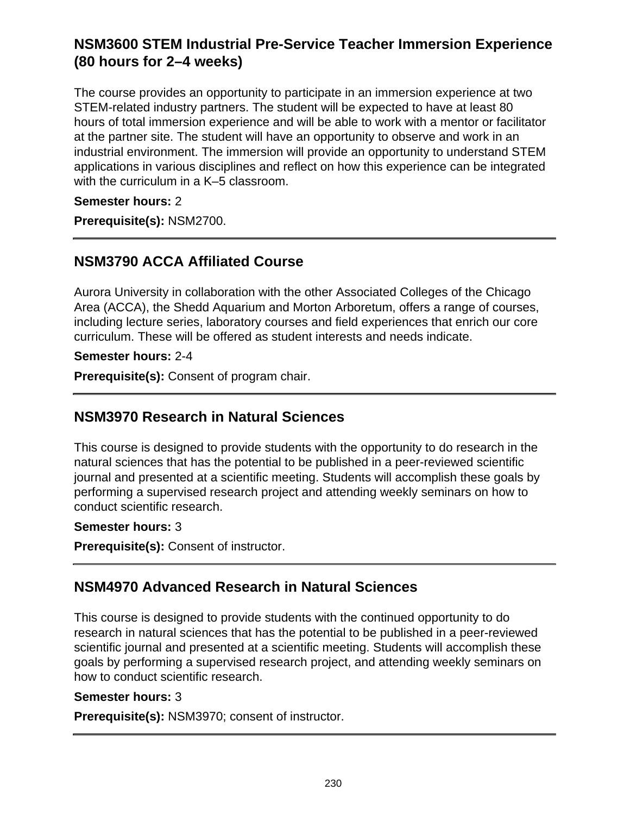## **NSM3600 STEM Industrial Pre-Service Teacher Immersion Experience (80 hours for 2–4 weeks)**

The course provides an opportunity to participate in an immersion experience at two STEM-related industry partners. The student will be expected to have at least 80 hours of total immersion experience and will be able to work with a mentor or facilitator at the partner site. The student will have an opportunity to observe and work in an industrial environment. The immersion will provide an opportunity to understand STEM applications in various disciplines and reflect on how this experience can be integrated with the curriculum in a K–5 classroom.

### **Semester hours:** 2

**Prerequisite(s):** NSM2700.

### **NSM3790 ACCA Affiliated Course**

Aurora University in collaboration with the other Associated Colleges of the Chicago Area (ACCA), the Shedd Aquarium and Morton Arboretum, offers a range of courses, including lecture series, laboratory courses and field experiences that enrich our core curriculum. These will be offered as student interests and needs indicate.

**Semester hours:** 2-4

**Prerequisite(s):** Consent of program chair.

## **NSM3970 Research in Natural Sciences**

This course is designed to provide students with the opportunity to do research in the natural sciences that has the potential to be published in a peer-reviewed scientific journal and presented at a scientific meeting. Students will accomplish these goals by performing a supervised research project and attending weekly seminars on how to conduct scientific research.

#### **Semester hours:** 3

**Prerequisite(s):** Consent of instructor.

## **NSM4970 Advanced Research in Natural Sciences**

This course is designed to provide students with the continued opportunity to do research in natural sciences that has the potential to be published in a peer-reviewed scientific journal and presented at a scientific meeting. Students will accomplish these goals by performing a supervised research project, and attending weekly seminars on how to conduct scientific research.

#### **Semester hours:** 3

**Prerequisite(s):** NSM3970; consent of instructor.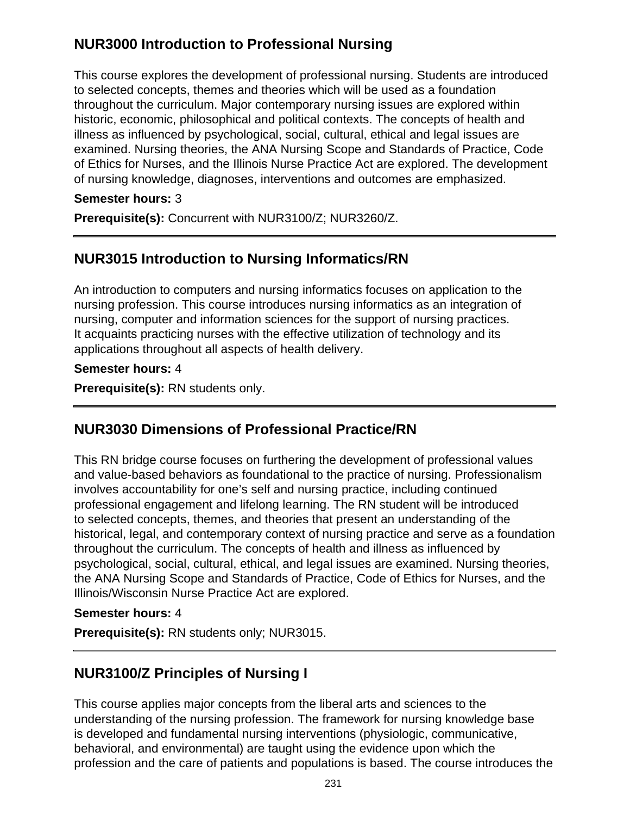## **NUR3000 Introduction to Professional Nursing**

This course explores the development of professional nursing. Students are introduced to selected concepts, themes and theories which will be used as a foundation throughout the curriculum. Major contemporary nursing issues are explored within historic, economic, philosophical and political contexts. The concepts of health and illness as influenced by psychological, social, cultural, ethical and legal issues are examined. Nursing theories, the ANA Nursing Scope and Standards of Practice, Code of Ethics for Nurses, and the Illinois Nurse Practice Act are explored. The development of nursing knowledge, diagnoses, interventions and outcomes are emphasized.

### **Semester hours:** 3

**Prerequisite(s):** Concurrent with NUR3100/Z; NUR3260/Z.

## **NUR3015 Introduction to Nursing Informatics/RN**

An introduction to computers and nursing informatics focuses on application to the nursing profession. This course introduces nursing informatics as an integration of nursing, computer and information sciences for the support of nursing practices. It acquaints practicing nurses with the effective utilization of technology and its applications throughout all aspects of health delivery.

#### **Semester hours:** 4

**Prerequisite(s):** RN students only.

## **NUR3030 Dimensions of Professional Practice/RN**

This RN bridge course focuses on furthering the development of professional values and value-based behaviors as foundational to the practice of nursing. Professionalism involves accountability for one's self and nursing practice, including continued professional engagement and lifelong learning. The RN student will be introduced to selected concepts, themes, and theories that present an understanding of the historical, legal, and contemporary context of nursing practice and serve as a foundation throughout the curriculum. The concepts of health and illness as influenced by psychological, social, cultural, ethical, and legal issues are examined. Nursing theories, the ANA Nursing Scope and Standards of Practice, Code of Ethics for Nurses, and the Illinois/Wisconsin Nurse Practice Act are explored.

#### **Semester hours:** 4

**Prerequisite(s):** RN students only; NUR3015.

## **NUR3100/Z Principles of Nursing I**

This course applies major concepts from the liberal arts and sciences to the understanding of the nursing profession. The framework for nursing knowledge base is developed and fundamental nursing interventions (physiologic, communicative, behavioral, and environmental) are taught using the evidence upon which the profession and the care of patients and populations is based. The course introduces the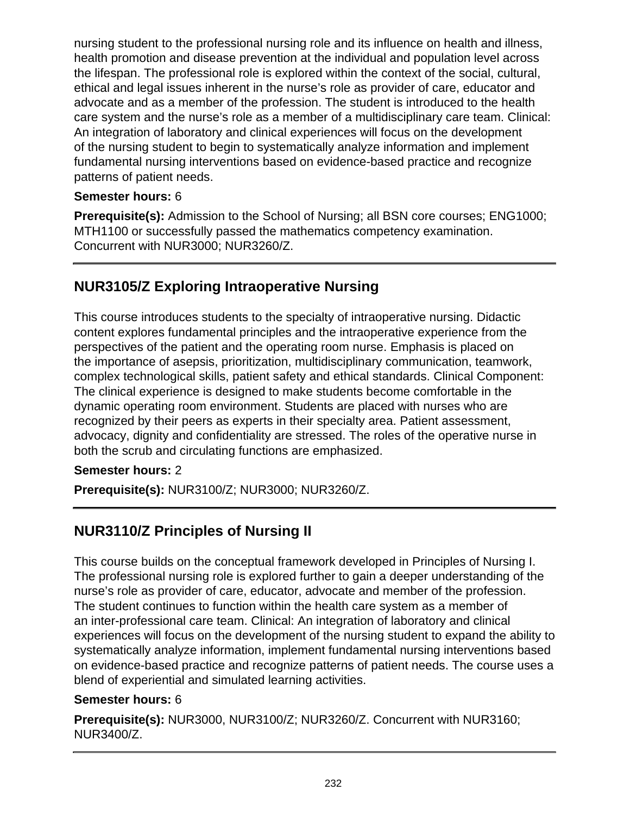nursing student to the professional nursing role and its influence on health and illness, health promotion and disease prevention at the individual and population level across the lifespan. The professional role is explored within the context of the social, cultural, ethical and legal issues inherent in the nurse's role as provider of care, educator and advocate and as a member of the profession. The student is introduced to the health care system and the nurse's role as a member of a multidisciplinary care team. Clinical: An integration of laboratory and clinical experiences will focus on the development of the nursing student to begin to systematically analyze information and implement fundamental nursing interventions based on evidence-based practice and recognize patterns of patient needs.

### **Semester hours:** 6

**Prerequisite(s):** Admission to the School of Nursing; all BSN core courses; ENG1000; MTH1100 or successfully passed the mathematics competency examination. Concurrent with NUR3000; NUR3260/Z.

# **NUR3105/Z Exploring Intraoperative Nursing**

This course introduces students to the specialty of intraoperative nursing. Didactic content explores fundamental principles and the intraoperative experience from the perspectives of the patient and the operating room nurse. Emphasis is placed on the importance of asepsis, prioritization, multidisciplinary communication, teamwork, complex technological skills, patient safety and ethical standards. Clinical Component: The clinical experience is designed to make students become comfortable in the dynamic operating room environment. Students are placed with nurses who are recognized by their peers as experts in their specialty area. Patient assessment, advocacy, dignity and confidentiality are stressed. The roles of the operative nurse in both the scrub and circulating functions are emphasized.

### **Semester hours:** 2

**Prerequisite(s):** NUR3100/Z; NUR3000; NUR3260/Z.

# **NUR3110/Z Principles of Nursing II**

This course builds on the conceptual framework developed in Principles of Nursing I. The professional nursing role is explored further to gain a deeper understanding of the nurse's role as provider of care, educator, advocate and member of the profession. The student continues to function within the health care system as a member of an inter-professional care team. Clinical: An integration of laboratory and clinical experiences will focus on the development of the nursing student to expand the ability to systematically analyze information, implement fundamental nursing interventions based on evidence-based practice and recognize patterns of patient needs. The course uses a blend of experiential and simulated learning activities.

### **Semester hours:** 6

**Prerequisite(s):** NUR3000, NUR3100/Z; NUR3260/Z. Concurrent with NUR3160; NUR3400/Z.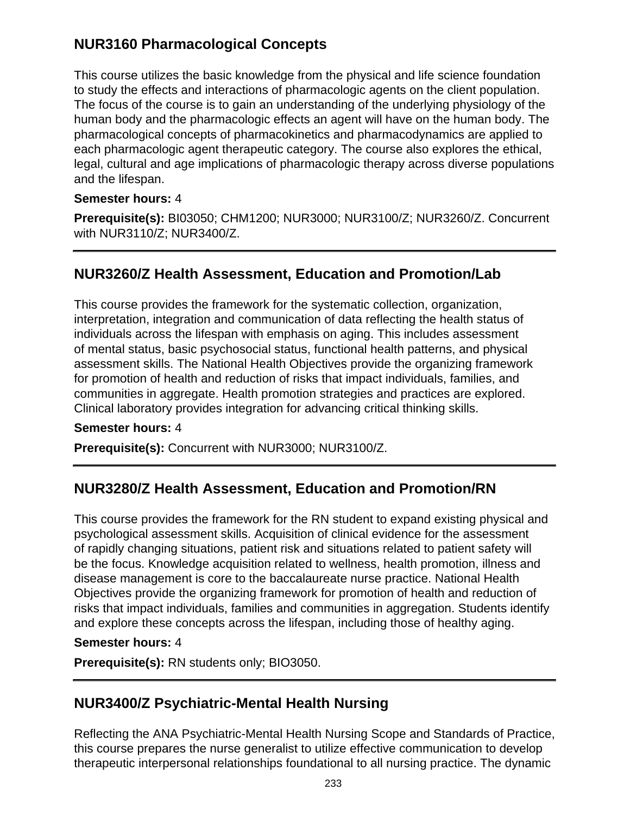## **NUR3160 Pharmacological Concepts**

This course utilizes the basic knowledge from the physical and life science foundation to study the effects and interactions of pharmacologic agents on the client population. The focus of the course is to gain an understanding of the underlying physiology of the human body and the pharmacologic effects an agent will have on the human body. The pharmacological concepts of pharmacokinetics and pharmacodynamics are applied to each pharmacologic agent therapeutic category. The course also explores the ethical, legal, cultural and age implications of pharmacologic therapy across diverse populations and the lifespan.

### **Semester hours:** 4

**Prerequisite(s):** BI03050; CHM1200; NUR3000; NUR3100/Z; NUR3260/Z. Concurrent with NUR3110/Z; NUR3400/Z.

## **NUR3260/Z Health Assessment, Education and Promotion/Lab**

This course provides the framework for the systematic collection, organization, interpretation, integration and communication of data reflecting the health status of individuals across the lifespan with emphasis on aging. This includes assessment of mental status, basic psychosocial status, functional health patterns, and physical assessment skills. The National Health Objectives provide the organizing framework for promotion of health and reduction of risks that impact individuals, families, and communities in aggregate. Health promotion strategies and practices are explored. Clinical laboratory provides integration for advancing critical thinking skills.

### **Semester hours:** 4

**Prerequisite(s):** Concurrent with NUR3000; NUR3100/Z.

## **NUR3280/Z Health Assessment, Education and Promotion/RN**

This course provides the framework for the RN student to expand existing physical and psychological assessment skills. Acquisition of clinical evidence for the assessment of rapidly changing situations, patient risk and situations related to patient safety will be the focus. Knowledge acquisition related to wellness, health promotion, illness and disease management is core to the baccalaureate nurse practice. National Health Objectives provide the organizing framework for promotion of health and reduction of risks that impact individuals, families and communities in aggregation. Students identify and explore these concepts across the lifespan, including those of healthy aging.

#### **Semester hours:** 4

**Prerequisite(s):** RN students only; BIO3050.

## **NUR3400/Z Psychiatric-Mental Health Nursing**

Reflecting the ANA Psychiatric-Mental Health Nursing Scope and Standards of Practice, this course prepares the nurse generalist to utilize effective communication to develop therapeutic interpersonal relationships foundational to all nursing practice. The dynamic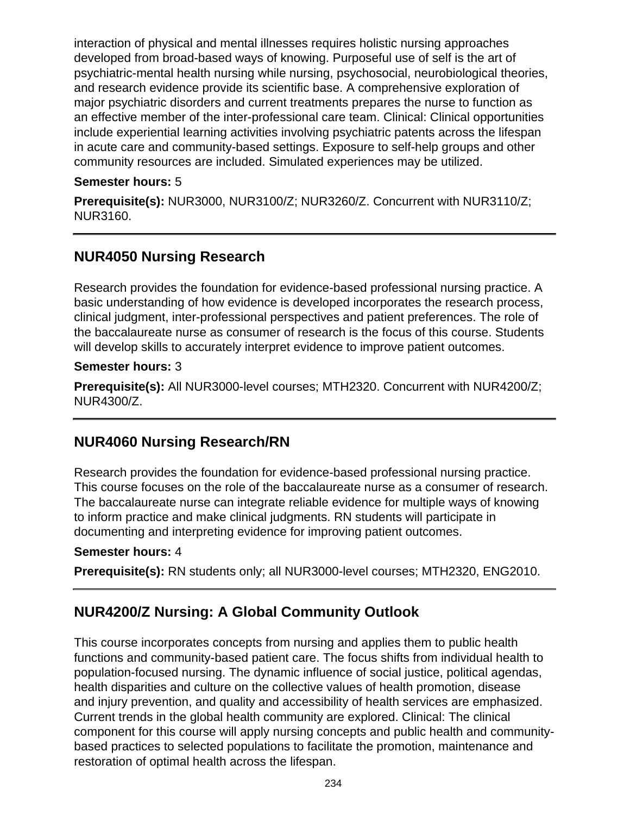interaction of physical and mental illnesses requires holistic nursing approaches developed from broad-based ways of knowing. Purposeful use of self is the art of psychiatric-mental health nursing while nursing, psychosocial, neurobiological theories, and research evidence provide its scientific base. A comprehensive exploration of major psychiatric disorders and current treatments prepares the nurse to function as an effective member of the inter-professional care team. Clinical: Clinical opportunities include experiential learning activities involving psychiatric patents across the lifespan in acute care and community-based settings. Exposure to self-help groups and other community resources are included. Simulated experiences may be utilized.

### **Semester hours:** 5

**Prerequisite(s):** NUR3000, NUR3100/Z; NUR3260/Z. Concurrent with NUR3110/Z; NUR3160.

## **NUR4050 Nursing Research**

Research provides the foundation for evidence-based professional nursing practice. A basic understanding of how evidence is developed incorporates the research process, clinical judgment, inter-professional perspectives and patient preferences. The role of the baccalaureate nurse as consumer of research is the focus of this course. Students will develop skills to accurately interpret evidence to improve patient outcomes.

### **Semester hours:** 3

**Prerequisite(s):** All NUR3000-level courses; MTH2320. Concurrent with NUR4200/Z; NUR4300/Z.

## **NUR4060 Nursing Research/RN**

Research provides the foundation for evidence-based professional nursing practice. This course focuses on the role of the baccalaureate nurse as a consumer of research. The baccalaureate nurse can integrate reliable evidence for multiple ways of knowing to inform practice and make clinical judgments. RN students will participate in documenting and interpreting evidence for improving patient outcomes.

### **Semester hours:** 4

**Prerequisite(s):** RN students only; all NUR3000-level courses; MTH2320, ENG2010.

## **NUR4200/Z Nursing: A Global Community Outlook**

This course incorporates concepts from nursing and applies them to public health functions and community-based patient care. The focus shifts from individual health to population-focused nursing. The dynamic influence of social justice, political agendas, health disparities and culture on the collective values of health promotion, disease and injury prevention, and quality and accessibility of health services are emphasized. Current trends in the global health community are explored. Clinical: The clinical component for this course will apply nursing concepts and public health and communitybased practices to selected populations to facilitate the promotion, maintenance and restoration of optimal health across the lifespan.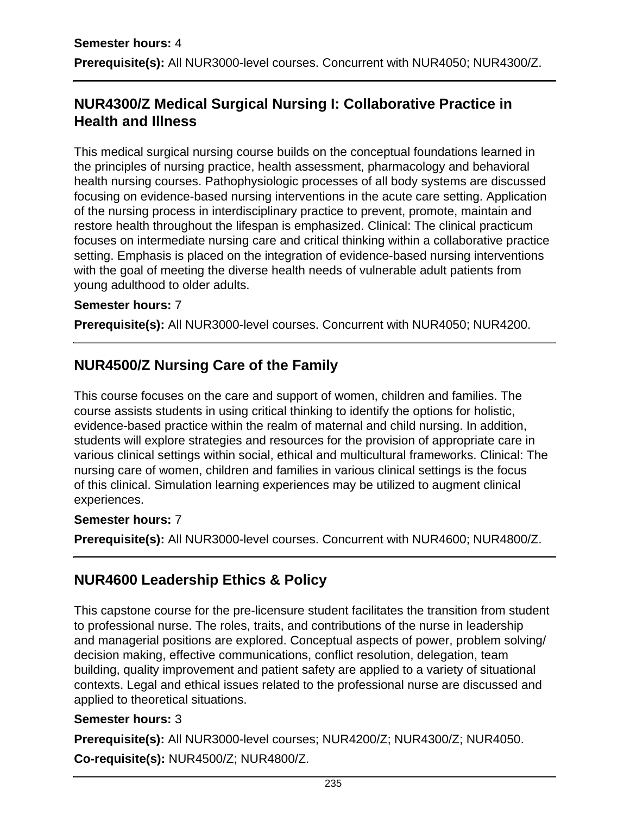## **NUR4300/Z Medical Surgical Nursing I: Collaborative Practice in Health and Illness**

This medical surgical nursing course builds on the conceptual foundations learned in the principles of nursing practice, health assessment, pharmacology and behavioral health nursing courses. Pathophysiologic processes of all body systems are discussed focusing on evidence-based nursing interventions in the acute care setting. Application of the nursing process in interdisciplinary practice to prevent, promote, maintain and restore health throughout the lifespan is emphasized. Clinical: The clinical practicum focuses on intermediate nursing care and critical thinking within a collaborative practice setting. Emphasis is placed on the integration of evidence-based nursing interventions with the goal of meeting the diverse health needs of vulnerable adult patients from young adulthood to older adults.

### **Semester hours:** 7

**Prerequisite(s):** All NUR3000-level courses. Concurrent with NUR4050; NUR4200.

## **NUR4500/Z Nursing Care of the Family**

This course focuses on the care and support of women, children and families. The course assists students in using critical thinking to identify the options for holistic, evidence-based practice within the realm of maternal and child nursing. In addition, students will explore strategies and resources for the provision of appropriate care in various clinical settings within social, ethical and multicultural frameworks. Clinical: The nursing care of women, children and families in various clinical settings is the focus of this clinical. Simulation learning experiences may be utilized to augment clinical experiences.

#### **Semester hours:** 7

**Prerequisite(s):** All NUR3000-level courses. Concurrent with NUR4600; NUR4800/Z.

## **NUR4600 Leadership Ethics & Policy**

This capstone course for the pre-licensure student facilitates the transition from student to professional nurse. The roles, traits, and contributions of the nurse in leadership and managerial positions are explored. Conceptual aspects of power, problem solving/ decision making, effective communications, conflict resolution, delegation, team building, quality improvement and patient safety are applied to a variety of situational contexts. Legal and ethical issues related to the professional nurse are discussed and applied to theoretical situations.

### **Semester hours:** 3

**Prerequisite(s):** All NUR3000-level courses; NUR4200/Z; NUR4300/Z; NUR4050. **Co-requisite(s):** NUR4500/Z; NUR4800/Z.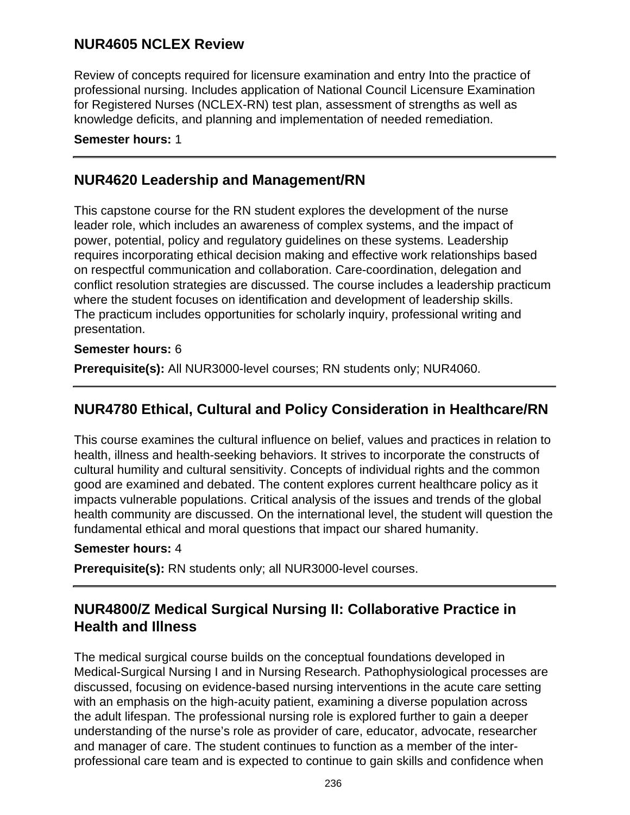## **NUR4605 NCLEX Review**

Review of concepts required for licensure examination and entry Into the practice of professional nursing. Includes application of National Council Licensure Examination for Registered Nurses (NCLEX-RN) test plan, assessment of strengths as well as knowledge deficits, and planning and implementation of needed remediation.

#### **Semester hours:** 1

## **NUR4620 Leadership and Management/RN**

This capstone course for the RN student explores the development of the nurse leader role, which includes an awareness of complex systems, and the impact of power, potential, policy and regulatory guidelines on these systems. Leadership requires incorporating ethical decision making and effective work relationships based on respectful communication and collaboration. Care-coordination, delegation and conflict resolution strategies are discussed. The course includes a leadership practicum where the student focuses on identification and development of leadership skills. The practicum includes opportunities for scholarly inquiry, professional writing and presentation.

### **Semester hours:** 6

**Prerequisite(s):** All NUR3000-level courses; RN students only; NUR4060.

## **NUR4780 Ethical, Cultural and Policy Consideration in Healthcare/RN**

This course examines the cultural influence on belief, values and practices in relation to health, illness and health-seeking behaviors. It strives to incorporate the constructs of cultural humility and cultural sensitivity. Concepts of individual rights and the common good are examined and debated. The content explores current healthcare policy as it impacts vulnerable populations. Critical analysis of the issues and trends of the global health community are discussed. On the international level, the student will question the fundamental ethical and moral questions that impact our shared humanity.

### **Semester hours:** 4

**Prerequisite(s):** RN students only; all NUR3000-level courses.

## **NUR4800/Z Medical Surgical Nursing II: Collaborative Practice in Health and Illness**

The medical surgical course builds on the conceptual foundations developed in Medical-Surgical Nursing I and in Nursing Research. Pathophysiological processes are discussed, focusing on evidence-based nursing interventions in the acute care setting with an emphasis on the high-acuity patient, examining a diverse population across the adult lifespan. The professional nursing role is explored further to gain a deeper understanding of the nurse's role as provider of care, educator, advocate, researcher and manager of care. The student continues to function as a member of the interprofessional care team and is expected to continue to gain skills and confidence when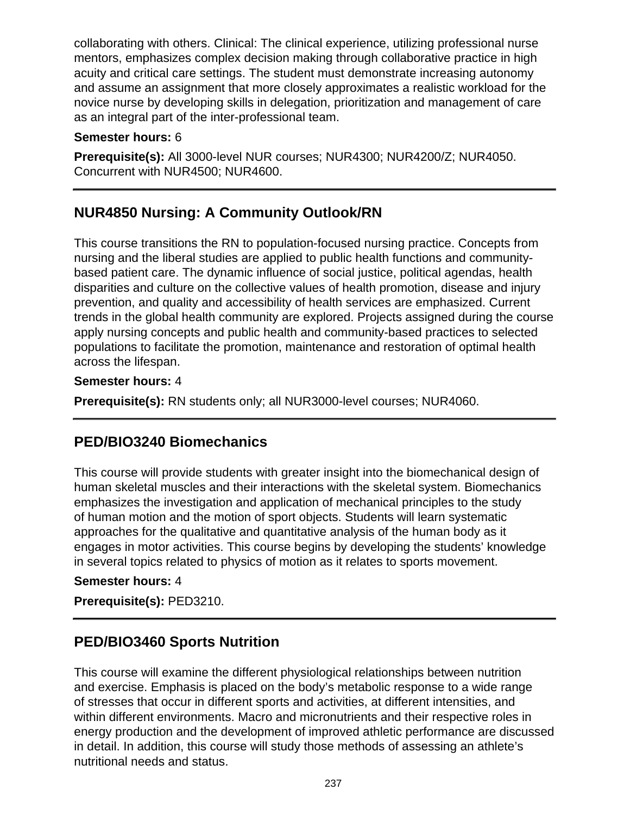collaborating with others. Clinical: The clinical experience, utilizing professional nurse mentors, emphasizes complex decision making through collaborative practice in high acuity and critical care settings. The student must demonstrate increasing autonomy and assume an assignment that more closely approximates a realistic workload for the novice nurse by developing skills in delegation, prioritization and management of care as an integral part of the inter-professional team.

#### **Semester hours:** 6

**Prerequisite(s):** All 3000-level NUR courses; NUR4300; NUR4200/Z; NUR4050. Concurrent with NUR4500; NUR4600.

## **NUR4850 Nursing: A Community Outlook/RN**

This course transitions the RN to population-focused nursing practice. Concepts from nursing and the liberal studies are applied to public health functions and communitybased patient care. The dynamic influence of social justice, political agendas, health disparities and culture on the collective values of health promotion, disease and injury prevention, and quality and accessibility of health services are emphasized. Current trends in the global health community are explored. Projects assigned during the course apply nursing concepts and public health and community-based practices to selected populations to facilitate the promotion, maintenance and restoration of optimal health across the lifespan.

### **Semester hours:** 4

**Prerequisite(s):** RN students only; all NUR3000-level courses; NUR4060.

## **PED/BIO3240 Biomechanics**

This course will provide students with greater insight into the biomechanical design of human skeletal muscles and their interactions with the skeletal system. Biomechanics emphasizes the investigation and application of mechanical principles to the study of human motion and the motion of sport objects. Students will learn systematic approaches for the qualitative and quantitative analysis of the human body as it engages in motor activities. This course begins by developing the students' knowledge in several topics related to physics of motion as it relates to sports movement.

### **Semester hours:** 4

**Prerequisite(s):** PED3210.

## **PED/BIO3460 Sports Nutrition**

This course will examine the different physiological relationships between nutrition and exercise. Emphasis is placed on the body's metabolic response to a wide range of stresses that occur in different sports and activities, at different intensities, and within different environments. Macro and micronutrients and their respective roles in energy production and the development of improved athletic performance are discussed in detail. In addition, this course will study those methods of assessing an athlete's nutritional needs and status.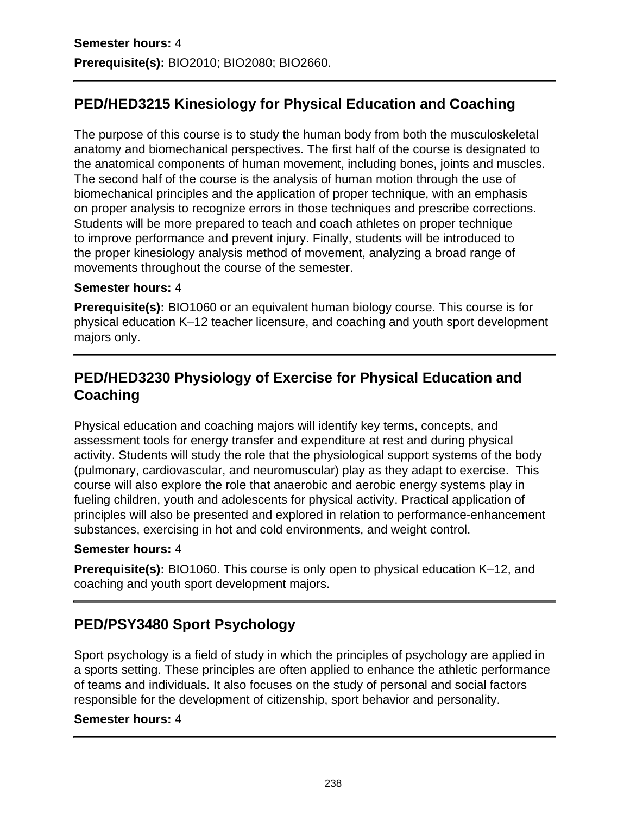# **PED/HED3215 Kinesiology for Physical Education and Coaching**

The purpose of this course is to study the human body from both the musculoskeletal anatomy and biomechanical perspectives. The first half of the course is designated to the anatomical components of human movement, including bones, joints and muscles. The second half of the course is the analysis of human motion through the use of biomechanical principles and the application of proper technique, with an emphasis on proper analysis to recognize errors in those techniques and prescribe corrections. Students will be more prepared to teach and coach athletes on proper technique to improve performance and prevent injury. Finally, students will be introduced to the proper kinesiology analysis method of movement, analyzing a broad range of movements throughout the course of the semester.

#### **Semester hours:** 4

**Prerequisite(s):** BIO1060 or an equivalent human biology course. This course is for physical education K–12 teacher licensure, and coaching and youth sport development majors only.

## **PED/HED3230 Physiology of Exercise for Physical Education and Coaching**

Physical education and coaching majors will identify key terms, concepts, and assessment tools for energy transfer and expenditure at rest and during physical activity. Students will study the role that the physiological support systems of the body (pulmonary, cardiovascular, and neuromuscular) play as they adapt to exercise. This course will also explore the role that anaerobic and aerobic energy systems play in fueling children, youth and adolescents for physical activity. Practical application of principles will also be presented and explored in relation to performance-enhancement substances, exercising in hot and cold environments, and weight control.

#### **Semester hours:** 4

**Prerequisite(s):** BIO1060. This course is only open to physical education K–12, and coaching and youth sport development majors.

# **PED/PSY3480 Sport Psychology**

Sport psychology is a field of study in which the principles of psychology are applied in a sports setting. These principles are often applied to enhance the athletic performance of teams and individuals. It also focuses on the study of personal and social factors responsible for the development of citizenship, sport behavior and personality.

### **Semester hours:** 4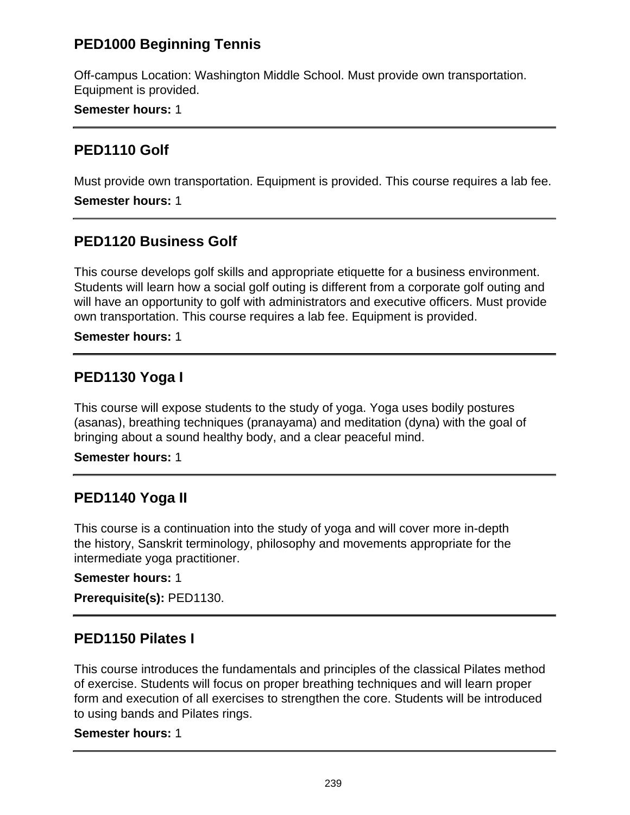## **PED1000 Beginning Tennis**

Off-campus Location: Washington Middle School. Must provide own transportation. Equipment is provided.

**Semester hours:** 1

### **PED1110 Golf**

Must provide own transportation. Equipment is provided. This course requires a lab fee.

**Semester hours:** 1

### **PED1120 Business Golf**

This course develops golf skills and appropriate etiquette for a business environment. Students will learn how a social golf outing is different from a corporate golf outing and will have an opportunity to golf with administrators and executive officers. Must provide own transportation. This course requires a lab fee. Equipment is provided.

### **Semester hours:** 1

## **PED1130 Yoga I**

This course will expose students to the study of yoga. Yoga uses bodily postures (asanas), breathing techniques (pranayama) and meditation (dyna) with the goal of bringing about a sound healthy body, and a clear peaceful mind.

**Semester hours:** 1

## **PED1140 Yoga II**

This course is a continuation into the study of yoga and will cover more in-depth the history, Sanskrit terminology, philosophy and movements appropriate for the intermediate yoga practitioner.

### **Semester hours:** 1

**Prerequisite(s):** PED1130.

### **PED1150 Pilates I**

This course introduces the fundamentals and principles of the classical Pilates method of exercise. Students will focus on proper breathing techniques and will learn proper form and execution of all exercises to strengthen the core. Students will be introduced to using bands and Pilates rings.

#### **Semester hours:** 1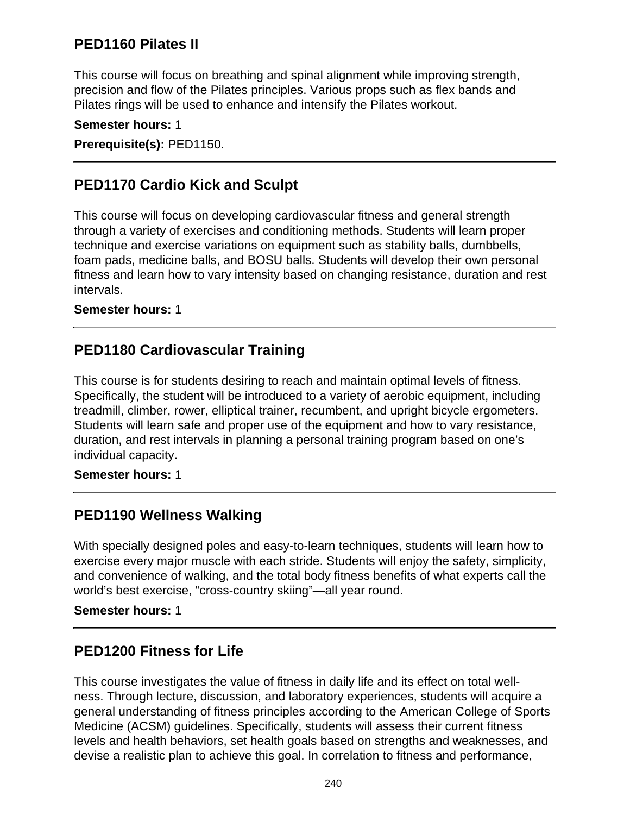## **PED1160 Pilates II**

This course will focus on breathing and spinal alignment while improving strength, precision and flow of the Pilates principles. Various props such as flex bands and Pilates rings will be used to enhance and intensify the Pilates workout.

**Semester hours:** 1 **Prerequisite(s):** PED1150.

### **PED1170 Cardio Kick and Sculpt**

This course will focus on developing cardiovascular fitness and general strength through a variety of exercises and conditioning methods. Students will learn proper technique and exercise variations on equipment such as stability balls, dumbbells, foam pads, medicine balls, and BOSU balls. Students will develop their own personal fitness and learn how to vary intensity based on changing resistance, duration and rest intervals.

#### **Semester hours:** 1

## **PED1180 Cardiovascular Training**

This course is for students desiring to reach and maintain optimal levels of fitness. Specifically, the student will be introduced to a variety of aerobic equipment, including treadmill, climber, rower, elliptical trainer, recumbent, and upright bicycle ergometers. Students will learn safe and proper use of the equipment and how to vary resistance, duration, and rest intervals in planning a personal training program based on one's individual capacity.

**Semester hours:** 1

## **PED1190 Wellness Walking**

With specially designed poles and easy-to-learn techniques, students will learn how to exercise every major muscle with each stride. Students will enjoy the safety, simplicity, and convenience of walking, and the total body fitness benefits of what experts call the world's best exercise, "cross-country skiing"—all year round.

**Semester hours:** 1

### **PED1200 Fitness for Life**

This course investigates the value of fitness in daily life and its effect on total wellness. Through lecture, discussion, and laboratory experiences, students will acquire a general understanding of fitness principles according to the American College of Sports Medicine (ACSM) guidelines. Specifically, students will assess their current fitness levels and health behaviors, set health goals based on strengths and weaknesses, and devise a realistic plan to achieve this goal. In correlation to fitness and performance,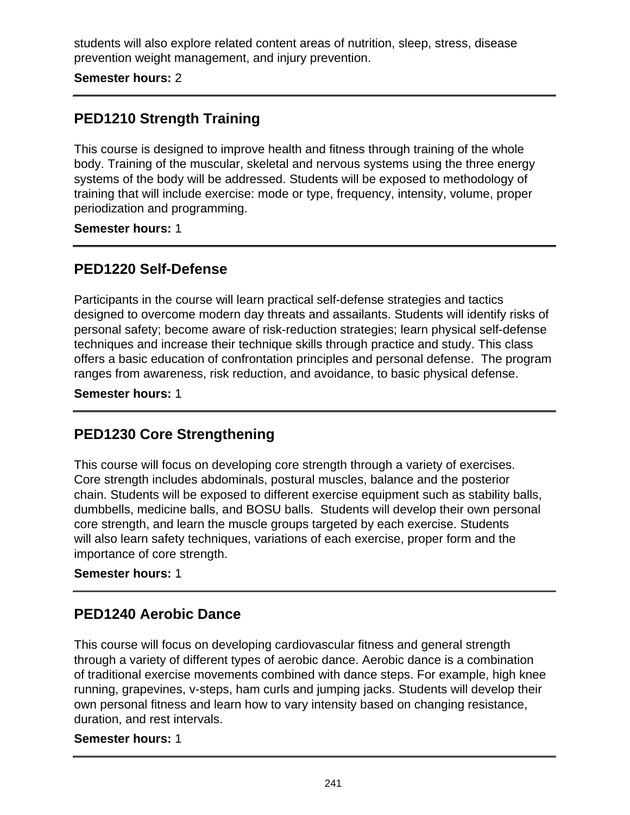students will also explore related content areas of nutrition, sleep, stress, disease prevention weight management, and injury prevention.

**Semester hours:** 2

## **PED1210 Strength Training**

This course is designed to improve health and fitness through training of the whole body. Training of the muscular, skeletal and nervous systems using the three energy systems of the body will be addressed. Students will be exposed to methodology of training that will include exercise: mode or type, frequency, intensity, volume, proper periodization and programming.

### **Semester hours:** 1

## **PED1220 Self-Defense**

Participants in the course will learn practical self-defense strategies and tactics designed to overcome modern day threats and assailants. Students will identify risks of personal safety; become aware of risk-reduction strategies; learn physical self-defense techniques and increase their technique skills through practice and study. This class offers a basic education of confrontation principles and personal defense. The program ranges from awareness, risk reduction, and avoidance, to basic physical defense.

**Semester hours:** 1

## **PED1230 Core Strengthening**

This course will focus on developing core strength through a variety of exercises. Core strength includes abdominals, postural muscles, balance and the posterior chain. Students will be exposed to different exercise equipment such as stability balls, dumbbells, medicine balls, and BOSU balls. Students will develop their own personal core strength, and learn the muscle groups targeted by each exercise. Students will also learn safety techniques, variations of each exercise, proper form and the importance of core strength.

### **Semester hours:** 1

## **PED1240 Aerobic Dance**

This course will focus on developing cardiovascular fitness and general strength through a variety of different types of aerobic dance. Aerobic dance is a combination of traditional exercise movements combined with dance steps. For example, high knee running, grapevines, v-steps, ham curls and jumping jacks. Students will develop their own personal fitness and learn how to vary intensity based on changing resistance, duration, and rest intervals.

#### **Semester hours:** 1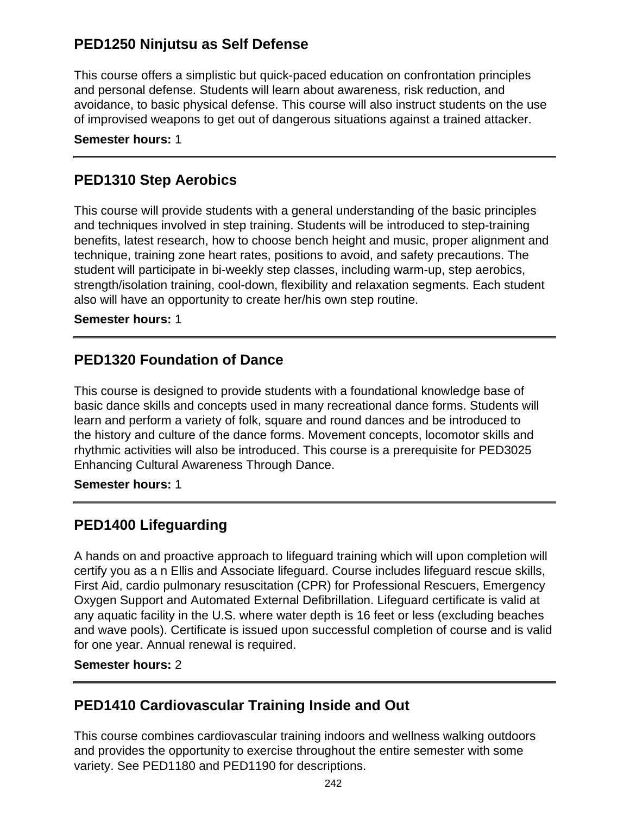## **PED1250 Ninjutsu as Self Defense**

This course offers a simplistic but quick-paced education on confrontation principles and personal defense. Students will learn about awareness, risk reduction, and avoidance, to basic physical defense. This course will also instruct students on the use of improvised weapons to get out of dangerous situations against a trained attacker.

**Semester hours:** 1

## **PED1310 Step Aerobics**

This course will provide students with a general understanding of the basic principles and techniques involved in step training. Students will be introduced to step-training benefits, latest research, how to choose bench height and music, proper alignment and technique, training zone heart rates, positions to avoid, and safety precautions. The student will participate in bi-weekly step classes, including warm-up, step aerobics, strength/isolation training, cool-down, flexibility and relaxation segments. Each student also will have an opportunity to create her/his own step routine.

**Semester hours:** 1

### **PED1320 Foundation of Dance**

This course is designed to provide students with a foundational knowledge base of basic dance skills and concepts used in many recreational dance forms. Students will learn and perform a variety of folk, square and round dances and be introduced to the history and culture of the dance forms. Movement concepts, locomotor skills and rhythmic activities will also be introduced. This course is a prerequisite for PED3025 Enhancing Cultural Awareness Through Dance.

**Semester hours:** 1

## **PED1400 Lifeguarding**

A hands on and proactive approach to lifeguard training which will upon completion will certify you as a n Ellis and Associate lifeguard. Course includes lifeguard rescue skills, First Aid, cardio pulmonary resuscitation (CPR) for Professional Rescuers, Emergency Oxygen Support and Automated External Defibrillation. Lifeguard certificate is valid at any aquatic facility in the U.S. where water depth is 16 feet or less (excluding beaches and wave pools). Certificate is issued upon successful completion of course and is valid for one year. Annual renewal is required.

#### **Semester hours:** 2

### **PED1410 Cardiovascular Training Inside and Out**

This course combines cardiovascular training indoors and wellness walking outdoors and provides the opportunity to exercise throughout the entire semester with some variety. See PED1180 and PED1190 for descriptions.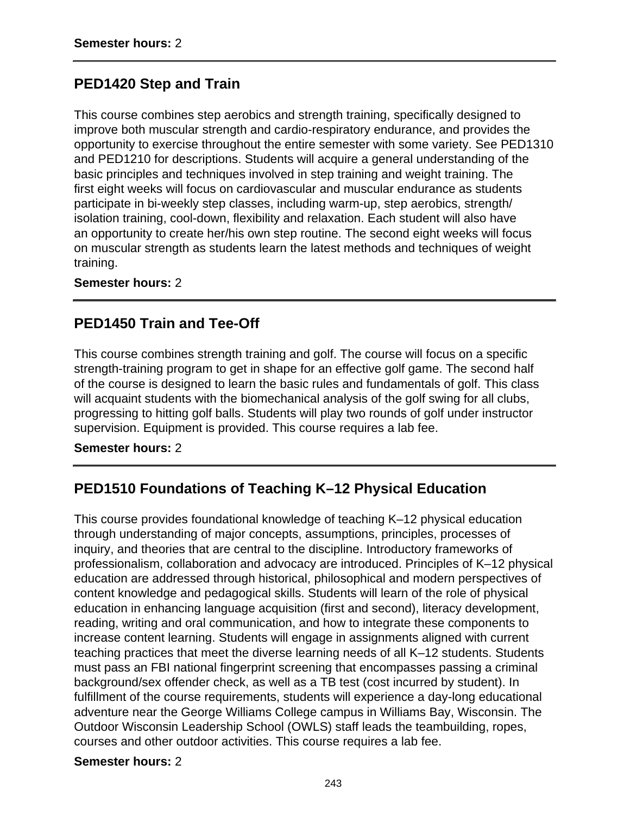## **PED1420 Step and Train**

This course combines step aerobics and strength training, specifically designed to improve both muscular strength and cardio-respiratory endurance, and provides the opportunity to exercise throughout the entire semester with some variety. See PED1310 and PED1210 for descriptions. Students will acquire a general understanding of the basic principles and techniques involved in step training and weight training. The first eight weeks will focus on cardiovascular and muscular endurance as students participate in bi-weekly step classes, including warm-up, step aerobics, strength/ isolation training, cool-down, flexibility and relaxation. Each student will also have an opportunity to create her/his own step routine. The second eight weeks will focus on muscular strength as students learn the latest methods and techniques of weight training.

**Semester hours:** 2

### **PED1450 Train and Tee-Off**

This course combines strength training and golf. The course will focus on a specific strength-training program to get in shape for an effective golf game. The second half of the course is designed to learn the basic rules and fundamentals of golf. This class will acquaint students with the biomechanical analysis of the golf swing for all clubs, progressing to hitting golf balls. Students will play two rounds of golf under instructor supervision. Equipment is provided. This course requires a lab fee.

#### **Semester hours:** 2

## **PED1510 Foundations of Teaching K–12 Physical Education**

This course provides foundational knowledge of teaching K–12 physical education through understanding of major concepts, assumptions, principles, processes of inquiry, and theories that are central to the discipline. Introductory frameworks of professionalism, collaboration and advocacy are introduced. Principles of K–12 physical education are addressed through historical, philosophical and modern perspectives of content knowledge and pedagogical skills. Students will learn of the role of physical education in enhancing language acquisition (first and second), literacy development, reading, writing and oral communication, and how to integrate these components to increase content learning. Students will engage in assignments aligned with current teaching practices that meet the diverse learning needs of all K–12 students. Students must pass an FBI national fingerprint screening that encompasses passing a criminal background/sex offender check, as well as a TB test (cost incurred by student). In fulfillment of the course requirements, students will experience a day-long educational adventure near the George Williams College campus in Williams Bay, Wisconsin. The Outdoor Wisconsin Leadership School (OWLS) staff leads the teambuilding, ropes, courses and other outdoor activities. This course requires a lab fee.

#### **Semester hours:** 2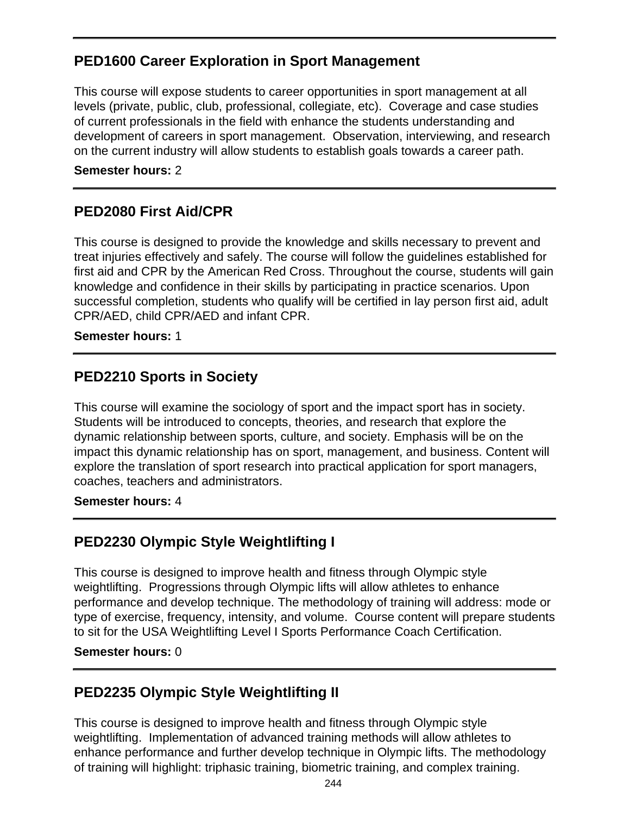## **PED1600 Career Exploration in Sport Management**

This course will expose students to career opportunities in sport management at all levels (private, public, club, professional, collegiate, etc). Coverage and case studies of current professionals in the field with enhance the students understanding and development of careers in sport management. Observation, interviewing, and research on the current industry will allow students to establish goals towards a career path.

#### **Semester hours:** 2

## **PED2080 First Aid/CPR**

This course is designed to provide the knowledge and skills necessary to prevent and treat injuries effectively and safely. The course will follow the guidelines established for first aid and CPR by the American Red Cross. Throughout the course, students will gain knowledge and confidence in their skills by participating in practice scenarios. Upon successful completion, students who qualify will be certified in lay person first aid, adult CPR/AED, child CPR/AED and infant CPR.

#### **Semester hours:** 1

## **PED2210 Sports in Society**

This course will examine the sociology of sport and the impact sport has in society. Students will be introduced to concepts, theories, and research that explore the dynamic relationship between sports, culture, and society. Emphasis will be on the impact this dynamic relationship has on sport, management, and business. Content will explore the translation of sport research into practical application for sport managers, coaches, teachers and administrators.

#### **Semester hours:** 4

## **PED2230 Olympic Style Weightlifting I**

This course is designed to improve health and fitness through Olympic style weightlifting. Progressions through Olympic lifts will allow athletes to enhance performance and develop technique. The methodology of training will address: mode or type of exercise, frequency, intensity, and volume. Course content will prepare students to sit for the USA Weightlifting Level I Sports Performance Coach Certification.

#### **Semester hours:** 0

## **PED2235 Olympic Style Weightlifting II**

This course is designed to improve health and fitness through Olympic style weightlifting. Implementation of advanced training methods will allow athletes to enhance performance and further develop technique in Olympic lifts. The methodology of training will highlight: triphasic training, biometric training, and complex training.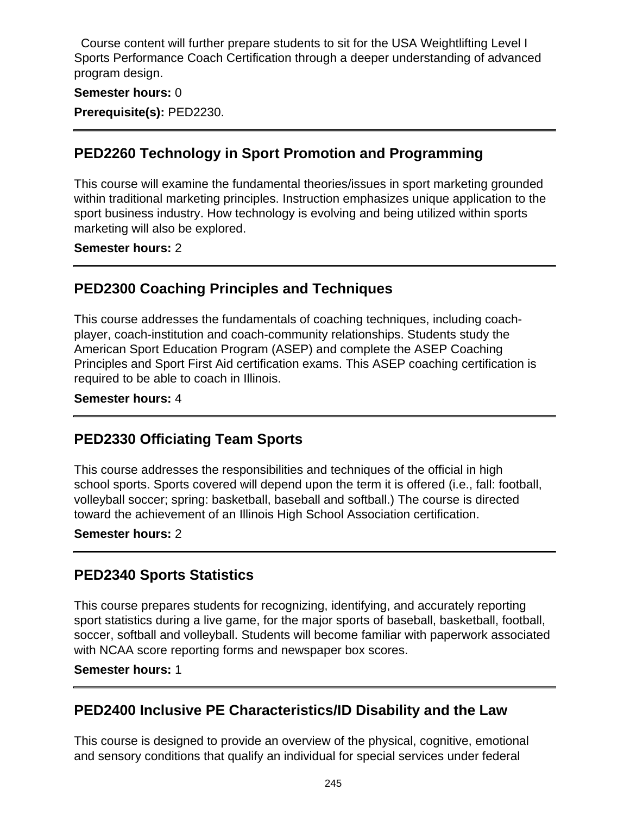Course content will further prepare students to sit for the USA Weightlifting Level I Sports Performance Coach Certification through a deeper understanding of advanced program design.

#### **Semester hours:** 0

**Prerequisite(s):** PED2230.

## **PED2260 Technology in Sport Promotion and Programming**

This course will examine the fundamental theories/issues in sport marketing grounded within traditional marketing principles. Instruction emphasizes unique application to the sport business industry. How technology is evolving and being utilized within sports marketing will also be explored.

**Semester hours:** 2

## **PED2300 Coaching Principles and Techniques**

This course addresses the fundamentals of coaching techniques, including coachplayer, coach-institution and coach-community relationships. Students study the American Sport Education Program (ASEP) and complete the ASEP Coaching Principles and Sport First Aid certification exams. This ASEP coaching certification is required to be able to coach in Illinois.

### **Semester hours:** 4

## **PED2330 Officiating Team Sports**

This course addresses the responsibilities and techniques of the official in high school sports. Sports covered will depend upon the term it is offered (i.e., fall: football, volleyball soccer; spring: basketball, baseball and softball.) The course is directed toward the achievement of an Illinois High School Association certification.

#### **Semester hours:** 2

## **PED2340 Sports Statistics**

This course prepares students for recognizing, identifying, and accurately reporting sport statistics during a live game, for the major sports of baseball, basketball, football, soccer, softball and volleyball. Students will become familiar with paperwork associated with NCAA score reporting forms and newspaper box scores.

#### **Semester hours:** 1

## **PED2400 Inclusive PE Characteristics/ID Disability and the Law**

This course is designed to provide an overview of the physical, cognitive, emotional and sensory conditions that qualify an individual for special services under federal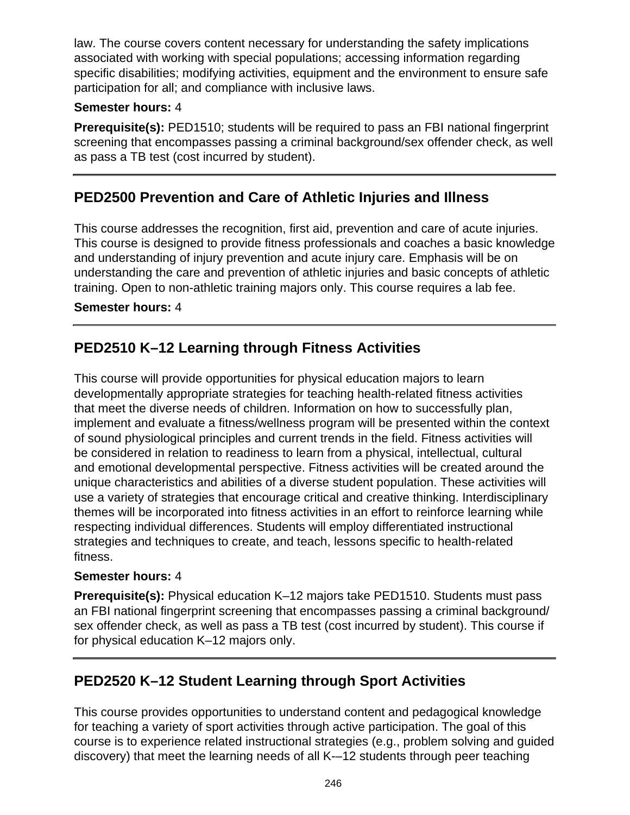law. The course covers content necessary for understanding the safety implications associated with working with special populations; accessing information regarding specific disabilities; modifying activities, equipment and the environment to ensure safe participation for all; and compliance with inclusive laws.

### **Semester hours:** 4

**Prerequisite(s):** PED1510; students will be required to pass an FBI national fingerprint screening that encompasses passing a criminal background/sex offender check, as well as pass a TB test (cost incurred by student).

## **PED2500 Prevention and Care of Athletic Injuries and Illness**

This course addresses the recognition, first aid, prevention and care of acute injuries. This course is designed to provide fitness professionals and coaches a basic knowledge and understanding of injury prevention and acute injury care. Emphasis will be on understanding the care and prevention of athletic injuries and basic concepts of athletic training. Open to non-athletic training majors only. This course requires a lab fee.

### **Semester hours:** 4

## **PED2510 K–12 Learning through Fitness Activities**

This course will provide opportunities for physical education majors to learn developmentally appropriate strategies for teaching health-related fitness activities that meet the diverse needs of children. Information on how to successfully plan, implement and evaluate a fitness/wellness program will be presented within the context of sound physiological principles and current trends in the field. Fitness activities will be considered in relation to readiness to learn from a physical, intellectual, cultural and emotional developmental perspective. Fitness activities will be created around the unique characteristics and abilities of a diverse student population. These activities will use a variety of strategies that encourage critical and creative thinking. Interdisciplinary themes will be incorporated into fitness activities in an effort to reinforce learning while respecting individual differences. Students will employ differentiated instructional strategies and techniques to create, and teach, lessons specific to health-related fitness.

#### **Semester hours:** 4

**Prerequisite(s):** Physical education K–12 majors take PED1510. Students must pass an FBI national fingerprint screening that encompasses passing a criminal background/ sex offender check, as well as pass a TB test (cost incurred by student). This course if for physical education K–12 majors only.

## **PED2520 K–12 Student Learning through Sport Activities**

This course provides opportunities to understand content and pedagogical knowledge for teaching a variety of sport activities through active participation. The goal of this course is to experience related instructional strategies (e.g., problem solving and guided discovery) that meet the learning needs of all K-–12 students through peer teaching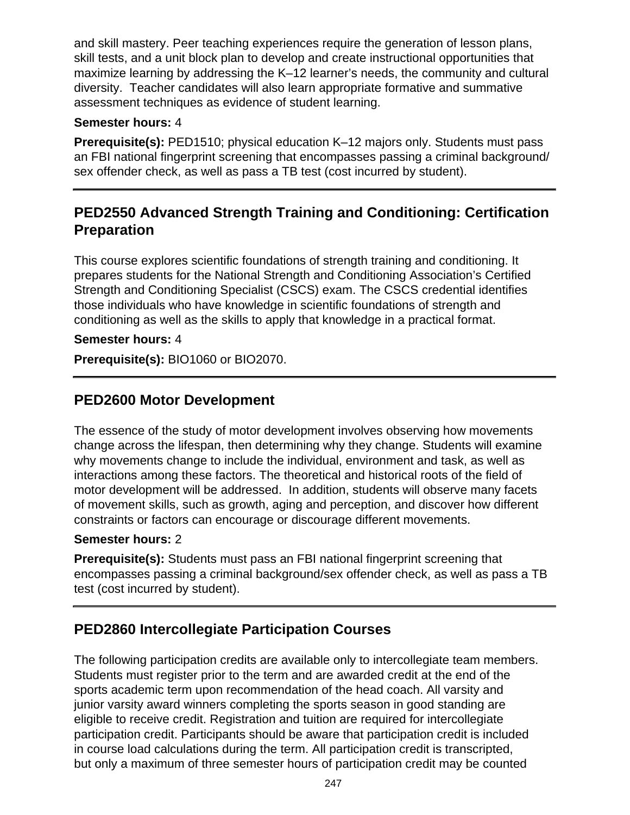and skill mastery. Peer teaching experiences require the generation of lesson plans, skill tests, and a unit block plan to develop and create instructional opportunities that maximize learning by addressing the K–12 learner's needs, the community and cultural diversity. Teacher candidates will also learn appropriate formative and summative assessment techniques as evidence of student learning.

### **Semester hours:** 4

**Prerequisite(s):** PED1510; physical education K–12 majors only. Students must pass an FBI national fingerprint screening that encompasses passing a criminal background/ sex offender check, as well as pass a TB test (cost incurred by student).

## **PED2550 Advanced Strength Training and Conditioning: Certification Preparation**

This course explores scientific foundations of strength training and conditioning. It prepares students for the National Strength and Conditioning Association's Certified Strength and Conditioning Specialist (CSCS) exam. The CSCS credential identifies those individuals who have knowledge in scientific foundations of strength and conditioning as well as the skills to apply that knowledge in a practical format.

### **Semester hours:** 4

**Prerequisite(s):** BIO1060 or BIO2070.

## **PED2600 Motor Development**

The essence of the study of motor development involves observing how movements change across the lifespan, then determining why they change. Students will examine why movements change to include the individual, environment and task, as well as interactions among these factors. The theoretical and historical roots of the field of motor development will be addressed. In addition, students will observe many facets of movement skills, such as growth, aging and perception, and discover how different constraints or factors can encourage or discourage different movements.

### **Semester hours:** 2

**Prerequisite(s):** Students must pass an FBI national fingerprint screening that encompasses passing a criminal background/sex offender check, as well as pass a TB test (cost incurred by student).

## **PED2860 Intercollegiate Participation Courses**

The following participation credits are available only to intercollegiate team members. Students must register prior to the term and are awarded credit at the end of the sports academic term upon recommendation of the head coach. All varsity and junior varsity award winners completing the sports season in good standing are eligible to receive credit. Registration and tuition are required for intercollegiate participation credit. Participants should be aware that participation credit is included in course load calculations during the term. All participation credit is transcripted, but only a maximum of three semester hours of participation credit may be counted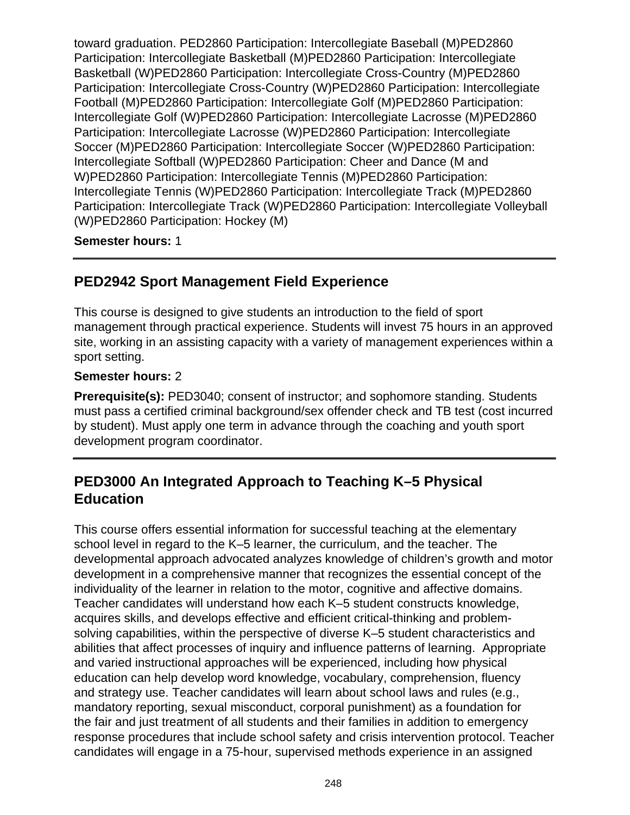toward graduation. PED2860 Participation: Intercollegiate Baseball (M)PED2860 Participation: Intercollegiate Basketball (M)PED2860 Participation: Intercollegiate Basketball (W)PED2860 Participation: Intercollegiate Cross-Country (M)PED2860 Participation: Intercollegiate Cross-Country (W)PED2860 Participation: Intercollegiate Football (M)PED2860 Participation: Intercollegiate Golf (M)PED2860 Participation: Intercollegiate Golf (W)PED2860 Participation: Intercollegiate Lacrosse (M)PED2860 Participation: Intercollegiate Lacrosse (W)PED2860 Participation: Intercollegiate Soccer (M)PED2860 Participation: Intercollegiate Soccer (W)PED2860 Participation: Intercollegiate Softball (W)PED2860 Participation: Cheer and Dance (M and W)PED2860 Participation: Intercollegiate Tennis (M)PED2860 Participation: Intercollegiate Tennis (W)PED2860 Participation: Intercollegiate Track (M)PED2860 Participation: Intercollegiate Track (W)PED2860 Participation: Intercollegiate Volleyball (W)PED2860 Participation: Hockey (M)

#### **Semester hours:** 1

## **PED2942 Sport Management Field Experience**

This course is designed to give students an introduction to the field of sport management through practical experience. Students will invest 75 hours in an approved site, working in an assisting capacity with a variety of management experiences within a sport setting.

#### **Semester hours:** 2

**Prerequisite(s):** PED3040; consent of instructor; and sophomore standing. Students must pass a certified criminal background/sex offender check and TB test (cost incurred by student). Must apply one term in advance through the coaching and youth sport development program coordinator.

## **PED3000 An Integrated Approach to Teaching K–5 Physical Education**

This course offers essential information for successful teaching at the elementary school level in regard to the K–5 learner, the curriculum, and the teacher. The developmental approach advocated analyzes knowledge of children's growth and motor development in a comprehensive manner that recognizes the essential concept of the individuality of the learner in relation to the motor, cognitive and affective domains. Teacher candidates will understand how each K–5 student constructs knowledge, acquires skills, and develops effective and efficient critical-thinking and problemsolving capabilities, within the perspective of diverse K–5 student characteristics and abilities that affect processes of inquiry and influence patterns of learning. Appropriate and varied instructional approaches will be experienced, including how physical education can help develop word knowledge, vocabulary, comprehension, fluency and strategy use. Teacher candidates will learn about school laws and rules (e.g., mandatory reporting, sexual misconduct, corporal punishment) as a foundation for the fair and just treatment of all students and their families in addition to emergency response procedures that include school safety and crisis intervention protocol. Teacher candidates will engage in a 75-hour, supervised methods experience in an assigned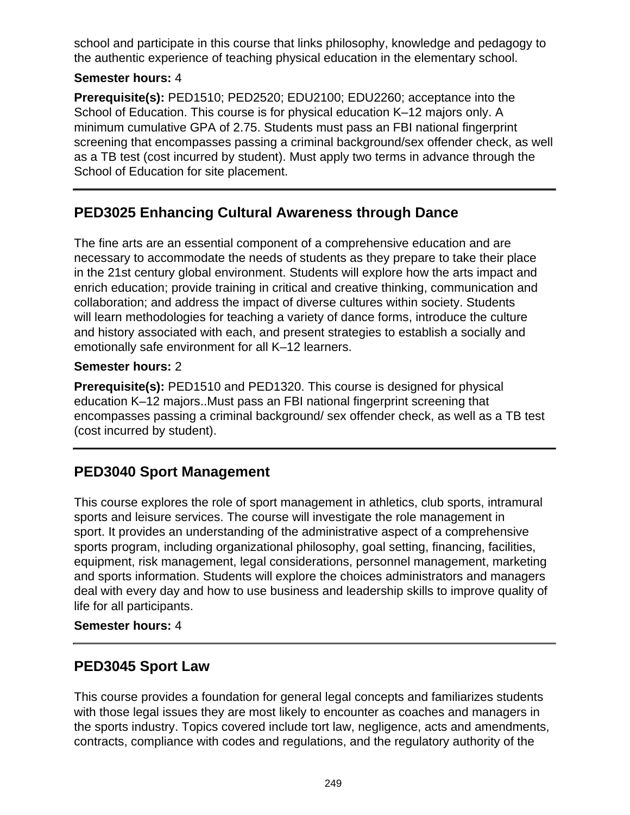school and participate in this course that links philosophy, knowledge and pedagogy to the authentic experience of teaching physical education in the elementary school.

### **Semester hours:** 4

**Prerequisite(s):** PED1510; PED2520; EDU2100; EDU2260; acceptance into the School of Education. This course is for physical education K–12 majors only. A minimum cumulative GPA of 2.75. Students must pass an FBI national fingerprint screening that encompasses passing a criminal background/sex offender check, as well as a TB test (cost incurred by student). Must apply two terms in advance through the School of Education for site placement.

## **PED3025 Enhancing Cultural Awareness through Dance**

The fine arts are an essential component of a comprehensive education and are necessary to accommodate the needs of students as they prepare to take their place in the 21st century global environment. Students will explore how the arts impact and enrich education; provide training in critical and creative thinking, communication and collaboration; and address the impact of diverse cultures within society. Students will learn methodologies for teaching a variety of dance forms, introduce the culture and history associated with each, and present strategies to establish a socially and emotionally safe environment for all K–12 learners.

### **Semester hours:** 2

**Prerequisite(s):** PED1510 and PED1320. This course is designed for physical education K–12 majors..Must pass an FBI national fingerprint screening that encompasses passing a criminal background/ sex offender check, as well as a TB test (cost incurred by student).

## **PED3040 Sport Management**

This course explores the role of sport management in athletics, club sports, intramural sports and leisure services. The course will investigate the role management in sport. It provides an understanding of the administrative aspect of a comprehensive sports program, including organizational philosophy, goal setting, financing, facilities, equipment, risk management, legal considerations, personnel management, marketing and sports information. Students will explore the choices administrators and managers deal with every day and how to use business and leadership skills to improve quality of life for all participants.

#### **Semester hours:** 4

## **PED3045 Sport Law**

This course provides a foundation for general legal concepts and familiarizes students with those legal issues they are most likely to encounter as coaches and managers in the sports industry. Topics covered include tort law, negligence, acts and amendments, contracts, compliance with codes and regulations, and the regulatory authority of the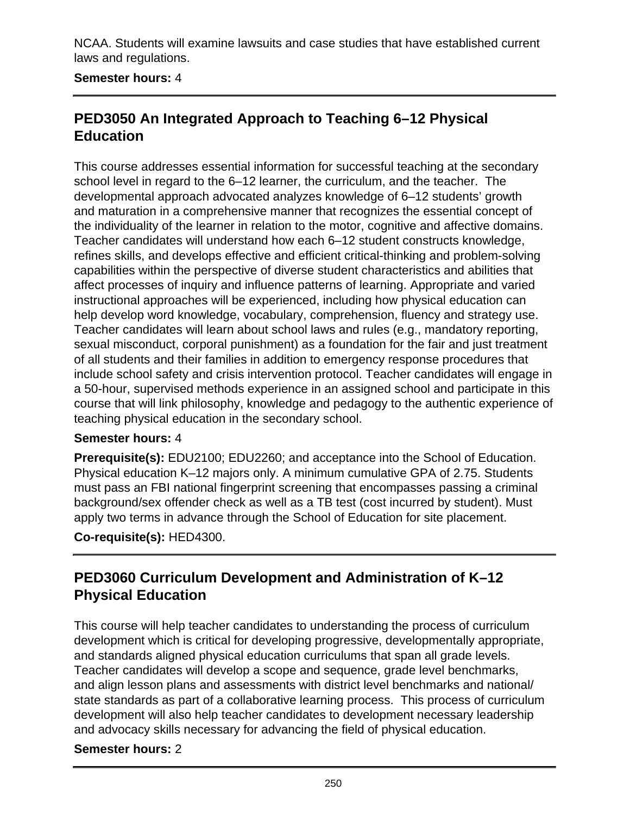NCAA. Students will examine lawsuits and case studies that have established current laws and regulations.

### **Semester hours:** 4

## **PED3050 An Integrated Approach to Teaching 6–12 Physical Education**

This course addresses essential information for successful teaching at the secondary school level in regard to the 6–12 learner, the curriculum, and the teacher. The developmental approach advocated analyzes knowledge of 6–12 students' growth and maturation in a comprehensive manner that recognizes the essential concept of the individuality of the learner in relation to the motor, cognitive and affective domains. Teacher candidates will understand how each 6–12 student constructs knowledge, refines skills, and develops effective and efficient critical-thinking and problem-solving capabilities within the perspective of diverse student characteristics and abilities that affect processes of inquiry and influence patterns of learning. Appropriate and varied instructional approaches will be experienced, including how physical education can help develop word knowledge, vocabulary, comprehension, fluency and strategy use. Teacher candidates will learn about school laws and rules (e.g., mandatory reporting, sexual misconduct, corporal punishment) as a foundation for the fair and just treatment of all students and their families in addition to emergency response procedures that include school safety and crisis intervention protocol. Teacher candidates will engage in a 50-hour, supervised methods experience in an assigned school and participate in this course that will link philosophy, knowledge and pedagogy to the authentic experience of teaching physical education in the secondary school.

#### **Semester hours:** 4

**Prerequisite(s):** EDU2100; EDU2260; and acceptance into the School of Education. Physical education K–12 majors only. A minimum cumulative GPA of 2.75. Students must pass an FBI national fingerprint screening that encompasses passing a criminal background/sex offender check as well as a TB test (cost incurred by student). Must apply two terms in advance through the School of Education for site placement.

**Co-requisite(s):** HED4300.

## **PED3060 Curriculum Development and Administration of K–12 Physical Education**

This course will help teacher candidates to understanding the process of curriculum development which is critical for developing progressive, developmentally appropriate, and standards aligned physical education curriculums that span all grade levels. Teacher candidates will develop a scope and sequence, grade level benchmarks, and align lesson plans and assessments with district level benchmarks and national/ state standards as part of a collaborative learning process. This process of curriculum development will also help teacher candidates to development necessary leadership and advocacy skills necessary for advancing the field of physical education.

#### **Semester hours:** 2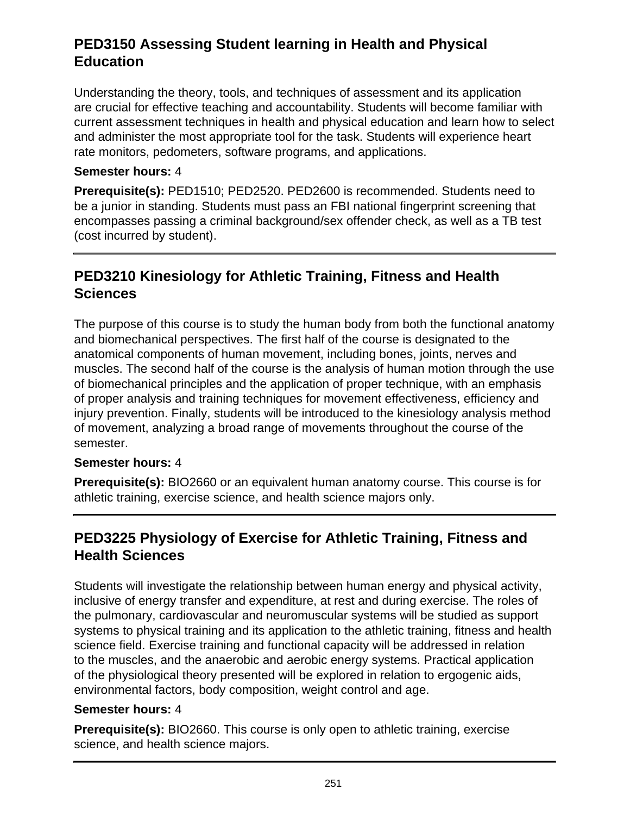## **PED3150 Assessing Student learning in Health and Physical Education**

Understanding the theory, tools, and techniques of assessment and its application are crucial for effective teaching and accountability. Students will become familiar with current assessment techniques in health and physical education and learn how to select and administer the most appropriate tool for the task. Students will experience heart rate monitors, pedometers, software programs, and applications.

#### **Semester hours:** 4

**Prerequisite(s):** PED1510; PED2520. PED2600 is recommended. Students need to be a junior in standing. Students must pass an FBI national fingerprint screening that encompasses passing a criminal background/sex offender check, as well as a TB test (cost incurred by student).

## **PED3210 Kinesiology for Athletic Training, Fitness and Health Sciences**

The purpose of this course is to study the human body from both the functional anatomy and biomechanical perspectives. The first half of the course is designated to the anatomical components of human movement, including bones, joints, nerves and muscles. The second half of the course is the analysis of human motion through the use of biomechanical principles and the application of proper technique, with an emphasis of proper analysis and training techniques for movement effectiveness, efficiency and injury prevention. Finally, students will be introduced to the kinesiology analysis method of movement, analyzing a broad range of movements throughout the course of the semester.

### **Semester hours:** 4

**Prerequisite(s):** BIO2660 or an equivalent human anatomy course. This course is for athletic training, exercise science, and health science majors only.

## **PED3225 Physiology of Exercise for Athletic Training, Fitness and Health Sciences**

Students will investigate the relationship between human energy and physical activity, inclusive of energy transfer and expenditure, at rest and during exercise. The roles of the pulmonary, cardiovascular and neuromuscular systems will be studied as support systems to physical training and its application to the athletic training, fitness and health science field. Exercise training and functional capacity will be addressed in relation to the muscles, and the anaerobic and aerobic energy systems. Practical application of the physiological theory presented will be explored in relation to ergogenic aids, environmental factors, body composition, weight control and age.

### **Semester hours:** 4

**Prerequisite(s):** BIO2660. This course is only open to athletic training, exercise science, and health science majors.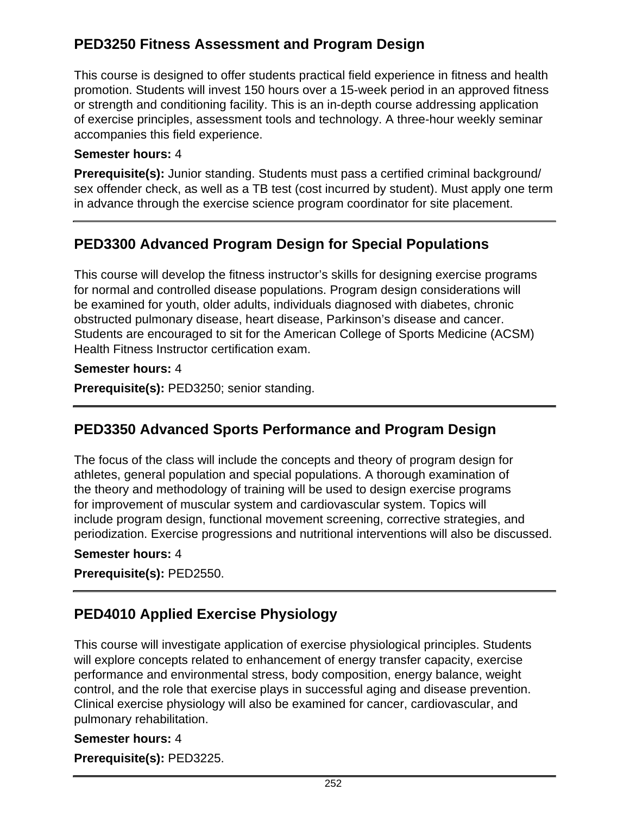# **PED3250 Fitness Assessment and Program Design**

This course is designed to offer students practical field experience in fitness and health promotion. Students will invest 150 hours over a 15-week period in an approved fitness or strength and conditioning facility. This is an in-depth course addressing application of exercise principles, assessment tools and technology. A three-hour weekly seminar accompanies this field experience.

### **Semester hours:** 4

**Prerequisite(s):** Junior standing. Students must pass a certified criminal background/ sex offender check, as well as a TB test (cost incurred by student). Must apply one term in advance through the exercise science program coordinator for site placement.

# **PED3300 Advanced Program Design for Special Populations**

This course will develop the fitness instructor's skills for designing exercise programs for normal and controlled disease populations. Program design considerations will be examined for youth, older adults, individuals diagnosed with diabetes, chronic obstructed pulmonary disease, heart disease, Parkinson's disease and cancer. Students are encouraged to sit for the American College of Sports Medicine (ACSM) Health Fitness Instructor certification exam.

### **Semester hours:** 4

**Prerequisite(s):** PED3250; senior standing.

# **PED3350 Advanced Sports Performance and Program Design**

The focus of the class will include the concepts and theory of program design for athletes, general population and special populations. A thorough examination of the theory and methodology of training will be used to design exercise programs for improvement of muscular system and cardiovascular system. Topics will include program design, functional movement screening, corrective strategies, and periodization. Exercise progressions and nutritional interventions will also be discussed.

### **Semester hours:** 4

**Prerequisite(s):** PED2550.

# **PED4010 Applied Exercise Physiology**

This course will investigate application of exercise physiological principles. Students will explore concepts related to enhancement of energy transfer capacity, exercise performance and environmental stress, body composition, energy balance, weight control, and the role that exercise plays in successful aging and disease prevention. Clinical exercise physiology will also be examined for cancer, cardiovascular, and pulmonary rehabilitation.

### **Semester hours:** 4 **Prerequisite(s):** PED3225.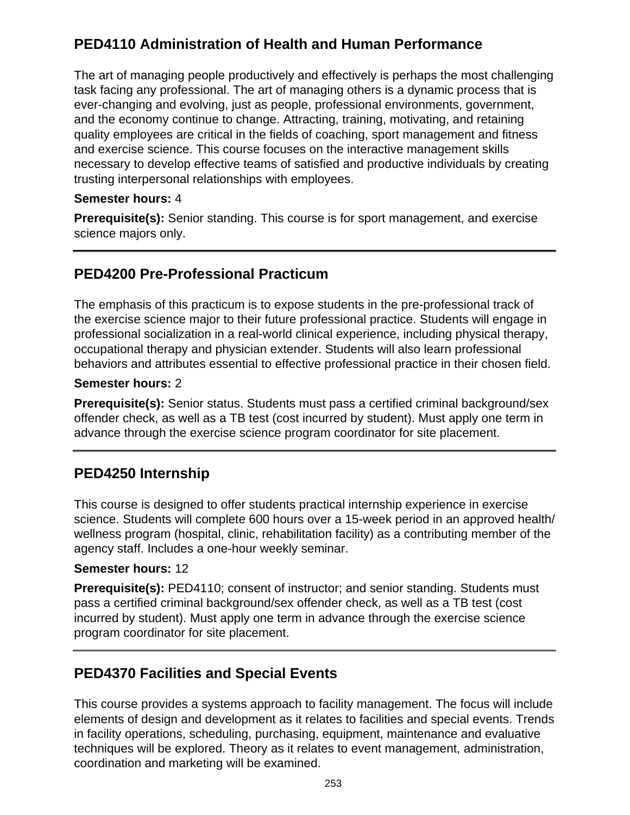# **PED4110 Administration of Health and Human Performance**

The art of managing people productively and effectively is perhaps the most challenging task facing any professional. The art of managing others is a dynamic process that is ever-changing and evolving, just as people, professional environments, government, and the economy continue to change. Attracting, training, motivating, and retaining quality employees are critical in the fields of coaching, sport management and fitness and exercise science. This course focuses on the interactive management skills necessary to develop effective teams of satisfied and productive individuals by creating trusting interpersonal relationships with employees.

### **Semester hours:** 4

**Prerequisite(s):** Senior standing. This course is for sport management, and exercise science majors only.

## **PED4200 Pre-Professional Practicum**

The emphasis of this practicum is to expose students in the pre-professional track of the exercise science major to their future professional practice. Students will engage in professional socialization in a real-world clinical experience, including physical therapy, occupational therapy and physician extender. Students will also learn professional behaviors and attributes essential to effective professional practice in their chosen field.

### **Semester hours:** 2

**Prerequisite(s):** Senior status. Students must pass a certified criminal background/sex offender check, as well as a TB test (cost incurred by student). Must apply one term in advance through the exercise science program coordinator for site placement.

### **PED4250 Internship**

This course is designed to offer students practical internship experience in exercise science. Students will complete 600 hours over a 15-week period in an approved health/ wellness program (hospital, clinic, rehabilitation facility) as a contributing member of the agency staff. Includes a one-hour weekly seminar.

### **Semester hours:** 12

**Prerequisite(s):** PED4110; consent of instructor; and senior standing. Students must pass a certified criminal background/sex offender check, as well as a TB test (cost incurred by student). Must apply one term in advance through the exercise science program coordinator for site placement.

### **PED4370 Facilities and Special Events**

This course provides a systems approach to facility management. The focus will include elements of design and development as it relates to facilities and special events. Trends in facility operations, scheduling, purchasing, equipment, maintenance and evaluative techniques will be explored. Theory as it relates to event management, administration, coordination and marketing will be examined.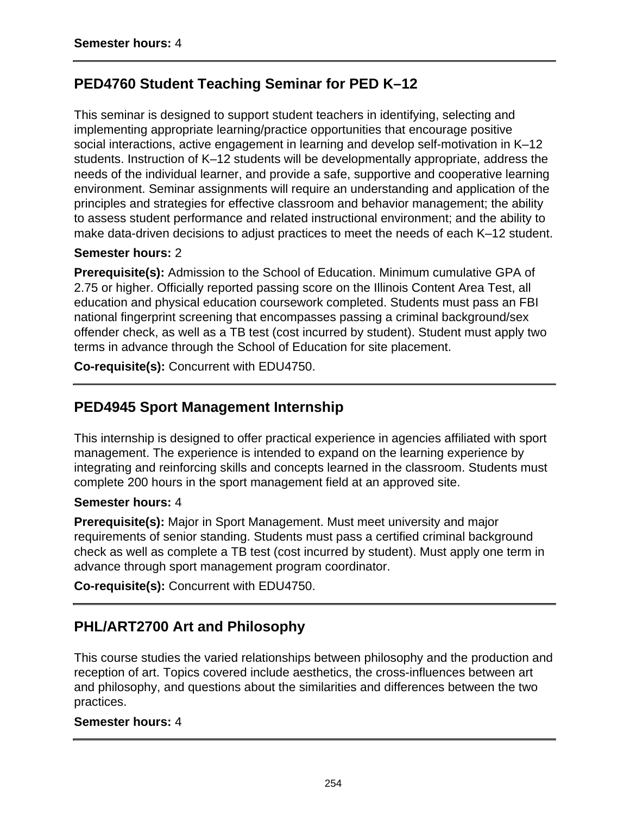# **PED4760 Student Teaching Seminar for PED K–12**

This seminar is designed to support student teachers in identifying, selecting and implementing appropriate learning/practice opportunities that encourage positive social interactions, active engagement in learning and develop self-motivation in K–12 students. Instruction of K–12 students will be developmentally appropriate, address the needs of the individual learner, and provide a safe, supportive and cooperative learning environment. Seminar assignments will require an understanding and application of the principles and strategies for effective classroom and behavior management; the ability to assess student performance and related instructional environment; and the ability to make data-driven decisions to adjust practices to meet the needs of each K–12 student.

### **Semester hours:** 2

**Prerequisite(s):** Admission to the School of Education. Minimum cumulative GPA of 2.75 or higher. Officially reported passing score on the Illinois Content Area Test, all education and physical education coursework completed. Students must pass an FBI national fingerprint screening that encompasses passing a criminal background/sex offender check, as well as a TB test (cost incurred by student). Student must apply two terms in advance through the School of Education for site placement.

**Co-requisite(s):** Concurrent with EDU4750.

## **PED4945 Sport Management Internship**

This internship is designed to offer practical experience in agencies affiliated with sport management. The experience is intended to expand on the learning experience by integrating and reinforcing skills and concepts learned in the classroom. Students must complete 200 hours in the sport management field at an approved site.

#### **Semester hours:** 4

**Prerequisite(s):** Major in Sport Management. Must meet university and major requirements of senior standing. Students must pass a certified criminal background check as well as complete a TB test (cost incurred by student). Must apply one term in advance through sport management program coordinator.

**Co-requisite(s):** Concurrent with EDU4750.

# **PHL/ART2700 Art and Philosophy**

This course studies the varied relationships between philosophy and the production and reception of art. Topics covered include aesthetics, the cross-influences between art and philosophy, and questions about the similarities and differences between the two practices.

#### **Semester hours:** 4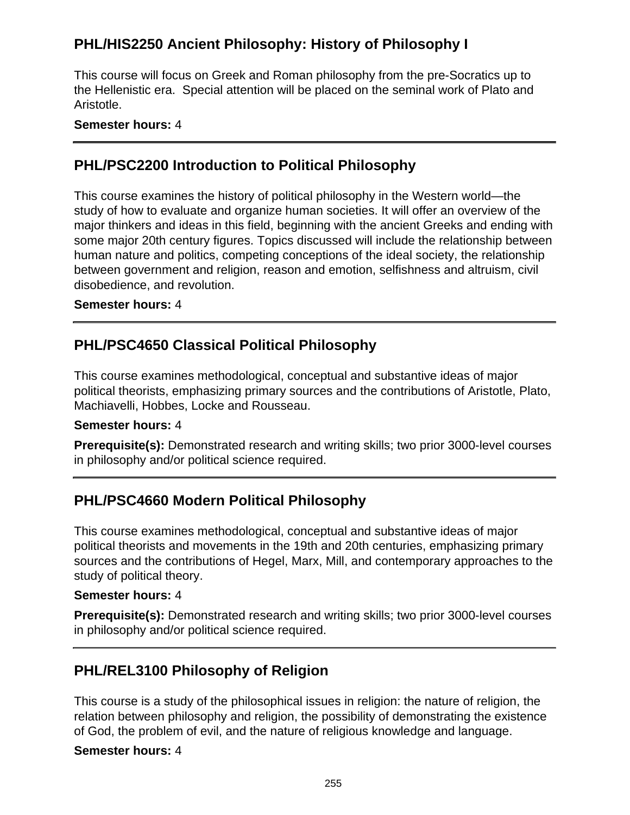# **PHL/HIS2250 Ancient Philosophy: History of Philosophy I**

This course will focus on Greek and Roman philosophy from the pre-Socratics up to the Hellenistic era. Special attention will be placed on the seminal work of Plato and Aristotle.

### **Semester hours:** 4

### **PHL/PSC2200 Introduction to Political Philosophy**

This course examines the history of political philosophy in the Western world—the study of how to evaluate and organize human societies. It will offer an overview of the major thinkers and ideas in this field, beginning with the ancient Greeks and ending with some major 20th century figures. Topics discussed will include the relationship between human nature and politics, competing conceptions of the ideal society, the relationship between government and religion, reason and emotion, selfishness and altruism, civil disobedience, and revolution.

#### **Semester hours:** 4

## **PHL/PSC4650 Classical Political Philosophy**

This course examines methodological, conceptual and substantive ideas of major political theorists, emphasizing primary sources and the contributions of Aristotle, Plato, Machiavelli, Hobbes, Locke and Rousseau.

#### **Semester hours:** 4

**Prerequisite(s):** Demonstrated research and writing skills; two prior 3000-level courses in philosophy and/or political science required.

# **PHL/PSC4660 Modern Political Philosophy**

This course examines methodological, conceptual and substantive ideas of major political theorists and movements in the 19th and 20th centuries, emphasizing primary sources and the contributions of Hegel, Marx, Mill, and contemporary approaches to the study of political theory.

#### **Semester hours:** 4

**Prerequisite(s):** Demonstrated research and writing skills; two prior 3000-level courses in philosophy and/or political science required.

### **PHL/REL3100 Philosophy of Religion**

This course is a study of the philosophical issues in religion: the nature of religion, the relation between philosophy and religion, the possibility of demonstrating the existence of God, the problem of evil, and the nature of religious knowledge and language.

#### **Semester hours:** 4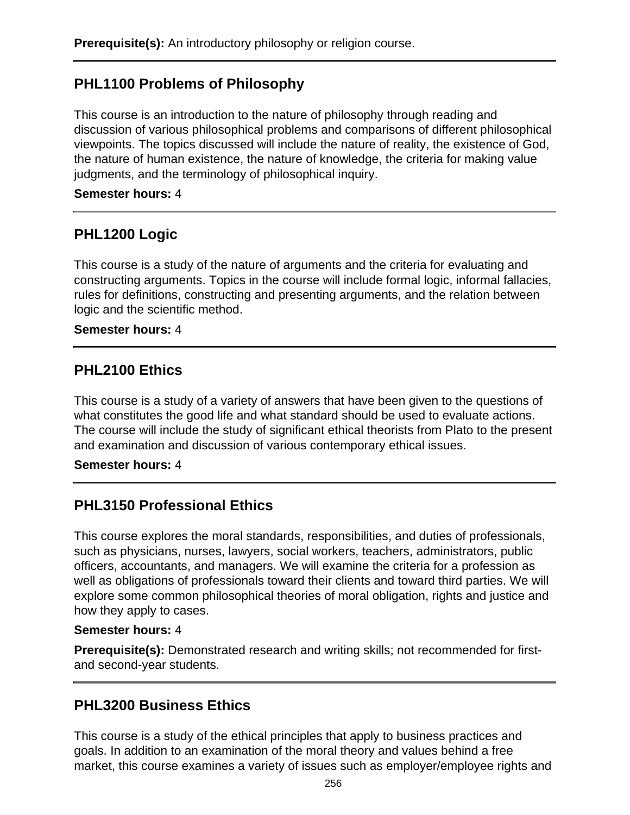## **PHL1100 Problems of Philosophy**

This course is an introduction to the nature of philosophy through reading and discussion of various philosophical problems and comparisons of different philosophical viewpoints. The topics discussed will include the nature of reality, the existence of God, the nature of human existence, the nature of knowledge, the criteria for making value judgments, and the terminology of philosophical inquiry.

### **Semester hours:** 4

### **PHL1200 Logic**

This course is a study of the nature of arguments and the criteria for evaluating and constructing arguments. Topics in the course will include formal logic, informal fallacies, rules for definitions, constructing and presenting arguments, and the relation between logic and the scientific method.

#### **Semester hours:** 4

### **PHL2100 Ethics**

This course is a study of a variety of answers that have been given to the questions of what constitutes the good life and what standard should be used to evaluate actions. The course will include the study of significant ethical theorists from Plato to the present and examination and discussion of various contemporary ethical issues.

#### **Semester hours:** 4

### **PHL3150 Professional Ethics**

This course explores the moral standards, responsibilities, and duties of professionals, such as physicians, nurses, lawyers, social workers, teachers, administrators, public officers, accountants, and managers. We will examine the criteria for a profession as well as obligations of professionals toward their clients and toward third parties. We will explore some common philosophical theories of moral obligation, rights and justice and how they apply to cases.

#### **Semester hours:** 4

**Prerequisite(s):** Demonstrated research and writing skills; not recommended for firstand second-year students.

### **PHL3200 Business Ethics**

This course is a study of the ethical principles that apply to business practices and goals. In addition to an examination of the moral theory and values behind a free market, this course examines a variety of issues such as employer/employee rights and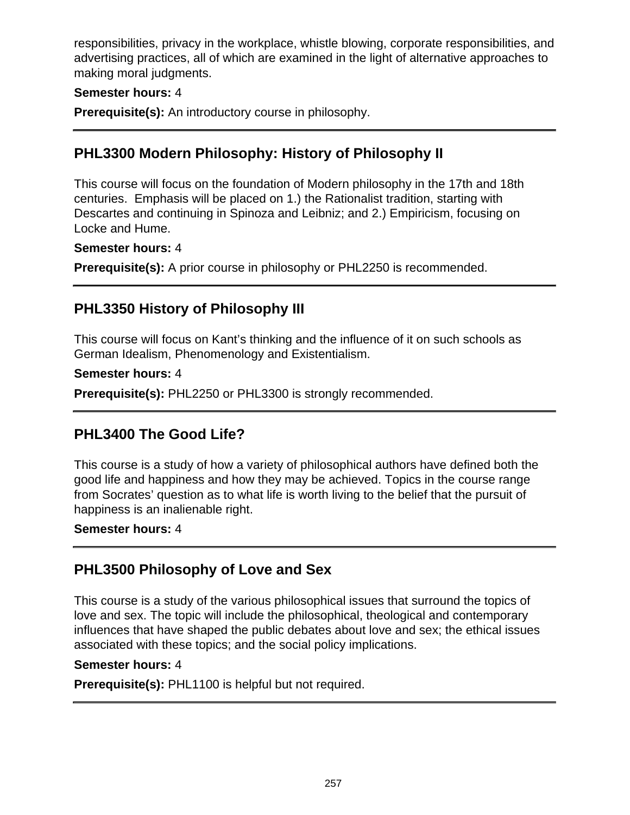responsibilities, privacy in the workplace, whistle blowing, corporate responsibilities, and advertising practices, all of which are examined in the light of alternative approaches to making moral judgments.

### **Semester hours:** 4

**Prerequisite(s):** An introductory course in philosophy.

### **PHL3300 Modern Philosophy: History of Philosophy II**

This course will focus on the foundation of Modern philosophy in the 17th and 18th centuries. Emphasis will be placed on 1.) the Rationalist tradition, starting with Descartes and continuing in Spinoza and Leibniz; and 2.) Empiricism, focusing on Locke and Hume.

#### **Semester hours:** 4

**Prerequisite(s):** A prior course in philosophy or PHL2250 is recommended.

### **PHL3350 History of Philosophy III**

This course will focus on Kant's thinking and the influence of it on such schools as German Idealism, Phenomenology and Existentialism.

#### **Semester hours:** 4

**Prerequisite(s):** PHL2250 or PHL3300 is strongly recommended.

### **PHL3400 The Good Life?**

This course is a study of how a variety of philosophical authors have defined both the good life and happiness and how they may be achieved. Topics in the course range from Socrates' question as to what life is worth living to the belief that the pursuit of happiness is an inalienable right.

#### **Semester hours:** 4

### **PHL3500 Philosophy of Love and Sex**

This course is a study of the various philosophical issues that surround the topics of love and sex. The topic will include the philosophical, theological and contemporary influences that have shaped the public debates about love and sex; the ethical issues associated with these topics; and the social policy implications.

#### **Semester hours:** 4

**Prerequisite(s):** PHL1100 is helpful but not required.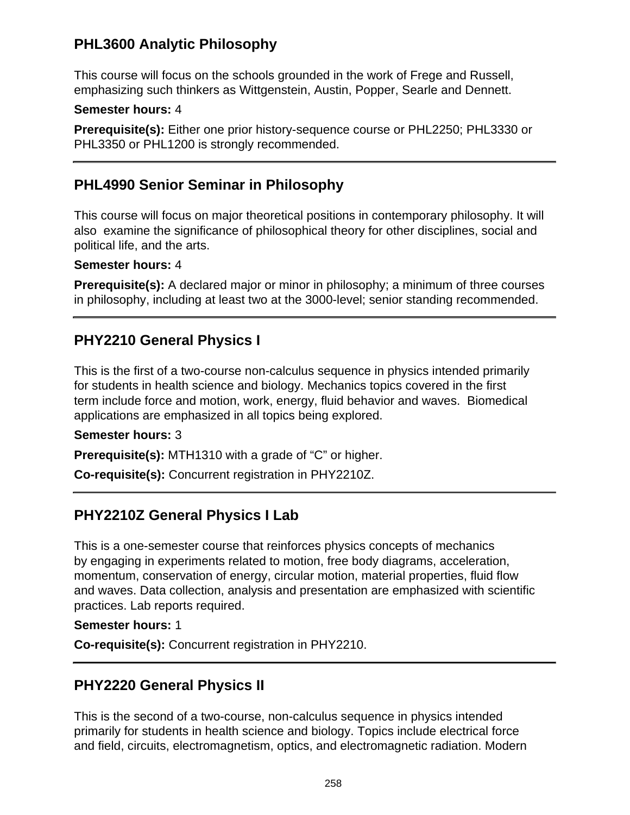## **PHL3600 Analytic Philosophy**

This course will focus on the schools grounded in the work of Frege and Russell, emphasizing such thinkers as Wittgenstein, Austin, Popper, Searle and Dennett.

### **Semester hours:** 4

**Prerequisite(s):** Either one prior history-sequence course or PHL2250; PHL3330 or PHL3350 or PHL1200 is strongly recommended.

### **PHL4990 Senior Seminar in Philosophy**

This course will focus on major theoretical positions in contemporary philosophy. It will also examine the significance of philosophical theory for other disciplines, social and political life, and the arts.

### **Semester hours:** 4

**Prerequisite(s):** A declared major or minor in philosophy; a minimum of three courses in philosophy, including at least two at the 3000-level; senior standing recommended.

## **PHY2210 General Physics I**

This is the first of a two-course non-calculus sequence in physics intended primarily for students in health science and biology. Mechanics topics covered in the first term include force and motion, work, energy, fluid behavior and waves. Biomedical applications are emphasized in all topics being explored.

### **Semester hours:** 3

**Prerequisite(s):** MTH1310 with a grade of "C" or higher.

**Co-requisite(s):** Concurrent registration in PHY2210Z.

# **PHY2210Z General Physics I Lab**

This is a one-semester course that reinforces physics concepts of mechanics by engaging in experiments related to motion, free body diagrams, acceleration, momentum, conservation of energy, circular motion, material properties, fluid flow and waves. Data collection, analysis and presentation are emphasized with scientific practices. Lab reports required.

### **Semester hours:** 1

**Co-requisite(s):** Concurrent registration in PHY2210.

### **PHY2220 General Physics II**

This is the second of a two-course, non-calculus sequence in physics intended primarily for students in health science and biology. Topics include electrical force and field, circuits, electromagnetism, optics, and electromagnetic radiation. Modern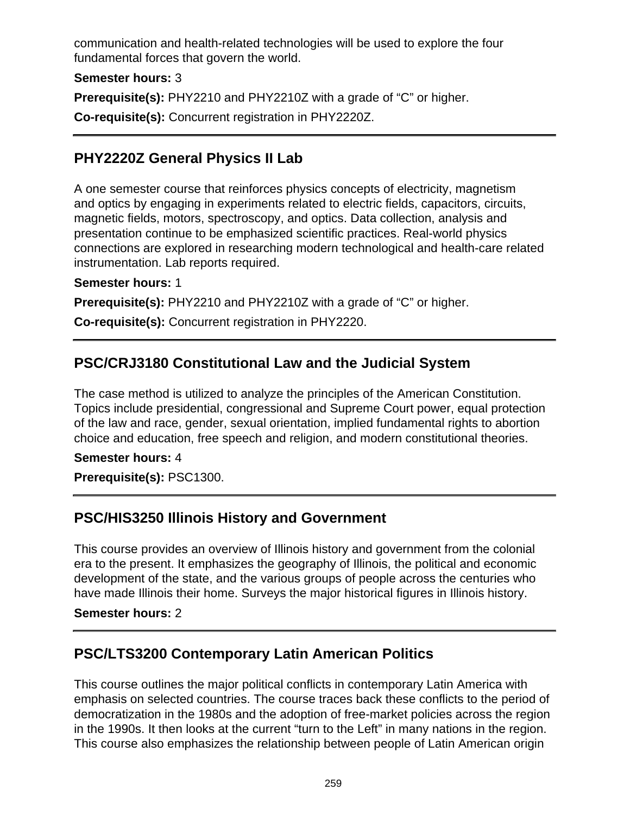communication and health-related technologies will be used to explore the four fundamental forces that govern the world.

**Semester hours:** 3

**Prerequisite(s):** PHY2210 and PHY2210Z with a grade of "C" or higher.

**Co-requisite(s):** Concurrent registration in PHY2220Z.

# **PHY2220Z General Physics II Lab**

A one semester course that reinforces physics concepts of electricity, magnetism and optics by engaging in experiments related to electric fields, capacitors, circuits, magnetic fields, motors, spectroscopy, and optics. Data collection, analysis and presentation continue to be emphasized scientific practices. Real-world physics connections are explored in researching modern technological and health-care related instrumentation. Lab reports required.

**Semester hours:** 1

**Prerequisite(s):** PHY2210 and PHY2210Z with a grade of "C" or higher.

**Co-requisite(s):** Concurrent registration in PHY2220.

## **PSC/CRJ3180 Constitutional Law and the Judicial System**

The case method is utilized to analyze the principles of the American Constitution. Topics include presidential, congressional and Supreme Court power, equal protection of the law and race, gender, sexual orientation, implied fundamental rights to abortion choice and education, free speech and religion, and modern constitutional theories.

#### **Semester hours:** 4

**Prerequisite(s):** PSC1300.

### **PSC/HIS3250 Illinois History and Government**

This course provides an overview of Illinois history and government from the colonial era to the present. It emphasizes the geography of Illinois, the political and economic development of the state, and the various groups of people across the centuries who have made Illinois their home. Surveys the major historical figures in Illinois history.

#### **Semester hours:** 2

### **PSC/LTS3200 Contemporary Latin American Politics**

This course outlines the major political conflicts in contemporary Latin America with emphasis on selected countries. The course traces back these conflicts to the period of democratization in the 1980s and the adoption of free-market policies across the region in the 1990s. It then looks at the current "turn to the Left" in many nations in the region. This course also emphasizes the relationship between people of Latin American origin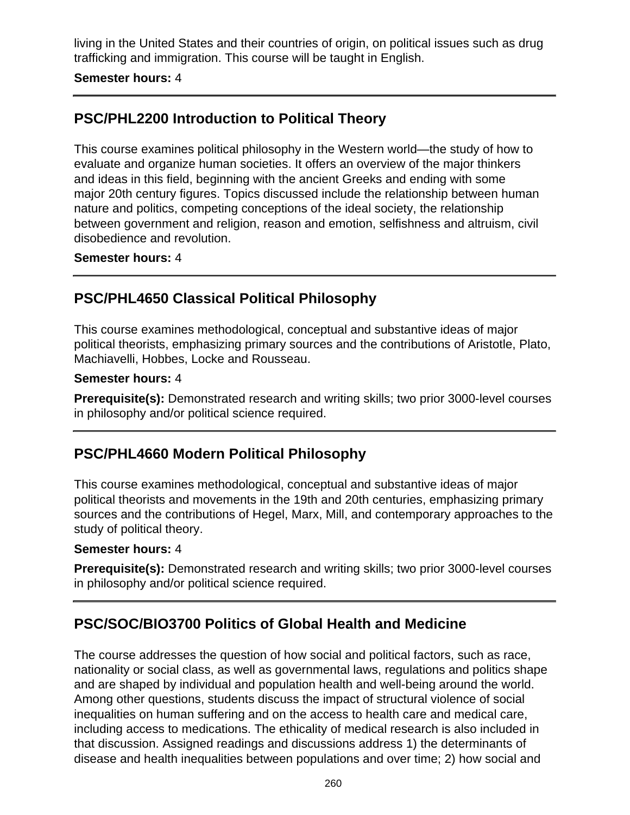living in the United States and their countries of origin, on political issues such as drug trafficking and immigration. This course will be taught in English.

#### **Semester hours:** 4

## **PSC/PHL2200 Introduction to Political Theory**

This course examines political philosophy in the Western world—the study of how to evaluate and organize human societies. It offers an overview of the major thinkers and ideas in this field, beginning with the ancient Greeks and ending with some major 20th century figures. Topics discussed include the relationship between human nature and politics, competing conceptions of the ideal society, the relationship between government and religion, reason and emotion, selfishness and altruism, civil disobedience and revolution.

#### **Semester hours:** 4

### **PSC/PHL4650 Classical Political Philosophy**

This course examines methodological, conceptual and substantive ideas of major political theorists, emphasizing primary sources and the contributions of Aristotle, Plato, Machiavelli, Hobbes, Locke and Rousseau.

#### **Semester hours:** 4

**Prerequisite(s):** Demonstrated research and writing skills; two prior 3000-level courses in philosophy and/or political science required.

### **PSC/PHL4660 Modern Political Philosophy**

This course examines methodological, conceptual and substantive ideas of major political theorists and movements in the 19th and 20th centuries, emphasizing primary sources and the contributions of Hegel, Marx, Mill, and contemporary approaches to the study of political theory.

#### **Semester hours:** 4

**Prerequisite(s):** Demonstrated research and writing skills; two prior 3000-level courses in philosophy and/or political science required.

### **PSC/SOC/BIO3700 Politics of Global Health and Medicine**

The course addresses the question of how social and political factors, such as race, nationality or social class, as well as governmental laws, regulations and politics shape and are shaped by individual and population health and well-being around the world. Among other questions, students discuss the impact of structural violence of social inequalities on human suffering and on the access to health care and medical care, including access to medications. The ethicality of medical research is also included in that discussion. Assigned readings and discussions address 1) the determinants of disease and health inequalities between populations and over time; 2) how social and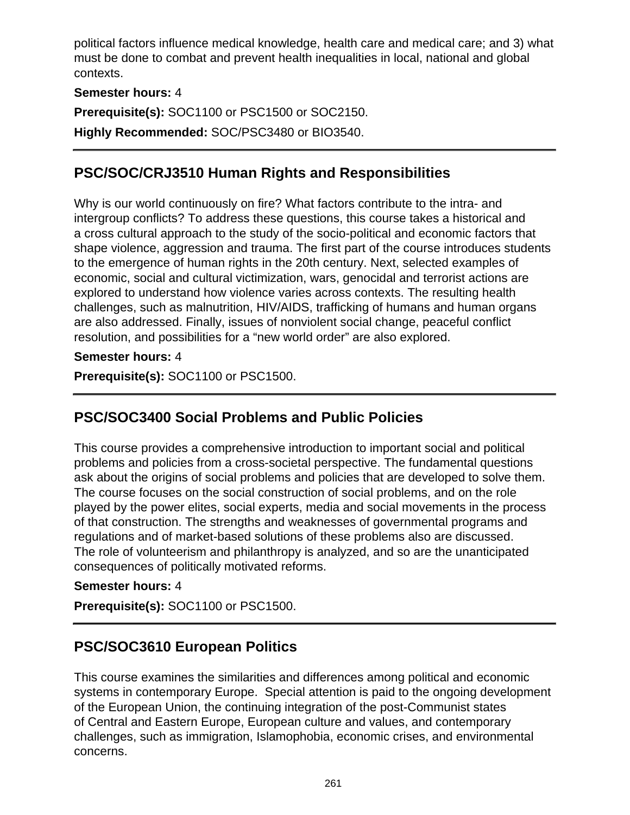political factors influence medical knowledge, health care and medical care; and 3) what must be done to combat and prevent health inequalities in local, national and global contexts.

### **Semester hours:** 4

**Prerequisite(s):** SOC1100 or PSC1500 or SOC2150.

**Highly Recommended:** SOC/PSC3480 or BIO3540.

## **PSC/SOC/CRJ3510 Human Rights and Responsibilities**

Why is our world continuously on fire? What factors contribute to the intra- and intergroup conflicts? To address these questions, this course takes a historical and a cross cultural approach to the study of the socio-political and economic factors that shape violence, aggression and trauma. The first part of the course introduces students to the emergence of human rights in the 20th century. Next, selected examples of economic, social and cultural victimization, wars, genocidal and terrorist actions are explored to understand how violence varies across contexts. The resulting health challenges, such as malnutrition, HIV/AIDS, trafficking of humans and human organs are also addressed. Finally, issues of nonviolent social change, peaceful conflict resolution, and possibilities for a "new world order" are also explored.

#### **Semester hours:** 4

**Prerequisite(s):** SOC1100 or PSC1500.

# **PSC/SOC3400 Social Problems and Public Policies**

This course provides a comprehensive introduction to important social and political problems and policies from a cross-societal perspective. The fundamental questions ask about the origins of social problems and policies that are developed to solve them. The course focuses on the social construction of social problems, and on the role played by the power elites, social experts, media and social movements in the process of that construction. The strengths and weaknesses of governmental programs and regulations and of market-based solutions of these problems also are discussed. The role of volunteerism and philanthropy is analyzed, and so are the unanticipated consequences of politically motivated reforms.

#### **Semester hours:** 4

**Prerequisite(s):** SOC1100 or PSC1500.

### **PSC/SOC3610 European Politics**

This course examines the similarities and differences among political and economic systems in contemporary Europe. Special attention is paid to the ongoing development of the European Union, the continuing integration of the post-Communist states of Central and Eastern Europe, European culture and values, and contemporary challenges, such as immigration, Islamophobia, economic crises, and environmental concerns.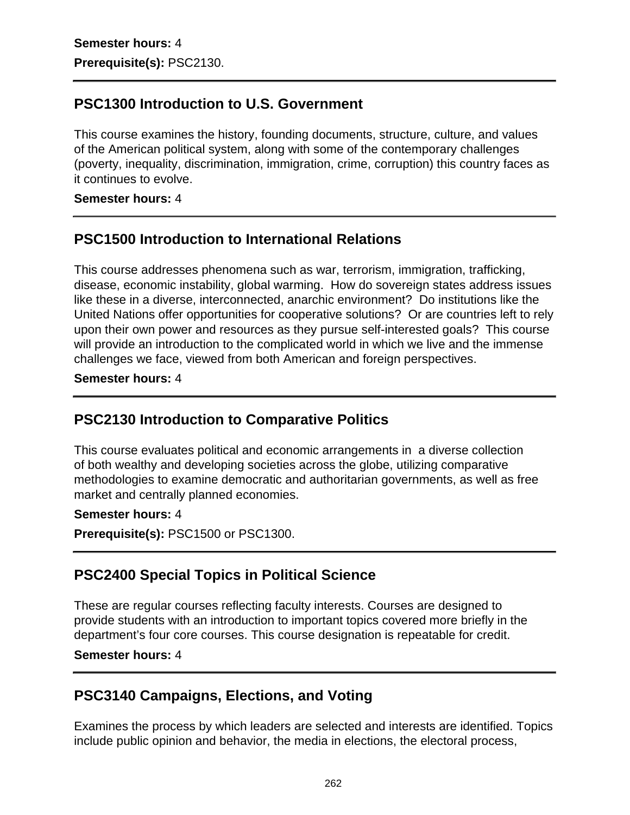### **PSC1300 Introduction to U.S. Government**

This course examines the history, founding documents, structure, culture, and values of the American political system, along with some of the contemporary challenges (poverty, inequality, discrimination, immigration, crime, corruption) this country faces as it continues to evolve.

#### **Semester hours:** 4

### **PSC1500 Introduction to International Relations**

This course addresses phenomena such as war, terrorism, immigration, trafficking, disease, economic instability, global warming. How do sovereign states address issues like these in a diverse, interconnected, anarchic environment? Do institutions like the United Nations offer opportunities for cooperative solutions? Or are countries left to rely upon their own power and resources as they pursue self-interested goals? This course will provide an introduction to the complicated world in which we live and the immense challenges we face, viewed from both American and foreign perspectives.

#### **Semester hours:** 4

### **PSC2130 Introduction to Comparative Politics**

This course evaluates political and economic arrangements in a diverse collection of both wealthy and developing societies across the globe, utilizing comparative methodologies to examine democratic and authoritarian governments, as well as free market and centrally planned economies.

#### **Semester hours:** 4

**Prerequisite(s):** PSC1500 or PSC1300.

### **PSC2400 Special Topics in Political Science**

These are regular courses reflecting faculty interests. Courses are designed to provide students with an introduction to important topics covered more briefly in the department's four core courses. This course designation is repeatable for credit.

#### **Semester hours:** 4

### **PSC3140 Campaigns, Elections, and Voting**

Examines the process by which leaders are selected and interests are identified. Topics include public opinion and behavior, the media in elections, the electoral process,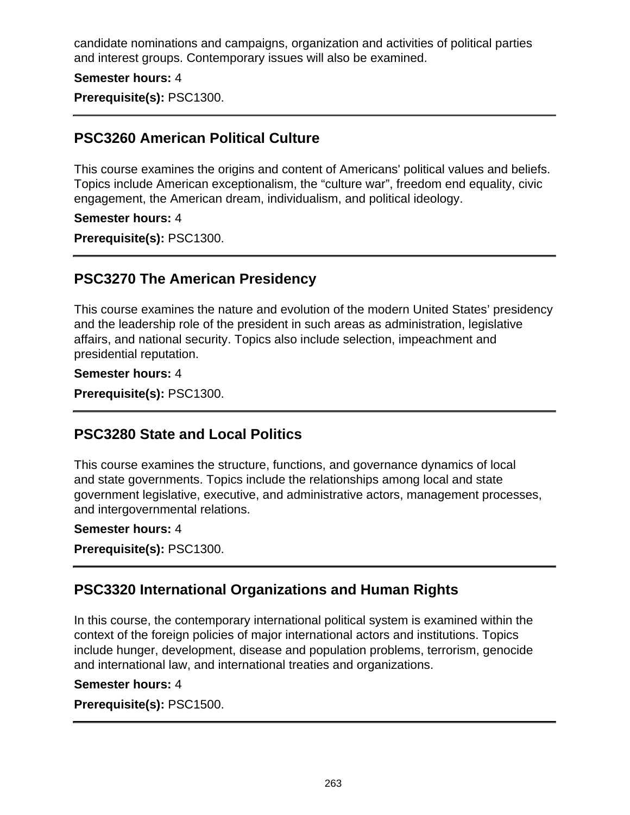candidate nominations and campaigns, organization and activities of political parties and interest groups. Contemporary issues will also be examined.

**Semester hours:** 4

**Prerequisite(s):** PSC1300.

### **PSC3260 American Political Culture**

This course examines the origins and content of Americans' political values and beliefs. Topics include American exceptionalism, the "culture war", freedom end equality, civic engagement, the American dream, individualism, and political ideology.

#### **Semester hours:** 4

**Prerequisite(s):** PSC1300.

### **PSC3270 The American Presidency**

This course examines the nature and evolution of the modern United States' presidency and the leadership role of the president in such areas as administration, legislative affairs, and national security. Topics also include selection, impeachment and presidential reputation.

#### **Semester hours:** 4

**Prerequisite(s):** PSC1300.

### **PSC3280 State and Local Politics**

This course examines the structure, functions, and governance dynamics of local and state governments. Topics include the relationships among local and state government legislative, executive, and administrative actors, management processes, and intergovernmental relations.

#### **Semester hours:** 4

**Prerequisite(s):** PSC1300.

### **PSC3320 International Organizations and Human Rights**

In this course, the contemporary international political system is examined within the context of the foreign policies of major international actors and institutions. Topics include hunger, development, disease and population problems, terrorism, genocide and international law, and international treaties and organizations.

#### **Semester hours:** 4

**Prerequisite(s):** PSC1500.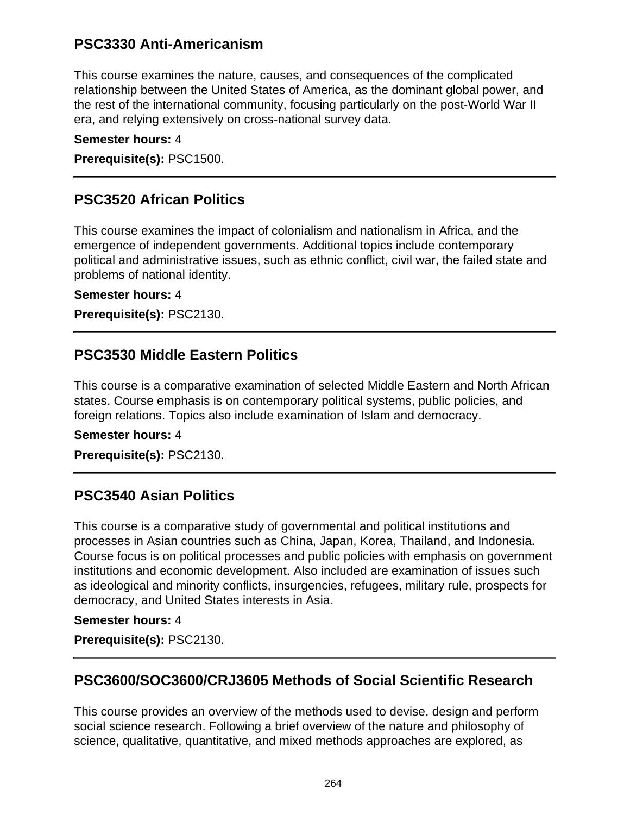### **PSC3330 Anti-Americanism**

This course examines the nature, causes, and consequences of the complicated relationship between the United States of America, as the dominant global power, and the rest of the international community, focusing particularly on the post-World War II era, and relying extensively on cross-national survey data.

#### **Semester hours:** 4

**Prerequisite(s):** PSC1500.

### **PSC3520 African Politics**

This course examines the impact of colonialism and nationalism in Africa, and the emergence of independent governments. Additional topics include contemporary political and administrative issues, such as ethnic conflict, civil war, the failed state and problems of national identity.

#### **Semester hours:** 4

**Prerequisite(s):** PSC2130.

### **PSC3530 Middle Eastern Politics**

This course is a comparative examination of selected Middle Eastern and North African states. Course emphasis is on contemporary political systems, public policies, and foreign relations. Topics also include examination of Islam and democracy.

#### **Semester hours:** 4

**Prerequisite(s):** PSC2130.

### **PSC3540 Asian Politics**

This course is a comparative study of governmental and political institutions and processes in Asian countries such as China, Japan, Korea, Thailand, and Indonesia. Course focus is on political processes and public policies with emphasis on government institutions and economic development. Also included are examination of issues such as ideological and minority conflicts, insurgencies, refugees, military rule, prospects for democracy, and United States interests in Asia.

#### **Semester hours:** 4

**Prerequisite(s):** PSC2130.

### **PSC3600/SOC3600/CRJ3605 Methods of Social Scientific Research**

This course provides an overview of the methods used to devise, design and perform social science research. Following a brief overview of the nature and philosophy of science, qualitative, quantitative, and mixed methods approaches are explored, as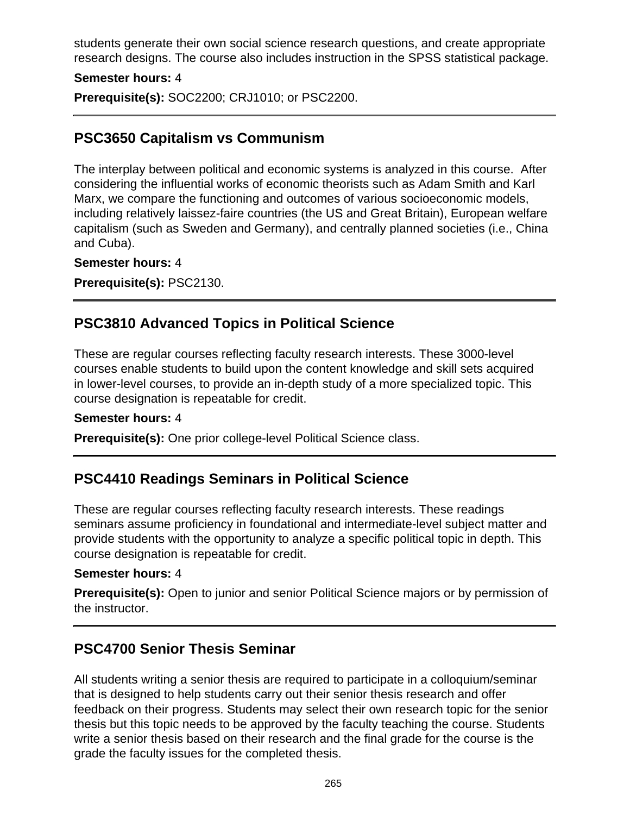students generate their own social science research questions, and create appropriate research designs. The course also includes instruction in the SPSS statistical package.

#### **Semester hours:** 4

**Prerequisite(s):** SOC2200; CRJ1010; or PSC2200.

### **PSC3650 Capitalism vs Communism**

The interplay between political and economic systems is analyzed in this course. After considering the influential works of economic theorists such as Adam Smith and Karl Marx, we compare the functioning and outcomes of various socioeconomic models, including relatively laissez-faire countries (the US and Great Britain), European welfare capitalism (such as Sweden and Germany), and centrally planned societies (i.e., China and Cuba).

#### **Semester hours:** 4

**Prerequisite(s):** PSC2130.

### **PSC3810 Advanced Topics in Political Science**

These are regular courses reflecting faculty research interests. These 3000-level courses enable students to build upon the content knowledge and skill sets acquired in lower-level courses, to provide an in-depth study of a more specialized topic. This course designation is repeatable for credit.

#### **Semester hours:** 4

**Prerequisite(s):** One prior college-level Political Science class.

### **PSC4410 Readings Seminars in Political Science**

These are regular courses reflecting faculty research interests. These readings seminars assume proficiency in foundational and intermediate-level subject matter and provide students with the opportunity to analyze a specific political topic in depth. This course designation is repeatable for credit.

#### **Semester hours:** 4

**Prerequisite(s):** Open to junior and senior Political Science majors or by permission of the instructor.

### **PSC4700 Senior Thesis Seminar**

All students writing a senior thesis are required to participate in a colloquium/seminar that is designed to help students carry out their senior thesis research and offer feedback on their progress. Students may select their own research topic for the senior thesis but this topic needs to be approved by the faculty teaching the course. Students write a senior thesis based on their research and the final grade for the course is the grade the faculty issues for the completed thesis.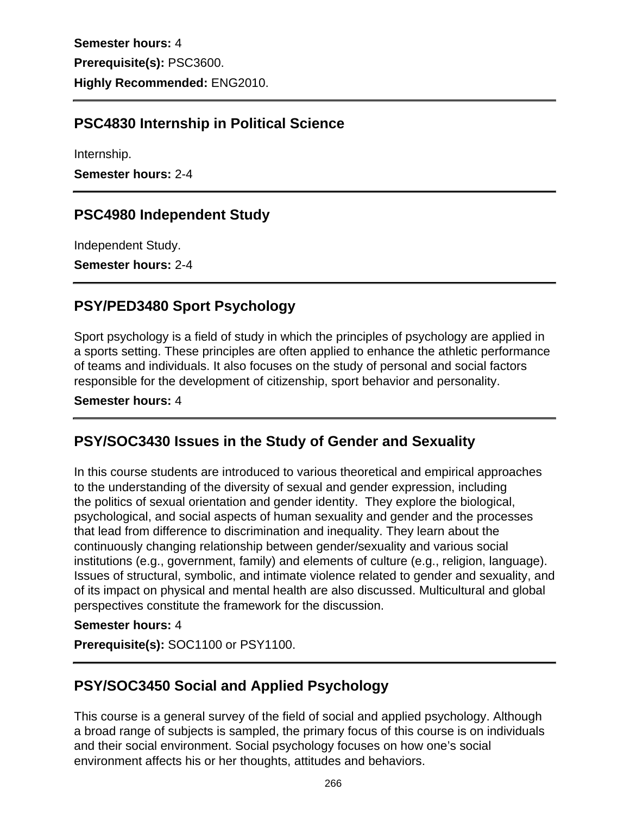**Semester hours:** 4 **Prerequisite(s):** PSC3600. **Highly Recommended:** ENG2010.

## **PSC4830 Internship in Political Science**

Internship.

**Semester hours:** 2-4

### **PSC4980 Independent Study**

Independent Study.

**Semester hours:** 2-4

### **PSY/PED3480 Sport Psychology**

Sport psychology is a field of study in which the principles of psychology are applied in a sports setting. These principles are often applied to enhance the athletic performance of teams and individuals. It also focuses on the study of personal and social factors responsible for the development of citizenship, sport behavior and personality.

#### **Semester hours:** 4

### **PSY/SOC3430 Issues in the Study of Gender and Sexuality**

In this course students are introduced to various theoretical and empirical approaches to the understanding of the diversity of sexual and gender expression, including the politics of sexual orientation and gender identity. They explore the biological, psychological, and social aspects of human sexuality and gender and the processes that lead from difference to discrimination and inequality. They learn about the continuously changing relationship between gender/sexuality and various social institutions (e.g., government, family) and elements of culture (e.g., religion, language). Issues of structural, symbolic, and intimate violence related to gender and sexuality, and of its impact on physical and mental health are also discussed. Multicultural and global perspectives constitute the framework for the discussion.

#### **Semester hours:** 4

**Prerequisite(s):** SOC1100 or PSY1100.

### **PSY/SOC3450 Social and Applied Psychology**

This course is a general survey of the field of social and applied psychology. Although a broad range of subjects is sampled, the primary focus of this course is on individuals and their social environment. Social psychology focuses on how one's social environment affects his or her thoughts, attitudes and behaviors.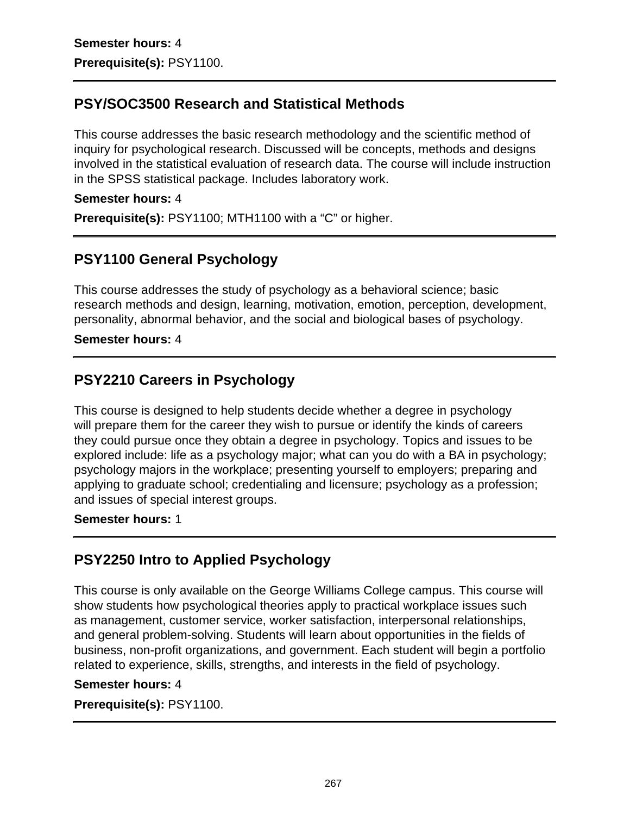## **PSY/SOC3500 Research and Statistical Methods**

This course addresses the basic research methodology and the scientific method of inquiry for psychological research. Discussed will be concepts, methods and designs involved in the statistical evaluation of research data. The course will include instruction in the SPSS statistical package. Includes laboratory work.

#### **Semester hours:** 4

**Prerequisite(s):** PSY1100; MTH1100 with a "C" or higher.

## **PSY1100 General Psychology**

This course addresses the study of psychology as a behavioral science; basic research methods and design, learning, motivation, emotion, perception, development, personality, abnormal behavior, and the social and biological bases of psychology.

### **Semester hours:** 4

## **PSY2210 Careers in Psychology**

This course is designed to help students decide whether a degree in psychology will prepare them for the career they wish to pursue or identify the kinds of careers they could pursue once they obtain a degree in psychology. Topics and issues to be explored include: life as a psychology major; what can you do with a BA in psychology; psychology majors in the workplace; presenting yourself to employers; preparing and applying to graduate school; credentialing and licensure; psychology as a profession; and issues of special interest groups.

#### **Semester hours:** 1

### **PSY2250 Intro to Applied Psychology**

This course is only available on the George Williams College campus. This course will show students how psychological theories apply to practical workplace issues such as management, customer service, worker satisfaction, interpersonal relationships, and general problem-solving. Students will learn about opportunities in the fields of business, non-profit organizations, and government. Each student will begin a portfolio related to experience, skills, strengths, and interests in the field of psychology.

#### **Semester hours:** 4

#### **Prerequisite(s):** PSY1100.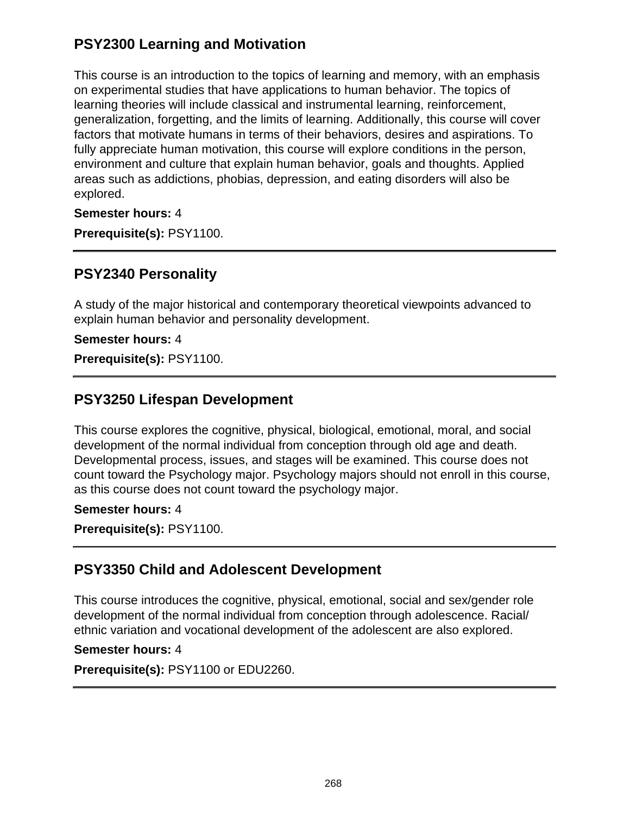## **PSY2300 Learning and Motivation**

This course is an introduction to the topics of learning and memory, with an emphasis on experimental studies that have applications to human behavior. The topics of learning theories will include classical and instrumental learning, reinforcement, generalization, forgetting, and the limits of learning. Additionally, this course will cover factors that motivate humans in terms of their behaviors, desires and aspirations. To fully appreciate human motivation, this course will explore conditions in the person, environment and culture that explain human behavior, goals and thoughts. Applied areas such as addictions, phobias, depression, and eating disorders will also be explored.

**Semester hours:** 4

**Prerequisite(s):** PSY1100.

### **PSY2340 Personality**

A study of the major historical and contemporary theoretical viewpoints advanced to explain human behavior and personality development.

#### **Semester hours:** 4

**Prerequisite(s):** PSY1100.

### **PSY3250 Lifespan Development**

This course explores the cognitive, physical, biological, emotional, moral, and social development of the normal individual from conception through old age and death. Developmental process, issues, and stages will be examined. This course does not count toward the Psychology major. Psychology majors should not enroll in this course, as this course does not count toward the psychology major.

#### **Semester hours:** 4

**Prerequisite(s):** PSY1100.

### **PSY3350 Child and Adolescent Development**

This course introduces the cognitive, physical, emotional, social and sex/gender role development of the normal individual from conception through adolescence. Racial/ ethnic variation and vocational development of the adolescent are also explored.

#### **Semester hours:** 4

**Prerequisite(s):** PSY1100 or EDU2260.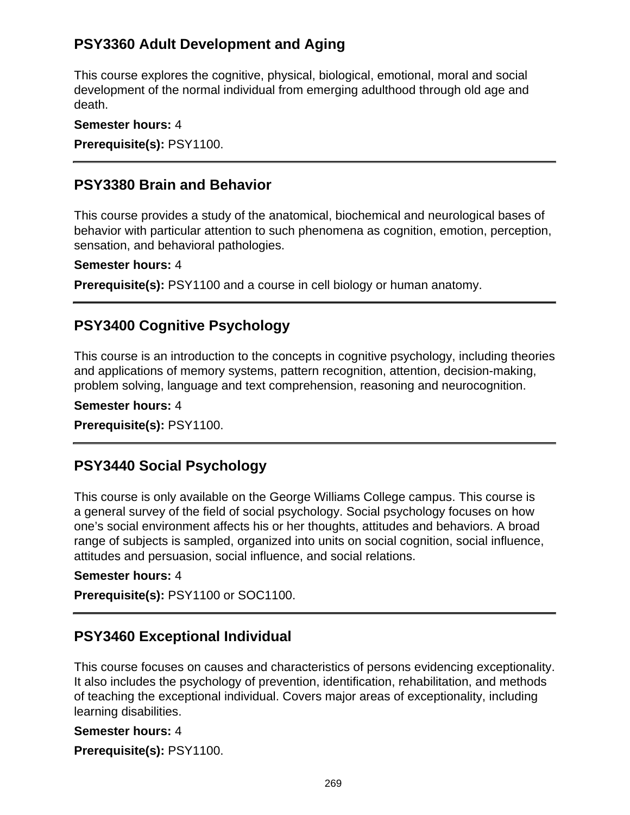## **PSY3360 Adult Development and Aging**

This course explores the cognitive, physical, biological, emotional, moral and social development of the normal individual from emerging adulthood through old age and death.

**Semester hours:** 4 **Prerequisite(s):** PSY1100.

### **PSY3380 Brain and Behavior**

This course provides a study of the anatomical, biochemical and neurological bases of behavior with particular attention to such phenomena as cognition, emotion, perception, sensation, and behavioral pathologies.

#### **Semester hours:** 4

**Prerequisite(s):** PSY1100 and a course in cell biology or human anatomy.

### **PSY3400 Cognitive Psychology**

This course is an introduction to the concepts in cognitive psychology, including theories and applications of memory systems, pattern recognition, attention, decision-making, problem solving, language and text comprehension, reasoning and neurocognition.

#### **Semester hours:** 4

**Prerequisite(s):** PSY1100.

### **PSY3440 Social Psychology**

This course is only available on the George Williams College campus. This course is a general survey of the field of social psychology. Social psychology focuses on how one's social environment affects his or her thoughts, attitudes and behaviors. A broad range of subjects is sampled, organized into units on social cognition, social influence, attitudes and persuasion, social influence, and social relations.

#### **Semester hours:** 4

**Prerequisite(s):** PSY1100 or SOC1100.

### **PSY3460 Exceptional Individual**

This course focuses on causes and characteristics of persons evidencing exceptionality. It also includes the psychology of prevention, identification, rehabilitation, and methods of teaching the exceptional individual. Covers major areas of exceptionality, including learning disabilities.

#### **Semester hours:** 4

**Prerequisite(s):** PSY1100.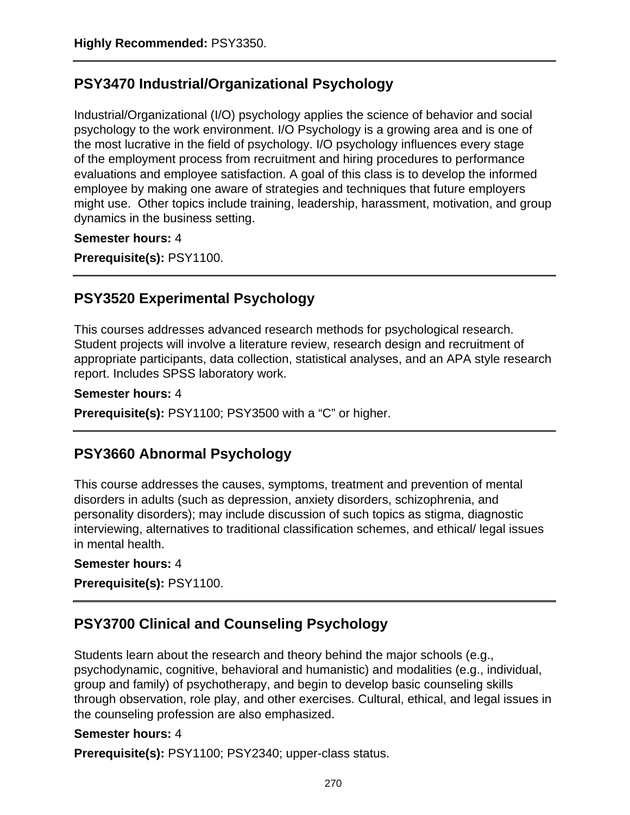## **PSY3470 Industrial/Organizational Psychology**

Industrial/Organizational (I/O) psychology applies the science of behavior and social psychology to the work environment. I/O Psychology is a growing area and is one of the most lucrative in the field of psychology. I/O psychology influences every stage of the employment process from recruitment and hiring procedures to performance evaluations and employee satisfaction. A goal of this class is to develop the informed employee by making one aware of strategies and techniques that future employers might use. Other topics include training, leadership, harassment, motivation, and group dynamics in the business setting.

#### **Semester hours:** 4

**Prerequisite(s):** PSY1100.

### **PSY3520 Experimental Psychology**

This courses addresses advanced research methods for psychological research. Student projects will involve a literature review, research design and recruitment of appropriate participants, data collection, statistical analyses, and an APA style research report. Includes SPSS laboratory work.

#### **Semester hours:** 4

**Prerequisite(s):** PSY1100; PSY3500 with a "C" or higher.

### **PSY3660 Abnormal Psychology**

This course addresses the causes, symptoms, treatment and prevention of mental disorders in adults (such as depression, anxiety disorders, schizophrenia, and personality disorders); may include discussion of such topics as stigma, diagnostic interviewing, alternatives to traditional classification schemes, and ethical/ legal issues in mental health.

#### **Semester hours:** 4

**Prerequisite(s):** PSY1100.

# **PSY3700 Clinical and Counseling Psychology**

Students learn about the research and theory behind the major schools (e.g., psychodynamic, cognitive, behavioral and humanistic) and modalities (e.g., individual, group and family) of psychotherapy, and begin to develop basic counseling skills through observation, role play, and other exercises. Cultural, ethical, and legal issues in the counseling profession are also emphasized.

#### **Semester hours:** 4

**Prerequisite(s):** PSY1100; PSY2340; upper-class status.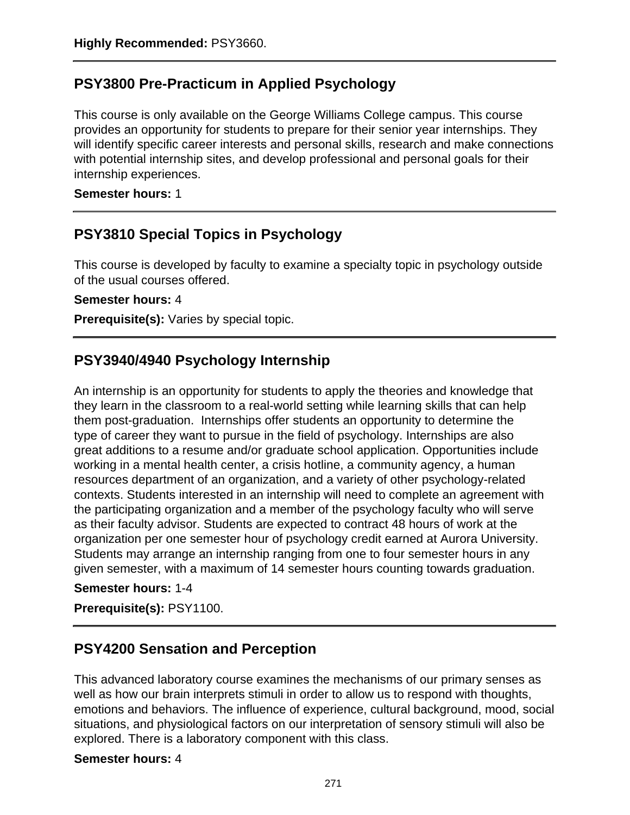# **PSY3800 Pre-Practicum in Applied Psychology**

This course is only available on the George Williams College campus. This course provides an opportunity for students to prepare for their senior year internships. They will identify specific career interests and personal skills, research and make connections with potential internship sites, and develop professional and personal goals for their internship experiences.

**Semester hours:** 1

## **PSY3810 Special Topics in Psychology**

This course is developed by faculty to examine a specialty topic in psychology outside of the usual courses offered.

#### **Semester hours:** 4

**Prerequisite(s):** Varies by special topic.

## **PSY3940/4940 Psychology Internship**

An internship is an opportunity for students to apply the theories and knowledge that they learn in the classroom to a real-world setting while learning skills that can help them post-graduation. Internships offer students an opportunity to determine the type of career they want to pursue in the field of psychology. Internships are also great additions to a resume and/or graduate school application. Opportunities include working in a mental health center, a crisis hotline, a community agency, a human resources department of an organization, and a variety of other psychology-related contexts. Students interested in an internship will need to complete an agreement with the participating organization and a member of the psychology faculty who will serve as their faculty advisor. Students are expected to contract 48 hours of work at the organization per one semester hour of psychology credit earned at Aurora University. Students may arrange an internship ranging from one to four semester hours in any given semester, with a maximum of 14 semester hours counting towards graduation.

#### **Semester hours:** 1-4

**Prerequisite(s):** PSY1100.

### **PSY4200 Sensation and Perception**

This advanced laboratory course examines the mechanisms of our primary senses as well as how our brain interprets stimuli in order to allow us to respond with thoughts, emotions and behaviors. The influence of experience, cultural background, mood, social situations, and physiological factors on our interpretation of sensory stimuli will also be explored. There is a laboratory component with this class.

#### **Semester hours:** 4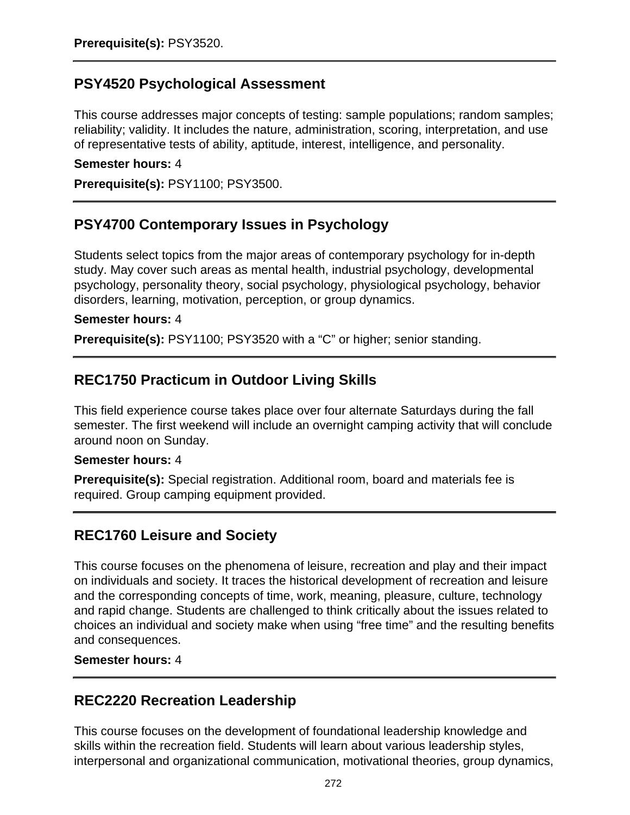### **PSY4520 Psychological Assessment**

This course addresses major concepts of testing: sample populations; random samples; reliability; validity. It includes the nature, administration, scoring, interpretation, and use of representative tests of ability, aptitude, interest, intelligence, and personality.

#### **Semester hours:** 4

**Prerequisite(s):** PSY1100; PSY3500.

### **PSY4700 Contemporary Issues in Psychology**

Students select topics from the major areas of contemporary psychology for in-depth study. May cover such areas as mental health, industrial psychology, developmental psychology, personality theory, social psychology, physiological psychology, behavior disorders, learning, motivation, perception, or group dynamics.

#### **Semester hours:** 4

**Prerequisite(s):** PSY1100; PSY3520 with a "C" or higher; senior standing.

### **REC1750 Practicum in Outdoor Living Skills**

This field experience course takes place over four alternate Saturdays during the fall semester. The first weekend will include an overnight camping activity that will conclude around noon on Sunday.

#### **Semester hours:** 4

**Prerequisite(s):** Special registration. Additional room, board and materials fee is required. Group camping equipment provided.

### **REC1760 Leisure and Society**

This course focuses on the phenomena of leisure, recreation and play and their impact on individuals and society. It traces the historical development of recreation and leisure and the corresponding concepts of time, work, meaning, pleasure, culture, technology and rapid change. Students are challenged to think critically about the issues related to choices an individual and society make when using "free time" and the resulting benefits and consequences.

**Semester hours:** 4

### **REC2220 Recreation Leadership**

This course focuses on the development of foundational leadership knowledge and skills within the recreation field. Students will learn about various leadership styles, interpersonal and organizational communication, motivational theories, group dynamics,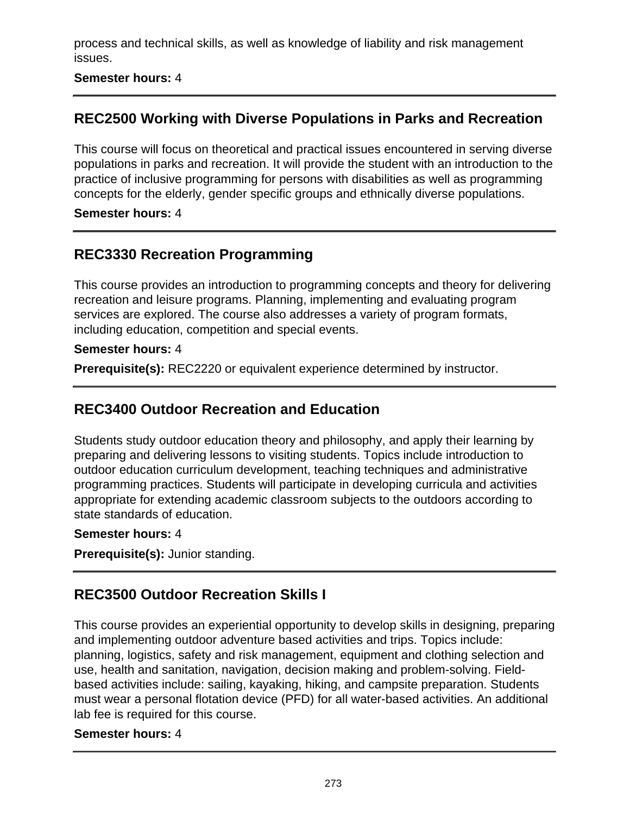process and technical skills, as well as knowledge of liability and risk management issues.

### **Semester hours:** 4

## **REC2500 Working with Diverse Populations in Parks and Recreation**

This course will focus on theoretical and practical issues encountered in serving diverse populations in parks and recreation. It will provide the student with an introduction to the practice of inclusive programming for persons with disabilities as well as programming concepts for the elderly, gender specific groups and ethnically diverse populations.

#### **Semester hours:** 4

## **REC3330 Recreation Programming**

This course provides an introduction to programming concepts and theory for delivering recreation and leisure programs. Planning, implementing and evaluating program services are explored. The course also addresses a variety of program formats, including education, competition and special events.

#### **Semester hours:** 4

**Prerequisite(s):** REC2220 or equivalent experience determined by instructor.

### **REC3400 Outdoor Recreation and Education**

Students study outdoor education theory and philosophy, and apply their learning by preparing and delivering lessons to visiting students. Topics include introduction to outdoor education curriculum development, teaching techniques and administrative programming practices. Students will participate in developing curricula and activities appropriate for extending academic classroom subjects to the outdoors according to state standards of education.

#### **Semester hours:** 4

**Prerequisite(s):** Junior standing.

### **REC3500 Outdoor Recreation Skills I**

This course provides an experiential opportunity to develop skills in designing, preparing and implementing outdoor adventure based activities and trips. Topics include: planning, logistics, safety and risk management, equipment and clothing selection and use, health and sanitation, navigation, decision making and problem-solving. Fieldbased activities include: sailing, kayaking, hiking, and campsite preparation. Students must wear a personal flotation device (PFD) for all water-based activities. An additional lab fee is required for this course.

#### **Semester hours:** 4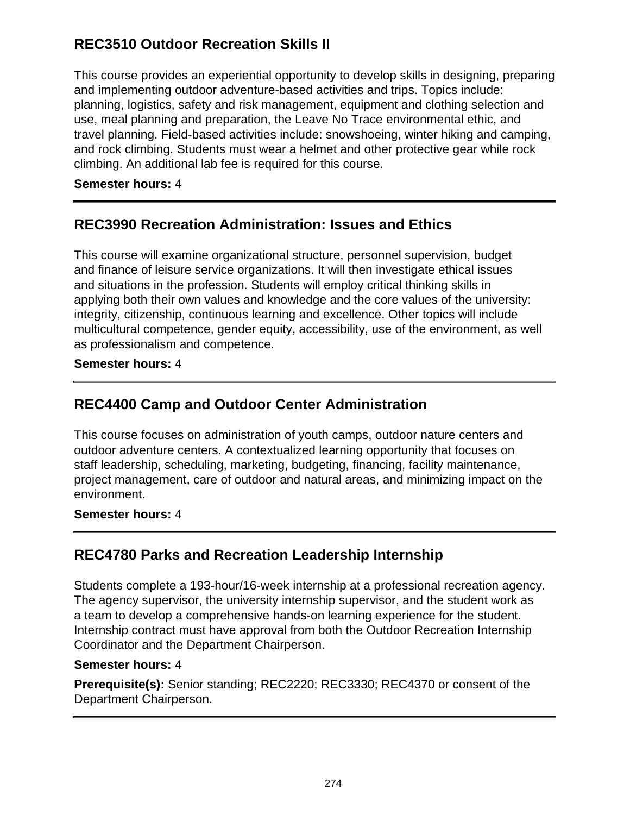# **REC3510 Outdoor Recreation Skills II**

This course provides an experiential opportunity to develop skills in designing, preparing and implementing outdoor adventure-based activities and trips. Topics include: planning, logistics, safety and risk management, equipment and clothing selection and use, meal planning and preparation, the Leave No Trace environmental ethic, and travel planning. Field-based activities include: snowshoeing, winter hiking and camping, and rock climbing. Students must wear a helmet and other protective gear while rock climbing. An additional lab fee is required for this course.

### **Semester hours:** 4

## **REC3990 Recreation Administration: Issues and Ethics**

This course will examine organizational structure, personnel supervision, budget and finance of leisure service organizations. It will then investigate ethical issues and situations in the profession. Students will employ critical thinking skills in applying both their own values and knowledge and the core values of the university: integrity, citizenship, continuous learning and excellence. Other topics will include multicultural competence, gender equity, accessibility, use of the environment, as well as professionalism and competence.

### **Semester hours:** 4

### **REC4400 Camp and Outdoor Center Administration**

This course focuses on administration of youth camps, outdoor nature centers and outdoor adventure centers. A contextualized learning opportunity that focuses on staff leadership, scheduling, marketing, budgeting, financing, facility maintenance, project management, care of outdoor and natural areas, and minimizing impact on the environment.

#### **Semester hours:** 4

### **REC4780 Parks and Recreation Leadership Internship**

Students complete a 193-hour/16-week internship at a professional recreation agency. The agency supervisor, the university internship supervisor, and the student work as a team to develop a comprehensive hands-on learning experience for the student. Internship contract must have approval from both the Outdoor Recreation Internship Coordinator and the Department Chairperson.

#### **Semester hours:** 4

**Prerequisite(s):** Senior standing; REC2220; REC3330; REC4370 or consent of the Department Chairperson.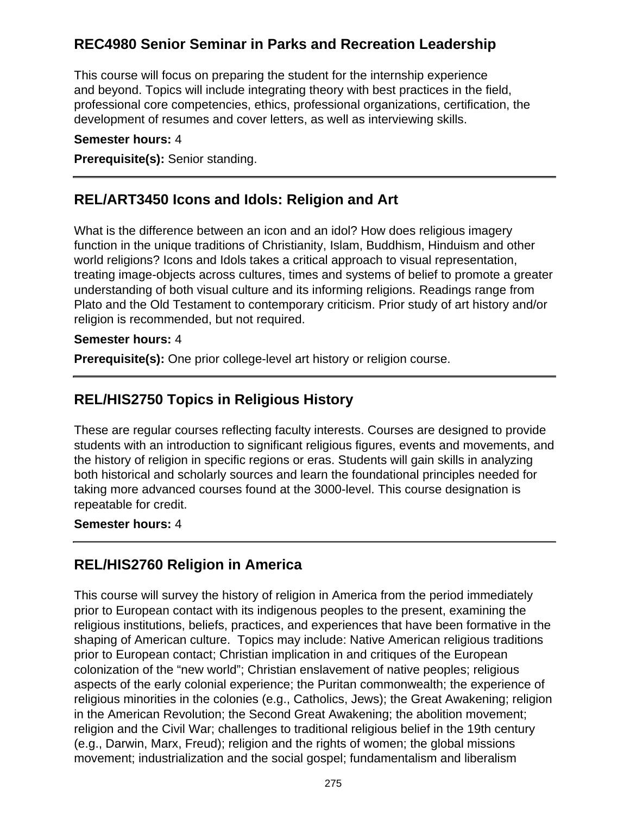# **REC4980 Senior Seminar in Parks and Recreation Leadership**

This course will focus on preparing the student for the internship experience and beyond. Topics will include integrating theory with best practices in the field, professional core competencies, ethics, professional organizations, certification, the development of resumes and cover letters, as well as interviewing skills.

#### **Semester hours:** 4

**Prerequisite(s):** Senior standing.

### **REL/ART3450 Icons and Idols: Religion and Art**

What is the difference between an icon and an idol? How does religious imagery function in the unique traditions of Christianity, Islam, Buddhism, Hinduism and other world religions? Icons and Idols takes a critical approach to visual representation, treating image-objects across cultures, times and systems of belief to promote a greater understanding of both visual culture and its informing religions. Readings range from Plato and the Old Testament to contemporary criticism. Prior study of art history and/or religion is recommended, but not required.

#### **Semester hours:** 4

**Prerequisite(s):** One prior college-level art history or religion course.

### **REL/HIS2750 Topics in Religious History**

These are regular courses reflecting faculty interests. Courses are designed to provide students with an introduction to significant religious figures, events and movements, and the history of religion in specific regions or eras. Students will gain skills in analyzing both historical and scholarly sources and learn the foundational principles needed for taking more advanced courses found at the 3000-level. This course designation is repeatable for credit.

#### **Semester hours:** 4

### **REL/HIS2760 Religion in America**

This course will survey the history of religion in America from the period immediately prior to European contact with its indigenous peoples to the present, examining the religious institutions, beliefs, practices, and experiences that have been formative in the shaping of American culture. Topics may include: Native American religious traditions prior to European contact; Christian implication in and critiques of the European colonization of the "new world"; Christian enslavement of native peoples; religious aspects of the early colonial experience; the Puritan commonwealth; the experience of religious minorities in the colonies (e.g., Catholics, Jews); the Great Awakening; religion in the American Revolution; the Second Great Awakening; the abolition movement; religion and the Civil War; challenges to traditional religious belief in the 19th century (e.g., Darwin, Marx, Freud); religion and the rights of women; the global missions movement; industrialization and the social gospel; fundamentalism and liberalism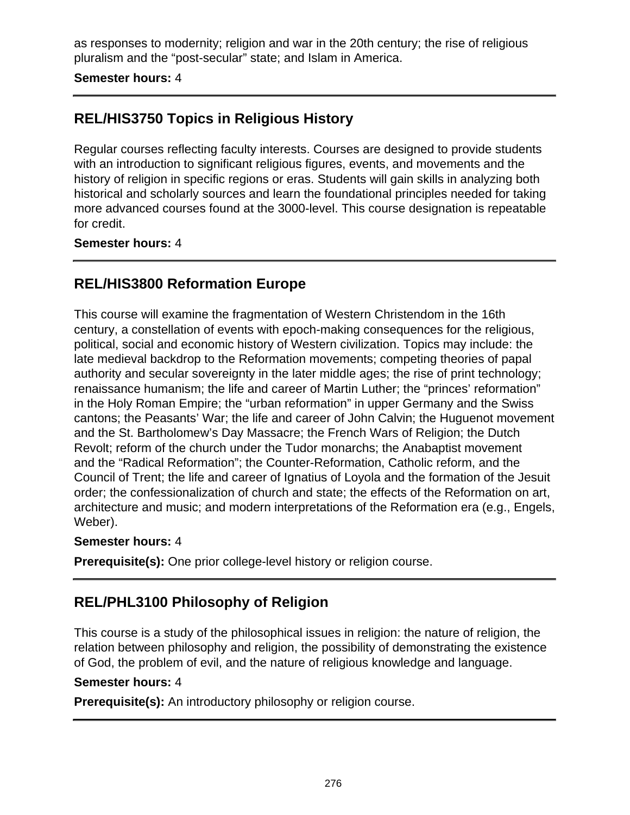as responses to modernity; religion and war in the 20th century; the rise of religious pluralism and the "post-secular" state; and Islam in America.

**Semester hours:** 4

# **REL/HIS3750 Topics in Religious History**

Regular courses reflecting faculty interests. Courses are designed to provide students with an introduction to significant religious figures, events, and movements and the history of religion in specific regions or eras. Students will gain skills in analyzing both historical and scholarly sources and learn the foundational principles needed for taking more advanced courses found at the 3000-level. This course designation is repeatable for credit.

### **Semester hours:** 4

## **REL/HIS3800 Reformation Europe**

This course will examine the fragmentation of Western Christendom in the 16th century, a constellation of events with epoch-making consequences for the religious, political, social and economic history of Western civilization. Topics may include: the late medieval backdrop to the Reformation movements; competing theories of papal authority and secular sovereignty in the later middle ages; the rise of print technology; renaissance humanism; the life and career of Martin Luther; the "princes' reformation" in the Holy Roman Empire; the "urban reformation" in upper Germany and the Swiss cantons; the Peasants' War; the life and career of John Calvin; the Huguenot movement and the St. Bartholomew's Day Massacre; the French Wars of Religion; the Dutch Revolt; reform of the church under the Tudor monarchs; the Anabaptist movement and the "Radical Reformation"; the Counter-Reformation, Catholic reform, and the Council of Trent; the life and career of Ignatius of Loyola and the formation of the Jesuit order; the confessionalization of church and state; the effects of the Reformation on art, architecture and music; and modern interpretations of the Reformation era (e.g., Engels, Weber).

#### **Semester hours:** 4

**Prerequisite(s):** One prior college-level history or religion course.

# **REL/PHL3100 Philosophy of Religion**

This course is a study of the philosophical issues in religion: the nature of religion, the relation between philosophy and religion, the possibility of demonstrating the existence of God, the problem of evil, and the nature of religious knowledge and language.

#### **Semester hours:** 4

**Prerequisite(s):** An introductory philosophy or religion course.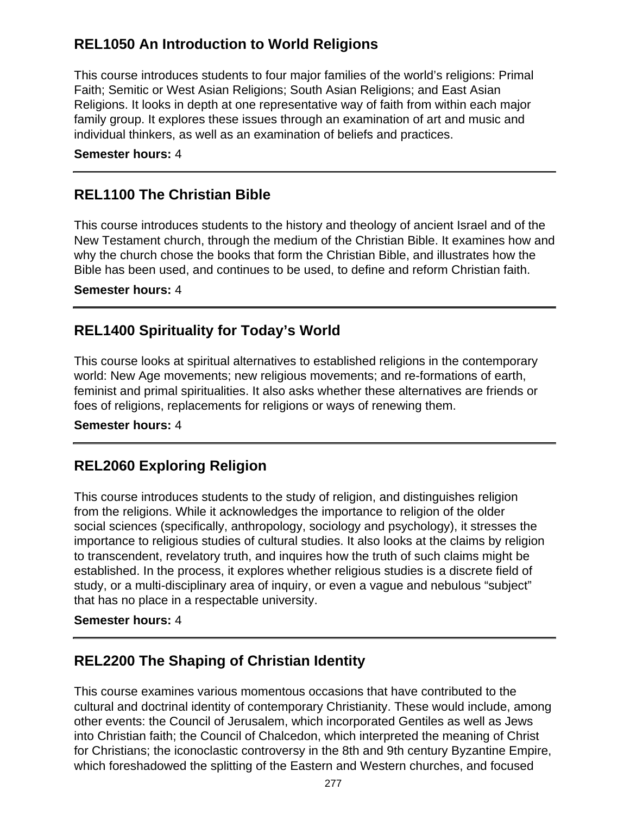# **REL1050 An Introduction to World Religions**

This course introduces students to four major families of the world's religions: Primal Faith; Semitic or West Asian Religions; South Asian Religions; and East Asian Religions. It looks in depth at one representative way of faith from within each major family group. It explores these issues through an examination of art and music and individual thinkers, as well as an examination of beliefs and practices.

#### **Semester hours:** 4

### **REL1100 The Christian Bible**

This course introduces students to the history and theology of ancient Israel and of the New Testament church, through the medium of the Christian Bible. It examines how and why the church chose the books that form the Christian Bible, and illustrates how the Bible has been used, and continues to be used, to define and reform Christian faith.

#### **Semester hours:** 4

### **REL1400 Spirituality for Today's World**

This course looks at spiritual alternatives to established religions in the contemporary world: New Age movements; new religious movements; and re-formations of earth, feminist and primal spiritualities. It also asks whether these alternatives are friends or foes of religions, replacements for religions or ways of renewing them.

#### **Semester hours:** 4

### **REL2060 Exploring Religion**

This course introduces students to the study of religion, and distinguishes religion from the religions. While it acknowledges the importance to religion of the older social sciences (specifically, anthropology, sociology and psychology), it stresses the importance to religious studies of cultural studies. It also looks at the claims by religion to transcendent, revelatory truth, and inquires how the truth of such claims might be established. In the process, it explores whether religious studies is a discrete field of study, or a multi-disciplinary area of inquiry, or even a vague and nebulous "subject" that has no place in a respectable university.

#### **Semester hours:** 4

### **REL2200 The Shaping of Christian Identity**

This course examines various momentous occasions that have contributed to the cultural and doctrinal identity of contemporary Christianity. These would include, among other events: the Council of Jerusalem, which incorporated Gentiles as well as Jews into Christian faith; the Council of Chalcedon, which interpreted the meaning of Christ for Christians; the iconoclastic controversy in the 8th and 9th century Byzantine Empire, which foreshadowed the splitting of the Eastern and Western churches, and focused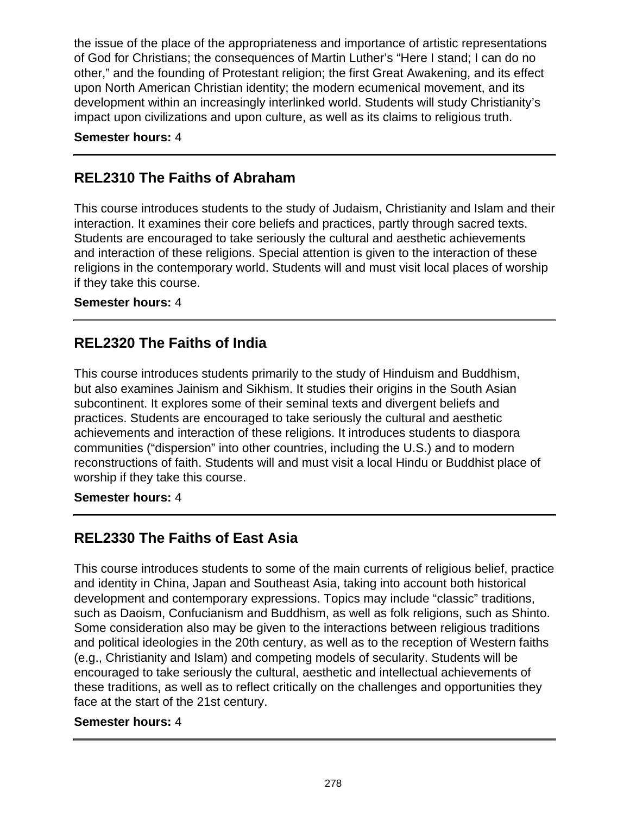the issue of the place of the appropriateness and importance of artistic representations of God for Christians; the consequences of Martin Luther's "Here I stand; I can do no other," and the founding of Protestant religion; the first Great Awakening, and its effect upon North American Christian identity; the modern ecumenical movement, and its development within an increasingly interlinked world. Students will study Christianity's impact upon civilizations and upon culture, as well as its claims to religious truth.

#### **Semester hours:** 4

## **REL2310 The Faiths of Abraham**

This course introduces students to the study of Judaism, Christianity and Islam and their interaction. It examines their core beliefs and practices, partly through sacred texts. Students are encouraged to take seriously the cultural and aesthetic achievements and interaction of these religions. Special attention is given to the interaction of these religions in the contemporary world. Students will and must visit local places of worship if they take this course.

#### **Semester hours:** 4

### **REL2320 The Faiths of India**

This course introduces students primarily to the study of Hinduism and Buddhism, but also examines Jainism and Sikhism. It studies their origins in the South Asian subcontinent. It explores some of their seminal texts and divergent beliefs and practices. Students are encouraged to take seriously the cultural and aesthetic achievements and interaction of these religions. It introduces students to diaspora communities ("dispersion" into other countries, including the U.S.) and to modern reconstructions of faith. Students will and must visit a local Hindu or Buddhist place of worship if they take this course.

#### **Semester hours:** 4

# **REL2330 The Faiths of East Asia**

This course introduces students to some of the main currents of religious belief, practice and identity in China, Japan and Southeast Asia, taking into account both historical development and contemporary expressions. Topics may include "classic" traditions, such as Daoism, Confucianism and Buddhism, as well as folk religions, such as Shinto. Some consideration also may be given to the interactions between religious traditions and political ideologies in the 20th century, as well as to the reception of Western faiths (e.g., Christianity and Islam) and competing models of secularity. Students will be encouraged to take seriously the cultural, aesthetic and intellectual achievements of these traditions, as well as to reflect critically on the challenges and opportunities they face at the start of the 21st century.

#### **Semester hours:** 4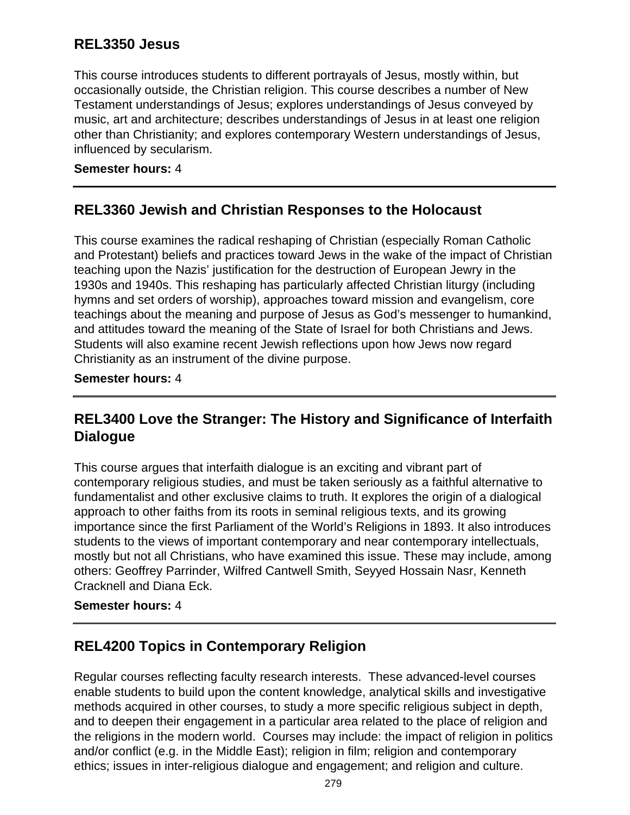### **REL3350 Jesus**

This course introduces students to different portrayals of Jesus, mostly within, but occasionally outside, the Christian religion. This course describes a number of New Testament understandings of Jesus; explores understandings of Jesus conveyed by music, art and architecture; describes understandings of Jesus in at least one religion other than Christianity; and explores contemporary Western understandings of Jesus, influenced by secularism.

### **Semester hours:** 4

### **REL3360 Jewish and Christian Responses to the Holocaust**

This course examines the radical reshaping of Christian (especially Roman Catholic and Protestant) beliefs and practices toward Jews in the wake of the impact of Christian teaching upon the Nazis' justification for the destruction of European Jewry in the 1930s and 1940s. This reshaping has particularly affected Christian liturgy (including hymns and set orders of worship), approaches toward mission and evangelism, core teachings about the meaning and purpose of Jesus as God's messenger to humankind, and attitudes toward the meaning of the State of Israel for both Christians and Jews. Students will also examine recent Jewish reflections upon how Jews now regard Christianity as an instrument of the divine purpose.

### **Semester hours:** 4

## **REL3400 Love the Stranger: The History and Significance of Interfaith Dialogue**

This course argues that interfaith dialogue is an exciting and vibrant part of contemporary religious studies, and must be taken seriously as a faithful alternative to fundamentalist and other exclusive claims to truth. It explores the origin of a dialogical approach to other faiths from its roots in seminal religious texts, and its growing importance since the first Parliament of the World's Religions in 1893. It also introduces students to the views of important contemporary and near contemporary intellectuals, mostly but not all Christians, who have examined this issue. These may include, among others: Geoffrey Parrinder, Wilfred Cantwell Smith, Seyyed Hossain Nasr, Kenneth Cracknell and Diana Eck.

#### **Semester hours:** 4

### **REL4200 Topics in Contemporary Religion**

Regular courses reflecting faculty research interests. These advanced-level courses enable students to build upon the content knowledge, analytical skills and investigative methods acquired in other courses, to study a more specific religious subject in depth, and to deepen their engagement in a particular area related to the place of religion and the religions in the modern world. Courses may include: the impact of religion in politics and/or conflict (e.g. in the Middle East); religion in film; religion and contemporary ethics; issues in inter-religious dialogue and engagement; and religion and culture.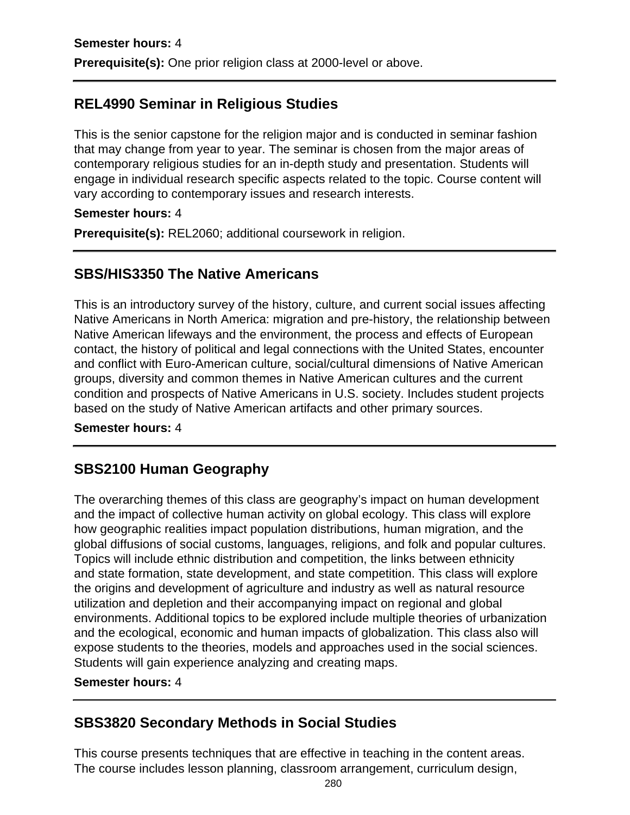# **REL4990 Seminar in Religious Studies**

This is the senior capstone for the religion major and is conducted in seminar fashion that may change from year to year. The seminar is chosen from the major areas of contemporary religious studies for an in-depth study and presentation. Students will engage in individual research specific aspects related to the topic. Course content will vary according to contemporary issues and research interests.

### **Semester hours:** 4

**Prerequisite(s):** REL2060; additional coursework in religion.

### **SBS/HIS3350 The Native Americans**

This is an introductory survey of the history, culture, and current social issues affecting Native Americans in North America: migration and pre-history, the relationship between Native American lifeways and the environment, the process and effects of European contact, the history of political and legal connections with the United States, encounter and conflict with Euro-American culture, social/cultural dimensions of Native American groups, diversity and common themes in Native American cultures and the current condition and prospects of Native Americans in U.S. society. Includes student projects based on the study of Native American artifacts and other primary sources.

#### **Semester hours:** 4

# **SBS2100 Human Geography**

The overarching themes of this class are geography's impact on human development and the impact of collective human activity on global ecology. This class will explore how geographic realities impact population distributions, human migration, and the global diffusions of social customs, languages, religions, and folk and popular cultures. Topics will include ethnic distribution and competition, the links between ethnicity and state formation, state development, and state competition. This class will explore the origins and development of agriculture and industry as well as natural resource utilization and depletion and their accompanying impact on regional and global environments. Additional topics to be explored include multiple theories of urbanization and the ecological, economic and human impacts of globalization. This class also will expose students to the theories, models and approaches used in the social sciences. Students will gain experience analyzing and creating maps.

#### **Semester hours:** 4

# **SBS3820 Secondary Methods in Social Studies**

This course presents techniques that are effective in teaching in the content areas. The course includes lesson planning, classroom arrangement, curriculum design,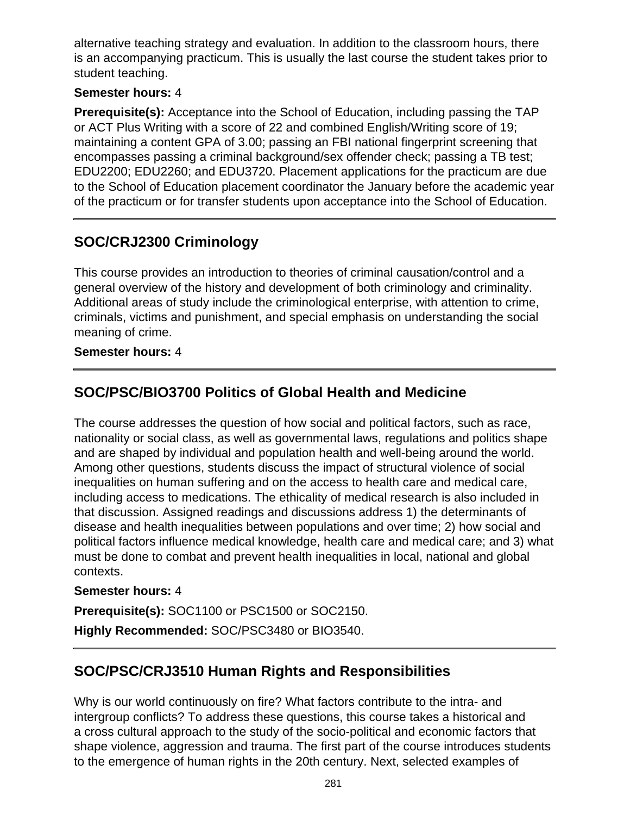alternative teaching strategy and evaluation. In addition to the classroom hours, there is an accompanying practicum. This is usually the last course the student takes prior to student teaching.

### **Semester hours:** 4

**Prerequisite(s):** Acceptance into the School of Education, including passing the TAP or ACT Plus Writing with a score of 22 and combined English/Writing score of 19; maintaining a content GPA of 3.00; passing an FBI national fingerprint screening that encompasses passing a criminal background/sex offender check; passing a TB test; EDU2200; EDU2260; and EDU3720. Placement applications for the practicum are due to the School of Education placement coordinator the January before the academic year of the practicum or for transfer students upon acceptance into the School of Education.

# **SOC/CRJ2300 Criminology**

This course provides an introduction to theories of criminal causation/control and a general overview of the history and development of both criminology and criminality. Additional areas of study include the criminological enterprise, with attention to crime, criminals, victims and punishment, and special emphasis on understanding the social meaning of crime.

### **Semester hours:** 4

# **SOC/PSC/BIO3700 Politics of Global Health and Medicine**

The course addresses the question of how social and political factors, such as race, nationality or social class, as well as governmental laws, regulations and politics shape and are shaped by individual and population health and well-being around the world. Among other questions, students discuss the impact of structural violence of social inequalities on human suffering and on the access to health care and medical care, including access to medications. The ethicality of medical research is also included in that discussion. Assigned readings and discussions address 1) the determinants of disease and health inequalities between populations and over time; 2) how social and political factors influence medical knowledge, health care and medical care; and 3) what must be done to combat and prevent health inequalities in local, national and global contexts.

### **Semester hours:** 4

**Prerequisite(s):** SOC1100 or PSC1500 or SOC2150.

**Highly Recommended:** SOC/PSC3480 or BIO3540.

# **SOC/PSC/CRJ3510 Human Rights and Responsibilities**

Why is our world continuously on fire? What factors contribute to the intra- and intergroup conflicts? To address these questions, this course takes a historical and a cross cultural approach to the study of the socio-political and economic factors that shape violence, aggression and trauma. The first part of the course introduces students to the emergence of human rights in the 20th century. Next, selected examples of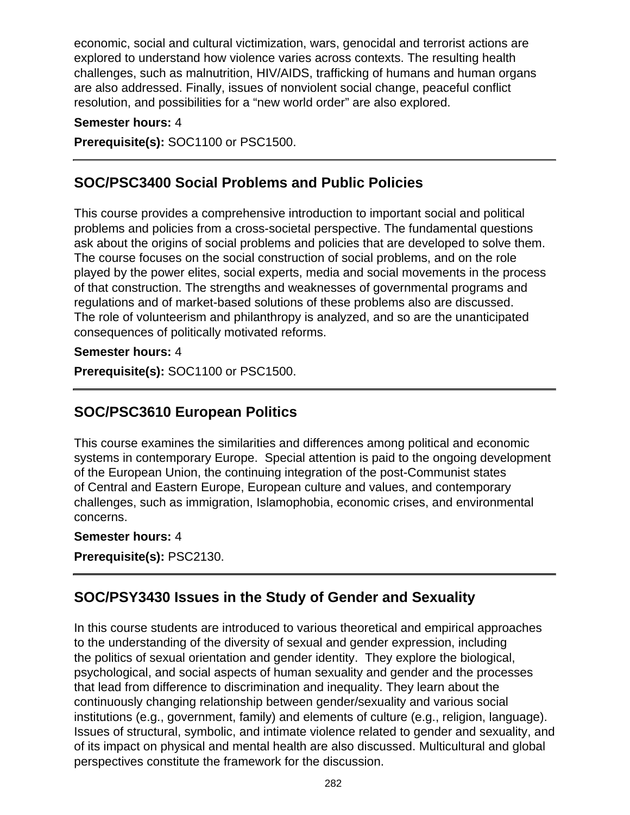economic, social and cultural victimization, wars, genocidal and terrorist actions are explored to understand how violence varies across contexts. The resulting health challenges, such as malnutrition, HIV/AIDS, trafficking of humans and human organs are also addressed. Finally, issues of nonviolent social change, peaceful conflict resolution, and possibilities for a "new world order" are also explored.

### **Semester hours:** 4

**Prerequisite(s):** SOC1100 or PSC1500.

## **SOC/PSC3400 Social Problems and Public Policies**

This course provides a comprehensive introduction to important social and political problems and policies from a cross-societal perspective. The fundamental questions ask about the origins of social problems and policies that are developed to solve them. The course focuses on the social construction of social problems, and on the role played by the power elites, social experts, media and social movements in the process of that construction. The strengths and weaknesses of governmental programs and regulations and of market-based solutions of these problems also are discussed. The role of volunteerism and philanthropy is analyzed, and so are the unanticipated consequences of politically motivated reforms.

#### **Semester hours:** 4

**Prerequisite(s):** SOC1100 or PSC1500.

# **SOC/PSC3610 European Politics**

This course examines the similarities and differences among political and economic systems in contemporary Europe. Special attention is paid to the ongoing development of the European Union, the continuing integration of the post-Communist states of Central and Eastern Europe, European culture and values, and contemporary challenges, such as immigration, Islamophobia, economic crises, and environmental concerns.

#### **Semester hours:** 4

**Prerequisite(s):** PSC2130.

# **SOC/PSY3430 Issues in the Study of Gender and Sexuality**

In this course students are introduced to various theoretical and empirical approaches to the understanding of the diversity of sexual and gender expression, including the politics of sexual orientation and gender identity. They explore the biological, psychological, and social aspects of human sexuality and gender and the processes that lead from difference to discrimination and inequality. They learn about the continuously changing relationship between gender/sexuality and various social institutions (e.g., government, family) and elements of culture (e.g., religion, language). Issues of structural, symbolic, and intimate violence related to gender and sexuality, and of its impact on physical and mental health are also discussed. Multicultural and global perspectives constitute the framework for the discussion.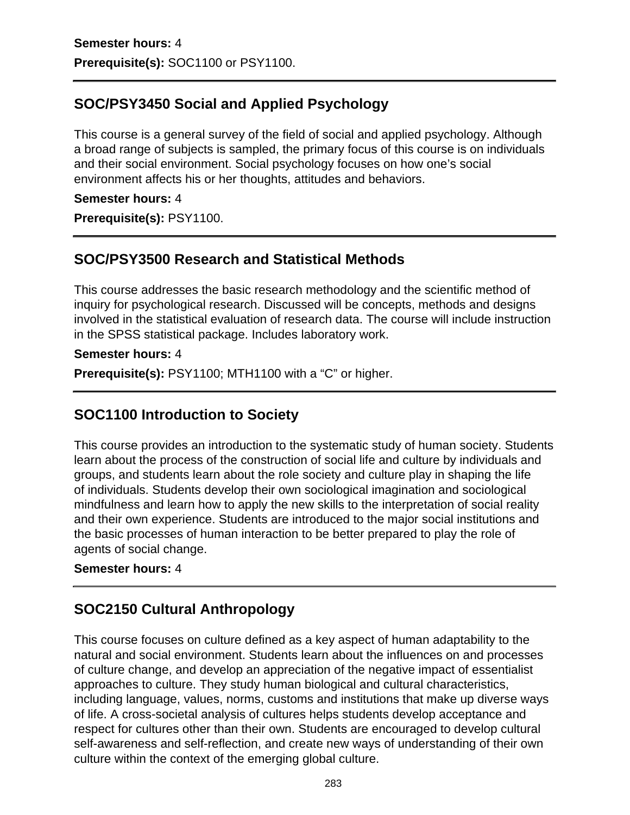# **SOC/PSY3450 Social and Applied Psychology**

This course is a general survey of the field of social and applied psychology. Although a broad range of subjects is sampled, the primary focus of this course is on individuals and their social environment. Social psychology focuses on how one's social environment affects his or her thoughts, attitudes and behaviors.

### **Semester hours:** 4

**Prerequisite(s):** PSY1100.

## **SOC/PSY3500 Research and Statistical Methods**

This course addresses the basic research methodology and the scientific method of inquiry for psychological research. Discussed will be concepts, methods and designs involved in the statistical evaluation of research data. The course will include instruction in the SPSS statistical package. Includes laboratory work.

#### **Semester hours:** 4

**Prerequisite(s):** PSY1100; MTH1100 with a "C" or higher.

## **SOC1100 Introduction to Society**

This course provides an introduction to the systematic study of human society. Students learn about the process of the construction of social life and culture by individuals and groups, and students learn about the role society and culture play in shaping the life of individuals. Students develop their own sociological imagination and sociological mindfulness and learn how to apply the new skills to the interpretation of social reality and their own experience. Students are introduced to the major social institutions and the basic processes of human interaction to be better prepared to play the role of agents of social change.

#### **Semester hours:** 4

### **SOC2150 Cultural Anthropology**

This course focuses on culture defined as a key aspect of human adaptability to the natural and social environment. Students learn about the influences on and processes of culture change, and develop an appreciation of the negative impact of essentialist approaches to culture. They study human biological and cultural characteristics, including language, values, norms, customs and institutions that make up diverse ways of life. A cross-societal analysis of cultures helps students develop acceptance and respect for cultures other than their own. Students are encouraged to develop cultural self-awareness and self-reflection, and create new ways of understanding of their own culture within the context of the emerging global culture.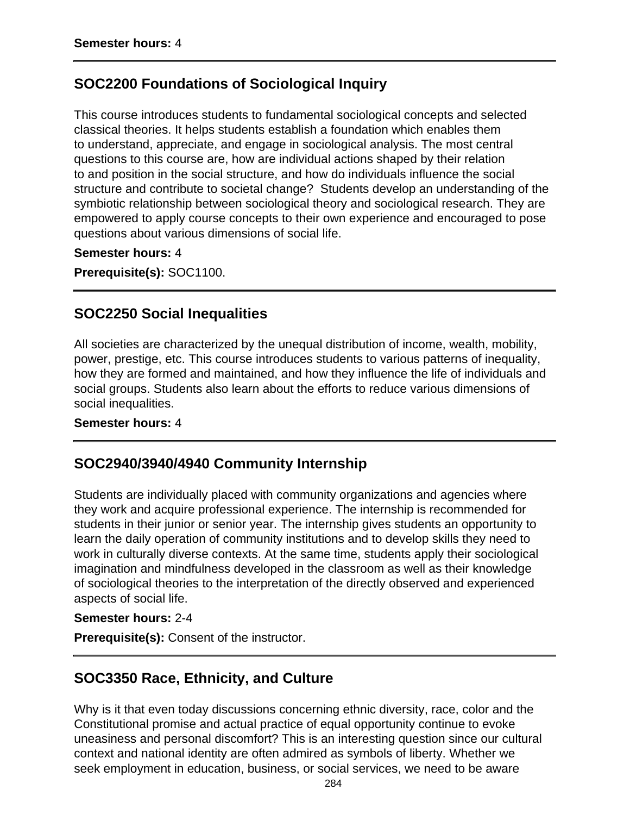### **SOC2200 Foundations of Sociological Inquiry**

This course introduces students to fundamental sociological concepts and selected classical theories. It helps students establish a foundation which enables them to understand, appreciate, and engage in sociological analysis. The most central questions to this course are, how are individual actions shaped by their relation to and position in the social structure, and how do individuals influence the social structure and contribute to societal change? Students develop an understanding of the symbiotic relationship between sociological theory and sociological research. They are empowered to apply course concepts to their own experience and encouraged to pose questions about various dimensions of social life.

**Semester hours:** 4

**Prerequisite(s):** SOC1100.

### **SOC2250 Social Inequalities**

All societies are characterized by the unequal distribution of income, wealth, mobility, power, prestige, etc. This course introduces students to various patterns of inequality, how they are formed and maintained, and how they influence the life of individuals and social groups. Students also learn about the efforts to reduce various dimensions of social inequalities.

#### **Semester hours:** 4

### **SOC2940/3940/4940 Community Internship**

Students are individually placed with community organizations and agencies where they work and acquire professional experience. The internship is recommended for students in their junior or senior year. The internship gives students an opportunity to learn the daily operation of community institutions and to develop skills they need to work in culturally diverse contexts. At the same time, students apply their sociological imagination and mindfulness developed in the classroom as well as their knowledge of sociological theories to the interpretation of the directly observed and experienced aspects of social life.

#### **Semester hours:** 2-4

**Prerequisite(s):** Consent of the instructor.

### **SOC3350 Race, Ethnicity, and Culture**

Why is it that even today discussions concerning ethnic diversity, race, color and the Constitutional promise and actual practice of equal opportunity continue to evoke uneasiness and personal discomfort? This is an interesting question since our cultural context and national identity are often admired as symbols of liberty. Whether we seek employment in education, business, or social services, we need to be aware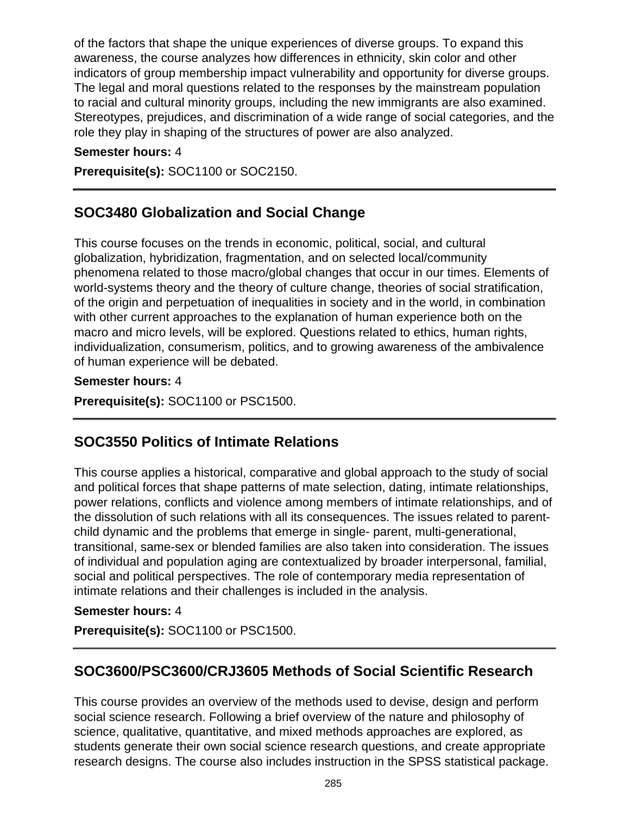of the factors that shape the unique experiences of diverse groups. To expand this awareness, the course analyzes how differences in ethnicity, skin color and other indicators of group membership impact vulnerability and opportunity for diverse groups. The legal and moral questions related to the responses by the mainstream population to racial and cultural minority groups, including the new immigrants are also examined. Stereotypes, prejudices, and discrimination of a wide range of social categories, and the role they play in shaping of the structures of power are also analyzed.

### **Semester hours:** 4

**Prerequisite(s):** SOC1100 or SOC2150.

## **SOC3480 Globalization and Social Change**

This course focuses on the trends in economic, political, social, and cultural globalization, hybridization, fragmentation, and on selected local/community phenomena related to those macro/global changes that occur in our times. Elements of world-systems theory and the theory of culture change, theories of social stratification, of the origin and perpetuation of inequalities in society and in the world, in combination with other current approaches to the explanation of human experience both on the macro and micro levels, will be explored. Questions related to ethics, human rights, individualization, consumerism, politics, and to growing awareness of the ambivalence of human experience will be debated.

### **Semester hours:** 4

**Prerequisite(s):** SOC1100 or PSC1500.

### **SOC3550 Politics of Intimate Relations**

This course applies a historical, comparative and global approach to the study of social and political forces that shape patterns of mate selection, dating, intimate relationships, power relations, conflicts and violence among members of intimate relationships, and of the dissolution of such relations with all its consequences. The issues related to parentchild dynamic and the problems that emerge in single- parent, multi-generational, transitional, same-sex or blended families are also taken into consideration. The issues of individual and population aging are contextualized by broader interpersonal, familial, social and political perspectives. The role of contemporary media representation of intimate relations and their challenges is included in the analysis.

### **Semester hours:** 4

**Prerequisite(s):** SOC1100 or PSC1500.

### **SOC3600/PSC3600/CRJ3605 Methods of Social Scientific Research**

This course provides an overview of the methods used to devise, design and perform social science research. Following a brief overview of the nature and philosophy of science, qualitative, quantitative, and mixed methods approaches are explored, as students generate their own social science research questions, and create appropriate research designs. The course also includes instruction in the SPSS statistical package.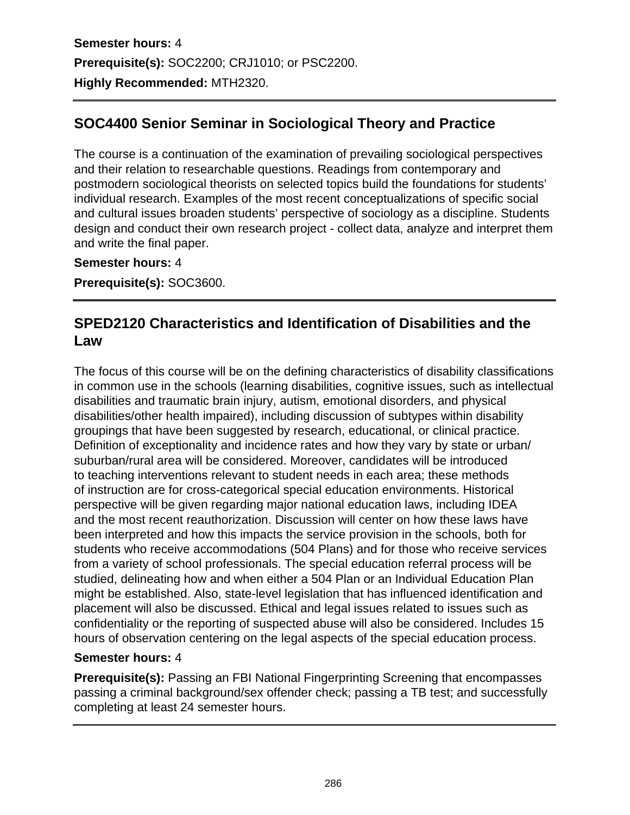**Semester hours:** 4 **Prerequisite(s):** SOC2200; CRJ1010; or PSC2200. **Highly Recommended:** MTH2320.

# **SOC4400 Senior Seminar in Sociological Theory and Practice**

The course is a continuation of the examination of prevailing sociological perspectives and their relation to researchable questions. Readings from contemporary and postmodern sociological theorists on selected topics build the foundations for students' individual research. Examples of the most recent conceptualizations of specific social and cultural issues broaden students' perspective of sociology as a discipline. Students design and conduct their own research project - collect data, analyze and interpret them and write the final paper.

**Semester hours:** 4

**Prerequisite(s):** SOC3600.

## **SPED2120 Characteristics and Identification of Disabilities and the Law**

The focus of this course will be on the defining characteristics of disability classifications in common use in the schools (learning disabilities, cognitive issues, such as intellectual disabilities and traumatic brain injury, autism, emotional disorders, and physical disabilities/other health impaired), including discussion of subtypes within disability groupings that have been suggested by research, educational, or clinical practice. Definition of exceptionality and incidence rates and how they vary by state or urban/ suburban/rural area will be considered. Moreover, candidates will be introduced to teaching interventions relevant to student needs in each area; these methods of instruction are for cross-categorical special education environments. Historical perspective will be given regarding major national education laws, including IDEA and the most recent reauthorization. Discussion will center on how these laws have been interpreted and how this impacts the service provision in the schools, both for students who receive accommodations (504 Plans) and for those who receive services from a variety of school professionals. The special education referral process will be studied, delineating how and when either a 504 Plan or an Individual Education Plan might be established. Also, state-level legislation that has influenced identification and placement will also be discussed. Ethical and legal issues related to issues such as confidentiality or the reporting of suspected abuse will also be considered. Includes 15 hours of observation centering on the legal aspects of the special education process.

### **Semester hours:** 4

**Prerequisite(s):** Passing an FBI National Fingerprinting Screening that encompasses passing a criminal background/sex offender check; passing a TB test; and successfully completing at least 24 semester hours.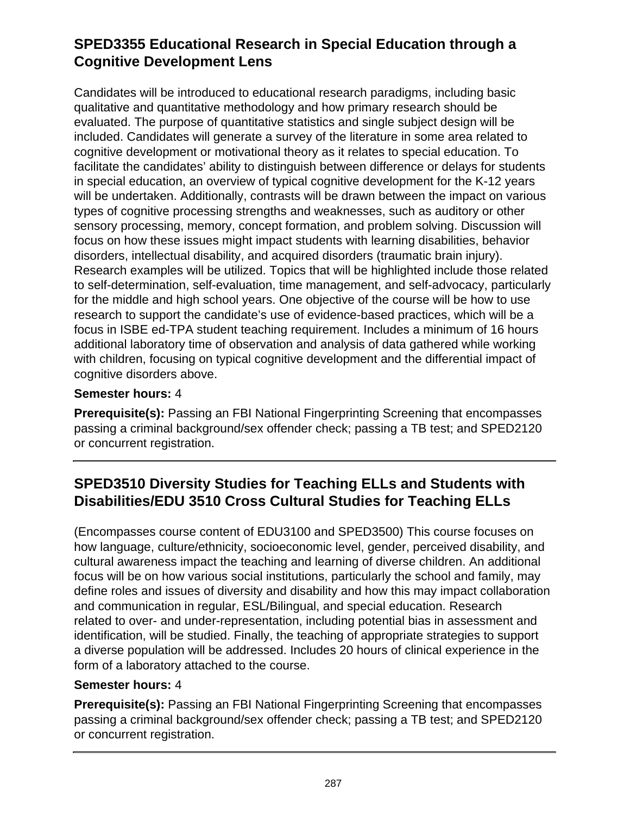# **SPED3355 Educational Research in Special Education through a Cognitive Development Lens**

Candidates will be introduced to educational research paradigms, including basic qualitative and quantitative methodology and how primary research should be evaluated. The purpose of quantitative statistics and single subject design will be included. Candidates will generate a survey of the literature in some area related to cognitive development or motivational theory as it relates to special education. To facilitate the candidates' ability to distinguish between difference or delays for students in special education, an overview of typical cognitive development for the K-12 years will be undertaken. Additionally, contrasts will be drawn between the impact on various types of cognitive processing strengths and weaknesses, such as auditory or other sensory processing, memory, concept formation, and problem solving. Discussion will focus on how these issues might impact students with learning disabilities, behavior disorders, intellectual disability, and acquired disorders (traumatic brain injury). Research examples will be utilized. Topics that will be highlighted include those related to self-determination, self-evaluation, time management, and self-advocacy, particularly for the middle and high school years. One objective of the course will be how to use research to support the candidate's use of evidence-based practices, which will be a focus in ISBE ed-TPA student teaching requirement. Includes a minimum of 16 hours additional laboratory time of observation and analysis of data gathered while working with children, focusing on typical cognitive development and the differential impact of cognitive disorders above.

### **Semester hours:** 4

**Prerequisite(s):** Passing an FBI National Fingerprinting Screening that encompasses passing a criminal background/sex offender check; passing a TB test; and SPED2120 or concurrent registration.

# **SPED3510 Diversity Studies for Teaching ELLs and Students with Disabilities/EDU 3510 Cross Cultural Studies for Teaching ELLs**

(Encompasses course content of EDU3100 and SPED3500) This course focuses on how language, culture/ethnicity, socioeconomic level, gender, perceived disability, and cultural awareness impact the teaching and learning of diverse children. An additional focus will be on how various social institutions, particularly the school and family, may define roles and issues of diversity and disability and how this may impact collaboration and communication in regular, ESL/Bilingual, and special education. Research related to over- and under-representation, including potential bias in assessment and identification, will be studied. Finally, the teaching of appropriate strategies to support a diverse population will be addressed. Includes 20 hours of clinical experience in the form of a laboratory attached to the course.

#### **Semester hours:** 4

**Prerequisite(s):** Passing an FBI National Fingerprinting Screening that encompasses passing a criminal background/sex offender check; passing a TB test; and SPED2120 or concurrent registration.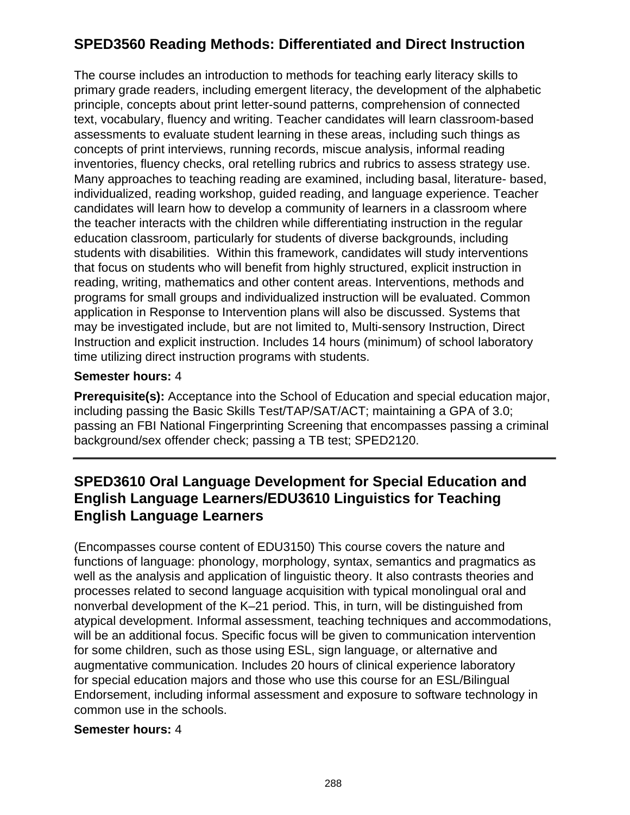# **SPED3560 Reading Methods: Differentiated and Direct Instruction**

The course includes an introduction to methods for teaching early literacy skills to primary grade readers, including emergent literacy, the development of the alphabetic principle, concepts about print letter-sound patterns, comprehension of connected text, vocabulary, fluency and writing. Teacher candidates will learn classroom-based assessments to evaluate student learning in these areas, including such things as concepts of print interviews, running records, miscue analysis, informal reading inventories, fluency checks, oral retelling rubrics and rubrics to assess strategy use. Many approaches to teaching reading are examined, including basal, literature- based, individualized, reading workshop, guided reading, and language experience. Teacher candidates will learn how to develop a community of learners in a classroom where the teacher interacts with the children while differentiating instruction in the regular education classroom, particularly for students of diverse backgrounds, including students with disabilities. Within this framework, candidates will study interventions that focus on students who will benefit from highly structured, explicit instruction in reading, writing, mathematics and other content areas. Interventions, methods and programs for small groups and individualized instruction will be evaluated. Common application in Response to Intervention plans will also be discussed. Systems that may be investigated include, but are not limited to, Multi-sensory Instruction, Direct Instruction and explicit instruction. Includes 14 hours (minimum) of school laboratory time utilizing direct instruction programs with students.

### **Semester hours:** 4

**Prerequisite(s):** Acceptance into the School of Education and special education major, including passing the Basic Skills Test/TAP/SAT/ACT; maintaining a GPA of 3.0; passing an FBI National Fingerprinting Screening that encompasses passing a criminal background/sex offender check; passing a TB test; SPED2120.

## **SPED3610 Oral Language Development for Special Education and English Language Learners/EDU3610 Linguistics for Teaching English Language Learners**

(Encompasses course content of EDU3150) This course covers the nature and functions of language: phonology, morphology, syntax, semantics and pragmatics as well as the analysis and application of linguistic theory. It also contrasts theories and processes related to second language acquisition with typical monolingual oral and nonverbal development of the K–21 period. This, in turn, will be distinguished from atypical development. Informal assessment, teaching techniques and accommodations, will be an additional focus. Specific focus will be given to communication intervention for some children, such as those using ESL, sign language, or alternative and augmentative communication. Includes 20 hours of clinical experience laboratory for special education majors and those who use this course for an ESL/Bilingual Endorsement, including informal assessment and exposure to software technology in common use in the schools.

#### **Semester hours:** 4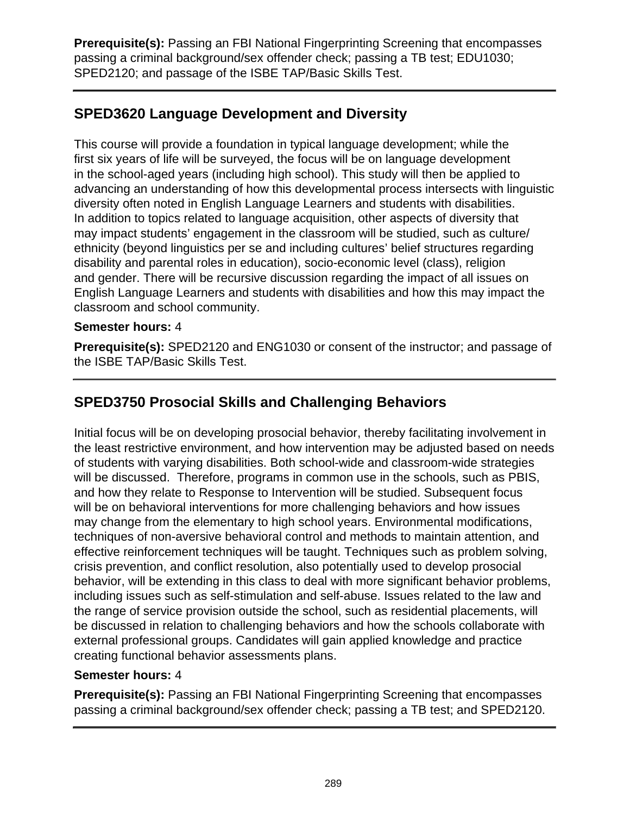**Prerequisite(s):** Passing an FBI National Fingerprinting Screening that encompasses passing a criminal background/sex offender check; passing a TB test; EDU1030; SPED2120; and passage of the ISBE TAP/Basic Skills Test.

# **SPED3620 Language Development and Diversity**

This course will provide a foundation in typical language development; while the first six years of life will be surveyed, the focus will be on language development in the school-aged years (including high school). This study will then be applied to advancing an understanding of how this developmental process intersects with linguistic diversity often noted in English Language Learners and students with disabilities. In addition to topics related to language acquisition, other aspects of diversity that may impact students' engagement in the classroom will be studied, such as culture/ ethnicity (beyond linguistics per se and including cultures' belief structures regarding disability and parental roles in education), socio-economic level (class), religion and gender. There will be recursive discussion regarding the impact of all issues on English Language Learners and students with disabilities and how this may impact the classroom and school community.

#### **Semester hours:** 4

**Prerequisite(s):** SPED2120 and ENG1030 or consent of the instructor; and passage of the ISBE TAP/Basic Skills Test.

# **SPED3750 Prosocial Skills and Challenging Behaviors**

Initial focus will be on developing prosocial behavior, thereby facilitating involvement in the least restrictive environment, and how intervention may be adjusted based on needs of students with varying disabilities. Both school-wide and classroom-wide strategies will be discussed. Therefore, programs in common use in the schools, such as PBIS, and how they relate to Response to Intervention will be studied. Subsequent focus will be on behavioral interventions for more challenging behaviors and how issues may change from the elementary to high school years. Environmental modifications, techniques of non-aversive behavioral control and methods to maintain attention, and effective reinforcement techniques will be taught. Techniques such as problem solving, crisis prevention, and conflict resolution, also potentially used to develop prosocial behavior, will be extending in this class to deal with more significant behavior problems, including issues such as self-stimulation and self-abuse. Issues related to the law and the range of service provision outside the school, such as residential placements, will be discussed in relation to challenging behaviors and how the schools collaborate with external professional groups. Candidates will gain applied knowledge and practice creating functional behavior assessments plans.

#### **Semester hours:** 4

**Prerequisite(s):** Passing an FBI National Fingerprinting Screening that encompasses passing a criminal background/sex offender check; passing a TB test; and SPED2120.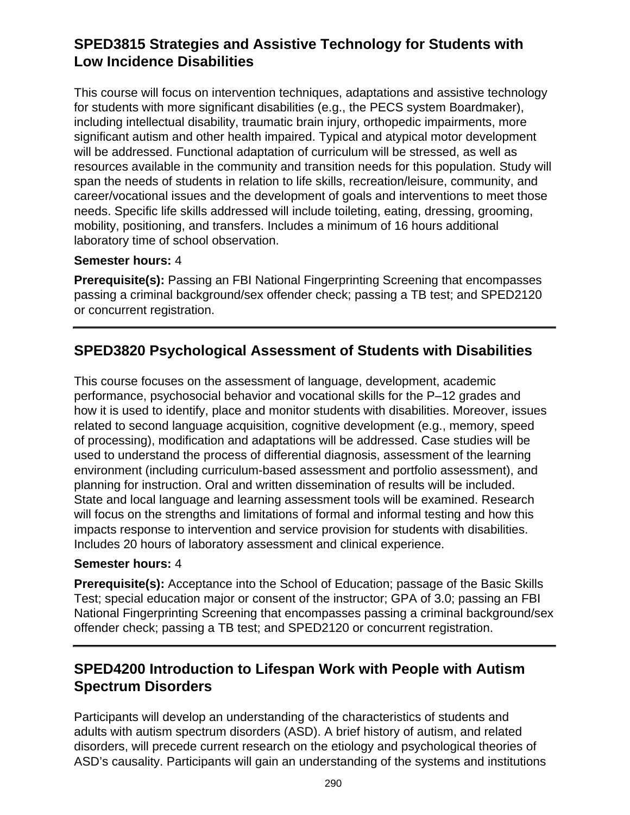## **SPED3815 Strategies and Assistive Technology for Students with Low Incidence Disabilities**

This course will focus on intervention techniques, adaptations and assistive technology for students with more significant disabilities (e.g., the PECS system Boardmaker), including intellectual disability, traumatic brain injury, orthopedic impairments, more significant autism and other health impaired. Typical and atypical motor development will be addressed. Functional adaptation of curriculum will be stressed, as well as resources available in the community and transition needs for this population. Study will span the needs of students in relation to life skills, recreation/leisure, community, and career/vocational issues and the development of goals and interventions to meet those needs. Specific life skills addressed will include toileting, eating, dressing, grooming, mobility, positioning, and transfers. Includes a minimum of 16 hours additional laboratory time of school observation.

#### **Semester hours:** 4

**Prerequisite(s):** Passing an FBI National Fingerprinting Screening that encompasses passing a criminal background/sex offender check; passing a TB test; and SPED2120 or concurrent registration.

## **SPED3820 Psychological Assessment of Students with Disabilities**

This course focuses on the assessment of language, development, academic performance, psychosocial behavior and vocational skills for the P–12 grades and how it is used to identify, place and monitor students with disabilities. Moreover, issues related to second language acquisition, cognitive development (e.g., memory, speed of processing), modification and adaptations will be addressed. Case studies will be used to understand the process of differential diagnosis, assessment of the learning environment (including curriculum-based assessment and portfolio assessment), and planning for instruction. Oral and written dissemination of results will be included. State and local language and learning assessment tools will be examined. Research will focus on the strengths and limitations of formal and informal testing and how this impacts response to intervention and service provision for students with disabilities. Includes 20 hours of laboratory assessment and clinical experience.

#### **Semester hours:** 4

**Prerequisite(s):** Acceptance into the School of Education; passage of the Basic Skills Test; special education major or consent of the instructor; GPA of 3.0; passing an FBI National Fingerprinting Screening that encompasses passing a criminal background/sex offender check; passing a TB test; and SPED2120 or concurrent registration.

# **SPED4200 Introduction to Lifespan Work with People with Autism Spectrum Disorders**

Participants will develop an understanding of the characteristics of students and adults with autism spectrum disorders (ASD). A brief history of autism, and related disorders, will precede current research on the etiology and psychological theories of ASD's causality. Participants will gain an understanding of the systems and institutions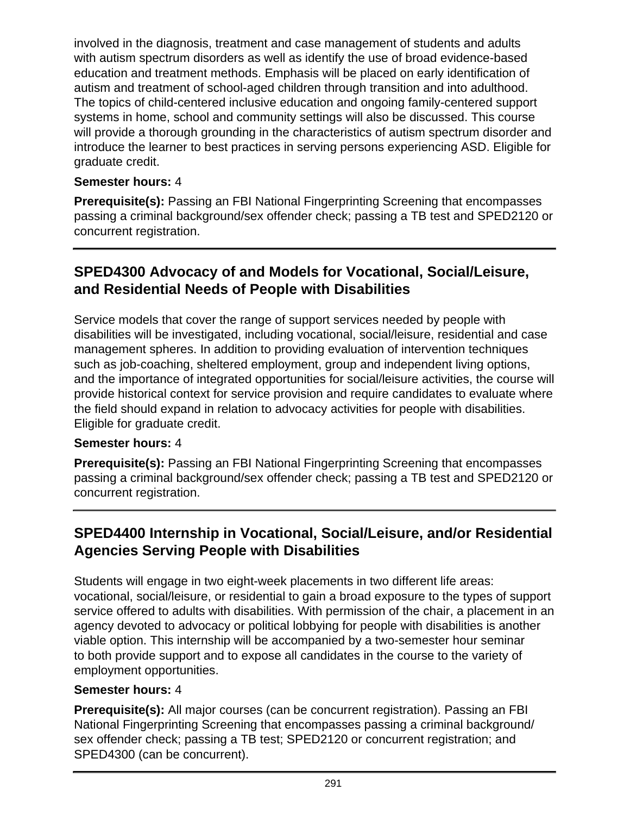involved in the diagnosis, treatment and case management of students and adults with autism spectrum disorders as well as identify the use of broad evidence-based education and treatment methods. Emphasis will be placed on early identification of autism and treatment of school-aged children through transition and into adulthood. The topics of child-centered inclusive education and ongoing family-centered support systems in home, school and community settings will also be discussed. This course will provide a thorough grounding in the characteristics of autism spectrum disorder and introduce the learner to best practices in serving persons experiencing ASD. Eligible for graduate credit.

### **Semester hours:** 4

**Prerequisite(s):** Passing an FBI National Fingerprinting Screening that encompasses passing a criminal background/sex offender check; passing a TB test and SPED2120 or concurrent registration.

### **SPED4300 Advocacy of and Models for Vocational, Social/Leisure, and Residential Needs of People with Disabilities**

Service models that cover the range of support services needed by people with disabilities will be investigated, including vocational, social/leisure, residential and case management spheres. In addition to providing evaluation of intervention techniques such as job-coaching, sheltered employment, group and independent living options, and the importance of integrated opportunities for social/leisure activities, the course will provide historical context for service provision and require candidates to evaluate where the field should expand in relation to advocacy activities for people with disabilities. Eligible for graduate credit.

### **Semester hours:** 4

**Prerequisite(s):** Passing an FBI National Fingerprinting Screening that encompasses passing a criminal background/sex offender check; passing a TB test and SPED2120 or concurrent registration.

# **SPED4400 Internship in Vocational, Social/Leisure, and/or Residential Agencies Serving People with Disabilities**

Students will engage in two eight-week placements in two different life areas: vocational, social/leisure, or residential to gain a broad exposure to the types of support service offered to adults with disabilities. With permission of the chair, a placement in an agency devoted to advocacy or political lobbying for people with disabilities is another viable option. This internship will be accompanied by a two-semester hour seminar to both provide support and to expose all candidates in the course to the variety of employment opportunities.

#### **Semester hours:** 4

**Prerequisite(s):** All major courses (can be concurrent registration). Passing an FBI National Fingerprinting Screening that encompasses passing a criminal background/ sex offender check; passing a TB test; SPED2120 or concurrent registration; and SPED4300 (can be concurrent).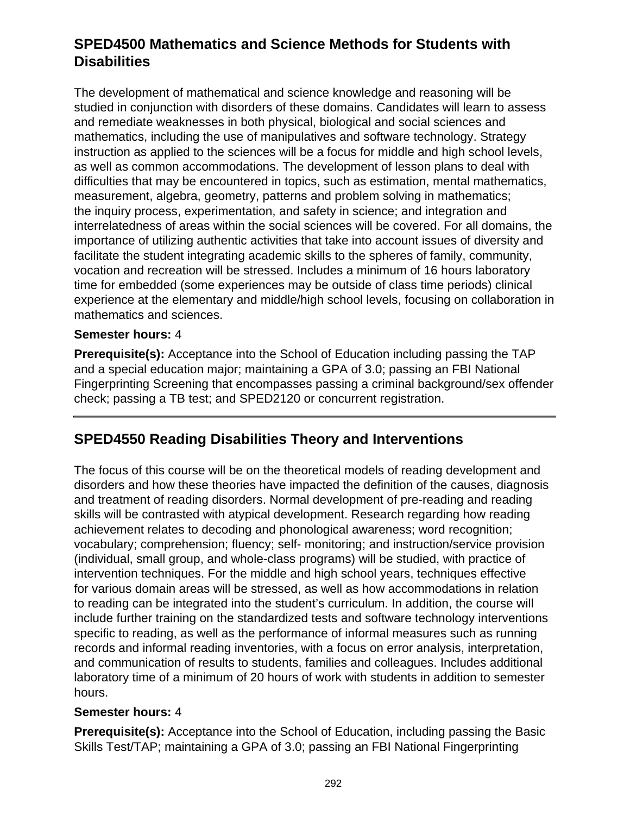## **SPED4500 Mathematics and Science Methods for Students with Disabilities**

The development of mathematical and science knowledge and reasoning will be studied in conjunction with disorders of these domains. Candidates will learn to assess and remediate weaknesses in both physical, biological and social sciences and mathematics, including the use of manipulatives and software technology. Strategy instruction as applied to the sciences will be a focus for middle and high school levels, as well as common accommodations. The development of lesson plans to deal with difficulties that may be encountered in topics, such as estimation, mental mathematics, measurement, algebra, geometry, patterns and problem solving in mathematics; the inquiry process, experimentation, and safety in science; and integration and interrelatedness of areas within the social sciences will be covered. For all domains, the importance of utilizing authentic activities that take into account issues of diversity and facilitate the student integrating academic skills to the spheres of family, community, vocation and recreation will be stressed. Includes a minimum of 16 hours laboratory time for embedded (some experiences may be outside of class time periods) clinical experience at the elementary and middle/high school levels, focusing on collaboration in mathematics and sciences.

#### **Semester hours:** 4

**Prerequisite(s):** Acceptance into the School of Education including passing the TAP and a special education major; maintaining a GPA of 3.0; passing an FBI National Fingerprinting Screening that encompasses passing a criminal background/sex offender check; passing a TB test; and SPED2120 or concurrent registration.

### **SPED4550 Reading Disabilities Theory and Interventions**

The focus of this course will be on the theoretical models of reading development and disorders and how these theories have impacted the definition of the causes, diagnosis and treatment of reading disorders. Normal development of pre-reading and reading skills will be contrasted with atypical development. Research regarding how reading achievement relates to decoding and phonological awareness; word recognition; vocabulary; comprehension; fluency; self- monitoring; and instruction/service provision (individual, small group, and whole-class programs) will be studied, with practice of intervention techniques. For the middle and high school years, techniques effective for various domain areas will be stressed, as well as how accommodations in relation to reading can be integrated into the student's curriculum. In addition, the course will include further training on the standardized tests and software technology interventions specific to reading, as well as the performance of informal measures such as running records and informal reading inventories, with a focus on error analysis, interpretation, and communication of results to students, families and colleagues. Includes additional laboratory time of a minimum of 20 hours of work with students in addition to semester hours.

#### **Semester hours:** 4

**Prerequisite(s):** Acceptance into the School of Education, including passing the Basic Skills Test/TAP; maintaining a GPA of 3.0; passing an FBI National Fingerprinting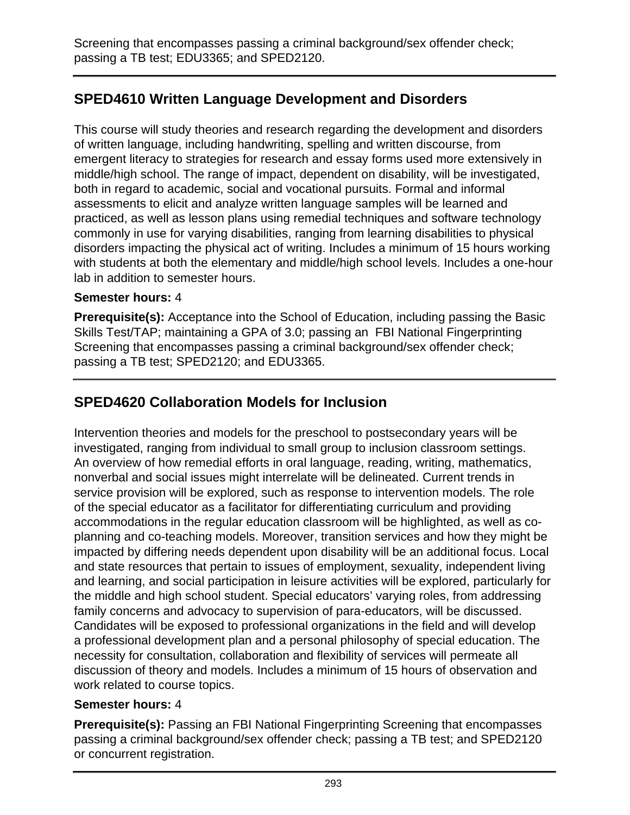Screening that encompasses passing a criminal background/sex offender check; passing a TB test; EDU3365; and SPED2120.

# **SPED4610 Written Language Development and Disorders**

This course will study theories and research regarding the development and disorders of written language, including handwriting, spelling and written discourse, from emergent literacy to strategies for research and essay forms used more extensively in middle/high school. The range of impact, dependent on disability, will be investigated, both in regard to academic, social and vocational pursuits. Formal and informal assessments to elicit and analyze written language samples will be learned and practiced, as well as lesson plans using remedial techniques and software technology commonly in use for varying disabilities, ranging from learning disabilities to physical disorders impacting the physical act of writing. Includes a minimum of 15 hours working with students at both the elementary and middle/high school levels. Includes a one-hour lab in addition to semester hours.

#### **Semester hours:** 4

**Prerequisite(s):** Acceptance into the School of Education, including passing the Basic Skills Test/TAP; maintaining a GPA of 3.0; passing an FBI National Fingerprinting Screening that encompasses passing a criminal background/sex offender check; passing a TB test; SPED2120; and EDU3365.

# **SPED4620 Collaboration Models for Inclusion**

Intervention theories and models for the preschool to postsecondary years will be investigated, ranging from individual to small group to inclusion classroom settings. An overview of how remedial efforts in oral language, reading, writing, mathematics, nonverbal and social issues might interrelate will be delineated. Current trends in service provision will be explored, such as response to intervention models. The role of the special educator as a facilitator for differentiating curriculum and providing accommodations in the regular education classroom will be highlighted, as well as coplanning and co-teaching models. Moreover, transition services and how they might be impacted by differing needs dependent upon disability will be an additional focus. Local and state resources that pertain to issues of employment, sexuality, independent living and learning, and social participation in leisure activities will be explored, particularly for the middle and high school student. Special educators' varying roles, from addressing family concerns and advocacy to supervision of para-educators, will be discussed. Candidates will be exposed to professional organizations in the field and will develop a professional development plan and a personal philosophy of special education. The necessity for consultation, collaboration and flexibility of services will permeate all discussion of theory and models. Includes a minimum of 15 hours of observation and work related to course topics.

### **Semester hours:** 4

**Prerequisite(s):** Passing an FBI National Fingerprinting Screening that encompasses passing a criminal background/sex offender check; passing a TB test; and SPED2120 or concurrent registration.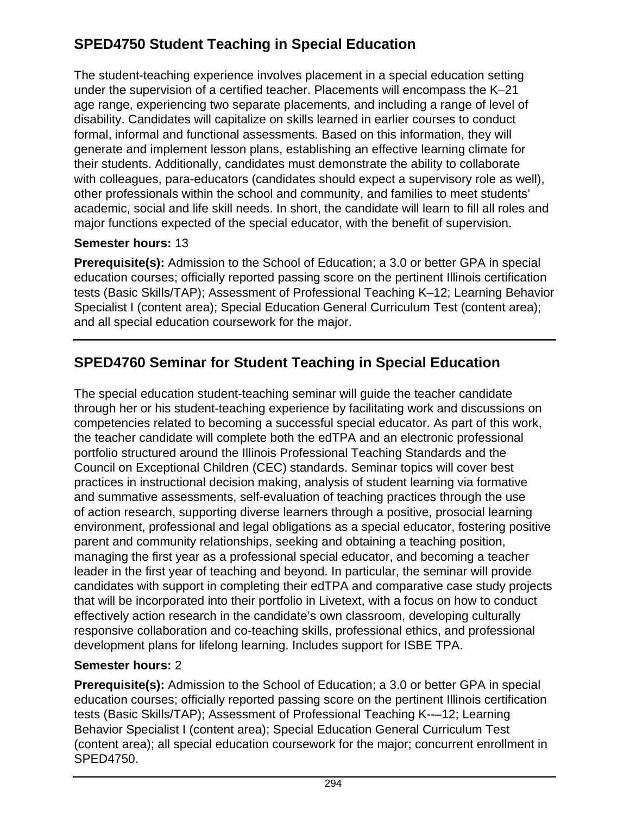# **SPED4750 Student Teaching in Special Education**

The student-teaching experience involves placement in a special education setting under the supervision of a certified teacher. Placements will encompass the K–21 age range, experiencing two separate placements, and including a range of level of disability. Candidates will capitalize on skills learned in earlier courses to conduct formal, informal and functional assessments. Based on this information, they will generate and implement lesson plans, establishing an effective learning climate for their students. Additionally, candidates must demonstrate the ability to collaborate with colleagues, para-educators (candidates should expect a supervisory role as well), other professionals within the school and community, and families to meet students' academic, social and life skill needs. In short, the candidate will learn to fill all roles and major functions expected of the special educator, with the benefit of supervision.

### **Semester hours:** 13

**Prerequisite(s):** Admission to the School of Education; a 3.0 or better GPA in special education courses; officially reported passing score on the pertinent Illinois certification tests (Basic Skills/TAP); Assessment of Professional Teaching K–12; Learning Behavior Specialist I (content area); Special Education General Curriculum Test (content area); and all special education coursework for the major.

# **SPED4760 Seminar for Student Teaching in Special Education**

The special education student-teaching seminar will guide the teacher candidate through her or his student-teaching experience by facilitating work and discussions on competencies related to becoming a successful special educator. As part of this work, the teacher candidate will complete both the edTPA and an electronic professional portfolio structured around the Illinois Professional Teaching Standards and the Council on Exceptional Children (CEC) standards. Seminar topics will cover best practices in instructional decision making, analysis of student learning via formative and summative assessments, self-evaluation of teaching practices through the use of action research, supporting diverse learners through a positive, prosocial learning environment, professional and legal obligations as a special educator, fostering positive parent and community relationships, seeking and obtaining a teaching position, managing the first year as a professional special educator, and becoming a teacher leader in the first year of teaching and beyond. In particular, the seminar will provide candidates with support in completing their edTPA and comparative case study projects that will be incorporated into their portfolio in Livetext, with a focus on how to conduct effectively action research in the candidate's own classroom, developing culturally responsive collaboration and co-teaching skills, professional ethics, and professional development plans for lifelong learning. Includes support for ISBE TPA.

### **Semester hours:** 2

**Prerequisite(s):** Admission to the School of Education; a 3.0 or better GPA in special education courses; officially reported passing score on the pertinent Illinois certification tests (Basic Skills/TAP); Assessment of Professional Teaching K--–12; Learning Behavior Specialist I (content area); Special Education General Curriculum Test (content area); all special education coursework for the major; concurrent enrollment in SPED4750.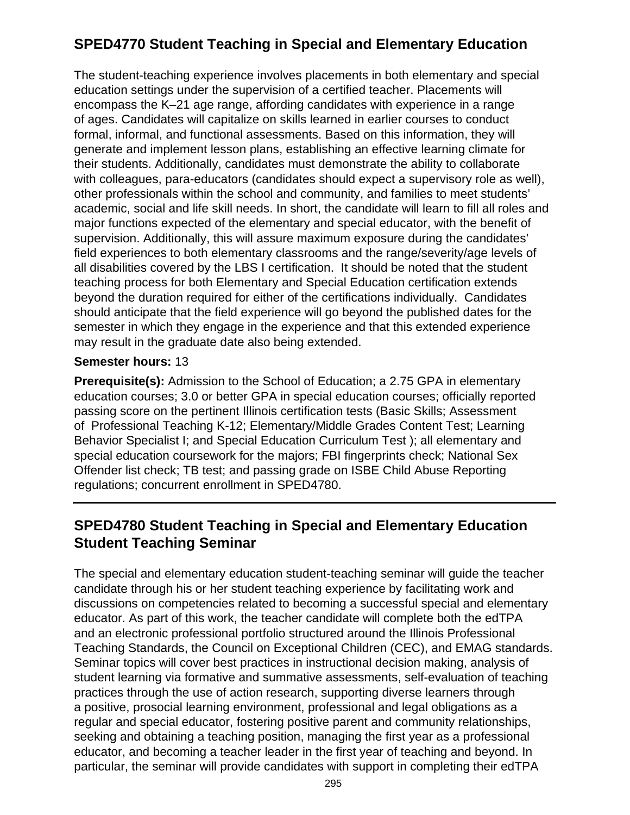# **SPED4770 Student Teaching in Special and Elementary Education**

The student-teaching experience involves placements in both elementary and special education settings under the supervision of a certified teacher. Placements will encompass the K–21 age range, affording candidates with experience in a range of ages. Candidates will capitalize on skills learned in earlier courses to conduct formal, informal, and functional assessments. Based on this information, they will generate and implement lesson plans, establishing an effective learning climate for their students. Additionally, candidates must demonstrate the ability to collaborate with colleagues, para-educators (candidates should expect a supervisory role as well), other professionals within the school and community, and families to meet students' academic, social and life skill needs. In short, the candidate will learn to fill all roles and major functions expected of the elementary and special educator, with the benefit of supervision. Additionally, this will assure maximum exposure during the candidates' field experiences to both elementary classrooms and the range/severity/age levels of all disabilities covered by the LBS I certification. It should be noted that the student teaching process for both Elementary and Special Education certification extends beyond the duration required for either of the certifications individually. Candidates should anticipate that the field experience will go beyond the published dates for the semester in which they engage in the experience and that this extended experience may result in the graduate date also being extended.

#### **Semester hours:** 13

**Prerequisite(s):** Admission to the School of Education; a 2.75 GPA in elementary education courses; 3.0 or better GPA in special education courses; officially reported passing score on the pertinent Illinois certification tests (Basic Skills; Assessment of Professional Teaching K-12; Elementary/Middle Grades Content Test; Learning Behavior Specialist I; and Special Education Curriculum Test ); all elementary and special education coursework for the majors; FBI fingerprints check; National Sex Offender list check; TB test; and passing grade on ISBE Child Abuse Reporting regulations; concurrent enrollment in SPED4780.

## **SPED4780 Student Teaching in Special and Elementary Education Student Teaching Seminar**

The special and elementary education student-teaching seminar will guide the teacher candidate through his or her student teaching experience by facilitating work and discussions on competencies related to becoming a successful special and elementary educator. As part of this work, the teacher candidate will complete both the edTPA and an electronic professional portfolio structured around the Illinois Professional Teaching Standards, the Council on Exceptional Children (CEC), and EMAG standards. Seminar topics will cover best practices in instructional decision making, analysis of student learning via formative and summative assessments, self-evaluation of teaching practices through the use of action research, supporting diverse learners through a positive, prosocial learning environment, professional and legal obligations as a regular and special educator, fostering positive parent and community relationships, seeking and obtaining a teaching position, managing the first year as a professional educator, and becoming a teacher leader in the first year of teaching and beyond. In particular, the seminar will provide candidates with support in completing their edTPA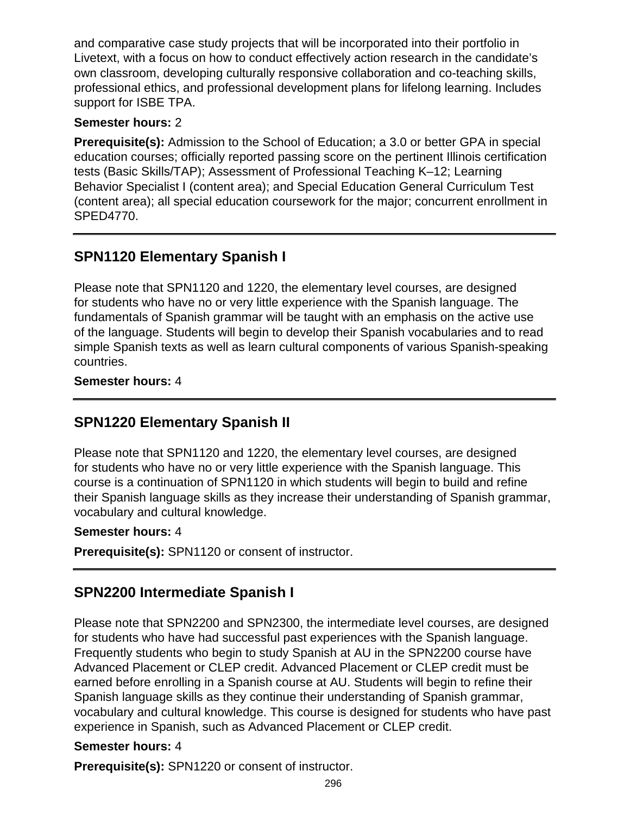and comparative case study projects that will be incorporated into their portfolio in Livetext, with a focus on how to conduct effectively action research in the candidate's own classroom, developing culturally responsive collaboration and co-teaching skills, professional ethics, and professional development plans for lifelong learning. Includes support for ISBE TPA.

### **Semester hours:** 2

**Prerequisite(s):** Admission to the School of Education; a 3.0 or better GPA in special education courses; officially reported passing score on the pertinent Illinois certification tests (Basic Skills/TAP); Assessment of Professional Teaching K–12; Learning Behavior Specialist I (content area); and Special Education General Curriculum Test (content area); all special education coursework for the major; concurrent enrollment in SPED4770.

# **SPN1120 Elementary Spanish I**

Please note that SPN1120 and 1220, the elementary level courses, are designed for students who have no or very little experience with the Spanish language. The fundamentals of Spanish grammar will be taught with an emphasis on the active use of the language. Students will begin to develop their Spanish vocabularies and to read simple Spanish texts as well as learn cultural components of various Spanish-speaking countries.

### **Semester hours:** 4

# **SPN1220 Elementary Spanish II**

Please note that SPN1120 and 1220, the elementary level courses, are designed for students who have no or very little experience with the Spanish language. This course is a continuation of SPN1120 in which students will begin to build and refine their Spanish language skills as they increase their understanding of Spanish grammar, vocabulary and cultural knowledge.

### **Semester hours:** 4

**Prerequisite(s):** SPN1120 or consent of instructor.

# **SPN2200 Intermediate Spanish I**

Please note that SPN2200 and SPN2300, the intermediate level courses, are designed for students who have had successful past experiences with the Spanish language. Frequently students who begin to study Spanish at AU in the SPN2200 course have Advanced Placement or CLEP credit. Advanced Placement or CLEP credit must be earned before enrolling in a Spanish course at AU. Students will begin to refine their Spanish language skills as they continue their understanding of Spanish grammar, vocabulary and cultural knowledge. This course is designed for students who have past experience in Spanish, such as Advanced Placement or CLEP credit.

### **Semester hours:** 4

**Prerequisite(s):** SPN1220 or consent of instructor.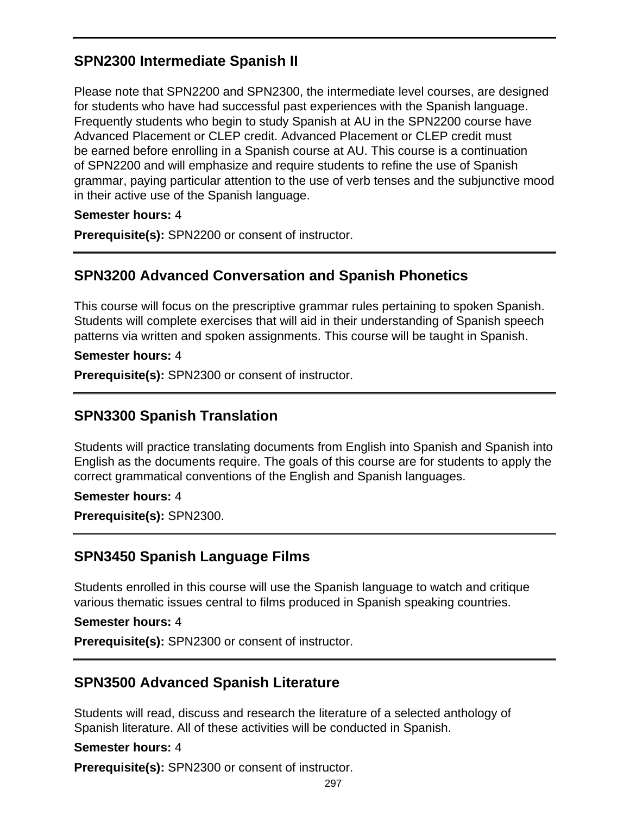# **SPN2300 Intermediate Spanish II**

Please note that SPN2200 and SPN2300, the intermediate level courses, are designed for students who have had successful past experiences with the Spanish language. Frequently students who begin to study Spanish at AU in the SPN2200 course have Advanced Placement or CLEP credit. Advanced Placement or CLEP credit must be earned before enrolling in a Spanish course at AU. This course is a continuation of SPN2200 and will emphasize and require students to refine the use of Spanish grammar, paying particular attention to the use of verb tenses and the subjunctive mood in their active use of the Spanish language.

#### **Semester hours:** 4

**Prerequisite(s):** SPN2200 or consent of instructor.

### **SPN3200 Advanced Conversation and Spanish Phonetics**

This course will focus on the prescriptive grammar rules pertaining to spoken Spanish. Students will complete exercises that will aid in their understanding of Spanish speech patterns via written and spoken assignments. This course will be taught in Spanish.

#### **Semester hours:** 4

**Prerequisite(s):** SPN2300 or consent of instructor.

### **SPN3300 Spanish Translation**

Students will practice translating documents from English into Spanish and Spanish into English as the documents require. The goals of this course are for students to apply the correct grammatical conventions of the English and Spanish languages.

#### **Semester hours:** 4

**Prerequisite(s):** SPN2300.

### **SPN3450 Spanish Language Films**

Students enrolled in this course will use the Spanish language to watch and critique various thematic issues central to films produced in Spanish speaking countries.

#### **Semester hours:** 4

**Prerequisite(s):** SPN2300 or consent of instructor.

### **SPN3500 Advanced Spanish Literature**

Students will read, discuss and research the literature of a selected anthology of Spanish literature. All of these activities will be conducted in Spanish.

#### **Semester hours:** 4

**Prerequisite(s):** SPN2300 or consent of instructor.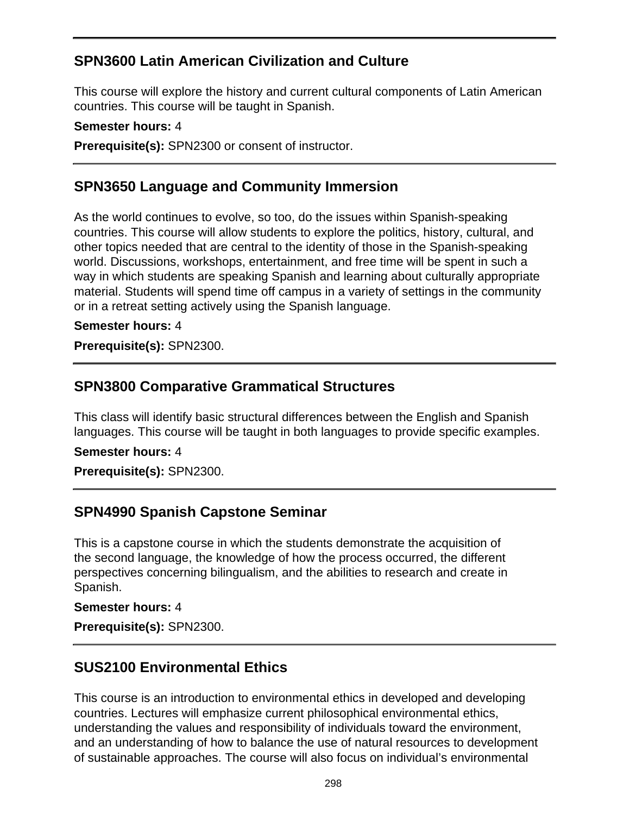## **SPN3600 Latin American Civilization and Culture**

This course will explore the history and current cultural components of Latin American countries. This course will be taught in Spanish.

#### **Semester hours:** 4

**Prerequisite(s):** SPN2300 or consent of instructor.

## **SPN3650 Language and Community Immersion**

As the world continues to evolve, so too, do the issues within Spanish-speaking countries. This course will allow students to explore the politics, history, cultural, and other topics needed that are central to the identity of those in the Spanish-speaking world. Discussions, workshops, entertainment, and free time will be spent in such a way in which students are speaking Spanish and learning about culturally appropriate material. Students will spend time off campus in a variety of settings in the community or in a retreat setting actively using the Spanish language.

#### **Semester hours:** 4

**Prerequisite(s):** SPN2300.

### **SPN3800 Comparative Grammatical Structures**

This class will identify basic structural differences between the English and Spanish languages. This course will be taught in both languages to provide specific examples.

### **Semester hours:** 4

**Prerequisite(s):** SPN2300.

### **SPN4990 Spanish Capstone Seminar**

This is a capstone course in which the students demonstrate the acquisition of the second language, the knowledge of how the process occurred, the different perspectives concerning bilingualism, and the abilities to research and create in Spanish.

#### **Semester hours:** 4

**Prerequisite(s):** SPN2300.

# **SUS2100 Environmental Ethics**

This course is an introduction to environmental ethics in developed and developing countries. Lectures will emphasize current philosophical environmental ethics, understanding the values and responsibility of individuals toward the environment, and an understanding of how to balance the use of natural resources to development of sustainable approaches. The course will also focus on individual's environmental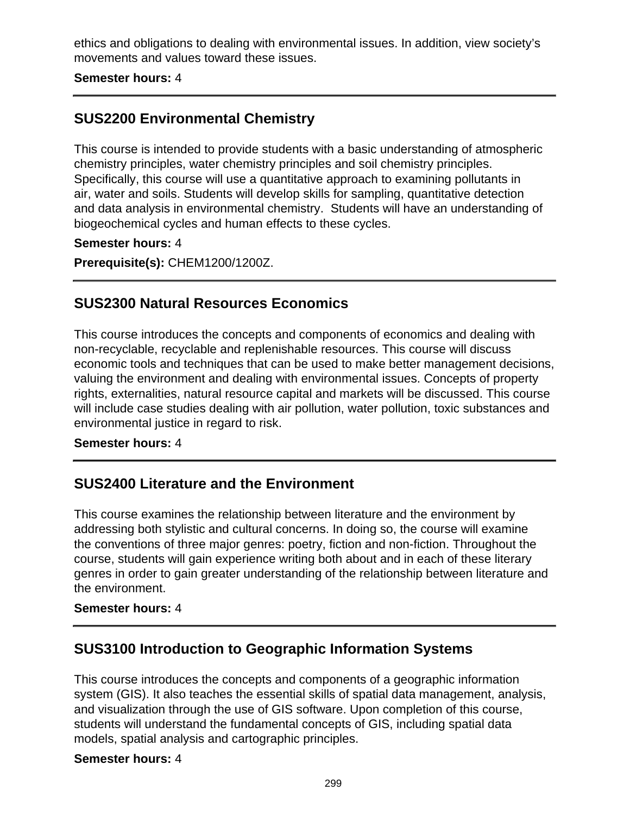ethics and obligations to dealing with environmental issues. In addition, view society's movements and values toward these issues.

**Semester hours:** 4

## **SUS2200 Environmental Chemistry**

This course is intended to provide students with a basic understanding of atmospheric chemistry principles, water chemistry principles and soil chemistry principles. Specifically, this course will use a quantitative approach to examining pollutants in air, water and soils. Students will develop skills for sampling, quantitative detection and data analysis in environmental chemistry. Students will have an understanding of biogeochemical cycles and human effects to these cycles.

**Semester hours:** 4

**Prerequisite(s):** CHEM1200/1200Z.

### **SUS2300 Natural Resources Economics**

This course introduces the concepts and components of economics and dealing with non-recyclable, recyclable and replenishable resources. This course will discuss economic tools and techniques that can be used to make better management decisions, valuing the environment and dealing with environmental issues. Concepts of property rights, externalities, natural resource capital and markets will be discussed. This course will include case studies dealing with air pollution, water pollution, toxic substances and environmental justice in regard to risk.

#### **Semester hours:** 4

### **SUS2400 Literature and the Environment**

This course examines the relationship between literature and the environment by addressing both stylistic and cultural concerns. In doing so, the course will examine the conventions of three major genres: poetry, fiction and non-fiction. Throughout the course, students will gain experience writing both about and in each of these literary genres in order to gain greater understanding of the relationship between literature and the environment.

#### **Semester hours:** 4

### **SUS3100 Introduction to Geographic Information Systems**

This course introduces the concepts and components of a geographic information system (GIS). It also teaches the essential skills of spatial data management, analysis, and visualization through the use of GIS software. Upon completion of this course, students will understand the fundamental concepts of GIS, including spatial data models, spatial analysis and cartographic principles.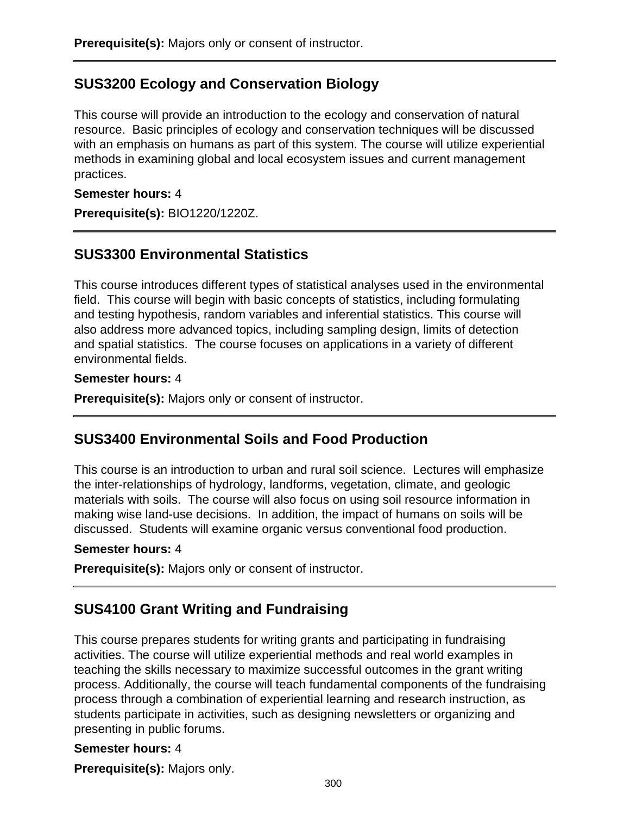# **SUS3200 Ecology and Conservation Biology**

This course will provide an introduction to the ecology and conservation of natural resource. Basic principles of ecology and conservation techniques will be discussed with an emphasis on humans as part of this system. The course will utilize experiential methods in examining global and local ecosystem issues and current management practices.

### **Semester hours:** 4

**Prerequisite(s):** BIO1220/1220Z.

## **SUS3300 Environmental Statistics**

This course introduces different types of statistical analyses used in the environmental field. This course will begin with basic concepts of statistics, including formulating and testing hypothesis, random variables and inferential statistics. This course will also address more advanced topics, including sampling design, limits of detection and spatial statistics. The course focuses on applications in a variety of different environmental fields.

#### **Semester hours:** 4

**Prerequisite(s):** Majors only or consent of instructor.

### **SUS3400 Environmental Soils and Food Production**

This course is an introduction to urban and rural soil science. Lectures will emphasize the inter-relationships of hydrology, landforms, vegetation, climate, and geologic materials with soils. The course will also focus on using soil resource information in making wise land-use decisions. In addition, the impact of humans on soils will be discussed. Students will examine organic versus conventional food production.

#### **Semester hours:** 4

**Prerequisite(s):** Majors only or consent of instructor.

### **SUS4100 Grant Writing and Fundraising**

This course prepares students for writing grants and participating in fundraising activities. The course will utilize experiential methods and real world examples in teaching the skills necessary to maximize successful outcomes in the grant writing process. Additionally, the course will teach fundamental components of the fundraising process through a combination of experiential learning and research instruction, as students participate in activities, such as designing newsletters or organizing and presenting in public forums.

### **Semester hours:** 4

**Prerequisite(s):** Majors only.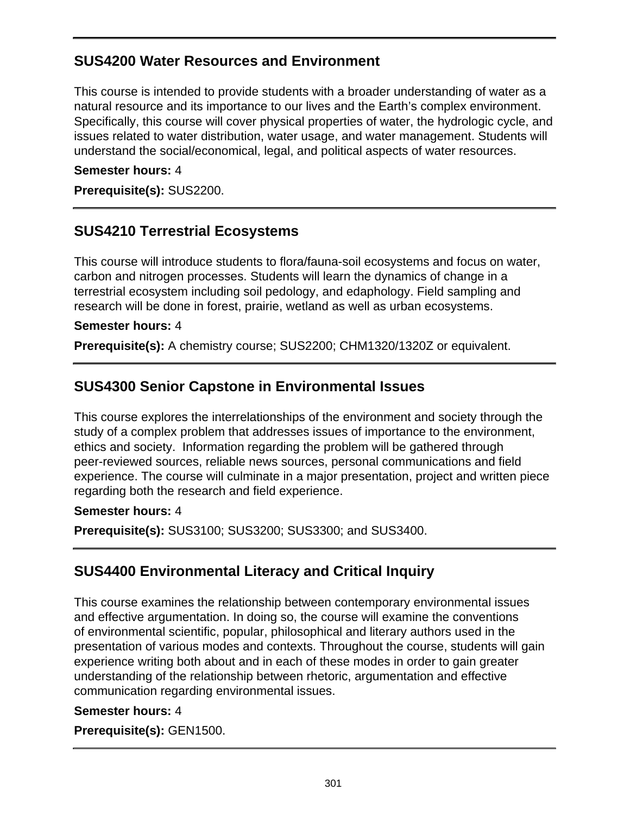## **SUS4200 Water Resources and Environment**

This course is intended to provide students with a broader understanding of water as a natural resource and its importance to our lives and the Earth's complex environment. Specifically, this course will cover physical properties of water, the hydrologic cycle, and issues related to water distribution, water usage, and water management. Students will understand the social/economical, legal, and political aspects of water resources.

#### **Semester hours:** 4

**Prerequisite(s):** SUS2200.

## **SUS4210 Terrestrial Ecosystems**

This course will introduce students to flora/fauna-soil ecosystems and focus on water, carbon and nitrogen processes. Students will learn the dynamics of change in a terrestrial ecosystem including soil pedology, and edaphology. Field sampling and research will be done in forest, prairie, wetland as well as urban ecosystems.

#### **Semester hours:** 4

**Prerequisite(s):** A chemistry course; SUS2200; CHM1320/1320Z or equivalent.

## **SUS4300 Senior Capstone in Environmental Issues**

This course explores the interrelationships of the environment and society through the study of a complex problem that addresses issues of importance to the environment, ethics and society. Information regarding the problem will be gathered through peer-reviewed sources, reliable news sources, personal communications and field experience. The course will culminate in a major presentation, project and written piece regarding both the research and field experience.

#### **Semester hours:** 4

**Prerequisite(s):** SUS3100; SUS3200; SUS3300; and SUS3400.

### **SUS4400 Environmental Literacy and Critical Inquiry**

This course examines the relationship between contemporary environmental issues and effective argumentation. In doing so, the course will examine the conventions of environmental scientific, popular, philosophical and literary authors used in the presentation of various modes and contexts. Throughout the course, students will gain experience writing both about and in each of these modes in order to gain greater understanding of the relationship between rhetoric, argumentation and effective communication regarding environmental issues.

### **Semester hours:** 4

**Prerequisite(s):** GEN1500.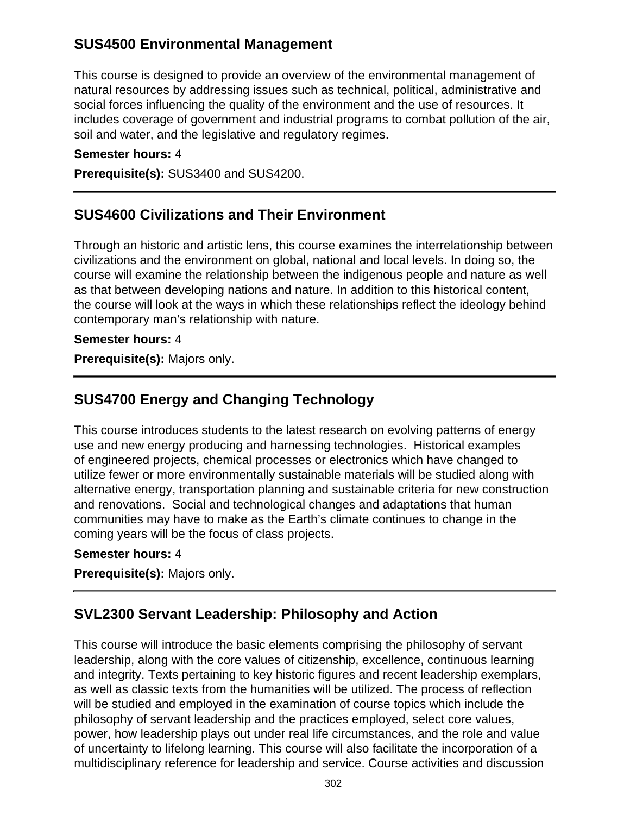## **SUS4500 Environmental Management**

This course is designed to provide an overview of the environmental management of natural resources by addressing issues such as technical, political, administrative and social forces influencing the quality of the environment and the use of resources. It includes coverage of government and industrial programs to combat pollution of the air, soil and water, and the legislative and regulatory regimes.

#### **Semester hours:** 4

**Prerequisite(s):** SUS3400 and SUS4200.

### **SUS4600 Civilizations and Their Environment**

Through an historic and artistic lens, this course examines the interrelationship between civilizations and the environment on global, national and local levels. In doing so, the course will examine the relationship between the indigenous people and nature as well as that between developing nations and nature. In addition to this historical content, the course will look at the ways in which these relationships reflect the ideology behind contemporary man's relationship with nature.

#### **Semester hours:** 4

**Prerequisite(s):** Majors only.

### **SUS4700 Energy and Changing Technology**

This course introduces students to the latest research on evolving patterns of energy use and new energy producing and harnessing technologies. Historical examples of engineered projects, chemical processes or electronics which have changed to utilize fewer or more environmentally sustainable materials will be studied along with alternative energy, transportation planning and sustainable criteria for new construction and renovations. Social and technological changes and adaptations that human communities may have to make as the Earth's climate continues to change in the coming years will be the focus of class projects.

#### **Semester hours:** 4

**Prerequisite(s):** Majors only.

### **SVL2300 Servant Leadership: Philosophy and Action**

This course will introduce the basic elements comprising the philosophy of servant leadership, along with the core values of citizenship, excellence, continuous learning and integrity. Texts pertaining to key historic figures and recent leadership exemplars, as well as classic texts from the humanities will be utilized. The process of reflection will be studied and employed in the examination of course topics which include the philosophy of servant leadership and the practices employed, select core values, power, how leadership plays out under real life circumstances, and the role and value of uncertainty to lifelong learning. This course will also facilitate the incorporation of a multidisciplinary reference for leadership and service. Course activities and discussion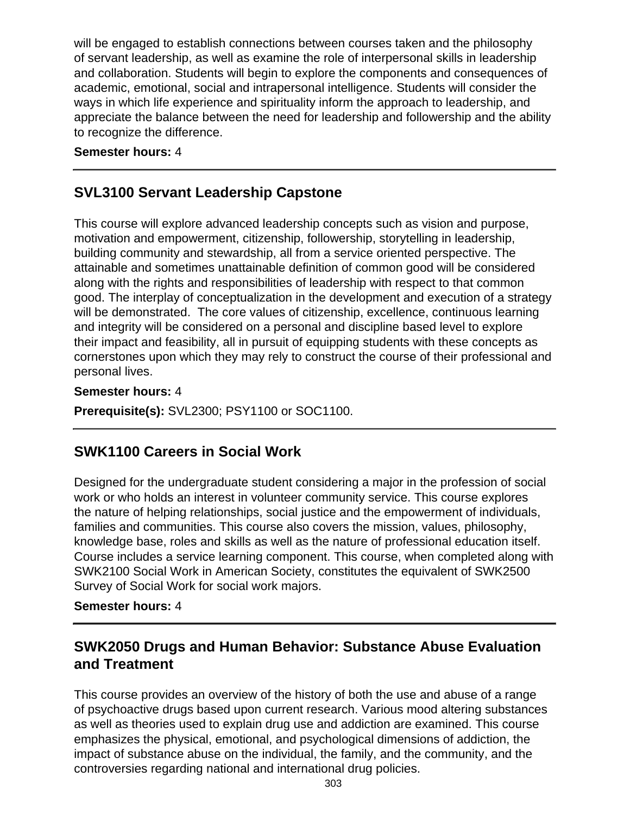will be engaged to establish connections between courses taken and the philosophy of servant leadership, as well as examine the role of interpersonal skills in leadership and collaboration. Students will begin to explore the components and consequences of academic, emotional, social and intrapersonal intelligence. Students will consider the ways in which life experience and spirituality inform the approach to leadership, and appreciate the balance between the need for leadership and followership and the ability to recognize the difference.

#### **Semester hours:** 4

## **SVL3100 Servant Leadership Capstone**

This course will explore advanced leadership concepts such as vision and purpose, motivation and empowerment, citizenship, followership, storytelling in leadership, building community and stewardship, all from a service oriented perspective. The attainable and sometimes unattainable definition of common good will be considered along with the rights and responsibilities of leadership with respect to that common good. The interplay of conceptualization in the development and execution of a strategy will be demonstrated. The core values of citizenship, excellence, continuous learning and integrity will be considered on a personal and discipline based level to explore their impact and feasibility, all in pursuit of equipping students with these concepts as cornerstones upon which they may rely to construct the course of their professional and personal lives.

#### **Semester hours:** 4

**Prerequisite(s):** SVL2300; PSY1100 or SOC1100.

### **SWK1100 Careers in Social Work**

Designed for the undergraduate student considering a major in the profession of social work or who holds an interest in volunteer community service. This course explores the nature of helping relationships, social justice and the empowerment of individuals, families and communities. This course also covers the mission, values, philosophy, knowledge base, roles and skills as well as the nature of professional education itself. Course includes a service learning component. This course, when completed along with SWK2100 Social Work in American Society, constitutes the equivalent of SWK2500 Survey of Social Work for social work majors.

#### **Semester hours:** 4

## **SWK2050 Drugs and Human Behavior: Substance Abuse Evaluation and Treatment**

This course provides an overview of the history of both the use and abuse of a range of psychoactive drugs based upon current research. Various mood altering substances as well as theories used to explain drug use and addiction are examined. This course emphasizes the physical, emotional, and psychological dimensions of addiction, the impact of substance abuse on the individual, the family, and the community, and the controversies regarding national and international drug policies.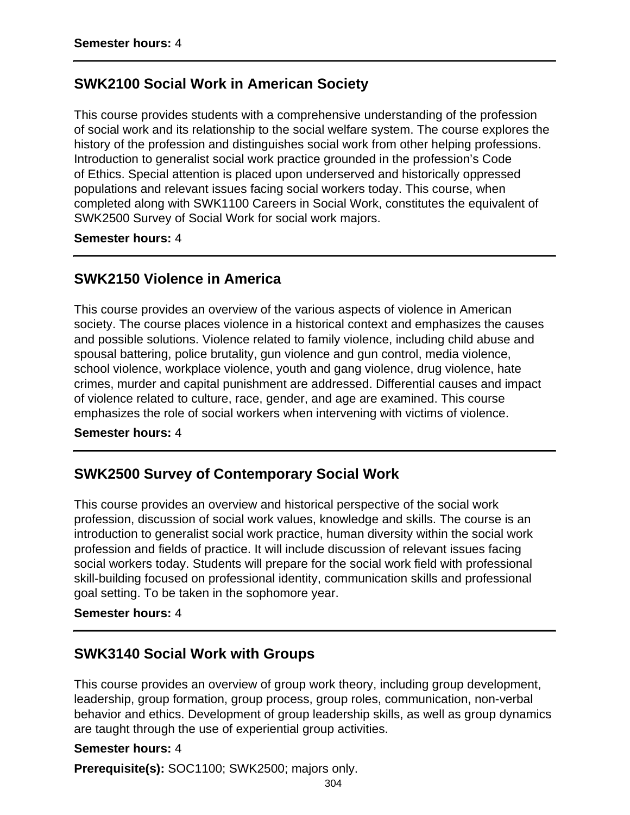### **SWK2100 Social Work in American Society**

This course provides students with a comprehensive understanding of the profession of social work and its relationship to the social welfare system. The course explores the history of the profession and distinguishes social work from other helping professions. Introduction to generalist social work practice grounded in the profession's Code of Ethics. Special attention is placed upon underserved and historically oppressed populations and relevant issues facing social workers today. This course, when completed along with SWK1100 Careers in Social Work, constitutes the equivalent of SWK2500 Survey of Social Work for social work majors.

**Semester hours:** 4

### **SWK2150 Violence in America**

This course provides an overview of the various aspects of violence in American society. The course places violence in a historical context and emphasizes the causes and possible solutions. Violence related to family violence, including child abuse and spousal battering, police brutality, gun violence and gun control, media violence, school violence, workplace violence, youth and gang violence, drug violence, hate crimes, murder and capital punishment are addressed. Differential causes and impact of violence related to culture, race, gender, and age are examined. This course emphasizes the role of social workers when intervening with victims of violence.

#### **Semester hours:** 4

### **SWK2500 Survey of Contemporary Social Work**

This course provides an overview and historical perspective of the social work profession, discussion of social work values, knowledge and skills. The course is an introduction to generalist social work practice, human diversity within the social work profession and fields of practice. It will include discussion of relevant issues facing social workers today. Students will prepare for the social work field with professional skill-building focused on professional identity, communication skills and professional goal setting. To be taken in the sophomore year.

#### **Semester hours:** 4

### **SWK3140 Social Work with Groups**

This course provides an overview of group work theory, including group development, leadership, group formation, group process, group roles, communication, non-verbal behavior and ethics. Development of group leadership skills, as well as group dynamics are taught through the use of experiential group activities.

#### **Semester hours:** 4

**Prerequisite(s):** SOC1100; SWK2500; majors only.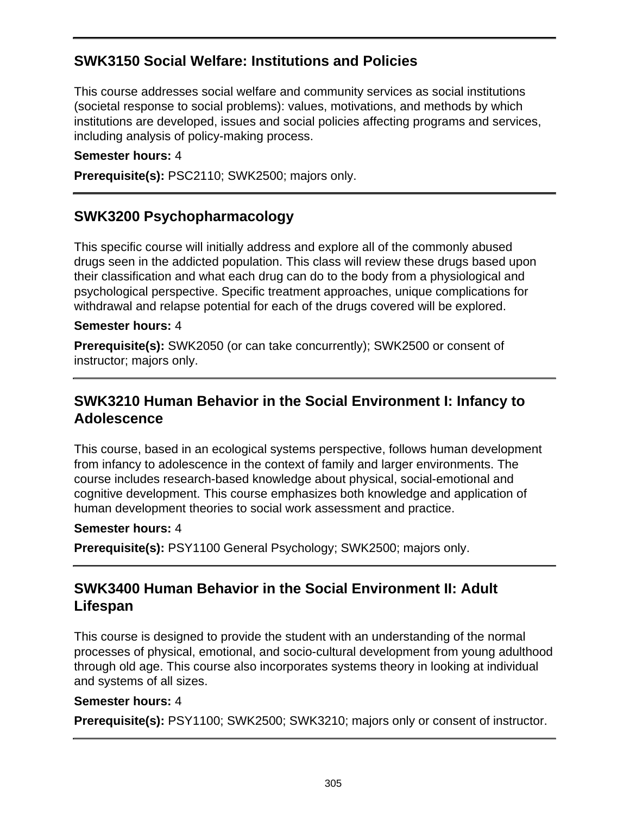# **SWK3150 Social Welfare: Institutions and Policies**

This course addresses social welfare and community services as social institutions (societal response to social problems): values, motivations, and methods by which institutions are developed, issues and social policies affecting programs and services, including analysis of policy-making process.

#### **Semester hours:** 4

**Prerequisite(s):** PSC2110; SWK2500; majors only.

## **SWK3200 Psychopharmacology**

This specific course will initially address and explore all of the commonly abused drugs seen in the addicted population. This class will review these drugs based upon their classification and what each drug can do to the body from a physiological and psychological perspective. Specific treatment approaches, unique complications for withdrawal and relapse potential for each of the drugs covered will be explored.

#### **Semester hours:** 4

**Prerequisite(s):** SWK2050 (or can take concurrently); SWK2500 or consent of instructor; majors only.

## **SWK3210 Human Behavior in the Social Environment I: Infancy to Adolescence**

This course, based in an ecological systems perspective, follows human development from infancy to adolescence in the context of family and larger environments. The course includes research-based knowledge about physical, social-emotional and cognitive development. This course emphasizes both knowledge and application of human development theories to social work assessment and practice.

#### **Semester hours:** 4

**Prerequisite(s):** PSY1100 General Psychology; SWK2500; majors only.

## **SWK3400 Human Behavior in the Social Environment II: Adult Lifespan**

This course is designed to provide the student with an understanding of the normal processes of physical, emotional, and socio-cultural development from young adulthood through old age. This course also incorporates systems theory in looking at individual and systems of all sizes.

#### **Semester hours:** 4

**Prerequisite(s):** PSY1100; SWK2500; SWK3210; majors only or consent of instructor.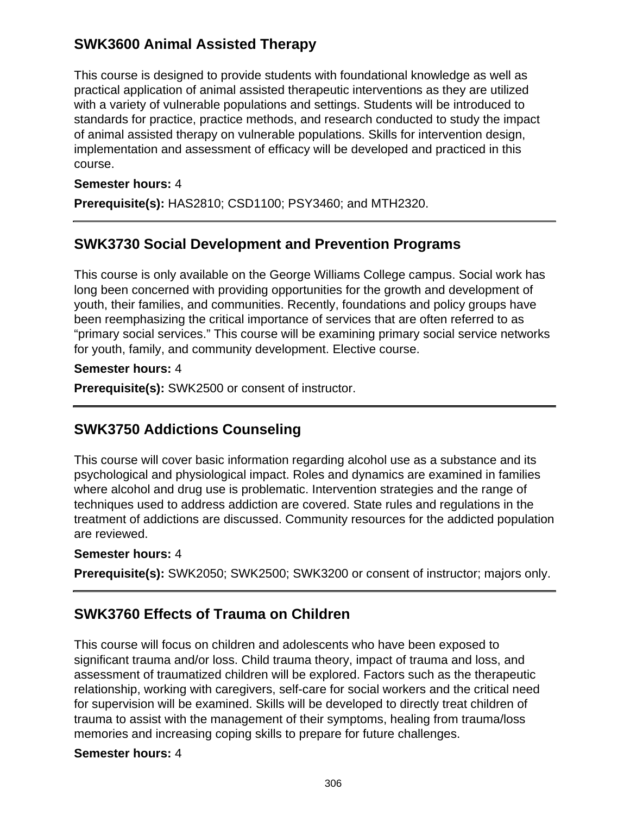# **SWK3600 Animal Assisted Therapy**

This course is designed to provide students with foundational knowledge as well as practical application of animal assisted therapeutic interventions as they are utilized with a variety of vulnerable populations and settings. Students will be introduced to standards for practice, practice methods, and research conducted to study the impact of animal assisted therapy on vulnerable populations. Skills for intervention design, implementation and assessment of efficacy will be developed and practiced in this course.

#### **Semester hours:** 4

**Prerequisite(s):** HAS2810; CSD1100; PSY3460; and MTH2320.

## **SWK3730 Social Development and Prevention Programs**

This course is only available on the George Williams College campus. Social work has long been concerned with providing opportunities for the growth and development of youth, their families, and communities. Recently, foundations and policy groups have been reemphasizing the critical importance of services that are often referred to as "primary social services." This course will be examining primary social service networks for youth, family, and community development. Elective course.

#### **Semester hours:** 4

**Prerequisite(s):** SWK2500 or consent of instructor.

# **SWK3750 Addictions Counseling**

This course will cover basic information regarding alcohol use as a substance and its psychological and physiological impact. Roles and dynamics are examined in families where alcohol and drug use is problematic. Intervention strategies and the range of techniques used to address addiction are covered. State rules and regulations in the treatment of addictions are discussed. Community resources for the addicted population are reviewed.

### **Semester hours:** 4

**Prerequisite(s):** SWK2050; SWK2500; SWK3200 or consent of instructor; majors only.

### **SWK3760 Effects of Trauma on Children**

This course will focus on children and adolescents who have been exposed to significant trauma and/or loss. Child trauma theory, impact of trauma and loss, and assessment of traumatized children will be explored. Factors such as the therapeutic relationship, working with caregivers, self-care for social workers and the critical need for supervision will be examined. Skills will be developed to directly treat children of trauma to assist with the management of their symptoms, healing from trauma/loss memories and increasing coping skills to prepare for future challenges.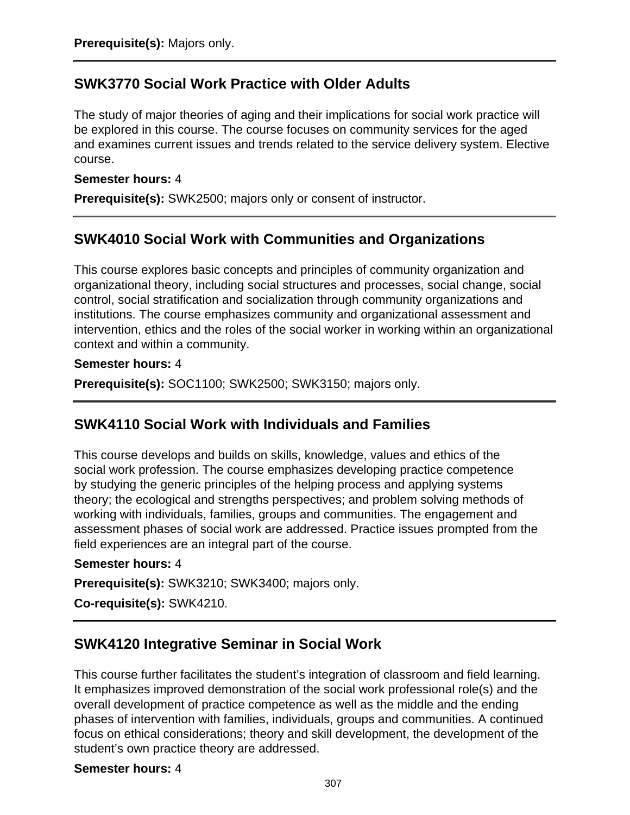### **SWK3770 Social Work Practice with Older Adults**

The study of major theories of aging and their implications for social work practice will be explored in this course. The course focuses on community services for the aged and examines current issues and trends related to the service delivery system. Elective course.

#### **Semester hours:** 4

**Prerequisite(s):** SWK2500; majors only or consent of instructor.

### **SWK4010 Social Work with Communities and Organizations**

This course explores basic concepts and principles of community organization and organizational theory, including social structures and processes, social change, social control, social stratification and socialization through community organizations and institutions. The course emphasizes community and organizational assessment and intervention, ethics and the roles of the social worker in working within an organizational context and within a community.

#### **Semester hours:** 4

**Prerequisite(s):** SOC1100; SWK2500; SWK3150; majors only.

### **SWK4110 Social Work with Individuals and Families**

This course develops and builds on skills, knowledge, values and ethics of the social work profession. The course emphasizes developing practice competence by studying the generic principles of the helping process and applying systems theory; the ecological and strengths perspectives; and problem solving methods of working with individuals, families, groups and communities. The engagement and assessment phases of social work are addressed. Practice issues prompted from the field experiences are an integral part of the course.

#### **Semester hours:** 4

**Prerequisite(s):** SWK3210; SWK3400; majors only.

**Co-requisite(s):** SWK4210.

### **SWK4120 Integrative Seminar in Social Work**

This course further facilitates the student's integration of classroom and field learning. It emphasizes improved demonstration of the social work professional role(s) and the overall development of practice competence as well as the middle and the ending phases of intervention with families, individuals, groups and communities. A continued focus on ethical considerations; theory and skill development, the development of the student's own practice theory are addressed.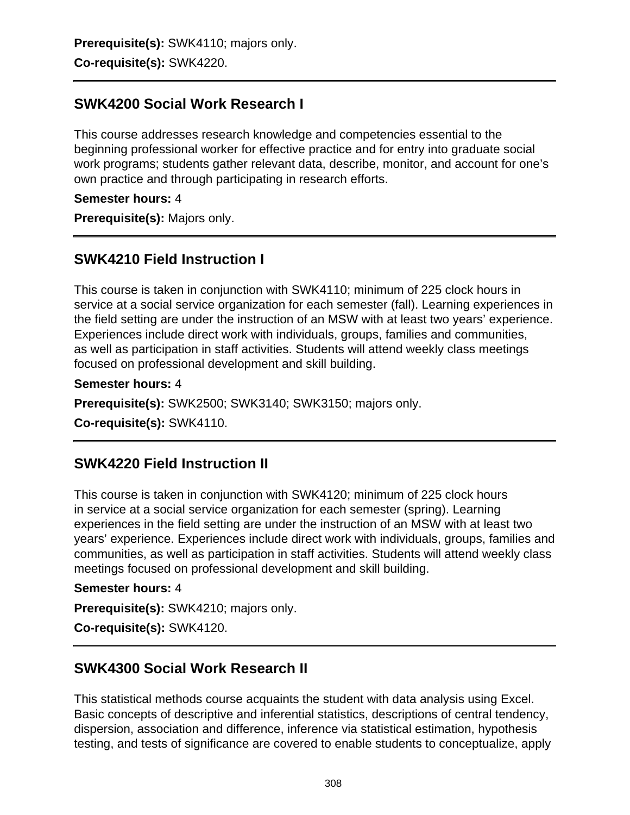**Prerequisite(s):** SWK4110; majors only. **Co-requisite(s):** SWK4220.

### **SWK4200 Social Work Research I**

This course addresses research knowledge and competencies essential to the beginning professional worker for effective practice and for entry into graduate social work programs; students gather relevant data, describe, monitor, and account for one's own practice and through participating in research efforts.

#### **Semester hours:** 4

**Prerequisite(s):** Majors only.

### **SWK4210 Field Instruction I**

This course is taken in conjunction with SWK4110; minimum of 225 clock hours in service at a social service organization for each semester (fall). Learning experiences in the field setting are under the instruction of an MSW with at least two years' experience. Experiences include direct work with individuals, groups, families and communities, as well as participation in staff activities. Students will attend weekly class meetings focused on professional development and skill building.

#### **Semester hours:** 4

**Prerequisite(s):** SWK2500; SWK3140; SWK3150; majors only.

**Co-requisite(s):** SWK4110.

### **SWK4220 Field Instruction II**

This course is taken in conjunction with SWK4120; minimum of 225 clock hours in service at a social service organization for each semester (spring). Learning experiences in the field setting are under the instruction of an MSW with at least two years' experience. Experiences include direct work with individuals, groups, families and communities, as well as participation in staff activities. Students will attend weekly class meetings focused on professional development and skill building.

#### **Semester hours:** 4

**Prerequisite(s):** SWK4210; majors only.

**Co-requisite(s):** SWK4120.

### **SWK4300 Social Work Research II**

This statistical methods course acquaints the student with data analysis using Excel. Basic concepts of descriptive and inferential statistics, descriptions of central tendency, dispersion, association and difference, inference via statistical estimation, hypothesis testing, and tests of significance are covered to enable students to conceptualize, apply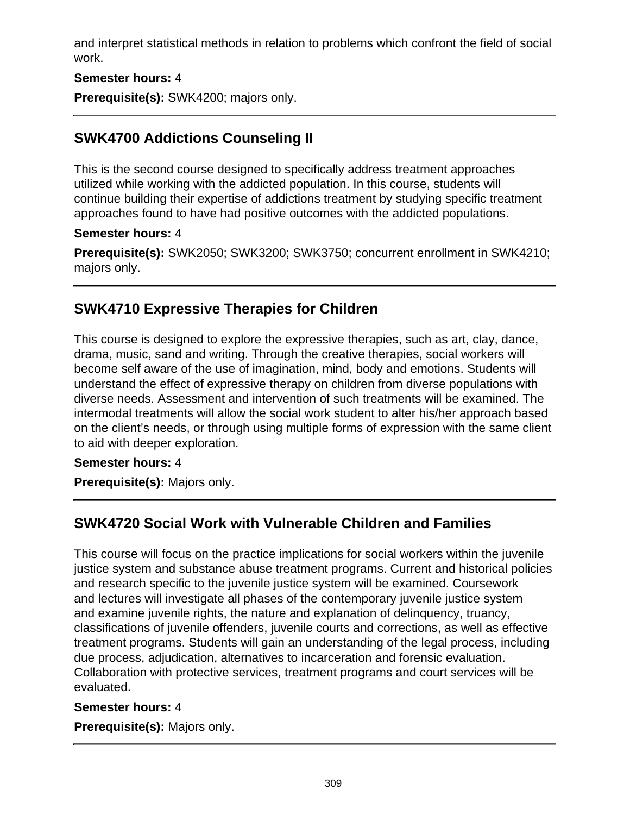and interpret statistical methods in relation to problems which confront the field of social work.

#### **Semester hours:** 4

**Prerequisite(s):** SWK4200; majors only.

# **SWK4700 Addictions Counseling II**

This is the second course designed to specifically address treatment approaches utilized while working with the addicted population. In this course, students will continue building their expertise of addictions treatment by studying specific treatment approaches found to have had positive outcomes with the addicted populations.

#### **Semester hours:** 4

**Prerequisite(s):** SWK2050; SWK3200; SWK3750; concurrent enrollment in SWK4210; majors only.

## **SWK4710 Expressive Therapies for Children**

This course is designed to explore the expressive therapies, such as art, clay, dance, drama, music, sand and writing. Through the creative therapies, social workers will become self aware of the use of imagination, mind, body and emotions. Students will understand the effect of expressive therapy on children from diverse populations with diverse needs. Assessment and intervention of such treatments will be examined. The intermodal treatments will allow the social work student to alter his/her approach based on the client's needs, or through using multiple forms of expression with the same client to aid with deeper exploration.

### **Semester hours:** 4

**Prerequisite(s):** Majors only.

# **SWK4720 Social Work with Vulnerable Children and Families**

This course will focus on the practice implications for social workers within the juvenile justice system and substance abuse treatment programs. Current and historical policies and research specific to the juvenile justice system will be examined. Coursework and lectures will investigate all phases of the contemporary juvenile justice system and examine juvenile rights, the nature and explanation of delinquency, truancy, classifications of juvenile offenders, juvenile courts and corrections, as well as effective treatment programs. Students will gain an understanding of the legal process, including due process, adjudication, alternatives to incarceration and forensic evaluation. Collaboration with protective services, treatment programs and court services will be evaluated.

#### **Semester hours:** 4

**Prerequisite(s):** Majors only.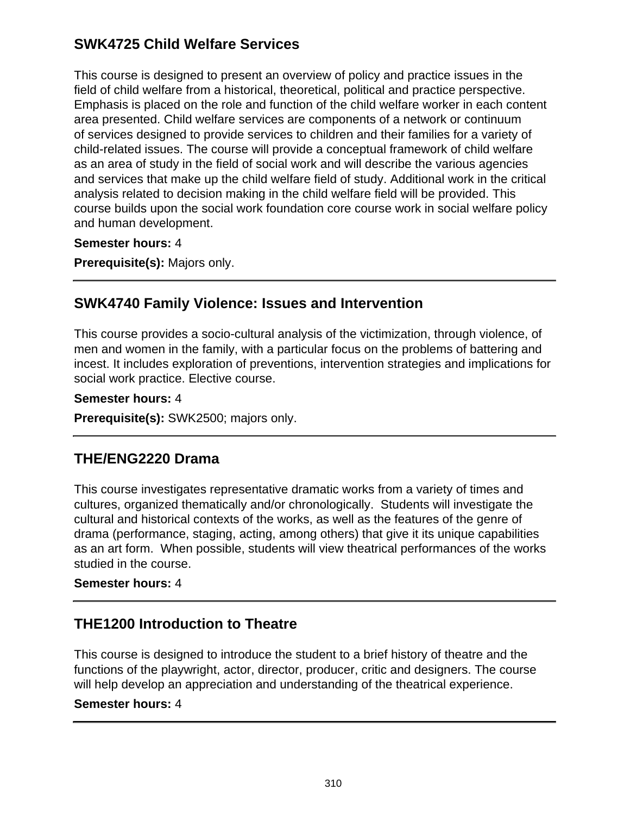## **SWK4725 Child Welfare Services**

This course is designed to present an overview of policy and practice issues in the field of child welfare from a historical, theoretical, political and practice perspective. Emphasis is placed on the role and function of the child welfare worker in each content area presented. Child welfare services are components of a network or continuum of services designed to provide services to children and their families for a variety of child-related issues. The course will provide a conceptual framework of child welfare as an area of study in the field of social work and will describe the various agencies and services that make up the child welfare field of study. Additional work in the critical analysis related to decision making in the child welfare field will be provided. This course builds upon the social work foundation core course work in social welfare policy and human development.

**Semester hours:** 4

**Prerequisite(s):** Majors only.

### **SWK4740 Family Violence: Issues and Intervention**

This course provides a socio-cultural analysis of the victimization, through violence, of men and women in the family, with a particular focus on the problems of battering and incest. It includes exploration of preventions, intervention strategies and implications for social work practice. Elective course.

**Semester hours:** 4

**Prerequisite(s):** SWK2500; majors only.

### **THE/ENG2220 Drama**

This course investigates representative dramatic works from a variety of times and cultures, organized thematically and/or chronologically. Students will investigate the cultural and historical contexts of the works, as well as the features of the genre of drama (performance, staging, acting, among others) that give it its unique capabilities as an art form. When possible, students will view theatrical performances of the works studied in the course.

### **Semester hours:** 4

# **THE1200 Introduction to Theatre**

This course is designed to introduce the student to a brief history of theatre and the functions of the playwright, actor, director, producer, critic and designers. The course will help develop an appreciation and understanding of the theatrical experience.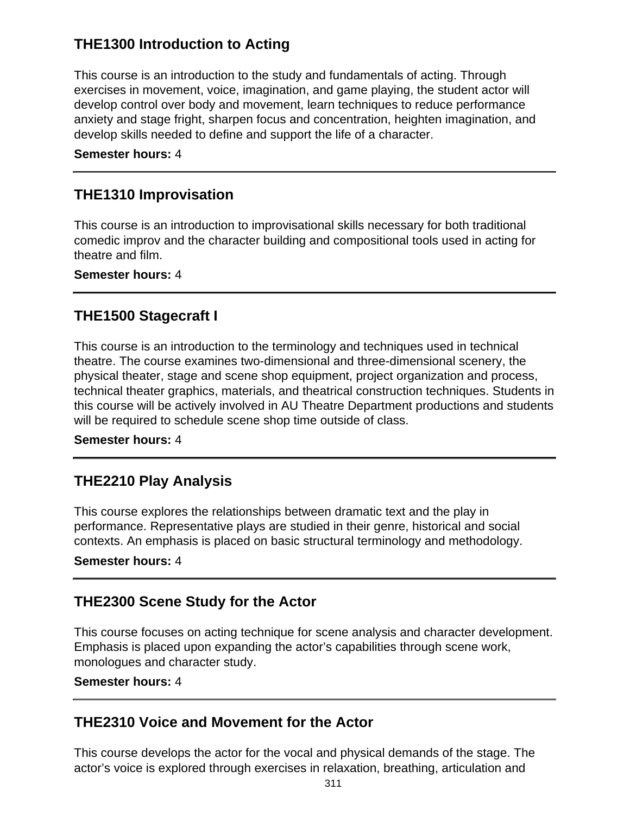# **THE1300 Introduction to Acting**

This course is an introduction to the study and fundamentals of acting. Through exercises in movement, voice, imagination, and game playing, the student actor will develop control over body and movement, learn techniques to reduce performance anxiety and stage fright, sharpen focus and concentration, heighten imagination, and develop skills needed to define and support the life of a character.

#### **Semester hours:** 4

## **THE1310 Improvisation**

This course is an introduction to improvisational skills necessary for both traditional comedic improv and the character building and compositional tools used in acting for theatre and film.

**Semester hours:** 4

## **THE1500 Stagecraft I**

This course is an introduction to the terminology and techniques used in technical theatre. The course examines two-dimensional and three-dimensional scenery, the physical theater, stage and scene shop equipment, project organization and process, technical theater graphics, materials, and theatrical construction techniques. Students in this course will be actively involved in AU Theatre Department productions and students will be required to schedule scene shop time outside of class.

#### **Semester hours:** 4

# **THE2210 Play Analysis**

This course explores the relationships between dramatic text and the play in performance. Representative plays are studied in their genre, historical and social contexts. An emphasis is placed on basic structural terminology and methodology.

### **Semester hours:** 4

### **THE2300 Scene Study for the Actor**

This course focuses on acting technique for scene analysis and character development. Emphasis is placed upon expanding the actor's capabilities through scene work, monologues and character study.

#### **Semester hours:** 4

### **THE2310 Voice and Movement for the Actor**

This course develops the actor for the vocal and physical demands of the stage. The actor's voice is explored through exercises in relaxation, breathing, articulation and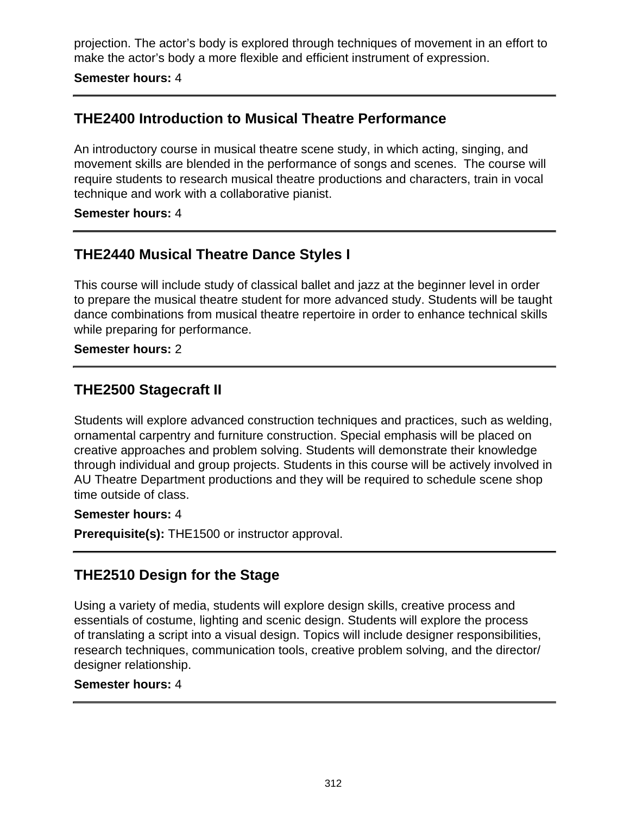projection. The actor's body is explored through techniques of movement in an effort to make the actor's body a more flexible and efficient instrument of expression.

#### **Semester hours:** 4

### **THE2400 Introduction to Musical Theatre Performance**

An introductory course in musical theatre scene study, in which acting, singing, and movement skills are blended in the performance of songs and scenes. The course will require students to research musical theatre productions and characters, train in vocal technique and work with a collaborative pianist.

#### **Semester hours:** 4

### **THE2440 Musical Theatre Dance Styles I**

This course will include study of classical ballet and jazz at the beginner level in order to prepare the musical theatre student for more advanced study. Students will be taught dance combinations from musical theatre repertoire in order to enhance technical skills while preparing for performance.

#### **Semester hours:** 2

### **THE2500 Stagecraft II**

Students will explore advanced construction techniques and practices, such as welding, ornamental carpentry and furniture construction. Special emphasis will be placed on creative approaches and problem solving. Students will demonstrate their knowledge through individual and group projects. Students in this course will be actively involved in AU Theatre Department productions and they will be required to schedule scene shop time outside of class.

#### **Semester hours:** 4

**Prerequisite(s):** THE1500 or instructor approval.

### **THE2510 Design for the Stage**

Using a variety of media, students will explore design skills, creative process and essentials of costume, lighting and scenic design. Students will explore the process of translating a script into a visual design. Topics will include designer responsibilities, research techniques, communication tools, creative problem solving, and the director/ designer relationship.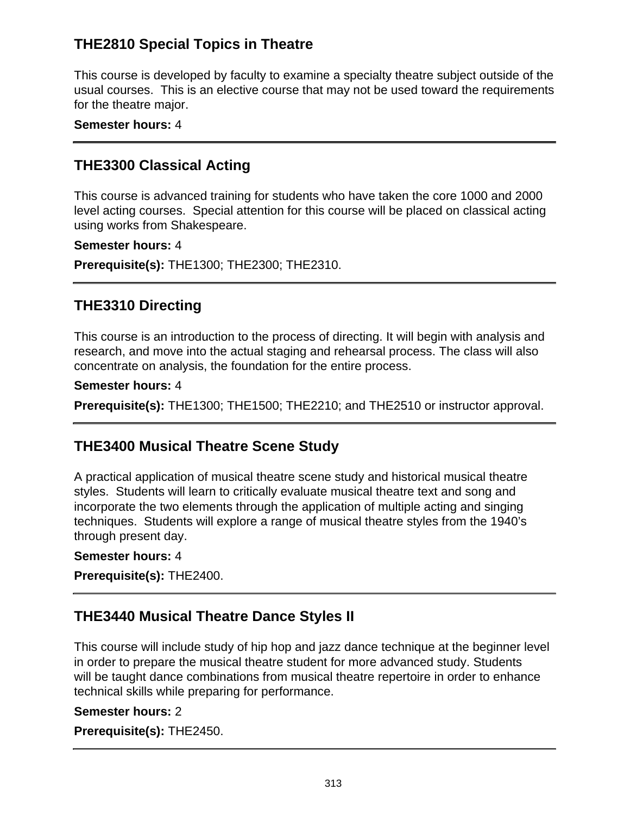# **THE2810 Special Topics in Theatre**

This course is developed by faculty to examine a specialty theatre subject outside of the usual courses. This is an elective course that may not be used toward the requirements for the theatre major.

#### **Semester hours:** 4

### **THE3300 Classical Acting**

This course is advanced training for students who have taken the core 1000 and 2000 level acting courses. Special attention for this course will be placed on classical acting using works from Shakespeare.

#### **Semester hours:** 4

**Prerequisite(s):** THE1300; THE2300; THE2310.

### **THE3310 Directing**

This course is an introduction to the process of directing. It will begin with analysis and research, and move into the actual staging and rehearsal process. The class will also concentrate on analysis, the foundation for the entire process.

#### **Semester hours:** 4

**Prerequisite(s):** THE1300; THE1500; THE2210; and THE2510 or instructor approval.

### **THE3400 Musical Theatre Scene Study**

A practical application of musical theatre scene study and historical musical theatre styles. Students will learn to critically evaluate musical theatre text and song and incorporate the two elements through the application of multiple acting and singing techniques. Students will explore a range of musical theatre styles from the 1940's through present day.

#### **Semester hours:** 4

**Prerequisite(s):** THE2400.

### **THE3440 Musical Theatre Dance Styles II**

This course will include study of hip hop and jazz dance technique at the beginner level in order to prepare the musical theatre student for more advanced study. Students will be taught dance combinations from musical theatre repertoire in order to enhance technical skills while preparing for performance.

#### **Semester hours:** 2

**Prerequisite(s):** THE2450.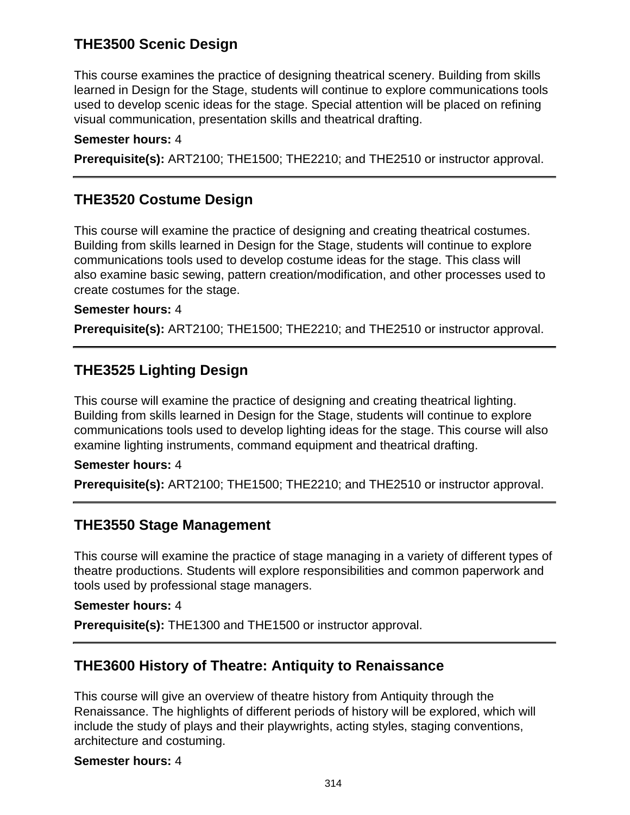# **THE3500 Scenic Design**

This course examines the practice of designing theatrical scenery. Building from skills learned in Design for the Stage, students will continue to explore communications tools used to develop scenic ideas for the stage. Special attention will be placed on refining visual communication, presentation skills and theatrical drafting.

#### **Semester hours:** 4

**Prerequisite(s):** ART2100; THE1500; THE2210; and THE2510 or instructor approval.

### **THE3520 Costume Design**

This course will examine the practice of designing and creating theatrical costumes. Building from skills learned in Design for the Stage, students will continue to explore communications tools used to develop costume ideas for the stage. This class will also examine basic sewing, pattern creation/modification, and other processes used to create costumes for the stage.

#### **Semester hours:** 4

**Prerequisite(s):** ART2100; THE1500; THE2210; and THE2510 or instructor approval.

### **THE3525 Lighting Design**

This course will examine the practice of designing and creating theatrical lighting. Building from skills learned in Design for the Stage, students will continue to explore communications tools used to develop lighting ideas for the stage. This course will also examine lighting instruments, command equipment and theatrical drafting.

#### **Semester hours:** 4

**Prerequisite(s):** ART2100; THE1500; THE2210; and THE2510 or instructor approval.

### **THE3550 Stage Management**

This course will examine the practice of stage managing in a variety of different types of theatre productions. Students will explore responsibilities and common paperwork and tools used by professional stage managers.

#### **Semester hours:** 4

**Prerequisite(s):** THE1300 and THE1500 or instructor approval.

### **THE3600 History of Theatre: Antiquity to Renaissance**

This course will give an overview of theatre history from Antiquity through the Renaissance. The highlights of different periods of history will be explored, which will include the study of plays and their playwrights, acting styles, staging conventions, architecture and costuming.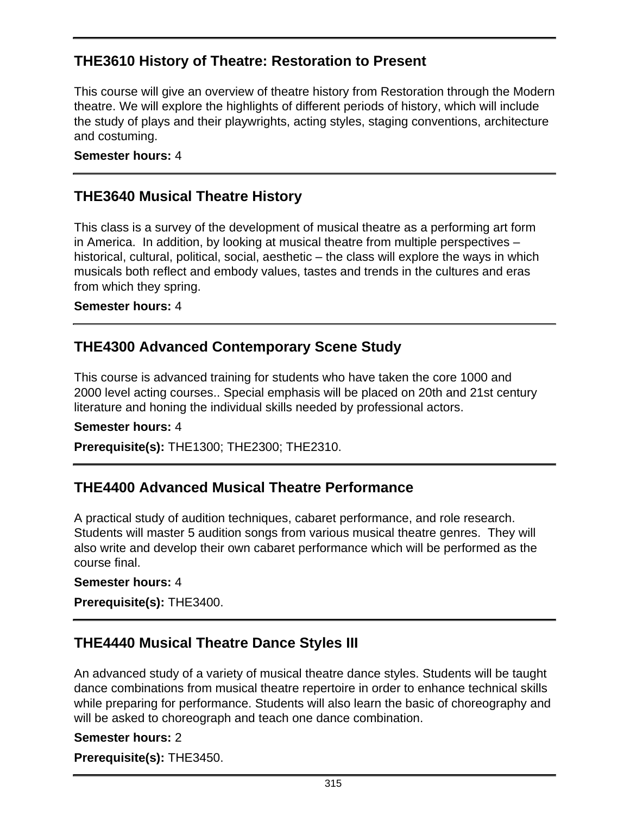# **THE3610 History of Theatre: Restoration to Present**

This course will give an overview of theatre history from Restoration through the Modern theatre. We will explore the highlights of different periods of history, which will include the study of plays and their playwrights, acting styles, staging conventions, architecture and costuming.

#### **Semester hours:** 4

## **THE3640 Musical Theatre History**

This class is a survey of the development of musical theatre as a performing art form in America. In addition, by looking at musical theatre from multiple perspectives – historical, cultural, political, social, aesthetic – the class will explore the ways in which musicals both reflect and embody values, tastes and trends in the cultures and eras from which they spring.

#### **Semester hours:** 4

### **THE4300 Advanced Contemporary Scene Study**

This course is advanced training for students who have taken the core 1000 and 2000 level acting courses.. Special emphasis will be placed on 20th and 21st century literature and honing the individual skills needed by professional actors.

#### **Semester hours:** 4

**Prerequisite(s):** THE1300; THE2300; THE2310.

### **THE4400 Advanced Musical Theatre Performance**

A practical study of audition techniques, cabaret performance, and role research. Students will master 5 audition songs from various musical theatre genres. They will also write and develop their own cabaret performance which will be performed as the course final.

#### **Semester hours:** 4

**Prerequisite(s):** THE3400.

### **THE4440 Musical Theatre Dance Styles III**

An advanced study of a variety of musical theatre dance styles. Students will be taught dance combinations from musical theatre repertoire in order to enhance technical skills while preparing for performance. Students will also learn the basic of choreography and will be asked to choreograph and teach one dance combination.

#### **Semester hours:** 2

**Prerequisite(s):** THE3450.